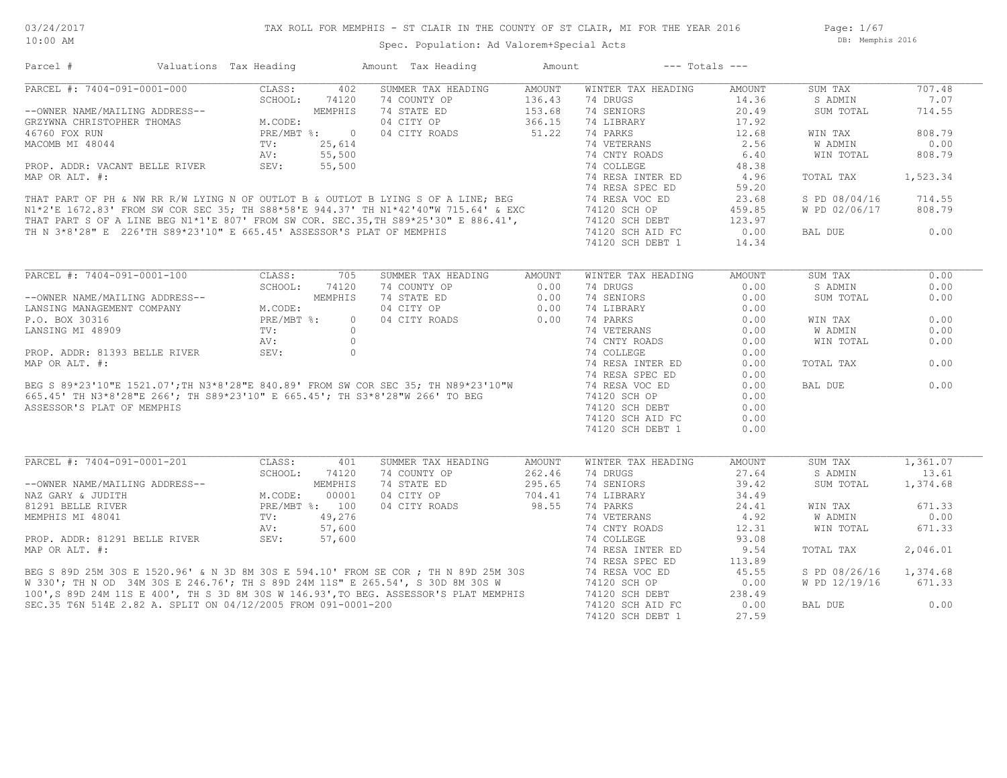Page: 1/67 DB: Memphis 2016

## Spec. Population: Ad Valorem+Special Acts

| SUMMER TAX HEADING<br>707.48<br>CLASS:<br>402<br>AMOUNT<br>WINTER TAX HEADING<br>AMOUNT<br>SUM TAX<br>SCHOOL:<br>74120<br>74 COUNTY OP<br>136.43<br>74 DRUGS<br>S ADMIN<br>7.07<br>14.36<br>74 STATE ED<br>74 SENIORS<br>MEMPHIS<br>153.68<br>20.49<br>714.55<br>SUM TOTAL<br>04 CITY OP<br>366.15<br>74 LIBRARY<br>17.92<br>M.CODE:<br>51.22<br>PRE/MBT %: 0<br>04 CITY ROADS<br>74 PARKS<br>12.68<br>808.79<br>WIN TAX<br>74 VETERANS<br>2.56<br><b>W ADMIN</b><br>0.00<br>TV:<br>25,614<br>55,500<br>AV:<br>74 CNTY ROADS<br>6.40<br>WIN TOTAL<br>808.79<br>SEV:<br>55,500<br>74 COLLEGE<br>48.38<br>PROP. ADDR: VACANT BELLE RIVER<br>74 RESA INTER ED<br>4.96<br>TOTAL TAX<br>1,523.34<br>WAP OR ALL. #.<br>THAT PART OF PH & NW RR R/W LYING N OF OUTLOT B & OUTLOT B LYING S OF A LINE; BEG<br>N1*2'E 1672.83' FROM SW COR SEC 35; TH S88*58'E 944.37' TH N1*42'40"W 715.64' & EXC<br>THAT PART S OF A LINE BEG N1*1'E 807' FRO<br>74 RESA SPEC ED<br>59.20<br>74 RESA VOC ED<br>23.68<br>S PD 08/04/16<br>714.55<br>74120 SCH OP<br>W PD 02/06/17<br>808.79<br>459.85<br>74120 SCH DEBT<br>123.97<br>74120 SCH AID FC<br>0.00<br>0.00<br>TH N 3*8'28" E 226'TH S89*23'10" E 665.45' ASSESSOR'S PLAT OF MEMPHIS<br>BAL DUE<br>74120 SCH DEBT 1<br>14.34<br>PARCEL #: 7404-091-0001-100<br>CLASS:<br>705<br>SUMMER TAX HEADING<br>AMOUNT<br>WINTER TAX HEADING<br>AMOUNT<br>SUM TAX<br>0.00<br>SCHOOL:<br>S ADMIN<br>74120<br>74 COUNTY OP<br>0.00<br>74 DRUGS<br>0.00<br>0.00<br>MEMPHIS<br>74 STATE ED<br>74 SENIORS<br>0.00<br>0.00<br>--OWNER NAME/MAILING ADDRESS--<br>0.00<br>SUM TOTAL<br>LANSING MANAGEMENT COMPANY<br>M.CODE:<br>04 CITY OP<br>0.00<br>74 LIBRARY<br>0.00<br>0.00<br>P.O. BOX 30316<br>PRE/MBT %:<br>0.00<br>74 PARKS<br>0.00<br>$\circ$<br>04 CITY ROADS<br>WIN TAX<br>$\circ$<br>74 VETERANS<br><b>W ADMIN</b><br>0.00<br>LANSING MI 48909<br>TV:<br>0.00<br>$\circ$<br>AV:<br>74 CNTY ROADS<br>0.00<br>WIN TOTAL<br>0.00<br>74 COLLEGE<br>PROP. ADDR: 81393 BELLE RIVER<br>SEV:<br>$\circ$<br>0.00<br>MAP OR ALT. #:<br>74 RESA INTER ED<br>0.00<br>0.00<br>TOTAL TAX<br>74 RESA SPEC ED<br>0.00<br>BEG S 89*23'10"E 1521.07';TH N3*8'28"E 840.89' FROM SW COR SEC 35; TH N89*23'10"W<br>665.45' TH N3*8'28"E 266'; TH S89*23'10" E 665.45'; TH S3*8'28"W 266' TO BEG<br>BAL DUE<br>0.00<br>74 RESA VOC ED<br>0.00<br>74120 SCH OP<br>0.00<br>ASSESSOR'S PLAT OF MEMPHIS<br>74120 SCH DEBT<br>0.00<br>74120 SCH AID FC<br>0.00<br>74120 SCH DEBT 1<br>0.00<br>PARCEL #: 7404-091-0001-201<br>CLASS:<br>SUMMER TAX HEADING<br>WINTER TAX HEADING<br>SUM TAX<br>1,361.07<br>401<br>AMOUNT<br>AMOUNT<br>SCHOOL:<br>74 COUNTY OP<br>262.46<br>74 DRUGS<br>27.64<br>S ADMIN<br>13.61<br>74120<br>MEMPHIS<br>74 STATE ED<br>295.65<br>74 SENIORS<br>1,374.68<br>--OWNER NAME/MAILING ADDRESS--<br>39.42<br>SUM TOTAL<br>74 LIBRARY<br>M.CODE:<br>00001<br>04 CITY OP<br>704.41<br>34.49<br>NAZ GARY & JUDITH<br>98.55<br>671.33<br>81291 BELLE RIVER<br>PRE/MBT %: 100<br>04 CITY ROADS<br>74 PARKS<br>24.41<br>WIN TAX<br>MEMPHIS MI 48041<br>49,276<br>74 VETERANS<br>4.92<br><b>W ADMIN</b><br>0.00<br>TV:<br>74 CNTY ROADS<br>AV:<br>57,600<br>12.31<br>WIN TOTAL<br>671.33<br>nv.<br>SEV:<br>PROP. ADDR: 81291 BELLE RIVER<br>57,600<br>74 COLLEGE<br>93.08<br>MAP OR ALT. #:<br>74 RESA INTER ED<br>9.54<br>2,046.01<br>TOTAL TAX<br>74 RESA SPEC ED<br>113.89<br>BEG S 89D 25M 30S E 1520.96' & N 3D 8M 30S E 594.10' FROM SE COR ; TH N 89D 25M 30S<br>W 330'; TH N OD 34M 30S E 246.76'; TH S 89D 24M 11S" E 265.54', S 30D 8M 30S W<br>74 RESA VOC ED<br>45.55<br>S PD 08/26/16<br>1,374.68<br>74120 SCH OP<br>0.00<br>W PD 12/19/16<br>671.33<br>100', S 89D 24M 11S E 400', TH S 3D 8M 30S W 146.93', TO BEG. ASSESSOR'S PLAT MEMPHIS<br>74120 SCH DEBT<br>238.49<br>SEC.35 T6N 514E 2.82 A. SPLIT ON 04/12/2005 FROM 091-0001-200<br>74120 SCH AID FC<br>0.00<br>0.00<br>BAL DUE<br>74120 SCH DEBT 1<br>27.59 | Parcel #                       | Valuations Tax Heading | Amount Tax Heading | Amount | $---$ Totals $---$ |  |  |
|--------------------------------------------------------------------------------------------------------------------------------------------------------------------------------------------------------------------------------------------------------------------------------------------------------------------------------------------------------------------------------------------------------------------------------------------------------------------------------------------------------------------------------------------------------------------------------------------------------------------------------------------------------------------------------------------------------------------------------------------------------------------------------------------------------------------------------------------------------------------------------------------------------------------------------------------------------------------------------------------------------------------------------------------------------------------------------------------------------------------------------------------------------------------------------------------------------------------------------------------------------------------------------------------------------------------------------------------------------------------------------------------------------------------------------------------------------------------------------------------------------------------------------------------------------------------------------------------------------------------------------------------------------------------------------------------------------------------------------------------------------------------------------------------------------------------------------------------------------------------------------------------------------------------------------------------------------------------------------------------------------------------------------------------------------------------------------------------------------------------------------------------------------------------------------------------------------------------------------------------------------------------------------------------------------------------------------------------------------------------------------------------------------------------------------------------------------------------------------------------------------------------------------------------------------------------------------------------------------------------------------------------------------------------------------------------------------------------------------------------------------------------------------------------------------------------------------------------------------------------------------------------------------------------------------------------------------------------------------------------------------------------------------------------------------------------------------------------------------------------------------------------------------------------------------------------------------------------------------------------------------------------------------------------------------------------------------------------------------------------------------------------------------------------------------------------------------------------------------------------------------------------------------------------------------------------------------------------------------------------------------------------------------------------------------------------------------------------------------------------------------------------------------------------------------------------------------------------------------------------------------------------------------------------------------------------------------|--------------------------------|------------------------|--------------------|--------|--------------------|--|--|
|                                                                                                                                                                                                                                                                                                                                                                                                                                                                                                                                                                                                                                                                                                                                                                                                                                                                                                                                                                                                                                                                                                                                                                                                                                                                                                                                                                                                                                                                                                                                                                                                                                                                                                                                                                                                                                                                                                                                                                                                                                                                                                                                                                                                                                                                                                                                                                                                                                                                                                                                                                                                                                                                                                                                                                                                                                                                                                                                                                                                                                                                                                                                                                                                                                                                                                                                                                                                                                                                                                                                                                                                                                                                                                                                                                                                                                                                                                                                                        | PARCEL #: 7404-091-0001-000    |                        |                    |        |                    |  |  |
|                                                                                                                                                                                                                                                                                                                                                                                                                                                                                                                                                                                                                                                                                                                                                                                                                                                                                                                                                                                                                                                                                                                                                                                                                                                                                                                                                                                                                                                                                                                                                                                                                                                                                                                                                                                                                                                                                                                                                                                                                                                                                                                                                                                                                                                                                                                                                                                                                                                                                                                                                                                                                                                                                                                                                                                                                                                                                                                                                                                                                                                                                                                                                                                                                                                                                                                                                                                                                                                                                                                                                                                                                                                                                                                                                                                                                                                                                                                                                        |                                |                        |                    |        |                    |  |  |
|                                                                                                                                                                                                                                                                                                                                                                                                                                                                                                                                                                                                                                                                                                                                                                                                                                                                                                                                                                                                                                                                                                                                                                                                                                                                                                                                                                                                                                                                                                                                                                                                                                                                                                                                                                                                                                                                                                                                                                                                                                                                                                                                                                                                                                                                                                                                                                                                                                                                                                                                                                                                                                                                                                                                                                                                                                                                                                                                                                                                                                                                                                                                                                                                                                                                                                                                                                                                                                                                                                                                                                                                                                                                                                                                                                                                                                                                                                                                                        | --OWNER NAME/MAILING ADDRESS-- |                        |                    |        |                    |  |  |
|                                                                                                                                                                                                                                                                                                                                                                                                                                                                                                                                                                                                                                                                                                                                                                                                                                                                                                                                                                                                                                                                                                                                                                                                                                                                                                                                                                                                                                                                                                                                                                                                                                                                                                                                                                                                                                                                                                                                                                                                                                                                                                                                                                                                                                                                                                                                                                                                                                                                                                                                                                                                                                                                                                                                                                                                                                                                                                                                                                                                                                                                                                                                                                                                                                                                                                                                                                                                                                                                                                                                                                                                                                                                                                                                                                                                                                                                                                                                                        | GRZYWNA CHRISTOPHER THOMAS     |                        |                    |        |                    |  |  |
|                                                                                                                                                                                                                                                                                                                                                                                                                                                                                                                                                                                                                                                                                                                                                                                                                                                                                                                                                                                                                                                                                                                                                                                                                                                                                                                                                                                                                                                                                                                                                                                                                                                                                                                                                                                                                                                                                                                                                                                                                                                                                                                                                                                                                                                                                                                                                                                                                                                                                                                                                                                                                                                                                                                                                                                                                                                                                                                                                                                                                                                                                                                                                                                                                                                                                                                                                                                                                                                                                                                                                                                                                                                                                                                                                                                                                                                                                                                                                        | 46760 FOX RUN                  |                        |                    |        |                    |  |  |
|                                                                                                                                                                                                                                                                                                                                                                                                                                                                                                                                                                                                                                                                                                                                                                                                                                                                                                                                                                                                                                                                                                                                                                                                                                                                                                                                                                                                                                                                                                                                                                                                                                                                                                                                                                                                                                                                                                                                                                                                                                                                                                                                                                                                                                                                                                                                                                                                                                                                                                                                                                                                                                                                                                                                                                                                                                                                                                                                                                                                                                                                                                                                                                                                                                                                                                                                                                                                                                                                                                                                                                                                                                                                                                                                                                                                                                                                                                                                                        | MACOMB MI 48044                |                        |                    |        |                    |  |  |
|                                                                                                                                                                                                                                                                                                                                                                                                                                                                                                                                                                                                                                                                                                                                                                                                                                                                                                                                                                                                                                                                                                                                                                                                                                                                                                                                                                                                                                                                                                                                                                                                                                                                                                                                                                                                                                                                                                                                                                                                                                                                                                                                                                                                                                                                                                                                                                                                                                                                                                                                                                                                                                                                                                                                                                                                                                                                                                                                                                                                                                                                                                                                                                                                                                                                                                                                                                                                                                                                                                                                                                                                                                                                                                                                                                                                                                                                                                                                                        |                                |                        |                    |        |                    |  |  |
|                                                                                                                                                                                                                                                                                                                                                                                                                                                                                                                                                                                                                                                                                                                                                                                                                                                                                                                                                                                                                                                                                                                                                                                                                                                                                                                                                                                                                                                                                                                                                                                                                                                                                                                                                                                                                                                                                                                                                                                                                                                                                                                                                                                                                                                                                                                                                                                                                                                                                                                                                                                                                                                                                                                                                                                                                                                                                                                                                                                                                                                                                                                                                                                                                                                                                                                                                                                                                                                                                                                                                                                                                                                                                                                                                                                                                                                                                                                                                        |                                |                        |                    |        |                    |  |  |
|                                                                                                                                                                                                                                                                                                                                                                                                                                                                                                                                                                                                                                                                                                                                                                                                                                                                                                                                                                                                                                                                                                                                                                                                                                                                                                                                                                                                                                                                                                                                                                                                                                                                                                                                                                                                                                                                                                                                                                                                                                                                                                                                                                                                                                                                                                                                                                                                                                                                                                                                                                                                                                                                                                                                                                                                                                                                                                                                                                                                                                                                                                                                                                                                                                                                                                                                                                                                                                                                                                                                                                                                                                                                                                                                                                                                                                                                                                                                                        | MAP OR ALT. #:                 |                        |                    |        |                    |  |  |
|                                                                                                                                                                                                                                                                                                                                                                                                                                                                                                                                                                                                                                                                                                                                                                                                                                                                                                                                                                                                                                                                                                                                                                                                                                                                                                                                                                                                                                                                                                                                                                                                                                                                                                                                                                                                                                                                                                                                                                                                                                                                                                                                                                                                                                                                                                                                                                                                                                                                                                                                                                                                                                                                                                                                                                                                                                                                                                                                                                                                                                                                                                                                                                                                                                                                                                                                                                                                                                                                                                                                                                                                                                                                                                                                                                                                                                                                                                                                                        |                                |                        |                    |        |                    |  |  |
|                                                                                                                                                                                                                                                                                                                                                                                                                                                                                                                                                                                                                                                                                                                                                                                                                                                                                                                                                                                                                                                                                                                                                                                                                                                                                                                                                                                                                                                                                                                                                                                                                                                                                                                                                                                                                                                                                                                                                                                                                                                                                                                                                                                                                                                                                                                                                                                                                                                                                                                                                                                                                                                                                                                                                                                                                                                                                                                                                                                                                                                                                                                                                                                                                                                                                                                                                                                                                                                                                                                                                                                                                                                                                                                                                                                                                                                                                                                                                        |                                |                        |                    |        |                    |  |  |
|                                                                                                                                                                                                                                                                                                                                                                                                                                                                                                                                                                                                                                                                                                                                                                                                                                                                                                                                                                                                                                                                                                                                                                                                                                                                                                                                                                                                                                                                                                                                                                                                                                                                                                                                                                                                                                                                                                                                                                                                                                                                                                                                                                                                                                                                                                                                                                                                                                                                                                                                                                                                                                                                                                                                                                                                                                                                                                                                                                                                                                                                                                                                                                                                                                                                                                                                                                                                                                                                                                                                                                                                                                                                                                                                                                                                                                                                                                                                                        |                                |                        |                    |        |                    |  |  |
|                                                                                                                                                                                                                                                                                                                                                                                                                                                                                                                                                                                                                                                                                                                                                                                                                                                                                                                                                                                                                                                                                                                                                                                                                                                                                                                                                                                                                                                                                                                                                                                                                                                                                                                                                                                                                                                                                                                                                                                                                                                                                                                                                                                                                                                                                                                                                                                                                                                                                                                                                                                                                                                                                                                                                                                                                                                                                                                                                                                                                                                                                                                                                                                                                                                                                                                                                                                                                                                                                                                                                                                                                                                                                                                                                                                                                                                                                                                                                        |                                |                        |                    |        |                    |  |  |
|                                                                                                                                                                                                                                                                                                                                                                                                                                                                                                                                                                                                                                                                                                                                                                                                                                                                                                                                                                                                                                                                                                                                                                                                                                                                                                                                                                                                                                                                                                                                                                                                                                                                                                                                                                                                                                                                                                                                                                                                                                                                                                                                                                                                                                                                                                                                                                                                                                                                                                                                                                                                                                                                                                                                                                                                                                                                                                                                                                                                                                                                                                                                                                                                                                                                                                                                                                                                                                                                                                                                                                                                                                                                                                                                                                                                                                                                                                                                                        |                                |                        |                    |        |                    |  |  |
|                                                                                                                                                                                                                                                                                                                                                                                                                                                                                                                                                                                                                                                                                                                                                                                                                                                                                                                                                                                                                                                                                                                                                                                                                                                                                                                                                                                                                                                                                                                                                                                                                                                                                                                                                                                                                                                                                                                                                                                                                                                                                                                                                                                                                                                                                                                                                                                                                                                                                                                                                                                                                                                                                                                                                                                                                                                                                                                                                                                                                                                                                                                                                                                                                                                                                                                                                                                                                                                                                                                                                                                                                                                                                                                                                                                                                                                                                                                                                        |                                |                        |                    |        |                    |  |  |
|                                                                                                                                                                                                                                                                                                                                                                                                                                                                                                                                                                                                                                                                                                                                                                                                                                                                                                                                                                                                                                                                                                                                                                                                                                                                                                                                                                                                                                                                                                                                                                                                                                                                                                                                                                                                                                                                                                                                                                                                                                                                                                                                                                                                                                                                                                                                                                                                                                                                                                                                                                                                                                                                                                                                                                                                                                                                                                                                                                                                                                                                                                                                                                                                                                                                                                                                                                                                                                                                                                                                                                                                                                                                                                                                                                                                                                                                                                                                                        |                                |                        |                    |        |                    |  |  |
|                                                                                                                                                                                                                                                                                                                                                                                                                                                                                                                                                                                                                                                                                                                                                                                                                                                                                                                                                                                                                                                                                                                                                                                                                                                                                                                                                                                                                                                                                                                                                                                                                                                                                                                                                                                                                                                                                                                                                                                                                                                                                                                                                                                                                                                                                                                                                                                                                                                                                                                                                                                                                                                                                                                                                                                                                                                                                                                                                                                                                                                                                                                                                                                                                                                                                                                                                                                                                                                                                                                                                                                                                                                                                                                                                                                                                                                                                                                                                        |                                |                        |                    |        |                    |  |  |
|                                                                                                                                                                                                                                                                                                                                                                                                                                                                                                                                                                                                                                                                                                                                                                                                                                                                                                                                                                                                                                                                                                                                                                                                                                                                                                                                                                                                                                                                                                                                                                                                                                                                                                                                                                                                                                                                                                                                                                                                                                                                                                                                                                                                                                                                                                                                                                                                                                                                                                                                                                                                                                                                                                                                                                                                                                                                                                                                                                                                                                                                                                                                                                                                                                                                                                                                                                                                                                                                                                                                                                                                                                                                                                                                                                                                                                                                                                                                                        |                                |                        |                    |        |                    |  |  |
|                                                                                                                                                                                                                                                                                                                                                                                                                                                                                                                                                                                                                                                                                                                                                                                                                                                                                                                                                                                                                                                                                                                                                                                                                                                                                                                                                                                                                                                                                                                                                                                                                                                                                                                                                                                                                                                                                                                                                                                                                                                                                                                                                                                                                                                                                                                                                                                                                                                                                                                                                                                                                                                                                                                                                                                                                                                                                                                                                                                                                                                                                                                                                                                                                                                                                                                                                                                                                                                                                                                                                                                                                                                                                                                                                                                                                                                                                                                                                        |                                |                        |                    |        |                    |  |  |
|                                                                                                                                                                                                                                                                                                                                                                                                                                                                                                                                                                                                                                                                                                                                                                                                                                                                                                                                                                                                                                                                                                                                                                                                                                                                                                                                                                                                                                                                                                                                                                                                                                                                                                                                                                                                                                                                                                                                                                                                                                                                                                                                                                                                                                                                                                                                                                                                                                                                                                                                                                                                                                                                                                                                                                                                                                                                                                                                                                                                                                                                                                                                                                                                                                                                                                                                                                                                                                                                                                                                                                                                                                                                                                                                                                                                                                                                                                                                                        |                                |                        |                    |        |                    |  |  |
|                                                                                                                                                                                                                                                                                                                                                                                                                                                                                                                                                                                                                                                                                                                                                                                                                                                                                                                                                                                                                                                                                                                                                                                                                                                                                                                                                                                                                                                                                                                                                                                                                                                                                                                                                                                                                                                                                                                                                                                                                                                                                                                                                                                                                                                                                                                                                                                                                                                                                                                                                                                                                                                                                                                                                                                                                                                                                                                                                                                                                                                                                                                                                                                                                                                                                                                                                                                                                                                                                                                                                                                                                                                                                                                                                                                                                                                                                                                                                        |                                |                        |                    |        |                    |  |  |
|                                                                                                                                                                                                                                                                                                                                                                                                                                                                                                                                                                                                                                                                                                                                                                                                                                                                                                                                                                                                                                                                                                                                                                                                                                                                                                                                                                                                                                                                                                                                                                                                                                                                                                                                                                                                                                                                                                                                                                                                                                                                                                                                                                                                                                                                                                                                                                                                                                                                                                                                                                                                                                                                                                                                                                                                                                                                                                                                                                                                                                                                                                                                                                                                                                                                                                                                                                                                                                                                                                                                                                                                                                                                                                                                                                                                                                                                                                                                                        |                                |                        |                    |        |                    |  |  |
|                                                                                                                                                                                                                                                                                                                                                                                                                                                                                                                                                                                                                                                                                                                                                                                                                                                                                                                                                                                                                                                                                                                                                                                                                                                                                                                                                                                                                                                                                                                                                                                                                                                                                                                                                                                                                                                                                                                                                                                                                                                                                                                                                                                                                                                                                                                                                                                                                                                                                                                                                                                                                                                                                                                                                                                                                                                                                                                                                                                                                                                                                                                                                                                                                                                                                                                                                                                                                                                                                                                                                                                                                                                                                                                                                                                                                                                                                                                                                        |                                |                        |                    |        |                    |  |  |
|                                                                                                                                                                                                                                                                                                                                                                                                                                                                                                                                                                                                                                                                                                                                                                                                                                                                                                                                                                                                                                                                                                                                                                                                                                                                                                                                                                                                                                                                                                                                                                                                                                                                                                                                                                                                                                                                                                                                                                                                                                                                                                                                                                                                                                                                                                                                                                                                                                                                                                                                                                                                                                                                                                                                                                                                                                                                                                                                                                                                                                                                                                                                                                                                                                                                                                                                                                                                                                                                                                                                                                                                                                                                                                                                                                                                                                                                                                                                                        |                                |                        |                    |        |                    |  |  |
|                                                                                                                                                                                                                                                                                                                                                                                                                                                                                                                                                                                                                                                                                                                                                                                                                                                                                                                                                                                                                                                                                                                                                                                                                                                                                                                                                                                                                                                                                                                                                                                                                                                                                                                                                                                                                                                                                                                                                                                                                                                                                                                                                                                                                                                                                                                                                                                                                                                                                                                                                                                                                                                                                                                                                                                                                                                                                                                                                                                                                                                                                                                                                                                                                                                                                                                                                                                                                                                                                                                                                                                                                                                                                                                                                                                                                                                                                                                                                        |                                |                        |                    |        |                    |  |  |
|                                                                                                                                                                                                                                                                                                                                                                                                                                                                                                                                                                                                                                                                                                                                                                                                                                                                                                                                                                                                                                                                                                                                                                                                                                                                                                                                                                                                                                                                                                                                                                                                                                                                                                                                                                                                                                                                                                                                                                                                                                                                                                                                                                                                                                                                                                                                                                                                                                                                                                                                                                                                                                                                                                                                                                                                                                                                                                                                                                                                                                                                                                                                                                                                                                                                                                                                                                                                                                                                                                                                                                                                                                                                                                                                                                                                                                                                                                                                                        |                                |                        |                    |        |                    |  |  |
|                                                                                                                                                                                                                                                                                                                                                                                                                                                                                                                                                                                                                                                                                                                                                                                                                                                                                                                                                                                                                                                                                                                                                                                                                                                                                                                                                                                                                                                                                                                                                                                                                                                                                                                                                                                                                                                                                                                                                                                                                                                                                                                                                                                                                                                                                                                                                                                                                                                                                                                                                                                                                                                                                                                                                                                                                                                                                                                                                                                                                                                                                                                                                                                                                                                                                                                                                                                                                                                                                                                                                                                                                                                                                                                                                                                                                                                                                                                                                        |                                |                        |                    |        |                    |  |  |
|                                                                                                                                                                                                                                                                                                                                                                                                                                                                                                                                                                                                                                                                                                                                                                                                                                                                                                                                                                                                                                                                                                                                                                                                                                                                                                                                                                                                                                                                                                                                                                                                                                                                                                                                                                                                                                                                                                                                                                                                                                                                                                                                                                                                                                                                                                                                                                                                                                                                                                                                                                                                                                                                                                                                                                                                                                                                                                                                                                                                                                                                                                                                                                                                                                                                                                                                                                                                                                                                                                                                                                                                                                                                                                                                                                                                                                                                                                                                                        |                                |                        |                    |        |                    |  |  |
|                                                                                                                                                                                                                                                                                                                                                                                                                                                                                                                                                                                                                                                                                                                                                                                                                                                                                                                                                                                                                                                                                                                                                                                                                                                                                                                                                                                                                                                                                                                                                                                                                                                                                                                                                                                                                                                                                                                                                                                                                                                                                                                                                                                                                                                                                                                                                                                                                                                                                                                                                                                                                                                                                                                                                                                                                                                                                                                                                                                                                                                                                                                                                                                                                                                                                                                                                                                                                                                                                                                                                                                                                                                                                                                                                                                                                                                                                                                                                        |                                |                        |                    |        |                    |  |  |
|                                                                                                                                                                                                                                                                                                                                                                                                                                                                                                                                                                                                                                                                                                                                                                                                                                                                                                                                                                                                                                                                                                                                                                                                                                                                                                                                                                                                                                                                                                                                                                                                                                                                                                                                                                                                                                                                                                                                                                                                                                                                                                                                                                                                                                                                                                                                                                                                                                                                                                                                                                                                                                                                                                                                                                                                                                                                                                                                                                                                                                                                                                                                                                                                                                                                                                                                                                                                                                                                                                                                                                                                                                                                                                                                                                                                                                                                                                                                                        |                                |                        |                    |        |                    |  |  |
|                                                                                                                                                                                                                                                                                                                                                                                                                                                                                                                                                                                                                                                                                                                                                                                                                                                                                                                                                                                                                                                                                                                                                                                                                                                                                                                                                                                                                                                                                                                                                                                                                                                                                                                                                                                                                                                                                                                                                                                                                                                                                                                                                                                                                                                                                                                                                                                                                                                                                                                                                                                                                                                                                                                                                                                                                                                                                                                                                                                                                                                                                                                                                                                                                                                                                                                                                                                                                                                                                                                                                                                                                                                                                                                                                                                                                                                                                                                                                        |                                |                        |                    |        |                    |  |  |
|                                                                                                                                                                                                                                                                                                                                                                                                                                                                                                                                                                                                                                                                                                                                                                                                                                                                                                                                                                                                                                                                                                                                                                                                                                                                                                                                                                                                                                                                                                                                                                                                                                                                                                                                                                                                                                                                                                                                                                                                                                                                                                                                                                                                                                                                                                                                                                                                                                                                                                                                                                                                                                                                                                                                                                                                                                                                                                                                                                                                                                                                                                                                                                                                                                                                                                                                                                                                                                                                                                                                                                                                                                                                                                                                                                                                                                                                                                                                                        |                                |                        |                    |        |                    |  |  |
|                                                                                                                                                                                                                                                                                                                                                                                                                                                                                                                                                                                                                                                                                                                                                                                                                                                                                                                                                                                                                                                                                                                                                                                                                                                                                                                                                                                                                                                                                                                                                                                                                                                                                                                                                                                                                                                                                                                                                                                                                                                                                                                                                                                                                                                                                                                                                                                                                                                                                                                                                                                                                                                                                                                                                                                                                                                                                                                                                                                                                                                                                                                                                                                                                                                                                                                                                                                                                                                                                                                                                                                                                                                                                                                                                                                                                                                                                                                                                        |                                |                        |                    |        |                    |  |  |
|                                                                                                                                                                                                                                                                                                                                                                                                                                                                                                                                                                                                                                                                                                                                                                                                                                                                                                                                                                                                                                                                                                                                                                                                                                                                                                                                                                                                                                                                                                                                                                                                                                                                                                                                                                                                                                                                                                                                                                                                                                                                                                                                                                                                                                                                                                                                                                                                                                                                                                                                                                                                                                                                                                                                                                                                                                                                                                                                                                                                                                                                                                                                                                                                                                                                                                                                                                                                                                                                                                                                                                                                                                                                                                                                                                                                                                                                                                                                                        |                                |                        |                    |        |                    |  |  |
|                                                                                                                                                                                                                                                                                                                                                                                                                                                                                                                                                                                                                                                                                                                                                                                                                                                                                                                                                                                                                                                                                                                                                                                                                                                                                                                                                                                                                                                                                                                                                                                                                                                                                                                                                                                                                                                                                                                                                                                                                                                                                                                                                                                                                                                                                                                                                                                                                                                                                                                                                                                                                                                                                                                                                                                                                                                                                                                                                                                                                                                                                                                                                                                                                                                                                                                                                                                                                                                                                                                                                                                                                                                                                                                                                                                                                                                                                                                                                        |                                |                        |                    |        |                    |  |  |
|                                                                                                                                                                                                                                                                                                                                                                                                                                                                                                                                                                                                                                                                                                                                                                                                                                                                                                                                                                                                                                                                                                                                                                                                                                                                                                                                                                                                                                                                                                                                                                                                                                                                                                                                                                                                                                                                                                                                                                                                                                                                                                                                                                                                                                                                                                                                                                                                                                                                                                                                                                                                                                                                                                                                                                                                                                                                                                                                                                                                                                                                                                                                                                                                                                                                                                                                                                                                                                                                                                                                                                                                                                                                                                                                                                                                                                                                                                                                                        |                                |                        |                    |        |                    |  |  |
|                                                                                                                                                                                                                                                                                                                                                                                                                                                                                                                                                                                                                                                                                                                                                                                                                                                                                                                                                                                                                                                                                                                                                                                                                                                                                                                                                                                                                                                                                                                                                                                                                                                                                                                                                                                                                                                                                                                                                                                                                                                                                                                                                                                                                                                                                                                                                                                                                                                                                                                                                                                                                                                                                                                                                                                                                                                                                                                                                                                                                                                                                                                                                                                                                                                                                                                                                                                                                                                                                                                                                                                                                                                                                                                                                                                                                                                                                                                                                        |                                |                        |                    |        |                    |  |  |
|                                                                                                                                                                                                                                                                                                                                                                                                                                                                                                                                                                                                                                                                                                                                                                                                                                                                                                                                                                                                                                                                                                                                                                                                                                                                                                                                                                                                                                                                                                                                                                                                                                                                                                                                                                                                                                                                                                                                                                                                                                                                                                                                                                                                                                                                                                                                                                                                                                                                                                                                                                                                                                                                                                                                                                                                                                                                                                                                                                                                                                                                                                                                                                                                                                                                                                                                                                                                                                                                                                                                                                                                                                                                                                                                                                                                                                                                                                                                                        |                                |                        |                    |        |                    |  |  |
|                                                                                                                                                                                                                                                                                                                                                                                                                                                                                                                                                                                                                                                                                                                                                                                                                                                                                                                                                                                                                                                                                                                                                                                                                                                                                                                                                                                                                                                                                                                                                                                                                                                                                                                                                                                                                                                                                                                                                                                                                                                                                                                                                                                                                                                                                                                                                                                                                                                                                                                                                                                                                                                                                                                                                                                                                                                                                                                                                                                                                                                                                                                                                                                                                                                                                                                                                                                                                                                                                                                                                                                                                                                                                                                                                                                                                                                                                                                                                        |                                |                        |                    |        |                    |  |  |
|                                                                                                                                                                                                                                                                                                                                                                                                                                                                                                                                                                                                                                                                                                                                                                                                                                                                                                                                                                                                                                                                                                                                                                                                                                                                                                                                                                                                                                                                                                                                                                                                                                                                                                                                                                                                                                                                                                                                                                                                                                                                                                                                                                                                                                                                                                                                                                                                                                                                                                                                                                                                                                                                                                                                                                                                                                                                                                                                                                                                                                                                                                                                                                                                                                                                                                                                                                                                                                                                                                                                                                                                                                                                                                                                                                                                                                                                                                                                                        |                                |                        |                    |        |                    |  |  |
|                                                                                                                                                                                                                                                                                                                                                                                                                                                                                                                                                                                                                                                                                                                                                                                                                                                                                                                                                                                                                                                                                                                                                                                                                                                                                                                                                                                                                                                                                                                                                                                                                                                                                                                                                                                                                                                                                                                                                                                                                                                                                                                                                                                                                                                                                                                                                                                                                                                                                                                                                                                                                                                                                                                                                                                                                                                                                                                                                                                                                                                                                                                                                                                                                                                                                                                                                                                                                                                                                                                                                                                                                                                                                                                                                                                                                                                                                                                                                        |                                |                        |                    |        |                    |  |  |
|                                                                                                                                                                                                                                                                                                                                                                                                                                                                                                                                                                                                                                                                                                                                                                                                                                                                                                                                                                                                                                                                                                                                                                                                                                                                                                                                                                                                                                                                                                                                                                                                                                                                                                                                                                                                                                                                                                                                                                                                                                                                                                                                                                                                                                                                                                                                                                                                                                                                                                                                                                                                                                                                                                                                                                                                                                                                                                                                                                                                                                                                                                                                                                                                                                                                                                                                                                                                                                                                                                                                                                                                                                                                                                                                                                                                                                                                                                                                                        |                                |                        |                    |        |                    |  |  |
|                                                                                                                                                                                                                                                                                                                                                                                                                                                                                                                                                                                                                                                                                                                                                                                                                                                                                                                                                                                                                                                                                                                                                                                                                                                                                                                                                                                                                                                                                                                                                                                                                                                                                                                                                                                                                                                                                                                                                                                                                                                                                                                                                                                                                                                                                                                                                                                                                                                                                                                                                                                                                                                                                                                                                                                                                                                                                                                                                                                                                                                                                                                                                                                                                                                                                                                                                                                                                                                                                                                                                                                                                                                                                                                                                                                                                                                                                                                                                        |                                |                        |                    |        |                    |  |  |
|                                                                                                                                                                                                                                                                                                                                                                                                                                                                                                                                                                                                                                                                                                                                                                                                                                                                                                                                                                                                                                                                                                                                                                                                                                                                                                                                                                                                                                                                                                                                                                                                                                                                                                                                                                                                                                                                                                                                                                                                                                                                                                                                                                                                                                                                                                                                                                                                                                                                                                                                                                                                                                                                                                                                                                                                                                                                                                                                                                                                                                                                                                                                                                                                                                                                                                                                                                                                                                                                                                                                                                                                                                                                                                                                                                                                                                                                                                                                                        |                                |                        |                    |        |                    |  |  |
|                                                                                                                                                                                                                                                                                                                                                                                                                                                                                                                                                                                                                                                                                                                                                                                                                                                                                                                                                                                                                                                                                                                                                                                                                                                                                                                                                                                                                                                                                                                                                                                                                                                                                                                                                                                                                                                                                                                                                                                                                                                                                                                                                                                                                                                                                                                                                                                                                                                                                                                                                                                                                                                                                                                                                                                                                                                                                                                                                                                                                                                                                                                                                                                                                                                                                                                                                                                                                                                                                                                                                                                                                                                                                                                                                                                                                                                                                                                                                        |                                |                        |                    |        |                    |  |  |
|                                                                                                                                                                                                                                                                                                                                                                                                                                                                                                                                                                                                                                                                                                                                                                                                                                                                                                                                                                                                                                                                                                                                                                                                                                                                                                                                                                                                                                                                                                                                                                                                                                                                                                                                                                                                                                                                                                                                                                                                                                                                                                                                                                                                                                                                                                                                                                                                                                                                                                                                                                                                                                                                                                                                                                                                                                                                                                                                                                                                                                                                                                                                                                                                                                                                                                                                                                                                                                                                                                                                                                                                                                                                                                                                                                                                                                                                                                                                                        |                                |                        |                    |        |                    |  |  |
|                                                                                                                                                                                                                                                                                                                                                                                                                                                                                                                                                                                                                                                                                                                                                                                                                                                                                                                                                                                                                                                                                                                                                                                                                                                                                                                                                                                                                                                                                                                                                                                                                                                                                                                                                                                                                                                                                                                                                                                                                                                                                                                                                                                                                                                                                                                                                                                                                                                                                                                                                                                                                                                                                                                                                                                                                                                                                                                                                                                                                                                                                                                                                                                                                                                                                                                                                                                                                                                                                                                                                                                                                                                                                                                                                                                                                                                                                                                                                        |                                |                        |                    |        |                    |  |  |
|                                                                                                                                                                                                                                                                                                                                                                                                                                                                                                                                                                                                                                                                                                                                                                                                                                                                                                                                                                                                                                                                                                                                                                                                                                                                                                                                                                                                                                                                                                                                                                                                                                                                                                                                                                                                                                                                                                                                                                                                                                                                                                                                                                                                                                                                                                                                                                                                                                                                                                                                                                                                                                                                                                                                                                                                                                                                                                                                                                                                                                                                                                                                                                                                                                                                                                                                                                                                                                                                                                                                                                                                                                                                                                                                                                                                                                                                                                                                                        |                                |                        |                    |        |                    |  |  |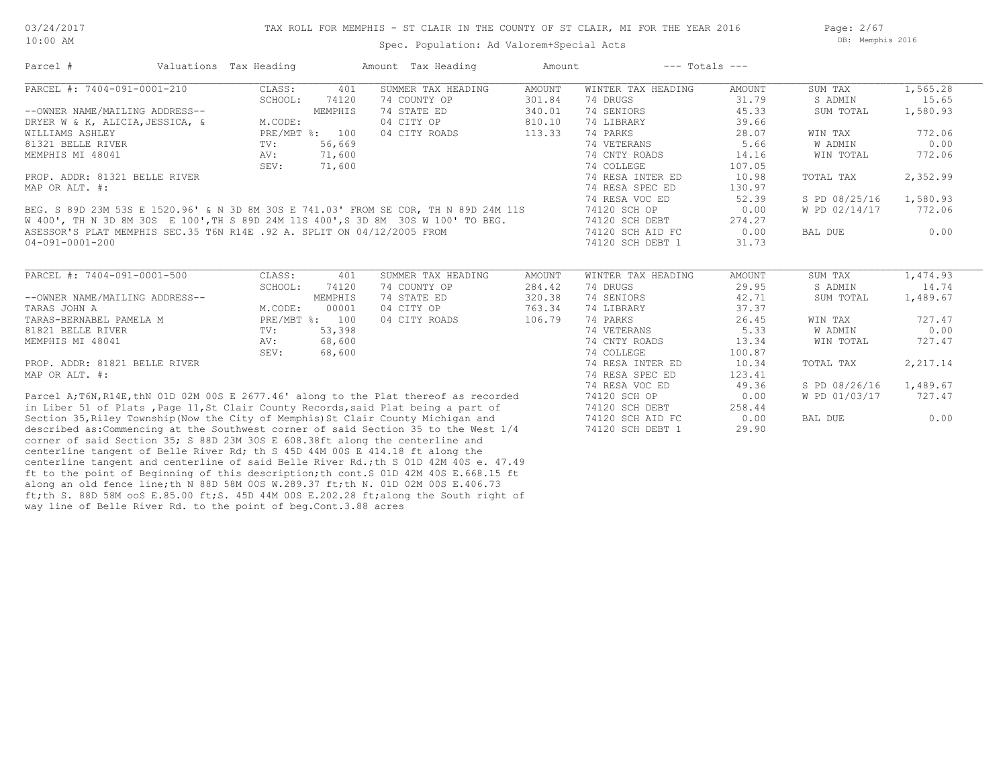Page: 2/67 DB: Memphis 2016

| Parcel #                                                                            | Valuations Tax Heading |                | Amount Tax Heading                                                                    | Amount        | $---$ Totals $---$             |                 |               |          |
|-------------------------------------------------------------------------------------|------------------------|----------------|---------------------------------------------------------------------------------------|---------------|--------------------------------|-----------------|---------------|----------|
| PARCEL #: 7404-091-0001-210                                                         | CLASS:                 | 401            | SUMMER TAX HEADING                                                                    | <b>AMOUNT</b> | WINTER TAX HEADING             | AMOUNT          | SUM TAX       | 1,565.28 |
|                                                                                     | SCHOOL:                | 74120          | 74 COUNTY OP                                                                          | 301.84        | 74 DRUGS                       | 31.79           | S ADMIN       | 15.65    |
| --OWNER NAME/MAILING ADDRESS--                                                      |                        | MEMPHIS        | 74 STATE ED                                                                           | 340.01        | 74 SENIORS                     | 45.33           | SUM TOTAL     | 1,580.93 |
| DRYER W & K, ALICIA, JESSICA, &                                                     | M.CODE:                |                | 04 CITY OP                                                                            | 810.10        | 74 LIBRARY                     | 39.66           |               |          |
| WILLIAMS ASHLEY                                                                     |                        | PRE/MBT %: 100 | 04 CITY ROADS                                                                         | 113.33        | 74 PARKS                       | 28.07           | WIN TAX       | 772.06   |
| 81321 BELLE RIVER                                                                   | $\text{TV}$ :          | 56,669         |                                                                                       |               | 74 VETERANS                    | 5.66            | W ADMIN       | 0.00     |
| MEMPHIS MI 48041                                                                    | AV:                    | 71,600         |                                                                                       |               | 74 CNTY ROADS                  | 14.16           | WIN TOTAL     | 772.06   |
|                                                                                     | SEV:                   | 71,600         |                                                                                       |               | 74 COLLEGE                     | 107.05          |               |          |
| PROP. ADDR: 81321 BELLE RIVER                                                       |                        |                |                                                                                       |               | 74 RESA INTER ED               | 10.98           | TOTAL TAX     | 2,352.99 |
| MAP OR ALT. #:                                                                      |                        |                |                                                                                       |               | 74 RESA SPEC ED                | 130.97          |               |          |
|                                                                                     |                        |                |                                                                                       |               | 74 RESA VOC ED                 | 52.39           | S PD 08/25/16 | 1,580.93 |
| BEG. S 89D 23M 53S E 1520.96' & N 3D 8M 30S E 741.03' FROM SE COR, TH N 89D 24M 11S |                        |                |                                                                                       |               | 74120 SCH OP                   | 0.00            | W PD 02/14/17 | 772.06   |
| W 400', TH N 3D 8M 30S E 100', TH S 89D 24M 11S 400', S 3D 8M 30S W 100' TO BEG.    |                        |                |                                                                                       |               | 74120 SCH DEBT                 | 274.27          |               |          |
| ASESSOR'S PLAT MEMPHIS SEC.35 T6N R14E .92 A. SPLIT ON 04/12/2005 FROM              |                        |                |                                                                                       |               | 74120 SCH AID FC               | 0.00            | BAL DUE       | 0.00     |
| $04 - 091 - 0001 - 200$                                                             |                        |                |                                                                                       |               | 74120 SCH DEBT 1               | 31.73           |               |          |
| PARCEL #: 7404-091-0001-500                                                         | CLASS:                 | 401            | SUMMER TAX HEADING                                                                    | <b>AMOUNT</b> | WINTER TAX HEADING             | AMOUNT          | SUM TAX       | 1,474.93 |
|                                                                                     | SCHOOL:                | 74120          | 74 COUNTY OP                                                                          | 284.42        | 74 DRUGS                       | 29.95           | S ADMIN       | 14.74    |
| --OWNER NAME/MAILING ADDRESS--                                                      |                        | MEMPHIS        | 74 STATE ED                                                                           | 320.38        | 74 SENIORS                     | 42.71           | SUM TOTAL     | 1,489.67 |
| TARAS JOHN A                                                                        | M.CODE:                | 00001          | 04 CITY OP                                                                            | 763.34        | 74 LIBRARY                     | 37.37           |               |          |
| TARAS-BERNABEL PAMELA M                                                             |                        | PRE/MBT %: 100 | 04 CITY ROADS                                                                         | 106.79        | 74 PARKS                       | 26.45<br>5.33   | WIN TAX       | 727.47   |
| 81821 BELLE RIVER                                                                   | TV:                    | 53,398         |                                                                                       |               | 74 VETERANS<br>74 CNTY ROADS   |                 | W ADMIN       | 0.00     |
| MEMPHIS MI 48041                                                                    | AV:<br>SEV:            | 68,600         |                                                                                       |               |                                | 13.34           | WIN TOTAL     | 727.47   |
| PROP. ADDR: 81821 BELLE RIVER                                                       |                        | 68,600         |                                                                                       |               | 74 COLLEGE<br>74 RESA INTER ED | 100.87<br>10.34 | TOTAL TAX     | 2,217.14 |
| MAP OR ALT. #:                                                                      |                        |                |                                                                                       |               | 74 RESA SPEC ED                | 123.41          |               |          |
|                                                                                     |                        |                |                                                                                       |               | 74 RESA VOC ED                 | 49.36           | S PD 08/26/16 | 1,489.67 |
|                                                                                     |                        |                | Parcel A; T6N, R14E, thN 01D 02M 00S E 2677.46' along to the Plat thereof as recorded |               | 74120 SCH OP                   | 0.00            | W PD 01/03/17 | 727.47   |
| in Liber 51 of Plats, Page 11, St Clair County Records, said Plat being a part of   |                        |                |                                                                                       |               | 74120 SCH DEBT                 | 258.44          |               |          |
| Section 35, Riley Township (Now the City of Memphis) St Clair County Michigan and   |                        |                |                                                                                       |               | 74120 SCH AID FC               | 0.00            | BAL DUE       | 0.00     |
|                                                                                     |                        |                | described as: Commencing at the Southwest corner of said Section 35 to the West 1/4   |               | 74120 SCH DEBT 1               | 29.90           |               |          |
| corner of said Section 35; S 88D 23M 30S E 608.38ft along the centerline and        |                        |                |                                                                                       |               |                                |                 |               |          |
| centerline tangent of Belle River Rd; th S 45D 44M 00S E 414.18 ft along the        |                        |                |                                                                                       |               |                                |                 |               |          |
|                                                                                     |                        |                | centerline tangent and centerline of said Belle River Rd.; th S 01D 42M 40S e. 47.49  |               |                                |                 |               |          |
|                                                                                     |                        |                |                                                                                       |               |                                |                 |               |          |

way line of Belle River Rd. to the point of beg.Cont.3.88 acres ft;th S. 88D 58M ooS E.85.00 ft;S. 45D 44M 00S E.202.28 ft;along the South right of along an old fence line;th N 88D 58M 00S W.289.37 ft;th N. 01D 02M 00S E.406.73 ft to the point of Beginning of this description;th cont.S 01D 42M 40S E.668.15 ft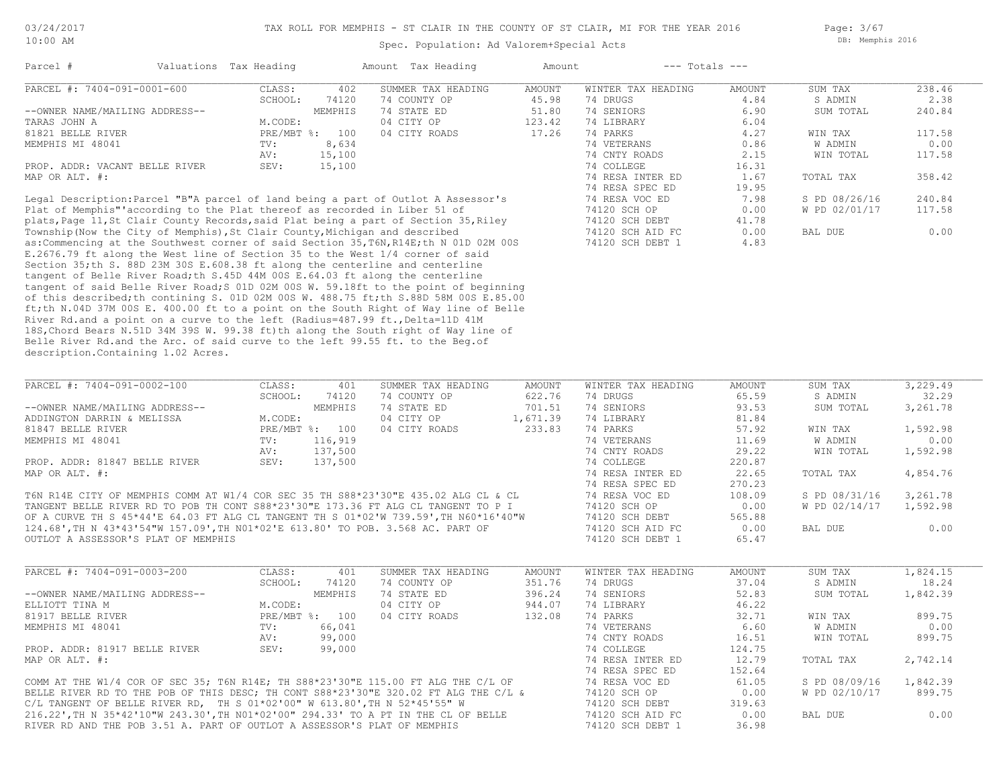Page: 3/67 DB: Memphis 2016

| Parcel #                       | Valuations Tax Heading    |         | Amount Tax Heading | Amount | $---$ Totals $---$ |        |           |        |
|--------------------------------|---------------------------|---------|--------------------|--------|--------------------|--------|-----------|--------|
| PARCEL #: 7404-091-0001-600    | CLASS:                    | 402     | SUMMER TAX HEADING | AMOUNT | WINTER TAX HEADING | AMOUNT | SUM TAX   | 238.46 |
|                                | SCHOOL:                   | 74120   | 74 COUNTY OP       | 45.98  | 74 DRUGS           | 4.84   | S ADMIN   | 2.38   |
| --OWNER NAME/MAILING ADDRESS-- |                           | MEMPHIS | 74 STATE ED        | 51.80  | 74 SENIORS         | 6.90   | SUM TOTAL | 240.84 |
| TARAS JOHN A                   | M.CODE:                   |         | 04 CITY OP         | 123.42 | 74 LIBRARY         | 6.04   |           |        |
| 81821 BELLE RIVER              | $PRE/MBT$ $\frac{1}{6}$ : | 100     | 04 CITY ROADS      | 17.26  | 74 PARKS           | 4.27   | WIN TAX   | 117.58 |
| MEMPHIS MI 48041               | TV:                       | 8,634   |                    |        | 74 VETERANS        | 0.86   | W ADMIN   | 0.00   |
|                                | AV:                       | 15,100  |                    |        | 74 CNTY ROADS      | 2.15   | WIN TOTAL | 117.58 |
| PROP. ADDR: VACANT BELLE RIVER | SEV:                      | 15,100  |                    |        | 74 COLLEGE         | 16.31  |           |        |
| MAP OR ALT. #:                 |                           |         |                    |        | 74 RESA INTER ED   | 1.67   | TOTAL TAX | 358.42 |
|                                |                           |         |                    |        | 74 RESA SPEC ED    | 19.95  |           |        |

description.Containing 1.02 Acres. Belle River Rd.and the Arc. of said curve to the left 99.55 ft. to the Beg.of 18S,Chord Bears N.51D 34M 39S W. 99.38 ft)th along the South right of Way line of River Rd.and a point on a curve to the left (Radius=487.99 ft., Delta=11D 41M ft;th N.04D 37M 00S E. 400.00 ft to a point on the South Right of Way line of Belle of this described;th contining S. 01D 02M 00S W. 488.75 ft;th S.88D 58M 00S E.85.00 tangent of said Belle River Road;S 01D 02M 00S W. 59.18ft to the point of beginning tangent of Belle River Road;th S.45D 44M 00S E.64.03 ft along the centerline Section 35;th S. 88D 23M 30S E.608.38 ft along the centerline and centerline E.2676.79 ft along the West line of Section 35 to the West 1/4 corner of said as:Commencing at the Southwest corner of said Section 35,T6N,R14E;th N 01D 02M 00S 74120 SCH DEBT 1 4.83 Township(Now the City of Memphis),St Clair County,Michigan and described 74120 SCH AID FC 0.00 BAL DUE 0.00 plats,Page 11,St Clair County Records,said Plat being a part of Section 35,Riley 74120 SCH DEBT 41.78 Plat of Memphis"'according to the Plat thereof as recorded in Liber 51 of 74120 SCH OP 0.00 W PD 02/01/17 117.58 Legal Description:Parcel "B"A parcel of land being a part of Outlot A Assessor's 74 RESA VOC ED 7.98 S PD 08/26/16 240.84

| PARCEL #: 7404-091-0002-100                                                          | CLASS:     | 401     | SUMMER TAX HEADING | AMOUNT   | WINTER TAX HEADING | AMOUNT | SUM TAX       | 3,229.49 |
|--------------------------------------------------------------------------------------|------------|---------|--------------------|----------|--------------------|--------|---------------|----------|
|                                                                                      | SCHOOL:    | 74120   | 74 COUNTY OP       | 622.76   | 74 DRUGS           | 65.59  | S ADMIN       | 32.29    |
| --OWNER NAME/MAILING ADDRESS--                                                       |            | MEMPHIS | 74 STATE ED        | 701.51   | 74 SENIORS         | 93.53  | SUM TOTAL     | 3,261.78 |
| ADDINGTON DARRIN & MELISSA                                                           | M.CODE:    |         | 04 CITY OP         | 1,671.39 | 74 LIBRARY         | 81.84  |               |          |
| 81847 BELLE RIVER                                                                    | PRE/MBT %: | 100     | 04 CITY ROADS      | 233.83   | 74 PARKS           | 57.92  | WIN TAX       | 1,592.98 |
| MEMPHIS MI 48041                                                                     | TV:        | 116,919 |                    |          | 74 VETERANS        | 11.69  | W ADMIN       | 0.00     |
|                                                                                      | AV:        | 137,500 |                    |          | 74 CNTY ROADS      | 29.22  | WIN TOTAL     | 1,592.98 |
| PROP. ADDR: 81847 BELLE RIVER                                                        | SEV:       | 137,500 |                    |          | 74 COLLEGE         | 220.87 |               |          |
| MAP OR ALT. #:                                                                       |            |         |                    |          | 74 RESA INTER ED   | 22.65  | TOTAL TAX     | 4,854.76 |
|                                                                                      |            |         |                    |          | 74 RESA SPEC ED    | 270.23 |               |          |
| T6N R14E CITY OF MEMPHIS COMM AT W1/4 COR SEC 35 TH S88*23'30"E 435.02 ALG CL & CL   |            |         |                    |          | 74 RESA VOC ED     | 108.09 | S PD 08/31/16 | 3,261.78 |
| TANGENT BELLE RIVER RD TO POB TH CONT S88*23'30"E 173.36 FT ALG CL TANGENT TO P I    |            |         |                    |          | 74120 SCH OP       | 0.00   | W PD 02/14/17 | 1,592.98 |
| OF A CURVE TH S 45*44'E 64.03 FT ALG CL TANGENT TH S 01*02'W 739.59', TH N60*16'40"W |            |         |                    |          | 74120 SCH DEBT     | 565.88 |               |          |
| 124.68',TH N 43*43'54"W 157.09',TH NO1*02'E 613.80' TO POB. 3.568 AC. PART OF        |            |         |                    |          | 74120 SCH AID FC   | 0.00   | BAL DUE       | 0.00     |
| OUTLOT A ASSESSOR'S PLAT OF MEMPHIS                                                  |            |         |                    |          | 74120 SCH DEBT 1   | 65.47  |               |          |

| PARCEL #: 7404-091-0003-200                                                         | CLASS:  | 401            | SUMMER TAX HEADING | AMOUNT | WINTER TAX HEADING | AMOUNT | SUM TAX       | 1,824.15 |
|-------------------------------------------------------------------------------------|---------|----------------|--------------------|--------|--------------------|--------|---------------|----------|
|                                                                                     | SCHOOL: | 74120          | 74 COUNTY OP       | 351.76 | 74 DRUGS           | 37.04  | S ADMIN       | 18.24    |
| --OWNER NAME/MAILING ADDRESS--                                                      |         | MEMPHIS        | 74 STATE ED        | 396.24 | 74 SENIORS         | 52.83  | SUM TOTAL     | 1,842.39 |
| ELLIOTT TINA M                                                                      | M.CODE: |                | 04 CITY OP         | 944.07 | 74 LIBRARY         | 46.22  |               |          |
| 81917 BELLE RIVER                                                                   |         | PRE/MBT %: 100 | 04 CITY ROADS      | 132.08 | 74 PARKS           | 32.71  | WIN TAX       | 899.75   |
| MEMPHIS MI 48041                                                                    | TV:     | 66,041         |                    |        | 74 VETERANS        | 6.60   | W ADMIN       | 0.00     |
|                                                                                     | AV:     | 99,000         |                    |        | 74 CNTY ROADS      | 16.51  | WIN TOTAL     | 899.75   |
| PROP. ADDR: 81917 BELLE RIVER                                                       | SEV:    | 99,000         |                    |        | 74 COLLEGE         | 124.75 |               |          |
| MAP OR ALT. #:                                                                      |         |                |                    |        | 74 RESA INTER ED   | 12.79  | TOTAL TAX     | 2,742.14 |
|                                                                                     |         |                |                    |        | 74 RESA SPEC ED    | 152.64 |               |          |
| COMM AT THE W1/4 COR OF SEC 35; T6N R14E; TH S88*23'30"E 115.00 FT ALG THE C/L OF   |         |                |                    |        | 74 RESA VOC ED     | 61.05  | S PD 08/09/16 | 1,842.39 |
| BELLE RIVER RD TO THE POB OF THIS DESC; TH CONT S88*23'30"E 320.02 FT ALG THE C/L & |         |                |                    |        | 74120 SCH OP       | 0.00   | W PD 02/10/17 | 899.75   |
| C/L TANGENT OF BELLE RIVER RD, TH S $01*02'00''$ W $613.80'$ , TH N $52*45'55''$ W  |         |                |                    |        | 74120 SCH DEBT     | 319.63 |               |          |
| 216.22', TH N 35*42'10"W 243.30', TH N01*02'00" 294.33' TO A PT IN THE CL OF BELLE  |         |                |                    |        | 74120 SCH AID FC   | 0.00   | BAL DUE       | 0.00     |
| RIVER RD AND THE POB 3.51 A. PART OF OUTLOT A ASSESSOR'S PLAT OF MEMPHIS            |         |                |                    |        | 74120 SCH DEBT     | 36.98  |               |          |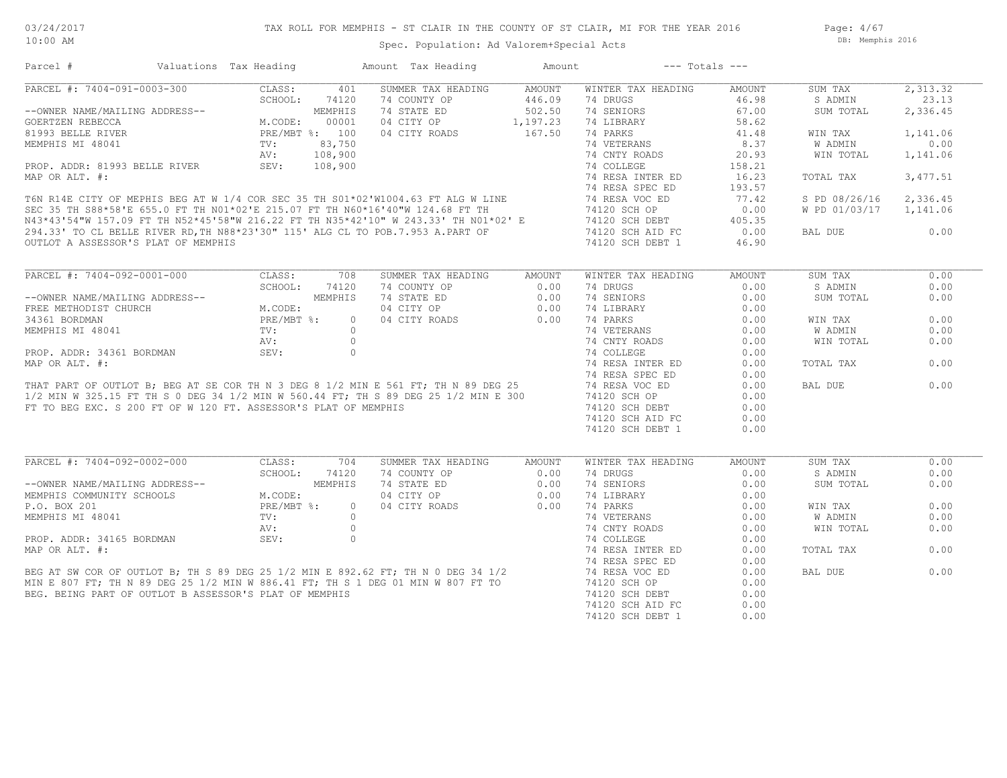Page: 4/67 DB: Memphis 2016

## Spec. Population: Ad Valorem+Special Acts

| Parcel #                       | Valuations Tax Heading                                                                                                                                                                                                                                                                                                                                                                |         | Amount Tax Heading                                                                                                                                                                                                                  | Amount                 | $---$ Totals $---$                                                                                                                                                                                                                 |               |               |          |
|--------------------------------|---------------------------------------------------------------------------------------------------------------------------------------------------------------------------------------------------------------------------------------------------------------------------------------------------------------------------------------------------------------------------------------|---------|-------------------------------------------------------------------------------------------------------------------------------------------------------------------------------------------------------------------------------------|------------------------|------------------------------------------------------------------------------------------------------------------------------------------------------------------------------------------------------------------------------------|---------------|---------------|----------|
| PARCEL #: 7404-091-0003-300    | CLASS:<br>$\overline{03-300}$<br>$\overline{3-300}$<br>$\overline{3-300}$<br>$\overline{5-300}$<br>$\overline{5-300}$<br>$\overline{5-300}$<br>$\overline{5-300}$<br>$\overline{2} \times 100$<br>$\overline{5-300}$<br>$\overline{2} \times 100$<br>$\overline{5-300}$<br>$\overline{5-300}$<br>$\overline{5-300}$<br>$\overline{2} \times 100$<br>$\overline{5-300}$<br>$\overline$ | 401     | SUMMER TAX HEADING                                                                                                                                                                                                                  | AMOUNT                 | WINTER TAX HEADING                                                                                                                                                                                                                 | AMOUNT        | SUM TAX       | 2,313.32 |
|                                |                                                                                                                                                                                                                                                                                                                                                                                       |         | 74 COUNTY OP                                                                                                                                                                                                                        | 446.09                 | 74 DRUGS                                                                                                                                                                                                                           | 46.98         | S ADMIN       | 23.13    |
| --OWNER NAME/MAILING ADDRESS-- |                                                                                                                                                                                                                                                                                                                                                                                       |         | 74 STATE ED                                                                                                                                                                                                                         | 502.50                 | 74 SENIORS                                                                                                                                                                                                                         | 67.00         | SUM TOTAL     | 2,336.45 |
| GOERTZEN REBECCA               |                                                                                                                                                                                                                                                                                                                                                                                       |         | 04 CITY OP                                                                                                                                                                                                                          | 1,197.23               | 74 LIBRARY                                                                                                                                                                                                                         | 58.62         |               |          |
| 81993 BELLE RIVER              |                                                                                                                                                                                                                                                                                                                                                                                       |         | 04 CITY ROADS                                                                                                                                                                                                                       | 167.50                 | 74 PARKS                                                                                                                                                                                                                           | 41.48         | WIN TAX       | 1,141.06 |
| MEMPHIS MI 48041               |                                                                                                                                                                                                                                                                                                                                                                                       |         |                                                                                                                                                                                                                                     |                        | 74 VETERANS                                                                                                                                                                                                                        | 8.37          | W ADMIN       | 0.00     |
|                                |                                                                                                                                                                                                                                                                                                                                                                                       |         |                                                                                                                                                                                                                                     |                        | 74 CNTY ROADS                                                                                                                                                                                                                      | 20.93         | WIN TOTAL     | 1,141.06 |
| PROP. ADDR: 81993 BELLE RIVER  |                                                                                                                                                                                                                                                                                                                                                                                       |         |                                                                                                                                                                                                                                     |                        | 74 COLLEGE                                                                                                                                                                                                                         | 158.21        |               |          |
|                                |                                                                                                                                                                                                                                                                                                                                                                                       |         |                                                                                                                                                                                                                                     |                        |                                                                                                                                                                                                                                    |               |               |          |
| MAP OR ALT. #:                 |                                                                                                                                                                                                                                                                                                                                                                                       |         |                                                                                                                                                                                                                                     |                        | 74 RESA INTER ED                                                                                                                                                                                                                   | 16.23         | TOTAL TAX     | 3,477.51 |
|                                |                                                                                                                                                                                                                                                                                                                                                                                       |         |                                                                                                                                                                                                                                     |                        |                                                                                                                                                                                                                                    |               |               |          |
|                                |                                                                                                                                                                                                                                                                                                                                                                                       |         |                                                                                                                                                                                                                                     |                        |                                                                                                                                                                                                                                    |               | S PD 08/26/16 | 2,336.45 |
|                                |                                                                                                                                                                                                                                                                                                                                                                                       |         |                                                                                                                                                                                                                                     |                        |                                                                                                                                                                                                                                    |               | W PD 01/03/17 | 1,141.06 |
|                                |                                                                                                                                                                                                                                                                                                                                                                                       |         |                                                                                                                                                                                                                                     |                        |                                                                                                                                                                                                                                    |               |               |          |
|                                |                                                                                                                                                                                                                                                                                                                                                                                       |         |                                                                                                                                                                                                                                     |                        |                                                                                                                                                                                                                                    |               | BAL DUE       | 0.00     |
|                                |                                                                                                                                                                                                                                                                                                                                                                                       |         |                                                                                                                                                                                                                                     |                        | 1600 R14E CITY OF MEPHIS BEG AT W 1/4 COR SEC 35 TH S01*02'W1004.63 FT ALG W LINE 74 RESA SPEC ED 193.57<br>SEC 35 TH S88*58'E 655.0 FT TH N01*02'E 215.07 FT TH N60*16'40"W 124.68 FT TH 74 RESA VOC ED 77.42<br>N43*43'54"W 157. |               |               |          |
|                                |                                                                                                                                                                                                                                                                                                                                                                                       |         |                                                                                                                                                                                                                                     |                        |                                                                                                                                                                                                                                    |               |               |          |
| PARCEL #: 7404-092-0001-000    | CLASS:                                                                                                                                                                                                                                                                                                                                                                                | 708     | SUMMER TAX HEADING                                                                                                                                                                                                                  | AMOUNT                 | WINTER TAX HEADING                                                                                                                                                                                                                 | <b>AMOUNT</b> | SUM TAX       | 0.00     |
|                                | U<br>JRESS--<br>M.CODE:<br>PRE/MBT %:<br>TV:<br>AV:<br>SEV:                                                                                                                                                                                                                                                                                                                           | 74120   | 74 COUNTY OP                                                                                                                                                                                                                        | 0.00                   | 74 DRUGS                                                                                                                                                                                                                           | 0.00          | S ADMIN       | 0.00     |
| --OWNER NAME/MAILING ADDRESS-- |                                                                                                                                                                                                                                                                                                                                                                                       | MEMPHIS | 74 STATE ED                                                                                                                                                                                                                         | $0.00$<br>0.00<br>0.00 | 74 SENIORS                                                                                                                                                                                                                         | 0.00          | SUM TOTAL     | 0.00     |
| FREE METHODIST CHURCH          |                                                                                                                                                                                                                                                                                                                                                                                       |         | 04 CITY OP                                                                                                                                                                                                                          |                        | 74 LIBRARY                                                                                                                                                                                                                         | 0.00          |               |          |
| 34361 BORDMAN                  |                                                                                                                                                                                                                                                                                                                                                                                       | $\circ$ | 04 CITY ROADS                                                                                                                                                                                                                       |                        | 74 PARKS                                                                                                                                                                                                                           | 0.00          | WIN TAX       | 0.00     |
|                                |                                                                                                                                                                                                                                                                                                                                                                                       |         | 34361 BORDMAN FROM FIRE CORPORATION CONTROLS AND THAT PART OF OUTLOT B; BEG AT SE CORPH N 3 DEG 8 1/2 MIN E 561 FT; TH N 89 DEG 25<br>17 THAT PART OF OUTLOT B; BEG AT SE CORPH N 3 DEG 8 1/2 MIN E 561 FT; TH N 89 DEG 25<br>17 NA |                        | 74 VETERANS                                                                                                                                                                                                                        | 0.00          | W ADMIN       | 0.00     |
|                                |                                                                                                                                                                                                                                                                                                                                                                                       |         |                                                                                                                                                                                                                                     |                        | 74 CNTY ROADS                                                                                                                                                                                                                      | 0.00          | WIN TOTAL     | 0.00     |
|                                |                                                                                                                                                                                                                                                                                                                                                                                       |         |                                                                                                                                                                                                                                     |                        | 74 COLLEGE                                                                                                                                                                                                                         | 0.00          |               |          |
|                                |                                                                                                                                                                                                                                                                                                                                                                                       |         |                                                                                                                                                                                                                                     |                        | 74 RESA INTER ED                                                                                                                                                                                                                   | 0.00          | TOTAL TAX     | 0.00     |
|                                |                                                                                                                                                                                                                                                                                                                                                                                       |         |                                                                                                                                                                                                                                     |                        |                                                                                                                                                                                                                                    |               |               |          |
|                                |                                                                                                                                                                                                                                                                                                                                                                                       |         |                                                                                                                                                                                                                                     |                        | 74 RESA SPEC ED                                                                                                                                                                                                                    | 0.00          |               |          |
|                                |                                                                                                                                                                                                                                                                                                                                                                                       |         |                                                                                                                                                                                                                                     |                        | 74 RESA VOC ED                                                                                                                                                                                                                     | 0.00          | BAL DUE       | 0.00     |
|                                |                                                                                                                                                                                                                                                                                                                                                                                       |         |                                                                                                                                                                                                                                     |                        | 74120 SCH OP                                                                                                                                                                                                                       | 0.00          |               |          |
|                                | FT TO BEG EXC. S 200 FT OF W 120 FT. ASSESSOR'S PLAT OF MEMPHIS                                                                                                                                                                                                                                                                                                                       |         |                                                                                                                                                                                                                                     |                        | 74120 SCH DEBT                                                                                                                                                                                                                     | 0.00          |               |          |
|                                |                                                                                                                                                                                                                                                                                                                                                                                       |         |                                                                                                                                                                                                                                     |                        | 74120 SCH AID FC                                                                                                                                                                                                                   | 0.00          |               |          |
|                                |                                                                                                                                                                                                                                                                                                                                                                                       |         |                                                                                                                                                                                                                                     |                        | 74120 SCH DEBT 1                                                                                                                                                                                                                   | 0.00          |               |          |
|                                |                                                                                                                                                                                                                                                                                                                                                                                       |         |                                                                                                                                                                                                                                     |                        |                                                                                                                                                                                                                                    |               |               |          |
| PARCEL #: 7404-092-0002-000    | CLASS:                                                                                                                                                                                                                                                                                                                                                                                | 704     | SUMMER TAX HEADING                                                                                                                                                                                                                  | AMOUNT                 | WINTER TAX HEADING                                                                                                                                                                                                                 | <b>AMOUNT</b> | SUM TAX       | 0.00     |
|                                |                                                                                                                                                                                                                                                                                                                                                                                       | 74120   | 74 COUNTY OP                                                                                                                                                                                                                        | 0.00                   | 74 DRUGS                                                                                                                                                                                                                           | 0.00          | S ADMIN       | 0.00     |
|                                |                                                                                                                                                                                                                                                                                                                                                                                       |         |                                                                                                                                                                                                                                     |                        |                                                                                                                                                                                                                                    |               |               | 0.00     |
| --OWNER NAME/MAILING ADDRESS-- |                                                                                                                                                                                                                                                                                                                                                                                       | MEMPHIS | 74 STATE ED                                                                                                                                                                                                                         | 0.00                   | 74 SENIORS                                                                                                                                                                                                                         | 0.00          | SUM TOTAL     |          |
| MEMPHIS COMMUNITY SCHOOLS      |                                                                                                                                                                                                                                                                                                                                                                                       |         | 04 CITY OP                                                                                                                                                                                                                          | 0.00                   | 74 LIBRARY                                                                                                                                                                                                                         | 0.00          |               |          |
| P.O. BOX 201                   |                                                                                                                                                                                                                                                                                                                                                                                       | $\circ$ | 04 CITY ROADS                                                                                                                                                                                                                       | 0.00                   | 74 PARKS                                                                                                                                                                                                                           | 0.00          | WIN TAX       | 0.00     |
|                                |                                                                                                                                                                                                                                                                                                                                                                                       |         |                                                                                                                                                                                                                                     |                        |                                                                                                                                                                                                                                    | 0.00          | W ADMIN       | 0.00     |
|                                |                                                                                                                                                                                                                                                                                                                                                                                       |         |                                                                                                                                                                                                                                     |                        |                                                                                                                                                                                                                                    |               |               | 0.00     |
|                                |                                                                                                                                                                                                                                                                                                                                                                                       |         |                                                                                                                                                                                                                                     |                        |                                                                                                                                                                                                                                    | 0.00          | WIN TOTAL     |          |
|                                | UU<br>.DDRESS--<br>.OOLS M.CODE:<br>PRE/MBT %:<br>TV:<br>AV:                                                                                                                                                                                                                                                                                                                          |         |                                                                                                                                                                                                                                     |                        |                                                                                                                                                                                                                                    | 0.00          |               |          |
|                                |                                                                                                                                                                                                                                                                                                                                                                                       |         |                                                                                                                                                                                                                                     |                        | 74 RESA INTER ED                                                                                                                                                                                                                   | 0.00          | TOTAL TAX     | 0.00     |
|                                |                                                                                                                                                                                                                                                                                                                                                                                       |         |                                                                                                                                                                                                                                     |                        |                                                                                                                                                                                                                                    | 0.00          |               |          |
|                                |                                                                                                                                                                                                                                                                                                                                                                                       |         |                                                                                                                                                                                                                                     |                        |                                                                                                                                                                                                                                    | 0.00          | BAL DUE       | 0.00     |
|                                |                                                                                                                                                                                                                                                                                                                                                                                       |         |                                                                                                                                                                                                                                     |                        |                                                                                                                                                                                                                                    | 0.00          |               |          |
|                                |                                                                                                                                                                                                                                                                                                                                                                                       |         |                                                                                                                                                                                                                                     |                        |                                                                                                                                                                                                                                    | 0.00          |               |          |
|                                |                                                                                                                                                                                                                                                                                                                                                                                       |         |                                                                                                                                                                                                                                     |                        | 74120 SCH AID FC<br>74120 SCH DEBT 1                                                                                                                                                                                               | 0.00<br>0.00  |               |          |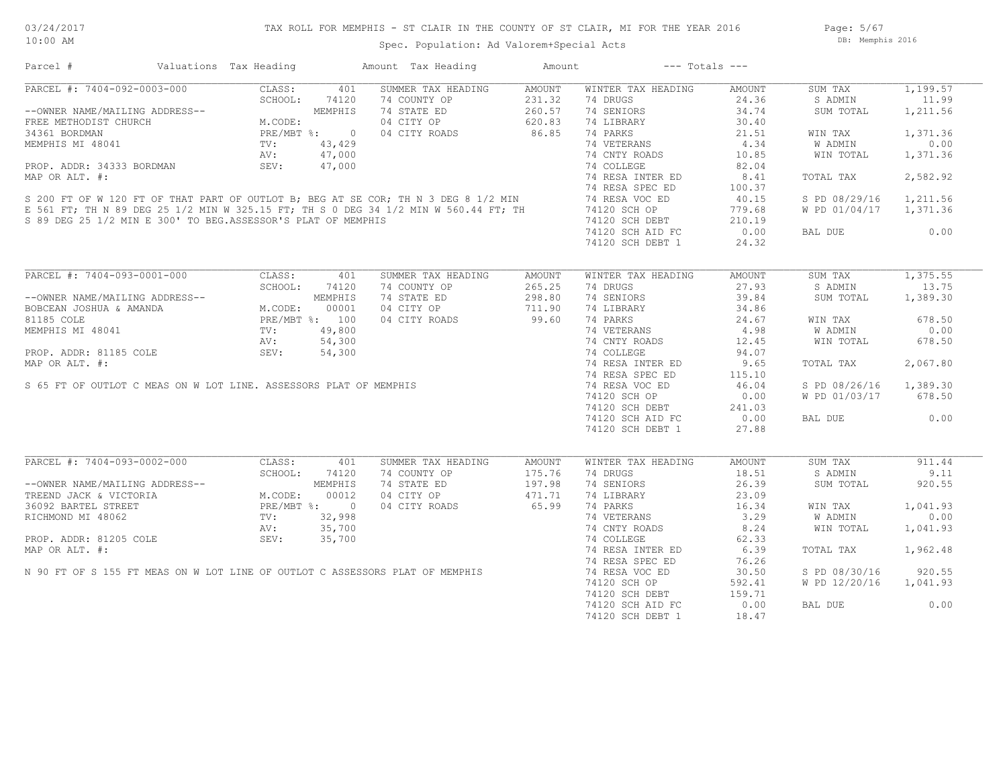## TAX ROLL FOR MEMPHIS - ST CLAIR IN THE COUNTY OF ST CLAIR, MI FOR THE YEAR 2016

Spec. Population: Ad Valorem+Special Acts

Page: 5/67 DB: Memphis 2016

| Parcel #                                                                                                                                                                                                                                           | Valuations Tax Heading |               | Amount Tax Heading                        | Amount | $---$ Totals $---$             |                     |                        |          |
|----------------------------------------------------------------------------------------------------------------------------------------------------------------------------------------------------------------------------------------------------|------------------------|---------------|-------------------------------------------|--------|--------------------------------|---------------------|------------------------|----------|
| PARCEL #: 7404-092-0003-000                                                                                                                                                                                                                        | CLASS:                 | 401           | SUMMER TAX HEADING                        | AMOUNT | WINTER TAX HEADING             | AMOUNT              | SUM TAX                | 1,199.57 |
| PARCEL #: 7404-092-0003-000<br>--OWNER NAME/MAILING ADDRESS--<br>FREE METHODIST CHURCH<br>FREE METHODIST CHURCH<br>34361 BORDMAN<br>MEMPHIS MI 48041<br>TV: 43,429<br>AN: 47,000<br>AV: 47,000<br>AV: 47,000                                       |                        |               | 74 COUNTY OP                              | 231.32 | 74 DRUGS                       | 24.36               | S ADMIN                | 11.99    |
|                                                                                                                                                                                                                                                    |                        |               | 74 STATE ED                               | 260.57 | 74 SENIORS                     | 34.74               | SUM TOTAL              | 1,211.56 |
|                                                                                                                                                                                                                                                    |                        |               | 04 CITY OP 620.83<br>04 CITY ROADS 86.85  |        | 74 LIBRARY                     | 30.40               |                        |          |
|                                                                                                                                                                                                                                                    |                        |               |                                           |        | 74 PARKS                       | 21.51               | WIN TAX                | 1,371.36 |
| MEMPHIS MI 48041<br>MEMPHIS MI 48041<br>PROP. ADDR: 34333 BORDMAN<br>MAP OR ALT. #:<br>SEV: 47,000<br>MAP OR ALT. #:<br>SEV: 47,000<br>200 FT OF W 120 FT OF THAT PART OF OUTLOT B; BEG AT SE COR; TH N 3 DEG 8 1/2 MIN<br>E 561 FT; TH N 89 D     |                        |               |                                           |        | 74 VETERANS                    | 4.34                | W ADMIN                | 0.00     |
|                                                                                                                                                                                                                                                    |                        |               |                                           |        |                                | 10.85               | WIN TOTAL              | 1,371.36 |
|                                                                                                                                                                                                                                                    |                        |               |                                           |        |                                | 82.04               |                        |          |
|                                                                                                                                                                                                                                                    |                        |               |                                           |        | 74 RESA INTER ED               | 8.41                | TOTAL TAX              | 2,582.92 |
|                                                                                                                                                                                                                                                    |                        |               |                                           |        |                                |                     |                        |          |
|                                                                                                                                                                                                                                                    |                        |               |                                           |        |                                | 100.37              |                        |          |
|                                                                                                                                                                                                                                                    |                        |               |                                           |        |                                | 40.15               | S PD 08/29/16 1,211.56 |          |
|                                                                                                                                                                                                                                                    |                        |               |                                           |        |                                | 779.68              | W PD 01/04/17 1,371.36 |          |
| S 89 DEG 25 1/2 MIN E 300' TO BEG.ASSESSOR'S PLAT OF MEMPHIS                                                                                                                                                                                       |                        |               |                                           |        | 74120 SCH OP<br>74120 SCH DEBT | 210.19              |                        |          |
|                                                                                                                                                                                                                                                    |                        |               |                                           |        | 74120 SCH AID FC               | 0.00                | BAL DUE                | 0.00     |
|                                                                                                                                                                                                                                                    |                        |               |                                           |        | 74120 SCH DEBT 1               | 24.32               |                        |          |
|                                                                                                                                                                                                                                                    |                        |               |                                           |        |                                |                     |                        |          |
| PARCEL #: 7404-093-0001-000                                                                                                                                                                                                                        |                        | CLASS: 401    | SUMMER TAX HEADING                        | AMOUNT | WINTER TAX HEADING             | AMOUNT              | SUM TAX                | 1,375.55 |
|                                                                                                                                                                                                                                                    |                        | SCHOOL: 74120 | 74 COUNTY OP                              | 265.25 | 74 DRUGS                       | 27.93               | S ADMIN                | 13.75    |
| --OWNER NAME/MAILING ADDRESS--<br>BOBCEAN JOSHUA & AMANDA<br>M.CODE: 00001<br>81185 COLE<br>MEMPHIS MI 48041<br>PROP. ADDR: 81185 COLE<br>PROP. ADDR: 81185 COLE<br>PROP. ADDR: 81185 COLE<br>PROP. ADDR: 81185 COLE<br>PROP. 54,300<br>PROP. DRIT |                        |               | 74 STATE ED                               | 298.80 | 74 SENIORS                     | 39.84               | SUM TOTAL              | 1,389.30 |
|                                                                                                                                                                                                                                                    |                        |               | 04 CITY OP                                | 711.90 | 74 LIBRARY                     | 34.86               |                        |          |
|                                                                                                                                                                                                                                                    |                        |               | 04 CITY ROADS                             | 99.60  | 74 PARKS                       | 24.67               | WIN TAX                | 678.50   |
|                                                                                                                                                                                                                                                    |                        |               |                                           |        |                                | 4.98                | <b>W ADMIN</b>         | 0.00     |
|                                                                                                                                                                                                                                                    |                        |               |                                           |        | 74 VETERANS<br>74 CNTY ROADS   |                     |                        |          |
|                                                                                                                                                                                                                                                    |                        |               |                                           |        |                                | 12.45               | WIN TOTAL              | 678.50   |
|                                                                                                                                                                                                                                                    |                        |               |                                           |        | 74 COLLEGE                     | 94.07               |                        |          |
|                                                                                                                                                                                                                                                    |                        |               |                                           |        | 74 RESA INTER ED               | 9.65                | TOTAL TAX              | 2,067.80 |
|                                                                                                                                                                                                                                                    |                        |               |                                           |        | 74 RESA SPEC ED                |                     |                        |          |
|                                                                                                                                                                                                                                                    |                        |               |                                           |        | 74 RESA VOC ED                 | $115.10$<br>$46.04$ | S PD 08/26/16          | 1,389.30 |
|                                                                                                                                                                                                                                                    |                        |               |                                           |        | 74120 SCH OP                   | 0.00                | W PD 01/03/17 678.50   |          |
|                                                                                                                                                                                                                                                    |                        |               |                                           |        | 74120 SCH DEBT                 | 241.03              |                        |          |
|                                                                                                                                                                                                                                                    |                        |               |                                           |        | 74120 SCH AID FC               | 0.00                | BAL DUE                | 0.00     |
| NEMPHIS MI 48041<br>NEMPHIS MI 48041<br>TV: 49,800<br>PROP. ADDR: 81185 COLE<br>MAP OR ALT. #:<br>S 65 FT OF OUTLOT C MEAS ON W LOT LINE. ASSESSORS PLAT OF MEMPHIS<br>S 65 FT OF OUTLOT C MEAS ON W LOT LINE. ASSESSORS PLAT OF MEMPHIS           |                        |               |                                           |        | 74120 SCH DEBT 1               | 27.88               |                        |          |
|                                                                                                                                                                                                                                                    |                        |               |                                           |        |                                |                     |                        |          |
| PARCEL #: 7404-093-0002-000                                                                                                                                                                                                                        | CLASS:                 | 401           | SUMMER TAX HEADING                        | AMOUNT | WINTER TAX HEADING             | AMOUNT              | SUM TAX                | 911.44   |
|                                                                                                                                                                                                                                                    |                        |               | 74 COUNTY OP                              | 175.76 | 74 DRUGS                       | 18.51               | S ADMIN                | 9.11     |
|                                                                                                                                                                                                                                                    |                        |               | 74 COUNTY OP 175.76<br>74 STATE ED 197.98 |        | 74 SENIORS                     | 26.39               | SUM TOTAL              | 920.55   |
| --OWNER NAME/MAILING ADDRESS--<br>TREEND JACK & VICTORIA M.CODE: 00012<br>36092 BARTEL STREET PRE/MBT %: 0<br>RICHMOND MI 48062 TV: 32,998<br>PROP. ADDR: 81205 COLE SEV: 35,700<br>PROP. ADDR: 81205 COLE SEV: 35,700                             |                        |               | 74 SIALL - $04$ CITY OP $3/1$ 65.99       |        | 74 LIBRARY                     | 23.09               |                        |          |
|                                                                                                                                                                                                                                                    |                        |               |                                           |        | 74 PARKS                       | 16.34               | WIN TAX                | 1,041.93 |
|                                                                                                                                                                                                                                                    |                        |               |                                           |        |                                |                     |                        | 0.00     |
|                                                                                                                                                                                                                                                    |                        |               |                                           |        | 74 VETERANS                    | 3.29                | W ADMIN                |          |
|                                                                                                                                                                                                                                                    |                        |               |                                           |        | 74 CNTY ROADS                  | 8.24                | WIN TOTAL              | 1,041.93 |
|                                                                                                                                                                                                                                                    |                        |               |                                           |        | 74 COLLEGE                     | 62.33               |                        |          |
|                                                                                                                                                                                                                                                    |                        |               |                                           |        | 74 RESA INTER ED               | 6.39                | TOTAL TAX              | 1,962.48 |
|                                                                                                                                                                                                                                                    |                        |               |                                           |        | 74 RESA SPEC ED                | 76.26               |                        |          |
|                                                                                                                                                                                                                                                    |                        |               |                                           |        | 74 RESA VOC ED                 | 30.50               | S PD 08/30/16          | 920.55   |
| PROP. ADDR: 81205 COLE<br>MAP OR ALT. #:<br>N 90 FT OF S 155 FT MEAS ON W LOT LINE OF OUTLOT C ASSESSORS PLAT OF MEMPHIS<br>N 90 FT OF S 155 FT MEAS ON W LOT LINE OF OUTLOT C ASSESSORS PLAT OF MEMPHIS                                           |                        |               |                                           |        | 74120 SCH OP                   | 592.41              | W PD 12/20/16          | 1,041.93 |
|                                                                                                                                                                                                                                                    |                        |               |                                           |        | 74120 SCH DEBT                 | 159.71              |                        |          |
|                                                                                                                                                                                                                                                    |                        |               |                                           |        | 74120 SCH AID FC               | 0.00                | BAL DUE                | 0.00     |
|                                                                                                                                                                                                                                                    |                        |               |                                           |        | 74120 SCH DEBT 1               | 18.47               |                        |          |
|                                                                                                                                                                                                                                                    |                        |               |                                           |        |                                |                     |                        |          |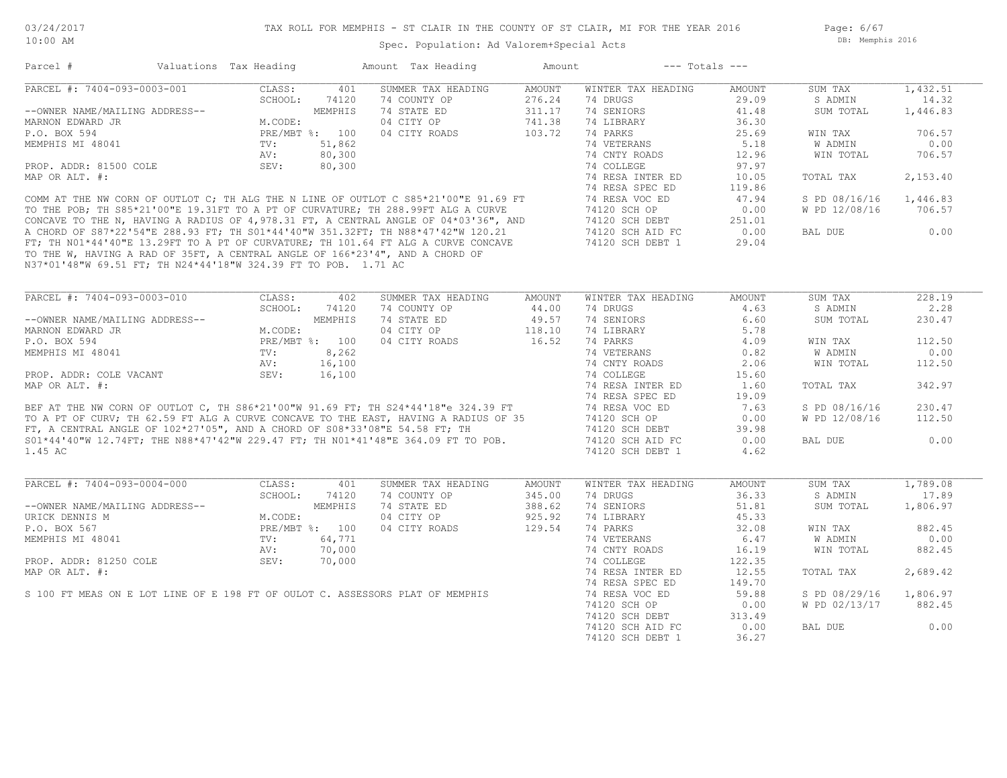Page: 6/67 DB: Memphis 2016

## Spec. Population: Ad Valorem+Special Acts

|                                                                | Valuations Tax Heading      |                | Amount Tax Heading                                                                                                                                                       | Amount        | $---$ Totals $---$                   |               |               |                              |
|----------------------------------------------------------------|-----------------------------|----------------|--------------------------------------------------------------------------------------------------------------------------------------------------------------------------|---------------|--------------------------------------|---------------|---------------|------------------------------|
| PARCEL #: 7404-093-0003-001                                    | CLASS:                      | 401            | SUMMER TAX HEADING                                                                                                                                                       | <b>AMOUNT</b> | WINTER TAX HEADING                   | AMOUNT        | SUM TAX       | 1,432.51                     |
|                                                                | SCHOOL:                     | 74120          | 74 COUNTY OP                                                                                                                                                             | 276.24        | 74 DRUGS                             | 29.09         | S ADMIN       | 14.32                        |
| --OWNER NAME/MAILING ADDRESS--                                 |                             | MEMPHIS        | 74 STATE ED                                                                                                                                                              | 311.17        | 74 SENIORS                           | 41.48         | SUM TOTAL     | 1,446.83                     |
| MARNON EDWARD JR                                               | M.CODE:                     |                | 04 CITY OP                                                                                                                                                               | 741.38        | 74 LIBRARY                           | 36.30         |               |                              |
| P.O. BOX 594                                                   |                             | PRE/MBT %: 100 | 04 CITY ROADS                                                                                                                                                            | 103.72        | 74 PARKS                             | 25.69         | WIN TAX       | 706.57                       |
| MEMPHIS MI 48041                                               | TV:                         | 51,862         |                                                                                                                                                                          |               | 74 VETERANS                          | 5.18          | W ADMIN       | 0.00                         |
|                                                                | AV:                         | 80,300         |                                                                                                                                                                          |               | 74 CNTY ROADS                        | 12.96         | WIN TOTAL     | 706.57                       |
| PROP. ADDR: 81500 COLE                                         | SEV:                        | 80,300         |                                                                                                                                                                          |               | 74 COLLEGE                           | 97.97         |               |                              |
| MAP OR ALT. #:                                                 |                             |                |                                                                                                                                                                          |               | 74 RESA INTER ED                     | 10.05         | TOTAL TAX     | 2,153.40                     |
|                                                                |                             |                |                                                                                                                                                                          |               | 74 RESA SPEC ED                      | 119.86        |               |                              |
|                                                                |                             |                | COMM AT THE NW CORN OF OUTLOT C; TH ALG THE N LINE OF OUTLOT C S85*21'00"E 91.69 FT                                                                                      |               | 74 RESA VOC ED                       | 47.94         | S PD 08/16/16 | 1,446.83                     |
|                                                                |                             |                | TO THE POB; TH S85*21'00"E 19.31FT TO A PT OF CURVATURE; TH 288.99FT ALG A CURVE                                                                                         |               | 74120 SCH OP                         | 0.00          | W PD 12/08/16 | 706.57                       |
|                                                                |                             |                |                                                                                                                                                                          |               | 74120 SCH DEBT                       | 251.01        |               |                              |
|                                                                |                             |                | CONCAVE TO THE N, HAVING A RADIUS OF 4,978.31 FT, A CENTRAL ANGLE OF 04*03'36", AND<br>A CHORD OF S87*22'54"E 288.93 FT; TH S01*44'40"W 351.32FT; TH N88*47'42"W 120.21  |               | 74120 SCH AID FC                     | 0.00          | BAL DUE       | 0.00                         |
|                                                                |                             |                | FT; TH NO1*44'40"E 13.29FT TO A PT OF CURVATURE; TH 101.64 FT ALG A CURVE CONCAVE                                                                                        |               | 74120 SCH DEBT 1                     | 29.04         |               |                              |
|                                                                |                             |                |                                                                                                                                                                          |               |                                      |               |               |                              |
|                                                                |                             |                | TO THE W, HAVING A RAD OF 35FT, A CENTRAL ANGLE OF 166*23'4", AND A CHORD OF                                                                                             |               |                                      |               |               |                              |
| N37*01'48"W 69.51 FT; TH N24*44'18"W 324.39 FT TO POB. 1.71 AC |                             |                |                                                                                                                                                                          |               |                                      |               |               |                              |
|                                                                |                             |                |                                                                                                                                                                          |               |                                      |               |               |                              |
| PARCEL #: 7404-093-0003-010                                    | CLASS:                      | 402            | SUMMER TAX HEADING                                                                                                                                                       | AMOUNT        | WINTER TAX HEADING                   | AMOUNT        | SUM TAX       | 228.19                       |
|                                                                | SCHOOL:                     | 74120          | 74 COUNTY OP                                                                                                                                                             | 44.00         | 74 DRUGS                             | 4.63          | S ADMIN       | 2.28                         |
| --OWNER NAME/MAILING ADDRESS--                                 |                             | MEMPHIS        | 74 STATE ED                                                                                                                                                              | 49.57         | 74 SENIORS                           | 6.60          | SUM TOTAL     | 230.47                       |
| MARNON EDWARD JR                                               | M.CODE:                     |                | 04 CITY OP                                                                                                                                                               | 118.10        | 74 LIBRARY                           | 5.78          |               |                              |
| P.O. BOX 594                                                   |                             |                | 04 CITY ROADS                                                                                                                                                            | 16.52         | 74 PARKS                             | 4.09          | WIN TAX       | 112.50                       |
| MEMPHIS MI 48041                                               | PRE/MBT %: 100<br>TV: 8,262 |                |                                                                                                                                                                          |               | 74 VETERANS                          | 0.82          | W ADMIN       | 0.00                         |
|                                                                | AV:                         | 16,100         |                                                                                                                                                                          |               | 74 CNTY ROADS                        | 2.06          | WIN TOTAL     | 112.50                       |
| PROP. ADDR: COLE VACANT                                        | SEV:                        | 16,100         |                                                                                                                                                                          |               | 74 COLLEGE                           | 15.60         |               |                              |
| MAP OR ALT. #:                                                 |                             |                |                                                                                                                                                                          |               | 74 RESA INTER ED                     | 1.60          | TOTAL TAX     | 342.97                       |
|                                                                |                             |                |                                                                                                                                                                          |               | 74 RESA SPEC ED                      | 19.09         |               |                              |
|                                                                |                             |                |                                                                                                                                                                          |               |                                      |               |               |                              |
|                                                                |                             |                | BEF AT THE NW CORN OF OUTLOT C, TH S86*21'00"W 91.69 FT; TH S24*44'18"e 324.39 FT<br>TO A PT OF CURV; TH 62.59 FT ALG A CURVE CONCAVE TO THE EAST, HAVING A RADIUS OF 35 |               | 74 RESA VOC ED                       | 7.63          | S PD 08/16/16 | 230.47                       |
|                                                                |                             |                |                                                                                                                                                                          |               | 74120 SCH OP                         | 0.00          | W PD 12/08/16 | 112.50                       |
|                                                                |                             |                | FT, A CENTRAL ANGLE OF $102*27'05''$ , AND A CHORD OF $S08*33'08''E$ 54.58 FT; TH                                                                                        |               | 74120 SCH DEBT                       | 39.98         |               |                              |
|                                                                |                             |                | S01*44'40"W 12.74FT; THE N88*47'42"W 229.47 FT; TH N01*41'48"E 364.09 FT TO POB.                                                                                         |               | 74120 SCH AID FC                     | 0.00          | BAL DUE       | 0.00                         |
| 1.45 AC                                                        |                             |                |                                                                                                                                                                          |               | 74120 SCH DEBT 1                     | 4.62          |               |                              |
|                                                                |                             |                |                                                                                                                                                                          |               |                                      |               |               |                              |
|                                                                |                             |                |                                                                                                                                                                          |               |                                      |               |               | 1,789.08                     |
| PARCEL #: 7404-093-0004-000                                    | CLASS:                      | 401            | SUMMER TAX HEADING                                                                                                                                                       | AMOUNT        | WINTER TAX HEADING                   | AMOUNT        | SUM TAX       |                              |
|                                                                | SCHOOL:                     | 74120          | 74 COUNTY OP                                                                                                                                                             | 345.00        | 74 DRUGS                             | 36.33         | S ADMIN       |                              |
|                                                                |                             | MEMPHIS        |                                                                                                                                                                          |               |                                      |               |               | 17.89                        |
| --OWNER NAME/MAILING ADDRESS--                                 |                             |                | 74 STATE ED                                                                                                                                                              | 388.62        | 74 SENIORS                           | 51.81         | SUM TOTAL     | 1,806.97                     |
| URICK DENNIS M                                                 | M.CODE:                     |                | 04 CITY OP                                                                                                                                                               | 925.92        | 74 LIBRARY                           | 45.33         |               |                              |
| P.O. BOX 567                                                   |                             | PRE/MBT %: 100 | 04 CITY ROADS                                                                                                                                                            | 129.54        | 74 PARKS                             | 32.08         | WIN TAX       |                              |
| MEMPHIS MI 48041                                               | TV:                         | 64,771         |                                                                                                                                                                          |               | 74 VETERANS                          | 6.47          | W ADMIN       |                              |
|                                                                | AV:                         | 70,000         |                                                                                                                                                                          |               | 74 CNTY ROADS                        | 16.19         | WIN TOTAL     |                              |
| PROP. ADDR: 81250 COLE                                         | SEV:                        | 70,000         |                                                                                                                                                                          |               | 74 COLLEGE                           | 122.35        |               |                              |
|                                                                |                             |                |                                                                                                                                                                          |               | 74 RESA INTER ED                     | 12.55         | TOTAL TAX     |                              |
| MAP OR ALT. #:                                                 |                             |                |                                                                                                                                                                          |               | 74 RESA SPEC ED                      | 149.70        |               | 882.45<br>0.00<br>2,689.42   |
|                                                                |                             |                | S 100 FT MEAS ON E LOT LINE OF E 198 FT OF OULOT C. ASSESSORS PLAT OF MEMPHIS                                                                                            |               | 74 RESA VOC ED                       | 59.88         | S PD 08/29/16 |                              |
|                                                                |                             |                |                                                                                                                                                                          |               | 74120 SCH OP                         | 0.00          | W PD 02/13/17 | 882.45<br>1,806.97<br>882.45 |
|                                                                |                             |                |                                                                                                                                                                          |               | 74120 SCH DEBT                       | 313.49        |               |                              |
|                                                                |                             |                |                                                                                                                                                                          |               | 74120 SCH AID FC<br>74120 SCH DEBT 1 | 0.00<br>36.27 | BAL DUE       | 0.00                         |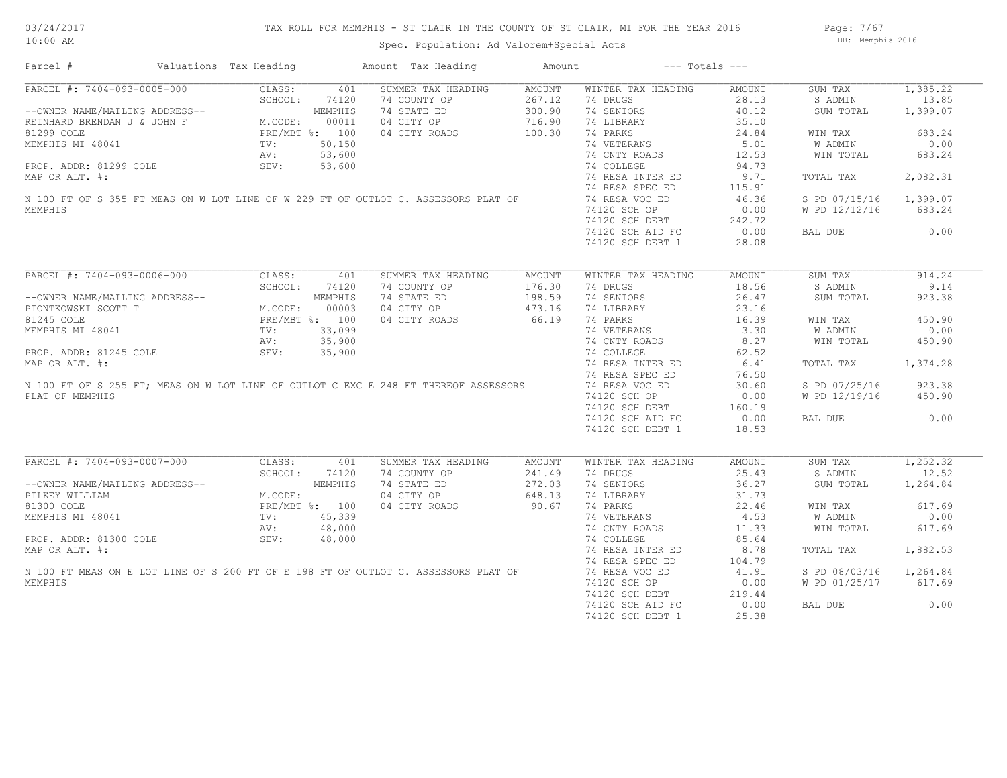Page: 7/67 DB: Memphis 2016

| Parcel #                                                                                                                                                                                                                                           | Valuations Tax Heading |       | Amount Tax Heading                                                                                                                                  | Amount          | $---$ Totals $---$ |        |                        |                       |
|----------------------------------------------------------------------------------------------------------------------------------------------------------------------------------------------------------------------------------------------------|------------------------|-------|-----------------------------------------------------------------------------------------------------------------------------------------------------|-----------------|--------------------|--------|------------------------|-----------------------|
| PARCEL #: 7404-093-0005-000                                                                                                                                                                                                                        | CLASS:                 | 401   | SUMMER TAX HEADING                                                                                                                                  | AMOUNT          | WINTER TAX HEADING | AMOUNT | SUM TAX                | 1,385.22              |
| CLASS: 401<br>--OWNER NAME/MAILING ADDRESS--<br>REINHARD BRENDAN J & JOHN F<br>M.CODE: 00011<br>81299 COLE<br>MEMPHIS MI 48041<br>PROP. ADDR: 81299 COLE<br>PROP. ADDR: 81299 COLE<br>PROP. ADDR: 81299 COLE<br>PROP. ADDR: 81299 COLE<br>PROP. 53 |                        |       | 74 COUNTY OP                                                                                                                                        | 267.12          | 74 DRUGS           | 28.13  | S ADMIN                | 13.85                 |
|                                                                                                                                                                                                                                                    |                        |       | 74 STATE ED                                                                                                                                         | 300.90          | 74 SENIORS         | 40.12  | SUM TOTAL              | 1,399.07              |
|                                                                                                                                                                                                                                                    |                        |       | 04 CITY OP                                                                                                                                          | 716.90          | 74 LIBRARY         | 35.10  |                        |                       |
|                                                                                                                                                                                                                                                    |                        |       | 04 CITY ROADS                                                                                                                                       | 100.30          | 74 PARKS           | 24.84  | WIN TAX                | 683.24                |
|                                                                                                                                                                                                                                                    |                        |       |                                                                                                                                                     |                 | 74 VETERANS        | 5.01   | W ADMIN                | 0.00                  |
|                                                                                                                                                                                                                                                    |                        |       |                                                                                                                                                     |                 | 74 CNTY ROADS      | 12.53  | WIN TOTAL              | 683.24                |
|                                                                                                                                                                                                                                                    |                        |       | PROP. ADDR: 81299 COLE<br>MAP OR ALT. #:<br>N 100 FT OF S 355 FT MEAS ON W LOT LINE OF W 229 FT OF OUTLOT C. ASSESSORS PLAT OF                      |                 |                    |        |                        |                       |
|                                                                                                                                                                                                                                                    |                        |       |                                                                                                                                                     |                 | 74 COLLEGE         | 94.73  |                        |                       |
|                                                                                                                                                                                                                                                    |                        |       |                                                                                                                                                     |                 | 74 RESA INTER ED   | 9.71   | TOTAL TAX              | 2,082.31              |
|                                                                                                                                                                                                                                                    |                        |       |                                                                                                                                                     |                 | 74 RESA SPEC ED    | 115.91 |                        |                       |
|                                                                                                                                                                                                                                                    |                        |       |                                                                                                                                                     |                 | 74 RESA VOC ED     | 46.36  | S PD 07/15/16 1,399.07 |                       |
| MEMPHIS                                                                                                                                                                                                                                            |                        |       |                                                                                                                                                     |                 | 74120 SCH OP       | 0.00   | W PD 12/12/16          | 683.24                |
|                                                                                                                                                                                                                                                    |                        |       |                                                                                                                                                     |                 | 74120 SCH DEBT     | 242.72 |                        |                       |
|                                                                                                                                                                                                                                                    |                        |       |                                                                                                                                                     |                 | 74120 SCH AID FC   | 0.00   | BAL DUE                | 0.00                  |
|                                                                                                                                                                                                                                                    |                        |       |                                                                                                                                                     |                 | 74120 SCH DEBT 1   | 28.08  |                        |                       |
|                                                                                                                                                                                                                                                    |                        |       |                                                                                                                                                     |                 |                    |        |                        |                       |
| PARCEL #: 7404-093-0006-000                                                                                                                                                                                                                        | CLASS:                 | 401   | SUMMER TAX HEADING                                                                                                                                  | AMOUNT          | WINTER TAX HEADING | AMOUNT | SUM TAX                | 914.24                |
|                                                                                                                                                                                                                                                    | SCHOOL:                | 74120 | 74 COUNTY OP                                                                                                                                        | 176.30          | 74 DRUGS           | 18.56  | S ADMIN                | 9.14                  |
| --OWNER NAME/MAILING ADDRESS--<br>PIONTKOWSKI SCOTT T<br>81245 COLE PRE/MBT %: 100<br>MEMPHIS MI 48041 TV: 33,099<br>PROP. ADDR: 81245 COLE AND AV: 35,900<br>MAP OR ALT #. 33,090<br>MAP OR ALT #.                                                |                        |       | 74 STATE ED                                                                                                                                         | 198.59          | 74 SENIORS         | 26.47  | SUM TOTAL              | 923.38                |
|                                                                                                                                                                                                                                                    |                        |       | 04 CITY OP                                                                                                                                          | 473.16          | 74 LIBRARY         | 23.16  |                        |                       |
|                                                                                                                                                                                                                                                    |                        |       | 04 CITY ROADS                                                                                                                                       | 66.19           | 74 PARKS           | 16.39  | WIN TAX                | 450.90                |
|                                                                                                                                                                                                                                                    |                        |       |                                                                                                                                                     |                 | 74 VETERANS        | 3.30   |                        | 0.00                  |
|                                                                                                                                                                                                                                                    |                        |       | MEMPHIS MI 48041<br>PROP. ADDR: 81245 COLE<br>MAP OR ALT. #:<br>N 100 FT OF S 255 FT; MEAS ON W LOT LINE OF OUTLOT C EXC E 248 FT THEREOF ASSESSORS |                 |                    |        | W ADMIN                |                       |
|                                                                                                                                                                                                                                                    |                        |       |                                                                                                                                                     |                 | 74 CNTY ROADS      | 8.27   | WIN TOTAL              | 450.90                |
|                                                                                                                                                                                                                                                    |                        |       |                                                                                                                                                     |                 | 74 COLLEGE         | 62.52  |                        |                       |
|                                                                                                                                                                                                                                                    |                        |       |                                                                                                                                                     |                 | 74 RESA INTER ED   | 6.41   | TOTAL TAX              | 1,374.28              |
|                                                                                                                                                                                                                                                    |                        |       |                                                                                                                                                     |                 | 74 RESA SPEC ED    | 76.50  |                        |                       |
|                                                                                                                                                                                                                                                    |                        |       |                                                                                                                                                     |                 | 74 RESA VOC ED     | 30.60  | S PD 07/25/16          | 923.38                |
| PLAT OF MEMPHIS                                                                                                                                                                                                                                    |                        |       |                                                                                                                                                     |                 | 74120 SCH OP       | 0.00   | W PD 12/19/16          | 450.90                |
|                                                                                                                                                                                                                                                    |                        |       |                                                                                                                                                     |                 | 74120 SCH DEBT     | 160.19 |                        |                       |
|                                                                                                                                                                                                                                                    |                        |       |                                                                                                                                                     |                 | 74120 SCH AID FC   | 0.00   | BAL DUE                | 0.00                  |
|                                                                                                                                                                                                                                                    |                        |       |                                                                                                                                                     |                 | 74120 SCH DEBT 1   | 18.53  |                        |                       |
|                                                                                                                                                                                                                                                    |                        |       |                                                                                                                                                     |                 |                    |        |                        |                       |
| PARCEL #: 7404-093-0007-000                                                                                                                                                                                                                        | CLASS:                 | 401   | SUMMER TAX HEADING                                                                                                                                  | AMOUNT          | WINTER TAX HEADING | AMOUNT | SUM TAX                | $\overline{1,252.32}$ |
|                                                                                                                                                                                                                                                    | SCHOOL:                | 74120 | 74 COUNTY OP                                                                                                                                        | 241.49          | 74 DRUGS           | 25.43  | S ADMIN                | 12.52                 |
|                                                                                                                                                                                                                                                    |                        |       | 74 STATE ED                                                                                                                                         | 272.03          | 74 SENIORS         | 36.27  | SUM TOTAL              | 1,264.84              |
|                                                                                                                                                                                                                                                    |                        |       | 04 CITY OP                                                                                                                                          | 648.13          | 74 LIBRARY         | 31.73  |                        |                       |
|                                                                                                                                                                                                                                                    |                        |       | 04 CITY ROADS                                                                                                                                       | 648.13<br>90.67 | 74 PARKS           | 22.46  | WIN TAX                | 617.69                |
|                                                                                                                                                                                                                                                    |                        |       |                                                                                                                                                     |                 | 74 VETERANS        | 4.53   | W ADMIN                | 0.00                  |
|                                                                                                                                                                                                                                                    |                        |       |                                                                                                                                                     |                 | 74 CNTY ROADS      |        |                        |                       |
|                                                                                                                                                                                                                                                    |                        |       |                                                                                                                                                     |                 |                    | 11.33  | WIN TOTAL              | 617.69                |
| --OWNER NAME/MAILING ADDRESS--<br>PILKEY WILLIAM MCODE:<br>81300 COLE PRE/MBT %: 100<br>MEMPHIS MI 48041 TV: 45,339<br>PROP. ADDR: 81300 COLE SEV: 48,000<br>MEMPHIS MI 48041 TV: 45,339<br>PROP. ADDR: 81300 COLE SEV: 48,000                     |                        |       |                                                                                                                                                     |                 | 74 COLLEGE         | 85.64  |                        |                       |
| MAP OR ALT. #:                                                                                                                                                                                                                                     |                        |       |                                                                                                                                                     |                 | 74 RESA INTER ED   | 8.78   | TOTAL TAX              | 1,882.53              |
|                                                                                                                                                                                                                                                    |                        |       |                                                                                                                                                     |                 | 74 RESA SPEC ED    | 104.79 |                        |                       |
|                                                                                                                                                                                                                                                    |                        |       | N 100 FT MEAS ON E LOT LINE OF S 200 FT OF E 198 FT OF OUTLOT C. ASSESSORS PLAT OF                                                                  |                 | 74 RESA VOC ED     | 41.91  | S PD 08/03/16          | 1,264.84              |
| MEMPHIS                                                                                                                                                                                                                                            |                        |       |                                                                                                                                                     |                 | 74120 SCH OP       | 0.00   | W PD 01/25/17 617.69   |                       |
|                                                                                                                                                                                                                                                    |                        |       |                                                                                                                                                     |                 | 74120 SCH DEBT     | 219.44 |                        |                       |
|                                                                                                                                                                                                                                                    |                        |       |                                                                                                                                                     |                 | 74120 SCH AID FC   | 0.00   | BAL DUE                | 0.00                  |
|                                                                                                                                                                                                                                                    |                        |       |                                                                                                                                                     |                 | 74120 SCH DEBT 1   | 25.38  |                        |                       |
|                                                                                                                                                                                                                                                    |                        |       |                                                                                                                                                     |                 |                    |        |                        |                       |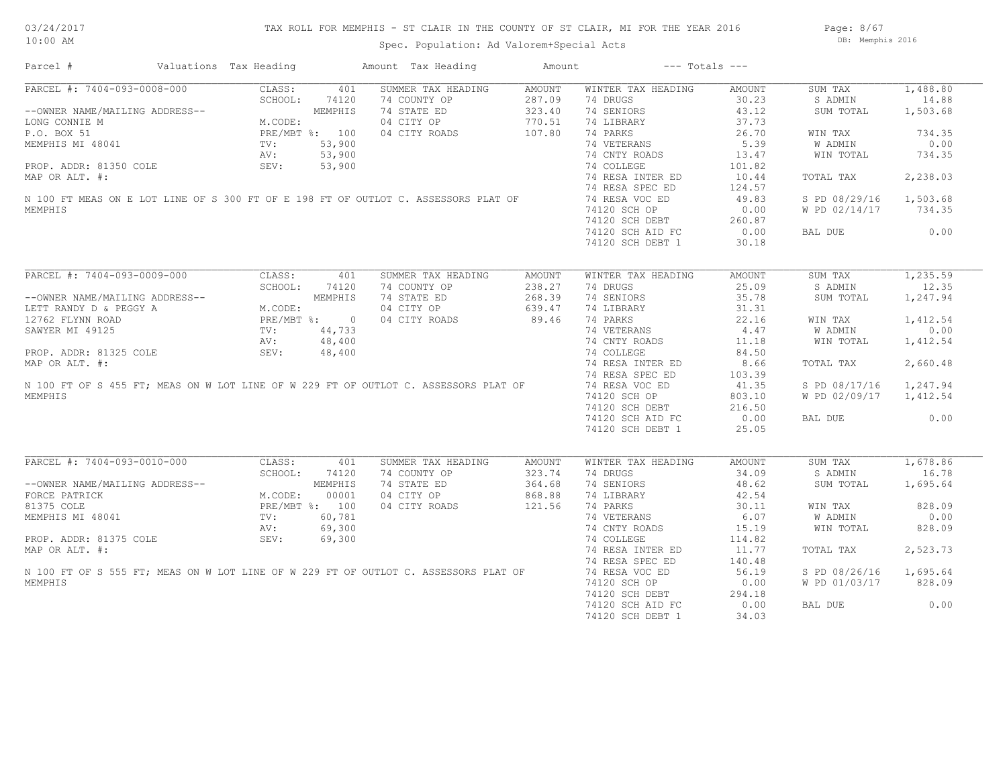Page: 8/67 DB: Memphis 2016

| Parcel #                                                                            | Valuations Tax Heading |         |                | Amount Tax Heading | Amount |                    | $---$ Totals $---$ |               |          |
|-------------------------------------------------------------------------------------|------------------------|---------|----------------|--------------------|--------|--------------------|--------------------|---------------|----------|
| PARCEL #: 7404-093-0008-000                                                         | CLASS:                 |         | 401            | SUMMER TAX HEADING | AMOUNT | WINTER TAX HEADING | AMOUNT             | SUM TAX       | 1,488.80 |
|                                                                                     |                        | SCHOOL: | 74120          | 74 COUNTY OP       | 287.09 | 74 DRUGS           | 30.23              | S ADMIN       | 14.88    |
| --OWNER NAME/MAILING ADDRESS--                                                      |                        |         | MEMPHIS        | 74 STATE ED        | 323.40 | 74 SENIORS         | 43.12              | SUM TOTAL     | 1,503.68 |
| LONG CONNIE M                                                                       |                        | M.CODE: |                | 04 CITY OP         | 770.51 | 74 LIBRARY         | 37.73              |               |          |
| P.O. BOX 51                                                                         |                        |         | PRE/MBT %: 100 | 04 CITY ROADS      | 107.80 | 74 PARKS           | 26.70              | WIN TAX       | 734.35   |
| MEMPHIS MI 48041                                                                    | TV:                    |         | 53,900         |                    |        | 74 VETERANS        | 5.39               | W ADMIN       | 0.00     |
|                                                                                     | AV:                    |         | 53,900         |                    |        | 74 CNTY ROADS      | 13.47              | WIN TOTAL     | 734.35   |
| PROP. ADDR: 81350 COLE                                                              | SEV:                   |         | 53,900         |                    |        | 74 COLLEGE         | 101.82             |               |          |
| MAP OR ALT. #:                                                                      |                        |         |                |                    |        | 74 RESA INTER ED   | 10.44              | TOTAL TAX     | 2,238.03 |
|                                                                                     |                        |         |                |                    |        |                    |                    |               |          |
|                                                                                     |                        |         |                |                    |        | 74 RESA SPEC ED    | 124.57             |               |          |
| N 100 FT MEAS ON E LOT LINE OF S 300 FT OF E 198 FT OF OUTLOT C. ASSESSORS PLAT OF  |                        |         |                |                    |        | 74 RESA VOC ED     | 49.83              | S PD 08/29/16 | 1,503.68 |
| MEMPHIS                                                                             |                        |         |                |                    |        | 74120 SCH OP       | 0.00               | W PD 02/14/17 | 734.35   |
|                                                                                     |                        |         |                |                    |        | 74120 SCH DEBT     | 260.87             |               |          |
|                                                                                     |                        |         |                |                    |        | 74120 SCH AID FC   | 0.00               | BAL DUE       | 0.00     |
|                                                                                     |                        |         |                |                    |        | 74120 SCH DEBT 1   | 30.18              |               |          |
|                                                                                     |                        |         |                |                    |        |                    |                    |               |          |
| PARCEL #: 7404-093-0009-000                                                         | CLASS:                 |         | 401            | SUMMER TAX HEADING | AMOUNT | WINTER TAX HEADING | AMOUNT             | SUM TAX       | 1,235.59 |
|                                                                                     |                        | SCHOOL: | 74120          | 74 COUNTY OP       | 238.27 | 74 DRUGS           | 25.09              | S ADMIN       | 12.35    |
| --OWNER NAME/MAILING ADDRESS--                                                      |                        |         | MEMPHIS        | 74 STATE ED        | 268.39 | 74 SENIORS         | 35.78              | SUM TOTAL     | 1,247.94 |
| LETT RANDY D & PEGGY A                                                              |                        | M.CODE: |                | 04 CITY OP         | 639.47 | 74 LIBRARY         | 31.31              |               |          |
| 12762 FLYNN ROAD                                                                    |                        |         | PRE/MBT %: 0   | 04 CITY ROADS      | 89.46  | 74 PARKS           | 22.16              | WIN TAX       | 1,412.54 |
| SAWYER MI 49125                                                                     | $\text{TV}$ :          |         | 44,733         |                    |        | 74 VETERANS        | 4.47               | W ADMIN       | 0.00     |
|                                                                                     | AV:                    |         | 48,400         |                    |        | 74 CNTY ROADS      | 11.18              | WIN TOTAL     | 1,412.54 |
| PROP. ADDR: 81325 COLE                                                              | SEV:                   |         | 48,400         |                    |        | 74 COLLEGE         | 84.50              |               |          |
| MAP OR ALT. #:                                                                      |                        |         |                |                    |        | 74 RESA INTER ED   | 8.66               | TOTAL TAX     | 2,660.48 |
|                                                                                     |                        |         |                |                    |        | 74 RESA SPEC ED    | 103.39             |               |          |
| N 100 FT OF S 455 FT; MEAS ON W LOT LINE OF W 229 FT OF OUTLOT C. ASSESSORS PLAT OF |                        |         |                |                    |        |                    |                    |               |          |
|                                                                                     |                        |         |                |                    |        | 74 RESA VOC ED     | 41.35              | S PD 08/17/16 | 1,247.94 |
| MEMPHIS                                                                             |                        |         |                |                    |        | 74120 SCH OP       | 803.10             | W PD 02/09/17 | 1,412.54 |
|                                                                                     |                        |         |                |                    |        | 74120 SCH DEBT     | 216.50             |               |          |
|                                                                                     |                        |         |                |                    |        | 74120 SCH AID FC   | 0.00               | BAL DUE       | 0.00     |
|                                                                                     |                        |         |                |                    |        | 74120 SCH DEBT 1   | 25.05              |               |          |
| PARCEL #: 7404-093-0010-000                                                         | CLASS:                 |         | 401            | SUMMER TAX HEADING | AMOUNT | WINTER TAX HEADING | AMOUNT             | SUM TAX       | 1,678.86 |
|                                                                                     |                        |         |                |                    |        |                    |                    |               |          |
|                                                                                     |                        | SCHOOL: | 74120          | 74 COUNTY OP       | 323.74 | 74 DRUGS           | 34.09              | S ADMIN       | 16.78    |
| --OWNER NAME/MAILING ADDRESS--                                                      |                        |         | MEMPHIS        | 74 STATE ED        | 364.68 | 74 SENIORS         | 48.62              | SUM TOTAL     | 1,695.64 |
| FORCE PATRICK                                                                       | M.CODE:                |         | 00001          | 04 CITY OP         | 868.88 | 74 LIBRARY         | 42.54              |               |          |
| 81375 COLE                                                                          |                        |         | PRE/MBT %: 100 | 04 CITY ROADS      | 121.56 | 74 PARKS           | 30.11              | WIN TAX       | 828.09   |
| MEMPHIS MI 48041                                                                    | TV:                    |         | 60,781         |                    |        | 74 VETERANS        | 6.07               | W ADMIN       | 0.00     |
|                                                                                     | AV:                    |         | 69,300         |                    |        | 74 CNTY ROADS      | 15.19              | WIN TOTAL     | 828.09   |
| PROP. ADDR: 81375 COLE                                                              | SEV:                   |         | 69,300         |                    |        | 74 COLLEGE         | 114.82             |               |          |
| MAP OR ALT. #:                                                                      |                        |         |                |                    |        | 74 RESA INTER ED   | 11.77              | TOTAL TAX     | 2,523.73 |
|                                                                                     |                        |         |                |                    |        | 74 RESA SPEC ED    | 140.48             |               |          |
| N 100 FT OF S 555 FT; MEAS ON W LOT LINE OF W 229 FT OF OUTLOT C. ASSESSORS PLAT OF |                        |         |                |                    |        | 74 RESA VOC ED     | 56.19              | S PD 08/26/16 | 1,695.64 |
| MEMPHIS                                                                             |                        |         |                |                    |        | 74120 SCH OP       | 0.00               | W PD 01/03/17 | 828.09   |
|                                                                                     |                        |         |                |                    |        | 74120 SCH DEBT     | 294.18             |               |          |
|                                                                                     |                        |         |                |                    |        | 74120 SCH AID FC   | 0.00               | BAL DUE       | 0.00     |
|                                                                                     |                        |         |                |                    |        |                    |                    |               |          |
|                                                                                     |                        |         |                |                    |        | 74120 SCH DEBT 1   | 34.03              |               |          |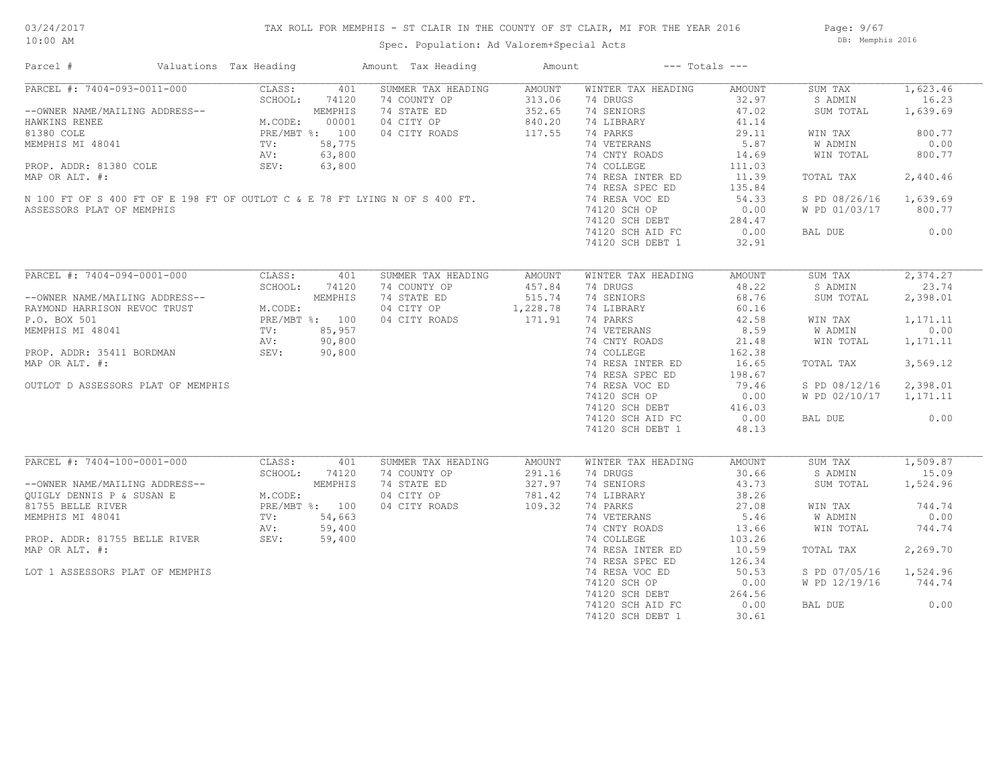## TAX ROLL FOR MEMPHIS - ST CLAIR IN THE COUNTY OF ST CLAIR, MI FOR THE YEAR 2016

Spec. Population: Ad Valorem+Special Acts

Page: 9/67 DB: Memphis 2016

| Parcel #                                                                                                                                                                                             | Valuations Tax Heading                                                 |        | Amount Tax Heading | Amount   |                    | $---$ Totals $---$ |               |          |
|------------------------------------------------------------------------------------------------------------------------------------------------------------------------------------------------------|------------------------------------------------------------------------|--------|--------------------|----------|--------------------|--------------------|---------------|----------|
| PARCEL #: 7404-093-0011-000                                                                                                                                                                          | CLASS:                                                                 | 401    | SUMMER TAX HEADING | AMOUNT   | WINTER TAX HEADING | AMOUNT             | SUM TAX       | 1,623.46 |
|                                                                                                                                                                                                      | SCHOOL:                                                                | 74120  | 74 COUNTY OP       | 313.06   | 74 DRUGS           | 32.97              | S ADMIN       | 16.23    |
| --OWNER NAME/MAILING ADDRESS--                                                                                                                                                                       | MEMPHIS<br>M.CODE: 00001<br>PRE/MBT %: 100<br>TV: 58,775<br>AV: 63,800 |        | 74 STATE ED        | 352.65   | 74 SENIORS         | 47.02              | SUM TOTAL     | 1,639.69 |
| HAWKINS RENEE                                                                                                                                                                                        |                                                                        |        | 04 CITY OP         | 840.20   | 74 LIBRARY         | 41.14              |               |          |
| 81380 COLE                                                                                                                                                                                           |                                                                        |        | 04 CITY ROADS      | 117.55   | 74 PARKS           | 29.11              | WIN TAX       | 800.77   |
| MEMPHIS MI 48041                                                                                                                                                                                     |                                                                        |        |                    |          | 74 VETERANS        | 5.87               | W ADMIN       | 0.00     |
|                                                                                                                                                                                                      |                                                                        |        |                    |          | 74 CNTY ROADS      | 14.69              | WIN TOTAL     | 800.77   |
| PROP. ADDR: 81380 COLE                                                                                                                                                                               |                                                                        | 63,800 |                    |          | 74 COLLEGE         | 111.03             |               |          |
|                                                                                                                                                                                                      | SEV:                                                                   |        |                    |          |                    |                    |               |          |
| MAP OR ALT. #:                                                                                                                                                                                       |                                                                        |        |                    |          | 74 RESA INTER ED   | 11.39              | TOTAL TAX     | 2,440.46 |
| N 100 FT OF S 400 FT OF E 198 FT OF OUTLOT C & E 78 FT LYING N OF S 400 FT.<br>ASSESSORS PLAT OF MEMPHIS                                                                                             |                                                                        |        |                    |          | 74 RESA SPEC ED    | 135.84             |               |          |
|                                                                                                                                                                                                      |                                                                        |        |                    |          | 74 RESA VOC ED     | 54.33              | S PD 08/26/16 | 1,639.69 |
|                                                                                                                                                                                                      |                                                                        |        |                    |          | 74120 SCH OP       | 0.00               | W PD 01/03/17 | 800.77   |
|                                                                                                                                                                                                      |                                                                        |        |                    |          | 74120 SCH DEBT     | 284.47             |               |          |
|                                                                                                                                                                                                      |                                                                        |        |                    |          | 74120 SCH AID FC   | 0.00               | BAL DUE       | 0.00     |
|                                                                                                                                                                                                      |                                                                        |        |                    |          | 74120 SCH DEBT 1   | 32.91              |               |          |
|                                                                                                                                                                                                      |                                                                        |        |                    |          |                    |                    |               |          |
| PARCEL #: 7404-094-0001-000                                                                                                                                                                          | CLASS:                                                                 | 401    | SUMMER TAX HEADING | AMOUNT   | WINTER TAX HEADING | AMOUNT             | SUM TAX       | 2,374.27 |
|                                                                                                                                                                                                      | SCHOOL:                                                                | 74120  | 74 COUNTY OP       | 457.84   | 74 DRUGS           | 48.22              | S ADMIN       | 23.74    |
| --OWNER NAME/MAILING ADDRESS--                                                                                                                                                                       | -<br>M.CODE:<br>M.CODE:<br>PRE/MBT %: 100<br>TV: 85,957<br>AV: 90,800  |        | 74 STATE ED        | 515.74   | 74 SENIORS         | 68.76              | SUM TOTAL     | 2,398.01 |
| RAYMOND HARRISON REVOC TRUST                                                                                                                                                                         |                                                                        |        | 04 CITY OP         | 1,228.78 | 74 LIBRARY         | 60.16              |               |          |
| P.O. BOX 501                                                                                                                                                                                         |                                                                        |        | 04 CITY ROADS      | 171.91   | 74 PARKS           | 42.58              | WIN TAX       | 1,171.11 |
|                                                                                                                                                                                                      |                                                                        |        |                    |          | 74 VETERANS        | 8.59               |               |          |
| MEMPHIS MI 48041                                                                                                                                                                                     |                                                                        |        |                    |          |                    |                    | W ADMIN       | 0.00     |
|                                                                                                                                                                                                      |                                                                        |        |                    |          | 74 CNTY ROADS      | 21.48              | WIN TOTAL     | 1,171.11 |
| PROP. ADDR: 35411 BORDMAN                                                                                                                                                                            | SEV: 90,800                                                            |        |                    |          | 74 COLLEGE         | 162.38             |               |          |
| MAP OR ALT. #:                                                                                                                                                                                       |                                                                        |        |                    |          | 74 RESA INTER ED   | 16.65              | TOTAL TAX     | 3,569.12 |
|                                                                                                                                                                                                      |                                                                        |        |                    |          | 74 RESA SPEC ED    | 198.67             |               |          |
| OUTLOT D ASSESSORS PLAT OF MEMPHIS                                                                                                                                                                   |                                                                        |        |                    |          | 74 RESA VOC ED     | 79.46              | S PD 08/12/16 | 2,398.01 |
|                                                                                                                                                                                                      |                                                                        |        |                    |          | 74120 SCH OP       | 0.00               | W PD 02/10/17 | 1,171.11 |
|                                                                                                                                                                                                      |                                                                        |        |                    |          | 74120 SCH DEBT     | 416.03             |               |          |
|                                                                                                                                                                                                      |                                                                        |        |                    |          | 74120 SCH AID FC   | 0.00               | BAL DUE       | 0.00     |
|                                                                                                                                                                                                      |                                                                        |        |                    |          |                    |                    |               |          |
|                                                                                                                                                                                                      |                                                                        |        |                    |          | 74120 SCH DEBT 1   | 48.13              |               |          |
| PARCEL #: 7404-100-0001-000                                                                                                                                                                          | CLASS:                                                                 | 401    | SUMMER TAX HEADING | AMOUNT   | WINTER TAX HEADING | AMOUNT             | SUM TAX       | 1,509.87 |
|                                                                                                                                                                                                      | SCHOOL:                                                                | 74120  | 74 COUNTY OP       | 291.16   | 74 DRUGS           | 30.66              | S ADMIN       | 15.09    |
|                                                                                                                                                                                                      |                                                                        |        | 74 STATE ED        | 327.97   | 74 SENIORS         | 43.73              | SUM TOTAL     | 1,524.96 |
| --OWNER NAME/MAILING ADDRESS--<br>QUIGLY DENNIS P & SUSAN E M.CODE:<br>81755 BELLE RIVER PRE/MBT %: 100<br>MEMPHIS MI 48041 TV: 54,663<br>PROP. ADDR: 81755 BELLE RIVER SEV: 59,400<br>MAR OP ALT #: |                                                                        |        |                    |          |                    | 38.26              |               |          |
|                                                                                                                                                                                                      |                                                                        |        | 04 CITY OP         | 781.42   | 74 LIBRARY         |                    |               |          |
|                                                                                                                                                                                                      |                                                                        |        | 04 CITY ROADS      | 109.32   | 74 PARKS           | 27.08              | WIN TAX       | 744.74   |
|                                                                                                                                                                                                      |                                                                        |        |                    |          | 74 VETERANS        | 5.46               | W ADMIN       | 0.00     |
|                                                                                                                                                                                                      |                                                                        |        |                    |          | 74 CNTY ROADS      | 13.66              | WIN TOTAL     | 744.74   |
|                                                                                                                                                                                                      |                                                                        |        |                    |          | 74 COLLEGE         | 103.26             |               |          |
| MAP OR ALT. #:                                                                                                                                                                                       |                                                                        |        |                    |          | 74 RESA INTER ED   | 10.59              | TOTAL TAX     | 2,269.70 |
|                                                                                                                                                                                                      |                                                                        |        |                    |          | 74 RESA SPEC ED    | 126.34             |               |          |
| LOT 1 ASSESSORS PLAT OF MEMPHIS                                                                                                                                                                      |                                                                        |        |                    |          | 74 RESA VOC ED     | 50.53              | S PD 07/05/16 | 1,524.96 |
|                                                                                                                                                                                                      |                                                                        |        |                    |          |                    |                    |               |          |
|                                                                                                                                                                                                      |                                                                        |        |                    |          | 74120 SCH OP       | 0.00               | W PD 12/19/16 | 744.74   |
|                                                                                                                                                                                                      |                                                                        |        |                    |          | 74120 SCH DEBT     | 264.56             |               |          |
|                                                                                                                                                                                                      |                                                                        |        |                    |          | 74120 SCH AID FC   | 0.00               | BAL DUE       | 0.00     |
|                                                                                                                                                                                                      |                                                                        |        |                    |          | 74120 SCH DEBT 1   | 30.61              |               |          |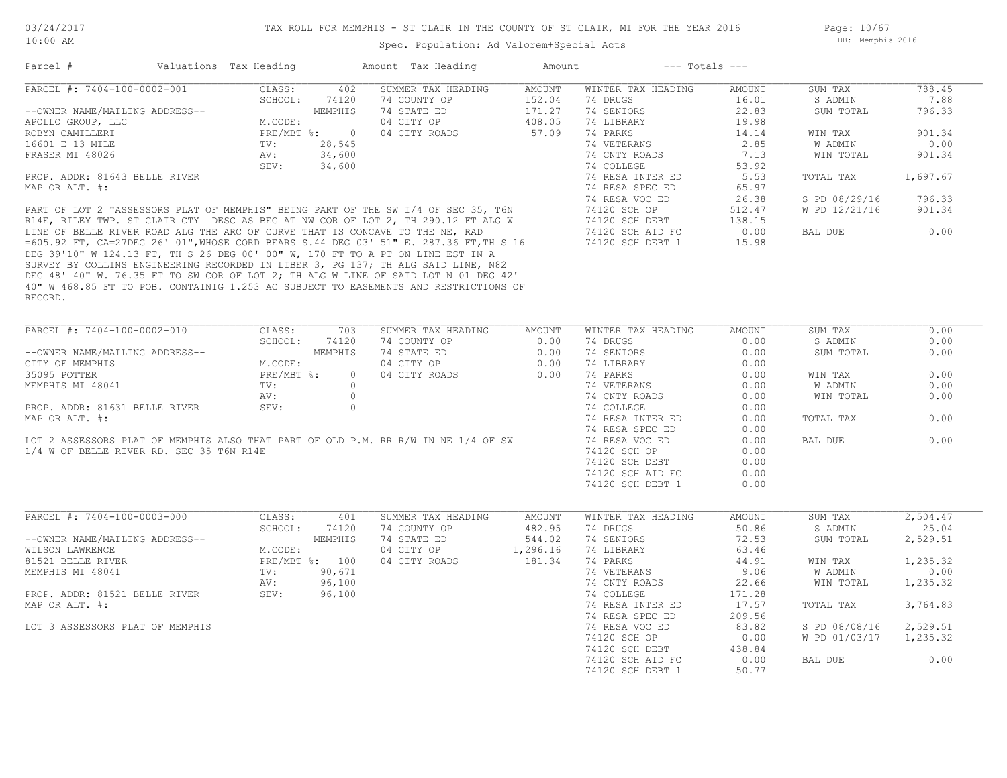Page: 10/67 DB: Memphis 2016

## Spec. Population: Ad Valorem+Special Acts

| Parcel #                                 | Valuations Tax Heading |                |          | Amount Tax Heading                                                                                                                                                                                                                   | Amount        | $---$ Totals $---$ |        |                |          |
|------------------------------------------|------------------------|----------------|----------|--------------------------------------------------------------------------------------------------------------------------------------------------------------------------------------------------------------------------------------|---------------|--------------------|--------|----------------|----------|
| PARCEL #: 7404-100-0002-001              |                        | CLASS:         | 402      | SUMMER TAX HEADING                                                                                                                                                                                                                   | <b>AMOUNT</b> | WINTER TAX HEADING | AMOUNT | SUM TAX        | 788.45   |
|                                          |                        | SCHOOL:        | 74120    | 74 COUNTY OP                                                                                                                                                                                                                         | 152.04        | 74 DRUGS           | 16.01  | S ADMIN        | 7.88     |
| --OWNER NAME/MAILING ADDRESS--           |                        |                | MEMPHIS  | 74 STATE ED                                                                                                                                                                                                                          | 171.27        | 74 SENIORS         | 22.83  | SUM TOTAL      | 796.33   |
| APOLLO GROUP, LLC                        |                        | M.CODE:        |          | 04 CITY OP                                                                                                                                                                                                                           | 408.05        | 74 LIBRARY         | 19.98  |                |          |
| ROBYN CAMILLERI                          |                        | PRE/MBT %: 0   |          | 04 CITY ROADS                                                                                                                                                                                                                        | 57.09         | 74 PARKS           | 14.14  | WIN TAX        | 901.34   |
| 16601 E 13 MILE                          |                        | TV:            | 28,545   |                                                                                                                                                                                                                                      |               | 74 VETERANS        | 2.85   | <b>W ADMIN</b> | 0.00     |
| FRASER MI 48026                          |                        | AV:            | 34,600   |                                                                                                                                                                                                                                      |               | 74 CNTY ROADS      | 7.13   | WIN TOTAL      | 901.34   |
|                                          |                        | SEV:           | 34,600   |                                                                                                                                                                                                                                      |               | 74 COLLEGE         | 53.92  |                |          |
| PROP. ADDR: 81643 BELLE RIVER            |                        |                |          |                                                                                                                                                                                                                                      |               | 74 RESA INTER ED   | 5.53   | TOTAL TAX      | 1,697.67 |
|                                          |                        |                |          |                                                                                                                                                                                                                                      |               |                    |        |                |          |
| MAP OR ALT. #:                           |                        |                |          |                                                                                                                                                                                                                                      |               | 74 RESA SPEC ED    | 65.97  |                |          |
|                                          |                        |                |          |                                                                                                                                                                                                                                      |               | 74 RESA VOC ED     | 26.38  | S PD 08/29/16  | 796.33   |
|                                          |                        |                |          |                                                                                                                                                                                                                                      |               | 74120 SCH OP       | 512.47 | W PD 12/21/16  | 901.34   |
|                                          |                        |                |          |                                                                                                                                                                                                                                      |               | 74120 SCH DEBT     | 138.15 |                |          |
|                                          |                        |                |          | PART OF LOT 2 "ASSESSORS PLAT OF MEMPHIS" BEING PART OF THE SW I/4 OF SEC 35, T6N<br>R14E, RILEY TWP. ST CLAIR CTY DESC AS BEG AT NW COR OF LOT 2, TH 290.12 FT ALG W<br>LINE OF BELLE RIVER ROAD ALG THE ARC OF CURVE THAT IS CONCA |               | 74120 SCH AID FC   | 0.00   | BAL DUE        | 0.00     |
|                                          |                        |                |          |                                                                                                                                                                                                                                      |               | 74120 SCH DEBT 1   | 15.98  |                |          |
|                                          |                        |                |          | DEG 39'10" W 124.13 FT, TH S 26 DEG 00' 00" W, 170 FT TO A PT ON LINE EST IN A                                                                                                                                                       |               |                    |        |                |          |
|                                          |                        |                |          | SURVEY BY COLLINS ENGINEERING RECORDED IN LIBER 3, PG 137; TH ALG SAID LINE, N82                                                                                                                                                     |               |                    |        |                |          |
|                                          |                        |                |          | DEG 48' 40" W. 76.35 FT TO SW COR OF LOT 2; TH ALG W LINE OF SAID LOT N 01 DEG 42'                                                                                                                                                   |               |                    |        |                |          |
|                                          |                        |                |          | 40" W 468.85 FT TO POB. CONTAINIG 1.253 AC SUBJECT TO EASEMENTS AND RESTRICTIONS OF                                                                                                                                                  |               |                    |        |                |          |
| RECORD.                                  |                        |                |          |                                                                                                                                                                                                                                      |               |                    |        |                |          |
|                                          |                        |                |          |                                                                                                                                                                                                                                      |               |                    |        |                |          |
|                                          |                        |                |          |                                                                                                                                                                                                                                      |               |                    |        |                |          |
| PARCEL #: 7404-100-0002-010              |                        | CLASS:         | 703      | SUMMER TAX HEADING                                                                                                                                                                                                                   | AMOUNT        | WINTER TAX HEADING | AMOUNT | SUM TAX        | 0.00     |
|                                          |                        | SCHOOL:        | 74120    | 74 COUNTY OP                                                                                                                                                                                                                         | 0.00          | 74 DRUGS           | 0.00   | S ADMIN        | 0.00     |
| --OWNER NAME/MAILING ADDRESS--           |                        |                | MEMPHIS  | 74 STATE ED                                                                                                                                                                                                                          | 0.00          | 74 SENIORS         | 0.00   | SUM TOTAL      | 0.00     |
| CITY OF MEMPHIS                          |                        | M.CODE:        |          | 04 CITY OP                                                                                                                                                                                                                           | 0.00          | 74 LIBRARY         | 0.00   |                |          |
| 35095 POTTER                             |                        | PRE/MBT %:     | $\circ$  | 04 CITY ROADS                                                                                                                                                                                                                        | 0.00          | 74 PARKS           | 0.00   | WIN TAX        | 0.00     |
| MEMPHIS MI 48041                         |                        | TV:            | $\Omega$ |                                                                                                                                                                                                                                      |               | 74 VETERANS        | 0.00   | W ADMIN        | 0.00     |
|                                          |                        | AV:            | $\circ$  |                                                                                                                                                                                                                                      |               | 74 CNTY ROADS      | 0.00   | WIN TOTAL      | 0.00     |
| PROP. ADDR: 81631 BELLE RIVER            |                        | SEV:           | $\circ$  |                                                                                                                                                                                                                                      |               | 74 COLLEGE         | 0.00   |                |          |
| MAP OR ALT. #:                           |                        |                |          |                                                                                                                                                                                                                                      |               | 74 RESA INTER ED   | 0.00   | TOTAL TAX      | 0.00     |
|                                          |                        |                |          |                                                                                                                                                                                                                                      |               |                    |        |                |          |
|                                          |                        |                |          |                                                                                                                                                                                                                                      |               | 74 RESA SPEC ED    | 0.00   |                |          |
|                                          |                        |                |          | LOT 2 ASSESSORS PLAT OF MEMPHIS ALSO THAT PART OF OLD P.M. RR R/W IN NE 1/4 OF SW                                                                                                                                                    |               | 74 RESA VOC ED     | 0.00   | BAL DUE        | 0.00     |
| 1/4 W OF BELLE RIVER RD. SEC 35 T6N R14E |                        |                |          |                                                                                                                                                                                                                                      |               | 74120 SCH OP       | 0.00   |                |          |
|                                          |                        |                |          |                                                                                                                                                                                                                                      |               | 74120 SCH DEBT     | 0.00   |                |          |
|                                          |                        |                |          |                                                                                                                                                                                                                                      |               | 74120 SCH AID FC   | 0.00   |                |          |
|                                          |                        |                |          |                                                                                                                                                                                                                                      |               | 74120 SCH DEBT 1   | 0.00   |                |          |
|                                          |                        |                |          |                                                                                                                                                                                                                                      |               |                    |        |                |          |
| PARCEL #: 7404-100-0003-000              |                        | CLASS:         | 401      | SUMMER TAX HEADING                                                                                                                                                                                                                   | AMOUNT        | WINTER TAX HEADING | AMOUNT | SUM TAX        | 2,504.47 |
|                                          |                        | SCHOOL:        | 74120    | 74 COUNTY OP                                                                                                                                                                                                                         | 482.95        | 74 DRUGS           | 50.86  | S ADMIN        | 25.04    |
| --OWNER NAME/MAILING ADDRESS--           |                        |                | MEMPHIS  | 74 STATE ED                                                                                                                                                                                                                          | 544.02        | 74 SENIORS         | 72.53  | SUM TOTAL      | 2,529.51 |
|                                          |                        |                |          | 04 CITY OP                                                                                                                                                                                                                           |               |                    |        |                |          |
| WILSON LAWRENCE                          |                        | M.CODE:        |          |                                                                                                                                                                                                                                      | 1,296.16      | 74 LIBRARY         | 63.46  |                |          |
| 81521 BELLE RIVER                        |                        | PRE/MBT %: 100 |          | 04 CITY ROADS                                                                                                                                                                                                                        | 181.34        | 74 PARKS           | 44.91  | WIN TAX        | 1,235.32 |
| MEMPHIS MI 48041                         |                        | TV:            | 90,671   |                                                                                                                                                                                                                                      |               | 74 VETERANS        | 9.06   | <b>W ADMIN</b> | 0.00     |
|                                          |                        | AV:            | 96,100   |                                                                                                                                                                                                                                      |               | 74 CNTY ROADS      | 22.66  | WIN TOTAL      | 1,235.32 |
| PROP. ADDR: 81521 BELLE RIVER            |                        | SEV:           | 96,100   |                                                                                                                                                                                                                                      |               | 74 COLLEGE         | 171.28 |                |          |
| MAP OR ALT. #:                           |                        |                |          |                                                                                                                                                                                                                                      |               | 74 RESA INTER ED   | 17.57  | TOTAL TAX      | 3,764.83 |
|                                          |                        |                |          |                                                                                                                                                                                                                                      |               | 74 RESA SPEC ED    | 209.56 |                |          |
| LOT 3 ASSESSORS PLAT OF MEMPHIS          |                        |                |          |                                                                                                                                                                                                                                      |               | 74 RESA VOC ED     | 83.82  | S PD 08/08/16  | 2,529.51 |
|                                          |                        |                |          |                                                                                                                                                                                                                                      |               | 74120 SCH OP       | 0.00   | W PD 01/03/17  | 1,235.32 |
|                                          |                        |                |          |                                                                                                                                                                                                                                      |               | 74120 SCH DEBT     | 438.84 |                |          |
|                                          |                        |                |          |                                                                                                                                                                                                                                      |               |                    | 0.00   | BAL DUE        | 0.00     |
|                                          |                        |                |          |                                                                                                                                                                                                                                      |               | 74120 SCH AID FC   |        |                |          |
|                                          |                        |                |          |                                                                                                                                                                                                                                      |               | 74120 SCH DEBT 1   | 50.77  |                |          |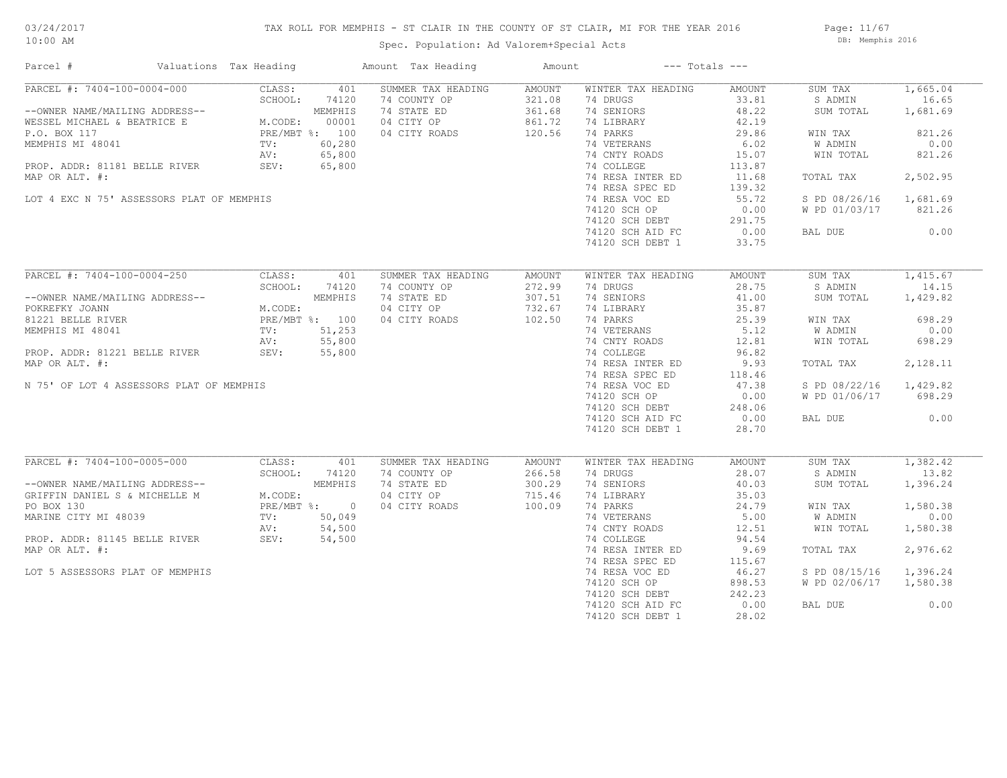## TAX ROLL FOR MEMPHIS - ST CLAIR IN THE COUNTY OF ST CLAIR, MI FOR THE YEAR 2016

Spec. Population: Ad Valorem+Special Acts

Page: 11/67 DB: Memphis 2016

| Parcel #                                                                     | Valuations Tax Heading |                             | Amount Tax Heading | Amount        |                    | $---$ Totals $---$ |               |          |
|------------------------------------------------------------------------------|------------------------|-----------------------------|--------------------|---------------|--------------------|--------------------|---------------|----------|
| PARCEL #: 7404-100-0004-000                                                  | CLASS:                 | 401                         | SUMMER TAX HEADING | AMOUNT        | WINTER TAX HEADING | AMOUNT             | SUM TAX       | 1,665.04 |
|                                                                              | SCHOOL:                | 74120                       | 74 COUNTY OP       | 321.08        | 74 DRUGS           | 33.81              | S ADMIN       | 16.65    |
| WESSEL MICHAEL & BEATRICE E M.COD<br>P.O. BOX 117 MENTICAL PROPERTY OF ALCOL |                        | MEMPHIS                     | 74 STATE ED        | 361.68        | 74 SENIORS         | 48.22              | SUM TOTAL     | 1,681.69 |
|                                                                              | M.CODE:                | 00001                       | 04 CITY OP         | 861.72        | 74 LIBRARY         | 42.19              |               |          |
|                                                                              |                        | PRE/MBT %: 100              | 04 CITY ROADS      | 120.56        | 74 PARKS           | 29.86              | WIN TAX       | 821.26   |
| MEMPHIS MI 48041                                                             | $\texttt{TV}$ :        | 60,280                      |                    |               | 74 VETERANS        | 6.02               | W ADMIN       | 0.00     |
|                                                                              | AV:                    | 65,800                      |                    |               | 74 CNTY ROADS      | 15.07              | WIN TOTAL     | 821.26   |
| PROP. ADDR: 81181 BELLE RIVER                                                | SEV:                   | 65,800                      |                    |               | 74 COLLEGE         | 113.87             |               |          |
| MAP OR ALT. #:                                                               |                        |                             |                    |               | 74 RESA INTER ED   | 11.68              | TOTAL TAX     | 2,502.95 |
|                                                                              |                        |                             |                    |               | 74 RESA SPEC ED    | 139.32             |               |          |
| LOT 4 EXC N 75' ASSESSORS PLAT OF MEMPHIS                                    |                        |                             |                    |               | 74 RESA VOC ED     | 55.72              | S PD 08/26/16 | 1,681.69 |
|                                                                              |                        |                             |                    |               | 74120 SCH OP       | 0.00               | W PD 01/03/17 | 821.26   |
|                                                                              |                        |                             |                    |               |                    |                    |               |          |
|                                                                              |                        |                             |                    |               | 74120 SCH DEBT     | 291.75             |               |          |
|                                                                              |                        |                             |                    |               | 74120 SCH AID FC   | 0.00               | BAL DUE       | 0.00     |
|                                                                              |                        |                             |                    |               | 74120 SCH DEBT 1   | 33.75              |               |          |
| PARCEL #: 7404-100-0004-250                                                  | CLASS:                 | 401                         | SUMMER TAX HEADING | AMOUNT        | WINTER TAX HEADING | AMOUNT             | SUM TAX       | 1,415.67 |
|                                                                              | SCHOOL:                | 74120                       | 74 COUNTY OP       | 272.99        | 74 DRUGS           | 28.75              | S ADMIN       | 14.15    |
| --OWNER NAME/MAILING ADDRESS--                                               |                        | MEMPHIS                     | 74 STATE ED        | 307.51        | 74 SENIORS         | 41.00              | SUM TOTAL     | 1,429.82 |
| POKREFKY JOANN                                                               | M.CODE:                |                             |                    | 732.67        |                    |                    |               |          |
|                                                                              |                        |                             | 04 CITY OP         | 102.50        | 74 LIBRARY         | 35.87              |               |          |
| 81221 BELLE RIVER                                                            |                        | PRE/MBT %: 100              | 04 CITY ROADS      |               | 74 PARKS           | 25.39              | WIN TAX       | 698.29   |
| MEMPHIS MI 48041                                                             | TV:                    | 51,253                      |                    |               | 74 VETERANS        | 5.12               | W ADMIN       | 0.00     |
|                                                                              | AV:                    | 55,800                      |                    |               | 74 CNTY ROADS      | 12.81              | WIN TOTAL     | 698.29   |
| PROP. ADDR: 81221 BELLE RIVER                                                | SEV:                   | 55,800                      |                    |               | 74 COLLEGE         | 96.82              |               |          |
| MAP OR ALT. #:                                                               |                        |                             |                    |               | 74 RESA INTER ED   | 9.93               | TOTAL TAX     | 2,128.11 |
|                                                                              |                        |                             |                    |               | 74 RESA SPEC ED    | 118.46             |               |          |
| N 75' OF LOT 4 ASSESSORS PLAT OF MEMPHIS                                     |                        |                             |                    |               | 74 RESA VOC ED     | 47.38              | S PD 08/22/16 | 1,429.82 |
|                                                                              |                        |                             |                    |               | 74120 SCH OP       | 0.00               | W PD 01/06/17 | 698.29   |
|                                                                              |                        |                             |                    |               | 74120 SCH DEBT     | 248.06             |               |          |
|                                                                              |                        |                             |                    |               | 74120 SCH AID FC   | 0.00               | BAL DUE       | 0.00     |
|                                                                              |                        |                             |                    |               | 74120 SCH DEBT 1   | 28.70              |               |          |
|                                                                              |                        |                             |                    |               |                    |                    |               |          |
| PARCEL #: 7404-100-0005-000                                                  | CLASS:                 | 401                         | SUMMER TAX HEADING | <b>AMOUNT</b> | WINTER TAX HEADING | AMOUNT             | SUM TAX       | 1,382.42 |
|                                                                              | SCHOOL:                | 74120                       | 74 COUNTY OP       | 266.58        | 74 DRUGS           | 28.07              | S ADMIN       | 13.82    |
| --OWNER NAME/MAILING ADDRESS--                                               |                        | MEMPHIS                     | 74 STATE ED        | 300.29        | 74 SENIORS         | 40.03              | SUM TOTAL     | 1,396.24 |
| GRIFFIN DANIEL S & MICHELLE M                                                | M.CODE:                |                             | 04 CITY OP         | 715.46        | 74 LIBRARY         | 35.03              |               |          |
| PO BOX 130                                                                   |                        | $PRE/MBT$ $\frac{1}{6}$ : 0 | 04 CITY ROADS      | 100.09        | 74 PARKS           | 24.79              | WIN TAX       | 1,580.38 |
| MARINE CITY MI 48039                                                         | TV:                    | 50,049                      |                    |               | 74 VETERANS        | 5.00               | W ADMIN       | 0.00     |
|                                                                              | AV:                    | 54,500                      |                    |               | 74 CNTY ROADS      | 12.51              | WIN TOTAL     | 1,580.38 |
| PROP. ADDR: 81145 BELLE RIVER                                                | SEV:                   | 54,500                      |                    |               | 74 COLLEGE         | 94.54              |               |          |
| MAP OR ALT. #:                                                               |                        |                             |                    |               | 74 RESA INTER ED   | 9.69               | TOTAL TAX     | 2,976.62 |
|                                                                              |                        |                             |                    |               | 74 RESA SPEC ED    | 115.67             |               |          |
| LOT 5 ASSESSORS PLAT OF MEMPHIS                                              |                        |                             |                    |               | 74 RESA VOC ED     | 46.27              | S PD 08/15/16 | 1,396.24 |
|                                                                              |                        |                             |                    |               | 74120 SCH OP       | 898.53             | W PD 02/06/17 | 1,580.38 |
|                                                                              |                        |                             |                    |               | 74120 SCH DEBT     | 242.23             |               |          |
|                                                                              |                        |                             |                    |               | 74120 SCH AID FC   | 0.00               | BAL DUE       | 0.00     |
|                                                                              |                        |                             |                    |               |                    |                    |               |          |
|                                                                              |                        |                             |                    |               | 74120 SCH DEBT 1   | 28.02              |               |          |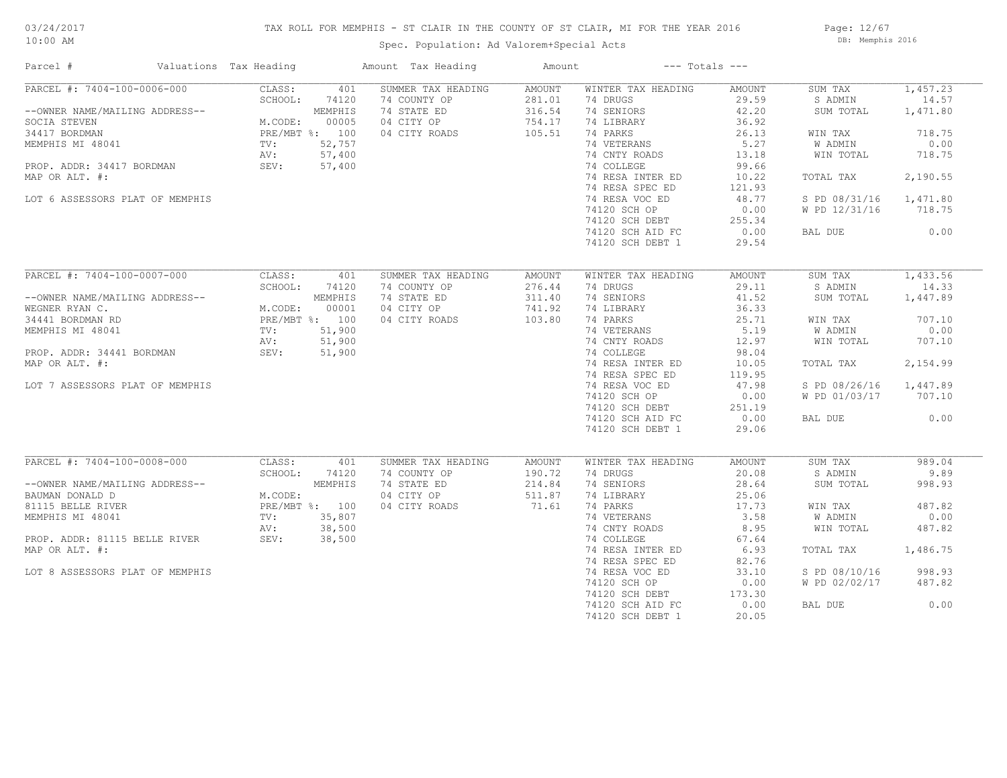## TAX ROLL FOR MEMPHIS - ST CLAIR IN THE COUNTY OF ST CLAIR, MI FOR THE YEAR 2016

Spec. Population: Ad Valorem+Special Acts

Page: 12/67 DB: Memphis 2016

| Parcel #                                                                                                                                                                                                                                                 | Valuations Tax Heading |       | Amount Tax Heading       | Amount | $---$ Totals $---$           |        |                        |          |
|----------------------------------------------------------------------------------------------------------------------------------------------------------------------------------------------------------------------------------------------------------|------------------------|-------|--------------------------|--------|------------------------------|--------|------------------------|----------|
| PARCEL #: 7404-100-0006-000                                                                                                                                                                                                                              | CLASS:                 | 401   | SUMMER TAX HEADING       | AMOUNT | WINTER TAX HEADING           | AMOUNT | SUM TAX                | 1,457.23 |
| --OWNER NAME/MAILING ADDRESS--<br>SCHOOL: 74120<br>SCHOOL: 74120<br>SCHOOL: 74120<br>MEMPHIS<br>34417 BORDMAN<br>MEMPHIS MI 48041<br>TV: 52,757<br>PROP. ADDR: 34417 BORDMAN<br>MEMPHIS MI 48041<br>TV: 57,400<br>NEMPHIS MI 48041<br>TV: 57,400<br>NEMP | SCHOOL:                |       | 74 COUNTY OP             | 281.01 | 74 DRUGS                     | 29.59  | S ADMIN                | 14.57    |
|                                                                                                                                                                                                                                                          |                        |       | 74 STATE ED              | 316.54 | 74 SENIORS                   | 42.20  | SUM TOTAL              | 1,471.80 |
|                                                                                                                                                                                                                                                          |                        |       | 04 CITY OP<br>04 CITY OP | 754.17 | 74 LIBRARY                   | 36.92  |                        |          |
|                                                                                                                                                                                                                                                          |                        |       |                          | 105.51 | 74 PARKS                     | 26.13  | WIN TAX                | 718.75   |
|                                                                                                                                                                                                                                                          |                        |       |                          |        | 74 VETERANS                  | 5.27   | W ADMIN                | 0.00     |
|                                                                                                                                                                                                                                                          |                        |       |                          |        | 74 CNTY ROADS                | 13.18  | WIN TOTAL              | 718.75   |
|                                                                                                                                                                                                                                                          |                        |       |                          |        | 74 COLLEGE                   | 99.66  |                        |          |
| MAP OR ALT. #:                                                                                                                                                                                                                                           |                        |       |                          |        | 74 RESA INTER ED             | 10.22  | TOTAL TAX              | 2,190.55 |
|                                                                                                                                                                                                                                                          |                        |       |                          |        | 74 RESA SPEC ED              | 121.93 |                        |          |
| LOT 6 ASSESSORS PLAT OF MEMPHIS                                                                                                                                                                                                                          |                        |       |                          |        | 74 RESA VOC ED               | 48.77  | S PD 08/31/16 1,471.80 |          |
|                                                                                                                                                                                                                                                          |                        |       |                          |        | 74120 SCH OP                 | 0.00   | W PD 12/31/16          | 718.75   |
|                                                                                                                                                                                                                                                          |                        |       |                          |        | 74120 SCH DEBT               | 255.34 |                        |          |
|                                                                                                                                                                                                                                                          |                        |       |                          |        | 74120 SCH AID FC             | 0.00   | BAL DUE                | 0.00     |
|                                                                                                                                                                                                                                                          |                        |       |                          |        | 74120 SCH DEBT 1             | 29.54  |                        |          |
|                                                                                                                                                                                                                                                          |                        |       |                          |        |                              |        |                        |          |
| PARCEL #: 7404-100-0007-000                                                                                                                                                                                                                              | CLASS:                 | 401   | SUMMER TAX HEADING       | AMOUNT | WINTER TAX HEADING           | AMOUNT | SUM TAX                | 1,433.56 |
|                                                                                                                                                                                                                                                          | SCHOOL:                | 74120 | 74 COUNTY OP             | 276.44 | 74 DRUGS                     | 29.11  | S ADMIN                | 14.33    |
|                                                                                                                                                                                                                                                          |                        |       |                          |        |                              | 41.52  |                        |          |
| --OWNER NAME/MAILING ADDRESS--<br>WEGNER RYAN C.<br>MEGNER RYAN C.<br>MEGNER RYAN C.<br>MEGNER RYAN C.<br>MEGNER RYAN C.<br>MEGNER RYAN C.<br>MEGNER RYAN PRE/MBT %: 100<br>PRE/MBT %: 100<br>PROP. ADDR: 34441 BORDMAN SEV: 51,900<br>NAR OR NAT        |                        |       | 74 STATE ED              | 311.40 | 74 SENIORS                   |        | SUM TOTAL              | 1,447.89 |
|                                                                                                                                                                                                                                                          |                        |       | 04 CITY OP               | 741.92 | 74 LIBRARY                   | 36.33  |                        |          |
|                                                                                                                                                                                                                                                          |                        |       | 04 CITY ROADS            | 103.80 | 74 PARKS                     | 25.71  | WIN TAX                | 707.10   |
|                                                                                                                                                                                                                                                          |                        |       |                          |        | 74 VETERANS<br>74 CNTY ROADS | 5.19   | W ADMIN                | 0.00     |
|                                                                                                                                                                                                                                                          |                        |       |                          |        |                              | 12.97  | WIN TOTAL              | 707.10   |
|                                                                                                                                                                                                                                                          |                        |       |                          |        | 74 COLLEGE                   | 98.04  |                        |          |
| MAP OR ALT. #:                                                                                                                                                                                                                                           |                        |       |                          |        | 74 RESA INTER ED             | 10.05  | TOTAL TAX              | 2,154.99 |
|                                                                                                                                                                                                                                                          |                        |       |                          |        | 74 RESA SPEC ED              | 119.95 |                        |          |
| LOT 7 ASSESSORS PLAT OF MEMPHIS                                                                                                                                                                                                                          |                        |       |                          |        | 74 RESA VOC ED               | 47.98  | S PD 08/26/16 1,447.89 |          |
|                                                                                                                                                                                                                                                          |                        |       |                          |        | 74120 SCH OP                 | 0.00   | W PD 01/03/17 707.10   |          |
|                                                                                                                                                                                                                                                          |                        |       |                          |        | 74120 SCH DEBT               | 251.19 |                        |          |
|                                                                                                                                                                                                                                                          |                        |       |                          |        | 74120 SCH AID FC             | 0.00   | BAL DUE                | 0.00     |
|                                                                                                                                                                                                                                                          |                        |       |                          |        | 74120 SCH DEBT 1             | 29.06  |                        |          |
|                                                                                                                                                                                                                                                          |                        |       |                          |        |                              |        |                        |          |
| PARCEL #: 7404-100-0008-000                                                                                                                                                                                                                              | CLASS:                 | 401   | SUMMER TAX HEADING       | AMOUNT | WINTER TAX HEADING           | AMOUNT | SUM TAX                | 989.04   |
|                                                                                                                                                                                                                                                          | SCHOOL:                | 74120 | 74 COUNTY OP             | 190.72 | 74 DRUGS                     | 20.08  | S ADMIN                | 9.89     |
|                                                                                                                                                                                                                                                          |                        |       | 74 STATE ED              | 214.84 | 74 SENIORS                   | 28.64  | SUM TOTAL              | 998.93   |
| --OWNER NAME/MAILING ADDRESS--<br>BAUMAN DONALD D<br>81115 BELLE RIVER<br>MEMPHIS MI 48041<br>PRE/MBT %: 100<br>MEMPHIS MI 48041<br>PROP. ADDR: 81115 BELLE RIVER<br>NAD ON LITE #                                                                       |                        |       | 04 CITY OP               | 511.87 | 74 LIBRARY                   | 25.06  |                        |          |
|                                                                                                                                                                                                                                                          |                        |       | 04 CITY ROADS            | 71.61  | 74 PARKS                     | 17.73  | WIN TAX                | 487.82   |
|                                                                                                                                                                                                                                                          |                        |       |                          |        | 74 VETERANS                  | 3.58   | W ADMIN                | 0.00     |
|                                                                                                                                                                                                                                                          |                        |       |                          |        | 74 CNTY ROADS                | 8.95   | WIN TOTAL              | 487.82   |
|                                                                                                                                                                                                                                                          |                        |       |                          |        | 74 COLLEGE                   | 67.64  |                        |          |
| MAP OR ALT. #:                                                                                                                                                                                                                                           |                        |       |                          |        | 74 RESA INTER ED             | 6.93   | TOTAL TAX              | 1,486.75 |
|                                                                                                                                                                                                                                                          |                        |       |                          |        | 74 RESA SPEC ED              | 82.76  |                        |          |
| LOT 8 ASSESSORS PLAT OF MEMPHIS                                                                                                                                                                                                                          |                        |       |                          |        | 74 RESA VOC ED               | 33.10  | S PD 08/10/16          | 998.93   |
|                                                                                                                                                                                                                                                          |                        |       |                          |        | 74120 SCH OP                 | 0.00   | W PD 02/02/17          | 487.82   |
|                                                                                                                                                                                                                                                          |                        |       |                          |        | 74120 SCH DEBT               | 173.30 |                        |          |
|                                                                                                                                                                                                                                                          |                        |       |                          |        | 74120 SCH AID FC             | 0.00   | BAL DUE                | 0.00     |
|                                                                                                                                                                                                                                                          |                        |       |                          |        | 74120 SCH DEBT 1             | 20.05  |                        |          |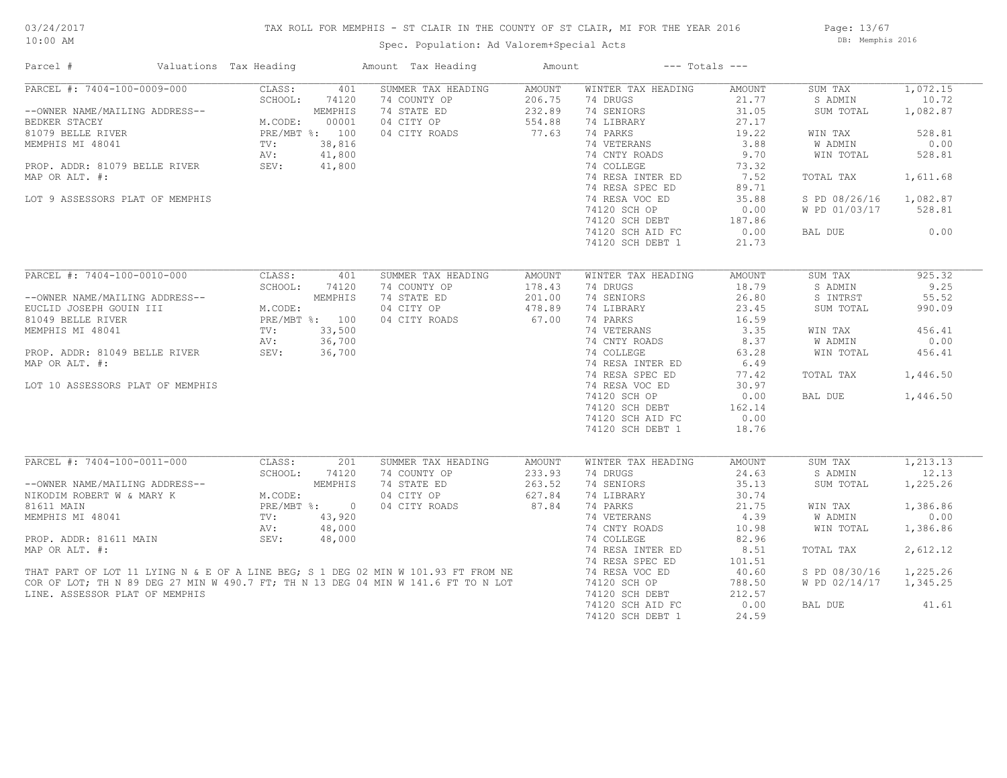## TAX ROLL FOR MEMPHIS - ST CLAIR IN THE COUNTY OF ST CLAIR, MI FOR THE YEAR 2016

Spec. Population: Ad Valorem+Special Acts

Page: 13/67 DB: Memphis 2016

| Parcel #                                                               | Valuations Tax Heading                                                         |         | Amount Tax Heading                                                                                                                                                                       | Amount | $---$ Totals $---$           |              |               |                                |
|------------------------------------------------------------------------|--------------------------------------------------------------------------------|---------|------------------------------------------------------------------------------------------------------------------------------------------------------------------------------------------|--------|------------------------------|--------------|---------------|--------------------------------|
| PARCEL #: 7404-100-0009-000                                            | CLASS:                                                                         | 401     | SUMMER TAX HEADING                                                                                                                                                                       | AMOUNT | WINTER TAX HEADING           | AMOUNT       | SUM TAX       | 1,072.15                       |
|                                                                        | SCHOOL:                                                                        | 74120   | 74 COUNTY OP                                                                                                                                                                             | 206.75 | 74 DRUGS                     | 21.77        | S ADMIN       | 10.72                          |
| --OWNER NAME/MAILING ADDRESS--                                         |                                                                                | MEMPHIS | 74 STATE ED                                                                                                                                                                              | 232.89 | 74 SENIORS                   | 31.05        | SUM TOTAL     | 1,082.87                       |
| BEDKER STACEY                                                          | M.CODE:                                                                        | 00001   | 04 CITY OP                                                                                                                                                                               | 554.88 | 74 LIBRARY                   | 27.17        |               |                                |
| 81079 BELLE RIVER                                                      | PRE/MBT %: 100                                                                 |         | 04 CITY ROADS                                                                                                                                                                            | 77.63  | 74 PARKS                     | 19.22        | WIN TAX       | 528.81                         |
| MEMPHIS MI 48041                                                       | $\text{TV}$ :                                                                  | 38,816  |                                                                                                                                                                                          |        | 74 VETERANS                  | 3.88         | W ADMIN       | 0.00                           |
|                                                                        | AV:                                                                            | 41,800  |                                                                                                                                                                                          |        | 74 CNTY ROADS                | 9.70         | WIN TOTAL     | 528.81                         |
| PROP. ADDR: 81079 BELLE RIVER                                          | SEV:                                                                           | 41,800  |                                                                                                                                                                                          |        | 74 COLLEGE                   | 73.32        |               |                                |
| MAP OR ALT. #:                                                         |                                                                                |         |                                                                                                                                                                                          |        | 74 RESA INTER ED             | 7.52         | TOTAL TAX     | 1,611.68                       |
|                                                                        |                                                                                |         |                                                                                                                                                                                          |        | 74 RESA SPEC ED              | 89.71        |               |                                |
| LOT 9 ASSESSORS PLAT OF MEMPHIS                                        |                                                                                |         |                                                                                                                                                                                          |        | 74 RESA VOC ED               | 35.88        | S PD 08/26/16 | 1,082.87                       |
|                                                                        |                                                                                |         |                                                                                                                                                                                          |        | 74120 SCH OP                 | 0.00         | W PD 01/03/17 | 528.81                         |
|                                                                        |                                                                                |         |                                                                                                                                                                                          |        | 74120 SCH DEBT               | 187.86       |               |                                |
|                                                                        |                                                                                |         |                                                                                                                                                                                          |        | 74120 SCH AID FC             | 0.00         | BAL DUE       | 0.00                           |
|                                                                        |                                                                                |         |                                                                                                                                                                                          |        | 74120 SCH DEBT 1             | 21.73        |               |                                |
|                                                                        |                                                                                |         |                                                                                                                                                                                          |        |                              |              |               |                                |
| PARCEL #: 7404-100-0010-000                                            | CLASS:                                                                         | 401     | SUMMER TAX HEADING                                                                                                                                                                       | AMOUNT | WINTER TAX HEADING           | AMOUNT       | SUM TAX       | 925.32                         |
|                                                                        | VOROUL: 7412<br>TI M.CODE:<br>M.CODE:<br>PRE/MBT %: 100<br>TV: 33.500<br>RIVED |         | 74 COUNTY OP                                                                                                                                                                             | 178.43 | 74 DRUGS                     | 18.79        | S ADMIN       | 9.25                           |
| --OWNER NAME/MAILING ADDRESS--                                         |                                                                                |         | 74 STATE ED                                                                                                                                                                              | 201.00 | 74 SENIORS                   | 26.80        | S INTRST      | 55.52                          |
| EUCLID JOSEPH GOUIN III                                                |                                                                                |         | 04 CITY OP                                                                                                                                                                               | 478.89 | 74 LIBRARY                   | 23.45        | SUM TOTAL     | 990.09                         |
| 81049 BELLE RIVER                                                      |                                                                                |         | 04 CITY ROADS                                                                                                                                                                            | 67.00  | 74 PARKS                     | 16.59        |               |                                |
|                                                                        |                                                                                |         |                                                                                                                                                                                          |        |                              |              |               |                                |
| MEMPHIS MI 48041                                                       |                                                                                |         |                                                                                                                                                                                          |        | 74 VETERANS<br>74 CNTY ROADS | 3.35<br>8.37 | WIN TAX       | 456.41<br>0.00                 |
|                                                                        |                                                                                |         |                                                                                                                                                                                          |        | 74 COLLEGE                   |              | W ADMIN       |                                |
| PROP. ADDR: 81049 BELLE RIVER                                          | SEV:                                                                           | 36,700  |                                                                                                                                                                                          |        |                              | 63.28        | WIN TOTAL     | 456.41                         |
| MAP OR ALT. #:                                                         |                                                                                |         |                                                                                                                                                                                          |        | 74 RESA INTER ED             | 6.49         |               |                                |
|                                                                        |                                                                                |         |                                                                                                                                                                                          |        | 74 RESA SPEC ED              | 77.42        | TOTAL TAX     | 1,446.50                       |
| LOT 10 ASSESSORS PLAT OF MEMPHIS                                       |                                                                                |         |                                                                                                                                                                                          |        | 74 RESA VOC ED               | 30.97        |               |                                |
|                                                                        |                                                                                |         |                                                                                                                                                                                          |        | 74120 SCH OP                 | 0.00         | BAL DUE       | 1,446.50                       |
|                                                                        |                                                                                |         |                                                                                                                                                                                          |        | 74120 SCH DEBT               | 162.14       |               |                                |
|                                                                        |                                                                                |         |                                                                                                                                                                                          |        | 74120 SCH AID FC             | 0.00         |               |                                |
|                                                                        |                                                                                |         |                                                                                                                                                                                          |        | 74120 SCH DEBT 1             | 18.76        |               |                                |
|                                                                        |                                                                                |         |                                                                                                                                                                                          |        |                              |              |               |                                |
| PARCEL #: 7404-100-0011-000                                            | CLASS:                                                                         | 201     | SUMMER TAX HEADING<br>74 COUNTY OP                                                                                                                                                       | AMOUNT | WINTER TAX HEADING           | AMOUNT       | SUM TAX       | $\overline{1,213.13}$<br>12.13 |
| --OWNER NAME/MAILING ADDRESS--<br>NIKODIM ROBERT W & MARY K MARY PRE/M | SCHOOL:                                                                        | 74120   |                                                                                                                                                                                          | 233.93 | 74 DRUGS                     | 24.63        | S ADMIN       |                                |
|                                                                        |                                                                                | MEMPHIS | 74 STATE ED                                                                                                                                                                              | 263.52 | 74 SENIORS                   | 35.13        | SUM TOTAL     | 1,225.26                       |
|                                                                        | M.CODE:                                                                        |         | 04 CITY OP                                                                                                                                                                               | 627.84 | 74 LIBRARY                   | 30.74        |               |                                |
|                                                                        | PRE/MBT %: 0                                                                   |         | 04 CITY ROADS                                                                                                                                                                            | 87.84  | 74 PARKS                     | 21.75        | WIN TAX       | 1,386.86                       |
| MEMPHIS MI 48041                                                       | TV:                                                                            | 43,920  |                                                                                                                                                                                          |        | 74 VETERANS                  | 4.39         | W ADMIN       | 0.00                           |
|                                                                        | AV:                                                                            | 48,000  |                                                                                                                                                                                          |        | 74 CNTY ROADS                | 10.98        | WIN TOTAL     | 1,386.86                       |
| PROP. ADDR: 81611 MAIN                                                 | SEV:                                                                           | 48,000  |                                                                                                                                                                                          |        | 74 COLLEGE                   | 82.96        |               |                                |
|                                                                        |                                                                                |         |                                                                                                                                                                                          |        | 74 RESA INTER ED             | 8.51         | TOTAL TAX     | 2,612.12                       |
|                                                                        |                                                                                |         | MAP OR ALT. #:<br>THAT PART OF LOT 11 LYING N & E OF A LINE BEG; S 1 DEG 02 MIN W 101.93 FT FROM NE<br>COR OF LOT; TH N 89 DEG 27 MIN W 490.7 FT; TH N 13 DEG 04 MIN W 141.6 FT TO N LOT |        | 74 RESA SPEC ED              | 101.51       |               |                                |
|                                                                        |                                                                                |         |                                                                                                                                                                                          |        | 74 RESA VOC ED               | 40.60        | S PD 08/30/16 | 1,225.26                       |
|                                                                        |                                                                                |         |                                                                                                                                                                                          |        | 74120 SCH OP                 | 788.50       | W PD 02/14/17 | 1,345.25                       |
| LINE. ASSESSOR PLAT OF MEMPHIS                                         |                                                                                |         |                                                                                                                                                                                          |        | 74120 SCH DEBT               | 212.57       |               |                                |
|                                                                        |                                                                                |         |                                                                                                                                                                                          |        | 74120 SCH AID FC             | 0.00         | BAL DUE       | 41.61                          |
|                                                                        |                                                                                |         |                                                                                                                                                                                          |        | 74120 SCH DEBT 1             | 24.59        |               |                                |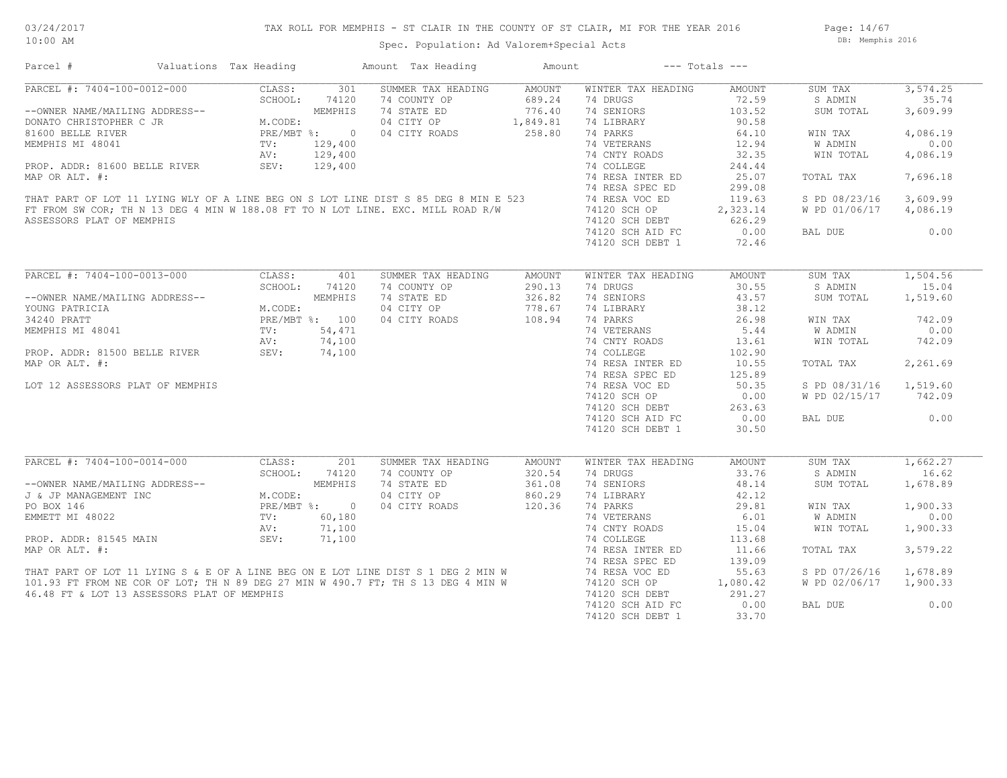## TAX ROLL FOR MEMPHIS - ST CLAIR IN THE COUNTY OF ST CLAIR, MI FOR THE YEAR 2016

Spec. Population: Ad Valorem+Special Acts

Page: 14/67 DB: Memphis 2016

| Parcel #                                                                                                                                                                                                                                                   | Valuations Tax Heading |               | Amount Tax Heading                                                                                                                                                                                                                   | Amount             | $---$ Totals $---$                            |          |                        |          |
|------------------------------------------------------------------------------------------------------------------------------------------------------------------------------------------------------------------------------------------------------------|------------------------|---------------|--------------------------------------------------------------------------------------------------------------------------------------------------------------------------------------------------------------------------------------|--------------------|-----------------------------------------------|----------|------------------------|----------|
| PARCEL #: 7404-100-0012-000                                                                                                                                                                                                                                | CLASS:                 | 301           | SUMMER TAX HEADING                                                                                                                                                                                                                   | AMOUNT             | WINTER TAX HEADING                            | AMOUNT   | SUM TAX                | 3,574.25 |
| --OWNER NAME/MAILING ADDRESS--<br>DONATO CHRISTOPHER C JR<br>81600 BELLE RIVER<br>MEMPHIS MI 48041<br>MEMPHIS MI 48041<br>PRE/MBT %: 0<br>PRE/MBT %: 0<br>PRE/MBT %: 0<br>PRE/MBT %: 0<br>PRE/MBT %: 0<br>PRE/MBT %: 0<br>PRE/MBT %: 0<br>PRE/MBT %: 0     |                        |               | 74 COUNTY OP                                                                                                                                                                                                                         |                    | 74 DRUGS                                      | 72.59    | S ADMIN                | 35.74    |
|                                                                                                                                                                                                                                                            |                        |               | 74 STATE ED                                                                                                                                                                                                                          | $689.24$<br>776.40 | 74 SENIORS                                    | 103.52   | SUM TOTAL              | 3,609.99 |
|                                                                                                                                                                                                                                                            |                        |               |                                                                                                                                                                                                                                      |                    | 74 LIBRARY                                    | 90.58    |                        |          |
|                                                                                                                                                                                                                                                            |                        |               | 04 CITY OP 1,849.81<br>04 CITY ROADS 258.80                                                                                                                                                                                          |                    | 74 PARKS                                      | 64.10    | WIN TAX                | 4,086.19 |
|                                                                                                                                                                                                                                                            |                        |               |                                                                                                                                                                                                                                      |                    | 74 VETERANS                                   | 12.94    | W ADMIN                | 0.00     |
|                                                                                                                                                                                                                                                            |                        |               |                                                                                                                                                                                                                                      |                    | 74 CNTY ROADS                                 | 32.35    | WIN TOTAL              | 4,086.19 |
|                                                                                                                                                                                                                                                            |                        |               |                                                                                                                                                                                                                                      |                    |                                               | 244.44   |                        |          |
|                                                                                                                                                                                                                                                            |                        |               |                                                                                                                                                                                                                                      |                    |                                               |          |                        |          |
|                                                                                                                                                                                                                                                            |                        |               |                                                                                                                                                                                                                                      |                    | 74 RESA INTER ED                              | 25.07    | TOTAL TAX              | 7,696.18 |
|                                                                                                                                                                                                                                                            |                        |               | PROP. ADDR: 81600 BELLE RIVER<br>MAP OR ALT. #:<br>THAT PART OF LOT 11 LYING WLY OF A LINE BEG ON S LOT LINE DIST S 85 DEG 8 MIN E 523 74 RESA VOC ED<br>THAT PART OF LOT 11 LYING WLY OF A LINE BEG ON S LOT LINE DIST S 85 DEG 8 M |                    |                                               | 299.08   |                        |          |
|                                                                                                                                                                                                                                                            |                        |               |                                                                                                                                                                                                                                      |                    |                                               | 119.63   | S PD 08/23/16 3,609.99 |          |
|                                                                                                                                                                                                                                                            |                        |               | FT FROM SW COR; TH N 13 DEG 4 MIN W 188.08 FT TO N LOT LINE. EXC. MILL ROAD R/W                                                                                                                                                      |                    | 74120 SCH OP                                  | 2,323.14 | W PD 01/06/17 4,086.19 |          |
| ASSESSORS PLAT OF MEMPHIS                                                                                                                                                                                                                                  |                        |               |                                                                                                                                                                                                                                      |                    | 74120 SCH DEBT 626.29                         |          |                        |          |
|                                                                                                                                                                                                                                                            |                        |               |                                                                                                                                                                                                                                      |                    | 74120 SCH AID FC                              | 0.00     | BAL DUE                | 0.00     |
|                                                                                                                                                                                                                                                            |                        |               |                                                                                                                                                                                                                                      |                    | 74120 SCH DEBT 1                              | 72.46    |                        |          |
|                                                                                                                                                                                                                                                            |                        |               |                                                                                                                                                                                                                                      |                    |                                               |          |                        |          |
| PARCEL #: 7404-100-0013-000                                                                                                                                                                                                                                |                        | CLASS: 401    | SUMMER TAX HEADING                                                                                                                                                                                                                   | AMOUNT             | WINTER TAX HEADING                            | AMOUNT   | SUM TAX                | 1,504.56 |
|                                                                                                                                                                                                                                                            |                        | SCHOOL: 74120 | 74 COUNTY OP                                                                                                                                                                                                                         | 290.13             | 74 DRUGS                                      | 30.55    | S ADMIN                | 15.04    |
|                                                                                                                                                                                                                                                            |                        |               | 74 STATE ED                                                                                                                                                                                                                          | 326.82             | 74 SENIORS                                    | 43.57    | SUM TOTAL              | 1,519.60 |
| --OWNER NAME/MAILING ADDRESS--<br>YOUNG PATRICIA MEMPHIS<br>34240 PRATT PRE/MBT %: 100<br>MEMPHIS MI 48041 TV: 54,471<br>PROP. ADDR: 81500 BELLE RIVER SEV: 74,100<br>MED. OD NURSON NURSON NURSON NURSON NURSON NURSON NURSON NURSON NU                   |                        |               | 04 CITY OP                                                                                                                                                                                                                           | 778.67             | 74 LIBRARY                                    | 38.12    |                        |          |
|                                                                                                                                                                                                                                                            |                        |               | 04 CITY ROADS                                                                                                                                                                                                                        | 108.94             | 74 PARKS                                      | 26.98    | WIN TAX                | 742.09   |
|                                                                                                                                                                                                                                                            |                        |               | FREE PRESS TO 34 CHILINOADS 106.9<br>TV: 54,471<br>AV: 74,100<br>SEV: 74,100                                                                                                                                                         |                    |                                               | 5.44     | W ADMIN                | 0.00     |
|                                                                                                                                                                                                                                                            |                        |               |                                                                                                                                                                                                                                      |                    | 74 VETERANS<br>74 CNTY ROADS                  |          |                        | 742.09   |
|                                                                                                                                                                                                                                                            |                        |               |                                                                                                                                                                                                                                      |                    |                                               | 13.61    | WIN TOTAL              |          |
|                                                                                                                                                                                                                                                            |                        |               |                                                                                                                                                                                                                                      |                    | 74 COLLEGE                                    | 102.90   |                        |          |
| MAP OR ALT. #:                                                                                                                                                                                                                                             |                        |               |                                                                                                                                                                                                                                      |                    | 74 RESA INTER ED                              | 10.55    | TOTAL TAX              | 2,261.69 |
|                                                                                                                                                                                                                                                            |                        |               |                                                                                                                                                                                                                                      |                    | 74 RESA SPEC ED                               | 125.89   |                        |          |
| LOT 12 ASSESSORS PLAT OF MEMPHIS                                                                                                                                                                                                                           |                        |               |                                                                                                                                                                                                                                      |                    | 74 RESA VOC ED                                | 50.35    | S PD 08/31/16 1,519.60 |          |
|                                                                                                                                                                                                                                                            |                        |               |                                                                                                                                                                                                                                      |                    | 74120 SCH OP                                  | 0.00     | W PD 02/15/17 742.09   |          |
|                                                                                                                                                                                                                                                            |                        |               |                                                                                                                                                                                                                                      |                    | 74120 SCH DEBT                                | 263.63   |                        |          |
|                                                                                                                                                                                                                                                            |                        |               |                                                                                                                                                                                                                                      |                    | 74120 SCH AID FC                              | 0.00     | BAL DUE                | 0.00     |
|                                                                                                                                                                                                                                                            |                        |               |                                                                                                                                                                                                                                      |                    | 74120 SCH DEBT 1                              | 30.50    |                        |          |
|                                                                                                                                                                                                                                                            |                        |               |                                                                                                                                                                                                                                      |                    |                                               |          |                        |          |
| PARCEL #: 7404-100-0014-000                                                                                                                                                                                                                                | CLASS:                 | 201           | SUMMER TAX HEADING                                                                                                                                                                                                                   | AMOUNT             | WINTER TAX HEADING                            | AMOUNT   | SUM TAX                | 1,662.27 |
|                                                                                                                                                                                                                                                            | SCHOOL:                | 74120         | 74 COUNTY OP                                                                                                                                                                                                                         | 320.54             | 74 DRUGS                                      | 33.76    | S ADMIN                | 16.62    |
|                                                                                                                                                                                                                                                            |                        |               | 74 COUNTY OP<br>74 STATE ED                                                                                                                                                                                                          | 361.08             | 74 SENIORS                                    | 48.14    | SUM TOTAL              | 1,678.89 |
|                                                                                                                                                                                                                                                            |                        |               | 04 CITY OP<br>04 CITY OP<br>04 CITY ROADS                                                                                                                                                                                            | 860.29             | 74 LIBRARY                                    | 42.12    |                        |          |
| --OWNER NAME/MAILING ADDRESS--<br>J & JP MANAGEMENT INC<br>PO BOX 146<br>EMMETT MI 48022<br>EMMETT MI 48022<br>PO BOX 146<br>EMMETT MI 48022<br>PO BOX 146<br>PO BOX 146<br>PO BOX 146<br>PO BOX 146<br>PO BOX 146<br>PO BOX 146<br>PO BOX 146<br>PO BOX 1 |                        |               |                                                                                                                                                                                                                                      | 120.36             | 74 PARKS                                      | 29.81    | WIN TAX                | 1,900.33 |
|                                                                                                                                                                                                                                                            |                        |               |                                                                                                                                                                                                                                      |                    | 74 VETERANS                                   | 6.01     | W ADMIN                | 0.00     |
|                                                                                                                                                                                                                                                            |                        |               |                                                                                                                                                                                                                                      |                    |                                               | 15.04    | WIN TOTAL              | 1,900.33 |
|                                                                                                                                                                                                                                                            |                        |               |                                                                                                                                                                                                                                      |                    |                                               | 113.68   |                        |          |
|                                                                                                                                                                                                                                                            |                        |               |                                                                                                                                                                                                                                      |                    |                                               |          |                        |          |
|                                                                                                                                                                                                                                                            |                        |               |                                                                                                                                                                                                                                      |                    | 74 RESA INTER ED                              | 11.66    | TOTAL TAX              | 3,579.22 |
|                                                                                                                                                                                                                                                            |                        |               |                                                                                                                                                                                                                                      |                    |                                               | 139.09   |                        |          |
|                                                                                                                                                                                                                                                            |                        |               |                                                                                                                                                                                                                                      |                    | 74 RESA VOC ED 55.63<br>74120 SCH OP 1,080.42 |          | S PD 07/26/16          | 1,678.89 |
|                                                                                                                                                                                                                                                            |                        |               |                                                                                                                                                                                                                                      |                    |                                               |          | W PD 02/06/17 1,900.33 |          |
| 46.48 FT & LOT 13 ASSESSORS PLAT OF MEMPHIS                                                                                                                                                                                                                |                        |               |                                                                                                                                                                                                                                      |                    | 74120 SCH DEBT                                | 291.27   |                        |          |
|                                                                                                                                                                                                                                                            |                        |               |                                                                                                                                                                                                                                      |                    | 74120 SCH AID FC                              | 0.00     | BAL DUE                | 0.00     |
|                                                                                                                                                                                                                                                            |                        |               |                                                                                                                                                                                                                                      |                    | 74120 SCH DEBT 1                              | 33.70    |                        |          |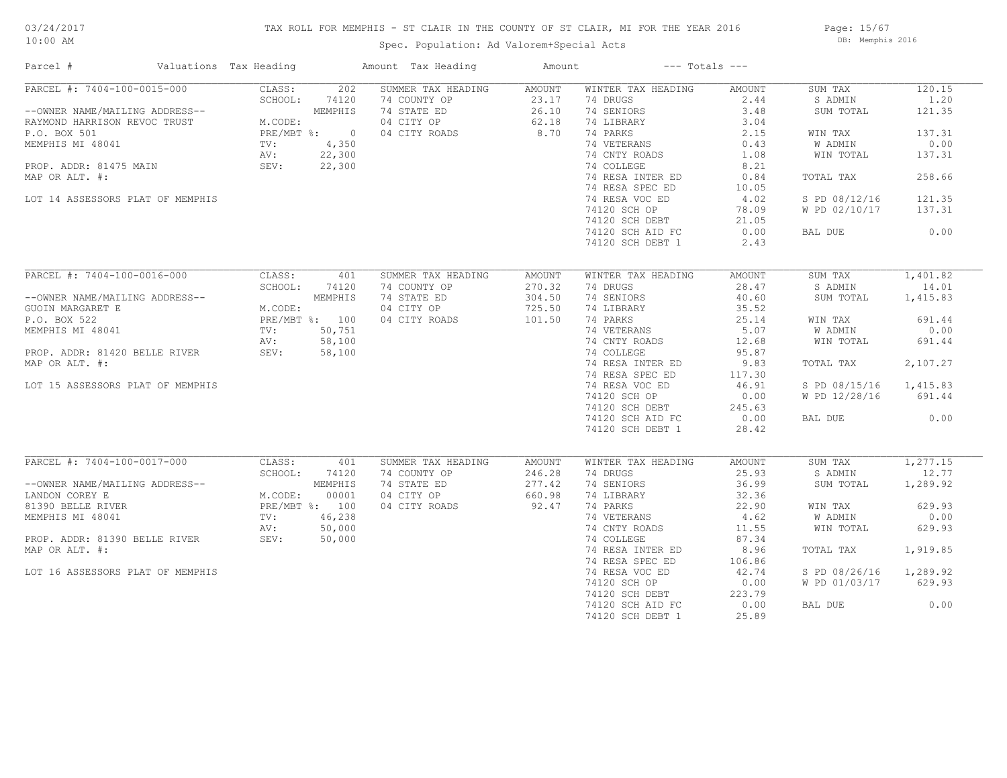## TAX ROLL FOR MEMPHIS - ST CLAIR IN THE COUNTY OF ST CLAIR, MI FOR THE YEAR 2016

Spec. Population: Ad Valorem+Special Acts

Page: 15/67 DB: Memphis 2016

| Parcel #                                                                                                                                                                                                                                             | Valuations Tax Heading |                                            |        | Amount Tax Heading                   | Amount | $---$ Totals $---$ |               |                        |          |
|------------------------------------------------------------------------------------------------------------------------------------------------------------------------------------------------------------------------------------------------------|------------------------|--------------------------------------------|--------|--------------------------------------|--------|--------------------|---------------|------------------------|----------|
| PARCEL #: 7404-100-0015-000                                                                                                                                                                                                                          |                        | CLASS:                                     | 202    | SUMMER TAX HEADING                   | AMOUNT | WINTER TAX HEADING | AMOUNT        | SUM TAX                | 120.15   |
|                                                                                                                                                                                                                                                      |                        | SCHOOL:                                    | 74120  | 74 COUNTY OP                         | 23.17  | 74 DRUGS           | 2.44          | S ADMIN                | 1,20     |
| --OWNER NAME/MAILING ADDRESS--<br>RAYMOND HARRISON REVOC TRUST<br>P.O. BOX 501<br>MEMPHIS MI 48041<br>MEMPHIS MI 48041<br>PROP. ADDR: 81475 MAIN<br>PROP. ADDR: 81475 MAIN<br>PROP. ADDR: 81475 MAIN<br>PROP. 22,300<br>PROP. ADDR: 81475 MAIN<br>   |                        |                                            |        | 74 STATE ED                          | 26.10  | 74 SENIORS         | 3.48          | SUM TOTAL              | 121.35   |
|                                                                                                                                                                                                                                                      |                        |                                            |        | 04 CITY OP 62.18<br>04 CITY OP 62.18 |        | 74 LIBRARY         | 3.04          |                        |          |
|                                                                                                                                                                                                                                                      |                        |                                            |        |                                      |        | 74 PARKS           | 2.15          | WIN TAX                | 137.31   |
|                                                                                                                                                                                                                                                      |                        |                                            |        |                                      |        | 74 VETERANS        | 0.43          | W ADMIN                | 0.00     |
|                                                                                                                                                                                                                                                      |                        |                                            |        |                                      |        | 74 CNTY ROADS      | 1.08          | WIN TOTAL              | 137.31   |
|                                                                                                                                                                                                                                                      |                        |                                            |        |                                      |        | 74 COLLEGE         | 8.21          |                        |          |
| MAP OR ALT. #:                                                                                                                                                                                                                                       |                        |                                            |        |                                      |        | 74 RESA INTER ED   | 0.84          | TOTAL TAX              | 258.66   |
|                                                                                                                                                                                                                                                      |                        |                                            |        |                                      |        | 74 RESA SPEC ED    | 10.05         |                        |          |
| LOT 14 ASSESSORS PLAT OF MEMPHIS                                                                                                                                                                                                                     |                        |                                            |        |                                      |        | 74 RESA VOC ED     | 4.02          | S PD 08/12/16          | 121.35   |
|                                                                                                                                                                                                                                                      |                        |                                            |        |                                      |        |                    |               |                        | 137.31   |
|                                                                                                                                                                                                                                                      |                        |                                            |        |                                      |        | 74120 SCH OP       | 78.09         | W PD 02/10/17          |          |
|                                                                                                                                                                                                                                                      |                        |                                            |        |                                      |        | 74120 SCH DEBT     | 21.05<br>0.00 |                        |          |
|                                                                                                                                                                                                                                                      |                        |                                            |        |                                      |        | 74120 SCH AID FC   |               | BAL DUE                | 0.00     |
|                                                                                                                                                                                                                                                      |                        |                                            |        |                                      |        | 74120 SCH DEBT 1   | 2.43          |                        |          |
|                                                                                                                                                                                                                                                      |                        |                                            |        |                                      |        |                    |               |                        |          |
| PARCEL #: 7404-100-0016-000                                                                                                                                                                                                                          |                        | CLASS:                                     | 401    | SUMMER TAX HEADING                   | AMOUNT | WINTER TAX HEADING | AMOUNT        | SUM TAX                | 1,401.82 |
|                                                                                                                                                                                                                                                      |                        | SCHOOL:                                    | 74120  | 74 COUNTY OP                         | 270.32 | 74 DRUGS           | 28.47         | S ADMIN                | 14.01    |
|                                                                                                                                                                                                                                                      |                        |                                            |        | 74 STATE ED                          | 304.50 | 74 SENIORS         | 40.60         | SUM TOTAL              | 1,415.83 |
| --OWNER NAME/MAILING ADDRESS--<br>GUOIN MARGARET E<br>P.O. BOX 522<br>MEMPHIS MI 48041<br>MEMPHIS MI 48041<br>TV: 50,751<br>PROP. ADDR: 81420 BELLE RIVER<br>MID OD NEW: 58,100<br>MEMPHIS AV: 58,100<br>MEMPHIS MI 48041<br>TV: 50,751<br>AV: 58,10 |                        |                                            |        | 04 CITY OP                           | 725.50 | 74 LIBRARY         | 35.52         |                        |          |
|                                                                                                                                                                                                                                                      |                        |                                            |        | 04 CITY ROADS                        | 101.50 | 74 PARKS           | 25.14         | WIN TAX                | 691.44   |
|                                                                                                                                                                                                                                                      |                        |                                            |        |                                      |        | 74 VETERANS        | 5.07          | W ADMIN                | 0.00     |
|                                                                                                                                                                                                                                                      |                        |                                            |        |                                      |        | 74 CNTY ROADS      | 12.68         | WIN TOTAL              | 691.44   |
|                                                                                                                                                                                                                                                      |                        |                                            |        |                                      |        | 74 COLLEGE         | 95.87         |                        |          |
| MAP OR ALT. #:                                                                                                                                                                                                                                       |                        |                                            |        |                                      |        | 74 RESA INTER ED   | 9.83          | TOTAL TAX              | 2,107.27 |
|                                                                                                                                                                                                                                                      |                        |                                            |        |                                      |        | 74 RESA SPEC ED    | 117.30        |                        |          |
|                                                                                                                                                                                                                                                      |                        |                                            |        |                                      |        | 74 RESA VOC ED     | 46.91         | S PD 08/15/16 1,415.83 |          |
| LOT 15 ASSESSORS PLAT OF MEMPHIS                                                                                                                                                                                                                     |                        |                                            |        |                                      |        |                    |               |                        |          |
|                                                                                                                                                                                                                                                      |                        |                                            |        |                                      |        | 74120 SCH OP       | 0.00          | W PD 12/28/16          | 691.44   |
|                                                                                                                                                                                                                                                      |                        |                                            |        |                                      |        | 74120 SCH DEBT     | 245.63        |                        |          |
|                                                                                                                                                                                                                                                      |                        |                                            |        |                                      |        | 74120 SCH AID FC   | 0.00          | BAL DUE                | 0.00     |
|                                                                                                                                                                                                                                                      |                        |                                            |        |                                      |        | 74120 SCH DEBT 1   | 28.42         |                        |          |
|                                                                                                                                                                                                                                                      |                        |                                            |        |                                      |        |                    |               |                        |          |
| PARCEL #: 7404-100-0017-000                                                                                                                                                                                                                          |                        | CLASS:                                     | 401    | SUMMER TAX HEADING                   | AMOUNT | WINTER TAX HEADING | AMOUNT        | SUM TAX                | 1,277.15 |
|                                                                                                                                                                                                                                                      |                        | SCHOOL:                                    | 74120  | 74 COUNTY OP                         | 246.28 | 74 DRUGS           | 25.93         | S ADMIN                | 12.77    |
| --OWNER NAME/MAILING ADDRESS--                                                                                                                                                                                                                       |                        |                                            |        | 74 STATE ED                          | 277.42 | 74 SENIORS         | 36.99         | SUM TOTAL              | 1,289.92 |
| LANDON COREY E                                                                                                                                                                                                                                       |                        | MEMPHIS<br>M.CODE: 00001<br>PRE/MBT %: 100 |        | 04 CITY OP                           | 660.98 | 74 LIBRARY         | 32.36         |                        |          |
| 81390 BELLE RIVER                                                                                                                                                                                                                                    |                        |                                            |        | 04 CITY ROADS                        | 92.47  | 74 PARKS           | 22.90         | WIN TAX                | 629.93   |
| MEMPHIS MI 48041                                                                                                                                                                                                                                     |                        | TV:                                        | 46,238 |                                      |        | 74 VETERANS        | 4.62          | W ADMIN                | 0.00     |
| AV:<br>PROP. ADDR: 81390 BELLE RIVER SEV:<br>MAP OR ALT. #:                                                                                                                                                                                          |                        |                                            | 50,000 |                                      |        | 74 CNTY ROADS      | 11.55         | WIN TOTAL              | 629.93   |
|                                                                                                                                                                                                                                                      |                        |                                            | 50,000 |                                      |        | 74 COLLEGE         | 87.34         |                        |          |
|                                                                                                                                                                                                                                                      |                        |                                            |        |                                      |        | 74 RESA INTER ED   | 8.96          | TOTAL TAX              | 1,919.85 |
|                                                                                                                                                                                                                                                      |                        |                                            |        |                                      |        | 74 RESA SPEC ED    | 106.86        |                        |          |
| LOT 16 ASSESSORS PLAT OF MEMPHIS                                                                                                                                                                                                                     |                        |                                            |        |                                      |        | 74 RESA VOC ED     | 42.74         | S PD 08/26/16          | 1,289.92 |
|                                                                                                                                                                                                                                                      |                        |                                            |        |                                      |        | 74120 SCH OP       | 0.00          | W PD 01/03/17          | 629.93   |
|                                                                                                                                                                                                                                                      |                        |                                            |        |                                      |        | 74120 SCH DEBT     | 223.79        |                        |          |
|                                                                                                                                                                                                                                                      |                        |                                            |        |                                      |        | 74120 SCH AID FC   | 0.00          | BAL DUE                | 0.00     |
|                                                                                                                                                                                                                                                      |                        |                                            |        |                                      |        | 74120 SCH DEBT 1   | 25.89         |                        |          |
|                                                                                                                                                                                                                                                      |                        |                                            |        |                                      |        |                    |               |                        |          |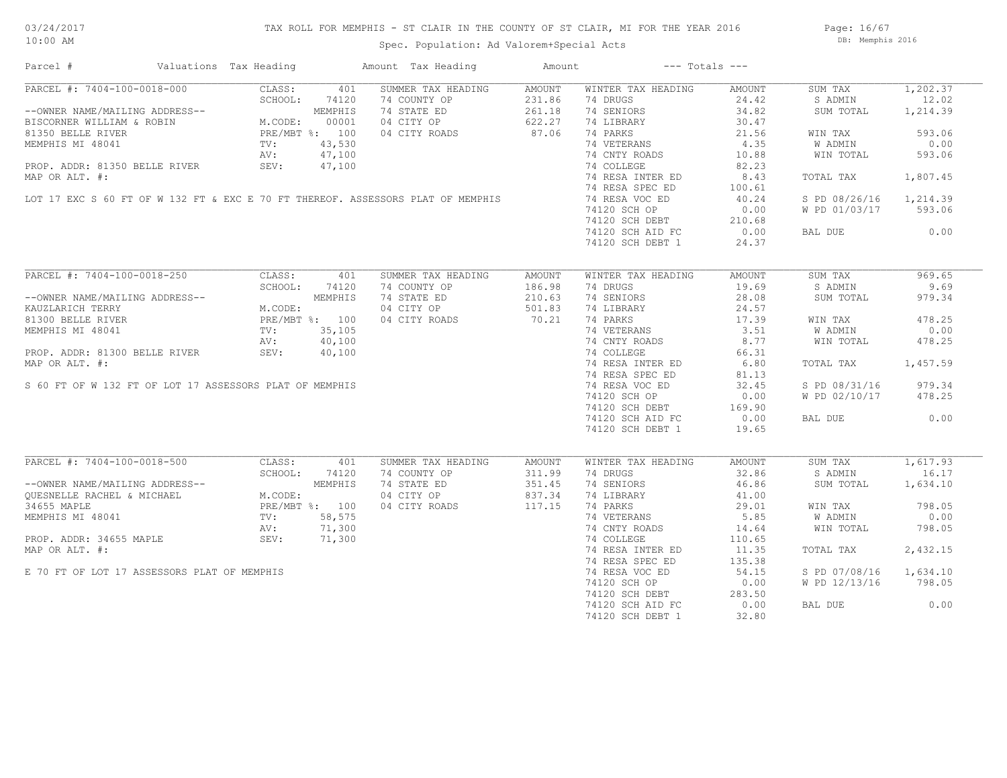## TAX ROLL FOR MEMPHIS - ST CLAIR IN THE COUNTY OF ST CLAIR, MI FOR THE YEAR 2016

Spec. Population: Ad Valorem+Special Acts

Page: 16/67 DB: Memphis 2016

| Parcel #                                                | Valuations Tax Heading |         | Amount Tax Heading                                                              | Amount |                    | $---$ Totals $---$ |               |          |
|---------------------------------------------------------|------------------------|---------|---------------------------------------------------------------------------------|--------|--------------------|--------------------|---------------|----------|
| PARCEL #: 7404-100-0018-000                             | CLASS:                 | 401     | SUMMER TAX HEADING                                                              | AMOUNT | WINTER TAX HEADING | AMOUNT             | SUM TAX       | 1,202.37 |
|                                                         | SCHOOL:                | 74120   | 74 COUNTY OP                                                                    | 231.86 | 74 DRUGS           | 24.42              | S ADMIN       | 12.02    |
| --OWNER NAME/MAILING ADDRESS--                          |                        | MEMPHIS | 74 STATE ED                                                                     | 261.18 | 74 SENIORS         | 34.82              | SUM TOTAL     | 1,214.39 |
| BISCORNER WILLIAM & ROBIN                               | M.CODE:                | 00001   | 04 CITY OP                                                                      | 622.27 | 74 LIBRARY         | 30.47              |               |          |
| 81350 BELLE RIVER                                       | PRE/MBT %: 100         |         | 04 CITY ROADS                                                                   | 87.06  | 74 PARKS           | 21.56              | WIN TAX       | 593.06   |
| MEMPHIS MI 48041                                        | TV:                    | 43,530  |                                                                                 |        | 74 VETERANS        | 4.35               | W ADMIN       | 0.00     |
|                                                         | AV:                    | 47,100  |                                                                                 |        | 74 CNTY ROADS      | 10.88              | WIN TOTAL     | 593.06   |
| PROP. ADDR: 81350 BELLE RIVER                           | SEV:                   | 47,100  |                                                                                 |        | 74 COLLEGE         | 82.23              |               |          |
| MAP OR ALT. #:                                          |                        |         |                                                                                 |        | 74 RESA INTER ED   | 8.43               | TOTAL TAX     | 1,807.45 |
|                                                         |                        |         |                                                                                 |        |                    |                    |               |          |
|                                                         |                        |         |                                                                                 |        | 74 RESA SPEC ED    | 100.61             |               |          |
|                                                         |                        |         | LOT 17 EXC S 60 FT OF W 132 FT & EXC E 70 FT THEREOF. ASSESSORS PLAT OF MEMPHIS |        | 74 RESA VOC ED     | 40.24              | S PD 08/26/16 | 1,214.39 |
|                                                         |                        |         |                                                                                 |        | 74120 SCH OP       | 0.00               | W PD 01/03/17 | 593.06   |
|                                                         |                        |         |                                                                                 |        | 74120 SCH DEBT     | 210.68             |               |          |
|                                                         |                        |         |                                                                                 |        | 74120 SCH AID FC   | 0.00               | BAL DUE       | 0.00     |
|                                                         |                        |         |                                                                                 |        | 74120 SCH DEBT 1   | 24.37              |               |          |
|                                                         |                        |         |                                                                                 |        |                    |                    |               |          |
| PARCEL #: 7404-100-0018-250                             | CLASS:                 | 401     | SUMMER TAX HEADING                                                              | AMOUNT | WINTER TAX HEADING | AMOUNT             | SUM TAX       | 969.65   |
|                                                         | SCHOOL:                | 74120   | 74 COUNTY OP                                                                    | 186.98 | 74 DRUGS           | 19.69              | S ADMIN       | 9.69     |
| --OWNER NAME/MAILING ADDRESS--                          |                        | MEMPHIS | 74 STATE ED                                                                     | 210.63 | 74 SENIORS         | 28.08              | SUM TOTAL     | 979.34   |
| KAUZLARICH TERRY                                        | M.CODE:                |         | 04 CITY OP                                                                      | 501.83 | 74 LIBRARY         | 24.57              |               |          |
| 81300 BELLE RIVER                                       | PRE/MBT %: 100         |         | 04 CITY ROADS                                                                   | 70.21  | 74 PARKS           | 17.39              | WIN TAX       | 478.25   |
| MEMPHIS MI 48041                                        | TV:                    | 35,105  |                                                                                 |        | 74 VETERANS        | 3.51               | W ADMIN       | 0.00     |
|                                                         |                        |         |                                                                                 |        |                    |                    |               |          |
|                                                         | AV:                    | 40,100  |                                                                                 |        | 74 CNTY ROADS      | 8.77               | WIN TOTAL     | 478.25   |
| PROP. ADDR: 81300 BELLE RIVER                           | SEV:                   | 40,100  |                                                                                 |        | 74 COLLEGE         | 66.31              |               |          |
| MAP OR ALT. #:                                          |                        |         |                                                                                 |        | 74 RESA INTER ED   | 6.80               | TOTAL TAX     | 1,457.59 |
|                                                         |                        |         |                                                                                 |        | 74 RESA SPEC ED    | 81.13              |               |          |
| S 60 FT OF W 132 FT OF LOT 17 ASSESSORS PLAT OF MEMPHIS |                        |         |                                                                                 |        | 74 RESA VOC ED     | 32.45              | S PD 08/31/16 | 979.34   |
|                                                         |                        |         |                                                                                 |        | 74120 SCH OP       | 0.00               | W PD 02/10/17 | 478.25   |
|                                                         |                        |         |                                                                                 |        | 74120 SCH DEBT     | 169.90             |               |          |
|                                                         |                        |         |                                                                                 |        | 74120 SCH AID FC   | 0.00               | BAL DUE       | 0.00     |
|                                                         |                        |         |                                                                                 |        | 74120 SCH DEBT 1   | 19.65              |               |          |
|                                                         |                        |         |                                                                                 |        |                    |                    |               |          |
| PARCEL #: 7404-100-0018-500                             | CLASS:                 | 401     | SUMMER TAX HEADING                                                              | AMOUNT | WINTER TAX HEADING | AMOUNT             | SUM TAX       | 1,617.93 |
|                                                         | SCHOOL:                | 74120   | 74 COUNTY OP                                                                    | 311.99 | 74 DRUGS           | 32.86              | S ADMIN       | 16.17    |
| --OWNER NAME/MAILING ADDRESS--                          |                        | MEMPHIS | 74 STATE ED                                                                     | 351.45 | 74 SENIORS         | 46.86              | SUM TOTAL     | 1,634.10 |
| QUESNELLE RACHEL & MICHAEL                              | M.CODE:                |         | 04 CITY OP                                                                      | 837.34 | 74 LIBRARY         | 41.00              |               |          |
| 34655 MAPLE                                             | PRE/MBT %: 100         |         | 04 CITY ROADS                                                                   | 117.15 | 74 PARKS           | 29.01              | WIN TAX       | 798.05   |
|                                                         |                        |         |                                                                                 |        |                    |                    |               | 0.00     |
| MEMPHIS MI 48041                                        | TV:                    | 58,575  |                                                                                 |        | 74 VETERANS        | 5.85               | W ADMIN       |          |
|                                                         | AV:                    | 71,300  |                                                                                 |        | 74 CNTY ROADS      | 14.64              | WIN TOTAL     | 798.05   |
| PROP. ADDR: 34655 MAPLE                                 | SEV:                   | 71,300  |                                                                                 |        | 74 COLLEGE         | 110.65             |               |          |
| MAP OR ALT. #:                                          |                        |         |                                                                                 |        | 74 RESA INTER ED   | 11.35              | TOTAL TAX     | 2,432.15 |
|                                                         |                        |         |                                                                                 |        | 74 RESA SPEC ED    | 135.38             |               |          |
| E 70 FT OF LOT 17 ASSESSORS PLAT OF MEMPHIS             |                        |         |                                                                                 |        | 74 RESA VOC ED     | 54.15              | S PD 07/08/16 | 1,634.10 |
|                                                         |                        |         |                                                                                 |        | 74120 SCH OP       | 0.00               | W PD 12/13/16 | 798.05   |
|                                                         |                        |         |                                                                                 |        | 74120 SCH DEBT     | 283.50             |               |          |
|                                                         |                        |         |                                                                                 |        | 74120 SCH AID FC   | 0.00               | BAL DUE       | 0.00     |
|                                                         |                        |         |                                                                                 |        | 74120 SCH DEBT 1   | 32.80              |               |          |
|                                                         |                        |         |                                                                                 |        |                    |                    |               |          |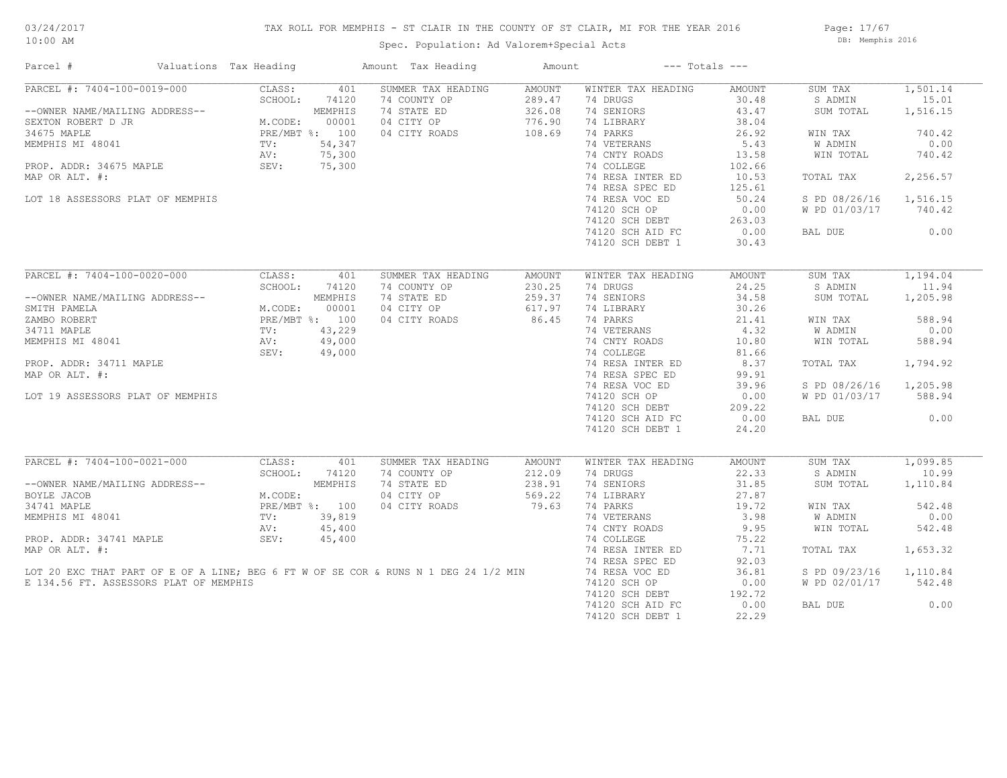## TAX ROLL FOR MEMPHIS - ST CLAIR IN THE COUNTY OF ST CLAIR, MI FOR THE YEAR 2016

Spec. Population: Ad Valorem+Special Acts

Page: 17/67 DB: Memphis 2016

| Parcel #                                                                                                                                                                                                                                           | Valuations Tax Heading    |         | Amount Tax Heading                                                                  | Amount | $---$ Totals $---$           |        |                      |          |
|----------------------------------------------------------------------------------------------------------------------------------------------------------------------------------------------------------------------------------------------------|---------------------------|---------|-------------------------------------------------------------------------------------|--------|------------------------------|--------|----------------------|----------|
| PARCEL #: 7404-100-0019-000                                                                                                                                                                                                                        | CLASS:                    | 401     | SUMMER TAX HEADING                                                                  | AMOUNT | WINTER TAX HEADING           | AMOUNT | SUM TAX              | 1,501.14 |
|                                                                                                                                                                                                                                                    | SCHOOL:                   | 74120   | 74 COUNTY OP                                                                        | 289.47 | 74 DRUGS                     | 30.48  | S ADMIN              | 15.01    |
| --OWNER NAME/MAILING ADDRESS--<br>SEXTON ROBERT D JR<br>MEMPHIS MI 48041<br>MEMPHIS MI 48041<br>MEMPHIS MI 48041<br>PROP. ADDR: 34675 MAPLE<br>PROP. ADDR: 34675 MAPLE<br>PROP. ADDR: 34675 MAPLE<br>SEV: 75,300<br>PROP. ADDR: 34675 MAPLE<br>SEV |                           |         | 74 STATE ED                                                                         | 326.08 | 74 SENIORS                   | 43.47  | SUM TOTAL            | 1,516.15 |
|                                                                                                                                                                                                                                                    |                           |         | 04 CITY OP                                                                          | 776.90 | 74 LIBRARY                   | 38.04  |                      |          |
|                                                                                                                                                                                                                                                    |                           |         | 04 CITY ROADS                                                                       | 108.69 | 74 PARKS                     | 26.92  | WIN TAX              | 740.42   |
|                                                                                                                                                                                                                                                    |                           |         |                                                                                     |        | 74 VETERANS                  | 5.43   | W ADMIN              | 0.00     |
|                                                                                                                                                                                                                                                    |                           |         |                                                                                     |        | 74 CNTY ROADS                | 13.58  | WIN TOTAL            | 740.42   |
|                                                                                                                                                                                                                                                    |                           |         |                                                                                     |        | 74 COLLEGE                   | 102.66 |                      |          |
| MAP OR ALT. #:                                                                                                                                                                                                                                     |                           |         |                                                                                     |        | 74 RESA INTER ED             | 10.53  | TOTAL TAX            | 2,256.57 |
|                                                                                                                                                                                                                                                    |                           |         |                                                                                     |        | 74 RESA SPEC ED              | 125.61 |                      |          |
|                                                                                                                                                                                                                                                    |                           |         |                                                                                     |        |                              |        |                      |          |
| LOT 18 ASSESSORS PLAT OF MEMPHIS                                                                                                                                                                                                                   |                           |         |                                                                                     |        | 74 RESA VOC ED               | 50.24  | S PD 08/26/16        | 1,516.15 |
|                                                                                                                                                                                                                                                    |                           |         |                                                                                     |        | 74120 SCH OP                 | 0.00   | W PD 01/03/17 740.42 |          |
|                                                                                                                                                                                                                                                    |                           |         |                                                                                     |        | 74120 SCH DEBT               | 263.03 |                      |          |
|                                                                                                                                                                                                                                                    |                           |         |                                                                                     |        | 74120 SCH AID FC             | 0.00   | BAL DUE              | 0.00     |
|                                                                                                                                                                                                                                                    |                           |         |                                                                                     |        | 74120 SCH DEBT 1             | 30.43  |                      |          |
|                                                                                                                                                                                                                                                    |                           |         |                                                                                     |        |                              |        |                      |          |
| PARCEL #: 7404-100-0020-000                                                                                                                                                                                                                        | CLASS:                    | 401     | SUMMER TAX HEADING                                                                  | AMOUNT | WINTER TAX HEADING           | AMOUNT | SUM TAX              | 1,194.04 |
|                                                                                                                                                                                                                                                    | SCHOOL:                   | 74120   | 74 COUNTY OP                                                                        | 230.25 | 74 DRUGS                     | 24.25  | S ADMIN              | 11.94    |
|                                                                                                                                                                                                                                                    |                           |         | 74 STATE ED                                                                         | 259.37 | 74 SENIORS                   | 34.58  | SUM TOTAL            | 1,205.98 |
| --OWNER NAME/MAILING ADDRESS--<br>M.CODE: 00001<br>ZAMBO ROBERT PRE/MBT %: 100<br>34711 MAPLE TV: 43,229<br>MEMPHIS MI 48041 AV: 49,000<br>SEV: 49,000                                                                                             |                           |         | 04 CITY OP                                                                          | 617.97 | 74 LIBRARY                   | 30.26  |                      |          |
|                                                                                                                                                                                                                                                    |                           |         |                                                                                     |        | 74 PARKS                     | 21.41  | WIN TAX              | 588.94   |
|                                                                                                                                                                                                                                                    |                           |         |                                                                                     |        |                              | 4.32   | W ADMIN              | 0.00     |
|                                                                                                                                                                                                                                                    |                           |         |                                                                                     |        | 74 VETERANS<br>74 CNTY ROADS | 10.80  | WIN TOTAL            | 588.94   |
|                                                                                                                                                                                                                                                    |                           |         |                                                                                     |        | 74 COLLEGE                   | 81.66  |                      |          |
| PROP. ADDR: 34711 MAPLE                                                                                                                                                                                                                            |                           |         |                                                                                     |        | 74 RESA INTER ED             | 8.37   | TOTAL TAX            | 1,794.92 |
| MAP OR ALT. #:                                                                                                                                                                                                                                     |                           |         |                                                                                     |        | 74 RESA SPEC ED              | 99.91  |                      |          |
|                                                                                                                                                                                                                                                    |                           |         |                                                                                     |        | 74 RESA VOC ED               | 39.96  |                      |          |
|                                                                                                                                                                                                                                                    |                           |         |                                                                                     |        |                              |        | S PD 08/26/16        | 1,205.98 |
| LOT 19 ASSESSORS PLAT OF MEMPHIS                                                                                                                                                                                                                   |                           |         |                                                                                     |        | 74120 SCH OP                 | 0.00   | W PD 01/03/17 588.94 |          |
|                                                                                                                                                                                                                                                    |                           |         |                                                                                     |        | 74120 SCH DEBT               | 209.22 |                      |          |
|                                                                                                                                                                                                                                                    |                           |         |                                                                                     |        | 74120 SCH AID FC             | 0.00   | BAL DUE              | 0.00     |
|                                                                                                                                                                                                                                                    |                           |         | $00001$<br>$\therefore$ 100 04 CITY ROADS<br>43,229<br>49,000<br>49,000             |        | 74120 SCH DEBT 1             | 24.20  |                      |          |
|                                                                                                                                                                                                                                                    |                           |         |                                                                                     |        |                              |        |                      |          |
| PARCEL #: 7404-100-0021-000                                                                                                                                                                                                                        | CLASS:                    | 401     | SUMMER TAX HEADING                                                                  | AMOUNT | WINTER TAX HEADING           | AMOUNT | SUM TAX              | 1,099.85 |
|                                                                                                                                                                                                                                                    | SCHOOL:                   | 74120   | 74 COUNTY OP                                                                        | 212.09 | 74 DRUGS                     | 22.33  | S ADMIN              | 10.99    |
| --OWNER NAME/MAILING ADDRESS--                                                                                                                                                                                                                     |                           | MEMPHIS | 74 STATE ED                                                                         | 238.91 | 74 SENIORS                   | 31.85  | SUM TOTAL            | 1,110.84 |
| BOYLE JACOB                                                                                                                                                                                                                                        | M.CODE:<br>PRE/MBT %: 100 |         | 04 CITY OP                                                                          | 569.22 | 74 LIBRARY                   | 27.87  |                      |          |
| 34741 MAPLE                                                                                                                                                                                                                                        |                           |         | 04 CITY ROADS                                                                       | 79.63  | 74 PARKS                     | 19.72  | WIN TAX              | 542.48   |
| MEMPHIS MI 48041                                                                                                                                                                                                                                   | TV:                       | 39,819  |                                                                                     |        | 74 VETERANS                  | 3.98   | W ADMIN              | 0.00     |
|                                                                                                                                                                                                                                                    | AV:                       | 45,400  |                                                                                     |        | 74 CNTY ROADS                | 9.95   | WIN TOTAL            | 542.48   |
| PROP. ADDR: 34741 MAPLE                                                                                                                                                                                                                            | SEV:                      | 45,400  |                                                                                     |        | 74 COLLEGE                   | 75.22  |                      |          |
| MAP OR ALT. #:                                                                                                                                                                                                                                     |                           |         |                                                                                     |        | 74 RESA INTER ED             | 7.71   | TOTAL TAX            | 1,653.32 |
|                                                                                                                                                                                                                                                    |                           |         |                                                                                     |        | 74 RESA SPEC ED              | 92.03  |                      |          |
|                                                                                                                                                                                                                                                    |                           |         | LOT 20 EXC THAT PART OF E OF A LINE; BEG 6 FT W OF SE COR & RUNS N 1 DEG 24 1/2 MIN |        | 74 RESA VOC ED               | 36.81  | S PD 09/23/16        | 1,110.84 |
| E 134.56 FT. ASSESSORS PLAT OF MEMPHIS                                                                                                                                                                                                             |                           |         |                                                                                     |        | 74120 SCH OP                 | 0.00   | W PD 02/01/17        | 542.48   |
|                                                                                                                                                                                                                                                    |                           |         |                                                                                     |        | 74120 SCH DEBT               | 192.72 |                      |          |
|                                                                                                                                                                                                                                                    |                           |         |                                                                                     |        | 74120 SCH AID FC             | 0.00   | BAL DUE              | 0.00     |
|                                                                                                                                                                                                                                                    |                           |         |                                                                                     |        | 74120 SCH DEBT 1             | 22.29  |                      |          |
|                                                                                                                                                                                                                                                    |                           |         |                                                                                     |        |                              |        |                      |          |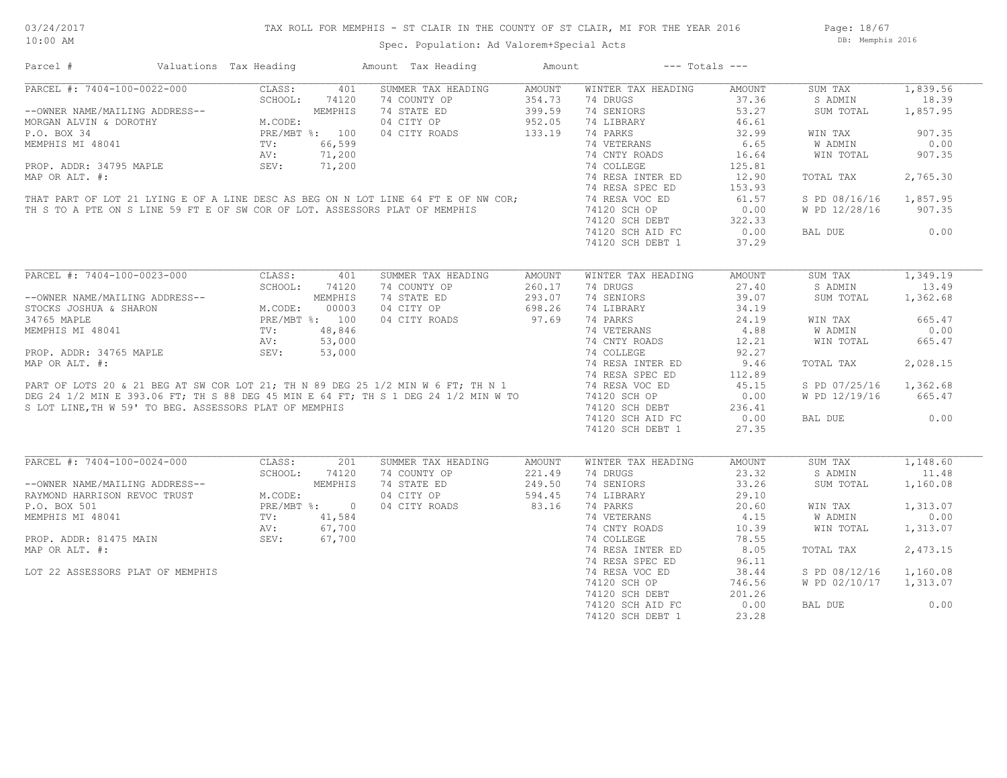Page: 18/67 DB: Memphis 2016

Spec. Population: Ad Valorem+Special Acts

| PARCEL #: 7404-100-0022-000<br>1,839.56<br>CLASS:<br>SUMMER TAX HEADING<br>AMOUNT<br>WINTER TAX HEADING<br>AMOUNT<br>SUM TAX<br>401<br>SCHOOL:<br>74120<br>354.73<br>37.36<br>18.39<br>74 COUNTY OP<br>74 DRUGS<br>S ADMIN<br>MEMPHIS<br>74 STATE ED<br>399.59<br>74 SENIORS<br>53.27<br>1,857.95<br>--OWNER NAME/MAILING ADDRESS--<br>SUM TOTAL<br>$\begin{aligned} \text{M} \\ \text{PRk} \\ \text{TV} \\ \text{TV} \\ \text{N}^{\text{V}} \end{aligned}$<br>04 CITY OP<br>952.05<br>74 LIBRARY<br>46.61<br>MORGAN ALVIN & DOROTHY<br>M.CODE:<br>PRE/MBT %: 100<br>04 CITY ROADS<br>133.19<br>74 PARKS<br>32.99<br>P.O. BOX 34<br>WIN TAX<br>907.35<br>MEMPHIS MI 48041<br>74 VETERANS<br>0.00<br>66,599<br>6.65<br>W ADMIN<br>71,200<br>74 CNTY ROADS<br>907.35<br>16.64<br>WIN TOTAL<br>PROP. ADDR: 34795 MAPLE<br>SEV:<br>71,200<br>74 COLLEGE<br>125.81<br>MAP OR ALT. #:<br>74 RESA INTER ED<br>12.90<br>2,765.30<br>TOTAL TAX<br>THAT PART OF LOT 21 LYING E OF A LINE DESC AS BEG ON N LOT LINE 64 FT E OF NW COR;<br>74 RESA SPEC ED<br>153.93<br>74 RESA VOC ED<br>61.57<br>1,857.95<br>S PD 08/16/16<br>TH S TO A PTE ON S LINE 59 FT E OF SW COR OF LOT. ASSESSORS PLAT OF MEMPHIS<br>0.00<br>W PD 12/28/16<br>907.35<br>74120 SCH OP<br>74120 SCH DEBT<br>322.33<br>74120 SCH AID FC<br>0.00<br>0.00<br>BAL DUE<br>74120 SCH DEBT 1<br>37.29<br>PARCEL #: 7404-100-0023-000<br>1,349.19<br>CLASS:<br>SUMMER TAX HEADING<br>AMOUNT<br>SUM TAX<br>401<br>AMOUNT<br>WINTER TAX HEADING<br>SCHOOL:<br>74120<br>74 COUNTY OP<br>260.17<br>74 DRUGS<br>27.40<br>13.49<br>S ADMIN<br>74 STATE ED<br>293.07<br>74 SENIORS<br>39.07<br>1,362.68<br>--OWNER NAME/MAILING ADDRESS--<br>MEMPHIS<br>SUM TOTAL<br>698.26<br>STOCKS JOSHUA & SHARON<br>M.CODE:<br>00003<br>04 CITY OP<br>74 LIBRARY<br>34.19<br>34765 MAPLE<br>PRE/MBT %: 100<br>04 CITY ROADS<br>97.69<br>74 PARKS<br>24.19<br>665.47<br>WIN TAX<br>MEMPHIS MI 48041<br>48,846<br>74 VETERANS<br>4.88<br>0.00<br>TV:<br>W ADMIN<br>AV:<br>53,000<br>74 CNTY ROADS<br>12.21<br>WIN TOTAL<br>665.47<br>PROP. ADDR: 34765 MAPLE<br>MAP OR ALT. #:<br>PART OF LOTS 20 & 21 BEG AT SW COR LOT 21; TH N 89 DEG 25 1/2 MIN W 6 FT; TH N 1<br>DEG 24 1/2 MIN E 393.06 FT; TH S 1 DEG 24 1/2 MIN W TO<br>SLOT LINE TH W 5.81 TO BEG ASSESSORS PLAT O<br>74 COLLEGE<br>92.27<br>74 RESA INTER ED<br>2,028.15<br>9.46<br>TOTAL TAX<br>74 RESA SPEC ED<br>112.89<br>74 RESA VOC ED<br>45.15<br>S PD 07/25/16<br>1,362.68<br>74120 SCH OP<br>0.00<br>W PD 12/19/16<br>665.47<br>S LOT LINE, TH W 59' TO BEG. ASSESSORS PLAT OF MEMPHIS<br>74120 SCH DEBT<br>236.41<br>0.00<br>74120 SCH AID FC<br>0.00<br>BAL DUE<br>74120 SCH DEBT 1<br>27.35<br>$\overline{\text{PARCH}}$ #: 7404-100-0024-000<br>CLASS:<br>SUMMER TAX HEADING<br>1,148.60<br>201<br>WINTER TAX HEADING<br>AMOUNT<br>SUM TAX<br>AMOUNT<br>SCHOOL:<br>74120<br>74 COUNTY OP<br>221.49<br>74 DRUGS<br>23.32<br>S ADMIN<br>11.48<br>MEMPHIS<br>249.50<br>1,160.08<br>--OWNER NAME/MAILING ADDRESS--<br>74 STATE ED<br>74 SENIORS<br>33.26<br>SUM TOTAL<br>RAYMOND HARRISON REVOC TRUST<br>M.CODE:<br>04 CITY OP<br>594.45<br>74 LIBRARY<br>29.10<br>P.O. BOX 501<br>PRE/MBT %: 0<br>04 CITY ROADS<br>83.16<br>74 PARKS<br>20.60<br>1,313.07<br>WIN TAX<br>74 VETERANS<br>4.15<br><b>W ADMIN</b><br>0.00<br>MEMPHIS MI 48041<br>TV:<br>$41,584$<br>67,700<br>67,700<br>74 CNTY ROADS<br>10.39<br>WIN TOTAL<br>1,313.07<br>AV:<br>PROP. ADDR: 81475 MAIN<br>SEV:<br>74 COLLEGE<br>78.55<br>MAP OR ALT. #:<br>74 RESA INTER ED<br>8.05<br>2,473.15<br>TOTAL TAX<br>74 RESA SPEC ED<br>96.11<br>74 RESA VOC ED<br>LOT 22 ASSESSORS PLAT OF MEMPHIS<br>38.44<br>S PD 08/12/16<br>1,160.08<br>74120 SCH OP<br>746.56<br>W PD 02/10/17<br>1,313.07<br>74120 SCH DEBT<br>201.26 | Parcel # | Valuations Tax Heading | Amount Tax Heading | Amount | $---$ Totals $---$ |       |  |
|-------------------------------------------------------------------------------------------------------------------------------------------------------------------------------------------------------------------------------------------------------------------------------------------------------------------------------------------------------------------------------------------------------------------------------------------------------------------------------------------------------------------------------------------------------------------------------------------------------------------------------------------------------------------------------------------------------------------------------------------------------------------------------------------------------------------------------------------------------------------------------------------------------------------------------------------------------------------------------------------------------------------------------------------------------------------------------------------------------------------------------------------------------------------------------------------------------------------------------------------------------------------------------------------------------------------------------------------------------------------------------------------------------------------------------------------------------------------------------------------------------------------------------------------------------------------------------------------------------------------------------------------------------------------------------------------------------------------------------------------------------------------------------------------------------------------------------------------------------------------------------------------------------------------------------------------------------------------------------------------------------------------------------------------------------------------------------------------------------------------------------------------------------------------------------------------------------------------------------------------------------------------------------------------------------------------------------------------------------------------------------------------------------------------------------------------------------------------------------------------------------------------------------------------------------------------------------------------------------------------------------------------------------------------------------------------------------------------------------------------------------------------------------------------------------------------------------------------------------------------------------------------------------------------------------------------------------------------------------------------------------------------------------------------------------------------------------------------------------------------------------------------------------------------------------------------------------------------------------------------------------------------------------------------------------------------------------------------------------------------------------------------------------------------------------------------------------------------------------------------------------------------------------------------------------------------------------------------------------------------------------------------------------------------------------------------------------------------------------------------------------------------------------------------|----------|------------------------|--------------------|--------|--------------------|-------|--|
|                                                                                                                                                                                                                                                                                                                                                                                                                                                                                                                                                                                                                                                                                                                                                                                                                                                                                                                                                                                                                                                                                                                                                                                                                                                                                                                                                                                                                                                                                                                                                                                                                                                                                                                                                                                                                                                                                                                                                                                                                                                                                                                                                                                                                                                                                                                                                                                                                                                                                                                                                                                                                                                                                                                                                                                                                                                                                                                                                                                                                                                                                                                                                                                                                                                                                                                                                                                                                                                                                                                                                                                                                                                                                                                                                                                           |          |                        |                    |        |                    |       |  |
|                                                                                                                                                                                                                                                                                                                                                                                                                                                                                                                                                                                                                                                                                                                                                                                                                                                                                                                                                                                                                                                                                                                                                                                                                                                                                                                                                                                                                                                                                                                                                                                                                                                                                                                                                                                                                                                                                                                                                                                                                                                                                                                                                                                                                                                                                                                                                                                                                                                                                                                                                                                                                                                                                                                                                                                                                                                                                                                                                                                                                                                                                                                                                                                                                                                                                                                                                                                                                                                                                                                                                                                                                                                                                                                                                                                           |          |                        |                    |        |                    |       |  |
|                                                                                                                                                                                                                                                                                                                                                                                                                                                                                                                                                                                                                                                                                                                                                                                                                                                                                                                                                                                                                                                                                                                                                                                                                                                                                                                                                                                                                                                                                                                                                                                                                                                                                                                                                                                                                                                                                                                                                                                                                                                                                                                                                                                                                                                                                                                                                                                                                                                                                                                                                                                                                                                                                                                                                                                                                                                                                                                                                                                                                                                                                                                                                                                                                                                                                                                                                                                                                                                                                                                                                                                                                                                                                                                                                                                           |          |                        |                    |        |                    |       |  |
|                                                                                                                                                                                                                                                                                                                                                                                                                                                                                                                                                                                                                                                                                                                                                                                                                                                                                                                                                                                                                                                                                                                                                                                                                                                                                                                                                                                                                                                                                                                                                                                                                                                                                                                                                                                                                                                                                                                                                                                                                                                                                                                                                                                                                                                                                                                                                                                                                                                                                                                                                                                                                                                                                                                                                                                                                                                                                                                                                                                                                                                                                                                                                                                                                                                                                                                                                                                                                                                                                                                                                                                                                                                                                                                                                                                           |          |                        |                    |        |                    |       |  |
|                                                                                                                                                                                                                                                                                                                                                                                                                                                                                                                                                                                                                                                                                                                                                                                                                                                                                                                                                                                                                                                                                                                                                                                                                                                                                                                                                                                                                                                                                                                                                                                                                                                                                                                                                                                                                                                                                                                                                                                                                                                                                                                                                                                                                                                                                                                                                                                                                                                                                                                                                                                                                                                                                                                                                                                                                                                                                                                                                                                                                                                                                                                                                                                                                                                                                                                                                                                                                                                                                                                                                                                                                                                                                                                                                                                           |          |                        |                    |        |                    |       |  |
|                                                                                                                                                                                                                                                                                                                                                                                                                                                                                                                                                                                                                                                                                                                                                                                                                                                                                                                                                                                                                                                                                                                                                                                                                                                                                                                                                                                                                                                                                                                                                                                                                                                                                                                                                                                                                                                                                                                                                                                                                                                                                                                                                                                                                                                                                                                                                                                                                                                                                                                                                                                                                                                                                                                                                                                                                                                                                                                                                                                                                                                                                                                                                                                                                                                                                                                                                                                                                                                                                                                                                                                                                                                                                                                                                                                           |          |                        |                    |        |                    |       |  |
|                                                                                                                                                                                                                                                                                                                                                                                                                                                                                                                                                                                                                                                                                                                                                                                                                                                                                                                                                                                                                                                                                                                                                                                                                                                                                                                                                                                                                                                                                                                                                                                                                                                                                                                                                                                                                                                                                                                                                                                                                                                                                                                                                                                                                                                                                                                                                                                                                                                                                                                                                                                                                                                                                                                                                                                                                                                                                                                                                                                                                                                                                                                                                                                                                                                                                                                                                                                                                                                                                                                                                                                                                                                                                                                                                                                           |          |                        |                    |        |                    |       |  |
|                                                                                                                                                                                                                                                                                                                                                                                                                                                                                                                                                                                                                                                                                                                                                                                                                                                                                                                                                                                                                                                                                                                                                                                                                                                                                                                                                                                                                                                                                                                                                                                                                                                                                                                                                                                                                                                                                                                                                                                                                                                                                                                                                                                                                                                                                                                                                                                                                                                                                                                                                                                                                                                                                                                                                                                                                                                                                                                                                                                                                                                                                                                                                                                                                                                                                                                                                                                                                                                                                                                                                                                                                                                                                                                                                                                           |          |                        |                    |        |                    |       |  |
|                                                                                                                                                                                                                                                                                                                                                                                                                                                                                                                                                                                                                                                                                                                                                                                                                                                                                                                                                                                                                                                                                                                                                                                                                                                                                                                                                                                                                                                                                                                                                                                                                                                                                                                                                                                                                                                                                                                                                                                                                                                                                                                                                                                                                                                                                                                                                                                                                                                                                                                                                                                                                                                                                                                                                                                                                                                                                                                                                                                                                                                                                                                                                                                                                                                                                                                                                                                                                                                                                                                                                                                                                                                                                                                                                                                           |          |                        |                    |        |                    |       |  |
|                                                                                                                                                                                                                                                                                                                                                                                                                                                                                                                                                                                                                                                                                                                                                                                                                                                                                                                                                                                                                                                                                                                                                                                                                                                                                                                                                                                                                                                                                                                                                                                                                                                                                                                                                                                                                                                                                                                                                                                                                                                                                                                                                                                                                                                                                                                                                                                                                                                                                                                                                                                                                                                                                                                                                                                                                                                                                                                                                                                                                                                                                                                                                                                                                                                                                                                                                                                                                                                                                                                                                                                                                                                                                                                                                                                           |          |                        |                    |        |                    |       |  |
|                                                                                                                                                                                                                                                                                                                                                                                                                                                                                                                                                                                                                                                                                                                                                                                                                                                                                                                                                                                                                                                                                                                                                                                                                                                                                                                                                                                                                                                                                                                                                                                                                                                                                                                                                                                                                                                                                                                                                                                                                                                                                                                                                                                                                                                                                                                                                                                                                                                                                                                                                                                                                                                                                                                                                                                                                                                                                                                                                                                                                                                                                                                                                                                                                                                                                                                                                                                                                                                                                                                                                                                                                                                                                                                                                                                           |          |                        |                    |        |                    |       |  |
|                                                                                                                                                                                                                                                                                                                                                                                                                                                                                                                                                                                                                                                                                                                                                                                                                                                                                                                                                                                                                                                                                                                                                                                                                                                                                                                                                                                                                                                                                                                                                                                                                                                                                                                                                                                                                                                                                                                                                                                                                                                                                                                                                                                                                                                                                                                                                                                                                                                                                                                                                                                                                                                                                                                                                                                                                                                                                                                                                                                                                                                                                                                                                                                                                                                                                                                                                                                                                                                                                                                                                                                                                                                                                                                                                                                           |          |                        |                    |        |                    |       |  |
|                                                                                                                                                                                                                                                                                                                                                                                                                                                                                                                                                                                                                                                                                                                                                                                                                                                                                                                                                                                                                                                                                                                                                                                                                                                                                                                                                                                                                                                                                                                                                                                                                                                                                                                                                                                                                                                                                                                                                                                                                                                                                                                                                                                                                                                                                                                                                                                                                                                                                                                                                                                                                                                                                                                                                                                                                                                                                                                                                                                                                                                                                                                                                                                                                                                                                                                                                                                                                                                                                                                                                                                                                                                                                                                                                                                           |          |                        |                    |        |                    |       |  |
|                                                                                                                                                                                                                                                                                                                                                                                                                                                                                                                                                                                                                                                                                                                                                                                                                                                                                                                                                                                                                                                                                                                                                                                                                                                                                                                                                                                                                                                                                                                                                                                                                                                                                                                                                                                                                                                                                                                                                                                                                                                                                                                                                                                                                                                                                                                                                                                                                                                                                                                                                                                                                                                                                                                                                                                                                                                                                                                                                                                                                                                                                                                                                                                                                                                                                                                                                                                                                                                                                                                                                                                                                                                                                                                                                                                           |          |                        |                    |        |                    |       |  |
|                                                                                                                                                                                                                                                                                                                                                                                                                                                                                                                                                                                                                                                                                                                                                                                                                                                                                                                                                                                                                                                                                                                                                                                                                                                                                                                                                                                                                                                                                                                                                                                                                                                                                                                                                                                                                                                                                                                                                                                                                                                                                                                                                                                                                                                                                                                                                                                                                                                                                                                                                                                                                                                                                                                                                                                                                                                                                                                                                                                                                                                                                                                                                                                                                                                                                                                                                                                                                                                                                                                                                                                                                                                                                                                                                                                           |          |                        |                    |        |                    |       |  |
|                                                                                                                                                                                                                                                                                                                                                                                                                                                                                                                                                                                                                                                                                                                                                                                                                                                                                                                                                                                                                                                                                                                                                                                                                                                                                                                                                                                                                                                                                                                                                                                                                                                                                                                                                                                                                                                                                                                                                                                                                                                                                                                                                                                                                                                                                                                                                                                                                                                                                                                                                                                                                                                                                                                                                                                                                                                                                                                                                                                                                                                                                                                                                                                                                                                                                                                                                                                                                                                                                                                                                                                                                                                                                                                                                                                           |          |                        |                    |        |                    |       |  |
|                                                                                                                                                                                                                                                                                                                                                                                                                                                                                                                                                                                                                                                                                                                                                                                                                                                                                                                                                                                                                                                                                                                                                                                                                                                                                                                                                                                                                                                                                                                                                                                                                                                                                                                                                                                                                                                                                                                                                                                                                                                                                                                                                                                                                                                                                                                                                                                                                                                                                                                                                                                                                                                                                                                                                                                                                                                                                                                                                                                                                                                                                                                                                                                                                                                                                                                                                                                                                                                                                                                                                                                                                                                                                                                                                                                           |          |                        |                    |        |                    |       |  |
|                                                                                                                                                                                                                                                                                                                                                                                                                                                                                                                                                                                                                                                                                                                                                                                                                                                                                                                                                                                                                                                                                                                                                                                                                                                                                                                                                                                                                                                                                                                                                                                                                                                                                                                                                                                                                                                                                                                                                                                                                                                                                                                                                                                                                                                                                                                                                                                                                                                                                                                                                                                                                                                                                                                                                                                                                                                                                                                                                                                                                                                                                                                                                                                                                                                                                                                                                                                                                                                                                                                                                                                                                                                                                                                                                                                           |          |                        |                    |        |                    |       |  |
|                                                                                                                                                                                                                                                                                                                                                                                                                                                                                                                                                                                                                                                                                                                                                                                                                                                                                                                                                                                                                                                                                                                                                                                                                                                                                                                                                                                                                                                                                                                                                                                                                                                                                                                                                                                                                                                                                                                                                                                                                                                                                                                                                                                                                                                                                                                                                                                                                                                                                                                                                                                                                                                                                                                                                                                                                                                                                                                                                                                                                                                                                                                                                                                                                                                                                                                                                                                                                                                                                                                                                                                                                                                                                                                                                                                           |          |                        |                    |        |                    |       |  |
|                                                                                                                                                                                                                                                                                                                                                                                                                                                                                                                                                                                                                                                                                                                                                                                                                                                                                                                                                                                                                                                                                                                                                                                                                                                                                                                                                                                                                                                                                                                                                                                                                                                                                                                                                                                                                                                                                                                                                                                                                                                                                                                                                                                                                                                                                                                                                                                                                                                                                                                                                                                                                                                                                                                                                                                                                                                                                                                                                                                                                                                                                                                                                                                                                                                                                                                                                                                                                                                                                                                                                                                                                                                                                                                                                                                           |          |                        |                    |        |                    |       |  |
|                                                                                                                                                                                                                                                                                                                                                                                                                                                                                                                                                                                                                                                                                                                                                                                                                                                                                                                                                                                                                                                                                                                                                                                                                                                                                                                                                                                                                                                                                                                                                                                                                                                                                                                                                                                                                                                                                                                                                                                                                                                                                                                                                                                                                                                                                                                                                                                                                                                                                                                                                                                                                                                                                                                                                                                                                                                                                                                                                                                                                                                                                                                                                                                                                                                                                                                                                                                                                                                                                                                                                                                                                                                                                                                                                                                           |          |                        |                    |        |                    |       |  |
|                                                                                                                                                                                                                                                                                                                                                                                                                                                                                                                                                                                                                                                                                                                                                                                                                                                                                                                                                                                                                                                                                                                                                                                                                                                                                                                                                                                                                                                                                                                                                                                                                                                                                                                                                                                                                                                                                                                                                                                                                                                                                                                                                                                                                                                                                                                                                                                                                                                                                                                                                                                                                                                                                                                                                                                                                                                                                                                                                                                                                                                                                                                                                                                                                                                                                                                                                                                                                                                                                                                                                                                                                                                                                                                                                                                           |          |                        |                    |        |                    |       |  |
|                                                                                                                                                                                                                                                                                                                                                                                                                                                                                                                                                                                                                                                                                                                                                                                                                                                                                                                                                                                                                                                                                                                                                                                                                                                                                                                                                                                                                                                                                                                                                                                                                                                                                                                                                                                                                                                                                                                                                                                                                                                                                                                                                                                                                                                                                                                                                                                                                                                                                                                                                                                                                                                                                                                                                                                                                                                                                                                                                                                                                                                                                                                                                                                                                                                                                                                                                                                                                                                                                                                                                                                                                                                                                                                                                                                           |          |                        |                    |        |                    |       |  |
|                                                                                                                                                                                                                                                                                                                                                                                                                                                                                                                                                                                                                                                                                                                                                                                                                                                                                                                                                                                                                                                                                                                                                                                                                                                                                                                                                                                                                                                                                                                                                                                                                                                                                                                                                                                                                                                                                                                                                                                                                                                                                                                                                                                                                                                                                                                                                                                                                                                                                                                                                                                                                                                                                                                                                                                                                                                                                                                                                                                                                                                                                                                                                                                                                                                                                                                                                                                                                                                                                                                                                                                                                                                                                                                                                                                           |          |                        |                    |        |                    |       |  |
|                                                                                                                                                                                                                                                                                                                                                                                                                                                                                                                                                                                                                                                                                                                                                                                                                                                                                                                                                                                                                                                                                                                                                                                                                                                                                                                                                                                                                                                                                                                                                                                                                                                                                                                                                                                                                                                                                                                                                                                                                                                                                                                                                                                                                                                                                                                                                                                                                                                                                                                                                                                                                                                                                                                                                                                                                                                                                                                                                                                                                                                                                                                                                                                                                                                                                                                                                                                                                                                                                                                                                                                                                                                                                                                                                                                           |          |                        |                    |        |                    |       |  |
|                                                                                                                                                                                                                                                                                                                                                                                                                                                                                                                                                                                                                                                                                                                                                                                                                                                                                                                                                                                                                                                                                                                                                                                                                                                                                                                                                                                                                                                                                                                                                                                                                                                                                                                                                                                                                                                                                                                                                                                                                                                                                                                                                                                                                                                                                                                                                                                                                                                                                                                                                                                                                                                                                                                                                                                                                                                                                                                                                                                                                                                                                                                                                                                                                                                                                                                                                                                                                                                                                                                                                                                                                                                                                                                                                                                           |          |                        |                    |        |                    |       |  |
|                                                                                                                                                                                                                                                                                                                                                                                                                                                                                                                                                                                                                                                                                                                                                                                                                                                                                                                                                                                                                                                                                                                                                                                                                                                                                                                                                                                                                                                                                                                                                                                                                                                                                                                                                                                                                                                                                                                                                                                                                                                                                                                                                                                                                                                                                                                                                                                                                                                                                                                                                                                                                                                                                                                                                                                                                                                                                                                                                                                                                                                                                                                                                                                                                                                                                                                                                                                                                                                                                                                                                                                                                                                                                                                                                                                           |          |                        |                    |        |                    |       |  |
|                                                                                                                                                                                                                                                                                                                                                                                                                                                                                                                                                                                                                                                                                                                                                                                                                                                                                                                                                                                                                                                                                                                                                                                                                                                                                                                                                                                                                                                                                                                                                                                                                                                                                                                                                                                                                                                                                                                                                                                                                                                                                                                                                                                                                                                                                                                                                                                                                                                                                                                                                                                                                                                                                                                                                                                                                                                                                                                                                                                                                                                                                                                                                                                                                                                                                                                                                                                                                                                                                                                                                                                                                                                                                                                                                                                           |          |                        |                    |        |                    |       |  |
|                                                                                                                                                                                                                                                                                                                                                                                                                                                                                                                                                                                                                                                                                                                                                                                                                                                                                                                                                                                                                                                                                                                                                                                                                                                                                                                                                                                                                                                                                                                                                                                                                                                                                                                                                                                                                                                                                                                                                                                                                                                                                                                                                                                                                                                                                                                                                                                                                                                                                                                                                                                                                                                                                                                                                                                                                                                                                                                                                                                                                                                                                                                                                                                                                                                                                                                                                                                                                                                                                                                                                                                                                                                                                                                                                                                           |          |                        |                    |        |                    |       |  |
|                                                                                                                                                                                                                                                                                                                                                                                                                                                                                                                                                                                                                                                                                                                                                                                                                                                                                                                                                                                                                                                                                                                                                                                                                                                                                                                                                                                                                                                                                                                                                                                                                                                                                                                                                                                                                                                                                                                                                                                                                                                                                                                                                                                                                                                                                                                                                                                                                                                                                                                                                                                                                                                                                                                                                                                                                                                                                                                                                                                                                                                                                                                                                                                                                                                                                                                                                                                                                                                                                                                                                                                                                                                                                                                                                                                           |          |                        |                    |        |                    |       |  |
|                                                                                                                                                                                                                                                                                                                                                                                                                                                                                                                                                                                                                                                                                                                                                                                                                                                                                                                                                                                                                                                                                                                                                                                                                                                                                                                                                                                                                                                                                                                                                                                                                                                                                                                                                                                                                                                                                                                                                                                                                                                                                                                                                                                                                                                                                                                                                                                                                                                                                                                                                                                                                                                                                                                                                                                                                                                                                                                                                                                                                                                                                                                                                                                                                                                                                                                                                                                                                                                                                                                                                                                                                                                                                                                                                                                           |          |                        |                    |        |                    |       |  |
|                                                                                                                                                                                                                                                                                                                                                                                                                                                                                                                                                                                                                                                                                                                                                                                                                                                                                                                                                                                                                                                                                                                                                                                                                                                                                                                                                                                                                                                                                                                                                                                                                                                                                                                                                                                                                                                                                                                                                                                                                                                                                                                                                                                                                                                                                                                                                                                                                                                                                                                                                                                                                                                                                                                                                                                                                                                                                                                                                                                                                                                                                                                                                                                                                                                                                                                                                                                                                                                                                                                                                                                                                                                                                                                                                                                           |          |                        |                    |        |                    |       |  |
|                                                                                                                                                                                                                                                                                                                                                                                                                                                                                                                                                                                                                                                                                                                                                                                                                                                                                                                                                                                                                                                                                                                                                                                                                                                                                                                                                                                                                                                                                                                                                                                                                                                                                                                                                                                                                                                                                                                                                                                                                                                                                                                                                                                                                                                                                                                                                                                                                                                                                                                                                                                                                                                                                                                                                                                                                                                                                                                                                                                                                                                                                                                                                                                                                                                                                                                                                                                                                                                                                                                                                                                                                                                                                                                                                                                           |          |                        |                    |        |                    |       |  |
|                                                                                                                                                                                                                                                                                                                                                                                                                                                                                                                                                                                                                                                                                                                                                                                                                                                                                                                                                                                                                                                                                                                                                                                                                                                                                                                                                                                                                                                                                                                                                                                                                                                                                                                                                                                                                                                                                                                                                                                                                                                                                                                                                                                                                                                                                                                                                                                                                                                                                                                                                                                                                                                                                                                                                                                                                                                                                                                                                                                                                                                                                                                                                                                                                                                                                                                                                                                                                                                                                                                                                                                                                                                                                                                                                                                           |          |                        |                    |        |                    |       |  |
|                                                                                                                                                                                                                                                                                                                                                                                                                                                                                                                                                                                                                                                                                                                                                                                                                                                                                                                                                                                                                                                                                                                                                                                                                                                                                                                                                                                                                                                                                                                                                                                                                                                                                                                                                                                                                                                                                                                                                                                                                                                                                                                                                                                                                                                                                                                                                                                                                                                                                                                                                                                                                                                                                                                                                                                                                                                                                                                                                                                                                                                                                                                                                                                                                                                                                                                                                                                                                                                                                                                                                                                                                                                                                                                                                                                           |          |                        |                    |        |                    |       |  |
|                                                                                                                                                                                                                                                                                                                                                                                                                                                                                                                                                                                                                                                                                                                                                                                                                                                                                                                                                                                                                                                                                                                                                                                                                                                                                                                                                                                                                                                                                                                                                                                                                                                                                                                                                                                                                                                                                                                                                                                                                                                                                                                                                                                                                                                                                                                                                                                                                                                                                                                                                                                                                                                                                                                                                                                                                                                                                                                                                                                                                                                                                                                                                                                                                                                                                                                                                                                                                                                                                                                                                                                                                                                                                                                                                                                           |          |                        |                    |        |                    |       |  |
|                                                                                                                                                                                                                                                                                                                                                                                                                                                                                                                                                                                                                                                                                                                                                                                                                                                                                                                                                                                                                                                                                                                                                                                                                                                                                                                                                                                                                                                                                                                                                                                                                                                                                                                                                                                                                                                                                                                                                                                                                                                                                                                                                                                                                                                                                                                                                                                                                                                                                                                                                                                                                                                                                                                                                                                                                                                                                                                                                                                                                                                                                                                                                                                                                                                                                                                                                                                                                                                                                                                                                                                                                                                                                                                                                                                           |          |                        |                    |        |                    |       |  |
|                                                                                                                                                                                                                                                                                                                                                                                                                                                                                                                                                                                                                                                                                                                                                                                                                                                                                                                                                                                                                                                                                                                                                                                                                                                                                                                                                                                                                                                                                                                                                                                                                                                                                                                                                                                                                                                                                                                                                                                                                                                                                                                                                                                                                                                                                                                                                                                                                                                                                                                                                                                                                                                                                                                                                                                                                                                                                                                                                                                                                                                                                                                                                                                                                                                                                                                                                                                                                                                                                                                                                                                                                                                                                                                                                                                           |          |                        |                    |        |                    |       |  |
|                                                                                                                                                                                                                                                                                                                                                                                                                                                                                                                                                                                                                                                                                                                                                                                                                                                                                                                                                                                                                                                                                                                                                                                                                                                                                                                                                                                                                                                                                                                                                                                                                                                                                                                                                                                                                                                                                                                                                                                                                                                                                                                                                                                                                                                                                                                                                                                                                                                                                                                                                                                                                                                                                                                                                                                                                                                                                                                                                                                                                                                                                                                                                                                                                                                                                                                                                                                                                                                                                                                                                                                                                                                                                                                                                                                           |          |                        |                    |        |                    |       |  |
|                                                                                                                                                                                                                                                                                                                                                                                                                                                                                                                                                                                                                                                                                                                                                                                                                                                                                                                                                                                                                                                                                                                                                                                                                                                                                                                                                                                                                                                                                                                                                                                                                                                                                                                                                                                                                                                                                                                                                                                                                                                                                                                                                                                                                                                                                                                                                                                                                                                                                                                                                                                                                                                                                                                                                                                                                                                                                                                                                                                                                                                                                                                                                                                                                                                                                                                                                                                                                                                                                                                                                                                                                                                                                                                                                                                           |          |                        |                    |        |                    |       |  |
|                                                                                                                                                                                                                                                                                                                                                                                                                                                                                                                                                                                                                                                                                                                                                                                                                                                                                                                                                                                                                                                                                                                                                                                                                                                                                                                                                                                                                                                                                                                                                                                                                                                                                                                                                                                                                                                                                                                                                                                                                                                                                                                                                                                                                                                                                                                                                                                                                                                                                                                                                                                                                                                                                                                                                                                                                                                                                                                                                                                                                                                                                                                                                                                                                                                                                                                                                                                                                                                                                                                                                                                                                                                                                                                                                                                           |          |                        |                    |        |                    |       |  |
|                                                                                                                                                                                                                                                                                                                                                                                                                                                                                                                                                                                                                                                                                                                                                                                                                                                                                                                                                                                                                                                                                                                                                                                                                                                                                                                                                                                                                                                                                                                                                                                                                                                                                                                                                                                                                                                                                                                                                                                                                                                                                                                                                                                                                                                                                                                                                                                                                                                                                                                                                                                                                                                                                                                                                                                                                                                                                                                                                                                                                                                                                                                                                                                                                                                                                                                                                                                                                                                                                                                                                                                                                                                                                                                                                                                           |          |                        |                    |        |                    |       |  |
|                                                                                                                                                                                                                                                                                                                                                                                                                                                                                                                                                                                                                                                                                                                                                                                                                                                                                                                                                                                                                                                                                                                                                                                                                                                                                                                                                                                                                                                                                                                                                                                                                                                                                                                                                                                                                                                                                                                                                                                                                                                                                                                                                                                                                                                                                                                                                                                                                                                                                                                                                                                                                                                                                                                                                                                                                                                                                                                                                                                                                                                                                                                                                                                                                                                                                                                                                                                                                                                                                                                                                                                                                                                                                                                                                                                           |          |                        |                    |        |                    |       |  |
|                                                                                                                                                                                                                                                                                                                                                                                                                                                                                                                                                                                                                                                                                                                                                                                                                                                                                                                                                                                                                                                                                                                                                                                                                                                                                                                                                                                                                                                                                                                                                                                                                                                                                                                                                                                                                                                                                                                                                                                                                                                                                                                                                                                                                                                                                                                                                                                                                                                                                                                                                                                                                                                                                                                                                                                                                                                                                                                                                                                                                                                                                                                                                                                                                                                                                                                                                                                                                                                                                                                                                                                                                                                                                                                                                                                           |          |                        |                    |        |                    |       |  |
|                                                                                                                                                                                                                                                                                                                                                                                                                                                                                                                                                                                                                                                                                                                                                                                                                                                                                                                                                                                                                                                                                                                                                                                                                                                                                                                                                                                                                                                                                                                                                                                                                                                                                                                                                                                                                                                                                                                                                                                                                                                                                                                                                                                                                                                                                                                                                                                                                                                                                                                                                                                                                                                                                                                                                                                                                                                                                                                                                                                                                                                                                                                                                                                                                                                                                                                                                                                                                                                                                                                                                                                                                                                                                                                                                                                           |          |                        |                    |        |                    |       |  |
|                                                                                                                                                                                                                                                                                                                                                                                                                                                                                                                                                                                                                                                                                                                                                                                                                                                                                                                                                                                                                                                                                                                                                                                                                                                                                                                                                                                                                                                                                                                                                                                                                                                                                                                                                                                                                                                                                                                                                                                                                                                                                                                                                                                                                                                                                                                                                                                                                                                                                                                                                                                                                                                                                                                                                                                                                                                                                                                                                                                                                                                                                                                                                                                                                                                                                                                                                                                                                                                                                                                                                                                                                                                                                                                                                                                           |          |                        |                    |        |                    |       |  |
|                                                                                                                                                                                                                                                                                                                                                                                                                                                                                                                                                                                                                                                                                                                                                                                                                                                                                                                                                                                                                                                                                                                                                                                                                                                                                                                                                                                                                                                                                                                                                                                                                                                                                                                                                                                                                                                                                                                                                                                                                                                                                                                                                                                                                                                                                                                                                                                                                                                                                                                                                                                                                                                                                                                                                                                                                                                                                                                                                                                                                                                                                                                                                                                                                                                                                                                                                                                                                                                                                                                                                                                                                                                                                                                                                                                           |          |                        |                    |        |                    |       |  |
| 0.00<br>BAL DUE<br>0.00<br>74120 SCH AID FC                                                                                                                                                                                                                                                                                                                                                                                                                                                                                                                                                                                                                                                                                                                                                                                                                                                                                                                                                                                                                                                                                                                                                                                                                                                                                                                                                                                                                                                                                                                                                                                                                                                                                                                                                                                                                                                                                                                                                                                                                                                                                                                                                                                                                                                                                                                                                                                                                                                                                                                                                                                                                                                                                                                                                                                                                                                                                                                                                                                                                                                                                                                                                                                                                                                                                                                                                                                                                                                                                                                                                                                                                                                                                                                                               |          |                        |                    |        |                    |       |  |
|                                                                                                                                                                                                                                                                                                                                                                                                                                                                                                                                                                                                                                                                                                                                                                                                                                                                                                                                                                                                                                                                                                                                                                                                                                                                                                                                                                                                                                                                                                                                                                                                                                                                                                                                                                                                                                                                                                                                                                                                                                                                                                                                                                                                                                                                                                                                                                                                                                                                                                                                                                                                                                                                                                                                                                                                                                                                                                                                                                                                                                                                                                                                                                                                                                                                                                                                                                                                                                                                                                                                                                                                                                                                                                                                                                                           |          |                        |                    |        | 74120 SCH DEBT 1   | 23.28 |  |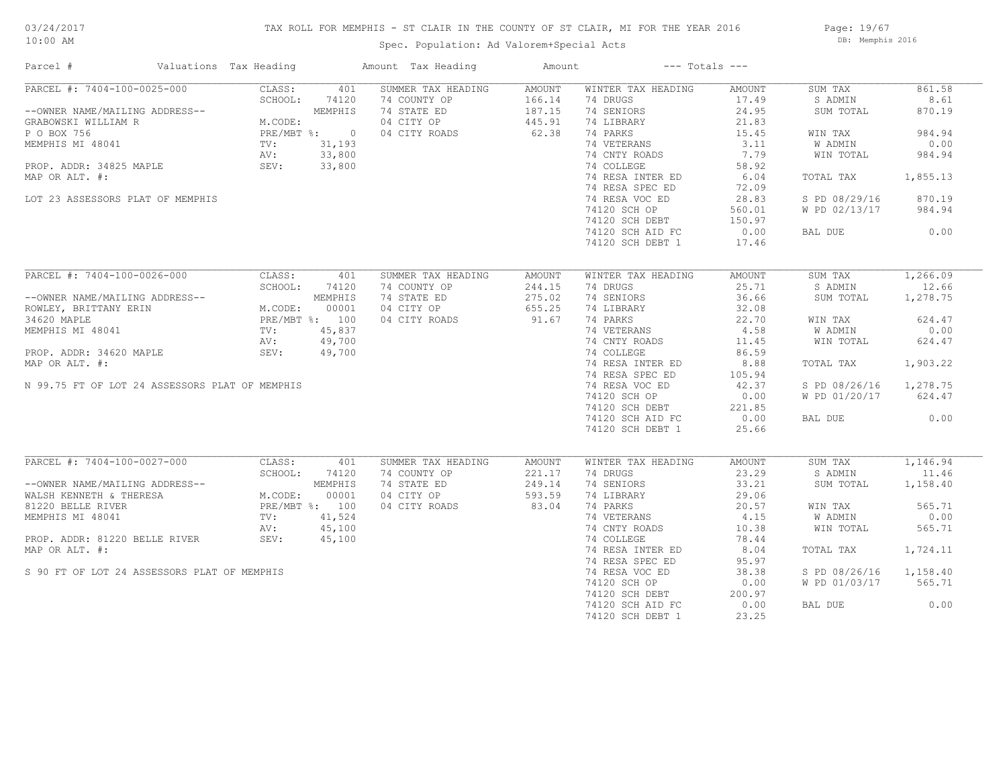## TAX ROLL FOR MEMPHIS - ST CLAIR IN THE COUNTY OF ST CLAIR, MI FOR THE YEAR 2016

Spec. Population: Ad Valorem+Special Acts

Page: 19/67 DB: Memphis 2016

| PARCEL #: 7404-100-0025-000<br>CLASS:<br>401<br>SUMMER TAX HEADING<br>AMOUNT<br>WINTER TAX HEADING<br>SUM TAX<br>AMOUNT | 861.58   |
|-------------------------------------------------------------------------------------------------------------------------|----------|
| 74 DRUGS<br>SCHOOL:<br>74120<br>74 COUNTY OP<br>166.14<br>17.49<br>S ADMIN                                              | 8.61     |
| MEMPHIS<br>74 STATE ED<br>187.15<br>74 SENIORS<br>24.95<br>--OWNER NAME/MAILING ADDRESS--<br>SUM TOTAL                  | 870.19   |
| GRABOWSKI WILLIAM R<br>M.CODE:<br>04 CITY OP<br>445.91<br>74 LIBRARY<br>21.83                                           |          |
| 62.38<br>P O BOX 756<br>74 PARKS<br>PRE/MBT %: 0<br>04 CITY ROADS<br>15.45<br>WIN TAX                                   | 984.94   |
| 74 VETERANS<br>3.11<br>W ADMIN<br>MEMPHIS MI 48041<br>TV:<br>31,193                                                     | 0.00     |
| 33,800<br>74 CNTY ROADS<br>7.79<br>AV:<br>WIN TOTAL                                                                     | 984.94   |
| 33,800<br>74 COLLEGE<br>58.92<br>PROP. ADDR: 34825 MAPLE<br>SEV:                                                        |          |
| 74 RESA INTER ED<br>6.04<br>MAP OR ALT. #:<br>TOTAL TAX                                                                 | 1,855.13 |
| 74 RESA SPEC ED<br>72.09                                                                                                |          |
| LOT 23 ASSESSORS PLAT OF MEMPHIS<br>74 RESA VOC ED<br>28.83<br>S PD 08/29/16                                            | 870.19   |
| 74120 SCH OP<br>560.01<br>W PD 02/13/17                                                                                 | 984.94   |
|                                                                                                                         |          |
| 74120 SCH DEBT<br>150.97                                                                                                |          |
| 74120 SCH AID FC<br>0.00<br>BAL DUE                                                                                     | 0.00     |
| 74120 SCH DEBT 1<br>17.46                                                                                               |          |
|                                                                                                                         |          |
| PARCEL #: 7404-100-0026-000<br>CLASS:<br>401<br>SUMMER TAX HEADING<br>AMOUNT<br>WINTER TAX HEADING<br>AMOUNT<br>SUM TAX | 1,266.09 |
| SCHOOL:<br>74120<br>74 COUNTY OP<br>244.15<br>74 DRUGS<br>25.71<br>S ADMIN                                              | 12.66    |
| MEMPHIS<br>74 STATE ED<br>275.02<br>74 SENIORS<br>36.66<br>--OWNER NAME/MAILING ADDRESS--<br>SUM TOTAL                  | 1,278.75 |
| M.CODE: 00001<br>PRE/MBT %: 100<br>655.25<br>04 CITY OP<br>74 LIBRARY<br>32.08<br>ROWLEY, BRITTANY ERIN                 |          |
| 34620 MAPLE<br>04 CITY ROADS<br>91.67<br>74 PARKS<br>22.70<br>WIN TAX                                                   | 624.47   |
| 74 VETERANS<br>4.58<br>MEMPHIS MI 48041<br>TV:<br>45,837<br>W ADMIN                                                     | 0.00     |
| 49,700<br>74 CNTY ROADS<br>AV:<br>11.45<br>WIN TOTAL                                                                    | 624.47   |
| 74 COLLEGE<br>86.59<br>PROP. ADDR: 34620 MAPLE<br>SEV:<br>49,700                                                        |          |
| 74 RESA INTER ED<br>MAP OR ALT. #:<br>8.88<br>TOTAL TAX                                                                 | 1,903.22 |
| 74 RESA SPEC ED<br>105.94                                                                                               |          |
| N 99.75 FT OF LOT 24 ASSESSORS PLAT OF MEMPHIS<br>74 RESA VOC ED<br>42.37<br>S PD 08/26/16                              | 1,278.75 |
| 74120 SCH OP<br>0.00<br>W PD 01/20/17                                                                                   | 624.47   |
| 221.85                                                                                                                  |          |
| 74120 SCH DEBT<br>0.00                                                                                                  | 0.00     |
| 74120 SCH AID FC<br>BAL DUE                                                                                             |          |
| 74120 SCH DEBT 1<br>25.66                                                                                               |          |
| PARCEL #: 7404-100-0027-000<br>CLASS:<br>SUMMER TAX HEADING<br>WINTER TAX HEADING<br>AMOUNT<br>SUM TAX<br>401<br>AMOUNT | 1,146.94 |
| SCHOOL:<br>74120<br>74 COUNTY OP<br>221.17<br>74 DRUGS<br>23.29<br>S ADMIN                                              | 11.46    |
| MEMPHIS<br>74 STATE ED<br>249.14<br>74 SENIORS<br>--OWNER NAME/MAILING ADDRESS--<br>33.21<br>SUM TOTAL                  | 1,158.40 |
| 593.59                                                                                                                  |          |
| M.CODE:<br>00001<br>04 CITY OP<br>74 LIBRARY<br>29.06<br>WALSH KENNETH & THERESA                                        |          |
| 83.04<br>PRE/MBT %: 100<br>04 CITY ROADS<br>74 PARKS<br>20.57<br>81220 BELLE RIVER<br>WIN TAX                           | 565.71   |
| 74 VETERANS<br>4.15<br>MEMPHIS MI 48041<br>TV:<br>41,524<br>W ADMIN                                                     | 0.00     |
| 45,100<br>74 CNTY ROADS<br>10.38<br>AV:<br>WIN TOTAL                                                                    | 565.71   |
| SEV:<br>PROP. ADDR: 81220 BELLE RIVER<br>74 COLLEGE<br>45,100<br>78.44                                                  |          |
| MAP OR ALT. #:<br>74 RESA INTER ED<br>8.04<br>TOTAL TAX                                                                 | 1,724.11 |
| 74 RESA SPEC ED<br>95.97                                                                                                |          |
| S 90 FT OF LOT 24 ASSESSORS PLAT OF MEMPHIS<br>74 RESA VOC ED<br>38.38<br>S PD 08/26/16                                 | 1,158.40 |
| 74120 SCH OP<br>0.00<br>W PD 01/03/17                                                                                   | 565.71   |
| 74120 SCH DEBT<br>200.97                                                                                                |          |
| 74120 SCH AID FC<br>0.00<br>BAL DUE                                                                                     | 0.00     |
| 74120 SCH DEBT 1<br>23.25                                                                                               |          |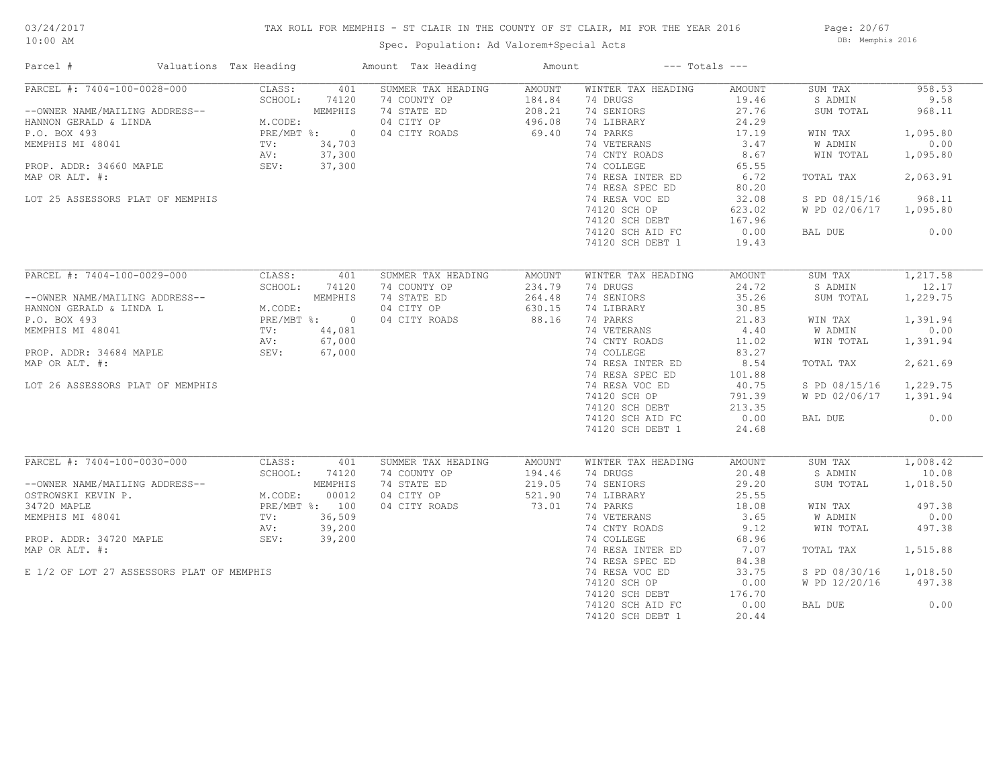## TAX ROLL FOR MEMPHIS - ST CLAIR IN THE COUNTY OF ST CLAIR, MI FOR THE YEAR 2016

Spec. Population: Ad Valorem+Special Acts

Page: 20/67 DB: Memphis 2016

| Parcel #                                  | Valuations Tax Heading  |         | Amount Tax Heading | Amount |                    | $---$ Totals $---$ |               |          |
|-------------------------------------------|-------------------------|---------|--------------------|--------|--------------------|--------------------|---------------|----------|
| PARCEL #: 7404-100-0028-000               | CLASS:                  | 401     | SUMMER TAX HEADING | AMOUNT | WINTER TAX HEADING | AMOUNT             | SUM TAX       | 958.53   |
|                                           | SCHOOL:                 | 74120   | 74 COUNTY OP       | 184.84 | 74 DRUGS           | 19.46              | S ADMIN       | 9.58     |
| --OWNER NAME/MAILING ADDRESS--            |                         | MEMPHIS | 74 STATE ED        | 208.21 | 74 SENIORS         | 27.76              | SUM TOTAL     | 968.11   |
| HANNON GERALD & LINDA                     | M.CODE:                 |         | 04 CITY OP         | 496.08 | 74 LIBRARY         | 24.29              |               |          |
| P.O. BOX 493                              | PRE/MBT %: 0            |         | 04 CITY ROADS      | 69.40  | 74 PARKS           | 17.19              | WIN TAX       | 1,095.80 |
| MEMPHIS MI 48041                          | TV:                     | 34,703  |                    |        | 74 VETERANS        | 3.47               | W ADMIN       | 0.00     |
|                                           | AV:                     | 37,300  |                    |        | 74 CNTY ROADS      | 8.67               | WIN TOTAL     | 1,095.80 |
| PROP. ADDR: 34660 MAPLE                   | SEV:                    | 37,300  |                    |        | 74 COLLEGE         | 65.55              |               |          |
| MAP OR ALT. #:                            |                         |         |                    |        | 74 RESA INTER ED   | 6.72               | TOTAL TAX     | 2,063.91 |
|                                           |                         |         |                    |        | 74 RESA SPEC ED    | 80.20              |               |          |
| LOT 25 ASSESSORS PLAT OF MEMPHIS          |                         |         |                    |        | 74 RESA VOC ED     | 32.08              | S PD 08/15/16 | 968.11   |
|                                           |                         |         |                    |        | 74120 SCH OP       | 623.02             | W PD 02/06/17 | 1,095.80 |
|                                           |                         |         |                    |        | 74120 SCH DEBT     | 167.96             |               |          |
|                                           |                         |         |                    |        | 74120 SCH AID FC   | 0.00               | BAL DUE       | 0.00     |
|                                           |                         |         |                    |        | 74120 SCH DEBT 1   | 19.43              |               |          |
|                                           |                         |         |                    |        |                    |                    |               |          |
| PARCEL #: 7404-100-0029-000               | CLASS:                  | 401     | SUMMER TAX HEADING | AMOUNT | WINTER TAX HEADING | AMOUNT             | SUM TAX       | 1,217.58 |
|                                           | SCHOOL:                 | 74120   | 74 COUNTY OP       | 234.79 | 74 DRUGS           | 24.72              | S ADMIN       | 12.17    |
| --OWNER NAME/MAILING ADDRESS--            |                         | MEMPHIS | 74 STATE ED        | 264.48 | 74 SENIORS         | 35.26              | SUM TOTAL     | 1,229.75 |
|                                           |                         |         |                    |        |                    |                    |               |          |
| HANNON GERALD & LINDA L                   | M.CODE:<br>PRE/MBT %: 0 |         | 04 CITY OP         | 630.15 | 74 LIBRARY         | 30.85              |               |          |
| P.O. BOX 493                              |                         |         | 04 CITY ROADS      | 88.16  | 74 PARKS           | 21.83              | WIN TAX       | 1,391.94 |
| MEMPHIS MI 48041                          | TV:                     | 44,081  |                    |        | 74 VETERANS        | 4.40               | W ADMIN       | 0.00     |
|                                           | AV:                     | 67,000  |                    |        | 74 CNTY ROADS      | 11.02              | WIN TOTAL     | 1,391.94 |
| PROP. ADDR: 34684 MAPLE                   | SEV:                    | 67,000  |                    |        | 74 COLLEGE         | 83.27              |               |          |
| MAP OR ALT. #:                            |                         |         |                    |        | 74 RESA INTER ED   | 8.54               | TOTAL TAX     | 2,621.69 |
|                                           |                         |         |                    |        | 74 RESA SPEC ED    | 101.88             |               |          |
| LOT 26 ASSESSORS PLAT OF MEMPHIS          |                         |         |                    |        | 74 RESA VOC ED     | 40.75              | S PD 08/15/16 | 1,229.75 |
|                                           |                         |         |                    |        | 74120 SCH OP       | 791.39             | W PD 02/06/17 | 1,391.94 |
|                                           |                         |         |                    |        | 74120 SCH DEBT     | 213.35             |               |          |
|                                           |                         |         |                    |        | 74120 SCH AID FC   | 0.00               | BAL DUE       | 0.00     |
|                                           |                         |         |                    |        | 74120 SCH DEBT 1   | 24.68              |               |          |
|                                           |                         |         |                    |        |                    |                    |               |          |
| PARCEL #: 7404-100-0030-000               | CLASS:                  | 401     | SUMMER TAX HEADING | AMOUNT | WINTER TAX HEADING | AMOUNT             | SUM TAX       | 1,008.42 |
|                                           | SCHOOL:                 | 74120   | 74 COUNTY OP       | 194.46 | 74 DRUGS           | 20.48              | S ADMIN       | 10.08    |
| --OWNER NAME/MAILING ADDRESS--            |                         | MEMPHIS | 74 STATE ED        | 219.05 | 74 SENIORS         | 29.20              | SUM TOTAL     | 1,018.50 |
| OSTROWSKI KEVIN P.                        | M.CODE:                 | 00012   | 04 CITY OP         | 521.90 | 74 LIBRARY         | 25.55              |               |          |
| 34720 MAPLE                               | PRE/MBT %: 100          |         | 04 CITY ROADS      | 73.01  | 74 PARKS           | 18.08              | WIN TAX       | 497.38   |
| MEMPHIS MI 48041                          | TV:                     | 36,509  |                    |        | 74 VETERANS        | 3.65               | W ADMIN       | 0.00     |
|                                           | AV:                     | 39,200  |                    |        | 74 CNTY ROADS      | 9.12               | WIN TOTAL     | 497.38   |
| PROP. ADDR: 34720 MAPLE                   | SEV:                    | 39,200  |                    |        | 74 COLLEGE         | 68.96              |               |          |
| MAP OR ALT. #:                            |                         |         |                    |        | 74 RESA INTER ED   | 7.07               | TOTAL TAX     | 1,515.88 |
|                                           |                         |         |                    |        | 74 RESA SPEC ED    | 84.38              |               |          |
| E 1/2 OF LOT 27 ASSESSORS PLAT OF MEMPHIS |                         |         |                    |        | 74 RESA VOC ED     | 33.75              | S PD 08/30/16 | 1,018.50 |
|                                           |                         |         |                    |        | 74120 SCH OP       | 0.00               | W PD 12/20/16 | 497.38   |
|                                           |                         |         |                    |        | 74120 SCH DEBT     | 176.70             |               |          |
|                                           |                         |         |                    |        | 74120 SCH AID FC   | 0.00               | BAL DUE       | 0.00     |
|                                           |                         |         |                    |        | 74120 SCH DEBT 1   | 20.44              |               |          |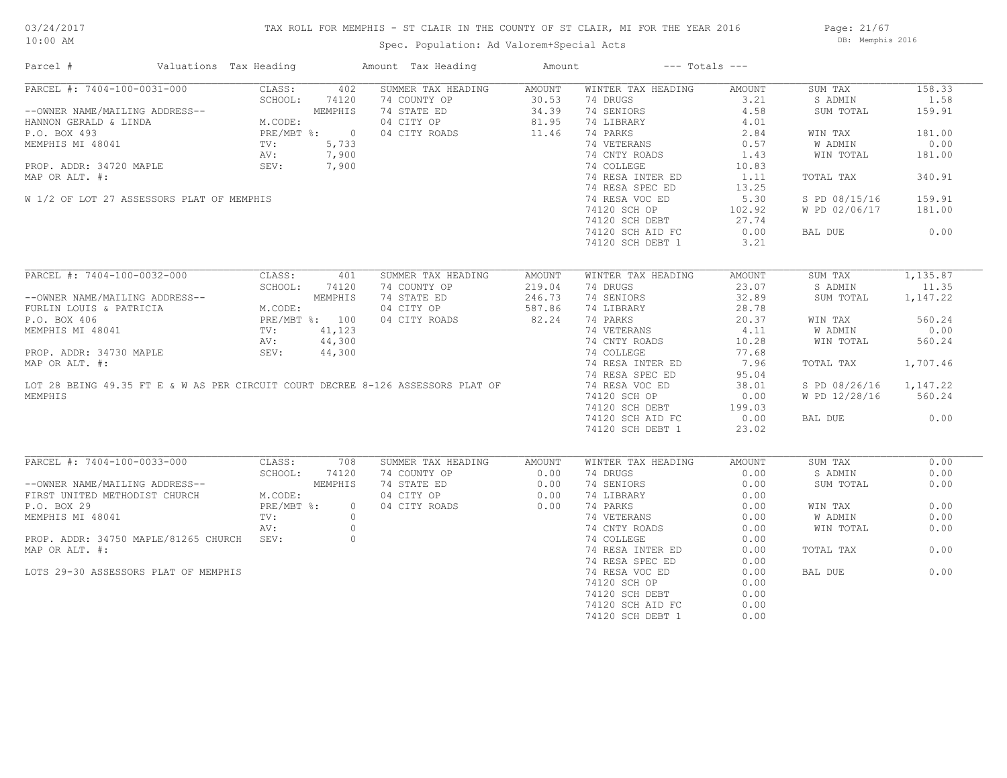# 03/24/2017

## TAX ROLL FOR MEMPHIS - ST CLAIR IN THE COUNTY OF ST CLAIR, MI FOR THE YEAR 2016

10:00 AM

## Spec. Population: Ad Valorem+Special Acts

Page: 21/67 DB: Memphis 2016

| PARCEL #: 7404-100-0031-000<br>CLASS:<br>402<br>SUMMER TAX HEADING<br>WINTER TAX HEADING<br>SUM TAX<br>AMOUNT<br>AMOUNT<br>SCHOOL:<br>74120<br>74 COUNTY OP<br>30.53<br>74 DRUGS<br>3.21<br>S ADMIN<br>--OWNER NAME/MAILING ADDRESS--<br>HANNON GERALD & LINDA<br>P.O. BOX 493<br>MEMPHIS MI 48041<br>MEMPHIS MI 48041<br>TV: 5,733<br>PROP. ADDR: 34720 MAPLE<br>PROP. ADDR: 34720 MAPLE<br>PROP. ADDR: 34720 MAPLE<br>PROP. ADDR: 34720 MAPLE<br>SEV: 7<br>74 STATE ED<br>34.39<br>74 SENIORS<br>4.58<br>SUM TOTAL<br>81.95<br>04 CITY OP<br>74 LIBRARY<br>4.01<br>11.46<br>74 PARKS<br>2.84<br>181.00<br>04 CITY ROADS<br>WIN TAX<br>74 VETERANS<br>W ADMIN<br>0.00<br>0.57<br>74 CNTY ROADS<br>1.43<br>181.00<br>WIN TOTAL<br>74 COLLEGE<br>10.83<br>74 RESA INTER ED<br>MAP OR ALT. #:<br>1.11<br>TOTAL TAX<br>340.91<br>74 RESA SPEC ED<br>13.25<br>74 RESA VOC ED<br>W 1/2 OF LOT 27 ASSESSORS PLAT OF MEMPHIS<br>5.30<br>S PD 08/15/16<br>159.91<br>74120 SCH OP<br>181.00<br>102.92<br>W PD 02/06/17<br>74120 SCH DEBT<br>27.74<br>0.00<br>0.00<br>74120 SCH AID FC<br>BAL DUE<br>3.21<br>74120 SCH DEBT 1<br>PARCEL #: 7404-100-0032-000<br>CLASS:<br>401<br>SUMMER TAX HEADING<br>AMOUNT<br>WINTER TAX HEADING<br>AMOUNT<br>SUM TAX<br>SCHOOL:<br>74 COUNTY OP<br>219.04<br>74 DRUGS<br>23.07<br>S ADMIN<br>74120<br>74 STATE ED<br>246.73<br>74 SENIORS<br>32.89<br>--OWNER NAME/MAILING ADDRESS--<br>FURLIN LOUIS & PATRICIA M.CODE:<br>P.O. BOX 406 PRE/MBT %: 100<br>MEMPHIS MI 48041 TV: 41,123<br>AV: 44,300<br>SUM TOTAL<br>587.86<br>04 CITY OP<br>74 LIBRARY<br>28.78<br>82.24<br>04 CITY ROADS<br>74 PARKS<br>20.37<br>560.24<br>WIN TAX<br>74 VETERANS<br>4.11<br>W ADMIN<br>44,300<br>74 CNTY ROADS<br>10.28<br>WIN TOTAL<br>560.24<br>AV:<br>74 COLLEGE<br>PROP. ADDR: 34730 MAPLE<br>SEV:<br>44,300<br>77.68<br>MAP OR ALT. #:<br>74 RESA INTER ED<br>7.96<br>TOTAL TAX<br>74 RESA SPEC ED<br>95.04<br>LOT 28 BEING 49.35 FT E & W AS PER CIRCUIT COURT DECREE 8-126 ASSESSORS PLAT OF<br>74 RESA VOC ED<br>38.01<br>S PD 08/26/16<br>MEMPHIS<br>74120 SCH OP<br>0.00<br>W PD 12/28/16<br>560.24<br>74120 SCH DEBT<br>199.03<br>0.00<br>74120 SCH AID FC<br>BAL DUE<br>74120 SCH DEBT 1<br>23.02<br>PARCEL #: 7404-100-0033-000<br>CLASS:<br>708<br>SUM TAX<br>SUMMER TAX HEADING<br>AMOUNT<br>WINTER TAX HEADING<br>AMOUNT<br>74 COUNTY OP<br>0.00<br>74 DRUGS<br>0.00<br>SCHOOL:<br>74120<br>S ADMIN<br>M.CODE<br>MEMPHIS<br>74 STATE ED<br>0.00<br>--OWNER NAME/MAILING ADDRESS--<br>74 SENIORS<br>0.00<br>SUM TOTAL<br>FIRST UNITED METHODIST CHURCH<br>04 CITY OP<br>0.00<br>74 LIBRARY<br>0.00<br>M.CODE:<br>0.00<br>0.00<br>P.O. BOX 29<br>PRE/MBT %:<br>$\circ$<br>04 CITY ROADS<br>74 PARKS<br>0.00<br>WIN TAX<br>TV:<br>$\circ$<br>74 VETERANS<br>0.00<br>W ADMIN<br>MEMPHIS MI 48041<br>74 CNTY ROADS<br>$\circ$<br>0.00<br>WIN TOTAL<br>AV:<br>$\circ$<br>PROP. ADDR: 34750 MAPLE/81265 CHURCH SEV:<br>74 COLLEGE<br>0.00<br>MAP OR ALT. #:<br>74 RESA INTER ED<br>0.00<br>0.00<br>TOTAL TAX<br>74 RESA SPEC ED<br>0.00<br>0.00<br>LOTS 29-30 ASSESSORS PLAT OF MEMPHIS<br>74 RESA VOC ED<br>0.00<br>BAL DUE<br>74120 SCH OP<br>0.00<br>74120 SCH DEBT<br>0.00<br>74120 SCH AID FC<br>0.00<br>74120 SCH DEBT 1<br>0.00 | Parcel # | Valuations Tax Heading | Amount Tax Heading | Amount | $---$ Totals $---$ |        |
|-------------------------------------------------------------------------------------------------------------------------------------------------------------------------------------------------------------------------------------------------------------------------------------------------------------------------------------------------------------------------------------------------------------------------------------------------------------------------------------------------------------------------------------------------------------------------------------------------------------------------------------------------------------------------------------------------------------------------------------------------------------------------------------------------------------------------------------------------------------------------------------------------------------------------------------------------------------------------------------------------------------------------------------------------------------------------------------------------------------------------------------------------------------------------------------------------------------------------------------------------------------------------------------------------------------------------------------------------------------------------------------------------------------------------------------------------------------------------------------------------------------------------------------------------------------------------------------------------------------------------------------------------------------------------------------------------------------------------------------------------------------------------------------------------------------------------------------------------------------------------------------------------------------------------------------------------------------------------------------------------------------------------------------------------------------------------------------------------------------------------------------------------------------------------------------------------------------------------------------------------------------------------------------------------------------------------------------------------------------------------------------------------------------------------------------------------------------------------------------------------------------------------------------------------------------------------------------------------------------------------------------------------------------------------------------------------------------------------------------------------------------------------------------------------------------------------------------------------------------------------------------------------------------------------------------------------------------------------------------------------------------------------------------------------------------------------------------------------------------------------------------------------------------------------------------------------------------------------------------------------------------|----------|------------------------|--------------------|--------|--------------------|--------|
| 1.58<br>159.91<br>0.00<br>1,707.46<br>1,147.22<br>0.00<br>0.00<br>0.00<br>0.00<br>0.00                                                                                                                                                                                                                                                                                                                                                                                                                                                                                                                                                                                                                                                                                                                                                                                                                                                                                                                                                                                                                                                                                                                                                                                                                                                                                                                                                                                                                                                                                                                                                                                                                                                                                                                                                                                                                                                                                                                                                                                                                                                                                                                                                                                                                                                                                                                                                                                                                                                                                                                                                                                                                                                                                                                                                                                                                                                                                                                                                                                                                                                                                                                                                                      |          |                        |                    |        |                    | 158.33 |
|                                                                                                                                                                                                                                                                                                                                                                                                                                                                                                                                                                                                                                                                                                                                                                                                                                                                                                                                                                                                                                                                                                                                                                                                                                                                                                                                                                                                                                                                                                                                                                                                                                                                                                                                                                                                                                                                                                                                                                                                                                                                                                                                                                                                                                                                                                                                                                                                                                                                                                                                                                                                                                                                                                                                                                                                                                                                                                                                                                                                                                                                                                                                                                                                                                                             |          |                        |                    |        |                    |        |
| 1,135.87<br>11.35<br>1,147.22<br>0.00                                                                                                                                                                                                                                                                                                                                                                                                                                                                                                                                                                                                                                                                                                                                                                                                                                                                                                                                                                                                                                                                                                                                                                                                                                                                                                                                                                                                                                                                                                                                                                                                                                                                                                                                                                                                                                                                                                                                                                                                                                                                                                                                                                                                                                                                                                                                                                                                                                                                                                                                                                                                                                                                                                                                                                                                                                                                                                                                                                                                                                                                                                                                                                                                                       |          |                        |                    |        |                    |        |
|                                                                                                                                                                                                                                                                                                                                                                                                                                                                                                                                                                                                                                                                                                                                                                                                                                                                                                                                                                                                                                                                                                                                                                                                                                                                                                                                                                                                                                                                                                                                                                                                                                                                                                                                                                                                                                                                                                                                                                                                                                                                                                                                                                                                                                                                                                                                                                                                                                                                                                                                                                                                                                                                                                                                                                                                                                                                                                                                                                                                                                                                                                                                                                                                                                                             |          |                        |                    |        |                    |        |
|                                                                                                                                                                                                                                                                                                                                                                                                                                                                                                                                                                                                                                                                                                                                                                                                                                                                                                                                                                                                                                                                                                                                                                                                                                                                                                                                                                                                                                                                                                                                                                                                                                                                                                                                                                                                                                                                                                                                                                                                                                                                                                                                                                                                                                                                                                                                                                                                                                                                                                                                                                                                                                                                                                                                                                                                                                                                                                                                                                                                                                                                                                                                                                                                                                                             |          |                        |                    |        |                    |        |
|                                                                                                                                                                                                                                                                                                                                                                                                                                                                                                                                                                                                                                                                                                                                                                                                                                                                                                                                                                                                                                                                                                                                                                                                                                                                                                                                                                                                                                                                                                                                                                                                                                                                                                                                                                                                                                                                                                                                                                                                                                                                                                                                                                                                                                                                                                                                                                                                                                                                                                                                                                                                                                                                                                                                                                                                                                                                                                                                                                                                                                                                                                                                                                                                                                                             |          |                        |                    |        |                    |        |
|                                                                                                                                                                                                                                                                                                                                                                                                                                                                                                                                                                                                                                                                                                                                                                                                                                                                                                                                                                                                                                                                                                                                                                                                                                                                                                                                                                                                                                                                                                                                                                                                                                                                                                                                                                                                                                                                                                                                                                                                                                                                                                                                                                                                                                                                                                                                                                                                                                                                                                                                                                                                                                                                                                                                                                                                                                                                                                                                                                                                                                                                                                                                                                                                                                                             |          |                        |                    |        |                    |        |
|                                                                                                                                                                                                                                                                                                                                                                                                                                                                                                                                                                                                                                                                                                                                                                                                                                                                                                                                                                                                                                                                                                                                                                                                                                                                                                                                                                                                                                                                                                                                                                                                                                                                                                                                                                                                                                                                                                                                                                                                                                                                                                                                                                                                                                                                                                                                                                                                                                                                                                                                                                                                                                                                                                                                                                                                                                                                                                                                                                                                                                                                                                                                                                                                                                                             |          |                        |                    |        |                    |        |
|                                                                                                                                                                                                                                                                                                                                                                                                                                                                                                                                                                                                                                                                                                                                                                                                                                                                                                                                                                                                                                                                                                                                                                                                                                                                                                                                                                                                                                                                                                                                                                                                                                                                                                                                                                                                                                                                                                                                                                                                                                                                                                                                                                                                                                                                                                                                                                                                                                                                                                                                                                                                                                                                                                                                                                                                                                                                                                                                                                                                                                                                                                                                                                                                                                                             |          |                        |                    |        |                    |        |
|                                                                                                                                                                                                                                                                                                                                                                                                                                                                                                                                                                                                                                                                                                                                                                                                                                                                                                                                                                                                                                                                                                                                                                                                                                                                                                                                                                                                                                                                                                                                                                                                                                                                                                                                                                                                                                                                                                                                                                                                                                                                                                                                                                                                                                                                                                                                                                                                                                                                                                                                                                                                                                                                                                                                                                                                                                                                                                                                                                                                                                                                                                                                                                                                                                                             |          |                        |                    |        |                    |        |
|                                                                                                                                                                                                                                                                                                                                                                                                                                                                                                                                                                                                                                                                                                                                                                                                                                                                                                                                                                                                                                                                                                                                                                                                                                                                                                                                                                                                                                                                                                                                                                                                                                                                                                                                                                                                                                                                                                                                                                                                                                                                                                                                                                                                                                                                                                                                                                                                                                                                                                                                                                                                                                                                                                                                                                                                                                                                                                                                                                                                                                                                                                                                                                                                                                                             |          |                        |                    |        |                    |        |
|                                                                                                                                                                                                                                                                                                                                                                                                                                                                                                                                                                                                                                                                                                                                                                                                                                                                                                                                                                                                                                                                                                                                                                                                                                                                                                                                                                                                                                                                                                                                                                                                                                                                                                                                                                                                                                                                                                                                                                                                                                                                                                                                                                                                                                                                                                                                                                                                                                                                                                                                                                                                                                                                                                                                                                                                                                                                                                                                                                                                                                                                                                                                                                                                                                                             |          |                        |                    |        |                    |        |
|                                                                                                                                                                                                                                                                                                                                                                                                                                                                                                                                                                                                                                                                                                                                                                                                                                                                                                                                                                                                                                                                                                                                                                                                                                                                                                                                                                                                                                                                                                                                                                                                                                                                                                                                                                                                                                                                                                                                                                                                                                                                                                                                                                                                                                                                                                                                                                                                                                                                                                                                                                                                                                                                                                                                                                                                                                                                                                                                                                                                                                                                                                                                                                                                                                                             |          |                        |                    |        |                    |        |
|                                                                                                                                                                                                                                                                                                                                                                                                                                                                                                                                                                                                                                                                                                                                                                                                                                                                                                                                                                                                                                                                                                                                                                                                                                                                                                                                                                                                                                                                                                                                                                                                                                                                                                                                                                                                                                                                                                                                                                                                                                                                                                                                                                                                                                                                                                                                                                                                                                                                                                                                                                                                                                                                                                                                                                                                                                                                                                                                                                                                                                                                                                                                                                                                                                                             |          |                        |                    |        |                    |        |
|                                                                                                                                                                                                                                                                                                                                                                                                                                                                                                                                                                                                                                                                                                                                                                                                                                                                                                                                                                                                                                                                                                                                                                                                                                                                                                                                                                                                                                                                                                                                                                                                                                                                                                                                                                                                                                                                                                                                                                                                                                                                                                                                                                                                                                                                                                                                                                                                                                                                                                                                                                                                                                                                                                                                                                                                                                                                                                                                                                                                                                                                                                                                                                                                                                                             |          |                        |                    |        |                    |        |
|                                                                                                                                                                                                                                                                                                                                                                                                                                                                                                                                                                                                                                                                                                                                                                                                                                                                                                                                                                                                                                                                                                                                                                                                                                                                                                                                                                                                                                                                                                                                                                                                                                                                                                                                                                                                                                                                                                                                                                                                                                                                                                                                                                                                                                                                                                                                                                                                                                                                                                                                                                                                                                                                                                                                                                                                                                                                                                                                                                                                                                                                                                                                                                                                                                                             |          |                        |                    |        |                    |        |
|                                                                                                                                                                                                                                                                                                                                                                                                                                                                                                                                                                                                                                                                                                                                                                                                                                                                                                                                                                                                                                                                                                                                                                                                                                                                                                                                                                                                                                                                                                                                                                                                                                                                                                                                                                                                                                                                                                                                                                                                                                                                                                                                                                                                                                                                                                                                                                                                                                                                                                                                                                                                                                                                                                                                                                                                                                                                                                                                                                                                                                                                                                                                                                                                                                                             |          |                        |                    |        |                    |        |
|                                                                                                                                                                                                                                                                                                                                                                                                                                                                                                                                                                                                                                                                                                                                                                                                                                                                                                                                                                                                                                                                                                                                                                                                                                                                                                                                                                                                                                                                                                                                                                                                                                                                                                                                                                                                                                                                                                                                                                                                                                                                                                                                                                                                                                                                                                                                                                                                                                                                                                                                                                                                                                                                                                                                                                                                                                                                                                                                                                                                                                                                                                                                                                                                                                                             |          |                        |                    |        |                    |        |
|                                                                                                                                                                                                                                                                                                                                                                                                                                                                                                                                                                                                                                                                                                                                                                                                                                                                                                                                                                                                                                                                                                                                                                                                                                                                                                                                                                                                                                                                                                                                                                                                                                                                                                                                                                                                                                                                                                                                                                                                                                                                                                                                                                                                                                                                                                                                                                                                                                                                                                                                                                                                                                                                                                                                                                                                                                                                                                                                                                                                                                                                                                                                                                                                                                                             |          |                        |                    |        |                    |        |
|                                                                                                                                                                                                                                                                                                                                                                                                                                                                                                                                                                                                                                                                                                                                                                                                                                                                                                                                                                                                                                                                                                                                                                                                                                                                                                                                                                                                                                                                                                                                                                                                                                                                                                                                                                                                                                                                                                                                                                                                                                                                                                                                                                                                                                                                                                                                                                                                                                                                                                                                                                                                                                                                                                                                                                                                                                                                                                                                                                                                                                                                                                                                                                                                                                                             |          |                        |                    |        |                    |        |
|                                                                                                                                                                                                                                                                                                                                                                                                                                                                                                                                                                                                                                                                                                                                                                                                                                                                                                                                                                                                                                                                                                                                                                                                                                                                                                                                                                                                                                                                                                                                                                                                                                                                                                                                                                                                                                                                                                                                                                                                                                                                                                                                                                                                                                                                                                                                                                                                                                                                                                                                                                                                                                                                                                                                                                                                                                                                                                                                                                                                                                                                                                                                                                                                                                                             |          |                        |                    |        |                    |        |
|                                                                                                                                                                                                                                                                                                                                                                                                                                                                                                                                                                                                                                                                                                                                                                                                                                                                                                                                                                                                                                                                                                                                                                                                                                                                                                                                                                                                                                                                                                                                                                                                                                                                                                                                                                                                                                                                                                                                                                                                                                                                                                                                                                                                                                                                                                                                                                                                                                                                                                                                                                                                                                                                                                                                                                                                                                                                                                                                                                                                                                                                                                                                                                                                                                                             |          |                        |                    |        |                    |        |
|                                                                                                                                                                                                                                                                                                                                                                                                                                                                                                                                                                                                                                                                                                                                                                                                                                                                                                                                                                                                                                                                                                                                                                                                                                                                                                                                                                                                                                                                                                                                                                                                                                                                                                                                                                                                                                                                                                                                                                                                                                                                                                                                                                                                                                                                                                                                                                                                                                                                                                                                                                                                                                                                                                                                                                                                                                                                                                                                                                                                                                                                                                                                                                                                                                                             |          |                        |                    |        |                    |        |
|                                                                                                                                                                                                                                                                                                                                                                                                                                                                                                                                                                                                                                                                                                                                                                                                                                                                                                                                                                                                                                                                                                                                                                                                                                                                                                                                                                                                                                                                                                                                                                                                                                                                                                                                                                                                                                                                                                                                                                                                                                                                                                                                                                                                                                                                                                                                                                                                                                                                                                                                                                                                                                                                                                                                                                                                                                                                                                                                                                                                                                                                                                                                                                                                                                                             |          |                        |                    |        |                    |        |
|                                                                                                                                                                                                                                                                                                                                                                                                                                                                                                                                                                                                                                                                                                                                                                                                                                                                                                                                                                                                                                                                                                                                                                                                                                                                                                                                                                                                                                                                                                                                                                                                                                                                                                                                                                                                                                                                                                                                                                                                                                                                                                                                                                                                                                                                                                                                                                                                                                                                                                                                                                                                                                                                                                                                                                                                                                                                                                                                                                                                                                                                                                                                                                                                                                                             |          |                        |                    |        |                    |        |
|                                                                                                                                                                                                                                                                                                                                                                                                                                                                                                                                                                                                                                                                                                                                                                                                                                                                                                                                                                                                                                                                                                                                                                                                                                                                                                                                                                                                                                                                                                                                                                                                                                                                                                                                                                                                                                                                                                                                                                                                                                                                                                                                                                                                                                                                                                                                                                                                                                                                                                                                                                                                                                                                                                                                                                                                                                                                                                                                                                                                                                                                                                                                                                                                                                                             |          |                        |                    |        |                    |        |
|                                                                                                                                                                                                                                                                                                                                                                                                                                                                                                                                                                                                                                                                                                                                                                                                                                                                                                                                                                                                                                                                                                                                                                                                                                                                                                                                                                                                                                                                                                                                                                                                                                                                                                                                                                                                                                                                                                                                                                                                                                                                                                                                                                                                                                                                                                                                                                                                                                                                                                                                                                                                                                                                                                                                                                                                                                                                                                                                                                                                                                                                                                                                                                                                                                                             |          |                        |                    |        |                    |        |
|                                                                                                                                                                                                                                                                                                                                                                                                                                                                                                                                                                                                                                                                                                                                                                                                                                                                                                                                                                                                                                                                                                                                                                                                                                                                                                                                                                                                                                                                                                                                                                                                                                                                                                                                                                                                                                                                                                                                                                                                                                                                                                                                                                                                                                                                                                                                                                                                                                                                                                                                                                                                                                                                                                                                                                                                                                                                                                                                                                                                                                                                                                                                                                                                                                                             |          |                        |                    |        |                    |        |
|                                                                                                                                                                                                                                                                                                                                                                                                                                                                                                                                                                                                                                                                                                                                                                                                                                                                                                                                                                                                                                                                                                                                                                                                                                                                                                                                                                                                                                                                                                                                                                                                                                                                                                                                                                                                                                                                                                                                                                                                                                                                                                                                                                                                                                                                                                                                                                                                                                                                                                                                                                                                                                                                                                                                                                                                                                                                                                                                                                                                                                                                                                                                                                                                                                                             |          |                        |                    |        |                    |        |
|                                                                                                                                                                                                                                                                                                                                                                                                                                                                                                                                                                                                                                                                                                                                                                                                                                                                                                                                                                                                                                                                                                                                                                                                                                                                                                                                                                                                                                                                                                                                                                                                                                                                                                                                                                                                                                                                                                                                                                                                                                                                                                                                                                                                                                                                                                                                                                                                                                                                                                                                                                                                                                                                                                                                                                                                                                                                                                                                                                                                                                                                                                                                                                                                                                                             |          |                        |                    |        |                    |        |
|                                                                                                                                                                                                                                                                                                                                                                                                                                                                                                                                                                                                                                                                                                                                                                                                                                                                                                                                                                                                                                                                                                                                                                                                                                                                                                                                                                                                                                                                                                                                                                                                                                                                                                                                                                                                                                                                                                                                                                                                                                                                                                                                                                                                                                                                                                                                                                                                                                                                                                                                                                                                                                                                                                                                                                                                                                                                                                                                                                                                                                                                                                                                                                                                                                                             |          |                        |                    |        |                    |        |
|                                                                                                                                                                                                                                                                                                                                                                                                                                                                                                                                                                                                                                                                                                                                                                                                                                                                                                                                                                                                                                                                                                                                                                                                                                                                                                                                                                                                                                                                                                                                                                                                                                                                                                                                                                                                                                                                                                                                                                                                                                                                                                                                                                                                                                                                                                                                                                                                                                                                                                                                                                                                                                                                                                                                                                                                                                                                                                                                                                                                                                                                                                                                                                                                                                                             |          |                        |                    |        |                    |        |
|                                                                                                                                                                                                                                                                                                                                                                                                                                                                                                                                                                                                                                                                                                                                                                                                                                                                                                                                                                                                                                                                                                                                                                                                                                                                                                                                                                                                                                                                                                                                                                                                                                                                                                                                                                                                                                                                                                                                                                                                                                                                                                                                                                                                                                                                                                                                                                                                                                                                                                                                                                                                                                                                                                                                                                                                                                                                                                                                                                                                                                                                                                                                                                                                                                                             |          |                        |                    |        |                    |        |
|                                                                                                                                                                                                                                                                                                                                                                                                                                                                                                                                                                                                                                                                                                                                                                                                                                                                                                                                                                                                                                                                                                                                                                                                                                                                                                                                                                                                                                                                                                                                                                                                                                                                                                                                                                                                                                                                                                                                                                                                                                                                                                                                                                                                                                                                                                                                                                                                                                                                                                                                                                                                                                                                                                                                                                                                                                                                                                                                                                                                                                                                                                                                                                                                                                                             |          |                        |                    |        |                    |        |
|                                                                                                                                                                                                                                                                                                                                                                                                                                                                                                                                                                                                                                                                                                                                                                                                                                                                                                                                                                                                                                                                                                                                                                                                                                                                                                                                                                                                                                                                                                                                                                                                                                                                                                                                                                                                                                                                                                                                                                                                                                                                                                                                                                                                                                                                                                                                                                                                                                                                                                                                                                                                                                                                                                                                                                                                                                                                                                                                                                                                                                                                                                                                                                                                                                                             |          |                        |                    |        |                    |        |
|                                                                                                                                                                                                                                                                                                                                                                                                                                                                                                                                                                                                                                                                                                                                                                                                                                                                                                                                                                                                                                                                                                                                                                                                                                                                                                                                                                                                                                                                                                                                                                                                                                                                                                                                                                                                                                                                                                                                                                                                                                                                                                                                                                                                                                                                                                                                                                                                                                                                                                                                                                                                                                                                                                                                                                                                                                                                                                                                                                                                                                                                                                                                                                                                                                                             |          |                        |                    |        |                    |        |
|                                                                                                                                                                                                                                                                                                                                                                                                                                                                                                                                                                                                                                                                                                                                                                                                                                                                                                                                                                                                                                                                                                                                                                                                                                                                                                                                                                                                                                                                                                                                                                                                                                                                                                                                                                                                                                                                                                                                                                                                                                                                                                                                                                                                                                                                                                                                                                                                                                                                                                                                                                                                                                                                                                                                                                                                                                                                                                                                                                                                                                                                                                                                                                                                                                                             |          |                        |                    |        |                    |        |
|                                                                                                                                                                                                                                                                                                                                                                                                                                                                                                                                                                                                                                                                                                                                                                                                                                                                                                                                                                                                                                                                                                                                                                                                                                                                                                                                                                                                                                                                                                                                                                                                                                                                                                                                                                                                                                                                                                                                                                                                                                                                                                                                                                                                                                                                                                                                                                                                                                                                                                                                                                                                                                                                                                                                                                                                                                                                                                                                                                                                                                                                                                                                                                                                                                                             |          |                        |                    |        |                    |        |
|                                                                                                                                                                                                                                                                                                                                                                                                                                                                                                                                                                                                                                                                                                                                                                                                                                                                                                                                                                                                                                                                                                                                                                                                                                                                                                                                                                                                                                                                                                                                                                                                                                                                                                                                                                                                                                                                                                                                                                                                                                                                                                                                                                                                                                                                                                                                                                                                                                                                                                                                                                                                                                                                                                                                                                                                                                                                                                                                                                                                                                                                                                                                                                                                                                                             |          |                        |                    |        |                    |        |
|                                                                                                                                                                                                                                                                                                                                                                                                                                                                                                                                                                                                                                                                                                                                                                                                                                                                                                                                                                                                                                                                                                                                                                                                                                                                                                                                                                                                                                                                                                                                                                                                                                                                                                                                                                                                                                                                                                                                                                                                                                                                                                                                                                                                                                                                                                                                                                                                                                                                                                                                                                                                                                                                                                                                                                                                                                                                                                                                                                                                                                                                                                                                                                                                                                                             |          |                        |                    |        |                    |        |
|                                                                                                                                                                                                                                                                                                                                                                                                                                                                                                                                                                                                                                                                                                                                                                                                                                                                                                                                                                                                                                                                                                                                                                                                                                                                                                                                                                                                                                                                                                                                                                                                                                                                                                                                                                                                                                                                                                                                                                                                                                                                                                                                                                                                                                                                                                                                                                                                                                                                                                                                                                                                                                                                                                                                                                                                                                                                                                                                                                                                                                                                                                                                                                                                                                                             |          |                        |                    |        |                    |        |
|                                                                                                                                                                                                                                                                                                                                                                                                                                                                                                                                                                                                                                                                                                                                                                                                                                                                                                                                                                                                                                                                                                                                                                                                                                                                                                                                                                                                                                                                                                                                                                                                                                                                                                                                                                                                                                                                                                                                                                                                                                                                                                                                                                                                                                                                                                                                                                                                                                                                                                                                                                                                                                                                                                                                                                                                                                                                                                                                                                                                                                                                                                                                                                                                                                                             |          |                        |                    |        |                    |        |
|                                                                                                                                                                                                                                                                                                                                                                                                                                                                                                                                                                                                                                                                                                                                                                                                                                                                                                                                                                                                                                                                                                                                                                                                                                                                                                                                                                                                                                                                                                                                                                                                                                                                                                                                                                                                                                                                                                                                                                                                                                                                                                                                                                                                                                                                                                                                                                                                                                                                                                                                                                                                                                                                                                                                                                                                                                                                                                                                                                                                                                                                                                                                                                                                                                                             |          |                        |                    |        |                    |        |
|                                                                                                                                                                                                                                                                                                                                                                                                                                                                                                                                                                                                                                                                                                                                                                                                                                                                                                                                                                                                                                                                                                                                                                                                                                                                                                                                                                                                                                                                                                                                                                                                                                                                                                                                                                                                                                                                                                                                                                                                                                                                                                                                                                                                                                                                                                                                                                                                                                                                                                                                                                                                                                                                                                                                                                                                                                                                                                                                                                                                                                                                                                                                                                                                                                                             |          |                        |                    |        |                    |        |
|                                                                                                                                                                                                                                                                                                                                                                                                                                                                                                                                                                                                                                                                                                                                                                                                                                                                                                                                                                                                                                                                                                                                                                                                                                                                                                                                                                                                                                                                                                                                                                                                                                                                                                                                                                                                                                                                                                                                                                                                                                                                                                                                                                                                                                                                                                                                                                                                                                                                                                                                                                                                                                                                                                                                                                                                                                                                                                                                                                                                                                                                                                                                                                                                                                                             |          |                        |                    |        |                    |        |
|                                                                                                                                                                                                                                                                                                                                                                                                                                                                                                                                                                                                                                                                                                                                                                                                                                                                                                                                                                                                                                                                                                                                                                                                                                                                                                                                                                                                                                                                                                                                                                                                                                                                                                                                                                                                                                                                                                                                                                                                                                                                                                                                                                                                                                                                                                                                                                                                                                                                                                                                                                                                                                                                                                                                                                                                                                                                                                                                                                                                                                                                                                                                                                                                                                                             |          |                        |                    |        |                    |        |
|                                                                                                                                                                                                                                                                                                                                                                                                                                                                                                                                                                                                                                                                                                                                                                                                                                                                                                                                                                                                                                                                                                                                                                                                                                                                                                                                                                                                                                                                                                                                                                                                                                                                                                                                                                                                                                                                                                                                                                                                                                                                                                                                                                                                                                                                                                                                                                                                                                                                                                                                                                                                                                                                                                                                                                                                                                                                                                                                                                                                                                                                                                                                                                                                                                                             |          |                        |                    |        |                    |        |
|                                                                                                                                                                                                                                                                                                                                                                                                                                                                                                                                                                                                                                                                                                                                                                                                                                                                                                                                                                                                                                                                                                                                                                                                                                                                                                                                                                                                                                                                                                                                                                                                                                                                                                                                                                                                                                                                                                                                                                                                                                                                                                                                                                                                                                                                                                                                                                                                                                                                                                                                                                                                                                                                                                                                                                                                                                                                                                                                                                                                                                                                                                                                                                                                                                                             |          |                        |                    |        |                    |        |
|                                                                                                                                                                                                                                                                                                                                                                                                                                                                                                                                                                                                                                                                                                                                                                                                                                                                                                                                                                                                                                                                                                                                                                                                                                                                                                                                                                                                                                                                                                                                                                                                                                                                                                                                                                                                                                                                                                                                                                                                                                                                                                                                                                                                                                                                                                                                                                                                                                                                                                                                                                                                                                                                                                                                                                                                                                                                                                                                                                                                                                                                                                                                                                                                                                                             |          |                        |                    |        |                    |        |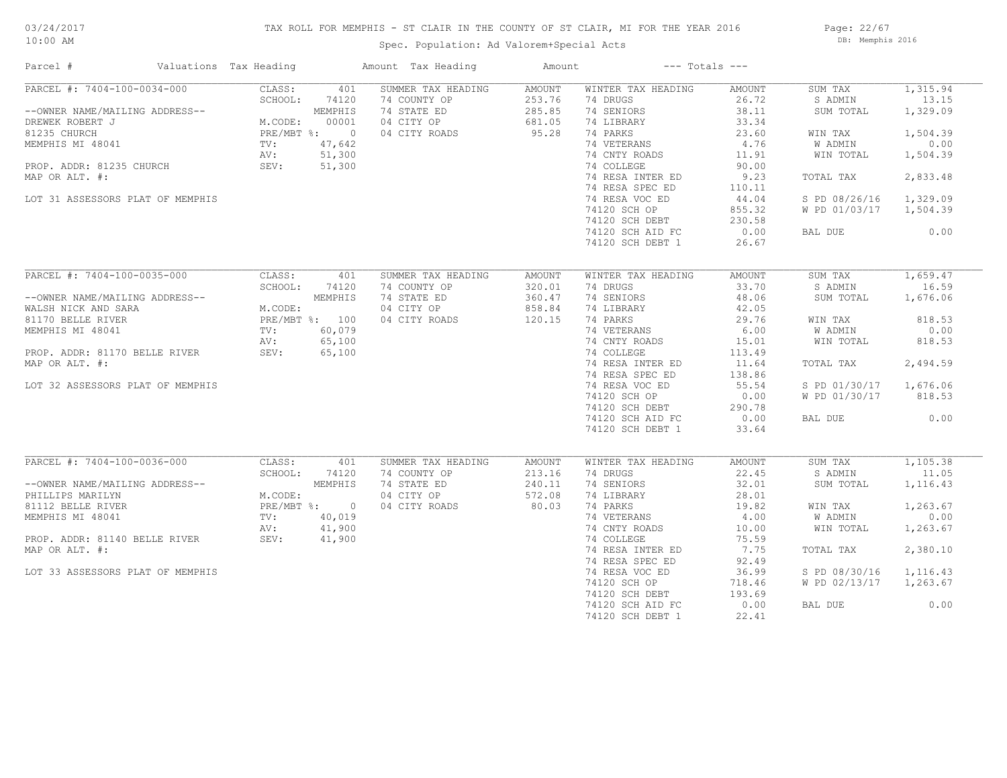## TAX ROLL FOR MEMPHIS - ST CLAIR IN THE COUNTY OF ST CLAIR, MI FOR THE YEAR 2016

Spec. Population: Ad Valorem+Special Acts

Page: 22/67 DB: Memphis 2016

| Parcel #                                                                                                                                                                                                                                                                                                                            | Valuations Tax Heading                                  |              | Amount Tax Heading                                                                            | Amount                                                  | $---$ Totals $---$                                                                                                                                                                                                                                      |                                                                                                                                      |                                                                                                                                              |                                                                                               |
|-------------------------------------------------------------------------------------------------------------------------------------------------------------------------------------------------------------------------------------------------------------------------------------------------------------------------------------|---------------------------------------------------------|--------------|-----------------------------------------------------------------------------------------------|---------------------------------------------------------|---------------------------------------------------------------------------------------------------------------------------------------------------------------------------------------------------------------------------------------------------------|--------------------------------------------------------------------------------------------------------------------------------------|----------------------------------------------------------------------------------------------------------------------------------------------|-----------------------------------------------------------------------------------------------|
| $PARCEL$ #: 7404-100-0034-000<br>--OWNER NAME/MAILING ADDRESS--<br>DREWER ROBERT J<br>BLEMPHIS M.CODE: 00001<br>81235 CHURCH<br>MEMPHIS MI 48041<br>PROP. ADDR: 81235 CHURCH<br>MEMPHIS MI 48041<br>PROP. ADDR: 81235 CHURCH<br>MAP OP ALL #1,642<br>MAP OP ALL #1,642<br>MAP OP AL<br>MAP OR ALT. #:                               | CLASS:<br>SCHOOL:                                       | 401<br>74120 | SUMMER TAX HEADING<br>74 COUNTY OP<br>74 STATE ED<br>04 CITY OP 681.05<br>04 CITY ROADS 95.28 | AMOUNT<br>253.76<br>285.85                              | WINTER TAX HEADING<br>74 DRUGS<br>74 SENIORS<br>74 LIBRARY<br>74 PARKS<br>74 VETERANS<br>74 CNTY ROADS<br>74 COLLEGE<br>74 RESA INTER ED                                                                                                                | AMOUNT<br>26.72<br>38.11<br>33.34<br>23.60<br>4.76<br>11.91<br>90.00<br>9.23                                                         | SUM TAX<br>S ADMIN<br>SUM TOTAL<br>WIN TAX<br>W ADMIN<br>WIN TOTAL<br>TOTAL TAX                                                              | 1,315.94<br>13.15<br>1,329.09<br>1,504.39<br>0.00<br>1,504.39<br>2,833.48                     |
| LOT 31 ASSESSORS PLAT OF MEMPHIS                                                                                                                                                                                                                                                                                                    |                                                         |              |                                                                                               |                                                         | 74 RESA SPEC ED<br>74 RESA VOC ED<br>74120 SCH OP<br>74120 SCH DEBT<br>74120 SCH AID FC<br>74120 SCH DEBT 1                                                                                                                                             | 110.11<br>44.04<br>855.32<br>230.58<br>0.00<br>26.67                                                                                 | S PD 08/26/16 1,329.09<br>W PD 01/03/17 1,504.39<br>BAL DUE                                                                                  | 0.00                                                                                          |
| PARCEL #: 7404-100-0035-000<br>--OWNER NAME/MAILING ADDRESS--<br>WALSH NICK AND SARA<br>81170 BELLE RIVER<br>81170 BELLE RIVER<br>PROP. ADDR: 81170 BELLE RIVER<br>PROP. ADDR: 81170 BELLE RIVER<br>PROP. ADDR: 81170 BELLE RIVER<br>PROP. ADDR: 81170 BELLE RIVER<br>PROP. A<br>MAP OR ALT. #:<br>LOT 32 ASSESSORS PLAT OF MEMPHIS | CLASS:<br>SCHOOL:                                       | 401<br>74120 | SUMMER TAX HEADING<br>74 COUNTY OP<br>74 STATE ED<br>04 CITY OP<br>04 CITY ROADS              | AMOUNT<br>320.01<br>360.47<br>858.84<br>120.15          | WINTER TAX HEADING<br>74 DRUGS<br>74 SENIORS<br>74 LIBRARY<br>74 PARKS<br>74 VETERANS<br>74 CNTY ROADS<br>74 COLLEGE<br>74 RESA INTER ED<br>74 RESA SPEC ED<br>74 RESA VOC ED<br>74120 SCH OP<br>74120 SCH DEBT<br>74120 SCH AID FC<br>74120 SCH DEBT 1 | AMOUNT<br>33.70<br>48.06<br>42.05<br>29.76<br>6.00<br>15.01<br>113.49<br>11.64<br>138.86<br>55.54<br>0.00<br>290.78<br>0.00<br>33.64 | SUM TAX<br>S ADMIN<br>SUM TOTAL<br>WIN TAX<br>W ADMIN<br>WIN TOTAL<br>TOTAL TAX<br>S PD 01/30/17 1,676.06<br>W PD 01/30/17 818.53<br>BAL DUE | 1,659.47<br>16.59<br>1,676.06<br>818.53<br>0.00<br>818.53<br>2,494.59<br>0.00                 |
| PARCEL #: 7404-100-0036-000<br>--OWNER NAME/MAILING ADDRESS--<br>PHILLIPS MARILYN<br>81112 BELLE RIVER<br>MEMPHIS MI 48041<br>PROP. ADDR: 81140 BELLE RIVER<br>PROP. ADDR: 81140 BELLE RIVER SEV: 41,900<br>MAP OR ALT. #:<br>LOT 33 ASSESSORS PLAT OF MEMPHIS                                                                      | CLASS:<br>SCHOOL:<br>MEMPHIS<br>M.CODE:<br>PRE/MBT %: 0 | 401<br>74120 | SUMMER TAX HEADING<br>74 COUNTY OP<br>74 STATE ED<br>04 CITY OP<br>04 CITY ROADS              | AMOUNT<br>213.16<br>213.16<br>240.11<br>572.08<br>80.03 | WINTER TAX HEADING<br>74 DRUGS<br>74 SENIORS<br>74 LIBRARY<br>74 PARKS<br>74 VETERANS<br>74 CNTY ROADS<br>74 COLLEGE<br>74 RESA INTER ED<br>74 RESA SPEC ED<br>74 RESA VOC ED<br>74120 SCH OP<br>74120 SCH DEBT<br>74120 SCH AID FC<br>74120 SCH DEBT 1 | AMOUNT<br>22.45<br>32.01<br>28.01<br>19.82<br>4.00<br>10.00<br>75.59<br>7.75<br>92.49<br>36.99<br>718.46<br>193.69<br>0.00<br>22.41  | SUM TAX<br>S ADMIN<br>SUM TOTAL<br>WIN TAX<br>W ADMIN<br>WIN TOTAL<br>TOTAL TAX<br>S PD 08/30/16<br>W PD 02/13/17 1,263.67<br>BAL DUE        | 1,105.38<br>11.05<br>1,116.43<br>1,263.67<br>0.00<br>1,263.67<br>2,380.10<br>1,116.43<br>0.00 |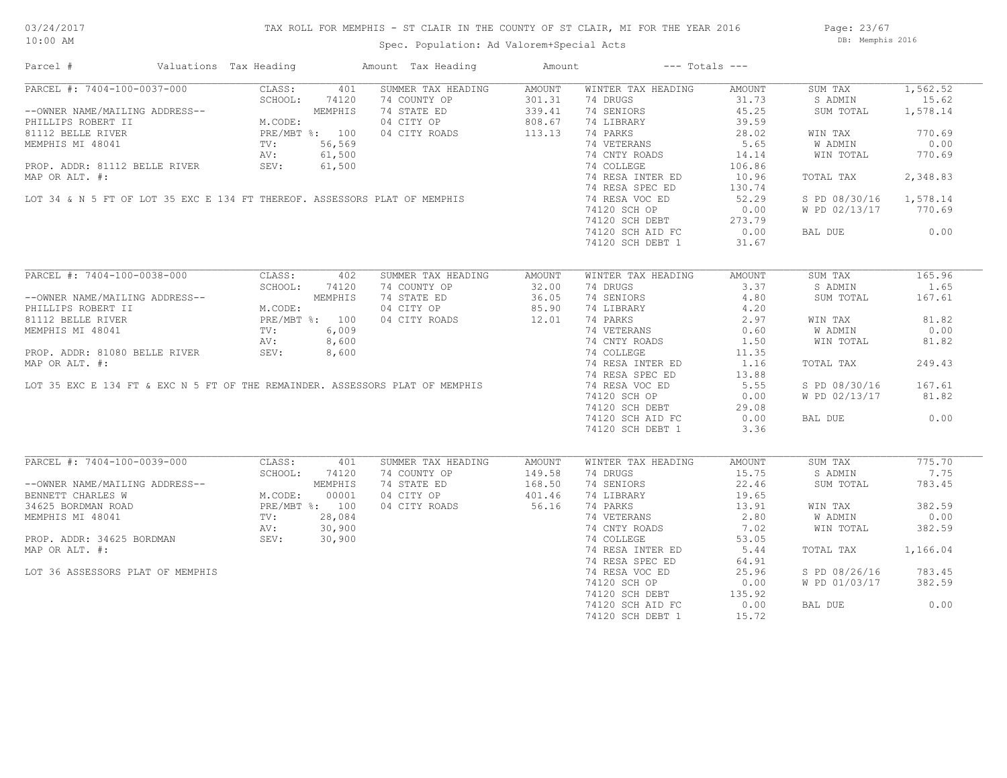## TAX ROLL FOR MEMPHIS - ST CLAIR IN THE COUNTY OF ST CLAIR, MI FOR THE YEAR 2016

Spec. Population: Ad Valorem+Special Acts

Page: 23/67 DB: Memphis 2016

| Parcel #                                                                                                                                                                                                                         | Valuations Tax Heading |       | Amount Tax Heading                                                                                                                                  | Amount               |                                                                  | $---$ Totals $---$ |                        |          |
|----------------------------------------------------------------------------------------------------------------------------------------------------------------------------------------------------------------------------------|------------------------|-------|-----------------------------------------------------------------------------------------------------------------------------------------------------|----------------------|------------------------------------------------------------------|--------------------|------------------------|----------|
| PARCEL #: 7404-100-0037-000                                                                                                                                                                                                      | CLASS:                 | 401   | SUMMER TAX HEADING                                                                                                                                  | AMOUNT               | WINTER TAX HEADING                                               | AMOUNT             | SUM TAX                | 1,562.52 |
|                                                                                                                                                                                                                                  |                        |       | 74 COUNTY OP                                                                                                                                        | 301.31               | 74 DRUGS                                                         | 31.73              | S ADMIN                | 15.62    |
| --OWNER NAME/MAILING ADDRESS--<br>PHILLIPS ROBERT II M.CODE:<br>81112 BELLE RIVER PRE/MBT %: 100<br>MEMPHIS MI 48041 TV: 56,569<br>NU: 61,500                                                                                    |                        |       | 74 STATE ED                                                                                                                                         | 339.41               | 74 SENIORS                                                       | 45.25              | SUM TOTAL              | 1,578.14 |
|                                                                                                                                                                                                                                  |                        |       |                                                                                                                                                     |                      | 74 LIBRARY                                                       | 39.59              |                        |          |
|                                                                                                                                                                                                                                  |                        |       | 04 CITY OP 808.67<br>04 CITY ROADS 113.13                                                                                                           |                      | 74 PARKS                                                         | 28.02              | WIN TAX                | 770.69   |
|                                                                                                                                                                                                                                  |                        |       |                                                                                                                                                     |                      | 74 VETERANS                                                      | 5.65               |                        | 0.00     |
|                                                                                                                                                                                                                                  |                        |       |                                                                                                                                                     |                      |                                                                  |                    | W ADMIN                |          |
|                                                                                                                                                                                                                                  |                        |       |                                                                                                                                                     |                      | 74 CNTY ROADS                                                    | 14.14              | WIN TOTAL              | 770.69   |
|                                                                                                                                                                                                                                  |                        |       |                                                                                                                                                     |                      | 74 COLLEGE                                                       | 106.86             |                        |          |
|                                                                                                                                                                                                                                  |                        |       |                                                                                                                                                     |                      | 74 RESA INTER ED                                                 | 10.96              | TOTAL TAX              | 2,348.83 |
|                                                                                                                                                                                                                                  |                        |       | MEMPHIS MI 48041<br>PROP. ADDR: 81112 BELLE RIVER<br>MAP OR ALT. #:<br>LOT 34 & N 5 FT OF LOT 35 EXC E 134 FT THEREOF. ASSESSORS PLAT OF MEMPHIS    |                      | 74 RESA SPEC ED                                                  | 130.74             |                        |          |
|                                                                                                                                                                                                                                  |                        |       |                                                                                                                                                     |                      | 74 RESA VOC ED                                                   | 52.29              | S PD 08/30/16 1,578.14 |          |
|                                                                                                                                                                                                                                  |                        |       |                                                                                                                                                     |                      | 74120 SCH OP                                                     | 0.00               | W PD 02/13/17 770.69   |          |
|                                                                                                                                                                                                                                  |                        |       |                                                                                                                                                     |                      | 74120 SCH DEBT<br>74120 SCH DEBT 273.79<br>74120 SCH ATD FC 0.00 |                    |                        |          |
|                                                                                                                                                                                                                                  |                        |       |                                                                                                                                                     |                      |                                                                  |                    | BAL DUE                | 0.00     |
|                                                                                                                                                                                                                                  |                        |       |                                                                                                                                                     |                      | 74120 SCH DEBT 1                                                 | 31.67              |                        |          |
|                                                                                                                                                                                                                                  |                        |       |                                                                                                                                                     |                      |                                                                  |                    |                        |          |
| PARCEL #: 7404-100-0038-000                                                                                                                                                                                                      | CLASS:                 | 402   | SUMMER TAX HEADING                                                                                                                                  | AMOUNT               | WINTER TAX HEADING                                               | AMOUNT             | SUM TAX                | 165.96   |
|                                                                                                                                                                                                                                  | SCHOOL:                | 74120 |                                                                                                                                                     |                      | 74 DRUGS                                                         | 3.37               | S ADMIN                | 1.65     |
|                                                                                                                                                                                                                                  |                        |       | 14 COUNTY OP 32.00<br>74 COUNTY OP 36.05<br>74 STATE ED 36.05<br>04 CITY ROADS 12.01                                                                |                      | 74 SENIORS                                                       | 4.80               | SUM TOTAL              | 167.61   |
| --OWNER NAME/MAILING ADDRESS--<br>PHILLIPS ROBERT II M.CODE:<br>81112 BELLE RIVER PRE/MBT %: 100<br>MEMPHIS MI 48041 TV: 6,009<br>PROP. ADDR: 81080 BELLE RIVER SEV: 8,600<br>PROP. ADDR: 81080 BELLE RIVER SEV: 8,600           |                        |       |                                                                                                                                                     |                      |                                                                  |                    |                        |          |
|                                                                                                                                                                                                                                  |                        |       |                                                                                                                                                     |                      | 74 LIBRARY<br>74 PARKS                                           | 4.20               |                        |          |
|                                                                                                                                                                                                                                  |                        |       |                                                                                                                                                     |                      |                                                                  | 2.97               | WIN TAX                | 81.82    |
|                                                                                                                                                                                                                                  |                        |       |                                                                                                                                                     |                      | 74 VETERANS<br>74 CNTY ROADS                                     | 0.60               | W ADMIN                | 0.00     |
|                                                                                                                                                                                                                                  |                        |       |                                                                                                                                                     |                      |                                                                  | 1.50               | WIN TOTAL              | 81.82    |
|                                                                                                                                                                                                                                  |                        |       |                                                                                                                                                     |                      | 74 COLLEGE                                                       | 11.35              |                        |          |
|                                                                                                                                                                                                                                  |                        |       |                                                                                                                                                     |                      | 74 RESA INTER ED                                                 | 1.16               | TOTAL TAX              | 249.43   |
|                                                                                                                                                                                                                                  |                        |       |                                                                                                                                                     |                      | 74 RESA SPEC ED                                                  | 13.88              |                        |          |
|                                                                                                                                                                                                                                  |                        |       | MEMPHIS MI 48041<br>PROP. ADDR: 81080 BELLE RIVER<br>MAP OR ALT. #:<br>LOT 35 EXC E 134 FT & EXC N 5 FT OF THE REMAINDER. ASSESSORS PLAT OF MEMPHIS |                      | 74 RESA VOC ED                                                   | 5.55               | S PD 08/30/16          | 167.61   |
|                                                                                                                                                                                                                                  |                        |       |                                                                                                                                                     |                      | 74120 SCH OP                                                     | 0.00               | W PD 02/13/17          | 81.82    |
|                                                                                                                                                                                                                                  |                        |       |                                                                                                                                                     |                      |                                                                  |                    |                        |          |
|                                                                                                                                                                                                                                  |                        |       |                                                                                                                                                     |                      | 74120 JOHN CL<br>74120 SCH DEBT 29.08<br>74120 SCH ATD FC 0.00   |                    |                        | 0.00     |
|                                                                                                                                                                                                                                  |                        |       |                                                                                                                                                     |                      |                                                                  |                    | BAL DUE                |          |
|                                                                                                                                                                                                                                  |                        |       |                                                                                                                                                     |                      | 74120 SCH DEBT 1                                                 | 3.36               |                        |          |
| PARCEL #: 7404-100-0039-000                                                                                                                                                                                                      | CLASS:                 | 401   | SUMMER TAX HEADING                                                                                                                                  |                      | WINTER TAX HEADING                                               | AMOUNT             | SUM TAX                | 775.70   |
|                                                                                                                                                                                                                                  |                        |       |                                                                                                                                                     | AMOUNT               |                                                                  |                    |                        |          |
|                                                                                                                                                                                                                                  | SCHOOL:                | 74120 | 74 COUNTY OP                                                                                                                                        | 149.58               | 74 DRUGS                                                         | 15.75              | S ADMIN                | 7.75     |
| --OWNER NAME/MAILING ADDRESS--<br>BENNETT CHARLES W<br>34625 BORDMAN ROAD<br>MEMPHIS MI 48041<br>PROP. ADDR: 34625 BORDMAN<br>PROP. ADDR: 34625 BORDMAN<br>PROP. ADDR: 34625 BORDMAN<br>PROP. ADDR: 34625 BORDMAN<br>SEV: 30,900 |                        |       | 74 STATE ED                                                                                                                                         | $168.50$<br>$401.46$ | 74 SENIORS                                                       | 22.46              | SUM TOTAL              | 783.45   |
|                                                                                                                                                                                                                                  |                        |       | 04 CITY OP                                                                                                                                          |                      | 74 LIBRARY                                                       | 19.65              |                        |          |
|                                                                                                                                                                                                                                  |                        |       | 04 CITY ROADS                                                                                                                                       | 56.16                | 74 PARKS                                                         | 13.91              | WIN TAX                | 382.59   |
|                                                                                                                                                                                                                                  |                        |       |                                                                                                                                                     |                      | 74 VETERANS                                                      | 2.80               | W ADMIN                | 0.00     |
|                                                                                                                                                                                                                                  |                        |       |                                                                                                                                                     |                      | 74 CNTY ROADS                                                    | 7.02               | WIN TOTAL              | 382.59   |
|                                                                                                                                                                                                                                  |                        |       |                                                                                                                                                     |                      | 74 COLLEGE                                                       | 53.05              |                        |          |
| MAP OR ALT. #:                                                                                                                                                                                                                   |                        |       |                                                                                                                                                     |                      | 74 RESA INTER ED                                                 | 5.44               | TOTAL TAX              | 1,166.04 |
|                                                                                                                                                                                                                                  |                        |       |                                                                                                                                                     |                      | 74 RESA SPEC ED                                                  | 64.91              |                        |          |
| LOT 36 ASSESSORS PLAT OF MEMPHIS                                                                                                                                                                                                 |                        |       |                                                                                                                                                     |                      | 74 RESA VOC ED                                                   | 25.96              | S PD 08/26/16          | 783.45   |
|                                                                                                                                                                                                                                  |                        |       |                                                                                                                                                     |                      |                                                                  |                    |                        |          |
|                                                                                                                                                                                                                                  |                        |       |                                                                                                                                                     |                      | 74120 SCH OP                                                     | 0.00               | W PD 01/03/17          | 382.59   |
|                                                                                                                                                                                                                                  |                        |       |                                                                                                                                                     |                      | 74120 SCH DEBT<br>74120 SCH AID FC                               | 135.92             |                        |          |
|                                                                                                                                                                                                                                  |                        |       |                                                                                                                                                     |                      | 74120 SCH AID FC                                                 | 0.00               | BAL DUE                | 0.00     |
|                                                                                                                                                                                                                                  |                        |       |                                                                                                                                                     |                      | 74120 SCH DEBT 1                                                 | 15.72              |                        |          |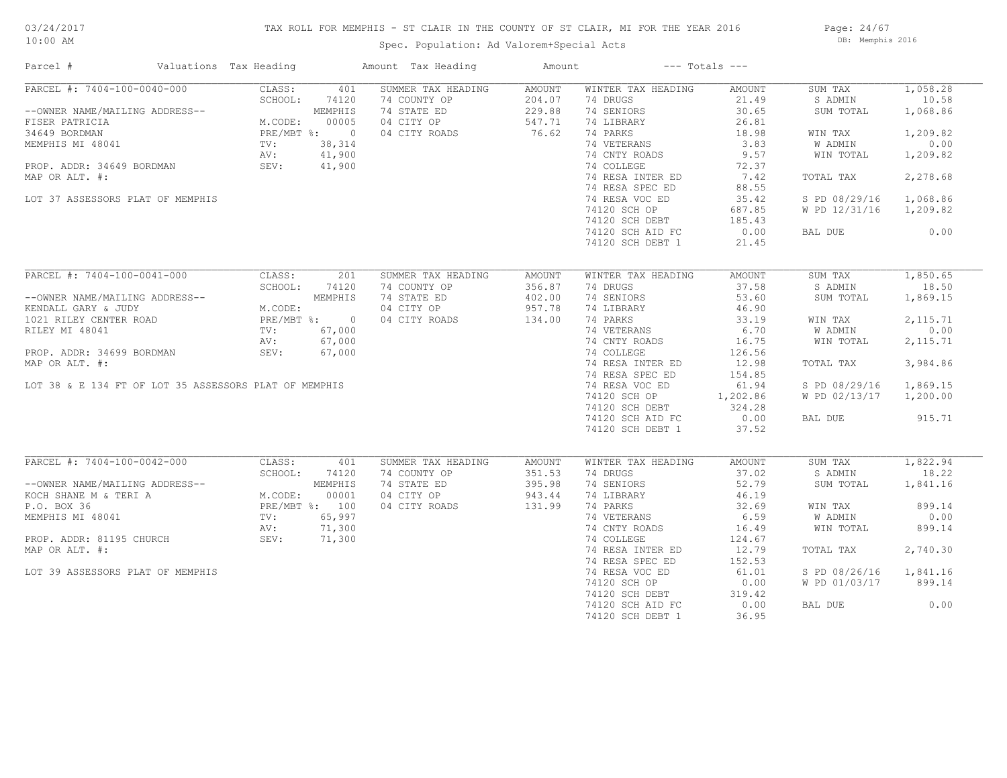## TAX ROLL FOR MEMPHIS - ST CLAIR IN THE COUNTY OF ST CLAIR, MI FOR THE YEAR 2016

Spec. Population: Ad Valorem+Special Acts

Page: 24/67 DB: Memphis 2016

| Parcel #                                                                                                                                                | Valuations Tax Heading                                                                |         | Amount Tax Heading | Amount        |                    | $---$ Totals $---$ |                        |           |
|---------------------------------------------------------------------------------------------------------------------------------------------------------|---------------------------------------------------------------------------------------|---------|--------------------|---------------|--------------------|--------------------|------------------------|-----------|
| PARCEL #: 7404-100-0040-000                                                                                                                             | CLASS:                                                                                | 401     | SUMMER TAX HEADING | AMOUNT        | WINTER TAX HEADING | AMOUNT             | SUM TAX                | 1,058.28  |
|                                                                                                                                                         | SCHOOL:                                                                               | 74120   | 74 COUNTY OP       | 204.07        | 74 DRUGS           | 21.49              | S ADMIN                | 10.58     |
| --OWNER NAME/MAILING ADDRESS--                                                                                                                          |                                                                                       | MEMPHIS | 74 STATE ED        | 229.88        | 74 SENIORS         | 30.65              | SUM TOTAL              | 1,068.86  |
| FISER PATRICIA MEMPHIS<br>34649 BORDMAN PRE/MBT %: 00005<br>MEMPHIS MI 48041 TV: 38,314<br>PROP. ADDR: 34649 BORDMAN AV: 41,900<br>MAP OR ALT #. 41,900 |                                                                                       |         | 04 CITY OP         | 547.71        | 74 LIBRARY         | 26.81              |                        |           |
|                                                                                                                                                         |                                                                                       |         | 04 CITY ROADS      | 76.62         | 74 PARKS           | 18.98              | WIN TAX                | 1,209.82  |
|                                                                                                                                                         |                                                                                       |         |                    |               | 74 VETERANS        | 3.83               | W ADMIN                | 0.00      |
|                                                                                                                                                         |                                                                                       |         |                    |               | 74 CNTY ROADS      | 9.57               | WIN TOTAL              | 1,209.82  |
|                                                                                                                                                         |                                                                                       |         |                    |               | 74 COLLEGE         | 72.37              |                        |           |
| MAP OR ALT. #:                                                                                                                                          |                                                                                       |         |                    |               | 74 RESA INTER ED   | 7.42               | TOTAL TAX              | 2,278.68  |
|                                                                                                                                                         |                                                                                       |         |                    |               | 74 RESA SPEC ED    | 88.55              |                        |           |
| LOT 37 ASSESSORS PLAT OF MEMPHIS                                                                                                                        |                                                                                       |         |                    |               | 74 RESA VOC ED     | 35.42              | S PD 08/29/16          | 1,068.86  |
|                                                                                                                                                         |                                                                                       |         |                    |               | 74120 SCH OP       | 687.85             | W PD 12/31/16          | 1,209.82  |
|                                                                                                                                                         |                                                                                       |         |                    |               | 74120 SCH DEBT     | 185.43             |                        |           |
|                                                                                                                                                         |                                                                                       |         |                    |               |                    | 0.00               | BAL DUE                | 0.00      |
|                                                                                                                                                         |                                                                                       |         |                    |               | 74120 SCH AID FC   |                    |                        |           |
|                                                                                                                                                         |                                                                                       |         |                    |               | 74120 SCH DEBT 1   | 21.45              |                        |           |
| PARCEL #: 7404-100-0041-000                                                                                                                             | CLASS:                                                                                | 201     | SUMMER TAX HEADING | AMOUNT        | WINTER TAX HEADING | AMOUNT             | SUM TAX                | 1,850.65  |
|                                                                                                                                                         | SCHOOL:                                                                               | 74120   | 74 COUNTY OP       | 356.87        | 74 DRUGS           | 37.58              | S ADMIN                | 18.50     |
| --OWNER NAME/MAILING ADDRESS--                                                                                                                          |                                                                                       |         | 74 STATE ED        | 402.00        | 74 SENIORS         | 53.60              | SUM TOTAL              | 1,869.15  |
|                                                                                                                                                         | ADDRESS--<br>MEMPHIS<br>D<br>PRE/MBT %: 0<br>TV: 67,000<br>AV: 67,000                 |         |                    |               |                    |                    |                        |           |
| KENDALL GARY & JUDY                                                                                                                                     |                                                                                       |         | 04 CITY OP         | 957.78        | 74 LIBRARY         | 46.90              |                        |           |
| 1021 RILEY CENTER ROAD                                                                                                                                  |                                                                                       |         | 04 CITY ROADS      | 134.00        | 74 PARKS           | 33.19              | WIN TAX                | 2, 115.71 |
| RILEY MI 48041                                                                                                                                          |                                                                                       |         |                    |               | 74 VETERANS        | 6.70               | W ADMIN                | 0.00      |
|                                                                                                                                                         |                                                                                       |         |                    |               | 74 CNTY ROADS      | 16.75              | WIN TOTAL              | 2, 115.71 |
| PROP. ADDR: 34699 BORDMAN                                                                                                                               | SEV:                                                                                  | 67,000  |                    |               | 74 COLLEGE         | 126.56             |                        |           |
| MAP OR ALT. #:                                                                                                                                          |                                                                                       |         |                    |               | 74 RESA INTER ED   | 12.98              | TOTAL TAX              | 3,984.86  |
|                                                                                                                                                         |                                                                                       |         |                    |               | 74 RESA SPEC ED    | 154.85             |                        |           |
| LOT 38 & E 134 FT OF LOT 35 ASSESSORS PLAT OF MEMPHIS                                                                                                   |                                                                                       |         |                    |               | 74 RESA VOC ED     | 61.94              | S PD 08/29/16          | 1,869.15  |
|                                                                                                                                                         |                                                                                       |         |                    |               | 74120 SCH OP       | 1,202.86           | W PD 02/13/17 1,200.00 |           |
|                                                                                                                                                         |                                                                                       |         |                    |               | 74120 SCH DEBT     | 324.28             |                        |           |
|                                                                                                                                                         |                                                                                       |         |                    |               | 74120 SCH AID FC   | 0.00               | BAL DUE                | 915.71    |
|                                                                                                                                                         |                                                                                       |         |                    |               | 74120 SCH DEBT 1   | 37.52              |                        |           |
|                                                                                                                                                         |                                                                                       |         |                    |               |                    |                    |                        |           |
| PARCEL #: 7404-100-0042-000                                                                                                                             | CLASS:<br>SCHOOL: 741<br>M.CODE: 00001<br>PRE/MBT %: 100<br>TV: 65 0001<br>TV: 65 000 | 401     | SUMMER TAX HEADING | <b>AMOUNT</b> | WINTER TAX HEADING | AMOUNT             | SUM TAX                | 1,822.94  |
|                                                                                                                                                         |                                                                                       |         | 74 COUNTY OP       | 351.53        | 74 DRUGS           | 37.02              | S ADMIN                | 18.22     |
| --OWNER NAME/MAILING ADDRESS--                                                                                                                          |                                                                                       |         | 74 STATE ED        | 395.98        | 74 SENIORS         | 52.79              | SUM TOTAL              | 1,841.16  |
| KOCH SHANE M & TERI A                                                                                                                                   |                                                                                       |         | 04 CITY OP         | 943.44        | 74 LIBRARY         | 46.19              |                        |           |
| P.O. BOX 36                                                                                                                                             |                                                                                       |         | 04 CITY ROADS      | 131.99        | 74 PARKS           | 32.69              | WIN TAX                | 899.14    |
| MEMPHIS MI 48041                                                                                                                                        |                                                                                       |         |                    |               | 74 VETERANS        | 6.59               | W ADMIN                | 0.00      |
|                                                                                                                                                         | AV:                                                                                   | 71,300  |                    |               | 74 CNTY ROADS      | 16.49              | WIN TOTAL              | 899.14    |
| PROP. ADDR: 81195 CHURCH                                                                                                                                | SEV:                                                                                  | 71,300  |                    |               | 74 COLLEGE         | 124.67             |                        |           |
| MAP OR ALT. #:                                                                                                                                          |                                                                                       |         |                    |               | 74 RESA INTER ED   | 12.79              | TOTAL TAX              | 2,740.30  |
|                                                                                                                                                         |                                                                                       |         |                    |               | 74 RESA SPEC ED    | 152.53             |                        |           |
| LOT 39 ASSESSORS PLAT OF MEMPHIS                                                                                                                        |                                                                                       |         |                    |               | 74 RESA VOC ED     | 61.01              | S PD 08/26/16          | 1,841.16  |
|                                                                                                                                                         |                                                                                       |         |                    |               | 74120 SCH OP       | 0.00               | W PD 01/03/17          | 899.14    |
|                                                                                                                                                         |                                                                                       |         |                    |               | 74120 SCH DEBT     | 319.42             |                        |           |
|                                                                                                                                                         |                                                                                       |         |                    |               | 74120 SCH AID FC   | 0.00               | BAL DUE                | 0.00      |
|                                                                                                                                                         |                                                                                       |         |                    |               | 74120 SCH DEBT 1   | 36.95              |                        |           |
|                                                                                                                                                         |                                                                                       |         |                    |               |                    |                    |                        |           |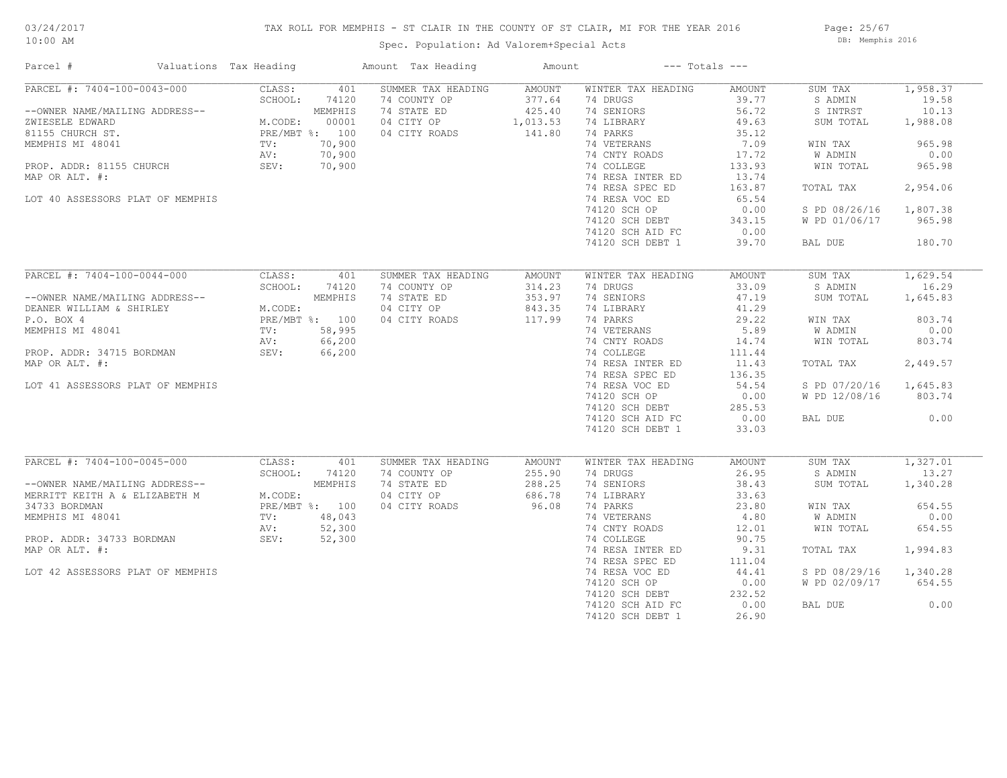# 03/24/2017

## TAX ROLL FOR MEMPHIS - ST CLAIR IN THE COUNTY OF ST CLAIR, MI FOR THE YEAR 2016

10:00 AM

## Spec. Population: Ad Valorem+Special Acts

Page: 25/67 DB: Memphis 2016

| Parcel #                                       | Valuations Tax Heading |                                               | Amount Tax Heading        | Amount        |                    | $---$ Totals $---$ |               |          |
|------------------------------------------------|------------------------|-----------------------------------------------|---------------------------|---------------|--------------------|--------------------|---------------|----------|
| PARCEL #: 7404-100-0043-000                    |                        | CLASS:                                        | 401<br>SUMMER TAX HEADING | AMOUNT        | WINTER TAX HEADING | AMOUNT             | SUM TAX       | 1,958.37 |
|                                                |                        | SCHOOL:                                       | 74 COUNTY OP<br>74120     | 377.64        | 74 DRUGS           | 39.77              | S ADMIN       | 19.58    |
| --OWNER NAME/MAILING ADDRESS--                 |                        | MEMPHIS                                       | 74 STATE ED               | 425.40        | 74 SENIORS         | 56.72              | S INTRST      | 10.13    |
| ZWIESELE EDWARD                                |                        | M.CODE:                                       | 04 CITY OP<br>00001       | 1,013.53      | 74 LIBRARY         | 49.63              | SUM TOTAL     | 1,988.08 |
| 81155 CHURCH ST.                               |                        | PRE/MBT %: 100                                | 04 CITY ROADS             | 141.80        | 74 PARKS           | 35.12              |               |          |
| MEMPHIS MI 48041                               |                        | 70,900<br>TV:                                 |                           |               | 74 VETERANS        | 7.09               | WIN TAX       | 965.98   |
|                                                |                        | 70,900<br>AV:                                 |                           |               | 74 CNTY ROADS      | 17.72              | W ADMIN       | 0.00     |
| PROP. ADDR: 81155 CHURCH                       |                        | SEV:<br>70,900                                |                           |               | 74 COLLEGE         | 133.93             | WIN TOTAL     | 965.98   |
| MAP OR ALT. #:                                 |                        |                                               |                           |               | 74 RESA INTER ED   | 13.74              |               |          |
|                                                |                        |                                               |                           |               | 74 RESA SPEC ED    | 163.87             | TOTAL TAX     | 2,954.06 |
| LOT 40 ASSESSORS PLAT OF MEMPHIS               |                        |                                               |                           |               | 74 RESA VOC ED     | 65.54              |               |          |
|                                                |                        |                                               |                           |               | 74120 SCH OP       | 0.00               | S PD 08/26/16 | 1,807.38 |
|                                                |                        |                                               |                           |               | 74120 SCH DEBT     | 343.15             | W PD 01/06/17 | 965.98   |
|                                                |                        |                                               |                           |               |                    |                    |               |          |
|                                                |                        |                                               |                           |               | 74120 SCH AID FC   | 0.00               |               |          |
|                                                |                        |                                               |                           |               | 74120 SCH DEBT 1   | 39.70              | BAL DUE       | 180.70   |
| $\overline{\text{PARCH}}$ #: 7404-100-0044-000 |                        | CLASS:                                        | 401<br>SUMMER TAX HEADING | <b>AMOUNT</b> | WINTER TAX HEADING | AMOUNT             | SUM TAX       | 1,629.54 |
|                                                |                        | SCHOOL:                                       | 74120<br>74 COUNTY OP     | 314.23        | 74 DRUGS           | 33.09              | S ADMIN       | 16.29    |
|                                                |                        | MEMPHIS                                       | 74 STATE ED               | 353.97        | 74 SENIORS         | 47.19              | SUM TOTAL     |          |
| --OWNER NAME/MAILING ADDRESS--                 |                        |                                               |                           |               |                    |                    |               | 1,645.83 |
| DEANER WILLIAM & SHIRLEY                       |                        | % />--<br>M.CODE:<br>PRE/MBT %: 100<br>58.995 | 04 CITY OP                | 843.35        | 74 LIBRARY         | 41.29              |               |          |
| P.O. BOX 4                                     |                        |                                               | 04 CITY ROADS             | 117.99        | 74 PARKS           | 29.22              | WIN TAX       | 803.74   |
| MEMPHIS MI 48041                               |                        | 58,995<br>TV:                                 |                           |               | 74 VETERANS        | 5.89               | W ADMIN       | 0.00     |
|                                                |                        | AV:<br>66,200                                 |                           |               | 74 CNTY ROADS      | 14.74              | WIN TOTAL     | 803.74   |
| PROP. ADDR: 34715 BORDMAN                      |                        | SEV:<br>66,200                                |                           |               | 74 COLLEGE         | 111.44             |               |          |
| MAP OR ALT. #:                                 |                        |                                               |                           |               | 74 RESA INTER ED   | 11.43              | TOTAL TAX     | 2,449.57 |
|                                                |                        |                                               |                           |               | 74 RESA SPEC ED    | 136.35             |               |          |
| LOT 41 ASSESSORS PLAT OF MEMPHIS               |                        |                                               |                           |               | 74 RESA VOC ED     | 54.54              | S PD 07/20/16 | 1,645.83 |
|                                                |                        |                                               |                           |               | 74120 SCH OP       | 0.00               | W PD 12/08/16 | 803.74   |
|                                                |                        |                                               |                           |               | 74120 SCH DEBT     | 285.53             |               |          |
|                                                |                        |                                               |                           |               | 74120 SCH AID FC   | 0.00               | BAL DUE       | 0.00     |
|                                                |                        |                                               |                           |               | 74120 SCH DEBT 1   | 33.03              |               |          |
|                                                |                        |                                               |                           |               |                    |                    |               |          |
| PARCEL #: 7404-100-0045-000                    |                        | CLASS:                                        | 401<br>SUMMER TAX HEADING | AMOUNT        | WINTER TAX HEADING | AMOUNT             | SUM TAX       | 1,327.01 |
|                                                |                        | SCHOOL:                                       | 74120<br>74 COUNTY OP     | 255.90        | 74 DRUGS           | 26.95              | S ADMIN       | 13.27    |
| --OWNER NAME/MAILING ADDRESS--                 |                        | MEMPHIS                                       | 74 STATE ED               | 288.25        | 74 SENIORS         | 38.43              | SUM TOTAL     | 1,340.28 |
| MERRITT KEITH A & ELIZABETH M                  |                        | M.CODE:                                       | 04 CITY OP                | 686.78        | 74 LIBRARY         | 33.63              |               |          |
| 34733 BORDMAN                                  |                        | PRE/MBT %: 100                                | 04 CITY ROADS             | 96.08         | 74 PARKS           | 23.80              | WIN TAX       | 654.55   |
| MEMPHIS MI 48041                               |                        | 48,043<br>TV:                                 |                           |               | 74 VETERANS        | 4.80               | W ADMIN       | 0.00     |
|                                                |                        | AV:<br>52,300                                 |                           |               | 74 CNTY ROADS      | 12.01              | WIN TOTAL     | 654.55   |
| PROP. ADDR: 34733 BORDMAN                      |                        | SEV:<br>52,300                                |                           |               | 74 COLLEGE         | 90.75              |               |          |
|                                                |                        |                                               |                           |               |                    |                    |               |          |
| MAP OR ALT. #:                                 |                        |                                               |                           |               | 74 RESA INTER ED   | 9.31               | TOTAL TAX     | 1,994.83 |
|                                                |                        |                                               |                           |               | 74 RESA SPEC ED    | 111.04             |               |          |
| LOT 42 ASSESSORS PLAT OF MEMPHIS               |                        |                                               |                           |               | 74 RESA VOC ED     | 44.41              | S PD 08/29/16 | 1,340.28 |
|                                                |                        |                                               |                           |               | 74120 SCH OP       | 0.00               | W PD 02/09/17 | 654.55   |
|                                                |                        |                                               |                           |               | 74120 SCH DEBT     | 232.52             |               |          |
|                                                |                        |                                               |                           |               | 74120 SCH AID FC   | 0.00               | BAL DUE       | 0.00     |
|                                                |                        |                                               |                           |               | 74120 SCH DEBT 1   | 26.90              |               |          |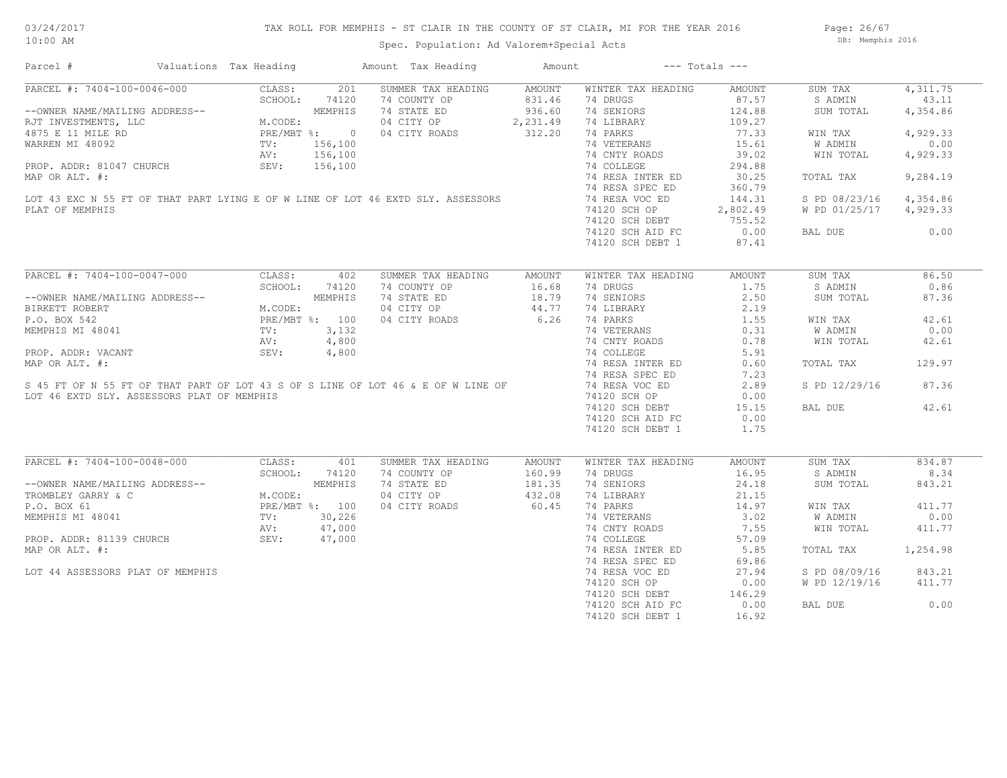Page: 26/67 DB: Memphis 2016

Spec. Population: Ad Valorem+Special Acts

| PARCEL #: 7404-100-0046-000 CLASS: 201<br>--OWNER NAME/MAILING ADDRESS-- SCHOOL: 74120<br>RJT INVESTMENTS, LLC M.CODE: 4875 E 11 MILE RD PRE/MBT %: 0<br>WARREN MI 48092 TV: 156,100<br>PROP. ADDR: 81047 CHURCH SEV: 156,100<br>MAP OP<br>4,311.75<br>SUMMER TAX HEADING<br>AMOUNT<br>WINTER TAX HEADING<br>SUM TAX<br>AMOUNT<br>74 COUNTY OP<br>831.46<br>74 DRUGS<br>87.57<br>43.11<br>S ADMIN<br>74 SENIORS<br>74 STATE ED<br>936.60<br>124.88<br>SUM TOTAL<br>4,354.86<br>04 CITY OP<br>2,231.49<br>74 LIBRARY<br>109.27<br>312.20<br>74 PARKS<br>04 CITY ROADS<br>77.33<br>4,929.33<br>WIN TAX<br>74 VETERANS<br>15.61<br>0.00<br>W ADMIN<br>WARREN MI 48092<br>PROP. ADDR: 81047 CHURCH<br>MAP OR ALT. #:<br>LOT 43 EXC N 55 FT OF THAT PART LYING E OF W LINE OF LOT 46 EXTD SLY. ASSESSORS<br>39.02<br>4,929.33<br>74 CNTY ROADS<br>WIN TOTAL<br>74 COLLEGE<br>294.88<br>9,284.19<br>74 RESA INTER ED<br>30.25<br>TOTAL TAX<br>74 RESA SPEC ED<br>360.79<br>74 RESA VOC ED<br>144.31<br>4,354.86<br>S PD 08/23/16<br>74120 SCH OP<br>2,802.49<br>W PD 01/25/17 4,929.33<br>PLAT OF MEMPHIS<br>74120 SCH DEBT 755.52<br>74120 SCH AID FC<br>0.00<br>0.00<br>BAL DUE<br>74120 SCH DEBT 1<br>87.41<br>PARCEL #: 7404-100-0047-000<br>CLASS:<br>SUMMER TAX HEADING<br>WINTER TAX HEADING<br>SUM TAX<br>86.50<br>402<br>AMOUNT<br><b>AMOUNT</b><br>SCHOOL:<br>0.86<br>74120<br>74 COUNTY OP<br>16.68<br>74 DRUGS<br>1.75<br>S ADMIN<br>NG ADDRESS--<br>M.CODE:<br>MEMPHIS<br>MEMPHIS<br>PRE/MBT %: 100<br>TV: 3,132<br>AV: 4,800<br>SEV: 4,800<br>74 STATE ED<br>$18.79$<br>$44.77$<br>74 SENIORS<br>2.50<br>87.36<br>SUM TOTAL<br>--OWNER NAME/MAILING ADDRESS--<br>BIRKETT ROBERT<br>04 CITY OP<br>74 LIBRARY<br>2.19<br>6.26<br>1.55<br>P.O. BOX 542<br>04 CITY ROADS<br>74 PARKS<br>42.61<br>WIN TAX<br>MEMPHIS MI 48041<br>PROP. ADDR: VACANT<br>MEMPHIS MI 48041<br>PROP. ADDR: VACANT<br>MAP OR ALT. #:<br>S 45 FT OF N 55 FT OF THAT PART OF LOT 43 S OF S LINE OF LOT 46 & E OF W LINE OF<br>74 VETERANS<br>0.00<br>0.31<br>W ADMIN<br>74 CNTY ROADS<br>0.78<br>WIN TOTAL<br>42.61<br>74 COLLEGE<br>5.91<br>74 RESA INTER ED<br>TOTAL TAX<br>129.97<br>0.60<br>74 RESA SPEC ED<br>7.23<br>74 RESA VOC ED<br>87.36<br>2.89<br>S PD 12/29/16<br>LOT 46 EXTD SLY. ASSESSORS PLAT OF MEMPHIS<br>74120 SCH OP<br>0.00<br>74120 SCH DEBT<br>15.15<br>42.61<br>BAL DUE<br>74120 SCH AID FC<br>0.00<br>74120 SCH DEBT 1<br>1.75<br>PARCEL #: 7404-100-0048-000<br>CLASS:<br>SUMMER TAX HEADING<br>834.87<br>401<br>AMOUNT<br>WINTER TAX HEADING<br>AMOUNT<br>SUM TAX<br>74 COUNTY OP<br>16.95<br>SCHOOL:<br>74120<br>160.99<br>74 DRUGS<br>S ADMIN<br>8.34<br>74 STATE ED<br>181.35<br>24.18<br>74 SENIORS<br>SUM TOTAL<br>843.21<br>04 CITY OP<br>432.08<br>74 LIBRARY<br>21.15<br>60.45<br>74 PARKS<br>04 CITY ROADS<br>14.97<br>411.77<br>WIN TAX<br>0.00<br>74 VETERANS<br>3.02<br>W ADMIN<br>74 CNTY ROADS<br>7.55<br>411.77<br>WIN TOTAL<br>74 COLLEGE<br>57.09<br>74 RESA INTER ED<br>5.85<br>1,254.98<br>TOTAL TAX<br>74 RESA SPEC ED<br>69.86<br>74 RESA VOC ED<br>27.94<br>S PD 08/09/16<br>843.21<br>LOT 44 ASSESSORS PLAT OF MEMPHIS<br>74120 SCH OP<br>0.00<br>W PD 12/19/16<br>411.77<br>74120 SCH DEBT<br>146.29<br>0.00<br>74120 SCH AID FC<br>0.00<br>BAL DUE<br>74120 SCH DEBT 1<br>16.92 | Parcel #       | Valuations Tax Heading | Amount Tax Heading | Amount | $---$ Totals $---$ |  |
|------------------------------------------------------------------------------------------------------------------------------------------------------------------------------------------------------------------------------------------------------------------------------------------------------------------------------------------------------------------------------------------------------------------------------------------------------------------------------------------------------------------------------------------------------------------------------------------------------------------------------------------------------------------------------------------------------------------------------------------------------------------------------------------------------------------------------------------------------------------------------------------------------------------------------------------------------------------------------------------------------------------------------------------------------------------------------------------------------------------------------------------------------------------------------------------------------------------------------------------------------------------------------------------------------------------------------------------------------------------------------------------------------------------------------------------------------------------------------------------------------------------------------------------------------------------------------------------------------------------------------------------------------------------------------------------------------------------------------------------------------------------------------------------------------------------------------------------------------------------------------------------------------------------------------------------------------------------------------------------------------------------------------------------------------------------------------------------------------------------------------------------------------------------------------------------------------------------------------------------------------------------------------------------------------------------------------------------------------------------------------------------------------------------------------------------------------------------------------------------------------------------------------------------------------------------------------------------------------------------------------------------------------------------------------------------------------------------------------------------------------------------------------------------------------------------------------------------------------------------------------------------------------------------------------------------------------------------------------------------------------------------------------------------------------------------------------------------------------------------------------------------------------------------------------------------------------------------------------------------------------------------------------------------------------------------|----------------|------------------------|--------------------|--------|--------------------|--|
|                                                                                                                                                                                                                                                                                                                                                                                                                                                                                                                                                                                                                                                                                                                                                                                                                                                                                                                                                                                                                                                                                                                                                                                                                                                                                                                                                                                                                                                                                                                                                                                                                                                                                                                                                                                                                                                                                                                                                                                                                                                                                                                                                                                                                                                                                                                                                                                                                                                                                                                                                                                                                                                                                                                                                                                                                                                                                                                                                                                                                                                                                                                                                                                                                                                                                                                  |                |                        |                    |        |                    |  |
|                                                                                                                                                                                                                                                                                                                                                                                                                                                                                                                                                                                                                                                                                                                                                                                                                                                                                                                                                                                                                                                                                                                                                                                                                                                                                                                                                                                                                                                                                                                                                                                                                                                                                                                                                                                                                                                                                                                                                                                                                                                                                                                                                                                                                                                                                                                                                                                                                                                                                                                                                                                                                                                                                                                                                                                                                                                                                                                                                                                                                                                                                                                                                                                                                                                                                                                  |                |                        |                    |        |                    |  |
|                                                                                                                                                                                                                                                                                                                                                                                                                                                                                                                                                                                                                                                                                                                                                                                                                                                                                                                                                                                                                                                                                                                                                                                                                                                                                                                                                                                                                                                                                                                                                                                                                                                                                                                                                                                                                                                                                                                                                                                                                                                                                                                                                                                                                                                                                                                                                                                                                                                                                                                                                                                                                                                                                                                                                                                                                                                                                                                                                                                                                                                                                                                                                                                                                                                                                                                  |                |                        |                    |        |                    |  |
|                                                                                                                                                                                                                                                                                                                                                                                                                                                                                                                                                                                                                                                                                                                                                                                                                                                                                                                                                                                                                                                                                                                                                                                                                                                                                                                                                                                                                                                                                                                                                                                                                                                                                                                                                                                                                                                                                                                                                                                                                                                                                                                                                                                                                                                                                                                                                                                                                                                                                                                                                                                                                                                                                                                                                                                                                                                                                                                                                                                                                                                                                                                                                                                                                                                                                                                  |                |                        |                    |        |                    |  |
|                                                                                                                                                                                                                                                                                                                                                                                                                                                                                                                                                                                                                                                                                                                                                                                                                                                                                                                                                                                                                                                                                                                                                                                                                                                                                                                                                                                                                                                                                                                                                                                                                                                                                                                                                                                                                                                                                                                                                                                                                                                                                                                                                                                                                                                                                                                                                                                                                                                                                                                                                                                                                                                                                                                                                                                                                                                                                                                                                                                                                                                                                                                                                                                                                                                                                                                  |                |                        |                    |        |                    |  |
|                                                                                                                                                                                                                                                                                                                                                                                                                                                                                                                                                                                                                                                                                                                                                                                                                                                                                                                                                                                                                                                                                                                                                                                                                                                                                                                                                                                                                                                                                                                                                                                                                                                                                                                                                                                                                                                                                                                                                                                                                                                                                                                                                                                                                                                                                                                                                                                                                                                                                                                                                                                                                                                                                                                                                                                                                                                                                                                                                                                                                                                                                                                                                                                                                                                                                                                  |                |                        |                    |        |                    |  |
|                                                                                                                                                                                                                                                                                                                                                                                                                                                                                                                                                                                                                                                                                                                                                                                                                                                                                                                                                                                                                                                                                                                                                                                                                                                                                                                                                                                                                                                                                                                                                                                                                                                                                                                                                                                                                                                                                                                                                                                                                                                                                                                                                                                                                                                                                                                                                                                                                                                                                                                                                                                                                                                                                                                                                                                                                                                                                                                                                                                                                                                                                                                                                                                                                                                                                                                  |                |                        |                    |        |                    |  |
|                                                                                                                                                                                                                                                                                                                                                                                                                                                                                                                                                                                                                                                                                                                                                                                                                                                                                                                                                                                                                                                                                                                                                                                                                                                                                                                                                                                                                                                                                                                                                                                                                                                                                                                                                                                                                                                                                                                                                                                                                                                                                                                                                                                                                                                                                                                                                                                                                                                                                                                                                                                                                                                                                                                                                                                                                                                                                                                                                                                                                                                                                                                                                                                                                                                                                                                  |                |                        |                    |        |                    |  |
|                                                                                                                                                                                                                                                                                                                                                                                                                                                                                                                                                                                                                                                                                                                                                                                                                                                                                                                                                                                                                                                                                                                                                                                                                                                                                                                                                                                                                                                                                                                                                                                                                                                                                                                                                                                                                                                                                                                                                                                                                                                                                                                                                                                                                                                                                                                                                                                                                                                                                                                                                                                                                                                                                                                                                                                                                                                                                                                                                                                                                                                                                                                                                                                                                                                                                                                  |                |                        |                    |        |                    |  |
|                                                                                                                                                                                                                                                                                                                                                                                                                                                                                                                                                                                                                                                                                                                                                                                                                                                                                                                                                                                                                                                                                                                                                                                                                                                                                                                                                                                                                                                                                                                                                                                                                                                                                                                                                                                                                                                                                                                                                                                                                                                                                                                                                                                                                                                                                                                                                                                                                                                                                                                                                                                                                                                                                                                                                                                                                                                                                                                                                                                                                                                                                                                                                                                                                                                                                                                  |                |                        |                    |        |                    |  |
|                                                                                                                                                                                                                                                                                                                                                                                                                                                                                                                                                                                                                                                                                                                                                                                                                                                                                                                                                                                                                                                                                                                                                                                                                                                                                                                                                                                                                                                                                                                                                                                                                                                                                                                                                                                                                                                                                                                                                                                                                                                                                                                                                                                                                                                                                                                                                                                                                                                                                                                                                                                                                                                                                                                                                                                                                                                                                                                                                                                                                                                                                                                                                                                                                                                                                                                  |                |                        |                    |        |                    |  |
|                                                                                                                                                                                                                                                                                                                                                                                                                                                                                                                                                                                                                                                                                                                                                                                                                                                                                                                                                                                                                                                                                                                                                                                                                                                                                                                                                                                                                                                                                                                                                                                                                                                                                                                                                                                                                                                                                                                                                                                                                                                                                                                                                                                                                                                                                                                                                                                                                                                                                                                                                                                                                                                                                                                                                                                                                                                                                                                                                                                                                                                                                                                                                                                                                                                                                                                  |                |                        |                    |        |                    |  |
|                                                                                                                                                                                                                                                                                                                                                                                                                                                                                                                                                                                                                                                                                                                                                                                                                                                                                                                                                                                                                                                                                                                                                                                                                                                                                                                                                                                                                                                                                                                                                                                                                                                                                                                                                                                                                                                                                                                                                                                                                                                                                                                                                                                                                                                                                                                                                                                                                                                                                                                                                                                                                                                                                                                                                                                                                                                                                                                                                                                                                                                                                                                                                                                                                                                                                                                  |                |                        |                    |        |                    |  |
|                                                                                                                                                                                                                                                                                                                                                                                                                                                                                                                                                                                                                                                                                                                                                                                                                                                                                                                                                                                                                                                                                                                                                                                                                                                                                                                                                                                                                                                                                                                                                                                                                                                                                                                                                                                                                                                                                                                                                                                                                                                                                                                                                                                                                                                                                                                                                                                                                                                                                                                                                                                                                                                                                                                                                                                                                                                                                                                                                                                                                                                                                                                                                                                                                                                                                                                  |                |                        |                    |        |                    |  |
|                                                                                                                                                                                                                                                                                                                                                                                                                                                                                                                                                                                                                                                                                                                                                                                                                                                                                                                                                                                                                                                                                                                                                                                                                                                                                                                                                                                                                                                                                                                                                                                                                                                                                                                                                                                                                                                                                                                                                                                                                                                                                                                                                                                                                                                                                                                                                                                                                                                                                                                                                                                                                                                                                                                                                                                                                                                                                                                                                                                                                                                                                                                                                                                                                                                                                                                  |                |                        |                    |        |                    |  |
|                                                                                                                                                                                                                                                                                                                                                                                                                                                                                                                                                                                                                                                                                                                                                                                                                                                                                                                                                                                                                                                                                                                                                                                                                                                                                                                                                                                                                                                                                                                                                                                                                                                                                                                                                                                                                                                                                                                                                                                                                                                                                                                                                                                                                                                                                                                                                                                                                                                                                                                                                                                                                                                                                                                                                                                                                                                                                                                                                                                                                                                                                                                                                                                                                                                                                                                  |                |                        |                    |        |                    |  |
|                                                                                                                                                                                                                                                                                                                                                                                                                                                                                                                                                                                                                                                                                                                                                                                                                                                                                                                                                                                                                                                                                                                                                                                                                                                                                                                                                                                                                                                                                                                                                                                                                                                                                                                                                                                                                                                                                                                                                                                                                                                                                                                                                                                                                                                                                                                                                                                                                                                                                                                                                                                                                                                                                                                                                                                                                                                                                                                                                                                                                                                                                                                                                                                                                                                                                                                  |                |                        |                    |        |                    |  |
|                                                                                                                                                                                                                                                                                                                                                                                                                                                                                                                                                                                                                                                                                                                                                                                                                                                                                                                                                                                                                                                                                                                                                                                                                                                                                                                                                                                                                                                                                                                                                                                                                                                                                                                                                                                                                                                                                                                                                                                                                                                                                                                                                                                                                                                                                                                                                                                                                                                                                                                                                                                                                                                                                                                                                                                                                                                                                                                                                                                                                                                                                                                                                                                                                                                                                                                  |                |                        |                    |        |                    |  |
|                                                                                                                                                                                                                                                                                                                                                                                                                                                                                                                                                                                                                                                                                                                                                                                                                                                                                                                                                                                                                                                                                                                                                                                                                                                                                                                                                                                                                                                                                                                                                                                                                                                                                                                                                                                                                                                                                                                                                                                                                                                                                                                                                                                                                                                                                                                                                                                                                                                                                                                                                                                                                                                                                                                                                                                                                                                                                                                                                                                                                                                                                                                                                                                                                                                                                                                  |                |                        |                    |        |                    |  |
|                                                                                                                                                                                                                                                                                                                                                                                                                                                                                                                                                                                                                                                                                                                                                                                                                                                                                                                                                                                                                                                                                                                                                                                                                                                                                                                                                                                                                                                                                                                                                                                                                                                                                                                                                                                                                                                                                                                                                                                                                                                                                                                                                                                                                                                                                                                                                                                                                                                                                                                                                                                                                                                                                                                                                                                                                                                                                                                                                                                                                                                                                                                                                                                                                                                                                                                  |                |                        |                    |        |                    |  |
|                                                                                                                                                                                                                                                                                                                                                                                                                                                                                                                                                                                                                                                                                                                                                                                                                                                                                                                                                                                                                                                                                                                                                                                                                                                                                                                                                                                                                                                                                                                                                                                                                                                                                                                                                                                                                                                                                                                                                                                                                                                                                                                                                                                                                                                                                                                                                                                                                                                                                                                                                                                                                                                                                                                                                                                                                                                                                                                                                                                                                                                                                                                                                                                                                                                                                                                  |                |                        |                    |        |                    |  |
|                                                                                                                                                                                                                                                                                                                                                                                                                                                                                                                                                                                                                                                                                                                                                                                                                                                                                                                                                                                                                                                                                                                                                                                                                                                                                                                                                                                                                                                                                                                                                                                                                                                                                                                                                                                                                                                                                                                                                                                                                                                                                                                                                                                                                                                                                                                                                                                                                                                                                                                                                                                                                                                                                                                                                                                                                                                                                                                                                                                                                                                                                                                                                                                                                                                                                                                  |                |                        |                    |        |                    |  |
|                                                                                                                                                                                                                                                                                                                                                                                                                                                                                                                                                                                                                                                                                                                                                                                                                                                                                                                                                                                                                                                                                                                                                                                                                                                                                                                                                                                                                                                                                                                                                                                                                                                                                                                                                                                                                                                                                                                                                                                                                                                                                                                                                                                                                                                                                                                                                                                                                                                                                                                                                                                                                                                                                                                                                                                                                                                                                                                                                                                                                                                                                                                                                                                                                                                                                                                  |                |                        |                    |        |                    |  |
|                                                                                                                                                                                                                                                                                                                                                                                                                                                                                                                                                                                                                                                                                                                                                                                                                                                                                                                                                                                                                                                                                                                                                                                                                                                                                                                                                                                                                                                                                                                                                                                                                                                                                                                                                                                                                                                                                                                                                                                                                                                                                                                                                                                                                                                                                                                                                                                                                                                                                                                                                                                                                                                                                                                                                                                                                                                                                                                                                                                                                                                                                                                                                                                                                                                                                                                  |                |                        |                    |        |                    |  |
|                                                                                                                                                                                                                                                                                                                                                                                                                                                                                                                                                                                                                                                                                                                                                                                                                                                                                                                                                                                                                                                                                                                                                                                                                                                                                                                                                                                                                                                                                                                                                                                                                                                                                                                                                                                                                                                                                                                                                                                                                                                                                                                                                                                                                                                                                                                                                                                                                                                                                                                                                                                                                                                                                                                                                                                                                                                                                                                                                                                                                                                                                                                                                                                                                                                                                                                  |                |                        |                    |        |                    |  |
|                                                                                                                                                                                                                                                                                                                                                                                                                                                                                                                                                                                                                                                                                                                                                                                                                                                                                                                                                                                                                                                                                                                                                                                                                                                                                                                                                                                                                                                                                                                                                                                                                                                                                                                                                                                                                                                                                                                                                                                                                                                                                                                                                                                                                                                                                                                                                                                                                                                                                                                                                                                                                                                                                                                                                                                                                                                                                                                                                                                                                                                                                                                                                                                                                                                                                                                  |                |                        |                    |        |                    |  |
|                                                                                                                                                                                                                                                                                                                                                                                                                                                                                                                                                                                                                                                                                                                                                                                                                                                                                                                                                                                                                                                                                                                                                                                                                                                                                                                                                                                                                                                                                                                                                                                                                                                                                                                                                                                                                                                                                                                                                                                                                                                                                                                                                                                                                                                                                                                                                                                                                                                                                                                                                                                                                                                                                                                                                                                                                                                                                                                                                                                                                                                                                                                                                                                                                                                                                                                  |                |                        |                    |        |                    |  |
|                                                                                                                                                                                                                                                                                                                                                                                                                                                                                                                                                                                                                                                                                                                                                                                                                                                                                                                                                                                                                                                                                                                                                                                                                                                                                                                                                                                                                                                                                                                                                                                                                                                                                                                                                                                                                                                                                                                                                                                                                                                                                                                                                                                                                                                                                                                                                                                                                                                                                                                                                                                                                                                                                                                                                                                                                                                                                                                                                                                                                                                                                                                                                                                                                                                                                                                  |                |                        |                    |        |                    |  |
|                                                                                                                                                                                                                                                                                                                                                                                                                                                                                                                                                                                                                                                                                                                                                                                                                                                                                                                                                                                                                                                                                                                                                                                                                                                                                                                                                                                                                                                                                                                                                                                                                                                                                                                                                                                                                                                                                                                                                                                                                                                                                                                                                                                                                                                                                                                                                                                                                                                                                                                                                                                                                                                                                                                                                                                                                                                                                                                                                                                                                                                                                                                                                                                                                                                                                                                  |                |                        |                    |        |                    |  |
|                                                                                                                                                                                                                                                                                                                                                                                                                                                                                                                                                                                                                                                                                                                                                                                                                                                                                                                                                                                                                                                                                                                                                                                                                                                                                                                                                                                                                                                                                                                                                                                                                                                                                                                                                                                                                                                                                                                                                                                                                                                                                                                                                                                                                                                                                                                                                                                                                                                                                                                                                                                                                                                                                                                                                                                                                                                                                                                                                                                                                                                                                                                                                                                                                                                                                                                  |                |                        |                    |        |                    |  |
|                                                                                                                                                                                                                                                                                                                                                                                                                                                                                                                                                                                                                                                                                                                                                                                                                                                                                                                                                                                                                                                                                                                                                                                                                                                                                                                                                                                                                                                                                                                                                                                                                                                                                                                                                                                                                                                                                                                                                                                                                                                                                                                                                                                                                                                                                                                                                                                                                                                                                                                                                                                                                                                                                                                                                                                                                                                                                                                                                                                                                                                                                                                                                                                                                                                                                                                  |                |                        |                    |        |                    |  |
|                                                                                                                                                                                                                                                                                                                                                                                                                                                                                                                                                                                                                                                                                                                                                                                                                                                                                                                                                                                                                                                                                                                                                                                                                                                                                                                                                                                                                                                                                                                                                                                                                                                                                                                                                                                                                                                                                                                                                                                                                                                                                                                                                                                                                                                                                                                                                                                                                                                                                                                                                                                                                                                                                                                                                                                                                                                                                                                                                                                                                                                                                                                                                                                                                                                                                                                  |                |                        |                    |        |                    |  |
|                                                                                                                                                                                                                                                                                                                                                                                                                                                                                                                                                                                                                                                                                                                                                                                                                                                                                                                                                                                                                                                                                                                                                                                                                                                                                                                                                                                                                                                                                                                                                                                                                                                                                                                                                                                                                                                                                                                                                                                                                                                                                                                                                                                                                                                                                                                                                                                                                                                                                                                                                                                                                                                                                                                                                                                                                                                                                                                                                                                                                                                                                                                                                                                                                                                                                                                  |                |                        |                    |        |                    |  |
|                                                                                                                                                                                                                                                                                                                                                                                                                                                                                                                                                                                                                                                                                                                                                                                                                                                                                                                                                                                                                                                                                                                                                                                                                                                                                                                                                                                                                                                                                                                                                                                                                                                                                                                                                                                                                                                                                                                                                                                                                                                                                                                                                                                                                                                                                                                                                                                                                                                                                                                                                                                                                                                                                                                                                                                                                                                                                                                                                                                                                                                                                                                                                                                                                                                                                                                  |                |                        |                    |        |                    |  |
|                                                                                                                                                                                                                                                                                                                                                                                                                                                                                                                                                                                                                                                                                                                                                                                                                                                                                                                                                                                                                                                                                                                                                                                                                                                                                                                                                                                                                                                                                                                                                                                                                                                                                                                                                                                                                                                                                                                                                                                                                                                                                                                                                                                                                                                                                                                                                                                                                                                                                                                                                                                                                                                                                                                                                                                                                                                                                                                                                                                                                                                                                                                                                                                                                                                                                                                  |                |                        |                    |        |                    |  |
|                                                                                                                                                                                                                                                                                                                                                                                                                                                                                                                                                                                                                                                                                                                                                                                                                                                                                                                                                                                                                                                                                                                                                                                                                                                                                                                                                                                                                                                                                                                                                                                                                                                                                                                                                                                                                                                                                                                                                                                                                                                                                                                                                                                                                                                                                                                                                                                                                                                                                                                                                                                                                                                                                                                                                                                                                                                                                                                                                                                                                                                                                                                                                                                                                                                                                                                  |                |                        |                    |        |                    |  |
|                                                                                                                                                                                                                                                                                                                                                                                                                                                                                                                                                                                                                                                                                                                                                                                                                                                                                                                                                                                                                                                                                                                                                                                                                                                                                                                                                                                                                                                                                                                                                                                                                                                                                                                                                                                                                                                                                                                                                                                                                                                                                                                                                                                                                                                                                                                                                                                                                                                                                                                                                                                                                                                                                                                                                                                                                                                                                                                                                                                                                                                                                                                                                                                                                                                                                                                  |                |                        |                    |        |                    |  |
|                                                                                                                                                                                                                                                                                                                                                                                                                                                                                                                                                                                                                                                                                                                                                                                                                                                                                                                                                                                                                                                                                                                                                                                                                                                                                                                                                                                                                                                                                                                                                                                                                                                                                                                                                                                                                                                                                                                                                                                                                                                                                                                                                                                                                                                                                                                                                                                                                                                                                                                                                                                                                                                                                                                                                                                                                                                                                                                                                                                                                                                                                                                                                                                                                                                                                                                  |                |                        |                    |        |                    |  |
|                                                                                                                                                                                                                                                                                                                                                                                                                                                                                                                                                                                                                                                                                                                                                                                                                                                                                                                                                                                                                                                                                                                                                                                                                                                                                                                                                                                                                                                                                                                                                                                                                                                                                                                                                                                                                                                                                                                                                                                                                                                                                                                                                                                                                                                                                                                                                                                                                                                                                                                                                                                                                                                                                                                                                                                                                                                                                                                                                                                                                                                                                                                                                                                                                                                                                                                  |                |                        |                    |        |                    |  |
|                                                                                                                                                                                                                                                                                                                                                                                                                                                                                                                                                                                                                                                                                                                                                                                                                                                                                                                                                                                                                                                                                                                                                                                                                                                                                                                                                                                                                                                                                                                                                                                                                                                                                                                                                                                                                                                                                                                                                                                                                                                                                                                                                                                                                                                                                                                                                                                                                                                                                                                                                                                                                                                                                                                                                                                                                                                                                                                                                                                                                                                                                                                                                                                                                                                                                                                  |                |                        |                    |        |                    |  |
|                                                                                                                                                                                                                                                                                                                                                                                                                                                                                                                                                                                                                                                                                                                                                                                                                                                                                                                                                                                                                                                                                                                                                                                                                                                                                                                                                                                                                                                                                                                                                                                                                                                                                                                                                                                                                                                                                                                                                                                                                                                                                                                                                                                                                                                                                                                                                                                                                                                                                                                                                                                                                                                                                                                                                                                                                                                                                                                                                                                                                                                                                                                                                                                                                                                                                                                  |                |                        |                    |        |                    |  |
|                                                                                                                                                                                                                                                                                                                                                                                                                                                                                                                                                                                                                                                                                                                                                                                                                                                                                                                                                                                                                                                                                                                                                                                                                                                                                                                                                                                                                                                                                                                                                                                                                                                                                                                                                                                                                                                                                                                                                                                                                                                                                                                                                                                                                                                                                                                                                                                                                                                                                                                                                                                                                                                                                                                                                                                                                                                                                                                                                                                                                                                                                                                                                                                                                                                                                                                  | MAP OR ALT. #: |                        |                    |        |                    |  |
|                                                                                                                                                                                                                                                                                                                                                                                                                                                                                                                                                                                                                                                                                                                                                                                                                                                                                                                                                                                                                                                                                                                                                                                                                                                                                                                                                                                                                                                                                                                                                                                                                                                                                                                                                                                                                                                                                                                                                                                                                                                                                                                                                                                                                                                                                                                                                                                                                                                                                                                                                                                                                                                                                                                                                                                                                                                                                                                                                                                                                                                                                                                                                                                                                                                                                                                  |                |                        |                    |        |                    |  |
|                                                                                                                                                                                                                                                                                                                                                                                                                                                                                                                                                                                                                                                                                                                                                                                                                                                                                                                                                                                                                                                                                                                                                                                                                                                                                                                                                                                                                                                                                                                                                                                                                                                                                                                                                                                                                                                                                                                                                                                                                                                                                                                                                                                                                                                                                                                                                                                                                                                                                                                                                                                                                                                                                                                                                                                                                                                                                                                                                                                                                                                                                                                                                                                                                                                                                                                  |                |                        |                    |        |                    |  |
|                                                                                                                                                                                                                                                                                                                                                                                                                                                                                                                                                                                                                                                                                                                                                                                                                                                                                                                                                                                                                                                                                                                                                                                                                                                                                                                                                                                                                                                                                                                                                                                                                                                                                                                                                                                                                                                                                                                                                                                                                                                                                                                                                                                                                                                                                                                                                                                                                                                                                                                                                                                                                                                                                                                                                                                                                                                                                                                                                                                                                                                                                                                                                                                                                                                                                                                  |                |                        |                    |        |                    |  |
|                                                                                                                                                                                                                                                                                                                                                                                                                                                                                                                                                                                                                                                                                                                                                                                                                                                                                                                                                                                                                                                                                                                                                                                                                                                                                                                                                                                                                                                                                                                                                                                                                                                                                                                                                                                                                                                                                                                                                                                                                                                                                                                                                                                                                                                                                                                                                                                                                                                                                                                                                                                                                                                                                                                                                                                                                                                                                                                                                                                                                                                                                                                                                                                                                                                                                                                  |                |                        |                    |        |                    |  |
|                                                                                                                                                                                                                                                                                                                                                                                                                                                                                                                                                                                                                                                                                                                                                                                                                                                                                                                                                                                                                                                                                                                                                                                                                                                                                                                                                                                                                                                                                                                                                                                                                                                                                                                                                                                                                                                                                                                                                                                                                                                                                                                                                                                                                                                                                                                                                                                                                                                                                                                                                                                                                                                                                                                                                                                                                                                                                                                                                                                                                                                                                                                                                                                                                                                                                                                  |                |                        |                    |        |                    |  |
|                                                                                                                                                                                                                                                                                                                                                                                                                                                                                                                                                                                                                                                                                                                                                                                                                                                                                                                                                                                                                                                                                                                                                                                                                                                                                                                                                                                                                                                                                                                                                                                                                                                                                                                                                                                                                                                                                                                                                                                                                                                                                                                                                                                                                                                                                                                                                                                                                                                                                                                                                                                                                                                                                                                                                                                                                                                                                                                                                                                                                                                                                                                                                                                                                                                                                                                  |                |                        |                    |        |                    |  |
|                                                                                                                                                                                                                                                                                                                                                                                                                                                                                                                                                                                                                                                                                                                                                                                                                                                                                                                                                                                                                                                                                                                                                                                                                                                                                                                                                                                                                                                                                                                                                                                                                                                                                                                                                                                                                                                                                                                                                                                                                                                                                                                                                                                                                                                                                                                                                                                                                                                                                                                                                                                                                                                                                                                                                                                                                                                                                                                                                                                                                                                                                                                                                                                                                                                                                                                  |                |                        |                    |        |                    |  |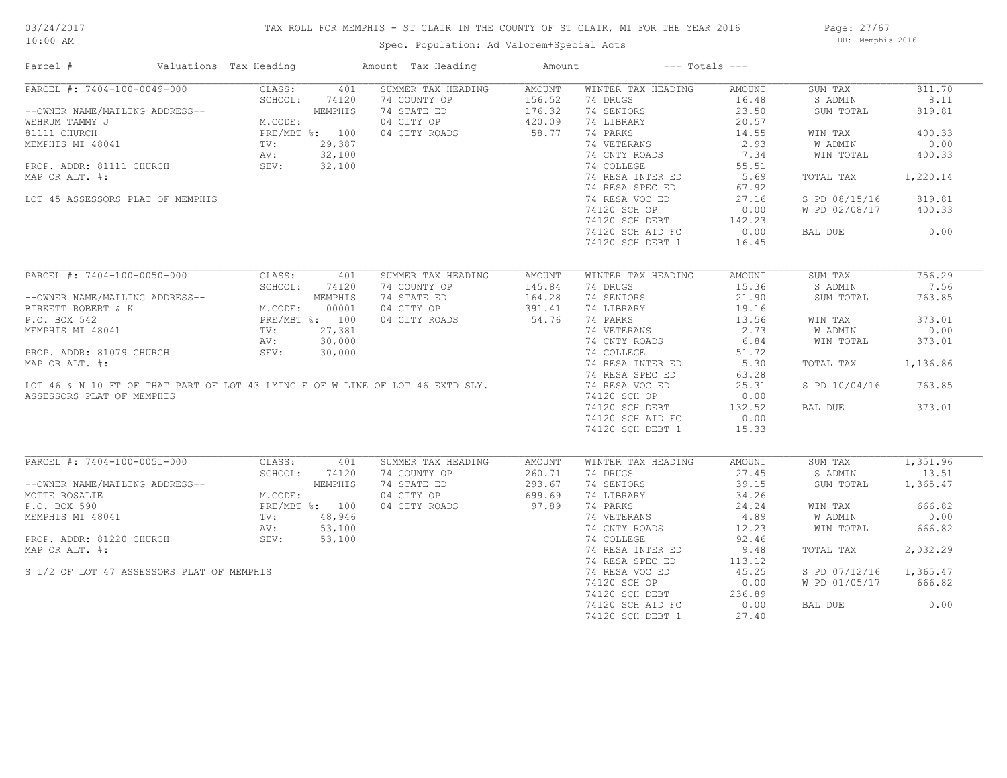## TAX ROLL FOR MEMPHIS - ST CLAIR IN THE COUNTY OF ST CLAIR, MI FOR THE YEAR 2016

Spec. Population: Ad Valorem+Special Acts

Page: 27/67 DB: Memphis 2016

| Parcel #                                                                      | Valuations Tax Heading                                   |         | Amount Tax Heading | Amount |                    | $---$ Totals $---$ |               |          |
|-------------------------------------------------------------------------------|----------------------------------------------------------|---------|--------------------|--------|--------------------|--------------------|---------------|----------|
| PARCEL #: 7404-100-0049-000                                                   | CLASS:                                                   | 401     | SUMMER TAX HEADING | AMOUNT | WINTER TAX HEADING | AMOUNT             | SUM TAX       | 811.70   |
|                                                                               | SCHOOL:                                                  | 74120   | 74 COUNTY OP       | 156.52 | 74 DRUGS           | 16.48              | S ADMIN       | 8.11     |
| --OWNER NAME/MAILING ADDRESS--                                                |                                                          | MEMPHIS | 74 STATE ED        | 176.32 | 74 SENIORS         | 23.50              | SUM TOTAL     | 819.81   |
| WEHRUM TAMMY J                                                                | M.CODE:                                                  |         | 04 CITY OP         | 420.09 | 74 LIBRARY         | 20.57              |               |          |
| 81111 CHURCH                                                                  | PRE/MBT %: 100                                           |         | 04 CITY ROADS      | 58.77  | 74 PARKS           | 14.55              | WIN TAX       | 400.33   |
| MEMPHIS MI 48041                                                              | TV:                                                      | 29,387  |                    |        | 74 VETERANS        | 2.93               | W ADMIN       | 0.00     |
|                                                                               | AV:                                                      | 32,100  |                    |        | 74 CNTY ROADS      | 7.34               | WIN TOTAL     | 400.33   |
| PROP. ADDR: 81111 CHURCH                                                      | SEV:                                                     | 32,100  |                    |        | 74 COLLEGE         | 55.51              |               |          |
| MAP OR ALT. #:                                                                |                                                          |         |                    |        | 74 RESA INTER ED   | 5.69               | TOTAL TAX     | 1,220.14 |
|                                                                               |                                                          |         |                    |        | 74 RESA SPEC ED    | 67.92              |               |          |
| LOT 45 ASSESSORS PLAT OF MEMPHIS                                              |                                                          |         |                    |        | 74 RESA VOC ED     | 27.16              | S PD 08/15/16 | 819.81   |
|                                                                               |                                                          |         |                    |        |                    |                    |               |          |
|                                                                               |                                                          |         |                    |        | 74120 SCH OP       | 0.00               | W PD 02/08/17 | 400.33   |
|                                                                               |                                                          |         |                    |        | 74120 SCH DEBT     | 142.23             |               |          |
|                                                                               |                                                          |         |                    |        | 74120 SCH AID FC   | 0.00               | BAL DUE       | 0.00     |
|                                                                               |                                                          |         |                    |        | 74120 SCH DEBT 1   | 16.45              |               |          |
| PARCEL #: 7404-100-0050-000                                                   | CLASS:                                                   | 401     | SUMMER TAX HEADING |        | WINTER TAX HEADING | AMOUNT             | SUM TAX       | 756.29   |
|                                                                               |                                                          |         |                    | AMOUNT |                    |                    |               | 7.56     |
|                                                                               | SCHOOL:                                                  | 74120   | 74 COUNTY OP       | 145.84 | 74 DRUGS           | 15.36              | S ADMIN       |          |
| --OWNER NAME/MAILING ADDRESS--                                                | MEMPHIS<br>M.CODE: 00001<br>PRE/MBT %: 100<br>TV: 27,381 | MEMPHIS | 74 STATE ED        | 164.28 | 74 SENIORS         | 21.90              | SUM TOTAL     | 763.85   |
| BIRKETT ROBERT & K                                                            |                                                          |         | 04 CITY OP         | 391.41 | 74 LIBRARY         | 19.16              |               |          |
| P.O. BOX 542                                                                  |                                                          |         | 04 CITY ROADS      | 54.76  | 74 PARKS           | 13.56              | WIN TAX       | 373.01   |
| MEMPHIS MI 48041                                                              |                                                          |         |                    |        | 74 VETERANS        | 2.73               | W ADMIN       | 0.00     |
|                                                                               | AV:                                                      | 30,000  |                    |        | 74 CNTY ROADS      | 6.84               | WIN TOTAL     | 373.01   |
| PROP. ADDR: 81079 CHURCH                                                      | SEV:                                                     | 30,000  |                    |        | 74 COLLEGE         | 51.72              |               |          |
| MAP OR ALT. #:                                                                |                                                          |         |                    |        | 74 RESA INTER ED   | 5.30               | TOTAL TAX     | 1,136.86 |
|                                                                               |                                                          |         |                    |        | 74 RESA SPEC ED    | 63.28              |               |          |
| LOT 46 & N 10 FT OF THAT PART OF LOT 43 LYING E OF W LINE OF LOT 46 EXTD SLY. |                                                          |         |                    |        | 74 RESA VOC ED     | 25.31              | S PD 10/04/16 | 763.85   |
| ASSESSORS PLAT OF MEMPHIS                                                     |                                                          |         |                    |        | 74120 SCH OP       | 0.00               |               |          |
|                                                                               |                                                          |         |                    |        | 74120 SCH DEBT     | 132.52             | BAL DUE       | 373.01   |
|                                                                               |                                                          |         |                    |        | 74120 SCH AID FC   | 0.00               |               |          |
|                                                                               |                                                          |         |                    |        | 74120 SCH DEBT 1   | 15.33              |               |          |
|                                                                               |                                                          |         |                    |        |                    |                    |               |          |
| PARCEL #: 7404-100-0051-000                                                   | CLASS:                                                   | 401     | SUMMER TAX HEADING | AMOUNT | WINTER TAX HEADING | AMOUNT             | SUM TAX       | 1,351.96 |
|                                                                               | SCHOOL:                                                  | 74120   | 74 COUNTY OP       | 260.71 | 74 DRUGS           | 27.45              | S ADMIN       | 13.51    |
| --OWNER NAME/MAILING ADDRESS--                                                |                                                          | MEMPHIS | 74 STATE ED        | 293.67 | 74 SENIORS         | 39.15              | SUM TOTAL     | 1,365.47 |
| MOTTE ROSALIE                                                                 | M.CODE:                                                  |         | 04 CITY OP         | 699.69 | 74 LIBRARY         | 34.26              |               |          |
| P.O. BOX 590                                                                  | PRE/MBT %: 100                                           |         | 04 CITY ROADS      | 97.89  | 74 PARKS           | 24.24              | WIN TAX       | 666.82   |
| MEMPHIS MI 48041                                                              | TV:                                                      | 48,946  |                    |        | 74 VETERANS        | 4.89               | W ADMIN       | 0.00     |
|                                                                               | AV:                                                      | 53,100  |                    |        | 74 CNTY ROADS      | 12.23              | WIN TOTAL     | 666.82   |
| PROP. ADDR: 81220 CHURCH                                                      | SEV:                                                     | 53,100  |                    |        | 74 COLLEGE         | 92.46              |               |          |
| MAP OR ALT. #:                                                                |                                                          |         |                    |        | 74 RESA INTER ED   | 9.48               | TOTAL TAX     | 2,032.29 |
|                                                                               |                                                          |         |                    |        | 74 RESA SPEC ED    | 113.12             |               |          |
| S 1/2 OF LOT 47 ASSESSORS PLAT OF MEMPHIS                                     |                                                          |         |                    |        | 74 RESA VOC ED     | 45.25              | S PD 07/12/16 | 1,365.47 |
|                                                                               |                                                          |         |                    |        | 74120 SCH OP       | 0.00               | W PD 01/05/17 | 666.82   |
|                                                                               |                                                          |         |                    |        | 74120 SCH DEBT     | 236.89             |               |          |
|                                                                               |                                                          |         |                    |        | 74120 SCH AID FC   | 0.00               | BAL DUE       | 0.00     |
|                                                                               |                                                          |         |                    |        | 74120 SCH DEBT 1   | 27.40              |               |          |
|                                                                               |                                                          |         |                    |        |                    |                    |               |          |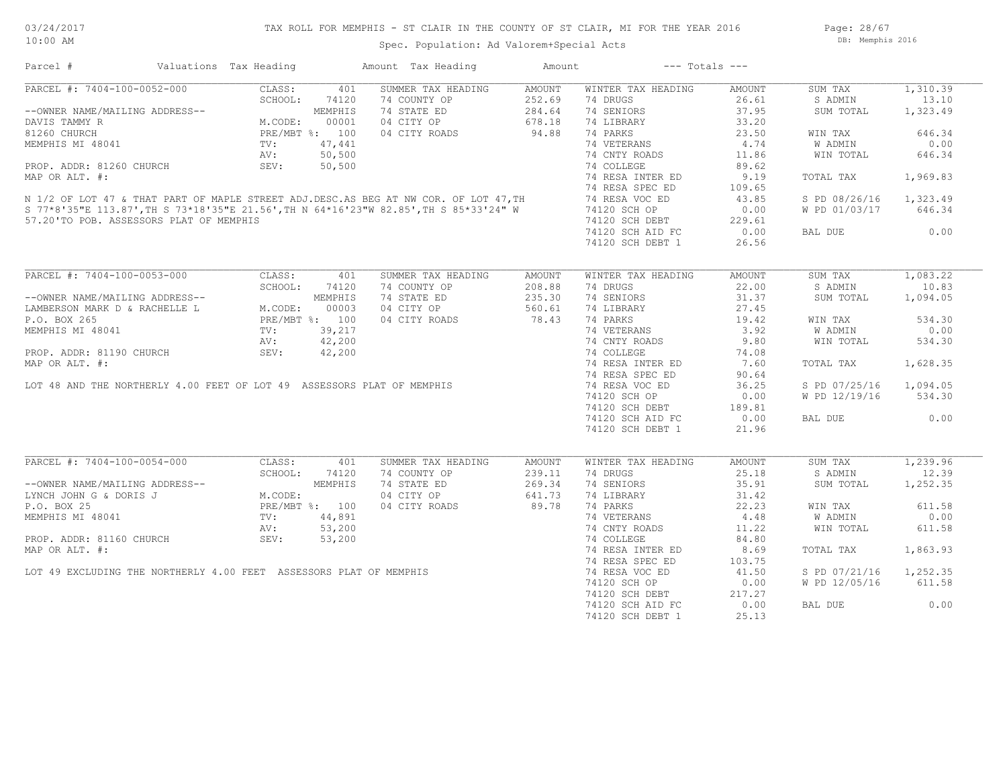Page: 28/67 DB: Memphis 2016

## Spec. Population: Ad Valorem+Special Acts

| Parcel #                                                                                                                                                                                                                                         | Valuations Tax Heading | Amount Tax Heading                                                                    | Amount | $---$ Totals $---$                                                                    |                  |                        |          |
|--------------------------------------------------------------------------------------------------------------------------------------------------------------------------------------------------------------------------------------------------|------------------------|---------------------------------------------------------------------------------------|--------|---------------------------------------------------------------------------------------|------------------|------------------------|----------|
| PARCEL #: 7404-100-0052-000 CLASS: 401<br>--OWNER NAME/MAILING ADDRESS-- SCHOOL: 74120<br>DAVIS TAMMY R M.CODE: 00001<br>81260 CHURCH PRE/MBT %: 100<br>MEMPHIS MI 48041 TV: 47,441<br>PROP. ADDR: 81260 CHURCH SEV: 50,500<br>MAR OB ALT        |                        | SUMMER TAX HEADING                                                                    | AMOUNT | WINTER TAX HEADING                                                                    | AMOUNT           | SUM TAX                | 1,310.39 |
|                                                                                                                                                                                                                                                  |                        | 74 COUNTY OP 352.69<br>74 STATE ED 284.64<br>04 CITY OP 678.18<br>04 CITY ROADS 94.88 |        | 74 DRUGS                                                                              | $26.61$<br>37.95 | S ADMIN                | 13.10    |
|                                                                                                                                                                                                                                                  |                        |                                                                                       |        | 74 SENIORS                                                                            |                  | SUM TOTAL              | 1,323.49 |
|                                                                                                                                                                                                                                                  |                        |                                                                                       |        | 74 LIBRARY                                                                            | 33.20            |                        |          |
|                                                                                                                                                                                                                                                  |                        |                                                                                       |        | 74 PARKS                                                                              | 23.50            | WIN TAX                | 646.34   |
|                                                                                                                                                                                                                                                  |                        |                                                                                       |        |                                                                                       |                  |                        | 0.00     |
|                                                                                                                                                                                                                                                  |                        |                                                                                       |        |                                                                                       |                  | W ADMIN<br>WIN TOTAL   | 646.34   |
|                                                                                                                                                                                                                                                  |                        |                                                                                       |        |                                                                                       |                  |                        |          |
|                                                                                                                                                                                                                                                  |                        |                                                                                       |        |                                                                                       |                  | TOTAL TAX 1,969.83     |          |
|                                                                                                                                                                                                                                                  |                        |                                                                                       |        |                                                                                       |                  |                        |          |
|                                                                                                                                                                                                                                                  |                        |                                                                                       |        |                                                                                       |                  | S PD 08/26/16 1,323.49 |          |
|                                                                                                                                                                                                                                                  |                        |                                                                                       |        |                                                                                       |                  | W PD 01/03/17 646.34   |          |
|                                                                                                                                                                                                                                                  |                        |                                                                                       |        | 74120 SCH DEBT 229.61<br>74120 SCH AID FC 0.00                                        |                  |                        |          |
|                                                                                                                                                                                                                                                  |                        |                                                                                       |        |                                                                                       |                  | BAL DUE 0.00           |          |
|                                                                                                                                                                                                                                                  |                        |                                                                                       |        | 74120 SCH DEBT 1                                                                      | 26.56            |                        |          |
|                                                                                                                                                                                                                                                  |                        |                                                                                       |        |                                                                                       |                  |                        |          |
|                                                                                                                                                                                                                                                  |                        |                                                                                       |        |                                                                                       |                  | SUM TAX                | 1,083.22 |
|                                                                                                                                                                                                                                                  |                        |                                                                                       |        |                                                                                       |                  | S ADMIN                | 10.83    |
|                                                                                                                                                                                                                                                  |                        |                                                                                       |        |                                                                                       |                  | SUM TOTAL 1,094.05     |          |
|                                                                                                                                                                                                                                                  |                        |                                                                                       |        |                                                                                       |                  |                        |          |
|                                                                                                                                                                                                                                                  |                        |                                                                                       |        |                                                                                       |                  | WIN TAX                | 534.30   |
|                                                                                                                                                                                                                                                  |                        |                                                                                       |        |                                                                                       |                  |                        | 0.00     |
|                                                                                                                                                                                                                                                  |                        |                                                                                       |        |                                                                                       |                  | W ADMIN<br>WIN TOTAL   | 534.30   |
|                                                                                                                                                                                                                                                  |                        |                                                                                       |        |                                                                                       |                  |                        |          |
|                                                                                                                                                                                                                                                  |                        |                                                                                       |        |                                                                                       |                  |                        |          |
|                                                                                                                                                                                                                                                  |                        |                                                                                       |        |                                                                                       |                  | TOTAL TAX              | 1,628.35 |
|                                                                                                                                                                                                                                                  |                        |                                                                                       |        |                                                                                       |                  |                        |          |
|                                                                                                                                                                                                                                                  |                        |                                                                                       |        |                                                                                       |                  | S PD 07/25/16 1,094.05 |          |
|                                                                                                                                                                                                                                                  |                        |                                                                                       |        |                                                                                       |                  | W PD 12/19/16 534.30   |          |
|                                                                                                                                                                                                                                                  |                        |                                                                                       |        |                                                                                       |                  |                        |          |
|                                                                                                                                                                                                                                                  |                        |                                                                                       |        |                                                                                       |                  | BAL DUE                | 0.00     |
|                                                                                                                                                                                                                                                  |                        |                                                                                       |        | 74120 SCH DEBT 1                                                                      | 21.96            |                        |          |
| PARCEL #: 7404-100-0054-000 CLASS: 401                                                                                                                                                                                                           |                        | SUMMER TAX HEADING                                                                    | AMOUNT | WINTER TAX HEADING                                                                    | AMOUNT           | SUM TAX                | 1,239.96 |
|                                                                                                                                                                                                                                                  |                        |                                                                                       |        | 74 DRUGS                                                                              | 25.18            | S ADMIN                | 12.39    |
|                                                                                                                                                                                                                                                  |                        |                                                                                       |        | 74 SENIORS                                                                            | 35.91            | SUM TOTAL              | 1,252.35 |
| FARCEL #: /404-100-0054-000<br>--OWNER NAME/MAILING ADDRESS--<br>LYNCH JOHN G & DORIS J<br>P.O. BOX 25<br>P.O. BOX 25<br>MEMPHIS MI 48041<br>PROP. ADDR: 81160 CHURCH<br>PROP. ADDR: 81160 CHURCH<br>PROP. ADDR: 81160 CHURCH<br>PROP. ADDR: 811 |                        | 74 COUNTY OP 239.11<br>74 STATE ED 269.34<br>04 CITY OP 641.73<br>04 CITY ROADS 89.78 |        |                                                                                       |                  |                        |          |
|                                                                                                                                                                                                                                                  |                        |                                                                                       |        | 14 DIBRARY<br>14 DIBRARY<br>14 PARKS<br>14 ONLY ROADS<br>14.22<br>14 COLLEGE<br>14.80 |                  |                        | 611.58   |
|                                                                                                                                                                                                                                                  |                        |                                                                                       |        |                                                                                       |                  | WIN TAX                |          |
|                                                                                                                                                                                                                                                  |                        |                                                                                       |        |                                                                                       |                  | W ADMIN                | 0.00     |
|                                                                                                                                                                                                                                                  |                        |                                                                                       |        |                                                                                       |                  | WIN TOTAL              | 611.58   |
|                                                                                                                                                                                                                                                  |                        |                                                                                       |        |                                                                                       |                  |                        |          |
|                                                                                                                                                                                                                                                  |                        |                                                                                       |        |                                                                                       |                  | TOTAL TAX 1,863.93     |          |
|                                                                                                                                                                                                                                                  |                        |                                                                                       |        |                                                                                       |                  |                        |          |
|                                                                                                                                                                                                                                                  |                        |                                                                                       |        |                                                                                       |                  | S PD 07/21/16 1,252.35 |          |
|                                                                                                                                                                                                                                                  |                        |                                                                                       |        |                                                                                       |                  | W PD 12/05/16 611.58   |          |
|                                                                                                                                                                                                                                                  |                        |                                                                                       |        |                                                                                       |                  |                        |          |
|                                                                                                                                                                                                                                                  |                        |                                                                                       |        |                                                                                       |                  | BAL DUE                | 0.00     |
|                                                                                                                                                                                                                                                  |                        |                                                                                       |        | 74120 SCH DEBT 1                                                                      | 25.13            |                        |          |
|                                                                                                                                                                                                                                                  |                        |                                                                                       |        |                                                                                       |                  |                        |          |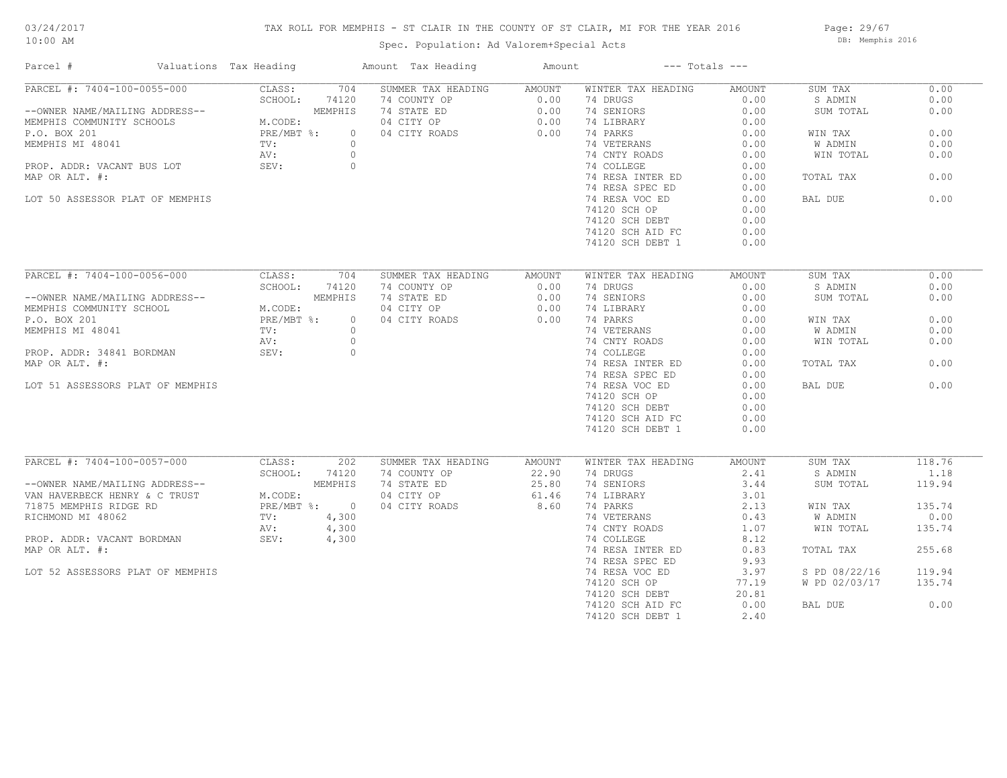## TAX ROLL FOR MEMPHIS - ST CLAIR IN THE COUNTY OF ST CLAIR, MI FOR THE YEAR 2016

Spec. Population: Ad Valorem+Special Acts

Page: 29/67 DB: Memphis 2016

| Parcel #<br>Valuations Tax Heading |                          | Amount Tax Heading | Amount | $---$ Totals $---$ |        |               |        |
|------------------------------------|--------------------------|--------------------|--------|--------------------|--------|---------------|--------|
| PARCEL #: 7404-100-0055-000        | 704<br>CLASS:            | SUMMER TAX HEADING | AMOUNT | WINTER TAX HEADING | AMOUNT | SUM TAX       | 0.00   |
|                                    | SCHOOL:<br>74120         | 74 COUNTY OP       | 0.00   | 74 DRUGS           | 0.00   | S ADMIN       | 0.00   |
| --OWNER NAME/MAILING ADDRESS--     | MEMPHIS                  | 74 STATE ED        | 0.00   | 74 SENIORS         | 0.00   | SUM TOTAL     | 0.00   |
| MEMPHIS COMMUNITY SCHOOLS          | M.CODE:                  | 04 CITY OP         | 0.00   | 74 LIBRARY         | 0.00   |               |        |
| P.O. BOX 201                       | $PRE/MBT$ %:<br>$\Omega$ | 04 CITY ROADS      | 0.00   | 74 PARKS           | 0.00   | WIN TAX       | 0.00   |
| MEMPHIS MI 48041                   | $\circ$<br>TV:           |                    |        | 74 VETERANS        | 0.00   | W ADMIN       | 0.00   |
|                                    | AV:<br>$\circ$           |                    |        | 74 CNTY ROADS      | 0.00   | WIN TOTAL     | 0.00   |
| PROP. ADDR: VACANT BUS LOT         | $\circ$<br>SEV:          |                    |        | 74 COLLEGE         | 0.00   |               |        |
| MAP OR ALT. #:                     |                          |                    |        | 74 RESA INTER ED   | 0.00   | TOTAL TAX     | 0.00   |
|                                    |                          |                    |        | 74 RESA SPEC ED    | 0.00   |               |        |
| LOT 50 ASSESSOR PLAT OF MEMPHIS    |                          |                    |        | 74 RESA VOC ED     | 0.00   | BAL DUE       | 0.00   |
|                                    |                          |                    |        | 74120 SCH OP       | 0.00   |               |        |
|                                    |                          |                    |        | 74120 SCH DEBT     | 0.00   |               |        |
|                                    |                          |                    |        |                    |        |               |        |
|                                    |                          |                    |        | 74120 SCH AID FC   | 0.00   |               |        |
|                                    |                          |                    |        | 74120 SCH DEBT 1   | 0.00   |               |        |
|                                    |                          |                    |        |                    |        |               |        |
| PARCEL #: 7404-100-0056-000        | CLASS:<br>704            | SUMMER TAX HEADING | AMOUNT | WINTER TAX HEADING | AMOUNT | SUM TAX       | 0.00   |
|                                    | SCHOOL:<br>74120         | 74 COUNTY OP       | 0.00   | 74 DRUGS           | 0.00   | S ADMIN       | 0.00   |
| --OWNER NAME/MAILING ADDRESS--     | MEMPHIS                  | 74 STATE ED        | 0.00   | 74 SENIORS         | 0.00   | SUM TOTAL     | 0.00   |
| MEMPHIS COMMUNITY SCHOOL           | M.CODE:                  | 04 CITY OP         | 0.00   | 74 LIBRARY         | 0.00   |               |        |
| P.O. BOX 201                       | $PRE/MBT$ %:<br>$\circ$  | 04 CITY ROADS      | 0.00   | 74 PARKS           | 0.00   | WIN TAX       | 0.00   |
| MEMPHIS MI 48041                   | $\Omega$<br>TV:          |                    |        | 74 VETERANS        | 0.00   | W ADMIN       | 0.00   |
|                                    | $\circ$<br>AV:           |                    |        | 74 CNTY ROADS      | 0.00   | WIN TOTAL     | 0.00   |
| PROP. ADDR: 34841 BORDMAN          | SEV:<br>$\circ$          |                    |        | 74 COLLEGE         | 0.00   |               |        |
| MAP OR ALT. #:                     |                          |                    |        | 74 RESA INTER ED   | 0.00   | TOTAL TAX     | 0.00   |
|                                    |                          |                    |        | 74 RESA SPEC ED    | 0.00   |               |        |
| LOT 51 ASSESSORS PLAT OF MEMPHIS   |                          |                    |        | 74 RESA VOC ED     | 0.00   | BAL DUE       | 0.00   |
|                                    |                          |                    |        | 74120 SCH OP       | 0.00   |               |        |
|                                    |                          |                    |        |                    |        |               |        |
|                                    |                          |                    |        | 74120 SCH DEBT     | 0.00   |               |        |
|                                    |                          |                    |        | 74120 SCH AID FC   | 0.00   |               |        |
|                                    |                          |                    |        | 74120 SCH DEBT 1   | 0.00   |               |        |
|                                    |                          |                    |        |                    |        |               |        |
| PARCEL #: 7404-100-0057-000        | CLASS:<br>202            | SUMMER TAX HEADING | AMOUNT | WINTER TAX HEADING | AMOUNT | SUM TAX       | 118.76 |
|                                    | SCHOOL:<br>74120         | 74 COUNTY OP       | 22.90  | 74 DRUGS           | 2.41   | S ADMIN       | 1.18   |
| --OWNER NAME/MAILING ADDRESS--     | MEMPHIS                  | 74 STATE ED        | 25.80  | 74 SENIORS         | 3.44   | SUM TOTAL     | 119.94 |
| VAN HAVERBECK HENRY & C TRUST      | M.CODE:                  | 04 CITY OP         | 61.46  | 74 LIBRARY         | 3.01   |               |        |
| 71875 MEMPHIS RIDGE RD             | PRE/MBT %: 0             | 04 CITY ROADS      | 8.60   | 74 PARKS           | 2.13   | WIN TAX       | 135.74 |
| RICHMOND MI 48062                  | TV:<br>4,300             |                    |        | 74 VETERANS        | 0.43   | W ADMIN       | 0.00   |
|                                    | 4,300<br>AV:             |                    |        | 74 CNTY ROADS      | 1.07   | WIN TOTAL     | 135.74 |
| PROP. ADDR: VACANT BORDMAN         | SEV:<br>4,300            |                    |        | 74 COLLEGE         | 8.12   |               |        |
| MAP OR ALT. #:                     |                          |                    |        | 74 RESA INTER ED   | 0.83   | TOTAL TAX     | 255.68 |
|                                    |                          |                    |        | 74 RESA SPEC ED    | 9.93   |               |        |
| LOT 52 ASSESSORS PLAT OF MEMPHIS   |                          |                    |        | 74 RESA VOC ED     | 3.97   | S PD 08/22/16 | 119.94 |
|                                    |                          |                    |        | 74120 SCH OP       | 77.19  | W PD 02/03/17 | 135.74 |
|                                    |                          |                    |        | 74120 SCH DEBT     | 20.81  |               |        |
|                                    |                          |                    |        | 74120 SCH AID FC   | 0.00   | BAL DUE       | 0.00   |
|                                    |                          |                    |        |                    |        |               |        |
|                                    |                          |                    |        | 74120 SCH DEBT 1   | 2.40   |               |        |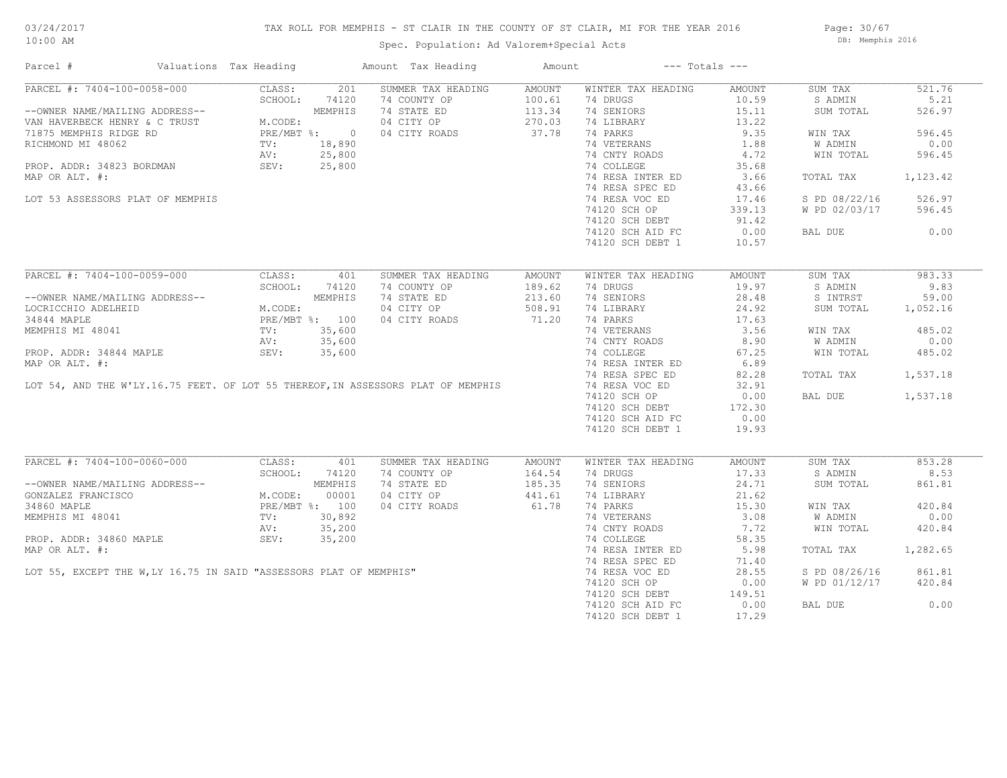## TAX ROLL FOR MEMPHIS - ST CLAIR IN THE COUNTY OF ST CLAIR, MI FOR THE YEAR 2016

Spec. Population: Ad Valorem+Special Acts

Page: 30/67 DB: Memphis 2016

| Parcel #                                                                                                                                                                                                                                       | Valuations Tax Heading                                                                |        | Amount Tax Heading                                                                                              | Amount |                    | $---$ Totals $---$ |                |          |
|------------------------------------------------------------------------------------------------------------------------------------------------------------------------------------------------------------------------------------------------|---------------------------------------------------------------------------------------|--------|-----------------------------------------------------------------------------------------------------------------|--------|--------------------|--------------------|----------------|----------|
| PARCEL #: 7404-100-0058-000                                                                                                                                                                                                                    | CLASS:                                                                                | 201    | SUMMER TAX HEADING                                                                                              | AMOUNT | WINTER TAX HEADING | AMOUNT             | SUM TAX        | 521.76   |
|                                                                                                                                                                                                                                                | SCHOOL:                                                                               | 74120  | 74 COUNTY OP                                                                                                    | 100.61 | 74 DRUGS           | 10.59              | S ADMIN        | 5.21     |
| --OWNER NAME/MAILING ADDRESS--<br>VAN HAVERBECK HENRY & C TRUST<br>71875 MEMPHIS RIDGE RD<br>RICHMOND MI 48062<br>PROP. ADDR: 34823 BORDMAN<br>PROP. ADDR: 34823 BORDMAN<br>PROP. ADDR: 34823 BORDMAN<br>PROP. ADDR: 34823 BORDMAN<br>SEV: 25, |                                                                                       |        | 74 STATE ED                                                                                                     | 113.34 | 74 SENIORS         | 15.11              | SUM TOTAL      | 526.97   |
|                                                                                                                                                                                                                                                |                                                                                       |        | 04 CITY OP                                                                                                      | 270.03 | 74 LIBRARY         | 13.22              |                |          |
|                                                                                                                                                                                                                                                |                                                                                       |        | 04 CITY ROADS                                                                                                   | 37.78  | 74 PARKS           | 9.35               | WIN TAX        | 596.45   |
|                                                                                                                                                                                                                                                |                                                                                       |        |                                                                                                                 |        | 74 VETERANS        | 1.88               | <b>W ADMIN</b> | 0.00     |
|                                                                                                                                                                                                                                                |                                                                                       |        |                                                                                                                 |        | 74 CNTY ROADS      | 4.72               | WIN TOTAL      | 596.45   |
|                                                                                                                                                                                                                                                |                                                                                       |        |                                                                                                                 |        | 74 COLLEGE         | 35.68              |                |          |
| MAP OR ALT. #:                                                                                                                                                                                                                                 |                                                                                       |        |                                                                                                                 |        | 74 RESA INTER ED   | 3.66               | TOTAL TAX      | 1,123.42 |
|                                                                                                                                                                                                                                                |                                                                                       |        |                                                                                                                 |        | 74 RESA SPEC ED    | 43.66              |                |          |
|                                                                                                                                                                                                                                                |                                                                                       |        |                                                                                                                 |        |                    |                    |                |          |
| LOT 53 ASSESSORS PLAT OF MEMPHIS                                                                                                                                                                                                               |                                                                                       |        |                                                                                                                 |        | 74 RESA VOC ED     | 17.46              | S PD 08/22/16  | 526.97   |
|                                                                                                                                                                                                                                                |                                                                                       |        |                                                                                                                 |        | 74120 SCH OP       | 339.13             | W PD 02/03/17  | 596.45   |
|                                                                                                                                                                                                                                                |                                                                                       |        |                                                                                                                 |        | 74120 SCH DEBT     | 91.42              |                |          |
|                                                                                                                                                                                                                                                |                                                                                       |        |                                                                                                                 |        | 74120 SCH AID FC   | 0.00               | BAL DUE        | 0.00     |
|                                                                                                                                                                                                                                                |                                                                                       |        |                                                                                                                 |        | 74120 SCH DEBT 1   | 10.57              |                |          |
|                                                                                                                                                                                                                                                |                                                                                       |        |                                                                                                                 |        |                    |                    |                |          |
| PARCEL #: 7404-100-0059-000                                                                                                                                                                                                                    | CLASS:                                                                                | 401    | SUMMER TAX HEADING                                                                                              | AMOUNT | WINTER TAX HEADING | AMOUNT             | SUM TAX        | 983.33   |
|                                                                                                                                                                                                                                                | SCHOOL:                                                                               | 74120  | 74 COUNTY OP                                                                                                    | 189.62 | 74 DRUGS           | 19.97              | S ADMIN        | 9.83     |
| --OWNER NAME/MAILING ADDRESS--                                                                                                                                                                                                                 | LING ADDRESS--<br>EID M.CODE:<br>PRE/MBT %: 100<br>TV: 35,600<br>AV: 35,600           |        | 74 STATE ED                                                                                                     | 213.60 | 74 SENIORS         | 28.48              | S INTRST       | 59.00    |
| LOCRICCHIO ADELHEID                                                                                                                                                                                                                            |                                                                                       |        | 04 CITY OP                                                                                                      | 508.91 | 74 LIBRARY         | 24.92              | SUM TOTAL      | 1,052.16 |
| 34844 MAPLE                                                                                                                                                                                                                                    |                                                                                       |        | 04 CITY ROADS                                                                                                   | 71.20  | 74 PARKS           | 17.63              |                |          |
| MEMPHIS MI 48041                                                                                                                                                                                                                               |                                                                                       |        |                                                                                                                 |        | 74 VETERANS        | 3.56               | WIN TAX        | 485.02   |
|                                                                                                                                                                                                                                                |                                                                                       |        |                                                                                                                 |        | 74 CNTY ROADS      | 8.90               | W ADMIN        | 0.00     |
| PROP. ADDR: 34844 MAPLE                                                                                                                                                                                                                        | SEV:                                                                                  | 35,600 |                                                                                                                 |        | 74 COLLEGE         | 67.25              | WIN TOTAL      | 485.02   |
| MAP OR ALT. #:                                                                                                                                                                                                                                 |                                                                                       |        |                                                                                                                 |        | 74 RESA INTER ED   | 6.89               |                |          |
|                                                                                                                                                                                                                                                |                                                                                       |        |                                                                                                                 |        |                    |                    |                |          |
|                                                                                                                                                                                                                                                |                                                                                       |        |                                                                                                                 |        | 74 RESA SPEC ED    | 82.28              | TOTAL TAX      | 1,537.18 |
|                                                                                                                                                                                                                                                |                                                                                       |        | LOT 54, AND THE W'LY.16.75 FEET. OF LOT 55 THEREOF, IN ASSESSORS PLAT OF MEMPHIS                                |        | 74 RESA VOC ED     | 32.91              |                |          |
|                                                                                                                                                                                                                                                |                                                                                       |        |                                                                                                                 |        | 74120 SCH OP       | 0.00               | BAL DUE        | 1,537.18 |
|                                                                                                                                                                                                                                                |                                                                                       |        |                                                                                                                 |        | 74120 SCH DEBT     | 172.30             |                |          |
|                                                                                                                                                                                                                                                |                                                                                       |        |                                                                                                                 |        | 74120 SCH AID FC   | 0.00               |                |          |
|                                                                                                                                                                                                                                                |                                                                                       |        |                                                                                                                 |        | 74120 SCH DEBT 1   | 19.93              |                |          |
|                                                                                                                                                                                                                                                |                                                                                       |        |                                                                                                                 |        |                    |                    |                |          |
| PARCEL #: 7404-100-0060-000                                                                                                                                                                                                                    | CLASS:                                                                                | 401    | SUMMER TAX HEADING                                                                                              | AMOUNT | WINTER TAX HEADING | AMOUNT             | SUM TAX        | 853.28   |
|                                                                                                                                                                                                                                                | SCHOOL:<br>NORTHIS<br>MEMPHIS<br>M.CODE: 00001<br>PRE/MBT %: 100<br>TV: 30,892<br>TV: | 74120  | 74 COUNTY OP                                                                                                    | 164.54 | 74 DRUGS           | 17.33              | S ADMIN        | 8.53     |
| --OWNER NAME/MAILING ADDRESS--                                                                                                                                                                                                                 |                                                                                       |        | 74 STATE ED                                                                                                     | 185.35 | 74 SENIORS         | 24.71              | SUM TOTAL      | 861.81   |
| GONZALEZ FRANCISCO                                                                                                                                                                                                                             |                                                                                       |        | 04 CITY OP                                                                                                      | 441.61 | 74 LIBRARY         | 21.62              |                |          |
| 34860 MAPLE                                                                                                                                                                                                                                    |                                                                                       |        | 04 CITY ROADS                                                                                                   | 61.78  | 74 PARKS           | 15.30              | WIN TAX        | 420.84   |
| MEMPHIS MI 48041                                                                                                                                                                                                                               |                                                                                       |        |                                                                                                                 |        | 74 VETERANS        | 3.08               | W ADMIN        | 0.00     |
|                                                                                                                                                                                                                                                |                                                                                       |        |                                                                                                                 |        | 74 CNTY ROADS      | 7.72               | WIN TOTAL      | 420.84   |
|                                                                                                                                                                                                                                                |                                                                                       |        |                                                                                                                 |        | 74 COLLEGE         | 58.35              |                |          |
|                                                                                                                                                                                                                                                |                                                                                       |        | PROP. ADDR: 34860 MAPLE<br>MAP OR ALT. #:<br>LOT 55, EXCEPT THE W, LY 16.75 IN SAID "ASSESSORS PLAT OF MEMPHIS" |        | 74 RESA INTER ED   | 5.98               | TOTAL TAX      | 1,282.65 |
|                                                                                                                                                                                                                                                |                                                                                       |        |                                                                                                                 |        | 74 RESA SPEC ED    | 71.40              |                |          |
|                                                                                                                                                                                                                                                |                                                                                       |        |                                                                                                                 |        |                    | 28.55              |                | 861.81   |
|                                                                                                                                                                                                                                                |                                                                                       |        |                                                                                                                 |        | 74 RESA VOC ED     |                    | S PD 08/26/16  |          |
|                                                                                                                                                                                                                                                |                                                                                       |        |                                                                                                                 |        | 74120 SCH OP       | 0.00               | W PD 01/12/17  | 420.84   |
|                                                                                                                                                                                                                                                |                                                                                       |        |                                                                                                                 |        | 74120 SCH DEBT     | 149.51             |                |          |
|                                                                                                                                                                                                                                                |                                                                                       |        |                                                                                                                 |        | 74120 SCH AID FC   | 0.00               | BAL DUE        | 0.00     |
|                                                                                                                                                                                                                                                |                                                                                       |        |                                                                                                                 |        | 74120 SCH DEBT 1   | 17.29              |                |          |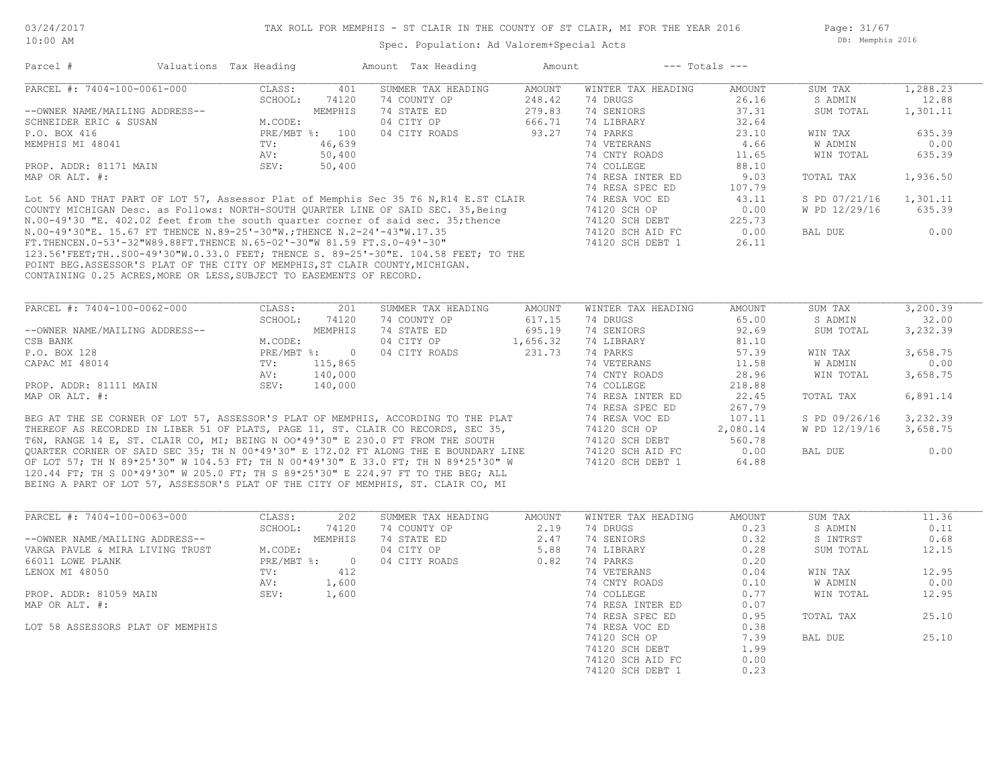Page: 31/67 DB: Memphis 2016

#### Spec. Population: Ad Valorem+Special Acts

| Parcel #                                                                             | Valuations Tax Heading |                | Amount Tax Heading | Amount   |                    | $---$ Totals $---$ |                |          |
|--------------------------------------------------------------------------------------|------------------------|----------------|--------------------|----------|--------------------|--------------------|----------------|----------|
| PARCEL #: 7404-100-0061-000                                                          | CLASS:                 | 401            | SUMMER TAX HEADING | AMOUNT   | WINTER TAX HEADING | AMOUNT             | SUM TAX        | 1,288.23 |
|                                                                                      | SCHOOL:                | 74120          | 74 COUNTY OP       | 248.42   | 74 DRUGS           | 26.16              | S ADMIN        | 12.88    |
| --OWNER NAME/MAILING ADDRESS--                                                       |                        | MEMPHIS        | 74 STATE ED        | 279.83   | 74 SENIORS         | 37.31              | SUM TOTAL      | 1,301.11 |
| SCHNEIDER ERIC & SUSAN                                                               | M.CODE:                |                | 04 CITY OP         | 666.71   | 74 LIBRARY         | 32.64              |                |          |
| P.O. BOX 416                                                                         |                        | PRE/MBT %: 100 | 04 CITY ROADS      | 93.27    | 74 PARKS           | 23.10              | WIN TAX        | 635.39   |
| MEMPHIS MI 48041                                                                     | TV:                    | 46,639         |                    |          | 74 VETERANS        | 4.66               | W ADMIN        | 0.00     |
|                                                                                      | AV:                    | 50,400         |                    |          | 74 CNTY ROADS      | 11.65              | WIN TOTAL      | 635.39   |
| PROP. ADDR: 81171 MAIN                                                               | SEV:                   | 50,400         |                    |          | 74 COLLEGE         | 88.10              |                |          |
| MAP OR ALT. #:                                                                       |                        |                |                    |          | 74 RESA INTER ED   | 9.03               | TOTAL TAX      | 1,936.50 |
|                                                                                      |                        |                |                    |          | 74 RESA SPEC ED    | 107.79             |                |          |
| Lot 56 AND THAT PART OF LOT 57, Assessor Plat of Memphis Sec 35 T6 N, R14 E.ST CLAIR |                        |                |                    |          | 74 RESA VOC ED     | 43.11              | S PD 07/21/16  | 1,301.11 |
| COUNTY MICHIGAN Desc. as Follows: NORTH-SOUTH QUARTER LINE OF SAID SEC. 35, Being    |                        |                |                    |          | 74120 SCH OP       | 0.00               | W PD 12/29/16  | 635.39   |
| N.00-49'30 "E. 402.02 feet from the south quarter corner of said sec. 35; thence     |                        |                |                    |          | 74120 SCH DEBT     | 225.73             |                |          |
| N.00-49'30"E. 15.67 FT THENCE N.89-25'-30"W.; THENCE N.2-24'-43"W.17.35              |                        |                |                    |          | 74120 SCH AID FC   | 0.00               | BAL DUE        | 0.00     |
| FT. THENCEN. 0-53'-32"W89.88FT. THENCE N. 65-02'-30"W 81.59 FT. S. 0-49'-30"         |                        |                |                    |          | 74120 SCH DEBT 1   | 26.11              |                |          |
| 123.56'FEET;THS00-49'30"W.0.33.0 FEET; THENCE S. 89-25'-30"E. 104.58 FEET; TO THE    |                        |                |                    |          |                    |                    |                |          |
| POINT BEG.ASSESSOR'S PLAT OF THE CITY OF MEMPHIS, ST CLAIR COUNTY, MICHIGAN.         |                        |                |                    |          |                    |                    |                |          |
| CONTAINING 0.25 ACRES, MORE OR LESS, SUBJECT TO EASEMENTS OF RECORD.                 |                        |                |                    |          |                    |                    |                |          |
|                                                                                      |                        |                |                    |          |                    |                    |                |          |
|                                                                                      |                        |                |                    |          |                    |                    |                |          |
| PARCEL #: 7404-100-0062-000                                                          | CLASS:                 | 201            | SUMMER TAX HEADING | AMOUNT   | WINTER TAX HEADING | AMOUNT             | SUM TAX        | 3,200.39 |
|                                                                                      | SCHOOL:                | 74120          | 74 COUNTY OP       | 617.15   | 74 DRUGS           | 65.00              | S ADMIN        | 32.00    |
| --OWNER NAME/MAILING ADDRESS--                                                       |                        | MEMPHIS        | 74 STATE ED        | 695.19   | 74 SENIORS         | 92.69              | SUM TOTAL      | 3,232.39 |
| CSB BANK                                                                             | M.CODE:                |                | 04 CITY OP         | 1,656.32 | 74 LIBRARY         | 81.10              |                |          |
| P.O. BOX 128                                                                         |                        | PRE/MBT %: 0   | 04 CITY ROADS      | 231.73   | 74 PARKS           | 57.39              | WIN TAX        | 3,658.75 |
| CAPAC MI 48014                                                                       | TV:                    | 115,865        |                    |          | 74 VETERANS        | 11.58              | <b>W ADMIN</b> | 0.00     |
|                                                                                      | AV:                    | 140,000        |                    |          | 74 CNTY ROADS      | 28.96              | WIN TOTAL      | 3,658.75 |
| PROP. ADDR: 81111 MAIN                                                               | SEV:                   | 140,000        |                    |          | 74 COLLEGE         | 218.88             |                |          |
| MAP OR ALT. #:                                                                       |                        |                |                    |          | 74 RESA INTER ED   | 22.45              | TOTAL TAX      | 6,891.14 |
|                                                                                      |                        |                |                    |          | 74 RESA SPEC ED    | 267.79             |                |          |
| BEG AT THE SE CORNER OF LOT 57, ASSESSOR'S PLAT OF MEMPHIS, ACCORDING TO THE PLAT    |                        |                |                    |          | 74 RESA VOC ED     | 107.11             | S PD 09/26/16  | 3,232.39 |
| THEREOF AS RECORDED IN LIBER 51 OF PLATS, PAGE 11, ST. CLAIR CO RECORDS, SEC 35,     |                        |                |                    |          | 74120 SCH OP       | 2,080.14           | W PD 12/19/16  | 3,658.75 |
| T6N, RANGE 14 E, ST. CLAIR CO, MI; BEING N OO*49'30" E 230.0 FT FROM THE SOUTH       |                        |                |                    |          | 74120 SCH DEBT     | 560.78             |                |          |

BEING A PART OF LOT 57, ASSESSOR'S PLAT OF THE CITY OF MEMPHIS, ST. CLAIR CO, MI 120.44 FT; TH S 00\*49'30" W 205.0 FT; TH S 89\*25'30" E 224.97 FT TO THE BEG; ALL OF LOT 57; TH N 89\*25'30" W 104.53 FT; TH N 00\*49'30" E 33.0 FT; TH N 89\*25'30" W 74120 SCH DEBT 1 64.88 QUARTER CORNER OF SAID SEC 35; TH N 00\*49'30" E 172.02 FT ALONG THE E BOUNDARY LINE 74120 SCH AID FC 0.00 BAL DUE 0.00

| PARCEL #: 7404-100-0063-000      | CLASS:     | 202     | SUMMER TAX HEADING | AMOUNT | WINTER TAX HEADING | AMOUNT | SUM TAX   | 11.36 |
|----------------------------------|------------|---------|--------------------|--------|--------------------|--------|-----------|-------|
|                                  | SCHOOL:    | 74120   | 74 COUNTY OP       | 2.19   | 74 DRUGS           | 0.23   | S ADMIN   | 0.11  |
| --OWNER NAME/MAILING ADDRESS--   |            | MEMPHIS | 74 STATE ED        | 2.47   | 74 SENIORS         | 0.32   | S INTRST  | 0.68  |
| VARGA PAVLE & MIRA LIVING TRUST  | M.CODE:    |         | 04 CITY OP         | 5.88   | 74 LIBRARY         | 0.28   | SUM TOTAL | 12.15 |
| 66011 LOWE PLANK                 | PRE/MBT %: | - 0     | 04 CITY ROADS      | 0.82   | 74 PARKS           | 0.20   |           |       |
| LENOX MI 48050                   | TV:        | 412     |                    |        | 74 VETERANS        | 0.04   | WIN TAX   | 12.95 |
|                                  | AV:        | 1,600   |                    |        | 74 CNTY ROADS      | 0.10   | W ADMIN   | 0.00  |
| PROP. ADDR: 81059 MAIN           | SEV:       | 1,600   |                    |        | 74 COLLEGE         | 0.77   | WIN TOTAL | 12.95 |
| MAP OR ALT. #:                   |            |         |                    |        | 74 RESA INTER ED   | 0.07   |           |       |
|                                  |            |         |                    |        | 74 RESA SPEC ED    | 0.95   | TOTAL TAX | 25.10 |
| LOT 58 ASSESSORS PLAT OF MEMPHIS |            |         |                    |        | 74 RESA VOC ED     | 0.38   |           |       |
|                                  |            |         |                    |        | 74120 SCH OP       | 7.39   | BAL DUE   | 25.10 |
|                                  |            |         |                    |        | 74120 SCH DEBT     | 1.99   |           |       |
|                                  |            |         |                    |        | 74120 SCH AID FC   | 0.00   |           |       |
|                                  |            |         |                    |        | 74120 SCH DEBT 1   | 0.23   |           |       |
|                                  |            |         |                    |        |                    |        |           |       |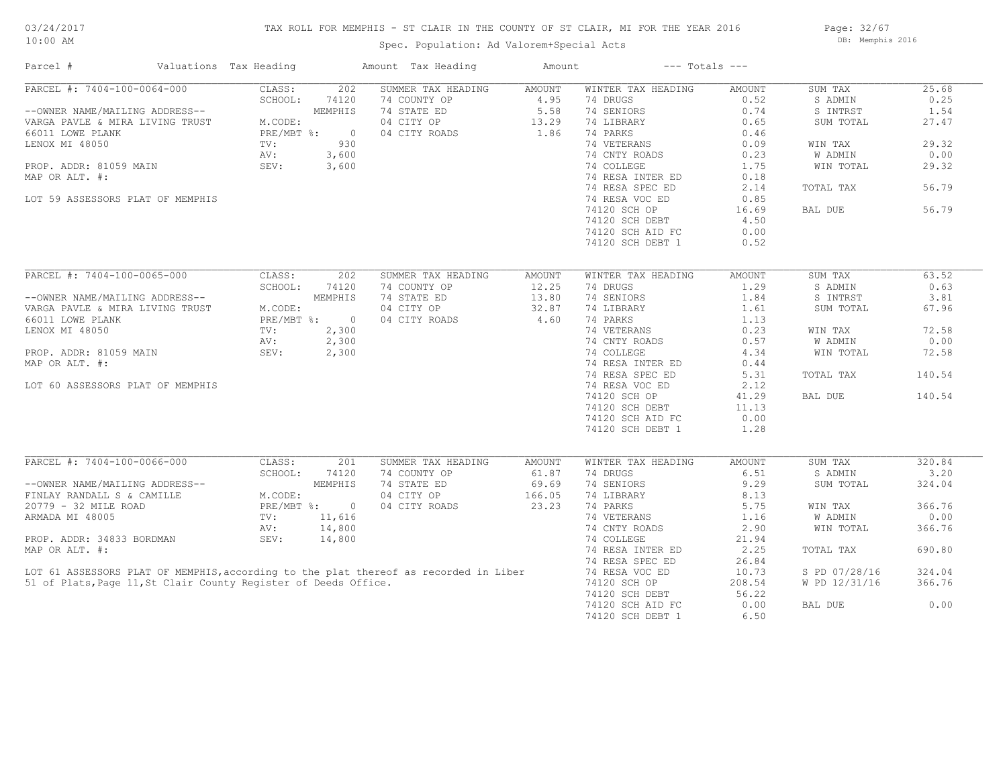## TAX ROLL FOR MEMPHIS - ST CLAIR IN THE COUNTY OF ST CLAIR, MI FOR THE YEAR 2016

Spec. Population: Ad Valorem+Special Acts

Page: 32/67 DB: Memphis 2016

| Parcel #                                                        | Valuations Tax Heading |              |                | Amount Tax Heading                                                                   | Amount |                    | $---$ Totals $---$ |                |        |
|-----------------------------------------------------------------|------------------------|--------------|----------------|--------------------------------------------------------------------------------------|--------|--------------------|--------------------|----------------|--------|
| PARCEL #: 7404-100-0064-000                                     |                        | CLASS:       | 202            | SUMMER TAX HEADING                                                                   | AMOUNT | WINTER TAX HEADING | AMOUNT             | SUM TAX        | 25.68  |
|                                                                 |                        | SCHOOL:      | 74120          | 74 COUNTY OP                                                                         | 4.95   | 74 DRUGS           | 0.52               | S ADMIN        | 0.25   |
| --OWNER NAME/MAILING ADDRESS--                                  |                        |              | MEMPHIS        | 74 STATE ED                                                                          | 5.58   | 74 SENIORS         | 0.74               | S INTRST       | 1.54   |
| VARGA PAVLE & MIRA LIVING TRUST                                 |                        | M.CODE:      |                | 04 CITY OP                                                                           | 13.29  | 74 LIBRARY         | 0.65               | SUM TOTAL      | 27.47  |
| 66011 LOWE PLANK                                                |                        | PRE/MBT %:   | $\overline{0}$ | 04 CITY ROADS                                                                        | 1.86   | 74 PARKS           | 0.46               |                |        |
| LENOX MI 48050                                                  |                        | TV:          | 930            |                                                                                      |        | 74 VETERANS        | 0.09               | WIN TAX        | 29.32  |
|                                                                 |                        | AV:          | 3,600          |                                                                                      |        | 74 CNTY ROADS      | 0.23               | <b>W ADMIN</b> | 0.00   |
| PROP. ADDR: 81059 MAIN                                          |                        | SEV:         | 3,600          |                                                                                      |        | 74 COLLEGE         | 1.75               | WIN TOTAL      | 29.32  |
| MAP OR ALT. #:                                                  |                        |              |                |                                                                                      |        | 74 RESA INTER ED   | 0.18               |                |        |
|                                                                 |                        |              |                |                                                                                      |        | 74 RESA SPEC ED    | 2.14               | TOTAL TAX      | 56.79  |
| LOT 59 ASSESSORS PLAT OF MEMPHIS                                |                        |              |                |                                                                                      |        | 74 RESA VOC ED     | 0.85               |                |        |
|                                                                 |                        |              |                |                                                                                      |        | 74120 SCH OP       | 16.69              | BAL DUE        | 56.79  |
|                                                                 |                        |              |                |                                                                                      |        | 74120 SCH DEBT     | 4.50               |                |        |
|                                                                 |                        |              |                |                                                                                      |        | 74120 SCH AID FC   | 0.00               |                |        |
|                                                                 |                        |              |                |                                                                                      |        |                    |                    |                |        |
|                                                                 |                        |              |                |                                                                                      |        | 74120 SCH DEBT 1   | 0.52               |                |        |
| PARCEL #: 7404-100-0065-000                                     |                        | CLASS:       | 202            | SUMMER TAX HEADING                                                                   | AMOUNT | WINTER TAX HEADING | AMOUNT             | SUM TAX        | 63.52  |
|                                                                 |                        |              |                |                                                                                      | 12.25  |                    |                    |                | 0.63   |
|                                                                 |                        | SCHOOL:      | 74120          | 74 COUNTY OP                                                                         |        | 74 DRUGS           | 1.29               | S ADMIN        | 3.81   |
| --OWNER NAME/MAILING ADDRESS--                                  |                        |              | MEMPHIS        | 74 STATE ED                                                                          | 13.80  | 74 SENIORS         | 1.84               | S INTRST       |        |
| VARGA PAVLE & MIRA LIVING TRUST                                 |                        | M.CODE:      |                | 04 CITY OP                                                                           | 32.87  | 74 LIBRARY         | 1.61               | SUM TOTAL      | 67.96  |
| 66011 LOWE PLANK                                                |                        | PRE/MBT %:   | $\bigcirc$     | 04 CITY ROADS                                                                        | 4.60   | 74 PARKS           | 1.13               |                |        |
| LENOX MI 48050                                                  |                        | TV:          | 2,300          |                                                                                      |        | 74 VETERANS        | 0.23               | WIN TAX        | 72.58  |
|                                                                 |                        | AV:          | 2,300          |                                                                                      |        | 74 CNTY ROADS      | 0.57               | W ADMIN        | 0.00   |
| PROP. ADDR: 81059 MAIN                                          |                        | SEV:         | 2,300          |                                                                                      |        | 74 COLLEGE         | 4.34               | WIN TOTAL      | 72.58  |
| MAP OR ALT. #:                                                  |                        |              |                |                                                                                      |        | 74 RESA INTER ED   | 0.44               |                |        |
|                                                                 |                        |              |                |                                                                                      |        | 74 RESA SPEC ED    | 5.31               | TOTAL TAX      | 140.54 |
| LOT 60 ASSESSORS PLAT OF MEMPHIS                                |                        |              |                |                                                                                      |        | 74 RESA VOC ED     | 2.12               |                |        |
|                                                                 |                        |              |                |                                                                                      |        | 74120 SCH OP       | 41.29              | BAL DUE        | 140.54 |
|                                                                 |                        |              |                |                                                                                      |        | 74120 SCH DEBT     | 11.13              |                |        |
|                                                                 |                        |              |                |                                                                                      |        | 74120 SCH AID FC   | 0.00               |                |        |
|                                                                 |                        |              |                |                                                                                      |        | 74120 SCH DEBT 1   | 1.28               |                |        |
|                                                                 |                        |              |                |                                                                                      |        |                    |                    |                |        |
| PARCEL #: 7404-100-0066-000                                     |                        | CLASS:       | 201            | SUMMER TAX HEADING                                                                   | AMOUNT | WINTER TAX HEADING | AMOUNT             | SUM TAX        | 320.84 |
|                                                                 |                        | SCHOOL:      | 74120          | 74 COUNTY OP                                                                         | 61.87  | 74 DRUGS           | 6.51               | S ADMIN        | 3.20   |
| --OWNER NAME/MAILING ADDRESS--                                  |                        |              | MEMPHIS        | 74 STATE ED                                                                          | 69.69  | 74 SENIORS         | 9.29               | SUM TOTAL      | 324.04 |
| FINLAY RANDALL S & CAMILLE                                      |                        | M.CODE:      |                | 04 CITY OP                                                                           | 166.05 | 74 LIBRARY         | 8.13               |                |        |
| 20779 - 32 MILE ROAD                                            |                        | $PRE/MBT$ %: | $\overline{0}$ | 04 CITY ROADS                                                                        | 23.23  | 74 PARKS           | 5.75               | WIN TAX        | 366.76 |
| ARMADA MI 48005                                                 |                        | TV:          | 11,616         |                                                                                      |        | 74 VETERANS        | 1.16               | W ADMIN        | 0.00   |
|                                                                 |                        | AV:          | 14,800         |                                                                                      |        | 74 CNTY ROADS      | 2.90               | WIN TOTAL      | 366.76 |
| PROP. ADDR: 34833 BORDMAN                                       |                        | SEV:         | 14,800         |                                                                                      |        | 74 COLLEGE         | 21.94              |                |        |
| MAP OR ALT. #:                                                  |                        |              |                |                                                                                      |        | 74 RESA INTER ED   | 2.25               | TOTAL TAX      | 690.80 |
|                                                                 |                        |              |                |                                                                                      |        | 74 RESA SPEC ED    | 26.84              |                |        |
|                                                                 |                        |              |                | LOT 61 ASSESSORS PLAT OF MEMPHIS, according to the plat thereof as recorded in Liber |        |                    |                    |                | 324.04 |
|                                                                 |                        |              |                |                                                                                      |        | 74 RESA VOC ED     | 10.73              | S PD 07/28/16  |        |
| 51 of Plats, Page 11, St Clair County Register of Deeds Office. |                        |              |                |                                                                                      |        | 74120 SCH OP       | 208.54             | W PD 12/31/16  | 366.76 |
|                                                                 |                        |              |                |                                                                                      |        | 74120 SCH DEBT     | 56.22              |                |        |
|                                                                 |                        |              |                |                                                                                      |        | 74120 SCH AID FC   | 0.00               | BAL DUE        | 0.00   |
|                                                                 |                        |              |                |                                                                                      |        | 74120 SCH DEBT 1   | 6.50               |                |        |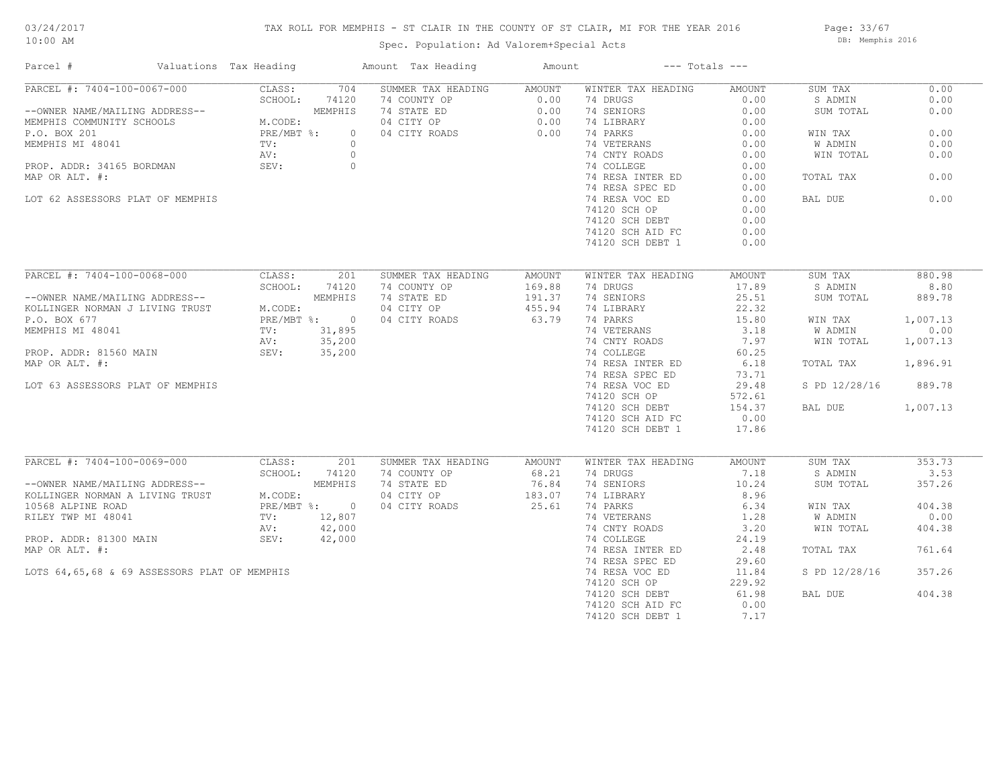## TAX ROLL FOR MEMPHIS - ST CLAIR IN THE COUNTY OF ST CLAIR, MI FOR THE YEAR 2016

Spec. Population: Ad Valorem+Special Acts

Page: 33/67 DB: Memphis 2016

| Parcel #                                                                                       | Valuations Tax Heading  | Amount Tax Heading        | Amount |                    | $---$ Totals $---$ |               |          |
|------------------------------------------------------------------------------------------------|-------------------------|---------------------------|--------|--------------------|--------------------|---------------|----------|
| PARCEL #: 7404-100-0067-000                                                                    | CLASS:                  | 704<br>SUMMER TAX HEADING | AMOUNT | WINTER TAX HEADING | AMOUNT             | SUM TAX       | 0.00     |
|                                                                                                | SCHOOL:<br>74120        | 74 COUNTY OP              | 0.00   | 74 DRUGS           | 0.00               | S ADMIN       | 0.00     |
| --OWNER NAME/MAILING ADDRESS-<br>MEMPHIS COMMUNITY SCHOOLS M.CODE:<br>PRE/MBT %:               | MEMPHIS                 | 74 STATE ED               | 0.00   | 74 SENIORS         | 0.00               | SUM TOTAL     | 0.00     |
|                                                                                                |                         | 04 CITY OP                | 0.00   | 74 LIBRARY         | 0.00               |               |          |
|                                                                                                |                         | 04 CITY ROADS<br>$\circ$  | 0.00   | 74 PARKS           | 0.00               | WIN TAX       | 0.00     |
| MEMPHIS MI 48041                                                                               | TV:                     | $\circ$                   |        | 74 VETERANS        | 0.00               | W ADMIN       | 0.00     |
|                                                                                                | AV:                     | $\circ$                   |        | 74 CNTY ROADS      | 0.00               | WIN TOTAL     | 0.00     |
| PROP. ADDR: 34165 BORDMAN                                                                      | SEV:                    | $\circ$                   |        | 74 COLLEGE         | 0.00               |               |          |
| MAP OR ALT. #:                                                                                 |                         |                           |        | 74 RESA INTER ED   | 0.00               | TOTAL TAX     | 0.00     |
|                                                                                                |                         |                           |        | 74 RESA SPEC ED    | 0.00               |               |          |
| LOT 62 ASSESSORS PLAT OF MEMPHIS                                                               |                         |                           |        | 74 RESA VOC ED     | 0.00               | BAL DUE       | 0.00     |
|                                                                                                |                         |                           |        | 74120 SCH OP       | 0.00               |               |          |
|                                                                                                |                         |                           |        | 74120 SCH DEBT     | 0.00               |               |          |
|                                                                                                |                         |                           |        | 74120 SCH AID FC   | 0.00               |               |          |
|                                                                                                |                         |                           |        |                    |                    |               |          |
|                                                                                                |                         |                           |        | 74120 SCH DEBT 1   | 0.00               |               |          |
| PARCEL #: 7404-100-0068-000                                                                    | CLASS:                  | 201<br>SUMMER TAX HEADING | AMOUNT | WINTER TAX HEADING | AMOUNT             | SUM TAX       | 880.98   |
|                                                                                                |                         |                           |        |                    |                    |               |          |
|                                                                                                | SCHOOL:                 | 74 COUNTY OP<br>74120     | 169.88 | 74 DRUGS           | 17.89              | S ADMIN       | 8.80     |
| --OWNER NAME/MAILING ADDRESS--<br>KOLLINGER NORMAN J LIVING TRUST M.COD<br>P.O. BOX 677 PRE/M  | MEMPHIS                 | 74 STATE ED               | 191.37 | 74 SENIORS         | 25.51              | SUM TOTAL     | 889.78   |
|                                                                                                | M.CODE:                 | 04 CITY OP                | 455.94 | 74 LIBRARY         | 22.32              |               |          |
|                                                                                                | PRE/MBT %: 0            | 04 CITY ROADS             | 63.79  | 74 PARKS           | 15.80              | WIN TAX       | 1,007.13 |
| MEMPHIS MI 48041                                                                               | TV: 31,895              |                           |        | 74 VETERANS        | 3.18               | W ADMIN       | 0.00     |
|                                                                                                | 35,200<br>AV:           |                           |        | 74 CNTY ROADS      | 7.97               | WIN TOTAL     | 1,007.13 |
| PROP. ADDR: 81560 MAIN                                                                         | SEV: 35,200             |                           |        | 74 COLLEGE         | 60.25              |               |          |
| MAP OR ALT. #:                                                                                 |                         |                           |        | 74 RESA INTER ED   | 6.18               | TOTAL TAX     | 1,896.91 |
|                                                                                                |                         |                           |        | 74 RESA SPEC ED    | 73.71              |               |          |
| LOT 63 ASSESSORS PLAT OF MEMPHIS                                                               |                         |                           |        | 74 RESA VOC ED     | 29.48              | S PD 12/28/16 | 889.78   |
|                                                                                                |                         |                           |        | 74120 SCH OP       | 572.61             |               |          |
|                                                                                                |                         |                           |        | 74120 SCH DEBT     | 154.37             | BAL DUE       | 1,007.13 |
|                                                                                                |                         |                           |        | 74120 SCH AID FC   | 0.00               |               |          |
|                                                                                                |                         |                           |        | 74120 SCH DEBT 1   | 17.86              |               |          |
|                                                                                                |                         |                           |        |                    |                    |               |          |
| PARCEL #: 7404-100-0069-000                                                                    | CLASS:                  | SUMMER TAX HEADING<br>201 | AMOUNT | WINTER TAX HEADING | AMOUNT             | SUM TAX       | 353.73   |
| ------<br>--OWNER NAME/MAILING ADDRESS--<br>KOLLINGER NORMAN A LIVING TRUST M.CODE:<br>PRE/MBT |                         | 74 COUNTY OP<br>74120     | 68.21  | 74 DRUGS           | 7.18               | S ADMIN       | 3.53     |
|                                                                                                | MEMPHIS                 | 74 STATE ED               | 76.84  | 74 SENIORS         | 10.24              | SUM TOTAL     | 357.26   |
|                                                                                                |                         | 04 CITY OP                | 183.07 | 74 LIBRARY         | 8.96               |               |          |
|                                                                                                | PRE/MBT %: 0            | 04 CITY ROADS             | 25.61  | 74 PARKS           | 6.34               | WIN TAX       | 404.38   |
| RILEY TWP MI 48041                                                                             | $\text{TV}$ :<br>12,807 |                           |        | 74 VETERANS        | 1.28               | W ADMIN       | 0.00     |
|                                                                                                | 42,000<br>AV:           |                           |        | 74 CNTY ROADS      | 3.20               | WIN TOTAL     | 404.38   |
| PROP. ADDR: 81300 MAIN                                                                         | 42,000<br>SEV:          |                           |        | 74 COLLEGE         | 24.19              |               |          |
| MAP OR ALT. #:                                                                                 |                         |                           |        | 74 RESA INTER ED   | 2.48               | TOTAL TAX     | 761.64   |
|                                                                                                |                         |                           |        | 74 RESA SPEC ED    | 29.60              |               |          |
| LOTS 64,65,68 & 69 ASSESSORS PLAT OF MEMPHIS                                                   |                         |                           |        | 74 RESA VOC ED     | 11.84              | S PD 12/28/16 | 357.26   |
|                                                                                                |                         |                           |        | 74120 SCH OP       | 229.92             |               |          |
|                                                                                                |                         |                           |        | 74120 SCH DEBT     | 61.98              | BAL DUE       | 404.38   |
|                                                                                                |                         |                           |        | 74120 SCH AID FC   | 0.00               |               |          |
|                                                                                                |                         |                           |        |                    |                    |               |          |
|                                                                                                |                         |                           |        | 74120 SCH DEBT 1   | 7.17               |               |          |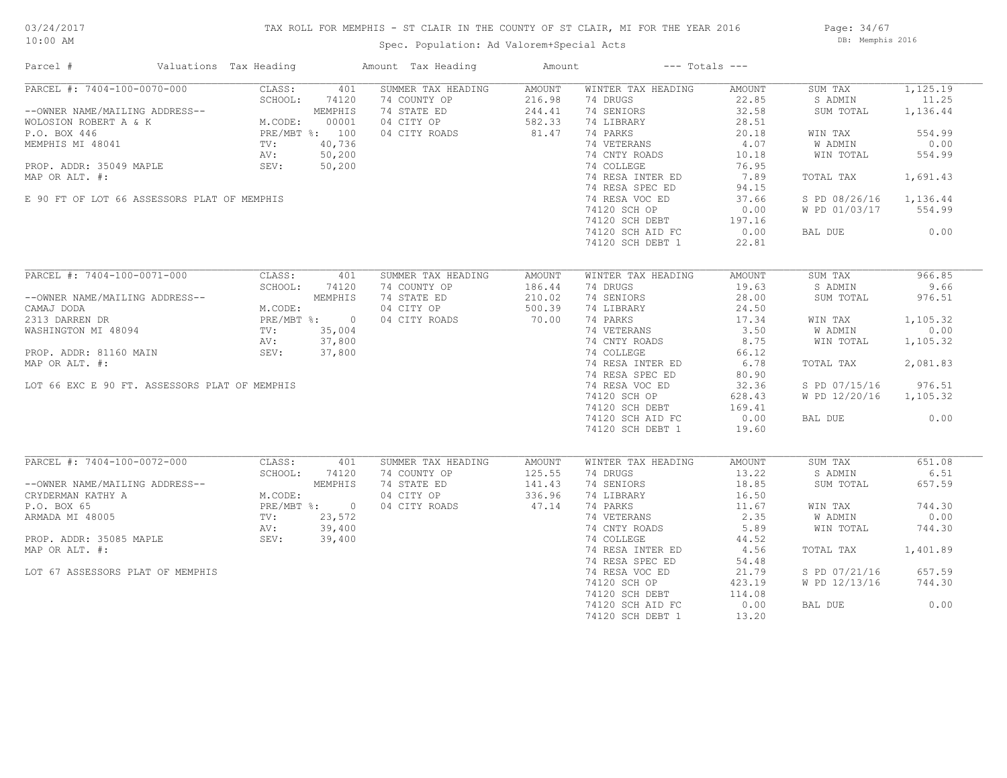## TAX ROLL FOR MEMPHIS - ST CLAIR IN THE COUNTY OF ST CLAIR, MI FOR THE YEAR 2016

Spec. Population: Ad Valorem+Special Acts

Page: 34/67 DB: Memphis 2016

| Parcel #                                                                                                                                                                                                                          | Valuations Tax Heading                                                        |             | Amount Tax Heading | Amount           |                                                                  | $---$ Totals $---$ |                        |          |
|-----------------------------------------------------------------------------------------------------------------------------------------------------------------------------------------------------------------------------------|-------------------------------------------------------------------------------|-------------|--------------------|------------------|------------------------------------------------------------------|--------------------|------------------------|----------|
| PARCEL #: 7404-100-0070-000                                                                                                                                                                                                       | CLASS:                                                                        | 401         | SUMMER TAX HEADING | AMOUNT           | WINTER TAX HEADING                                               | AMOUNT             | SUM TAX                | 1,125.19 |
|                                                                                                                                                                                                                                   | SCHOOL:                                                                       | 74120       | 74 COUNTY OP       | 216.98           | 74 DRUGS                                                         | 22.85              | S ADMIN                | 11.25    |
| --OWNER NAME/MAILING ADDRESS--<br>WOLOSION ROBERT A & K<br>M.CODE: 00001<br>P.O. BOX 446<br>MEMPHIS MI 48041<br>MEMPHIS MI 48041<br>TV: 40,736<br>PROP. ADDR: 35049 MAPLE<br>NR: 50,200<br>NR: 50,200<br>NR: 50,200<br>NR: 50,200 |                                                                               |             | 74 STATE ED        | 244.41           | 74 SENIORS                                                       | 32.58              | SUM TOTAL              | 1,136.44 |
|                                                                                                                                                                                                                                   |                                                                               |             | 04 CITY OP         | $582.2$<br>81.47 | 74 LIBRARY                                                       | 28.51              |                        |          |
|                                                                                                                                                                                                                                   |                                                                               |             | 04 CITY ROADS      |                  | 74 PARKS                                                         | 20.18              | WIN TAX                | 554.99   |
|                                                                                                                                                                                                                                   |                                                                               |             |                    |                  | 74 VETERANS                                                      | 4.07               | W ADMIN                | 0.00     |
|                                                                                                                                                                                                                                   |                                                                               |             |                    |                  | 74 CNTY ROADS                                                    | 10.18              | WIN TOTAL              | 554.99   |
|                                                                                                                                                                                                                                   |                                                                               |             |                    |                  | 74 COLLEGE                                                       | 76.95              |                        |          |
|                                                                                                                                                                                                                                   |                                                                               |             |                    |                  | 74 RESA INTER ED                                                 | 7.89               |                        |          |
| MAP OR ALT. #:                                                                                                                                                                                                                    |                                                                               |             |                    |                  |                                                                  |                    | TOTAL TAX              | 1,691.43 |
|                                                                                                                                                                                                                                   |                                                                               |             |                    |                  | 74 RESA SPEC ED                                                  | 94.15              |                        |          |
| E 90 FT OF LOT 66 ASSESSORS PLAT OF MEMPHIS                                                                                                                                                                                       |                                                                               |             |                    |                  | 74 RESA VOC ED                                                   | 37.66              | S PD 08/26/16          | 1,136.44 |
|                                                                                                                                                                                                                                   |                                                                               |             |                    |                  | 74120 SCH OP                                                     | 0.00               | W PD 01/03/17          | 554.99   |
|                                                                                                                                                                                                                                   |                                                                               |             |                    |                  | 74120 SCH DEBT<br>74120 SCH DEBT 197.16<br>74120 SCH AID FC 0.00 |                    |                        |          |
|                                                                                                                                                                                                                                   |                                                                               |             |                    |                  |                                                                  |                    | BAL DUE                | 0.00     |
|                                                                                                                                                                                                                                   |                                                                               |             |                    |                  | 74120 SCH DEBT 1                                                 | 22.81              |                        |          |
|                                                                                                                                                                                                                                   |                                                                               |             |                    |                  |                                                                  |                    |                        |          |
| PARCEL #: 7404-100-0071-000                                                                                                                                                                                                       | CLASS:                                                                        | 401         | SUMMER TAX HEADING | AMOUNT           | WINTER TAX HEADING                                               | AMOUNT             | SUM TAX                | 966.85   |
|                                                                                                                                                                                                                                   | SCHOOL:                                                                       | 74120       | 74 COUNTY OP       | 186.44           | 74 DRUGS                                                         | 19.63              | S ADMIN                | 9.66     |
| --OWNER NAME/MAILING ADDRESS--                                                                                                                                                                                                    |                                                                               | MEMPHIS     | 74 STATE ED        | 210.02           | 74 SENIORS                                                       | 28.00              | SUM TOTAL              | 976.51   |
|                                                                                                                                                                                                                                   |                                                                               |             | 04 CITY OP         | 500.39           | 74 LIBRARY                                                       | 24.50              |                        |          |
|                                                                                                                                                                                                                                   |                                                                               |             |                    | 70.00            | 74 PARKS                                                         | 17.34              | WIN TAX                | 1,105.32 |
|                                                                                                                                                                                                                                   |                                                                               |             |                    |                  | 74 VETERANS                                                      | 3.50               | W ADMIN                | 0.00     |
|                                                                                                                                                                                                                                   |                                                                               |             |                    |                  | 74 CNTY ROADS                                                    | 8.75               |                        |          |
|                                                                                                                                                                                                                                   |                                                                               |             |                    |                  |                                                                  |                    | WIN TOTAL              | 1,105.32 |
| PROP. ADDR: 81160 MAIN                                                                                                                                                                                                            |                                                                               | SEV: 37,800 |                    |                  | 74 COLLEGE                                                       | 66.12              |                        |          |
| MAP OR ALT. #:                                                                                                                                                                                                                    |                                                                               |             |                    |                  | 74 RESA INTER ED                                                 | 6.78               | TOTAL TAX              | 2,081.83 |
|                                                                                                                                                                                                                                   |                                                                               |             |                    |                  | 74 RESA SPEC ED                                                  | 80.90              |                        |          |
| LOT 66 EXC E 90 FT. ASSESSORS PLAT OF MEMPHIS                                                                                                                                                                                     |                                                                               |             |                    |                  | 74 RESA VOC ED                                                   | 32.36              | S PD 07/15/16          | 976.51   |
|                                                                                                                                                                                                                                   |                                                                               |             |                    |                  | 74120 SCH OP                                                     | 628.43             | W PD 12/20/16 1,105.32 |          |
|                                                                                                                                                                                                                                   |                                                                               |             |                    |                  | 74120 SCH DEBT                                                   | 169.41             |                        |          |
|                                                                                                                                                                                                                                   |                                                                               |             |                    |                  | 74120 SCH AID FC                                                 | 0.00               | BAL DUE                | 0.00     |
|                                                                                                                                                                                                                                   |                                                                               |             |                    |                  | 74120 SCH DEBT 1                                                 | 19.60              |                        |          |
|                                                                                                                                                                                                                                   |                                                                               |             |                    |                  |                                                                  |                    |                        |          |
| PARCEL #: 7404-100-0072-000                                                                                                                                                                                                       | CLASS:                                                                        | 401         | SUMMER TAX HEADING | AMOUNT           | WINTER TAX HEADING                                               | AMOUNT             | SUM TAX                | 651.08   |
|                                                                                                                                                                                                                                   | SCHOOL:                                                                       | 74120       | 74 COUNTY OP       | 125.55           | 74 DRUGS                                                         | 13.22              | S ADMIN                | 6.51     |
| --OWNER NAME/MAILING ADDRESS--                                                                                                                                                                                                    | M.CODE:<br>M.CODE:<br>PRE/MBT %: 0<br>TV: 23,572<br>AV: 39,400<br>SEV: 39,400 |             | 74 STATE ED        | 141.43           | 74 SENIORS                                                       | 18.85              | SUM TOTAL              | 657.59   |
| CRYDERMAN KATHY A                                                                                                                                                                                                                 |                                                                               |             | 04 CITY OP         | 336.96           | 74 LIBRARY                                                       | 16.50              |                        |          |
| P.O. BOX 65                                                                                                                                                                                                                       |                                                                               |             | 04 CITY ROADS      | 47.14            | 74 PARKS                                                         | 11.67              | WIN TAX                | 744.30   |
|                                                                                                                                                                                                                                   |                                                                               |             |                    |                  |                                                                  |                    |                        |          |
| ARMADA MI 48005                                                                                                                                                                                                                   |                                                                               |             |                    |                  | 74 VETERANS                                                      | 2.35               | W ADMIN                | 0.00     |
|                                                                                                                                                                                                                                   |                                                                               |             |                    |                  | 74 CNTY ROADS                                                    | 5.89               | WIN TOTAL              | 744.30   |
| PROP. ADDR: 35085 MAPLE                                                                                                                                                                                                           |                                                                               |             |                    |                  | 74 COLLEGE                                                       | 44.52              |                        |          |
| MAP OR ALT. #:                                                                                                                                                                                                                    |                                                                               |             |                    |                  | 74 RESA INTER ED                                                 | 4.56               | TOTAL TAX              | 1,401.89 |
|                                                                                                                                                                                                                                   |                                                                               |             |                    |                  | 74 RESA SPEC ED                                                  | 54.48              |                        |          |
| LOT 67 ASSESSORS PLAT OF MEMPHIS                                                                                                                                                                                                  |                                                                               |             |                    |                  | 74 RESA VOC ED                                                   | 21.79              | S PD 07/21/16          | 657.59   |
|                                                                                                                                                                                                                                   |                                                                               |             |                    |                  | 74120 SCH OP                                                     | 423.19             | W PD 12/13/16          | 744.30   |
|                                                                                                                                                                                                                                   |                                                                               |             |                    |                  | 74120 SCH DEBT                                                   | 114.08             |                        |          |
|                                                                                                                                                                                                                                   |                                                                               |             |                    |                  | 74120 SCH AID FC                                                 | 0.00               | BAL DUE                | 0.00     |
|                                                                                                                                                                                                                                   |                                                                               |             |                    |                  |                                                                  |                    |                        |          |
|                                                                                                                                                                                                                                   |                                                                               |             |                    |                  | 74120 SCH DEBT 1                                                 | 13.20              |                        |          |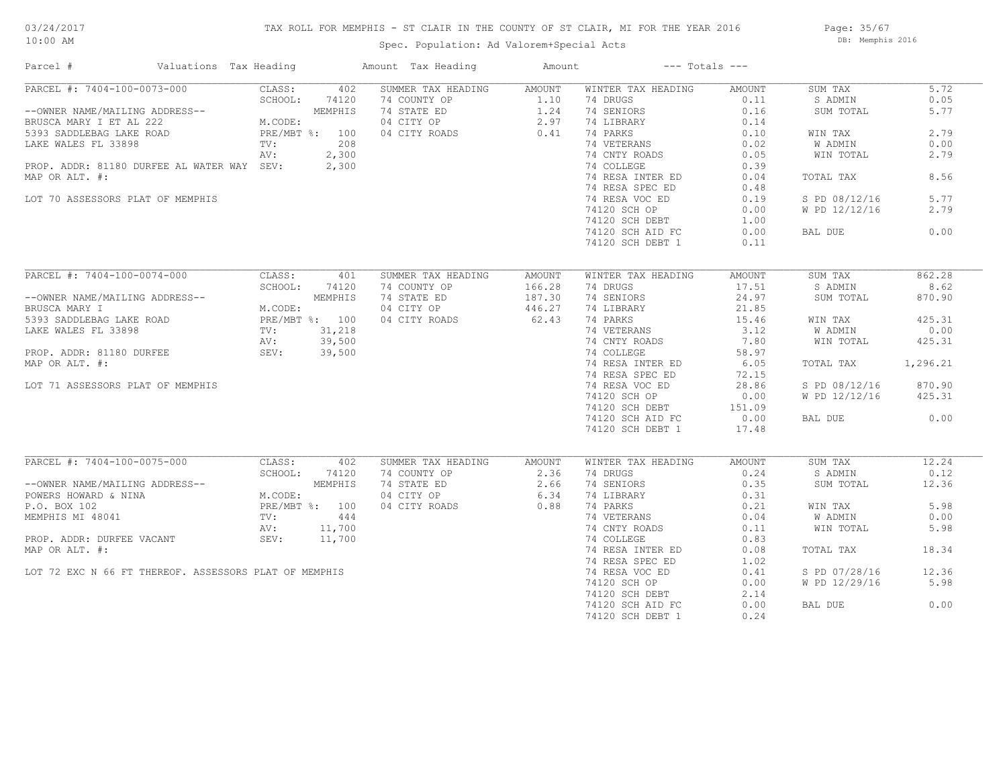## TAX ROLL FOR MEMPHIS - ST CLAIR IN THE COUNTY OF ST CLAIR, MI FOR THE YEAR 2016

Spec. Population: Ad Valorem+Special Acts

Page: 35/67 DB: Memphis 2016

| Parcel #                                                                                                                                                                                                                                           | Valuations Tax Heading |               |     | Amount Tax Heading                                                                                                                                                                                                                                                                                                                                                     | Amount | $---$ Totals $---$                        |                                        |                |          |
|----------------------------------------------------------------------------------------------------------------------------------------------------------------------------------------------------------------------------------------------------|------------------------|---------------|-----|------------------------------------------------------------------------------------------------------------------------------------------------------------------------------------------------------------------------------------------------------------------------------------------------------------------------------------------------------------------------|--------|-------------------------------------------|----------------------------------------|----------------|----------|
|                                                                                                                                                                                                                                                    |                        |               |     |                                                                                                                                                                                                                                                                                                                                                                        |        |                                           |                                        | SUM TAX        | 5.72     |
|                                                                                                                                                                                                                                                    |                        |               |     |                                                                                                                                                                                                                                                                                                                                                                        |        |                                           |                                        | S ADMIN        | 0.05     |
|                                                                                                                                                                                                                                                    |                        |               |     |                                                                                                                                                                                                                                                                                                                                                                        |        |                                           |                                        | SUM TOTAL      | 5.77     |
|                                                                                                                                                                                                                                                    |                        |               |     |                                                                                                                                                                                                                                                                                                                                                                        |        |                                           |                                        |                |          |
|                                                                                                                                                                                                                                                    |                        |               |     |                                                                                                                                                                                                                                                                                                                                                                        |        |                                           |                                        | WIN TAX        | 2.79     |
|                                                                                                                                                                                                                                                    |                        |               |     |                                                                                                                                                                                                                                                                                                                                                                        |        |                                           |                                        | W ADMIN        | 0.00     |
|                                                                                                                                                                                                                                                    |                        |               |     |                                                                                                                                                                                                                                                                                                                                                                        |        |                                           |                                        | WIN TOTAL      | 2.79     |
| PROP. ADDR: 81180 DURFEE AL WATER WAY SEV: 2,300                                                                                                                                                                                                   |                        |               |     |                                                                                                                                                                                                                                                                                                                                                                        |        |                                           |                                        |                |          |
| MAP OR ALT. #:                                                                                                                                                                                                                                     |                        |               |     |                                                                                                                                                                                                                                                                                                                                                                        |        |                                           |                                        | TOTAL TAX      | 8.56     |
|                                                                                                                                                                                                                                                    |                        |               |     |                                                                                                                                                                                                                                                                                                                                                                        |        |                                           |                                        |                |          |
| LOT 70 ASSESSORS PLAT OF MEMPHIS                                                                                                                                                                                                                   |                        |               |     |                                                                                                                                                                                                                                                                                                                                                                        |        |                                           |                                        | S PD 08/12/16  | 5.77     |
|                                                                                                                                                                                                                                                    |                        |               |     |                                                                                                                                                                                                                                                                                                                                                                        |        |                                           |                                        | W PD 12/12/16  | 2.79     |
|                                                                                                                                                                                                                                                    |                        |               |     |                                                                                                                                                                                                                                                                                                                                                                        |        |                                           |                                        |                |          |
|                                                                                                                                                                                                                                                    |                        |               |     |                                                                                                                                                                                                                                                                                                                                                                        |        |                                           |                                        |                | 0.00     |
|                                                                                                                                                                                                                                                    |                        |               |     |                                                                                                                                                                                                                                                                                                                                                                        |        |                                           |                                        | BAL DUE        |          |
|                                                                                                                                                                                                                                                    |                        |               |     |                                                                                                                                                                                                                                                                                                                                                                        |        |                                           |                                        |                |          |
|                                                                                                                                                                                                                                                    |                        |               |     |                                                                                                                                                                                                                                                                                                                                                                        |        |                                           |                                        |                |          |
| PARCEL #: 7404-100-0074-000                                                                                                                                                                                                                        |                        | CLASS: 401    |     | SUMMER TAX HEADING                                                                                                                                                                                                                                                                                                                                                     | AMOUNT | WINTER TAX HEADING                        | AMOUNT                                 | SUM TAX        | 862.28   |
| --OWNER NAME/MAILING ADDRESS--<br>BRUSCA MARY I M.CODE:<br>5393 SADDLEBAG LAKE ROAD PRE/MBT %: 100<br>LAKE WALES FL 33898 TV: 31,218<br>PROP. ADDR: 81180 DURFEE SEV: 39,500<br>MAR OR ALT.                                                        |                        | SCHOOL: 74120 |     | 74 COUNTY OP 166.28<br>74 STATE ED 187.30<br>04 CITY OP 446.27<br>04 CITY ROADS 62.43                                                                                                                                                                                                                                                                                  |        | 74 DRUGS                                  | 17.51                                  | S ADMIN        | 8.62     |
|                                                                                                                                                                                                                                                    |                        |               |     |                                                                                                                                                                                                                                                                                                                                                                        |        | 74 SENIORS                                | 24.97                                  | SUM TOTAL      | 870.90   |
|                                                                                                                                                                                                                                                    |                        |               |     |                                                                                                                                                                                                                                                                                                                                                                        |        | 74 LIBRARY                                | $\frac{21}{15.46}$<br>$\frac{2}{2}$ 12 |                |          |
|                                                                                                                                                                                                                                                    |                        |               |     | 04 CITY ROADS                                                                                                                                                                                                                                                                                                                                                          |        | 74 PARKS                                  |                                        | WIN TAX        | 425.31   |
|                                                                                                                                                                                                                                                    |                        |               |     |                                                                                                                                                                                                                                                                                                                                                                        |        | 74 VETERANS 3.12<br>74 CNTY ROADS 7.80    |                                        | <b>W ADMIN</b> | 0.00     |
|                                                                                                                                                                                                                                                    |                        |               |     |                                                                                                                                                                                                                                                                                                                                                                        |        |                                           |                                        | WIN TOTAL      | 425.31   |
|                                                                                                                                                                                                                                                    |                        |               |     |                                                                                                                                                                                                                                                                                                                                                                        |        | 74 COLLEGE                                | 58.97                                  |                |          |
| MAP OR ALT. #:                                                                                                                                                                                                                                     |                        |               |     |                                                                                                                                                                                                                                                                                                                                                                        |        | 74 COLLEGE 50.97<br>74 RESA INTER ED 6.05 |                                        | TOTAL TAX      | 1,296.21 |
|                                                                                                                                                                                                                                                    |                        |               |     |                                                                                                                                                                                                                                                                                                                                                                        |        | 74 RESA SPEC ED                           | 72.15                                  |                |          |
| LOT 71 ASSESSORS PLAT OF MEMPHIS                                                                                                                                                                                                                   |                        |               |     |                                                                                                                                                                                                                                                                                                                                                                        |        | 74 RESA VOC ED 28.86                      |                                        | S PD 08/12/16  | 870.90   |
|                                                                                                                                                                                                                                                    |                        |               |     |                                                                                                                                                                                                                                                                                                                                                                        |        | 74120 SCH OP                              | 0.00                                   | W PD 12/12/16  | 425.31   |
|                                                                                                                                                                                                                                                    |                        |               |     |                                                                                                                                                                                                                                                                                                                                                                        |        | 74120 SCH DEBT                            | 151.09                                 |                |          |
|                                                                                                                                                                                                                                                    |                        |               |     |                                                                                                                                                                                                                                                                                                                                                                        |        | 74120 SCH AID FC                          | 0.00                                   | BAL DUE        | 0.00     |
|                                                                                                                                                                                                                                                    |                        |               |     |                                                                                                                                                                                                                                                                                                                                                                        |        | 74120 SCH DEBT 1                          | 17.48                                  |                |          |
|                                                                                                                                                                                                                                                    |                        |               |     |                                                                                                                                                                                                                                                                                                                                                                        |        |                                           |                                        |                |          |
| PARCEL #: 7404-100-0075-000 CLASS:                                                                                                                                                                                                                 |                        |               | 402 | SUMMER TAX HEADING AMOUNT                                                                                                                                                                                                                                                                                                                                              |        | WINTER TAX HEADING                        | AMOUNT                                 | SUM TAX        | 12.24    |
|                                                                                                                                                                                                                                                    |                        |               |     |                                                                                                                                                                                                                                                                                                                                                                        |        |                                           |                                        | S ADMIN        | 0.12     |
|                                                                                                                                                                                                                                                    |                        |               |     |                                                                                                                                                                                                                                                                                                                                                                        |        |                                           |                                        | SUM TOTAL      | 12.36    |
| --OWNER NAME/MAILING ADDRESS--<br>SCHOOL: 74120<br>POWERS HOWARD & NINA<br>P.O. BOX 102<br>MEMPHIS MI 48041<br>PROP. ADDR: DURFEE VACANT<br>PROP. ADDR: DURFEE VACANT<br>PROP. ADDR: DURFEE VACANT<br>PROP. ADDR: DURFEE VACANT<br>SEV: 11,700<br> |                        |               |     | $\begin{tabular}{lllllllllllllllllllll} \hline 74 & \texttt{COUNTY OP} & & & & 2.36 & & 74 & \texttt{DRUGS} & & & 0.24 \\ 74 & \texttt{STATE ED} & & & 2.66 & & 74 & \texttt{SENIORS} & & 0.35 \\ 04 & \texttt{CITY OP} & & & 6.34 & & 74 & \texttt{LIBRARY} & & 0.31 \\ 04 & \texttt{CITY ROADS} & & & 0.88 & & 74 & \texttt{PARKS} & & 0.21 \\ \hline \end{tabular}$ |        |                                           |                                        |                |          |
|                                                                                                                                                                                                                                                    |                        |               |     |                                                                                                                                                                                                                                                                                                                                                                        |        |                                           |                                        | WIN TAX        | 5.98     |
|                                                                                                                                                                                                                                                    |                        |               |     |                                                                                                                                                                                                                                                                                                                                                                        |        | 74 VETERANS                               | 0.04                                   | W ADMIN        | 0.00     |
|                                                                                                                                                                                                                                                    |                        |               |     |                                                                                                                                                                                                                                                                                                                                                                        |        | 74 CNTY ROADS                             | 0.11                                   | WIN TOTAL      | 5.98     |
|                                                                                                                                                                                                                                                    |                        |               |     |                                                                                                                                                                                                                                                                                                                                                                        |        | 74 COLLEGE                                | 0.83                                   |                |          |
|                                                                                                                                                                                                                                                    |                        |               |     |                                                                                                                                                                                                                                                                                                                                                                        |        | 74 RESA INTER ED                          |                                        |                | 18.34    |
| MAP OR ALT. #:                                                                                                                                                                                                                                     |                        |               |     |                                                                                                                                                                                                                                                                                                                                                                        |        |                                           | 0.08                                   | TOTAL TAX      |          |
|                                                                                                                                                                                                                                                    |                        |               |     |                                                                                                                                                                                                                                                                                                                                                                        |        | 74 RESA SPEC ED                           | 1.02                                   |                |          |
| LOT 72 EXC N 66 FT THEREOF. ASSESSORS PLAT OF MEMPHIS                                                                                                                                                                                              |                        |               |     |                                                                                                                                                                                                                                                                                                                                                                        |        | 74 RESA VOC ED                            | 0.41                                   | S PD 07/28/16  | 12.36    |
|                                                                                                                                                                                                                                                    |                        |               |     |                                                                                                                                                                                                                                                                                                                                                                        |        | 74120 SCH OP                              | 0.00                                   | W PD 12/29/16  | 5.98     |
|                                                                                                                                                                                                                                                    |                        |               |     |                                                                                                                                                                                                                                                                                                                                                                        |        | 74120 SCH DEBT                            | 2.14                                   |                |          |
|                                                                                                                                                                                                                                                    |                        |               |     |                                                                                                                                                                                                                                                                                                                                                                        |        | 74120 SCH AID FC                          | 0.00                                   | BAL DUE        | 0.00     |
|                                                                                                                                                                                                                                                    |                        |               |     |                                                                                                                                                                                                                                                                                                                                                                        |        | 74120 SCH DEBT 1                          | 0.24                                   |                |          |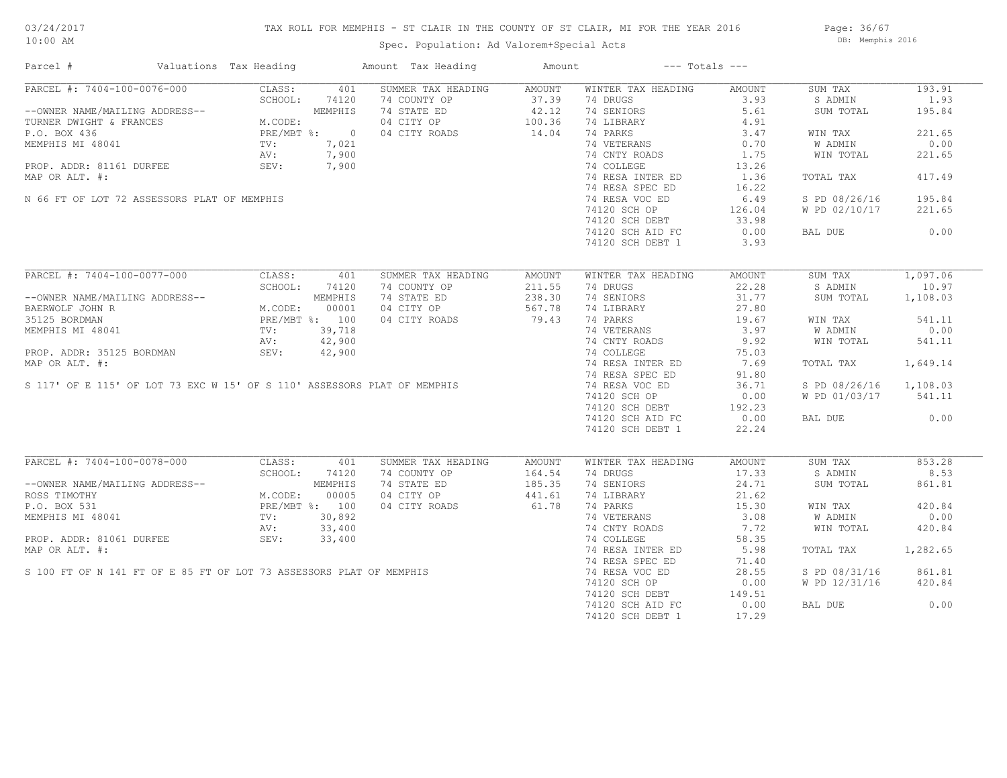## TAX ROLL FOR MEMPHIS - ST CLAIR IN THE COUNTY OF ST CLAIR, MI FOR THE YEAR 2016

Spec. Population: Ad Valorem+Special Acts

Page: 36/67 DB: Memphis 2016

| Parcel #                                                                                                                                                                                                                                           | Valuations Tax Heading |     | Amount Tax Heading                                                                                                                                                                                                                                   | Amount | $---$ Totals $---$                                                            |                  |                        |          |
|----------------------------------------------------------------------------------------------------------------------------------------------------------------------------------------------------------------------------------------------------|------------------------|-----|------------------------------------------------------------------------------------------------------------------------------------------------------------------------------------------------------------------------------------------------------|--------|-------------------------------------------------------------------------------|------------------|------------------------|----------|
| PARCEL #: 7404-100-0076-000                                                                                                                                                                                                                        | CLASS:                 | 401 | SUMMER TAX HEADING                                                                                                                                                                                                                                   | AMOUNT | WINTER TAX HEADING                                                            | AMOUNT           | SUM TAX                | 193.91   |
|                                                                                                                                                                                                                                                    |                        |     |                                                                                                                                                                                                                                                      |        | 74 DRUGS                                                                      |                  | S ADMIN                | 1.93     |
|                                                                                                                                                                                                                                                    |                        |     | --OWNER NAME/MAILING ADDRESS--<br>TURNER DWIGHT & FRANCES<br>P.O. BOX 436<br>MEMPHIS MI 48041<br>MEMPHIS MI 48041<br>MEMPHIS MI 48041<br>MEMPHIS MI 48041<br>MEMPHIS MI 48041<br>MEMPHIS MI 48041<br>MEMPHIS MI 48041<br>MEMPHIS MI 48041<br>MEMPHIS |        | 74 SENIORS                                                                    | $3.93$<br>$5.61$ | SUM TOTAL              | 195.84   |
|                                                                                                                                                                                                                                                    |                        |     |                                                                                                                                                                                                                                                      |        | 74 LIBRARY                                                                    | 4.91             |                        |          |
|                                                                                                                                                                                                                                                    |                        |     |                                                                                                                                                                                                                                                      |        | 74 PARKS                                                                      | 3.47             | WIN TAX                | 221.65   |
|                                                                                                                                                                                                                                                    |                        |     | $7,900$<br>$7,900$<br>$7,900$                                                                                                                                                                                                                        |        |                                                                               |                  | W ADMIN                | 0.00     |
|                                                                                                                                                                                                                                                    |                        |     |                                                                                                                                                                                                                                                      |        | 74 VETERANS 0.70<br>74 CNTY ROADS 1.75                                        |                  | WIN TOTAL              | 221.65   |
| PROP. ADDR: 81161 DURFEE SEV: 7,900                                                                                                                                                                                                                |                        |     |                                                                                                                                                                                                                                                      |        |                                                                               |                  |                        |          |
| MAP OR ALT. #:                                                                                                                                                                                                                                     |                        |     |                                                                                                                                                                                                                                                      |        | 74 COLLEGE 13.26<br>74 RESA INTER ED 1.36                                     |                  | TOTAL TAX              | 417.49   |
|                                                                                                                                                                                                                                                    |                        |     |                                                                                                                                                                                                                                                      |        | 74 RESA SPEC ED                                                               | 16.22            |                        |          |
|                                                                                                                                                                                                                                                    |                        |     |                                                                                                                                                                                                                                                      |        | 74 RESA SPEC ED<br>74 RESA VOC ED                                             |                  |                        |          |
| N 66 FT OF LOT 72 ASSESSORS PLAT OF MEMPHIS                                                                                                                                                                                                        |                        |     |                                                                                                                                                                                                                                                      |        |                                                                               | 6.49             | S PD 08/26/16          | 195.84   |
|                                                                                                                                                                                                                                                    |                        |     |                                                                                                                                                                                                                                                      |        | 74120 SCH OP<br>74120 SCH OP<br>74120 SCH DEBT 33.98<br>74120 SCH AID FC 0.00 |                  | W PD 02/10/17          | 221.65   |
|                                                                                                                                                                                                                                                    |                        |     |                                                                                                                                                                                                                                                      |        |                                                                               |                  |                        |          |
|                                                                                                                                                                                                                                                    |                        |     |                                                                                                                                                                                                                                                      |        |                                                                               |                  | BAL DUE 0.00           |          |
|                                                                                                                                                                                                                                                    |                        |     |                                                                                                                                                                                                                                                      |        | 74120 SCH DEBT 1                                                              | 3.93             |                        |          |
|                                                                                                                                                                                                                                                    |                        |     |                                                                                                                                                                                                                                                      |        |                                                                               |                  |                        |          |
| PARCEL #: 7404-100-0077-000                                                                                                                                                                                                                        | CLASS: 401             |     | SUMMER TAX HEADING                                                                                                                                                                                                                                   | AMOUNT | WINTER TAX HEADING                                                            | AMOUNT           | SUM TAX 1,097.06       |          |
| --OWNER NAME/MAILING ADDRESS--<br>BAERWOLF JOHN R<br>35125 BORDMAN PRE/MBT %: 100<br>MEMPHIS MI 48041 TV: 39,718<br>AV: 42,900                                                                                                                     | SCHOOL: 74120          |     | 74 COUNTY OP<br>74 STATE ED                                                                                                                                                                                                                          | 211.55 | 74 DRUGS                                                                      | 22.28            | S ADMIN                | 10.97    |
|                                                                                                                                                                                                                                                    |                        |     |                                                                                                                                                                                                                                                      | 238.30 | 74 SENIORS                                                                    | 31.77            | SUM TOTAL 1,108.03     |          |
|                                                                                                                                                                                                                                                    |                        |     | 04 CITY OP 567.78<br>04 CITY ROADS 79.43                                                                                                                                                                                                             |        | 74 LIBRARY 27.80<br>74 PARKS 19.67                                            |                  |                        |          |
|                                                                                                                                                                                                                                                    |                        |     | 04 CITY ROADS                                                                                                                                                                                                                                        |        |                                                                               |                  | WIN TAX                | 541.11   |
|                                                                                                                                                                                                                                                    |                        |     |                                                                                                                                                                                                                                                      |        |                                                                               |                  | W ADMIN                | 0.00     |
|                                                                                                                                                                                                                                                    |                        |     |                                                                                                                                                                                                                                                      |        |                                                                               |                  | WIN TOTAL              | 541.11   |
|                                                                                                                                                                                                                                                    |                        |     |                                                                                                                                                                                                                                                      |        |                                                                               |                  |                        |          |
|                                                                                                                                                                                                                                                    |                        |     |                                                                                                                                                                                                                                                      |        |                                                                               |                  | TOTAL TAX              | 1,649.14 |
|                                                                                                                                                                                                                                                    |                        |     |                                                                                                                                                                                                                                                      |        |                                                                               |                  |                        |          |
|                                                                                                                                                                                                                                                    |                        |     | MEMPHIS MI 48041<br>MEMPHIS MI 48041<br>MEMPHIS MI 48041<br>MEMPHIS MI 48041<br>MAP OR ALT. #:<br>S 117' OF E 115' OF LOT 73 EXC W 15' OF S 110' ASSESSORS PLAT OF MEMPHIS<br>MAP OR ALT. #:<br>S 117' OF E 115' OF LOT 73 EXC W 15' OF S 11         |        |                                                                               |                  | S PD 08/26/16 1,108.03 |          |
|                                                                                                                                                                                                                                                    |                        |     |                                                                                                                                                                                                                                                      |        | 74120 SCH OP                                                                  | 0.00             | W PD 01/03/17 541.11   |          |
|                                                                                                                                                                                                                                                    |                        |     |                                                                                                                                                                                                                                                      |        |                                                                               |                  |                        |          |
|                                                                                                                                                                                                                                                    |                        |     |                                                                                                                                                                                                                                                      |        | 74120 SCH DEBT<br>74120 SCH DEBT 192.23<br>74120 SCH AID FC 0.00              |                  | BAL DUE                | 0.00     |
|                                                                                                                                                                                                                                                    |                        |     |                                                                                                                                                                                                                                                      |        | 74120 SCH DEBT 1 22.24                                                        |                  |                        |          |
|                                                                                                                                                                                                                                                    |                        |     |                                                                                                                                                                                                                                                      |        |                                                                               |                  |                        |          |
| PARCEL #: 7404-100-0078-000                                                                                                                                                                                                                        | CLASS:                 | 401 | SUMMER TAX HEADING                                                                                                                                                                                                                                   | AMOUNT | WINTER TAX HEADING                                                            | AMOUNT           | SUM TAX                | 853.28   |
|                                                                                                                                                                                                                                                    | SCHOOL: 74120          |     |                                                                                                                                                                                                                                                      |        | 74 DRUGS                                                                      | 17.33            | S ADMIN                | 8.53     |
| SCHOOL: 74120<br>ROSS TIMOTHY MAILING ADDRESS--<br>ROSS TIMOTHY M.CODE: 00005<br>P.O. BOX 531<br>MEMPHIS MI 48041<br>MEMPHIS MI 48041<br>TV: 30,892<br>PROP. ADDR: 81061 DURFEE<br>PROP. ADDR: 81061 DURFEE<br>PROP. ADDR: 81061 DURFEE<br>SEV: 33 |                        |     | 74 COUNTY OP<br>74 STATE ED 185.35<br>04 CITY OP 441.61<br>04 CITY ROADS 61.78                                                                                                                                                                       |        | 74 SENIORS                                                                    | 24.71            | SUM TOTAL              | 861.81   |
|                                                                                                                                                                                                                                                    |                        |     |                                                                                                                                                                                                                                                      |        |                                                                               |                  |                        |          |
|                                                                                                                                                                                                                                                    |                        |     |                                                                                                                                                                                                                                                      |        | 74 LIBRARY<br>74 PARKS 15.30<br>74 PARKS 15.30                                |                  | WIN TAX                | 420.84   |
|                                                                                                                                                                                                                                                    |                        |     |                                                                                                                                                                                                                                                      |        |                                                                               | 3.08             | W ADMIN                | 0.00     |
|                                                                                                                                                                                                                                                    |                        |     |                                                                                                                                                                                                                                                      |        | 74 VETERANS<br>74 CNTY ROADS                                                  | 7.72             | WIN TOTAL              |          |
|                                                                                                                                                                                                                                                    |                        |     | MEMPHIS MI 48041<br>PROP. ADDR: 81061 DURFEE<br>MAP OR ALT. #:<br>S 100 FT OF N 141 FT OF E 85 FT OF LOT 73 ASSESSORS PLAT OF MEMPHIS                                                                                                                |        |                                                                               |                  |                        | 420.84   |
|                                                                                                                                                                                                                                                    |                        |     |                                                                                                                                                                                                                                                      |        | 74 COLLEGE                                                                    | 58.35            |                        |          |
|                                                                                                                                                                                                                                                    |                        |     |                                                                                                                                                                                                                                                      |        | 74 RESA INTER ED 5.98                                                         |                  | TOTAL TAX 1,282.65     |          |
|                                                                                                                                                                                                                                                    |                        |     |                                                                                                                                                                                                                                                      |        | 74 RESA SPEC ED                                                               | 71.40            |                        |          |
|                                                                                                                                                                                                                                                    |                        |     |                                                                                                                                                                                                                                                      |        | 74 RESA VOC ED 28.55                                                          |                  | S PD 08/31/16 861.81   |          |
|                                                                                                                                                                                                                                                    |                        |     |                                                                                                                                                                                                                                                      |        | 74120 SCH OP                                                                  | 0.00             | W PD 12/31/16          | 420.84   |
|                                                                                                                                                                                                                                                    |                        |     |                                                                                                                                                                                                                                                      |        | 74120 SCH DEBT                                                                | 149.51           |                        |          |
|                                                                                                                                                                                                                                                    |                        |     |                                                                                                                                                                                                                                                      |        | 74120 SCH AID FC                                                              | 0.00             | BAL DUE                | 0.00     |
|                                                                                                                                                                                                                                                    |                        |     |                                                                                                                                                                                                                                                      |        | 74120 SCH DEBT 1                                                              | 17.29            |                        |          |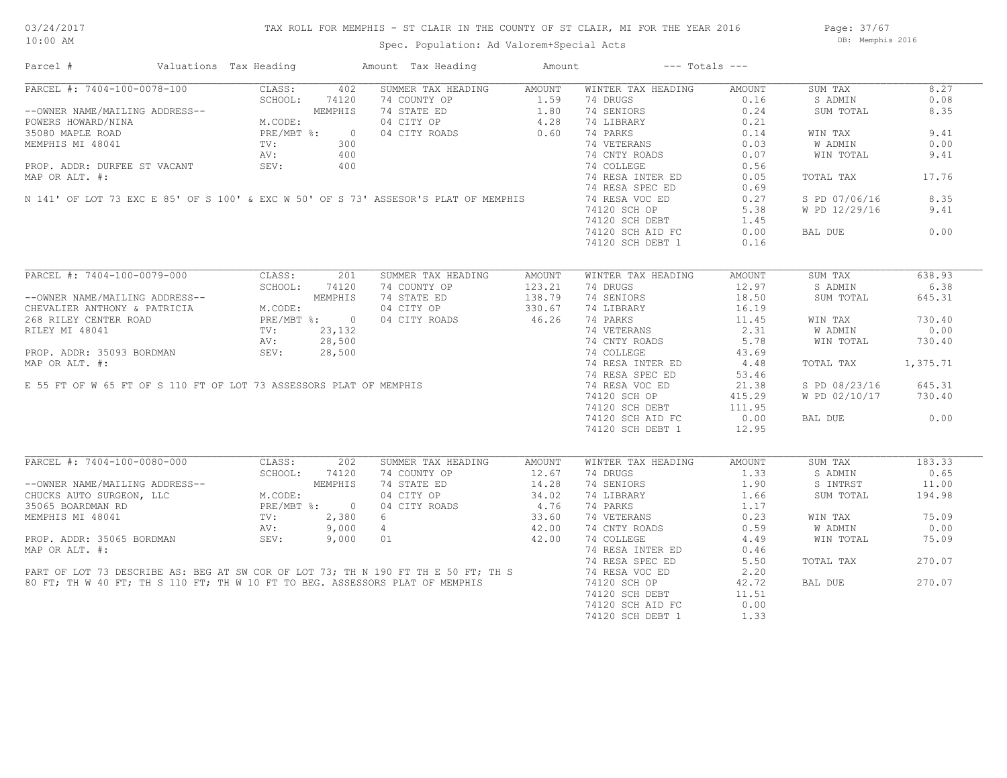Page: 37/67 DB: Memphis 2016

## Spec. Population: Ad Valorem+Special Acts

| Parcel #                                                                    | Valuations Tax Heading |                                                                                                                                                                                                                                                                                                                                                                                                                                                                                                                                               |                | Amount Tax Heading                                                                                                                                                | Amount | $---$ Totals $---$ |        |               |          |
|-----------------------------------------------------------------------------|------------------------|-----------------------------------------------------------------------------------------------------------------------------------------------------------------------------------------------------------------------------------------------------------------------------------------------------------------------------------------------------------------------------------------------------------------------------------------------------------------------------------------------------------------------------------------------|----------------|-------------------------------------------------------------------------------------------------------------------------------------------------------------------|--------|--------------------|--------|---------------|----------|
| PARCEL #: 7404-100-0078-100                                                 |                        | CLASS:                                                                                                                                                                                                                                                                                                                                                                                                                                                                                                                                        | 402            | SUMMER TAX HEADING                                                                                                                                                | AMOUNT | WINTER TAX HEADING | AMOUNT | SUM TAX       | 8.27     |
|                                                                             |                        | SCHOOL:                                                                                                                                                                                                                                                                                                                                                                                                                                                                                                                                       | 74120          | 74 COUNTY OP                                                                                                                                                      | 1.59   | 74 DRUGS           | 0.16   | S ADMIN       | 0.08     |
| --OWNER NAME/MAILING ADDRESS--                                              |                        | $\begin{minipage}{0.5\textwidth} \begin{minipage}{0.5\textwidth} \centering \textbf{D} \texttt{R} \texttt{ESS--} \end{minipage} \begin{minipage}{0.5\textwidth} \centering \begin{minipage}{0.5\textwidth} \centering \textbf{M.CODE:} \end{minipage} \begin{minipage}{0.5\textwidth} \centering \begin{minipage}{0.5\textwidth} \centering \centering \textbf{M.}) \end{minipage} \begin{minipage}{0.5\textwidth} \centering \centering \textbf{M.}) \end{minipage} \begin{minipage}{0.5\textwidth} \centering \centering \begin{minipage}{$ | MEMPHIS        | 74 STATE ED                                                                                                                                                       | 1.80   | 74 SENIORS         | 0.24   | SUM TOTAL     | 8.35     |
| POWERS HOWARD/NINA                                                          |                        |                                                                                                                                                                                                                                                                                                                                                                                                                                                                                                                                               |                | $\begin{array}{cc} 4.28 \\ 0.60 \end{array}$<br>04 CITY OP                                                                                                        |        | 74 LIBRARY         | 0.21   |               |          |
| 35080 MAPLE ROAD                                                            |                        |                                                                                                                                                                                                                                                                                                                                                                                                                                                                                                                                               | $\overline{0}$ | 04 CITY ROADS                                                                                                                                                     |        | 74 PARKS           | 0.14   | WIN TAX       | 9.41     |
| MEMPHIS MI 48041                                                            |                        | TV:                                                                                                                                                                                                                                                                                                                                                                                                                                                                                                                                           | 300            |                                                                                                                                                                   |        | 74 VETERANS        | 0.03   | W ADMIN       | 0.00     |
|                                                                             |                        | AV:                                                                                                                                                                                                                                                                                                                                                                                                                                                                                                                                           | 400            |                                                                                                                                                                   |        | 74 CNTY ROADS      | 0.07   | WIN TOTAL     | 9.41     |
| PROP. ADDR: DURFEE ST VACANT                                                |                        | SEV:                                                                                                                                                                                                                                                                                                                                                                                                                                                                                                                                          | 400            |                                                                                                                                                                   |        | 74 COLLEGE         | 0.56   |               |          |
| MAP OR ALT. #:                                                              |                        |                                                                                                                                                                                                                                                                                                                                                                                                                                                                                                                                               |                |                                                                                                                                                                   |        | 74 RESA INTER ED   | 0.05   | TOTAL TAX     | 17.76    |
|                                                                             |                        |                                                                                                                                                                                                                                                                                                                                                                                                                                                                                                                                               |                |                                                                                                                                                                   |        | 74 RESA SPEC ED    |        |               |          |
|                                                                             |                        |                                                                                                                                                                                                                                                                                                                                                                                                                                                                                                                                               |                |                                                                                                                                                                   |        |                    | 0.69   |               |          |
|                                                                             |                        |                                                                                                                                                                                                                                                                                                                                                                                                                                                                                                                                               |                | N 141' OF LOT 73 EXC E 85' OF S 100' & EXC W 50' OF S 73' ASSESOR'S PLAT OF MEMPHIS                                                                               |        | 74 RESA VOC ED     | 0.27   | S PD 07/06/16 | 8.35     |
|                                                                             |                        |                                                                                                                                                                                                                                                                                                                                                                                                                                                                                                                                               |                |                                                                                                                                                                   |        | 74120 SCH OP       | 5.38   | W PD 12/29/16 | 9.41     |
|                                                                             |                        |                                                                                                                                                                                                                                                                                                                                                                                                                                                                                                                                               |                |                                                                                                                                                                   |        | 74120 SCH DEBT     | 1.45   |               |          |
|                                                                             |                        |                                                                                                                                                                                                                                                                                                                                                                                                                                                                                                                                               |                |                                                                                                                                                                   |        | 74120 SCH AID FC   | 0.00   | BAL DUE       | 0.00     |
|                                                                             |                        |                                                                                                                                                                                                                                                                                                                                                                                                                                                                                                                                               |                |                                                                                                                                                                   |        | 74120 SCH DEBT 1   | 0.16   |               |          |
|                                                                             |                        |                                                                                                                                                                                                                                                                                                                                                                                                                                                                                                                                               |                |                                                                                                                                                                   |        |                    |        |               |          |
|                                                                             |                        |                                                                                                                                                                                                                                                                                                                                                                                                                                                                                                                                               |                | SUMMER TAX HEADING                                                                                                                                                | AMOUNT | WINTER TAX HEADING | AMOUNT | SUM TAX       | 638.93   |
|                                                                             |                        |                                                                                                                                                                                                                                                                                                                                                                                                                                                                                                                                               |                | 74 COUNTY OP                                                                                                                                                      | 123.21 | 74 DRUGS           | 12.97  | S ADMIN       | 6.38     |
|                                                                             |                        |                                                                                                                                                                                                                                                                                                                                                                                                                                                                                                                                               |                | 74 STATE ED                                                                                                                                                       | 138.79 | 74 SENIORS         | 18.50  | SUM TOTAL     | 645.31   |
|                                                                             |                        |                                                                                                                                                                                                                                                                                                                                                                                                                                                                                                                                               |                | 04 CITY OP                                                                                                                                                        | 330.67 | 74 LIBRARY         | 16.19  |               |          |
|                                                                             |                        |                                                                                                                                                                                                                                                                                                                                                                                                                                                                                                                                               |                | 04 CITY ROADS                                                                                                                                                     | 46.26  | 74 PARKS           | 11.45  | WIN TAX       | 730.40   |
|                                                                             |                        |                                                                                                                                                                                                                                                                                                                                                                                                                                                                                                                                               |                |                                                                                                                                                                   |        | 74 VETERANS        | 2.31   | W ADMIN       | 0.00     |
|                                                                             |                        |                                                                                                                                                                                                                                                                                                                                                                                                                                                                                                                                               |                |                                                                                                                                                                   |        | 74 CNTY ROADS      | 5.78   | WIN TOTAL     | 730.40   |
|                                                                             |                        |                                                                                                                                                                                                                                                                                                                                                                                                                                                                                                                                               |                |                                                                                                                                                                   |        |                    |        |               |          |
|                                                                             |                        |                                                                                                                                                                                                                                                                                                                                                                                                                                                                                                                                               |                |                                                                                                                                                                   |        | 74 COLLEGE         | 43.69  |               |          |
|                                                                             |                        |                                                                                                                                                                                                                                                                                                                                                                                                                                                                                                                                               |                |                                                                                                                                                                   |        | 74 RESA INTER ED   | 4.48   | TOTAL TAX     | 1,375.71 |
|                                                                             |                        |                                                                                                                                                                                                                                                                                                                                                                                                                                                                                                                                               |                |                                                                                                                                                                   |        | 74 RESA SPEC ED    | 53.46  |               |          |
|                                                                             |                        |                                                                                                                                                                                                                                                                                                                                                                                                                                                                                                                                               |                |                                                                                                                                                                   |        | 74 RESA VOC ED     | 21.38  | S PD 08/23/16 | 645.31   |
|                                                                             |                        |                                                                                                                                                                                                                                                                                                                                                                                                                                                                                                                                               |                |                                                                                                                                                                   |        | 74120 SCH OP       | 415.29 | W PD 02/10/17 | 730.40   |
|                                                                             |                        |                                                                                                                                                                                                                                                                                                                                                                                                                                                                                                                                               |                |                                                                                                                                                                   |        | 74120 SCH DEBT     | 111.95 |               |          |
|                                                                             |                        |                                                                                                                                                                                                                                                                                                                                                                                                                                                                                                                                               |                |                                                                                                                                                                   |        | 74120 SCH AID FC   | 0.00   | BAL DUE       | 0.00     |
|                                                                             |                        |                                                                                                                                                                                                                                                                                                                                                                                                                                                                                                                                               |                |                                                                                                                                                                   |        | 74120 SCH DEBT 1   | 12.95  |               |          |
|                                                                             |                        |                                                                                                                                                                                                                                                                                                                                                                                                                                                                                                                                               |                | $28,500$<br>$\cdot \cdot$ ".<br>E 55 FT OF W 65 FT OF S 110 FT OF LOT 73 ASSESSORS PLAT OF MEMPHIS                                                                |        |                    |        |               |          |
| PARCEL #: 7404-100-0080-000                                                 |                        | CLASS:                                                                                                                                                                                                                                                                                                                                                                                                                                                                                                                                        | 202            | SUMMER TAX HEADING                                                                                                                                                | AMOUNT | WINTER TAX HEADING | AMOUNT | SUM TAX       | 183.33   |
|                                                                             |                        | SCHOOL:                                                                                                                                                                                                                                                                                                                                                                                                                                                                                                                                       | 74120          | 74 COUNTY OP                                                                                                                                                      | 12.67  | 74 DRUGS           | 1.33   | S ADMIN       | 0.65     |
| --OWNER NAME/MAILING ADDRESS--                                              |                        |                                                                                                                                                                                                                                                                                                                                                                                                                                                                                                                                               | MEMPHIS        | 74 STATE ED                                                                                                                                                       | 14.28  | 74 SENIORS         | 1.90   | S INTRST      | 11.00    |
|                                                                             |                        | M.CODE:                                                                                                                                                                                                                                                                                                                                                                                                                                                                                                                                       |                | 04 CITY OP                                                                                                                                                        | 34.02  | 74 LIBRARY         | 1.66   | SUM TOTAL     | 194.98   |
|                                                                             |                        | PRE/MBT %: 0                                                                                                                                                                                                                                                                                                                                                                                                                                                                                                                                  |                | 04 CITY ROADS                                                                                                                                                     | 4.76   | 74 PARKS           | 1.17   |               |          |
| CHUCKS AUTO SURGEON, LLC<br>35065 BOARDMAN RD PRE/I<br>MEMPHIS MI 48041 TV: |                        |                                                                                                                                                                                                                                                                                                                                                                                                                                                                                                                                               | 2,380          | 6                                                                                                                                                                 | 33.60  | 74 VETERANS        | 0.23   | WIN TAX       | 75.09    |
|                                                                             |                        | AV:                                                                                                                                                                                                                                                                                                                                                                                                                                                                                                                                           | 9,000          | $4\overline{4}$                                                                                                                                                   | 42.00  | 74 CNTY ROADS      | 0.59   | W ADMIN       | 0.00     |
| PROP. ADDR: 35065 BORDMAN                                                   |                        | SEV:                                                                                                                                                                                                                                                                                                                                                                                                                                                                                                                                          | 9,000          | 01                                                                                                                                                                | 42.00  | 74 COLLEGE         | 4.49   | WIN TOTAL     | 75.09    |
|                                                                             |                        |                                                                                                                                                                                                                                                                                                                                                                                                                                                                                                                                               |                |                                                                                                                                                                   |        | 74 RESA INTER ED   | 0.46   |               |          |
|                                                                             |                        |                                                                                                                                                                                                                                                                                                                                                                                                                                                                                                                                               |                |                                                                                                                                                                   |        |                    |        |               | 270.07   |
|                                                                             |                        |                                                                                                                                                                                                                                                                                                                                                                                                                                                                                                                                               |                | PART OF LOT 73 DESCRIBE AS: BEG AT SW COR OF LOT 73; TH N 190 FT TH E 50 FT; TH S<br>80 FT; TH W 40 FT; TH S 110 FT; TH W 10 FT TO BEG. ASSESSORS PLAT OF MEMPHIS |        | 74 RESA SPEC ED    | 5.50   | TOTAL TAX     |          |
|                                                                             |                        |                                                                                                                                                                                                                                                                                                                                                                                                                                                                                                                                               |                |                                                                                                                                                                   |        | 74 RESA VOC ED     | 2.20   |               |          |
|                                                                             |                        |                                                                                                                                                                                                                                                                                                                                                                                                                                                                                                                                               |                |                                                                                                                                                                   |        | 74120 SCH OP       | 42.72  | BAL DUE       | 270.07   |
|                                                                             |                        |                                                                                                                                                                                                                                                                                                                                                                                                                                                                                                                                               |                |                                                                                                                                                                   |        | 74120 SCH DEBT     | 11.51  |               |          |
|                                                                             |                        |                                                                                                                                                                                                                                                                                                                                                                                                                                                                                                                                               |                |                                                                                                                                                                   |        | 74120 SCH AID FC   | 0.00   |               |          |
|                                                                             |                        |                                                                                                                                                                                                                                                                                                                                                                                                                                                                                                                                               |                |                                                                                                                                                                   |        | 74120 SCH DEBT 1   | 1.33   |               |          |
|                                                                             |                        |                                                                                                                                                                                                                                                                                                                                                                                                                                                                                                                                               |                |                                                                                                                                                                   |        |                    |        |               |          |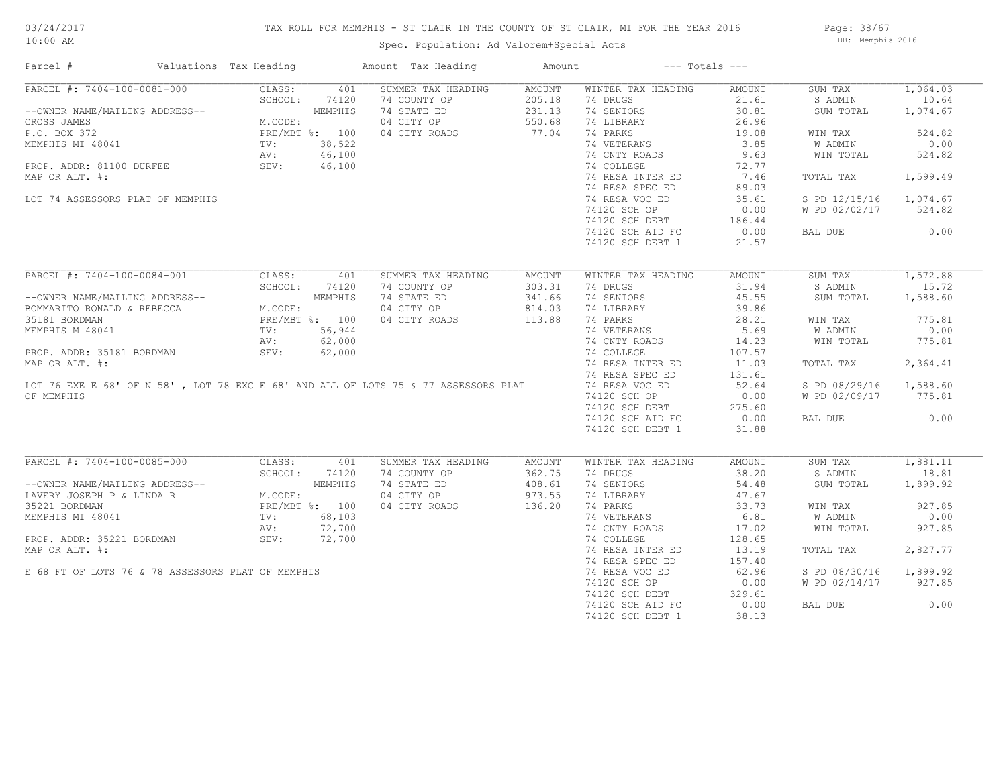## TAX ROLL FOR MEMPHIS - ST CLAIR IN THE COUNTY OF ST CLAIR, MI FOR THE YEAR 2016

Spec. Population: Ad Valorem+Special Acts

Page: 38/67 DB: Memphis 2016

| Parcel #                                                                                            | Valuations Tax Heading |         | Amount Tax Heading                                                                 | Amount |                    | $---$ Totals $---$ |               |          |
|-----------------------------------------------------------------------------------------------------|------------------------|---------|------------------------------------------------------------------------------------|--------|--------------------|--------------------|---------------|----------|
| PARCEL #: 7404-100-0081-000                                                                         | CLASS:                 | 401     | SUMMER TAX HEADING                                                                 | AMOUNT | WINTER TAX HEADING | AMOUNT             | SUM TAX       | 1,064.03 |
|                                                                                                     | SCHOOL:                | 74120   | 74 COUNTY OP                                                                       | 205.18 | 74 DRUGS           | 21.61              | S ADMIN       | 10.64    |
| --OWNER NAME/MAILING ADDRESS--                                                                      |                        | MEMPHIS | 74 STATE ED                                                                        | 231.13 | 74 SENIORS         | 30.81              | SUM TOTAL     | 1,074.67 |
| CROSS JAMES                                                                                         | M.CODE:                |         | 04 CITY OP                                                                         | 550.68 | 74 LIBRARY         | 26.96              |               |          |
| P.O. BOX 372                                                                                        | PRE/MBT %: 100         |         | 04 CITY ROADS                                                                      | 77.04  | 74 PARKS           | 19.08              | WIN TAX       | 524.82   |
| MEMPHIS MI 48041                                                                                    | TV:                    | 38,522  |                                                                                    |        | 74 VETERANS        | 3.85               | W ADMIN       | 0.00     |
|                                                                                                     | AV:                    | 46,100  |                                                                                    |        | 74 CNTY ROADS      | 9.63               | WIN TOTAL     | 524.82   |
| PROP. ADDR: 81100 DURFEE                                                                            | SEV:                   | 46,100  |                                                                                    |        | 74 COLLEGE         | 72.77              |               |          |
|                                                                                                     |                        |         |                                                                                    |        | 74 RESA INTER ED   | 7.46               |               | 1,599.49 |
| MAP OR ALT. #:                                                                                      |                        |         |                                                                                    |        |                    |                    | TOTAL TAX     |          |
|                                                                                                     |                        |         |                                                                                    |        | 74 RESA SPEC ED    | 89.03              |               |          |
| LOT 74 ASSESSORS PLAT OF MEMPHIS                                                                    |                        |         |                                                                                    |        | 74 RESA VOC ED     | 35.61              | S PD 12/15/16 | 1,074.67 |
|                                                                                                     |                        |         |                                                                                    |        | 74120 SCH OP       | 0.00               | W PD 02/02/17 | 524.82   |
|                                                                                                     |                        |         |                                                                                    |        | 74120 SCH DEBT     | 186.44             |               |          |
|                                                                                                     |                        |         |                                                                                    |        | 74120 SCH AID FC   | 0.00               | BAL DUE       | 0.00     |
|                                                                                                     |                        |         |                                                                                    |        | 74120 SCH DEBT 1   | 21.57              |               |          |
|                                                                                                     |                        |         |                                                                                    |        |                    |                    |               |          |
| PARCEL #: 7404-100-0084-001                                                                         | CLASS:                 | 401     | SUMMER TAX HEADING                                                                 | AMOUNT | WINTER TAX HEADING | AMOUNT             | SUM TAX       | 1,572.88 |
|                                                                                                     | SCHOOL:                | 74120   | 74 COUNTY OP                                                                       | 303.31 | 74 DRUGS           | 31.94              | S ADMIN       | 15.72    |
|                                                                                                     |                        |         | 74 STATE ED                                                                        | 341.66 | 74 SENIORS         | 45.55              | SUM TOTAL     | 1,588.60 |
|                                                                                                     |                        |         | 04 CITY OP                                                                         | 814.03 | 74 LIBRARY         | 39.86              |               |          |
|                                                                                                     |                        |         | 04 CITY ROADS                                                                      | 113.88 | 74 PARKS           | 28.21              | WIN TAX       | 775.81   |
|                                                                                                     |                        |         |                                                                                    |        | 74 VETERANS        | 5.69               | W ADMIN       | 0.00     |
|                                                                                                     |                        |         |                                                                                    |        |                    |                    |               |          |
|                                                                                                     | AV:                    | 62,000  |                                                                                    |        | 74 CNTY ROADS      | 14.23              | WIN TOTAL     | 775.81   |
| PROP. ADDR: 35181 BORDMAN                                                                           | SEV:                   | 62,000  |                                                                                    |        | 74 COLLEGE         | 107.57             |               |          |
| MAP OR ALT. #:                                                                                      |                        |         |                                                                                    |        | 74 RESA INTER ED   | 11.03              | TOTAL TAX     | 2,364.41 |
|                                                                                                     |                        |         |                                                                                    |        | 74 RESA SPEC ED    | 131.61             |               |          |
|                                                                                                     |                        |         | LOT 76 EXE E 68' OF N 58', LOT 78 EXC E 68' AND ALL OF LOTS 75 & 77 ASSESSORS PLAT |        | 74 RESA VOC ED     | 52.64              | S PD 08/29/16 | 1,588.60 |
| OF MEMPHIS                                                                                          |                        |         |                                                                                    |        | 74120 SCH OP       | 0.00               | W PD 02/09/17 | 775.81   |
|                                                                                                     |                        |         |                                                                                    |        | 74120 SCH DEBT     | 275.60             |               |          |
|                                                                                                     |                        |         |                                                                                    |        | 74120 SCH AID FC   | 0.00               | BAL DUE       | 0.00     |
|                                                                                                     |                        |         |                                                                                    |        | 74120 SCH DEBT 1   | 31.88              |               |          |
|                                                                                                     |                        |         |                                                                                    |        |                    |                    |               |          |
| PARCEL #: 7404-100-0085-000                                                                         | CLASS:                 | 401     | SUMMER TAX HEADING                                                                 | AMOUNT | WINTER TAX HEADING | AMOUNT             | SUM TAX       | 1,881.11 |
|                                                                                                     | SCHOOL:                | 74120   | 74 COUNTY OP                                                                       | 362.75 | 74 DRUGS           | 38.20              | S ADMIN       | 18.81    |
| --OWNER NAME/MAILING ADDRESS--<br>LAVERY JOSEPH P & LINDA R M.CODE:<br>35221 BORDMAN PRE/MBT %: 100 |                        |         | 74 STATE ED                                                                        | 408.61 | 74 SENIORS         | 54.48              | SUM TOTAL     | 1,899.92 |
|                                                                                                     |                        |         | 04 CITY OP                                                                         | 973.55 | 74 LIBRARY         | 47.67              |               |          |
|                                                                                                     |                        |         | 04 CITY ROADS                                                                      | 136.20 | 74 PARKS           | 33.73              | WIN TAX       | 927.85   |
| MEMPHIS MI 48041                                                                                    | TV:                    | 68,103  |                                                                                    |        | 74 VETERANS        | 6.81               | W ADMIN       | 0.00     |
|                                                                                                     | AV:                    | 72,700  |                                                                                    |        | 74 CNTY ROADS      | 17.02              | WIN TOTAL     | 927.85   |
| PROP. ADDR: 35221 BORDMAN SEV:                                                                      |                        |         |                                                                                    |        |                    |                    |               |          |
|                                                                                                     |                        | 72,700  |                                                                                    |        | 74 COLLEGE         | 128.65             |               |          |
| MAP OR ALT. #:                                                                                      |                        |         |                                                                                    |        | 74 RESA INTER ED   | 13.19              | TOTAL TAX     | 2,827.77 |
|                                                                                                     |                        |         |                                                                                    |        | 74 RESA SPEC ED    | 157.40             |               |          |
| E 68 FT OF LOTS 76 & 78 ASSESSORS PLAT OF MEMPHIS                                                   |                        |         |                                                                                    |        | 74 RESA VOC ED     | 62.96              | S PD 08/30/16 | 1,899.92 |
|                                                                                                     |                        |         |                                                                                    |        | 74120 SCH OP       | 0.00               | W PD 02/14/17 | 927.85   |
|                                                                                                     |                        |         |                                                                                    |        | 74120 SCH DEBT     | 329.61             |               |          |
|                                                                                                     |                        |         |                                                                                    |        | 74120 SCH AID FC   | 0.00               | BAL DUE       | 0.00     |
|                                                                                                     |                        |         |                                                                                    |        | 74120 SCH DEBT 1   | 38.13              |               |          |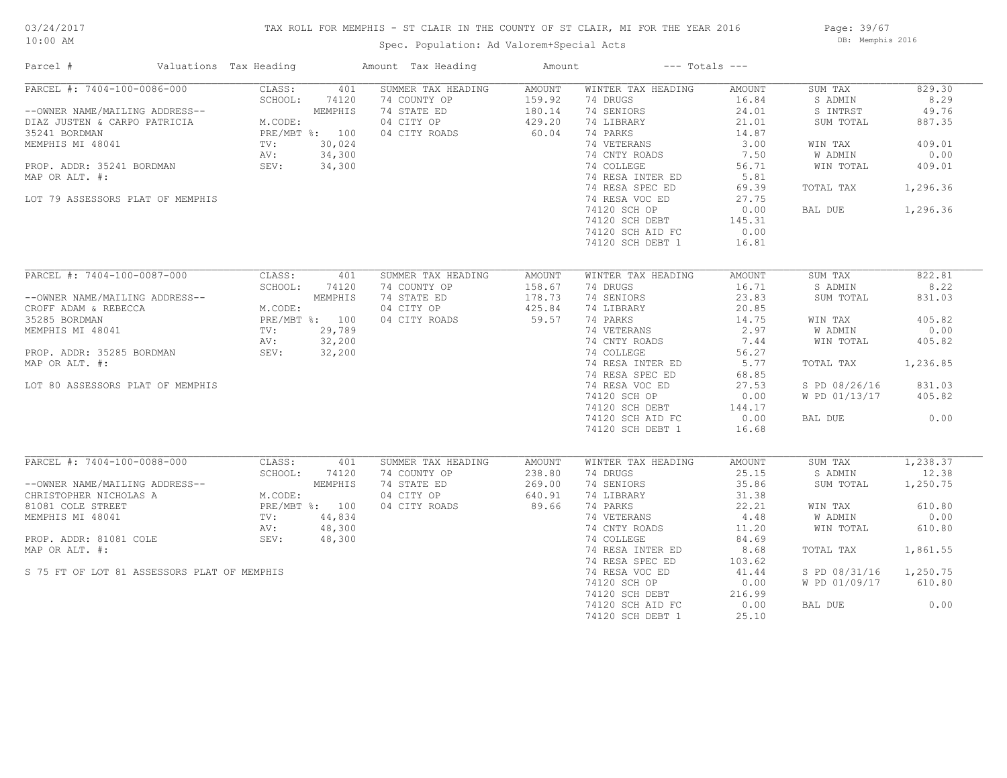## TAX ROLL FOR MEMPHIS - ST CLAIR IN THE COUNTY OF ST CLAIR, MI FOR THE YEAR 2016

Page: 39/67 DB: Memphis 2016

## Spec. Population: Ad Valorem+Special Acts

| Parcel #                                                                                                                   | Valuations Tax Heading |                                                                               | Amount Tax Heading | Amount | $---$ Totals $---$ |        |               |          |
|----------------------------------------------------------------------------------------------------------------------------|------------------------|-------------------------------------------------------------------------------|--------------------|--------|--------------------|--------|---------------|----------|
| PARCEL #: 7404-100-0086-000                                                                                                |                        | CLASS:<br>401                                                                 | SUMMER TAX HEADING | AMOUNT | WINTER TAX HEADING | AMOUNT | SUM TAX       | 829.30   |
|                                                                                                                            |                        | SCHOOL:<br>74120                                                              | 74 COUNTY OP       | 159.92 | 74 DRUGS           | 16.84  | S ADMIN       | 8.29     |
| --OWNER NAME/MAILING ADDRESS--                                                                                             |                        | MEMPHIS                                                                       | 74 STATE ED        | 180.14 | 74 SENIORS         | 24.01  | S INTRST      | 49.76    |
| DIAZ JUSTEN & CARPO PATRICIA                                                                                               |                        | M.CODE:<br>M.CODE:                                                            | 04 CITY OP         | 429.20 | 74 LIBRARY         | 21.01  | SUM TOTAL     | 887.35   |
| 35241 BORDMAN                                                                                                              |                        | PRE/MBT %: 100<br>TV: 30,024<br>AV: 34,300                                    | 04 CITY ROADS      | 60.04  | 74 PARKS           | 14.87  |               |          |
| MEMPHIS MI 48041                                                                                                           |                        |                                                                               |                    |        | 74 VETERANS        | 3.00   | WIN TAX       | 409.01   |
|                                                                                                                            |                        |                                                                               |                    |        | 74 CNTY ROADS      | 7.50   | W ADMIN       | 0.00     |
| PROP. ADDR: 35241 BORDMAN SEV:                                                                                             |                        | 34,300                                                                        |                    |        | 74 COLLEGE         | 56.71  | WIN TOTAL     | 409.01   |
| MAP OR ALT. #:                                                                                                             |                        |                                                                               |                    |        | 74 RESA INTER ED   | 5.81   |               |          |
|                                                                                                                            |                        |                                                                               |                    |        | 74 RESA SPEC ED    | 69.39  | TOTAL TAX     | 1,296.36 |
| LOT 79 ASSESSORS PLAT OF MEMPHIS                                                                                           |                        |                                                                               |                    |        | 74 RESA VOC ED     | 27.75  |               |          |
|                                                                                                                            |                        |                                                                               |                    |        |                    |        |               |          |
|                                                                                                                            |                        |                                                                               |                    |        | 74120 SCH OP       | 0.00   | BAL DUE       | 1,296.36 |
|                                                                                                                            |                        |                                                                               |                    |        | 74120 SCH DEBT     | 145.31 |               |          |
|                                                                                                                            |                        |                                                                               |                    |        | 74120 SCH AID FC   | 0.00   |               |          |
|                                                                                                                            |                        |                                                                               |                    |        | 74120 SCH DEBT 1   | 16.81  |               |          |
|                                                                                                                            |                        |                                                                               |                    |        |                    |        |               |          |
| PARCEL #: 7404-100-0087-000                                                                                                |                        | CLASS:<br>401                                                                 | SUMMER TAX HEADING | AMOUNT | WINTER TAX HEADING | AMOUNT | SUM TAX       | 822.81   |
|                                                                                                                            |                        | SCHOOL:<br>74120                                                              | 74 COUNTY OP       | 158.67 | 74 DRUGS           | 16.71  | S ADMIN       | 8.22     |
| --OWNER NAME/MAILING ADDRESS--                                                                                             |                        |                                                                               | 74 STATE ED        | 178.73 | 74 SENIORS         | 23.83  | SUM TOTAL     | 831.03   |
| CROFF ADAM & REBECCA                                                                                                       |                        | ADDRESS--<br>MEMPHIS<br>M.CODE:<br>PRE/MBT %: 100<br>TV: 29,789<br>AV: 32,200 | 04 CITY OP         | 425.84 | 74 LIBRARY         | 20.85  |               |          |
| 35285 BORDMAN                                                                                                              |                        |                                                                               | 04 CITY ROADS      | 59.57  | 74 PARKS           | 14.75  | WIN TAX       | 405.82   |
| MEMPHIS MI 48041                                                                                                           |                        |                                                                               |                    |        | 74 VETERANS        | 2.97   | W ADMIN       | 0.00     |
|                                                                                                                            |                        |                                                                               |                    |        | 74 CNTY ROADS      | 7.44   | WIN TOTAL     | 405.82   |
| PROP. ADDR: 35285 BORDMAN                                                                                                  |                        | SEV: 32,200                                                                   |                    |        | 74 COLLEGE         | 56.27  |               |          |
| MAP OR ALT. #:                                                                                                             |                        |                                                                               |                    |        | 74 RESA INTER ED   | 5.77   | TOTAL TAX     | 1,236.85 |
|                                                                                                                            |                        |                                                                               |                    |        | 74 RESA SPEC ED    |        |               |          |
|                                                                                                                            |                        |                                                                               |                    |        |                    | 68.85  |               |          |
| LOT 80 ASSESSORS PLAT OF MEMPHIS                                                                                           |                        |                                                                               |                    |        | 74 RESA VOC ED     | 27.53  | S PD 08/26/16 | 831.03   |
|                                                                                                                            |                        |                                                                               |                    |        | 74120 SCH OP       | 0.00   | W PD 01/13/17 | 405.82   |
|                                                                                                                            |                        |                                                                               |                    |        | 74120 SCH DEBT     | 144.17 |               |          |
|                                                                                                                            |                        |                                                                               |                    |        | 74120 SCH AID FC   | 0.00   | BAL DUE       | 0.00     |
|                                                                                                                            |                        |                                                                               |                    |        | 74120 SCH DEBT 1   | 16.68  |               |          |
|                                                                                                                            |                        |                                                                               |                    |        |                    |        |               |          |
| PARCEL #: 7404-100-0088-000                                                                                                |                        | CLASS:<br>401                                                                 | SUMMER TAX HEADING | AMOUNT | WINTER TAX HEADING | AMOUNT | SUM TAX       | 1,238.37 |
|                                                                                                                            |                        | SCHOOL:<br>74120                                                              | 74 COUNTY OP       | 238.80 | 74 DRUGS           | 25.15  | S ADMIN       | 12.38    |
|                                                                                                                            |                        | MEMPHIS                                                                       | 74 STATE ED        | 269.00 | 74 SENIORS         | 35.86  | SUM TOTAL     | 1,250.75 |
|                                                                                                                            |                        | M.CODE:                                                                       | 04 CITY OP         | 640.91 | 74 LIBRARY         | 31.38  |               |          |
|                                                                                                                            |                        | PRE/MBT %: 100                                                                | 04 CITY ROADS      | 89.66  | 74 PARKS           | 22.21  | WIN TAX       | 610.80   |
|                                                                                                                            |                        | 44,834                                                                        |                    |        | 74 VETERANS        | 4.48   | W ADMIN       | 0.00     |
| --OWNER NAME/MAILING ADDRESS--<br>CHRISTOPHER NICHOLAS A M.CODE<br>81081 COLE STREET PRE/MB<br>MEMPHIS MI 48041 TV:<br>AV: |                        | 48,300                                                                        |                    |        | 74 CNTY ROADS      | 11.20  | WIN TOTAL     | 610.80   |
| PROP. ADDR: 81081 COLE                                                                                                     |                        | SEV:<br>48,300                                                                |                    |        | 74 COLLEGE         | 84.69  |               |          |
| MAP OR ALT. #:                                                                                                             |                        |                                                                               |                    |        | 74 RESA INTER ED   | 8.68   | TOTAL TAX     | 1,861.55 |
|                                                                                                                            |                        |                                                                               |                    |        | 74 RESA SPEC ED    | 103.62 |               |          |
| S 75 FT OF LOT 81 ASSESSORS PLAT OF MEMPHIS                                                                                |                        |                                                                               |                    |        | 74 RESA VOC ED     | 41.44  | S PD 08/31/16 | 1,250.75 |
|                                                                                                                            |                        |                                                                               |                    |        | 74120 SCH OP       | 0.00   | W PD 01/09/17 | 610.80   |
|                                                                                                                            |                        |                                                                               |                    |        | 74120 SCH DEBT     | 216.99 |               |          |
|                                                                                                                            |                        |                                                                               |                    |        | 74120 SCH AID FC   | 0.00   | BAL DUE       | 0.00     |
|                                                                                                                            |                        |                                                                               |                    |        |                    |        |               |          |
|                                                                                                                            |                        |                                                                               |                    |        | 74120 SCH DEBT 1   | 25.10  |               |          |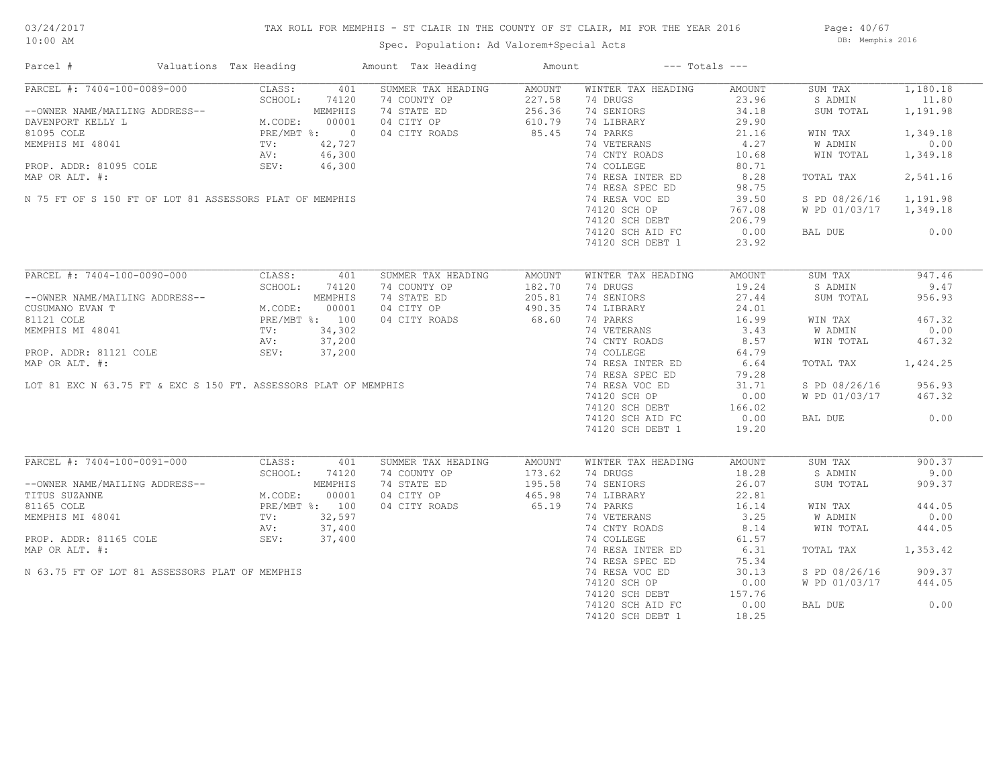Page: 40/67 DB: Memphis 2016

Spec. Population: Ad Valorem+Special Acts

| Parcel #                                                                                                                                                                                                                          |                                                                                                                        | Valuations Tax Heading                                                           |                                                                | Amount Tax Heading                                                                                              | Amount                                        |                                                                                                                                                                                                                                                         | $---$ Totals $---$                                                                                                               |                                                                                                                              |                                                                                                           |
|-----------------------------------------------------------------------------------------------------------------------------------------------------------------------------------------------------------------------------------|------------------------------------------------------------------------------------------------------------------------|----------------------------------------------------------------------------------|----------------------------------------------------------------|-----------------------------------------------------------------------------------------------------------------|-----------------------------------------------|---------------------------------------------------------------------------------------------------------------------------------------------------------------------------------------------------------------------------------------------------------|----------------------------------------------------------------------------------------------------------------------------------|------------------------------------------------------------------------------------------------------------------------------|-----------------------------------------------------------------------------------------------------------|
| PARCEL #: 7404-100-0089-000<br>--OWNER NAME/MAILING ADDRESS--<br>DAVENPORT KELLY L<br>81095 COLE<br>MEMPHIS MI 48041<br>PROP. ADDR: 81095 COLE<br>MAP OR ALT. #:<br>N 75 FT OF S 150 FT OF LOT 81 ASSESSORS PLAT OF MEMPHIS       | $\begin{array}{cc} \text{L} & \text{L} \\ \text{PR} & \text{PR} \\ \text{TV:} \\ \text{AV:} \\ \text{SFT} \end{array}$ | CLASS:<br>SCHOOL:<br>M.CODE:<br>PRE/MBT %: 0                                     | 401<br>74120<br>MEMPHIS<br>00001<br>42,727<br>46,300<br>46,300 | SUMMER TAX HEADING<br>74 COUNTY OP<br>74 STATE ED<br>04 CITY OP<br>04 CITY ROADS                                | AMOUNT<br>227.58<br>256.36<br>610.79<br>85.45 | WINTER TAX HEADING<br>74 DRUGS<br>74 SENIORS<br>74 LIBRARY<br>74 PARKS<br>74 VETERANS<br>74 CNTY ROADS<br>74 COLLEGE<br>74 RESA INTER ED<br>74 RESA SPEC ED<br>74 RESA VOC ED<br>74120 SCH OP<br>74120 SCH DEBT<br>74120 SCH AID FC                     | AMOUNT<br>23.96<br>34.18<br>29.90<br>21.16<br>4.27<br>10.68<br>80.71<br>8.28<br>98.75<br>39.50<br>767.08<br>206.79<br>0.00       | SUM TAX<br>S ADMIN<br>SUM TOTAL<br>WIN TAX<br>W ADMIN<br>WIN TOTAL<br>TOTAL TAX<br>S PD 08/26/16<br>W PD 01/03/17<br>BAL DUE | 1,180.18<br>11.80<br>1,191.98<br>1,349.18<br>0.00<br>1,349.18<br>2,541.16<br>1,191.98<br>1,349.18<br>0.00 |
|                                                                                                                                                                                                                                   |                                                                                                                        |                                                                                  |                                                                |                                                                                                                 |                                               | 74120 SCH DEBT 1                                                                                                                                                                                                                                        | 23.92                                                                                                                            |                                                                                                                              |                                                                                                           |
| PARCEL #: 7404-100-0090-000<br>--OWNER NAME/MAILING ADDRESS--<br>CUSUMANO EVAN T<br>81121 COLE<br>MEMPHIS MI 48041<br>PROP. ADDR: 81121 COLE<br>MAP OR ALT. #:<br>LOT 81 EXC N 63.75 FT & EXC S 150 FT. ASSESSORS PLAT OF MEMPHIS |                                                                                                                        | CLASS:<br>SCHOOL:<br>M.CODE:<br>PRE/MBT %: 100<br>$\texttt{TV}$ :<br>AV:<br>SEV: | 401<br>74120<br>MEMPHIS<br>00001<br>34,302<br>37,200<br>37,200 | SUMMER TAX HEADING<br>74 COUNTY OP<br>74 STATE ED<br>04 CITY OP<br>04 CITY ROADS                                | AMOUNT<br>182.70<br>205.81<br>490.35<br>68.60 | WINTER TAX HEADING<br>74 DRUGS<br>74 SENIORS<br>74 LIBRARY<br>74 PARKS<br>74 VETERANS<br>74 CNTY ROADS<br>74 COLLEGE<br>74 RESA INTER ED<br>74 RESA SPEC ED<br>74 RESA VOC ED<br>74120 SCH OP<br>74120 SCH DEBT<br>74120 SCH AID FC<br>74120 SCH DEBT 1 | AMOUNT<br>19.24<br>27.44<br>24.01<br>16.99<br>3.43<br>8.57<br>64.79<br>6.64<br>79.28<br>31.71<br>0.00<br>166.02<br>0.00<br>19.20 | SUM TAX<br>S ADMIN<br>SUM TOTAL<br>WIN TAX<br>W ADMIN<br>WIN TOTAL<br>TOTAL TAX<br>S PD 08/26/16<br>W PD 01/03/17<br>BAL DUE | 947.46<br>9.47<br>956.93<br>467.32<br>0.00<br>467.32<br>1,424.25<br>956.93<br>467.32<br>0.00              |
| PARCEL #: 7404-100-0091-000<br>--OWNER NAME/MAILING ADDRESS--<br>TITUS SUZANNE<br>81165 COLE<br>MEMPHIS MI 48041<br>PROP. ADDR: 81165 COLE<br>MAP OR ALT. #:<br>N 63.75 FT OF LOT 81 ASSESSORS PLAT OF MEMPHIS                    |                                                                                                                        | CLASS:<br>SCHOOL:<br>M.CODE:<br>PRE/MBT %: 100<br>TV:<br>AV:<br>SEV:             | 401<br>74120<br>MEMPHIS<br>00001<br>32,597<br>37,400<br>37,400 | SUMMER TAX HEADING<br>74 COUNTY OP<br>74 STATE ED<br>04 CITY OP<br>04 CITY ROADS<br>$\frac{3}{7}$<br>400<br>400 | AMOUNT<br>173.62<br>195.58<br>465.98<br>65.19 | WINTER TAX HEADING<br>74 DRUGS<br>74 SENIORS<br>74 LIBRARY<br>74 PARKS<br>74 VETERANS<br>74 CNTY ROADS<br>74 COLLEGE<br>74 RESA INTER ED<br>74 RESA SPEC ED<br>74 RESA VOC ED<br>74120 SCH OP<br>74120 SCH DEBT<br>74120 SCH AID FC<br>74120 SCH DEBT 1 | AMOUNT<br>18.28<br>26.07<br>22.81<br>16.14<br>3.25<br>8.14<br>61.57<br>6.31<br>75.34<br>30.13<br>0.00<br>157.76<br>0.00<br>18.25 | SUM TAX<br>S ADMIN<br>SUM TOTAL<br>WIN TAX<br>W ADMIN<br>WIN TOTAL<br>TOTAL TAX<br>S PD 08/26/16<br>W PD 01/03/17<br>BAL DUE | 900.37<br>9.00<br>909.37<br>444.05<br>0.00<br>444.05<br>1,353.42<br>909.37<br>444.05<br>0.00              |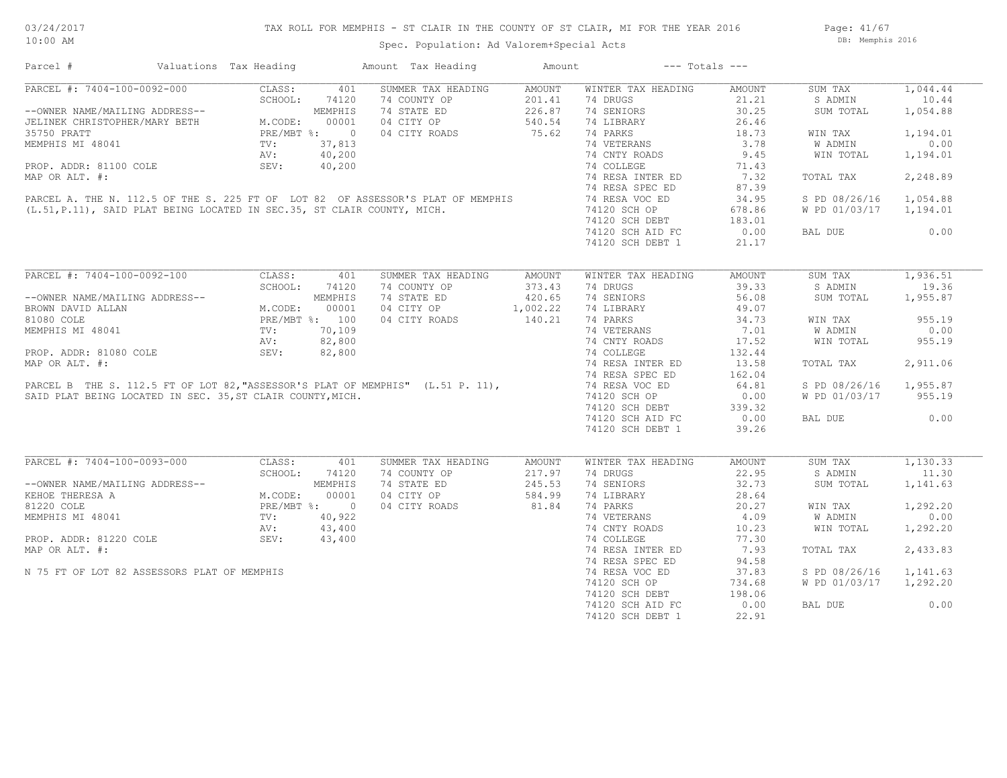Page: 41/67 DB: Memphis 2016

| Parcel #                                                                                                                                                                                                | Valuations Tax Heading |               | Amount Tax Heading                                                                                                                                                                                                         | Amount                 | $---$ Totals $---$                        |        |                        |          |
|---------------------------------------------------------------------------------------------------------------------------------------------------------------------------------------------------------|------------------------|---------------|----------------------------------------------------------------------------------------------------------------------------------------------------------------------------------------------------------------------------|------------------------|-------------------------------------------|--------|------------------------|----------|
| PARCEL #: 7404-100-0092-000                                                                                                                                                                             | CLASS:                 | 401           | SUMMER TAX HEADING                                                                                                                                                                                                         | AMOUNT                 | WINTER TAX HEADING                        | AMOUNT | SUM TAX                | 1,044.44 |
|                                                                                                                                                                                                         |                        |               | 74 COUNTY OP                                                                                                                                                                                                               | 201.41                 | 74 DRUGS                                  | 21.21  | S ADMIN                | 10.44    |
| --OWNER NAME/MAILING ADDRESS--<br>--OWNER NAME/MAILING ADDRESS--<br>JELINEK CHRISTOPHER/MARY BETH M.CODE: 00001<br>35750 PRATT MEMPHIS MI 48041 TV: 37,813<br>NEMPHIS MI 48041 TV: 37,813<br>AV: 40,200 |                        |               | 74 STATE ED                                                                                                                                                                                                                | 226.87                 | 74 SENIORS                                | 30.25  | SUM TOTAL              | 1,054.88 |
|                                                                                                                                                                                                         |                        |               | 04 CITY OP 540.54<br>04 CITY ROADS 75.62                                                                                                                                                                                   |                        | 74 LIBRARY                                | 26.46  |                        |          |
|                                                                                                                                                                                                         |                        |               |                                                                                                                                                                                                                            |                        | 74 PARKS                                  | 18.73  | WIN TAX                | 1,194.01 |
|                                                                                                                                                                                                         |                        |               |                                                                                                                                                                                                                            |                        |                                           | 3.78   |                        | 0.00     |
|                                                                                                                                                                                                         |                        |               | MEMPHIS MI 48041<br>PROP. ADDR: 81100 COLE<br>MAP OR ALT. #:<br>PARCEL A. THE N. 112.5 OF THE S. 225 FT OF LOT 82 OF ASSESSOR'S PLAT OF MEMPHIS<br>(L.51, P.11), SAID PLAT BEING LOCATED IN SEC.35, ST CLAIR COUNTY, MICH. |                        | 74 VETERANS                               |        | W ADMIN                |          |
|                                                                                                                                                                                                         |                        |               |                                                                                                                                                                                                                            |                        | 74 CNTY ROADS                             | 9.45   | WIN TOTAL              | 1,194.01 |
|                                                                                                                                                                                                         |                        |               |                                                                                                                                                                                                                            |                        | 74 COLLEGE 71.43<br>74 RESA INTER ED 7.32 |        |                        |          |
|                                                                                                                                                                                                         |                        |               |                                                                                                                                                                                                                            |                        |                                           |        | TOTAL TAX              | 2,248.89 |
|                                                                                                                                                                                                         |                        |               |                                                                                                                                                                                                                            |                        | 74 RESA SPEC ED                           | 87.39  |                        |          |
|                                                                                                                                                                                                         |                        |               |                                                                                                                                                                                                                            |                        | 74 RESA VOC ED                            | 34.95  | S PD 08/26/16 1,054.88 |          |
|                                                                                                                                                                                                         |                        |               |                                                                                                                                                                                                                            |                        | 74120 SCH OP                              | 678.86 | W PD 01/03/17 1,194.01 |          |
|                                                                                                                                                                                                         |                        |               |                                                                                                                                                                                                                            |                        | 74120 SCH DEBT                            | 183.01 |                        |          |
|                                                                                                                                                                                                         |                        |               |                                                                                                                                                                                                                            |                        | 74120 SCH AID FC                          | 0.00   | BAL DUE                | 0.00     |
|                                                                                                                                                                                                         |                        |               |                                                                                                                                                                                                                            |                        | 74120 SCH DEBT 1                          | 21.17  |                        |          |
|                                                                                                                                                                                                         |                        |               |                                                                                                                                                                                                                            |                        |                                           |        |                        |          |
| PARCEL #: 7404-100-0092-100 CLASS: 401                                                                                                                                                                  |                        |               | SUMMER TAX HEADING                                                                                                                                                                                                         | AMOUNT                 | WINTER TAX HEADING                        | AMOUNT | SUM TAX                | 1,936.51 |
|                                                                                                                                                                                                         |                        | SCHOOL: 74120 | 74 COUNTY OP                                                                                                                                                                                                               | 373.43                 | 74 DRUGS                                  | 39.33  | S ADMIN                | 19.36    |
|                                                                                                                                                                                                         |                        |               |                                                                                                                                                                                                                            | 420.65                 |                                           | 56.08  | SUM TOTAL              | 1,955.87 |
| --OWNER NAME/MAILING ADDRESS--<br>BROWN DAVID ALLAN MEMPHIS<br>81080 COLE PRE/MBT %: 100<br>MEMPHIS MI 48041 TV: 70,109<br>PRE/MBT %: 100<br>NEMPHIS MI 48041 TV: 82,800                                |                        |               | 74 STATE ED                                                                                                                                                                                                                |                        | 74 SENIORS                                |        |                        |          |
|                                                                                                                                                                                                         |                        |               | 04 CITY OP                                                                                                                                                                                                                 | $1,002.22$<br>$140.21$ | 74 LIBRARY                                | 49.07  |                        |          |
|                                                                                                                                                                                                         |                        |               | 04 CITY ROADS                                                                                                                                                                                                              |                        | 74 PARKS                                  | 34.73  | WIN TAX                | 955.19   |
|                                                                                                                                                                                                         |                        |               |                                                                                                                                                                                                                            |                        | 74 VETERANS<br>74 CNTY ROADS              | 7.01   | W ADMIN                | 0.00     |
|                                                                                                                                                                                                         |                        |               |                                                                                                                                                                                                                            |                        |                                           | 17.52  | WIN TOTAL              | 955.19   |
| PROP. ADDR: 81080 COLE SEV:                                                                                                                                                                             |                        | 82,800        |                                                                                                                                                                                                                            |                        | 74 COLLEGE                                | 132.44 |                        |          |
| MAP OR ALT. #:                                                                                                                                                                                          |                        |               |                                                                                                                                                                                                                            |                        | 74 RESA INTER ED                          | 13.58  | TOTAL TAX              | 2,911.06 |
|                                                                                                                                                                                                         |                        |               |                                                                                                                                                                                                                            |                        | 74 RESA SPEC ED                           | 162.04 |                        |          |
|                                                                                                                                                                                                         |                        |               | PARCEL B THE S. 112.5 FT OF LOT 82, "ASSESSOR'S PLAT OF MEMPHIS" (L.51 P. 11),                                                                                                                                             |                        | 74 RESA VOC ED                            | 64.81  | S PD 08/26/16 1,955.87 |          |
| SAID PLAT BEING LOCATED IN SEC. 35, ST CLAIR COUNTY, MICH.                                                                                                                                              |                        |               |                                                                                                                                                                                                                            |                        | 74120 SCH OP                              | 0.00   | W PD 01/03/17 955.19   |          |
|                                                                                                                                                                                                         |                        |               |                                                                                                                                                                                                                            |                        |                                           | 339.32 |                        |          |
|                                                                                                                                                                                                         |                        |               |                                                                                                                                                                                                                            |                        | 74120 SCH DEBT                            |        |                        |          |
|                                                                                                                                                                                                         |                        |               |                                                                                                                                                                                                                            |                        | 74120 SCH AID FC                          | 0.00   | BAL DUE                | 0.00     |
|                                                                                                                                                                                                         |                        |               |                                                                                                                                                                                                                            |                        | 74120 SCH DEBT 1                          | 39.26  |                        |          |
| PARCEL #: 7404-100-0093-000 CLASS:                                                                                                                                                                      |                        | 401           | SUMMER TAX HEADING                                                                                                                                                                                                         | AMOUNT                 | WINTER TAX HEADING                        | AMOUNT | SUM TAX                | 1,130.33 |
|                                                                                                                                                                                                         |                        |               |                                                                                                                                                                                                                            |                        |                                           |        |                        |          |
|                                                                                                                                                                                                         | SCHOOL:                |               |                                                                                                                                                                                                                            |                        | 74 DRUGS                                  | 22.95  | S ADMIN                | 11.30    |
|                                                                                                                                                                                                         |                        |               |                                                                                                                                                                                                                            |                        | 74 SENIORS                                | 32.73  | SUM TOTAL              | 1,141.63 |
|                                                                                                                                                                                                         |                        |               | 74 COUNTY OP<br>74 STATE ED<br>74 STATE ED<br>245.53<br>04 CITY OP 584.99<br>04 CITY ROADS 81.84                                                                                                                           |                        | 74 LIBRARY                                | 28.64  |                        |          |
|                                                                                                                                                                                                         |                        |               |                                                                                                                                                                                                                            |                        | 74 PARKS                                  | 20.27  | WIN TAX                | 1,292.20 |
|                                                                                                                                                                                                         |                        |               |                                                                                                                                                                                                                            |                        | 74 VETERANS                               | 4.09   | W ADMIN                | 0.00     |
|                                                                                                                                                                                                         |                        |               |                                                                                                                                                                                                                            |                        | 74 CNTY ROADS                             | 10.23  | WIN TOTAL              | 1,292.20 |
| --OWNER NAME/MAILING ADDRESS--<br>KEHOE THERESA A M.CODE: 00001<br>81220 COLE PRE/MBT %: 0<br>MEMPHIS MI 48041 TV: 40,922<br>PROP. ADDR: 81220 COLE SEV: 43,400<br>PROP. ADDR: "420 COLE SEV: 43,400    |                        |               | $40,922$<br>43,400<br>43,400<br>43,400                                                                                                                                                                                     |                        | 74 COLLEGE                                | 77.30  |                        |          |
| MAP OR ALT. #:                                                                                                                                                                                          |                        |               |                                                                                                                                                                                                                            |                        | 74 RESA INTER ED                          | 7.93   | TOTAL TAX              | 2,433.83 |
|                                                                                                                                                                                                         |                        |               |                                                                                                                                                                                                                            |                        | 74 RESA SPEC ED                           | 94.58  |                        |          |
| N 75 FT OF LOT 82 ASSESSORS PLAT OF MEMPHIS                                                                                                                                                             |                        |               |                                                                                                                                                                                                                            |                        | 74 RESA VOC ED                            | 37.83  | S PD 08/26/16          | 1,141.63 |
|                                                                                                                                                                                                         |                        |               |                                                                                                                                                                                                                            |                        |                                           |        |                        |          |
|                                                                                                                                                                                                         |                        |               |                                                                                                                                                                                                                            |                        | 74120 SCH OP                              | 734.68 | W PD 01/03/17 1,292.20 |          |
|                                                                                                                                                                                                         |                        |               |                                                                                                                                                                                                                            |                        | 74120 SCH DEBT                            | 198.06 |                        |          |
|                                                                                                                                                                                                         |                        |               |                                                                                                                                                                                                                            |                        | 74120 SCH AID FC                          | 0.00   | BAL DUE                | 0.00     |
|                                                                                                                                                                                                         |                        |               |                                                                                                                                                                                                                            |                        | 74120 SCH DEBT 1                          | 22.91  |                        |          |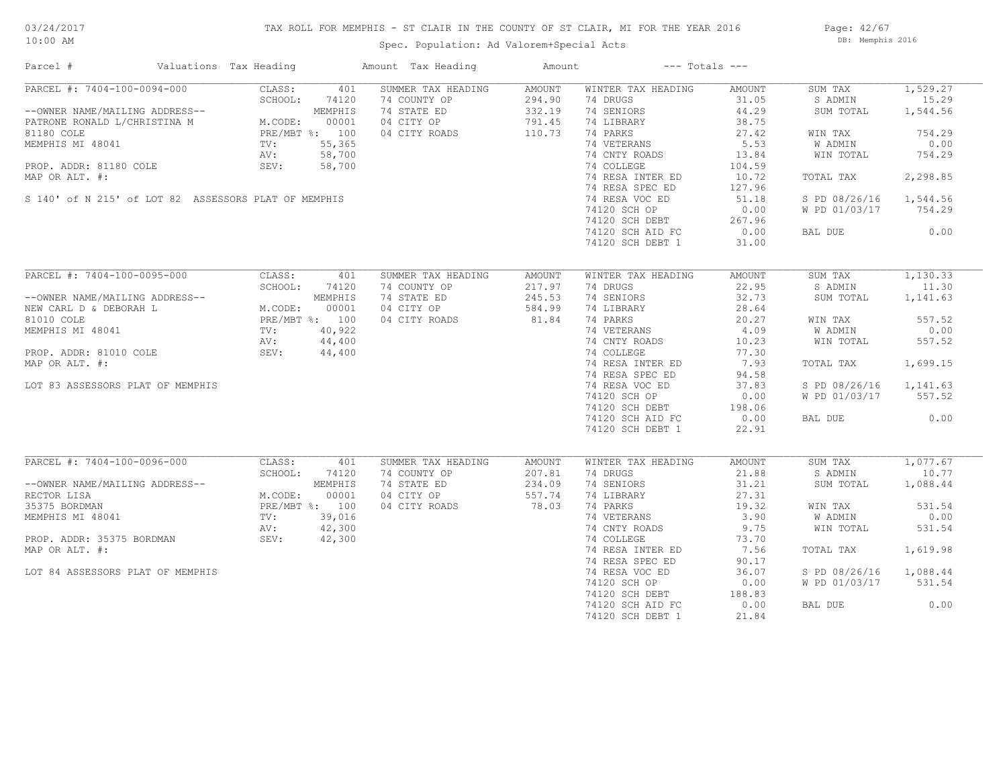## TAX ROLL FOR MEMPHIS - ST CLAIR IN THE COUNTY OF ST CLAIR, MI FOR THE YEAR 2016

Spec. Population: Ad Valorem+Special Acts

Page: 42/67 DB: Memphis 2016

| Parcel #                                             | Valuations Tax Heading                                                                                                                        |                | Amount Tax Heading | Amount |                    | $---$ Totals $---$ |                        |          |
|------------------------------------------------------|-----------------------------------------------------------------------------------------------------------------------------------------------|----------------|--------------------|--------|--------------------|--------------------|------------------------|----------|
| PARCEL #: 7404-100-0094-000                          | CLASS:                                                                                                                                        | 401            | SUMMER TAX HEADING | AMOUNT | WINTER TAX HEADING | AMOUNT             | SUM TAX                | 1,529.27 |
|                                                      | SCHOOL:                                                                                                                                       | 74120          | 74 COUNTY OP       | 294.90 | 74 DRUGS           | 31.05              | S ADMIN                | 15.29    |
| --OWNER NAME/MAILING ADDRESS--                       | M. CODE:                                                                                                                                      | MEMPHIS        | 74 STATE ED        | 332.19 | 74 SENIORS         | 44.29              | SUM TOTAL              | 1,544.56 |
| PATRONE RONALD L/CHRISTINA M                         |                                                                                                                                               | 00001          | 04 CITY OP         | 791.45 | 74 LIBRARY         | 38.75              |                        |          |
| 81180 COLE                                           | PRE/MBT %: 100                                                                                                                                |                | 04 CITY ROADS      | 110.73 | 74 PARKS           | 27.42              | WIN TAX                | 754.29   |
| MEMPHIS MI 48041                                     | $TV:$<br>AV:                                                                                                                                  | 55,365         |                    |        | 74 VETERANS        | 5.53               | W ADMIN                | 0.00     |
|                                                      |                                                                                                                                               | 58,700         |                    |        | 74 CNTY ROADS      | 13.84              | WIN TOTAL              | 754.29   |
| PROP. ADDR: 81180 COLE                               | SEV:                                                                                                                                          | 58,700         |                    |        | 74 COLLEGE         | 104.59             |                        |          |
| MAP OR ALT. #:                                       |                                                                                                                                               |                |                    |        | 74 RESA INTER ED   | 10.72              | TOTAL TAX              | 2,298.85 |
|                                                      |                                                                                                                                               |                |                    |        | 74 RESA SPEC ED    | 127.96             |                        |          |
| S 140' of N 215' of LOT 82 ASSESSORS PLAT OF MEMPHIS |                                                                                                                                               |                |                    |        | 74 RESA VOC ED     | 51.18              | S PD 08/26/16          | 1,544.56 |
|                                                      |                                                                                                                                               |                |                    |        |                    |                    |                        |          |
|                                                      |                                                                                                                                               |                |                    |        | 74120 SCH OP       | 0.00               | W PD 01/03/17          | 754.29   |
|                                                      |                                                                                                                                               |                |                    |        | 74120 SCH DEBT     | 267.96             |                        |          |
|                                                      |                                                                                                                                               |                |                    |        | 74120 SCH AID FC   | 0.00               | BAL DUE                | 0.00     |
|                                                      |                                                                                                                                               |                |                    |        | 74120 SCH DEBT 1   | 31.00              |                        |          |
|                                                      |                                                                                                                                               |                |                    |        |                    |                    |                        |          |
| PARCEL #: 7404-100-0095-000                          | CLASS:                                                                                                                                        | 401            | SUMMER TAX HEADING | AMOUNT | WINTER TAX HEADING | AMOUNT             | SUM TAX                | 1,130.33 |
|                                                      | SCHOOL:<br>$\begin{tabular}{ll} ESS--\\ BRS/MBT & 00001\\ PRE/MBT & 100\\ TV: & 40,922\\ AV: & 44,40\\ \hline v_{Vt} & 44,4'\\ \end{tabular}$ | 74120          | 74 COUNTY OP       | 217.97 | 74 DRUGS           | 22.95              | S ADMIN                | 11.30    |
| --OWNER NAME/MAILING ADDRESS--                       |                                                                                                                                               |                | 74 STATE ED        | 245.53 | 74 SENIORS         | 32.73              | SUM TOTAL              | 1,141.63 |
| NEW CARL D & DEBORAH L                               |                                                                                                                                               |                | 04 CITY OP         | 584.99 | 74 LIBRARY         | 28.64              |                        |          |
| 81010 COLE                                           |                                                                                                                                               |                | 04 CITY ROADS      | 81.84  | 74 PARKS           | 20.27              | WIN TAX                | 557.52   |
| MEMPHIS MI 48041                                     |                                                                                                                                               |                |                    |        | 74 VETERANS        | 4.09               | W ADMIN                | 0.00     |
|                                                      |                                                                                                                                               |                |                    |        | 74 CNTY ROADS      | 10.23              | WIN TOTAL              | 557.52   |
| PROP. ADDR: 81010 COLE                               |                                                                                                                                               |                |                    |        | 74 COLLEGE         | 77.30              |                        |          |
| MAP OR ALT. #:                                       |                                                                                                                                               |                |                    |        | 74 RESA INTER ED   | 7.93               | TOTAL TAX              | 1,699.15 |
|                                                      |                                                                                                                                               |                |                    |        | 74 RESA SPEC ED    | 94.58              |                        |          |
| LOT 83 ASSESSORS PLAT OF MEMPHIS                     |                                                                                                                                               |                |                    |        | 74 RESA VOC ED     | 37.83              | S PD 08/26/16 1,141.63 |          |
|                                                      |                                                                                                                                               |                |                    |        |                    | 0.00               | W PD 01/03/17          | 557.52   |
|                                                      |                                                                                                                                               |                |                    |        | 74120 SCH OP       |                    |                        |          |
|                                                      |                                                                                                                                               |                |                    |        | $74120$ SCH DEBT   | 198.06             |                        |          |
|                                                      |                                                                                                                                               |                |                    |        | 74120 SCH AID FC   | 0.00               | BAL DUE                | 0.00     |
|                                                      |                                                                                                                                               |                |                    |        | 74120 SCH DEBT 1   | 22.91              |                        |          |
|                                                      |                                                                                                                                               |                |                    |        |                    |                    |                        |          |
| PARCEL #: 7404-100-0096-000                          | CLASS:                                                                                                                                        | 401            | SUMMER TAX HEADING | AMOUNT | WINTER TAX HEADING | AMOUNT             | SUM TAX                | 1,077.67 |
|                                                      | SCHOOL:                                                                                                                                       | 74120          | 74 COUNTY OP       | 207.81 | 74 DRUGS           | 21.88              | S ADMIN                | 10.77    |
| --OWNER NAME/MAILING ADDRESS--                       |                                                                                                                                               | MEMPHIS        | 74 STATE ED        | 234.09 | 74 SENIORS         | 31.21              | SUM TOTAL              | 1,088.44 |
| RECTOR LISA                                          | M.CODE:                                                                                                                                       | 00001          | 04 CITY OP         | 557.74 | 74 LIBRARY         | 27.31              |                        |          |
| 35375 BORDMAN                                        |                                                                                                                                               | PRE/MBT %: 100 | 04 CITY ROADS      | 78.03  | 74 PARKS           | 19.32              | WIN TAX                | 531.54   |
| MEMPHIS MI 48041                                     | TV:                                                                                                                                           | 39,016         |                    |        | 74 VETERANS        | 3.90               | W ADMIN                | 0.00     |
|                                                      | AV:                                                                                                                                           | 42,300         |                    |        | 74 CNTY ROADS      | 9.75               | WIN TOTAL              | 531.54   |
| PROP. ADDR: 35375 BORDMAN                            | SEV:                                                                                                                                          | 42,300         |                    |        | 74 COLLEGE         | 73.70              |                        |          |
| MAP OR ALT. #:                                       |                                                                                                                                               |                |                    |        | 74 RESA INTER ED   | 7.56               | TOTAL TAX              | 1,619.98 |
|                                                      |                                                                                                                                               |                |                    |        | 74 RESA SPEC ED    | 90.17              |                        |          |
| LOT 84 ASSESSORS PLAT OF MEMPHIS                     |                                                                                                                                               |                |                    |        | 74 RESA VOC ED     | 36.07              | S PD 08/26/16          | 1,088.44 |
|                                                      |                                                                                                                                               |                |                    |        | 74120 SCH OP       | 0.00               | W PD 01/03/17          | 531.54   |
|                                                      |                                                                                                                                               |                |                    |        | 74120 SCH DEBT     | 188.83             |                        |          |
|                                                      |                                                                                                                                               |                |                    |        | 74120 SCH AID FC   | 0.00               | BAL DUE                | 0.00     |
|                                                      |                                                                                                                                               |                |                    |        | 74120 SCH DEBT 1   | 21.84              |                        |          |
|                                                      |                                                                                                                                               |                |                    |        |                    |                    |                        |          |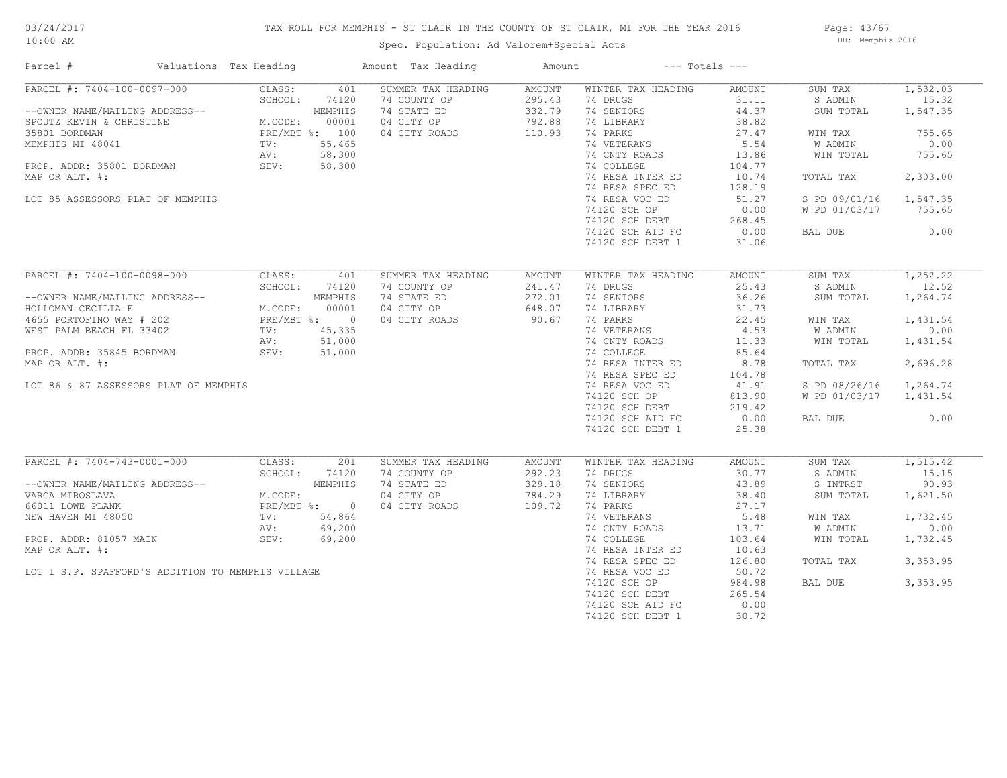## TAX ROLL FOR MEMPHIS - ST CLAIR IN THE COUNTY OF ST CLAIR, MI FOR THE YEAR 2016

Spec. Population: Ad Valorem+Special Acts

Page: 43/67 DB: Memphis 2016

| Parcel #                                                                                                                                                                                                                                                                                               | Valuations Tax Heading                                                 |                                                                 | Amount Tax Heading                                                               | Amount                                         | $---$ Totals $---$                                                                                                                                                                                                                                                                       |                                                                                                                                        |                                                                                                                                                |                                                                                                 |
|--------------------------------------------------------------------------------------------------------------------------------------------------------------------------------------------------------------------------------------------------------------------------------------------------------|------------------------------------------------------------------------|-----------------------------------------------------------------|----------------------------------------------------------------------------------|------------------------------------------------|------------------------------------------------------------------------------------------------------------------------------------------------------------------------------------------------------------------------------------------------------------------------------------------|----------------------------------------------------------------------------------------------------------------------------------------|------------------------------------------------------------------------------------------------------------------------------------------------|-------------------------------------------------------------------------------------------------|
| PARCEL #: 7404-100-0097-000<br>--OWNER NAME/MAILING ADDRESS--<br>SCHOOL: 74120<br>SPOUTZ KEVIN & CHRISTINE<br>35801 BORDMAN<br>MEMPHIS MI 48041<br>MEMPHIS MI 48041<br>PROP. ADDR: 35801 BORDMAN<br>MAD OR ATT #: 58,300<br>MAD OR ATT #: 58,300<br>MAP OR ALT. #:<br>LOT 85 ASSESSORS PLAT OF MEMPHIS | CLASS:<br>SCHOOL:                                                      | 401<br>74120                                                    | SUMMER TAX HEADING<br>74 COUNTY OP<br>74 STATE ED<br>04 CITY OP<br>04 CITY ROADS | AMOUNT<br>295.43<br>332.79<br>792.88<br>110.93 | WINTER TAX HEADING<br>74 DRUGS<br>74 SENIORS<br>74 LIBRARY<br>74 PARKS<br>74 VETERANS<br>74 CNTY ROADS<br>74 COLLEGE<br>74 RESA INTER ED<br>74 RESA SPEC ED<br>74 RESA VOC ED<br>74120 SCH OP<br>74120 SCH DEBT<br>74120 SCH AID FC<br>74120 SCH DEBT 1                                  | AMOUNT<br>31.11<br>44.37<br>38.82<br>27.47<br>5.54<br>13.86<br>104.77<br>10.74<br>128.19<br>51.27<br>0.00<br>268.45<br>0.00<br>31.06   | SUM TAX<br>S ADMIN<br>SUM TOTAL<br>WIN TAX<br>W ADMIN<br>WIN TOTAL<br>TOTAL TAX<br>S PD 09/01/16 1,547.35<br>W PD 01/03/17 755.65<br>BAL DUE   | 1,532.03<br>15.32<br>1,547.35<br>755.65<br>0.00<br>755.65<br>2,303.00<br>0.00                   |
| PARCEL #: 7404-100-0098-000<br>--OWNER NAME/MAILING ADDRESS--<br>HOLLOMAN CECILIA E M.CODE: 00001<br>4655 PORTOFINO WAY # 202 PRE/MBT %: 0<br>WEST PALM BEACH FL 33402 TV: 45,335<br>AV: 51,000<br>PROP. ADDR: 35845 BORDMAN<br>MAP OR ALT. #:<br>LOT 86 & 87 ASSESSORS PLAT OF MEMPHIS                | CLASS:<br>SCHOOL:<br>SEV: 51,000                                       | 401<br>74120                                                    | SUMMER TAX HEADING<br>74 COUNTY OP<br>74 STATE ED<br>04 CITY OP<br>04 CITY ROADS | AMOUNT<br>241.47<br>272.01<br>648.07<br>90.67  | WINTER TAX HEADING<br>74 DRUGS<br>74 SENIORS<br>74 LIBRARY<br>74 PARKS<br>74 VETERANS 4.53<br>74 CNTY ROADS 11.33<br>74 COLLEGE<br>74 RESA INTER ED<br>74 RESA SPEC ED<br>74 RESA VOC ED<br>74120 SCH OP<br>$74120$ SCH DEBT<br>$74120$ SCH DEBT<br>74120 SCH AID FC<br>74120 SCH DEBT 1 | AMOUNT<br>25.43<br>36.26<br>31.73<br>22.45<br>85.64<br>8.78<br>104.78<br>41.91<br>813.90<br>219.42<br>0.00<br>25.38                    | SUM TAX<br>S ADMIN<br>SUM TOTAL<br>WIN TAX<br>W ADMIN<br>WIN TOTAL<br>TOTAL TAX<br>S PD 08/26/16 1,264.74<br>W PD 01/03/17 1,431.54<br>BAL DUE | 1,252,22<br>12.52<br>1,264.74<br>1,431.54<br>0.00<br>1,431.54<br>2,696.28<br>0.00               |
| PARCEL #: 7404-743-0001-000<br>--OWNER NAME/MAILING ADDRESS--<br>VARGA MIROSLAVA<br>66011 LOWE PLANK<br>NEW HAVEN MI 48050<br>PROP. ADDR: 81057 MAIN<br>MAP OR ALT. #:<br>LOT 1 S.P. SPAFFORD'S ADDITION TO MEMPHIS VILLAGE                                                                            | CLASS:<br>SCHOOL:<br>M.CODE:<br>PRE/MBT {<br>TV:<br>AV:<br>SEV: 69,200 | 201<br>74120<br>MEMPHIS<br>PRE/MBT %: 0<br>TV: 54,864<br>69,200 | SUMMER TAX HEADING<br>74 COUNTY OP<br>74 STATE ED<br>04 CITY OP<br>04 CITY ROADS | AMOUNT<br>292.23<br>329.18<br>784.29<br>109.72 | WINTER TAX HEADING<br>74 DRUGS<br>74 SENIORS<br>74 LIBRARY<br>74 PARKS<br>74 VETERANS<br>74 CNTY ROADS<br>74 COLLEGE<br>74 RESA INTER ED<br>74 RESA SPEC ED<br>74 RESA VOC ED<br>74120 SCH OP<br>74120 SCH DEBT<br>74120 SCH AID FC<br>74120 SCH DEBT 1                                  | AMOUNT<br>30.77<br>43.89<br>38.40<br>27.17<br>5.48<br>13.71<br>103.64<br>10.63<br>126.80<br>50.72<br>984.98<br>265.54<br>0.00<br>30.72 | SUM TAX<br>S ADMIN<br>S INTRST<br>SUM TOTAL<br>WIN TAX<br>W ADMIN<br>WIN TOTAL<br>TOTAL TAX<br>BAL DUE                                         | 1, 515.42<br>15.15<br>90.93<br>1,621.50<br>1,732.45<br>0.00<br>1,732.45<br>3,353.95<br>3,353.95 |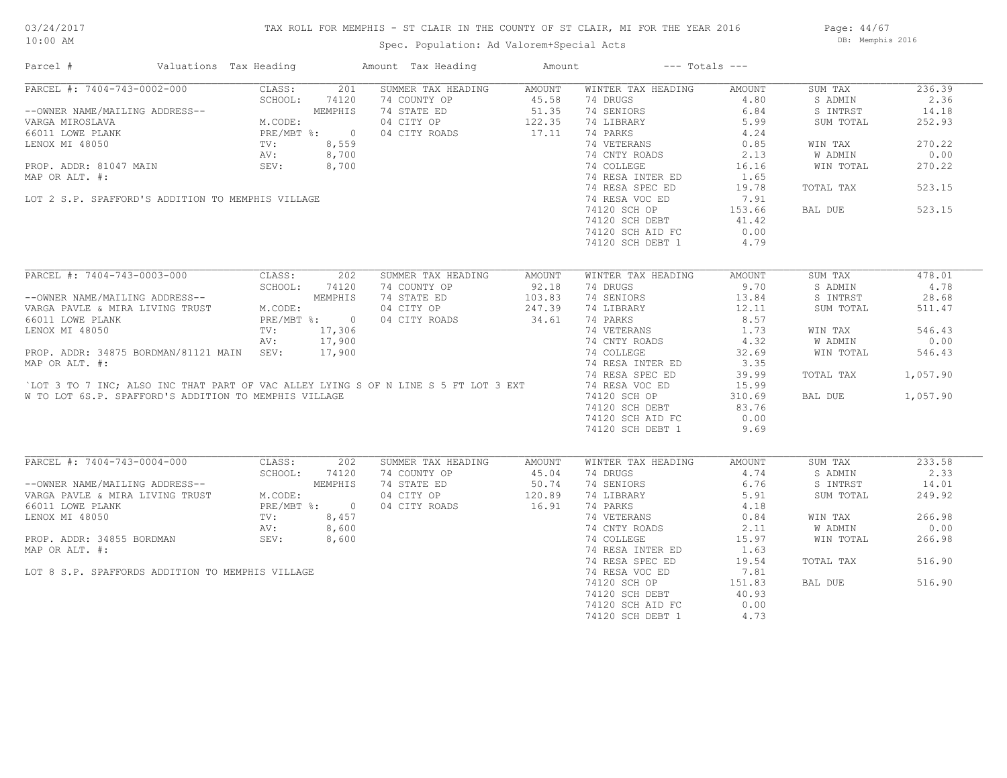## TAX ROLL FOR MEMPHIS - ST CLAIR IN THE COUNTY OF ST CLAIR, MI FOR THE YEAR 2016

Spec. Population: Ad Valorem+Special Acts

Page: 44/67 DB: Memphis 2016

| PARCEL #: 7404-743-0002-000<br>CLASS:<br>SUMMER TAX HEADING<br>236.39<br>201<br>AMOUNT<br>WINTER TAX HEADING<br>AMOUNT<br>SUM TAX<br>SCHOOL:<br>74120<br>74 DRUGS<br>4.80<br>S ADMIN<br>2.36<br>--OWNER NAME/MAILING ADDRESS--<br>VARGA MIROSLAVA MEMPHIS<br>66011 LOWE PLANK MEMPHIS<br>LENOX MI 48050 TV: 8,559<br>PROP. ADDR: 81047 MAIN SEV: 8,700<br>PROP. ADDR: 81047 MAIN SEV: 8,700<br>74 SENIORS<br>6.84<br>S INTRST<br>14.18<br>74 LIBRARY<br>5.99<br>SUM TOTAL<br>252.93<br>74 PARKS<br>4.24<br>270.22<br>74 VETERANS<br>0.85<br>WIN TAX<br>; , 559<br>; , 700<br>; , 700<br>;<br>74 CNTY ROADS<br>2.13<br>0.00<br>W ADMIN<br>74 COLLEGE<br>16.16<br>WIN TOTAL<br>270.22<br>1.65<br>74 RESA INTER ED<br>MAP OR ALT. #:<br>74 RESA SPEC ED<br>523.15<br>19.78<br>TOTAL TAX<br>74 RESA VOC ED<br>7.91<br>LOT 2 S.P. SPAFFORD'S ADDITION TO MEMPHIS VILLAGE<br>74120 SCH OP<br>523.15<br>153.66<br>BAL DUE<br>74120 SCH DEBT 41.42<br>0.00<br>74120 SCH AID FC<br>74120 SCH DEBT 1<br>4.79<br>PARCEL #: 7404-743-0003-000<br>CLASS:<br>202<br>SUMMER TAX HEADING<br>WINTER TAX HEADING<br>AMOUNT<br>SUM TAX<br>478.01<br>AMOUNT<br>SCHOOL: 74120<br>92.18<br>74 DRUGS<br>9.70<br>S ADMIN<br>4.78<br>74 COUNTY OP<br>--OWNER NAME/MAILING ADDRESS--<br>VARGA PAVLE & MIRA LIVING TRUST M.CODE:<br>66011 LOWE PLANK PRE/MBT & PRE/MBT %: 0<br>LENOX MI 48050 TV: 17,306<br>NY: 17,300<br>103.83<br>74 STATE ED<br>74 SENIORS<br>13.84<br>S INTRST<br>28.68<br>04 CITY OP<br>247.39<br>74 LIBRARY<br>12.11<br>SUM TOTAL<br>511.47<br>34.61<br>74 PARKS<br>8.57<br>04 CITY ROADS<br>74 VETERANS<br>1.73<br>546.43<br>WIN TAX<br>74 CNTY ROADS<br>AV: 17,900<br>4.32<br>W ADMIN<br>0.00<br>PROP. ADDR: 34875 BORDMAN/81121 MAIN SEV: 17,900<br>74 COLLEGE<br>32.69<br>WIN TOTAL<br>546.43<br>MAP OR ALT. #:<br>74 RESA INTER ED<br>3.35<br>74 RESA SPEC ED<br>39.99<br>TOTAL TAX<br>1,057.90<br>LOT 3 TO 7 INC; ALSO INC THAT PART OF VAC ALLEY LYING S OF N LINE S 5 FT LOT 3 EXT<br>74 RESA VOC ED<br>15.99<br>W TO LOT 6S.P. SPAFFORD'S ADDITION TO MEMPHIS VILLAGE<br>74120 SCH OP<br>310.69<br>BAL DUE<br>1,057.90<br>83.76<br>74120 SCH DEBT<br>74120 SCH AID FC<br>0.00<br>9.69<br>74120 SCH DEBT 1<br>PARCEL #: 7404-743-0004-000<br>CLASS:<br>202<br>233.58<br>SUMMER TAX HEADING<br>WINTER TAX HEADING<br>AMOUNT<br>SUM TAX<br>AMOUNT<br>SCHOOL:<br>74 COUNTY OP<br>45.04<br>74 DRUGS<br>4.74<br>S ADMIN<br>2.33<br>74120<br>--OWNER NAME/MAILING ADDRESS--<br>VARGA PAVLE & MIRA LIVING TRUST M.CODE:<br>66011 LOWE PLANK LEVING TRUST M.CODE:<br>EENOX MI 48050 TV: 8,457<br>PROP. ADDR: 34855 BORDMAN SEV: 8,600<br>74 STATE ED 50.74<br>04 CITY OP 120.89<br>74 SENIORS<br>6.76<br>S INTRST<br>14.01<br>74 LIBRARY<br>5.91<br>SUM TOTAL<br>249.92<br>16.91<br>04 CITY ROADS<br>74 PARKS<br>4.18<br>266.98<br>74 VETERANS<br>0.84<br>WIN TAX<br>74 CNTY ROADS<br>2.11<br>W ADMIN<br>0.00<br>74 COLLEGE<br>15.97<br>WIN TOTAL<br>266.98<br>74 RESA INTER ED<br>1.63<br>74 RESA SPEC ED<br>516.90<br>19.54<br>TOTAL TAX<br>74 RESA VOC ED<br>LOT 8 S.P. SPAFFORDS ADDITION TO MEMPHIS VILLAGE<br>7.81<br>74120 SCH OP<br>151.83<br>516.90<br>BAL DUE<br>74120 SCH DEBT<br>40.93<br>74120 SCH AID FC<br>0.00<br>74120 SCH DEBT 1<br>4.73 | Parcel #       | Valuations Tax Heading | Amount Tax Heading | Amount | $---$ Totals $---$ |  |  |
|-------------------------------------------------------------------------------------------------------------------------------------------------------------------------------------------------------------------------------------------------------------------------------------------------------------------------------------------------------------------------------------------------------------------------------------------------------------------------------------------------------------------------------------------------------------------------------------------------------------------------------------------------------------------------------------------------------------------------------------------------------------------------------------------------------------------------------------------------------------------------------------------------------------------------------------------------------------------------------------------------------------------------------------------------------------------------------------------------------------------------------------------------------------------------------------------------------------------------------------------------------------------------------------------------------------------------------------------------------------------------------------------------------------------------------------------------------------------------------------------------------------------------------------------------------------------------------------------------------------------------------------------------------------------------------------------------------------------------------------------------------------------------------------------------------------------------------------------------------------------------------------------------------------------------------------------------------------------------------------------------------------------------------------------------------------------------------------------------------------------------------------------------------------------------------------------------------------------------------------------------------------------------------------------------------------------------------------------------------------------------------------------------------------------------------------------------------------------------------------------------------------------------------------------------------------------------------------------------------------------------------------------------------------------------------------------------------------------------------------------------------------------------------------------------------------------------------------------------------------------------------------------------------------------------------------------------------------------------------------------------------------------------------------------------------------------------------------------------------------------------------------------------------------------------------------------------------------------------------------------------------|----------------|------------------------|--------------------|--------|--------------------|--|--|
|                                                                                                                                                                                                                                                                                                                                                                                                                                                                                                                                                                                                                                                                                                                                                                                                                                                                                                                                                                                                                                                                                                                                                                                                                                                                                                                                                                                                                                                                                                                                                                                                                                                                                                                                                                                                                                                                                                                                                                                                                                                                                                                                                                                                                                                                                                                                                                                                                                                                                                                                                                                                                                                                                                                                                                                                                                                                                                                                                                                                                                                                                                                                                                                                                                                       |                |                        |                    |        |                    |  |  |
|                                                                                                                                                                                                                                                                                                                                                                                                                                                                                                                                                                                                                                                                                                                                                                                                                                                                                                                                                                                                                                                                                                                                                                                                                                                                                                                                                                                                                                                                                                                                                                                                                                                                                                                                                                                                                                                                                                                                                                                                                                                                                                                                                                                                                                                                                                                                                                                                                                                                                                                                                                                                                                                                                                                                                                                                                                                                                                                                                                                                                                                                                                                                                                                                                                                       |                |                        |                    |        |                    |  |  |
|                                                                                                                                                                                                                                                                                                                                                                                                                                                                                                                                                                                                                                                                                                                                                                                                                                                                                                                                                                                                                                                                                                                                                                                                                                                                                                                                                                                                                                                                                                                                                                                                                                                                                                                                                                                                                                                                                                                                                                                                                                                                                                                                                                                                                                                                                                                                                                                                                                                                                                                                                                                                                                                                                                                                                                                                                                                                                                                                                                                                                                                                                                                                                                                                                                                       |                |                        |                    |        |                    |  |  |
|                                                                                                                                                                                                                                                                                                                                                                                                                                                                                                                                                                                                                                                                                                                                                                                                                                                                                                                                                                                                                                                                                                                                                                                                                                                                                                                                                                                                                                                                                                                                                                                                                                                                                                                                                                                                                                                                                                                                                                                                                                                                                                                                                                                                                                                                                                                                                                                                                                                                                                                                                                                                                                                                                                                                                                                                                                                                                                                                                                                                                                                                                                                                                                                                                                                       |                |                        |                    |        |                    |  |  |
|                                                                                                                                                                                                                                                                                                                                                                                                                                                                                                                                                                                                                                                                                                                                                                                                                                                                                                                                                                                                                                                                                                                                                                                                                                                                                                                                                                                                                                                                                                                                                                                                                                                                                                                                                                                                                                                                                                                                                                                                                                                                                                                                                                                                                                                                                                                                                                                                                                                                                                                                                                                                                                                                                                                                                                                                                                                                                                                                                                                                                                                                                                                                                                                                                                                       |                |                        |                    |        |                    |  |  |
|                                                                                                                                                                                                                                                                                                                                                                                                                                                                                                                                                                                                                                                                                                                                                                                                                                                                                                                                                                                                                                                                                                                                                                                                                                                                                                                                                                                                                                                                                                                                                                                                                                                                                                                                                                                                                                                                                                                                                                                                                                                                                                                                                                                                                                                                                                                                                                                                                                                                                                                                                                                                                                                                                                                                                                                                                                                                                                                                                                                                                                                                                                                                                                                                                                                       |                |                        |                    |        |                    |  |  |
|                                                                                                                                                                                                                                                                                                                                                                                                                                                                                                                                                                                                                                                                                                                                                                                                                                                                                                                                                                                                                                                                                                                                                                                                                                                                                                                                                                                                                                                                                                                                                                                                                                                                                                                                                                                                                                                                                                                                                                                                                                                                                                                                                                                                                                                                                                                                                                                                                                                                                                                                                                                                                                                                                                                                                                                                                                                                                                                                                                                                                                                                                                                                                                                                                                                       |                |                        |                    |        |                    |  |  |
|                                                                                                                                                                                                                                                                                                                                                                                                                                                                                                                                                                                                                                                                                                                                                                                                                                                                                                                                                                                                                                                                                                                                                                                                                                                                                                                                                                                                                                                                                                                                                                                                                                                                                                                                                                                                                                                                                                                                                                                                                                                                                                                                                                                                                                                                                                                                                                                                                                                                                                                                                                                                                                                                                                                                                                                                                                                                                                                                                                                                                                                                                                                                                                                                                                                       |                |                        |                    |        |                    |  |  |
|                                                                                                                                                                                                                                                                                                                                                                                                                                                                                                                                                                                                                                                                                                                                                                                                                                                                                                                                                                                                                                                                                                                                                                                                                                                                                                                                                                                                                                                                                                                                                                                                                                                                                                                                                                                                                                                                                                                                                                                                                                                                                                                                                                                                                                                                                                                                                                                                                                                                                                                                                                                                                                                                                                                                                                                                                                                                                                                                                                                                                                                                                                                                                                                                                                                       |                |                        |                    |        |                    |  |  |
|                                                                                                                                                                                                                                                                                                                                                                                                                                                                                                                                                                                                                                                                                                                                                                                                                                                                                                                                                                                                                                                                                                                                                                                                                                                                                                                                                                                                                                                                                                                                                                                                                                                                                                                                                                                                                                                                                                                                                                                                                                                                                                                                                                                                                                                                                                                                                                                                                                                                                                                                                                                                                                                                                                                                                                                                                                                                                                                                                                                                                                                                                                                                                                                                                                                       |                |                        |                    |        |                    |  |  |
|                                                                                                                                                                                                                                                                                                                                                                                                                                                                                                                                                                                                                                                                                                                                                                                                                                                                                                                                                                                                                                                                                                                                                                                                                                                                                                                                                                                                                                                                                                                                                                                                                                                                                                                                                                                                                                                                                                                                                                                                                                                                                                                                                                                                                                                                                                                                                                                                                                                                                                                                                                                                                                                                                                                                                                                                                                                                                                                                                                                                                                                                                                                                                                                                                                                       |                |                        |                    |        |                    |  |  |
|                                                                                                                                                                                                                                                                                                                                                                                                                                                                                                                                                                                                                                                                                                                                                                                                                                                                                                                                                                                                                                                                                                                                                                                                                                                                                                                                                                                                                                                                                                                                                                                                                                                                                                                                                                                                                                                                                                                                                                                                                                                                                                                                                                                                                                                                                                                                                                                                                                                                                                                                                                                                                                                                                                                                                                                                                                                                                                                                                                                                                                                                                                                                                                                                                                                       |                |                        |                    |        |                    |  |  |
|                                                                                                                                                                                                                                                                                                                                                                                                                                                                                                                                                                                                                                                                                                                                                                                                                                                                                                                                                                                                                                                                                                                                                                                                                                                                                                                                                                                                                                                                                                                                                                                                                                                                                                                                                                                                                                                                                                                                                                                                                                                                                                                                                                                                                                                                                                                                                                                                                                                                                                                                                                                                                                                                                                                                                                                                                                                                                                                                                                                                                                                                                                                                                                                                                                                       |                |                        |                    |        |                    |  |  |
|                                                                                                                                                                                                                                                                                                                                                                                                                                                                                                                                                                                                                                                                                                                                                                                                                                                                                                                                                                                                                                                                                                                                                                                                                                                                                                                                                                                                                                                                                                                                                                                                                                                                                                                                                                                                                                                                                                                                                                                                                                                                                                                                                                                                                                                                                                                                                                                                                                                                                                                                                                                                                                                                                                                                                                                                                                                                                                                                                                                                                                                                                                                                                                                                                                                       |                |                        |                    |        |                    |  |  |
|                                                                                                                                                                                                                                                                                                                                                                                                                                                                                                                                                                                                                                                                                                                                                                                                                                                                                                                                                                                                                                                                                                                                                                                                                                                                                                                                                                                                                                                                                                                                                                                                                                                                                                                                                                                                                                                                                                                                                                                                                                                                                                                                                                                                                                                                                                                                                                                                                                                                                                                                                                                                                                                                                                                                                                                                                                                                                                                                                                                                                                                                                                                                                                                                                                                       |                |                        |                    |        |                    |  |  |
|                                                                                                                                                                                                                                                                                                                                                                                                                                                                                                                                                                                                                                                                                                                                                                                                                                                                                                                                                                                                                                                                                                                                                                                                                                                                                                                                                                                                                                                                                                                                                                                                                                                                                                                                                                                                                                                                                                                                                                                                                                                                                                                                                                                                                                                                                                                                                                                                                                                                                                                                                                                                                                                                                                                                                                                                                                                                                                                                                                                                                                                                                                                                                                                                                                                       |                |                        |                    |        |                    |  |  |
|                                                                                                                                                                                                                                                                                                                                                                                                                                                                                                                                                                                                                                                                                                                                                                                                                                                                                                                                                                                                                                                                                                                                                                                                                                                                                                                                                                                                                                                                                                                                                                                                                                                                                                                                                                                                                                                                                                                                                                                                                                                                                                                                                                                                                                                                                                                                                                                                                                                                                                                                                                                                                                                                                                                                                                                                                                                                                                                                                                                                                                                                                                                                                                                                                                                       |                |                        |                    |        |                    |  |  |
|                                                                                                                                                                                                                                                                                                                                                                                                                                                                                                                                                                                                                                                                                                                                                                                                                                                                                                                                                                                                                                                                                                                                                                                                                                                                                                                                                                                                                                                                                                                                                                                                                                                                                                                                                                                                                                                                                                                                                                                                                                                                                                                                                                                                                                                                                                                                                                                                                                                                                                                                                                                                                                                                                                                                                                                                                                                                                                                                                                                                                                                                                                                                                                                                                                                       |                |                        |                    |        |                    |  |  |
|                                                                                                                                                                                                                                                                                                                                                                                                                                                                                                                                                                                                                                                                                                                                                                                                                                                                                                                                                                                                                                                                                                                                                                                                                                                                                                                                                                                                                                                                                                                                                                                                                                                                                                                                                                                                                                                                                                                                                                                                                                                                                                                                                                                                                                                                                                                                                                                                                                                                                                                                                                                                                                                                                                                                                                                                                                                                                                                                                                                                                                                                                                                                                                                                                                                       |                |                        |                    |        |                    |  |  |
|                                                                                                                                                                                                                                                                                                                                                                                                                                                                                                                                                                                                                                                                                                                                                                                                                                                                                                                                                                                                                                                                                                                                                                                                                                                                                                                                                                                                                                                                                                                                                                                                                                                                                                                                                                                                                                                                                                                                                                                                                                                                                                                                                                                                                                                                                                                                                                                                                                                                                                                                                                                                                                                                                                                                                                                                                                                                                                                                                                                                                                                                                                                                                                                                                                                       |                |                        |                    |        |                    |  |  |
|                                                                                                                                                                                                                                                                                                                                                                                                                                                                                                                                                                                                                                                                                                                                                                                                                                                                                                                                                                                                                                                                                                                                                                                                                                                                                                                                                                                                                                                                                                                                                                                                                                                                                                                                                                                                                                                                                                                                                                                                                                                                                                                                                                                                                                                                                                                                                                                                                                                                                                                                                                                                                                                                                                                                                                                                                                                                                                                                                                                                                                                                                                                                                                                                                                                       |                |                        |                    |        |                    |  |  |
|                                                                                                                                                                                                                                                                                                                                                                                                                                                                                                                                                                                                                                                                                                                                                                                                                                                                                                                                                                                                                                                                                                                                                                                                                                                                                                                                                                                                                                                                                                                                                                                                                                                                                                                                                                                                                                                                                                                                                                                                                                                                                                                                                                                                                                                                                                                                                                                                                                                                                                                                                                                                                                                                                                                                                                                                                                                                                                                                                                                                                                                                                                                                                                                                                                                       |                |                        |                    |        |                    |  |  |
|                                                                                                                                                                                                                                                                                                                                                                                                                                                                                                                                                                                                                                                                                                                                                                                                                                                                                                                                                                                                                                                                                                                                                                                                                                                                                                                                                                                                                                                                                                                                                                                                                                                                                                                                                                                                                                                                                                                                                                                                                                                                                                                                                                                                                                                                                                                                                                                                                                                                                                                                                                                                                                                                                                                                                                                                                                                                                                                                                                                                                                                                                                                                                                                                                                                       |                |                        |                    |        |                    |  |  |
|                                                                                                                                                                                                                                                                                                                                                                                                                                                                                                                                                                                                                                                                                                                                                                                                                                                                                                                                                                                                                                                                                                                                                                                                                                                                                                                                                                                                                                                                                                                                                                                                                                                                                                                                                                                                                                                                                                                                                                                                                                                                                                                                                                                                                                                                                                                                                                                                                                                                                                                                                                                                                                                                                                                                                                                                                                                                                                                                                                                                                                                                                                                                                                                                                                                       |                |                        |                    |        |                    |  |  |
|                                                                                                                                                                                                                                                                                                                                                                                                                                                                                                                                                                                                                                                                                                                                                                                                                                                                                                                                                                                                                                                                                                                                                                                                                                                                                                                                                                                                                                                                                                                                                                                                                                                                                                                                                                                                                                                                                                                                                                                                                                                                                                                                                                                                                                                                                                                                                                                                                                                                                                                                                                                                                                                                                                                                                                                                                                                                                                                                                                                                                                                                                                                                                                                                                                                       |                |                        |                    |        |                    |  |  |
|                                                                                                                                                                                                                                                                                                                                                                                                                                                                                                                                                                                                                                                                                                                                                                                                                                                                                                                                                                                                                                                                                                                                                                                                                                                                                                                                                                                                                                                                                                                                                                                                                                                                                                                                                                                                                                                                                                                                                                                                                                                                                                                                                                                                                                                                                                                                                                                                                                                                                                                                                                                                                                                                                                                                                                                                                                                                                                                                                                                                                                                                                                                                                                                                                                                       |                |                        |                    |        |                    |  |  |
|                                                                                                                                                                                                                                                                                                                                                                                                                                                                                                                                                                                                                                                                                                                                                                                                                                                                                                                                                                                                                                                                                                                                                                                                                                                                                                                                                                                                                                                                                                                                                                                                                                                                                                                                                                                                                                                                                                                                                                                                                                                                                                                                                                                                                                                                                                                                                                                                                                                                                                                                                                                                                                                                                                                                                                                                                                                                                                                                                                                                                                                                                                                                                                                                                                                       |                |                        |                    |        |                    |  |  |
|                                                                                                                                                                                                                                                                                                                                                                                                                                                                                                                                                                                                                                                                                                                                                                                                                                                                                                                                                                                                                                                                                                                                                                                                                                                                                                                                                                                                                                                                                                                                                                                                                                                                                                                                                                                                                                                                                                                                                                                                                                                                                                                                                                                                                                                                                                                                                                                                                                                                                                                                                                                                                                                                                                                                                                                                                                                                                                                                                                                                                                                                                                                                                                                                                                                       |                |                        |                    |        |                    |  |  |
|                                                                                                                                                                                                                                                                                                                                                                                                                                                                                                                                                                                                                                                                                                                                                                                                                                                                                                                                                                                                                                                                                                                                                                                                                                                                                                                                                                                                                                                                                                                                                                                                                                                                                                                                                                                                                                                                                                                                                                                                                                                                                                                                                                                                                                                                                                                                                                                                                                                                                                                                                                                                                                                                                                                                                                                                                                                                                                                                                                                                                                                                                                                                                                                                                                                       |                |                        |                    |        |                    |  |  |
|                                                                                                                                                                                                                                                                                                                                                                                                                                                                                                                                                                                                                                                                                                                                                                                                                                                                                                                                                                                                                                                                                                                                                                                                                                                                                                                                                                                                                                                                                                                                                                                                                                                                                                                                                                                                                                                                                                                                                                                                                                                                                                                                                                                                                                                                                                                                                                                                                                                                                                                                                                                                                                                                                                                                                                                                                                                                                                                                                                                                                                                                                                                                                                                                                                                       |                |                        |                    |        |                    |  |  |
|                                                                                                                                                                                                                                                                                                                                                                                                                                                                                                                                                                                                                                                                                                                                                                                                                                                                                                                                                                                                                                                                                                                                                                                                                                                                                                                                                                                                                                                                                                                                                                                                                                                                                                                                                                                                                                                                                                                                                                                                                                                                                                                                                                                                                                                                                                                                                                                                                                                                                                                                                                                                                                                                                                                                                                                                                                                                                                                                                                                                                                                                                                                                                                                                                                                       |                |                        |                    |        |                    |  |  |
|                                                                                                                                                                                                                                                                                                                                                                                                                                                                                                                                                                                                                                                                                                                                                                                                                                                                                                                                                                                                                                                                                                                                                                                                                                                                                                                                                                                                                                                                                                                                                                                                                                                                                                                                                                                                                                                                                                                                                                                                                                                                                                                                                                                                                                                                                                                                                                                                                                                                                                                                                                                                                                                                                                                                                                                                                                                                                                                                                                                                                                                                                                                                                                                                                                                       |                |                        |                    |        |                    |  |  |
|                                                                                                                                                                                                                                                                                                                                                                                                                                                                                                                                                                                                                                                                                                                                                                                                                                                                                                                                                                                                                                                                                                                                                                                                                                                                                                                                                                                                                                                                                                                                                                                                                                                                                                                                                                                                                                                                                                                                                                                                                                                                                                                                                                                                                                                                                                                                                                                                                                                                                                                                                                                                                                                                                                                                                                                                                                                                                                                                                                                                                                                                                                                                                                                                                                                       |                |                        |                    |        |                    |  |  |
|                                                                                                                                                                                                                                                                                                                                                                                                                                                                                                                                                                                                                                                                                                                                                                                                                                                                                                                                                                                                                                                                                                                                                                                                                                                                                                                                                                                                                                                                                                                                                                                                                                                                                                                                                                                                                                                                                                                                                                                                                                                                                                                                                                                                                                                                                                                                                                                                                                                                                                                                                                                                                                                                                                                                                                                                                                                                                                                                                                                                                                                                                                                                                                                                                                                       |                |                        |                    |        |                    |  |  |
|                                                                                                                                                                                                                                                                                                                                                                                                                                                                                                                                                                                                                                                                                                                                                                                                                                                                                                                                                                                                                                                                                                                                                                                                                                                                                                                                                                                                                                                                                                                                                                                                                                                                                                                                                                                                                                                                                                                                                                                                                                                                                                                                                                                                                                                                                                                                                                                                                                                                                                                                                                                                                                                                                                                                                                                                                                                                                                                                                                                                                                                                                                                                                                                                                                                       |                |                        |                    |        |                    |  |  |
|                                                                                                                                                                                                                                                                                                                                                                                                                                                                                                                                                                                                                                                                                                                                                                                                                                                                                                                                                                                                                                                                                                                                                                                                                                                                                                                                                                                                                                                                                                                                                                                                                                                                                                                                                                                                                                                                                                                                                                                                                                                                                                                                                                                                                                                                                                                                                                                                                                                                                                                                                                                                                                                                                                                                                                                                                                                                                                                                                                                                                                                                                                                                                                                                                                                       |                |                        |                    |        |                    |  |  |
|                                                                                                                                                                                                                                                                                                                                                                                                                                                                                                                                                                                                                                                                                                                                                                                                                                                                                                                                                                                                                                                                                                                                                                                                                                                                                                                                                                                                                                                                                                                                                                                                                                                                                                                                                                                                                                                                                                                                                                                                                                                                                                                                                                                                                                                                                                                                                                                                                                                                                                                                                                                                                                                                                                                                                                                                                                                                                                                                                                                                                                                                                                                                                                                                                                                       |                |                        |                    |        |                    |  |  |
|                                                                                                                                                                                                                                                                                                                                                                                                                                                                                                                                                                                                                                                                                                                                                                                                                                                                                                                                                                                                                                                                                                                                                                                                                                                                                                                                                                                                                                                                                                                                                                                                                                                                                                                                                                                                                                                                                                                                                                                                                                                                                                                                                                                                                                                                                                                                                                                                                                                                                                                                                                                                                                                                                                                                                                                                                                                                                                                                                                                                                                                                                                                                                                                                                                                       |                |                        |                    |        |                    |  |  |
|                                                                                                                                                                                                                                                                                                                                                                                                                                                                                                                                                                                                                                                                                                                                                                                                                                                                                                                                                                                                                                                                                                                                                                                                                                                                                                                                                                                                                                                                                                                                                                                                                                                                                                                                                                                                                                                                                                                                                                                                                                                                                                                                                                                                                                                                                                                                                                                                                                                                                                                                                                                                                                                                                                                                                                                                                                                                                                                                                                                                                                                                                                                                                                                                                                                       |                |                        |                    |        |                    |  |  |
|                                                                                                                                                                                                                                                                                                                                                                                                                                                                                                                                                                                                                                                                                                                                                                                                                                                                                                                                                                                                                                                                                                                                                                                                                                                                                                                                                                                                                                                                                                                                                                                                                                                                                                                                                                                                                                                                                                                                                                                                                                                                                                                                                                                                                                                                                                                                                                                                                                                                                                                                                                                                                                                                                                                                                                                                                                                                                                                                                                                                                                                                                                                                                                                                                                                       |                |                        |                    |        |                    |  |  |
|                                                                                                                                                                                                                                                                                                                                                                                                                                                                                                                                                                                                                                                                                                                                                                                                                                                                                                                                                                                                                                                                                                                                                                                                                                                                                                                                                                                                                                                                                                                                                                                                                                                                                                                                                                                                                                                                                                                                                                                                                                                                                                                                                                                                                                                                                                                                                                                                                                                                                                                                                                                                                                                                                                                                                                                                                                                                                                                                                                                                                                                                                                                                                                                                                                                       |                |                        |                    |        |                    |  |  |
|                                                                                                                                                                                                                                                                                                                                                                                                                                                                                                                                                                                                                                                                                                                                                                                                                                                                                                                                                                                                                                                                                                                                                                                                                                                                                                                                                                                                                                                                                                                                                                                                                                                                                                                                                                                                                                                                                                                                                                                                                                                                                                                                                                                                                                                                                                                                                                                                                                                                                                                                                                                                                                                                                                                                                                                                                                                                                                                                                                                                                                                                                                                                                                                                                                                       | MAP OR ALT. #: |                        |                    |        |                    |  |  |
|                                                                                                                                                                                                                                                                                                                                                                                                                                                                                                                                                                                                                                                                                                                                                                                                                                                                                                                                                                                                                                                                                                                                                                                                                                                                                                                                                                                                                                                                                                                                                                                                                                                                                                                                                                                                                                                                                                                                                                                                                                                                                                                                                                                                                                                                                                                                                                                                                                                                                                                                                                                                                                                                                                                                                                                                                                                                                                                                                                                                                                                                                                                                                                                                                                                       |                |                        |                    |        |                    |  |  |
|                                                                                                                                                                                                                                                                                                                                                                                                                                                                                                                                                                                                                                                                                                                                                                                                                                                                                                                                                                                                                                                                                                                                                                                                                                                                                                                                                                                                                                                                                                                                                                                                                                                                                                                                                                                                                                                                                                                                                                                                                                                                                                                                                                                                                                                                                                                                                                                                                                                                                                                                                                                                                                                                                                                                                                                                                                                                                                                                                                                                                                                                                                                                                                                                                                                       |                |                        |                    |        |                    |  |  |
|                                                                                                                                                                                                                                                                                                                                                                                                                                                                                                                                                                                                                                                                                                                                                                                                                                                                                                                                                                                                                                                                                                                                                                                                                                                                                                                                                                                                                                                                                                                                                                                                                                                                                                                                                                                                                                                                                                                                                                                                                                                                                                                                                                                                                                                                                                                                                                                                                                                                                                                                                                                                                                                                                                                                                                                                                                                                                                                                                                                                                                                                                                                                                                                                                                                       |                |                        |                    |        |                    |  |  |
|                                                                                                                                                                                                                                                                                                                                                                                                                                                                                                                                                                                                                                                                                                                                                                                                                                                                                                                                                                                                                                                                                                                                                                                                                                                                                                                                                                                                                                                                                                                                                                                                                                                                                                                                                                                                                                                                                                                                                                                                                                                                                                                                                                                                                                                                                                                                                                                                                                                                                                                                                                                                                                                                                                                                                                                                                                                                                                                                                                                                                                                                                                                                                                                                                                                       |                |                        |                    |        |                    |  |  |
|                                                                                                                                                                                                                                                                                                                                                                                                                                                                                                                                                                                                                                                                                                                                                                                                                                                                                                                                                                                                                                                                                                                                                                                                                                                                                                                                                                                                                                                                                                                                                                                                                                                                                                                                                                                                                                                                                                                                                                                                                                                                                                                                                                                                                                                                                                                                                                                                                                                                                                                                                                                                                                                                                                                                                                                                                                                                                                                                                                                                                                                                                                                                                                                                                                                       |                |                        |                    |        |                    |  |  |
|                                                                                                                                                                                                                                                                                                                                                                                                                                                                                                                                                                                                                                                                                                                                                                                                                                                                                                                                                                                                                                                                                                                                                                                                                                                                                                                                                                                                                                                                                                                                                                                                                                                                                                                                                                                                                                                                                                                                                                                                                                                                                                                                                                                                                                                                                                                                                                                                                                                                                                                                                                                                                                                                                                                                                                                                                                                                                                                                                                                                                                                                                                                                                                                                                                                       |                |                        |                    |        |                    |  |  |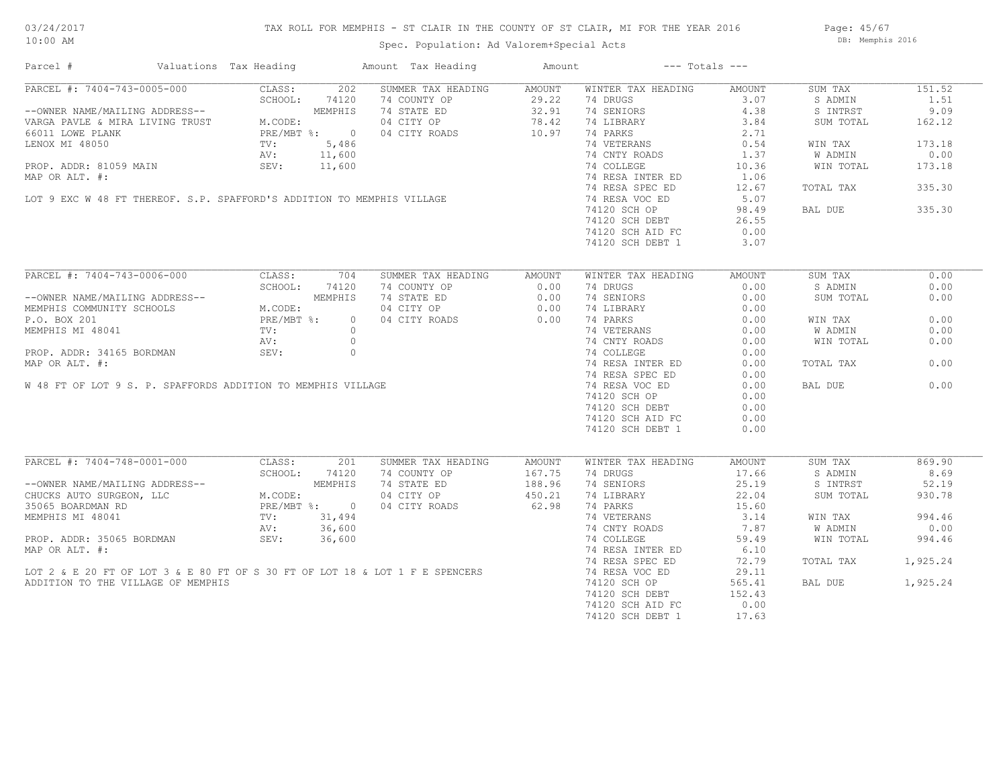## TAX ROLL FOR MEMPHIS - ST CLAIR IN THE COUNTY OF ST CLAIR, MI FOR THE YEAR 2016

Spec. Population: Ad Valorem+Special Acts

Page: 45/67 DB: Memphis 2016

| Parcel #                                                                                                                                                                                                                                             | Valuations Tax Heading                  |                | Amount Tax Heading                                                                                                                                  | Amount           |                    | $---$ Totals $---$ |           |          |
|------------------------------------------------------------------------------------------------------------------------------------------------------------------------------------------------------------------------------------------------------|-----------------------------------------|----------------|-----------------------------------------------------------------------------------------------------------------------------------------------------|------------------|--------------------|--------------------|-----------|----------|
| PARCEL #: 7404-743-0005-000                                                                                                                                                                                                                          |                                         | CLASS: 202     | SUMMER TAX HEADING                                                                                                                                  | AMOUNT           | WINTER TAX HEADING | AMOUNT             | SUM TAX   | 151.52   |
|                                                                                                                                                                                                                                                      | SCHOOL:                                 | 74120          |                                                                                                                                                     | 29.22            | 74 DRUGS           | 3.07               | S ADMIN   | 1.51     |
| --OWNER NAME/MAILING ADDRESS--<br>VARGA PAVLE & MIRA LIVING TRUST M.CODE:<br>PRE/MRT                                                                                                                                                                 |                                         | MEMPHIS        | 74 COUNTY OP<br>74 STATE ED                                                                                                                         | 29.22<br>32.91   | 74 SENIORS         | 4.38               | S INTRST  | 9.09     |
|                                                                                                                                                                                                                                                      |                                         |                | 04 CITY OP<br>04 CITY OP 78.42<br>04 CITY ROADS 10.97                                                                                               |                  | 74 LIBRARY         | 3.84               | SUM TOTAL | 162.12   |
| 66011 LOWE PLANK                                                                                                                                                                                                                                     | PRE/MBT %: 0<br>TV: 5,486<br>AV: 11,600 |                |                                                                                                                                                     |                  | 74 PARKS           | 2.71               |           |          |
|                                                                                                                                                                                                                                                      |                                         |                |                                                                                                                                                     |                  | 74 VETERANS        |                    |           |          |
|                                                                                                                                                                                                                                                      |                                         |                |                                                                                                                                                     |                  |                    | 0.54               | WIN TAX   | 173.18   |
|                                                                                                                                                                                                                                                      |                                         |                |                                                                                                                                                     |                  | 74 CNTY ROADS      | 1.37               | W ADMIN   | 0.00     |
|                                                                                                                                                                                                                                                      |                                         |                |                                                                                                                                                     |                  | 74 COLLEGE         | 10.36              | WIN TOTAL | 173.18   |
| LENOX MI 48050<br>PROP. ADDR: 81059 MAIN SEV: 11,600<br>MAP OR ALT. #: 11,600<br>MAP OR ALT. #: 11,600<br>MAP OR ALT. #:                                                                                                                             |                                         |                |                                                                                                                                                     |                  | 74 RESA INTER ED   | 1.06               |           |          |
|                                                                                                                                                                                                                                                      |                                         |                |                                                                                                                                                     |                  | 74 RESA SPEC ED    | 12.67              | TOTAL TAX | 335.30   |
|                                                                                                                                                                                                                                                      |                                         |                |                                                                                                                                                     |                  | 74 RESA VOC ED     | 5.07               |           |          |
|                                                                                                                                                                                                                                                      |                                         |                |                                                                                                                                                     |                  | 74120 SCH OP       | 98.49              | BAL DUE   | 335.30   |
|                                                                                                                                                                                                                                                      |                                         |                |                                                                                                                                                     |                  | 74120 SCH DEBT     | 26.55              |           |          |
|                                                                                                                                                                                                                                                      |                                         |                |                                                                                                                                                     |                  | 74120 SCH AID FC   | 0.00               |           |          |
|                                                                                                                                                                                                                                                      |                                         |                |                                                                                                                                                     |                  |                    | 3.07               |           |          |
|                                                                                                                                                                                                                                                      |                                         |                |                                                                                                                                                     |                  | 74120 SCH DEBT 1   |                    |           |          |
| PARCEL #: 7404-743-0006-000                                                                                                                                                                                                                          | CLASS:                                  | 704            | SUMMER TAX HEADING                                                                                                                                  | AMOUNT           | WINTER TAX HEADING | AMOUNT             | SUM TAX   | 0.00     |
|                                                                                                                                                                                                                                                      | SCHOOL:                                 | 74120          | 74 COUNTY OP                                                                                                                                        | 0.00             | 74 DRUGS           | 0.00               | S ADMIN   | 0.00     |
|                                                                                                                                                                                                                                                      |                                         | MEMPHIS        | 74 STATE ED                                                                                                                                         |                  |                    |                    |           | 0.00     |
| --OWNER NAME/MAILING ADDRESS--<br>MEMPHIS COMMUNITY SCHOOLS M.CODE:<br>P.O. BOX 201 PRE/MBT %:<br>MEMPHIS MI 48041 TV:<br>TV:                                                                                                                        |                                         |                |                                                                                                                                                     | 0.00             | 74 SENIORS         | 0.00               | SUM TOTAL |          |
|                                                                                                                                                                                                                                                      |                                         |                | 04 CITY OP 0.00<br>04 CITY ROADS 0.00                                                                                                               |                  | 74 LIBRARY         | 0.00               |           |          |
|                                                                                                                                                                                                                                                      |                                         | $\overline{0}$ |                                                                                                                                                     |                  | 74 PARKS           | 0.00               | WIN TAX   | 0.00     |
|                                                                                                                                                                                                                                                      |                                         |                |                                                                                                                                                     |                  | 74 VETERANS        | 0.00               | W ADMIN   | 0.00     |
|                                                                                                                                                                                                                                                      |                                         |                |                                                                                                                                                     |                  | 74 CNTY ROADS      | 0.00               | WIN TOTAL | 0.00     |
|                                                                                                                                                                                                                                                      |                                         |                |                                                                                                                                                     |                  | 74 COLLEGE         | 0.00               |           |          |
|                                                                                                                                                                                                                                                      |                                         |                |                                                                                                                                                     |                  | 74 RESA INTER ED   | 0.00               | TOTAL TAX | 0.00     |
|                                                                                                                                                                                                                                                      |                                         |                |                                                                                                                                                     |                  | 74 RESA SPEC ED    | 0.00               |           |          |
|                                                                                                                                                                                                                                                      |                                         |                | MEMPHIS MI 48041<br>MEMPHIS MI 48041<br>PROP. ADDR: 34165 BORDMAN<br>MAP OR ALT. #:<br>W 48 FT OF LOT 9 S. P. SPAFFORDS ADDITION TO MEMPHIS VILLAGE |                  |                    |                    | BAL DUE   | 0.00     |
|                                                                                                                                                                                                                                                      |                                         |                |                                                                                                                                                     |                  | 74 RESA VOC ED     | 0.00               |           |          |
|                                                                                                                                                                                                                                                      |                                         |                |                                                                                                                                                     |                  | 74120 SCH OP       | 0.00               |           |          |
|                                                                                                                                                                                                                                                      |                                         |                |                                                                                                                                                     |                  | 74120 SCH DEBT     | 0.00               |           |          |
|                                                                                                                                                                                                                                                      |                                         |                |                                                                                                                                                     |                  | 74120 SCH AID FC   | 0.00               |           |          |
|                                                                                                                                                                                                                                                      |                                         |                |                                                                                                                                                     |                  | 74120 SCH DEBT 1   | 0.00               |           |          |
|                                                                                                                                                                                                                                                      |                                         |                |                                                                                                                                                     |                  |                    |                    |           |          |
| PARCEL #: 7404-748-0001-000                                                                                                                                                                                                                          | CLASS:                                  | 201            | SUMMER TAX HEADING                                                                                                                                  | AMOUNT           | WINTER TAX HEADING | AMOUNT             | SUM TAX   | 869.90   |
|                                                                                                                                                                                                                                                      | SCHOOL:                                 | 74120          | 74 COUNTY OP                                                                                                                                        | 167.75           | 74 DRUGS           | 17.66              | S ADMIN   | 8.69     |
|                                                                                                                                                                                                                                                      |                                         |                | 74 STATE ED                                                                                                                                         |                  | 74 SENIORS         | 25.19              | S INTRST  | 52.19    |
| --OWNER NAME/MAILING ADDRESS--<br>CHUCKS AUTO SURGEON, LLC<br>35065 BOARDMAN RD<br>MEMPHIS MI 48041<br>MEMPHIS MI 48041<br>MEMPHIS MI 48041<br>TV: 31,494<br>NCDE:<br>26,600<br>PROP. ADDR: 35065 BORDMAN<br>SEV: 36,600<br>PROP. ADDR: 35065 BORDMA |                                         |                | 04 CITY OP                                                                                                                                          | 188.96<br>450.21 | 74 LIBRARY         | 22.04              | SUM TOTAL | 930.78   |
|                                                                                                                                                                                                                                                      |                                         |                | 04 CITY ROADS                                                                                                                                       | 62.98            | 74 PARKS           | 15.60              |           |          |
|                                                                                                                                                                                                                                                      |                                         |                |                                                                                                                                                     |                  | 74 VETERANS        | 3.14               | WIN TAX   | 994.46   |
|                                                                                                                                                                                                                                                      |                                         |                |                                                                                                                                                     |                  | 74 CNTY ROADS      | 7.87               | W ADMIN   | 0.00     |
|                                                                                                                                                                                                                                                      |                                         |                |                                                                                                                                                     |                  | 74 COLLEGE         | 59.49              | WIN TOTAL | 994.46   |
|                                                                                                                                                                                                                                                      |                                         |                |                                                                                                                                                     |                  |                    |                    |           |          |
| MAP OR ALT. #:                                                                                                                                                                                                                                       |                                         |                |                                                                                                                                                     |                  | 74 RESA INTER ED   | 6.10               |           |          |
|                                                                                                                                                                                                                                                      |                                         |                |                                                                                                                                                     |                  | 74 RESA SPEC ED    | 72.79              | TOTAL TAX | 1,925.24 |
|                                                                                                                                                                                                                                                      |                                         |                | LOT 2 & E 20 FT OF LOT 3 & E 80 FT OF S 30 FT OF LOT 18 & LOT 1 F E SPENCERS                                                                        |                  | 74 RESA VOC ED     | 29.11              |           |          |
| ADDITION TO THE VILLAGE OF MEMPHIS                                                                                                                                                                                                                   |                                         |                |                                                                                                                                                     |                  | 74120 SCH OP       | 565.41             | BAL DUE   | 1,925.24 |
|                                                                                                                                                                                                                                                      |                                         |                |                                                                                                                                                     |                  | 74120 SCH DEBT     | 152.43             |           |          |
|                                                                                                                                                                                                                                                      |                                         |                |                                                                                                                                                     |                  | 74120 SCH AID FC   | 0.00               |           |          |
|                                                                                                                                                                                                                                                      |                                         |                |                                                                                                                                                     |                  | 74120 SCH DEBT 1   | 17.63              |           |          |
|                                                                                                                                                                                                                                                      |                                         |                |                                                                                                                                                     |                  |                    |                    |           |          |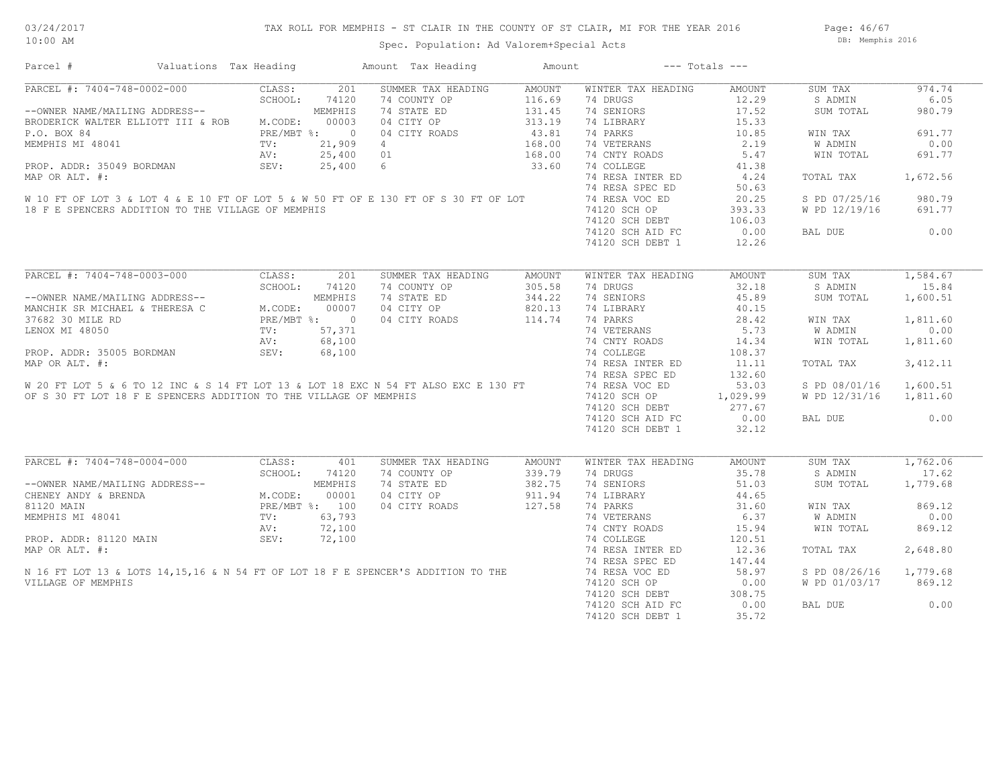Page: 46/67 DB: Memphis 2016

| Parcel #                                                                                                                                                                                                                             | Valuations Tax Heading     |               | Amount Tax Heading | Amount |                                                                   | $---$ Totals $---$ |                        |           |
|--------------------------------------------------------------------------------------------------------------------------------------------------------------------------------------------------------------------------------------|----------------------------|---------------|--------------------|--------|-------------------------------------------------------------------|--------------------|------------------------|-----------|
| PARCEL #: 7404-748-0002-000                                                                                                                                                                                                          | CLASS:                     | 201           | SUMMER TAX HEADING | AMOUNT | WINTER TAX HEADING                                                | AMOUNT             | SUM TAX                | 974.74    |
|                                                                                                                                                                                                                                      | SCHOOL:                    | 74120         | 74 COUNTY OP       | 116.69 | 74 DRUGS                                                          | 12.29              | S ADMIN                | 6.05      |
| SCHOOL --OWNER NAME/MAILING ADDRESS--                                                                                                                                                                                                |                            | MEMPHIS       | 74 STATE ED        | 131.45 | 74 SENIORS                                                        | 17.52              | SUM TOTAL              | 980.79    |
| BRODERICK WALTER ELLIOTT III & ROB M.CODE:                                                                                                                                                                                           |                            | 00003         | 04 CITY OP         | 313.19 | 74 LIBRARY                                                        | 15.33              |                        |           |
| P.O. BOX 84                                                                                                                                                                                                                          | PRE/MBT %: 0<br>TV: 21,909 |               | 04 CITY ROADS      | 43.81  | 74 PARKS                                                          | 10.85              | WIN TAX                | 691.77    |
| MEMPHIS MI 48041                                                                                                                                                                                                                     |                            |               |                    | 168.00 | 74 VETERANS                                                       | 2.19               | W ADMIN                | 0.00      |
|                                                                                                                                                                                                                                      | AV:                        | 25,400 01     |                    | 168.00 | 74 CNTY ROADS                                                     | 5.47               | WIN TOTAL              | 691.77    |
| PROP. ADDR: 35049 BORDMAN                                                                                                                                                                                                            | SEV:                       |               | 25,400 6           | 33.60  | 74 COLLEGE                                                        | 41.38              |                        |           |
| MAP OR ALT. #:                                                                                                                                                                                                                       |                            |               |                    |        | 74 RESA INTER ED                                                  | 4.24               | TOTAL TAX              | 1,672.56  |
|                                                                                                                                                                                                                                      |                            |               |                    |        | 74 RESA SPEC ED                                                   | 50.63              |                        |           |
| W 10 FT OF LOT 3 & LOT 4 & E 10 FT OF LOT 5 & W 50 FT OF E 130 FT OF S 30 FT OF LOT                                                                                                                                                  |                            |               |                    |        | 74 RESA VOC ED                                                    | 20.25              | S PD 07/25/16          | 980.79    |
| 18 F E SPENCERS ADDITION TO THE VILLAGE OF MEMPHIS                                                                                                                                                                                   |                            |               |                    |        |                                                                   | 393.33             | W PD 12/19/16          | 691.77    |
|                                                                                                                                                                                                                                      |                            |               |                    |        | 74 KESA voor -<br>74120 SCH OP<br>1000 - Depart<br>74120 SCH DEBT | 106.03             |                        |           |
|                                                                                                                                                                                                                                      |                            |               |                    |        | 74120 SCH AID FC                                                  | 0.00               | BAL DUE                | 0.00      |
|                                                                                                                                                                                                                                      |                            |               |                    |        | 74120 SCH DEBT 1                                                  | 12.26              |                        |           |
|                                                                                                                                                                                                                                      |                            |               |                    |        |                                                                   |                    |                        |           |
| PARCEL #: 7404-748-0003-000 CLASS: 201                                                                                                                                                                                               |                            |               | SUMMER TAX HEADING | AMOUNT | WINTER TAX HEADING                                                | AMOUNT             | SUM TAX                | 1,584.67  |
|                                                                                                                                                                                                                                      |                            | SCHOOL: 74120 | 74 COUNTY OP       | 305.58 | 74 DRUGS                                                          | 32.18              | S ADMIN                | 15.84     |
| --OWNER NAME/MAILING ADDRESS--<br>MANCHIK SR MICHAEL & THERESA C = M.CODE: 00007<br>37682 30 MILE RD = PRE/MBT %: 0<br>LENOX MI 48050 = TV: 57,371<br>PROP. ADDR: 35005 BORDMAN 5EV: 68,100                                          |                            |               | 74 STATE ED        | 344.22 | 74 SENIORS                                                        | 45.89              | SUM TOTAL              | 1,600.51  |
|                                                                                                                                                                                                                                      |                            |               | 04 CITY OP         | 820.13 | 74 LIBRARY                                                        | 40.15              |                        |           |
|                                                                                                                                                                                                                                      |                            |               | 04 CITY ROADS      |        | 74 PARKS                                                          | 28.42              | WIN TAX                | 1,811.60  |
|                                                                                                                                                                                                                                      |                            |               |                    | 114.74 |                                                                   | 5.73               |                        |           |
|                                                                                                                                                                                                                                      |                            |               |                    |        | 74 VETERANS                                                       |                    | W ADMIN                | 0.00      |
| PROP. ADDR: 35005 BORDMAN AV: 68,100<br>MAP OR ALT. #: 74 COLLEGE 68,100 74 COLLEGE 74 COLLEGE 74 RESA INTER ED<br>MAP OR ALT. #: 74 RESA INTER ED<br>W 20 FT LOT 5 & 6 TO 12 INC & S 14 FT LOT 13 & LOT 18 EXC N 54 FT ALSO EXC E   |                            |               |                    |        | 74 CNTY ROADS                                                     | 14.34              | WIN TOTAL              | 1,811.60  |
|                                                                                                                                                                                                                                      |                            |               |                    |        |                                                                   | 108.37             |                        |           |
|                                                                                                                                                                                                                                      |                            |               |                    |        | 74 RESA INTER ED                                                  | 11.11              | TOTAL TAX              | 3, 412.11 |
|                                                                                                                                                                                                                                      |                            |               |                    |        |                                                                   | 132.60             |                        |           |
|                                                                                                                                                                                                                                      |                            |               |                    |        |                                                                   | 53.03              | S PD 08/01/16 1,600.51 |           |
| OF S 30 FT LOT 18 F E SPENCERS ADDITION TO THE VILLAGE OF MEMPHIS                                                                                                                                                                    |                            |               |                    |        | 74120 SCH OP 1,029.99                                             |                    | W PD 12/31/16 1,811.60 |           |
|                                                                                                                                                                                                                                      |                            |               |                    |        | 74120 SCH DEBT 277.67<br>74120 SCH AID FC 000                     |                    |                        |           |
|                                                                                                                                                                                                                                      |                            |               |                    |        | 74120 SCH AID FC                                                  | 0.00               | BAL DUE                | 0.00      |
|                                                                                                                                                                                                                                      |                            |               |                    |        | 74120 SCH DEBT 1                                                  | 32.12              |                        |           |
|                                                                                                                                                                                                                                      |                            |               |                    |        |                                                                   |                    |                        |           |
| PARCEL #: 7404-748-0004-000                                                                                                                                                                                                          | CLASS:                     | 401           | SUMMER TAX HEADING | AMOUNT | WINTER TAX HEADING                                                | AMOUNT             | SUM TAX                | 1,762.06  |
|                                                                                                                                                                                                                                      | SCHOOL:                    | 74120         | 74 COUNTY OP       | 339.79 | 74 DRUGS                                                          | 35.78              | S ADMIN                | 17.62     |
|                                                                                                                                                                                                                                      |                            |               | 74 STATE ED        | 382.75 | 74 SENIORS                                                        | 51.03              | SUM TOTAL              | 1,779.68  |
| --OWNER NAME/MAILING ADDRESS--<br>CHENEY ANDY & BRENDA<br>MEMPHIS MI 48041<br>MEMPHIS MI 48041<br>MEMPHIS MI 48041<br>MEMPHIS MI 48041<br>MEMPHIS MI 48041<br>MEMPHIS MI 48041<br>MEMPHIS MI 48041<br>MEMPHIS MI 48041<br>AV: 72,100 |                            |               | 04 CITY OP         | 911.94 | 74 LIBRARY                                                        | 44.65              |                        |           |
|                                                                                                                                                                                                                                      |                            |               | 04 CITY ROADS      | 127.58 | 74 PARKS                                                          | 31.60              | WIN TAX                | 869.12    |
|                                                                                                                                                                                                                                      |                            |               |                    |        | 74 VETERANS                                                       | 6.37               | W ADMIN                | 0.00      |
|                                                                                                                                                                                                                                      |                            |               |                    |        | 74 CNTY ROADS                                                     | 15.94              | WIN TOTAL              | 869.12    |
|                                                                                                                                                                                                                                      |                            |               |                    |        | 74 COLLEGE                                                        | 120.51             |                        |           |
|                                                                                                                                                                                                                                      |                            |               |                    |        | 74 RESA INTER ED                                                  | 12.36              | TOTAL TAX              | 2,648.80  |
| MEMPHIS MI 48041<br>PROP. ADDR: 81120 MAIN<br>MAP OR ALT. #:<br>N 16 FT LOT 13 & LOTS 14,15,16 & N 54 FT OF LOT 18 F E SPENCER'S ADDITION TO THE<br>WILLIAGE OF MEMPHIS                                                              |                            |               |                    |        | 74 RESA SPEC ED                                                   | 147.44             |                        |           |
|                                                                                                                                                                                                                                      |                            |               |                    |        | 74 RESA VOC ED                                                    | 58.97              | S PD 08/26/16 1,779.68 |           |
| VILLAGE OF MEMPHIS                                                                                                                                                                                                                   |                            |               |                    |        | 74120 SCH OP                                                      | 0.00               | W PD 01/03/17          | 869.12    |
|                                                                                                                                                                                                                                      |                            |               |                    |        | 74120 SCH DEBT                                                    | 308.75             |                        |           |
|                                                                                                                                                                                                                                      |                            |               |                    |        |                                                                   | 0.00               | BAL DUE                | 0.00      |
|                                                                                                                                                                                                                                      |                            |               |                    |        | 74120 SCH AID FC                                                  |                    |                        |           |

74120 SCH DEBT 1 35.72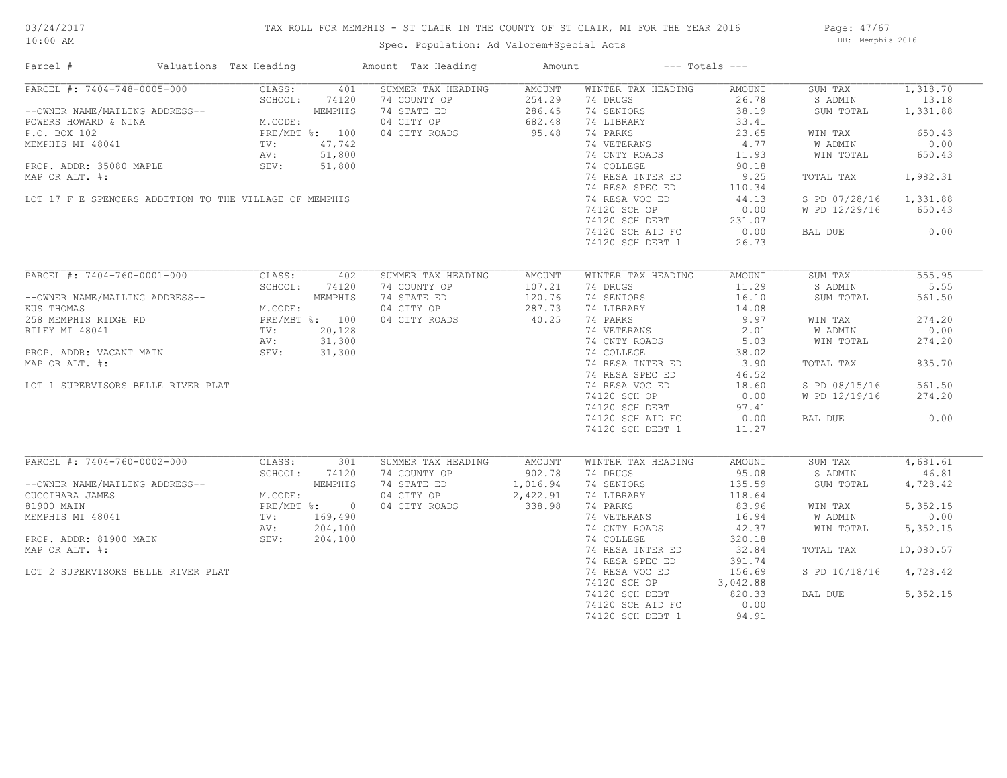## TAX ROLL FOR MEMPHIS - ST CLAIR IN THE COUNTY OF ST CLAIR, MI FOR THE YEAR 2016

Spec. Population: Ad Valorem+Special Acts

Page: 47/67 DB: Memphis 2016

| Parcel #                                                                                                                                                           | Valuations Tax Heading                                                           |         | Amount Tax Heading | Amount             | $---$ Totals $---$                                               |        |                        |           |
|--------------------------------------------------------------------------------------------------------------------------------------------------------------------|----------------------------------------------------------------------------------|---------|--------------------|--------------------|------------------------------------------------------------------|--------|------------------------|-----------|
| PARCEL #: 7404-748-0005-000                                                                                                                                        | CLASS:                                                                           | 401     | SUMMER TAX HEADING | AMOUNT             | WINTER TAX HEADING                                               | AMOUNT | SUM TAX                | 1,318.70  |
|                                                                                                                                                                    | SCHOOL:                                                                          | 74120   | 74 COUNTY OP       | 254.29             | 74 DRUGS                                                         | 26.78  | S ADMIN                | 13.18     |
| --OWNER NAME/MAILING ADDRESS--<br>POWERS HOWARD & NINA<br>POWERS HOWARD & NINA<br>P.O. BOX 102<br>MEMPHIS MI 48041<br>MEMPHIS MI 48041<br>TV: 47,742<br>AV: 51,800 |                                                                                  |         |                    |                    | 74 SENIORS                                                       | 38.19  | SUM TOTAL              | 1,331.88  |
|                                                                                                                                                                    |                                                                                  |         |                    |                    | 74 LIBRARY                                                       | 33.41  |                        |           |
|                                                                                                                                                                    |                                                                                  |         |                    |                    | 74 PARKS                                                         | 23.65  | WIN TAX                | 650.43    |
|                                                                                                                                                                    |                                                                                  |         |                    |                    | 74 VETERANS                                                      | 4.77   | W ADMIN                | 0.00      |
|                                                                                                                                                                    |                                                                                  |         |                    |                    | 74 CNTY ROADS                                                    | 11.93  | WIN TOTAL              | 650.43    |
| PROP. ADDR: 35080 MAPLE SEV: 51,800                                                                                                                                |                                                                                  |         |                    |                    |                                                                  |        |                        |           |
|                                                                                                                                                                    |                                                                                  |         |                    |                    | 74 COLLEGE                                                       | 90.18  |                        |           |
| MAP OR ALT. #:                                                                                                                                                     |                                                                                  |         |                    |                    | 74 RESA INTER ED                                                 | 9.25   | TOTAL TAX              | 1,982.31  |
|                                                                                                                                                                    |                                                                                  |         |                    |                    | 74 RESA SPEC ED                                                  | 110.34 |                        |           |
| LOT 17 F E SPENCERS ADDITION TO THE VILLAGE OF MEMPHIS                                                                                                             |                                                                                  |         |                    |                    | 74 RESA VOC ED                                                   | 44.13  | S PD 07/28/16 1,331.88 |           |
|                                                                                                                                                                    |                                                                                  |         |                    |                    | 74120 SCH OP                                                     | 0.00   | W PD 12/29/16          | 650.43    |
|                                                                                                                                                                    |                                                                                  |         |                    |                    | 74120 SCH DEBT<br>74120 SCH DEBT 231.07<br>74120 SCH AID FC 0.00 |        |                        |           |
|                                                                                                                                                                    |                                                                                  |         |                    |                    |                                                                  |        | BAL DUE                | 0.00      |
|                                                                                                                                                                    |                                                                                  |         |                    |                    | 74120 SCH DEBT 1                                                 | 26.73  |                        |           |
|                                                                                                                                                                    |                                                                                  |         |                    |                    |                                                                  |        |                        |           |
| PARCEL #: 7404-760-0001-000                                                                                                                                        | CLASS:                                                                           | 402     | SUMMER TAX HEADING | AMOUNT             | WINTER TAX HEADING                                               | AMOUNT | SUM TAX                | 555.95    |
|                                                                                                                                                                    | SCHOOL:                                                                          | 74120   | 74 COUNTY OP       | 107.21             | 74 DRUGS                                                         | 11.29  | S ADMIN                | 5.55      |
| --OWNER NAME/MAILING ADDRESS--                                                                                                                                     |                                                                                  |         | 74 STATE ED        | 120.76             | 74 SENIORS                                                       | 16.10  | SUM TOTAL              | 561.50    |
| KUS THOMAS                                                                                                                                                         | ADDRESS--<br>M.CODE:<br>PRE/MBT %: 100<br>TV: 20,128<br>AV: 31,300<br>TV: 31,300 |         | 04 CITY OP         | 287.73             |                                                                  |        |                        |           |
|                                                                                                                                                                    |                                                                                  |         |                    | 40.25              | 74 LIBRARY                                                       | 14.08  |                        |           |
| 258 MEMPHIS RIDGE RD                                                                                                                                               |                                                                                  |         | 04 CITY ROADS      |                    | 74 PARKS                                                         | 9.97   | WIN TAX                | 274.20    |
| RILEY MI 48041                                                                                                                                                     |                                                                                  |         |                    |                    | 74 VETERANS<br>74 CNTY ROADS                                     | 2.01   | W ADMIN                | 0.00      |
|                                                                                                                                                                    |                                                                                  |         |                    |                    |                                                                  | 5.03   | WIN TOTAL              | 274.20    |
| PROP. ADDR: VACANT MAIN SEV: 31,300                                                                                                                                |                                                                                  |         |                    |                    | 74 COLLEGE                                                       | 38.02  |                        |           |
| MAP OR ALT. #:                                                                                                                                                     |                                                                                  |         |                    |                    | 74 RESA INTER ED                                                 | 3.90   | TOTAL TAX              | 835.70    |
|                                                                                                                                                                    |                                                                                  |         |                    |                    | 74 RESA SPEC ED                                                  | 46.52  |                        |           |
| LOT 1 SUPERVISORS BELLE RIVER PLAT                                                                                                                                 |                                                                                  |         |                    |                    | 74 RESA VOC ED                                                   | 18.60  | S PD 08/15/16          | 561.50    |
|                                                                                                                                                                    |                                                                                  |         |                    |                    | 74120 SCH OP                                                     | 0.00   | W PD 12/19/16          | 274.20    |
|                                                                                                                                                                    |                                                                                  |         |                    |                    |                                                                  |        |                        |           |
|                                                                                                                                                                    |                                                                                  |         |                    |                    | 74120 SCH DEBT 97.41<br>74120 SCH AID FC 0.00                    |        | BAL DUE                | 0.00      |
|                                                                                                                                                                    |                                                                                  |         |                    |                    |                                                                  |        |                        |           |
|                                                                                                                                                                    |                                                                                  |         |                    |                    | 74120 SCH DEBT 1                                                 | 11.27  |                        |           |
| PARCEL #: 7404-760-0002-000                                                                                                                                        | CLASS:                                                                           | 301     | SUMMER TAX HEADING | AMOUNT             | WINTER TAX HEADING                                               | AMOUNT | SUM TAX                | 4,681.61  |
|                                                                                                                                                                    | SCHOOL:                                                                          | 74120   | 74 COUNTY OP       | 902.78             | 74 DRUGS                                                         | 95.08  | S ADMIN                | 46.81     |
|                                                                                                                                                                    |                                                                                  |         |                    | 1,016.94           |                                                                  |        |                        |           |
| --OWNER NAME/MAILING ADDRESS--<br>CUCCIHARA JAMES<br>81900 MAIN<br>MEMPHIS MI 48041<br>MEMPHIS MI 48041<br>TV: 169,490<br>NU: 204.100                              |                                                                                  |         | 74 STATE ED        |                    | 74 SENIORS                                                       | 135.59 | SUM TOTAL              | 4,728.42  |
|                                                                                                                                                                    |                                                                                  |         | 04 CITY OP         | 2,422.91<br>338.98 | 74 LIBRARY                                                       | 118.64 |                        |           |
|                                                                                                                                                                    |                                                                                  |         | 04 CITY ROADS      |                    | 74 PARKS                                                         | 83.96  | WIN TAX                | 5, 352.15 |
|                                                                                                                                                                    |                                                                                  |         |                    |                    | 74 VETERANS                                                      | 16.94  | W ADMIN                | 0.00      |
|                                                                                                                                                                    | AV:                                                                              | 204,100 |                    |                    | 74 CNTY ROADS                                                    | 42.37  | WIN TOTAL              | 5,352.15  |
| PROP. ADDR: 81900 MAIN SEV:                                                                                                                                        |                                                                                  | 204,100 |                    |                    | 74 COLLEGE                                                       | 320.18 |                        |           |
| MAP OR ALT. #:                                                                                                                                                     |                                                                                  |         |                    |                    | 74 RESA INTER ED                                                 | 32.84  | TOTAL TAX              | 10,080.57 |
|                                                                                                                                                                    |                                                                                  |         |                    |                    | 74 RESA SPEC ED                                                  | 391.74 |                        |           |
| LOT 2 SUPERVISORS BELLE RIVER PLAT                                                                                                                                 |                                                                                  |         |                    |                    |                                                                  |        | S PD 10/18/16 4,728.42 |           |
|                                                                                                                                                                    |                                                                                  |         |                    |                    | 74 RESA VOC ED 156.69<br>74120 SCH OP 3,042.88                   |        |                        |           |
|                                                                                                                                                                    |                                                                                  |         |                    |                    |                                                                  |        | BAL DUE                | 5, 352.15 |
|                                                                                                                                                                    |                                                                                  |         |                    |                    | 74120 SCH DEBT 820.33                                            |        |                        |           |
|                                                                                                                                                                    |                                                                                  |         |                    |                    | 74120 SCH AID FC                                                 | 0.00   |                        |           |
|                                                                                                                                                                    |                                                                                  |         |                    |                    | 74120 SCH DEBT 1                                                 | 94.91  |                        |           |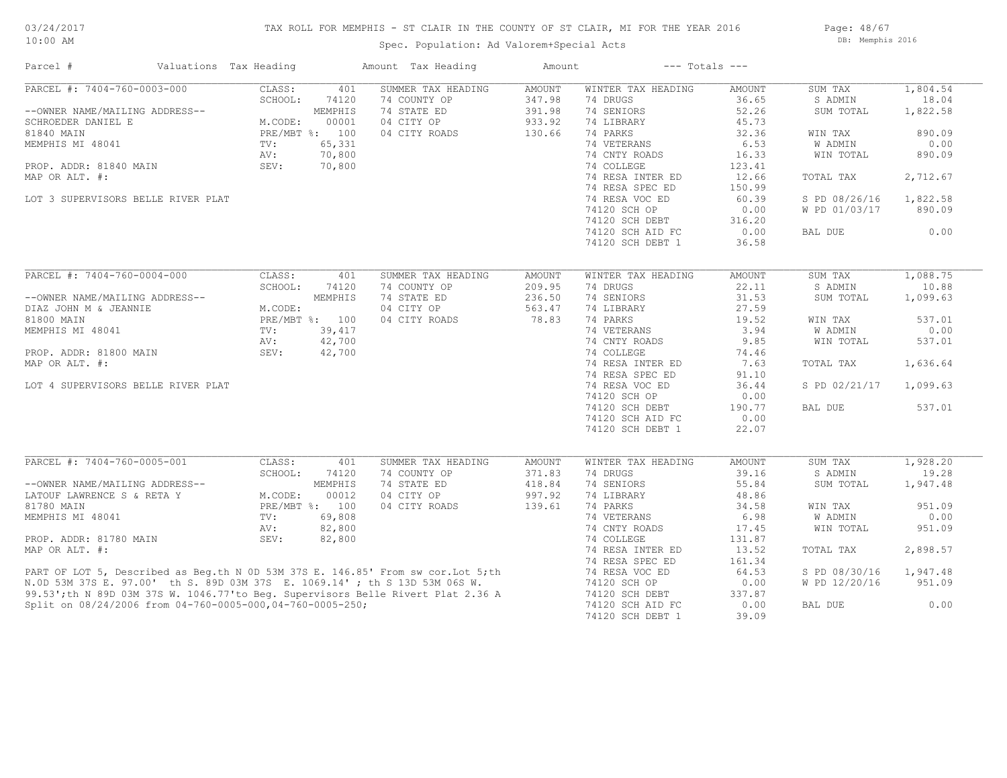## TAX ROLL FOR MEMPHIS - ST CLAIR IN THE COUNTY OF ST CLAIR, MI FOR THE YEAR 2016

Spec. Population: Ad Valorem+Special Acts

Page: 48/67 DB: Memphis 2016

| PARCEL #: 7404-760-0003-000<br>CLASS:<br>SUMMER TAX HEADING<br>AMOUNT<br>WINTER TAX HEADING<br>SUM TAX<br>401<br>AMOUNT<br>347.98<br>36.65<br>SCHOOL:<br>74120<br>74 COUNTY OP<br>74 DRUGS<br>S ADMIN<br>--OWNER NAME/MAILING ADDRESS--<br>MEMPHIS<br>74 STATE ED<br>391.98<br>74 SENIORS<br>52.26<br>SUM TOTAL<br>00001<br>04 CITY OP<br>933.92<br>74 LIBRARY<br>45.73<br>SCHROEDER DANIEL E<br>M.CODE:<br>74 PARKS<br>81840 MAIN<br>PRE/MBT %: 100<br>04 CITY ROADS<br>130.66<br>32.36<br>WIN TAX<br>74 VETERANS<br>MEMPHIS MI 48041<br>65,331<br>6.53<br>W ADMIN<br>$\text{TV}$ :<br>70,800<br>74 CNTY ROADS<br>AV:<br>16.33<br>WIN TOTAL<br>70,800<br>74 COLLEGE<br>PROP. ADDR: 81840 MAIN<br>SEV:<br>123.41<br>MAP OR ALT. #:<br>74 RESA INTER ED<br>12.66<br>TOTAL TAX<br>74 RESA SPEC ED<br>150.99<br>LOT 3 SUPERVISORS BELLE RIVER PLAT<br>74 RESA VOC ED<br>60.39<br>S PD 08/26/16<br>74120 SCH OP<br>0.00<br>W PD 01/03/17<br>74120 SCH DEBT<br>316.20<br>0.00<br>74120 SCH AID FC<br>BAL DUE<br>74120 SCH DEBT 1<br>36.58<br>PARCEL #: 7404-760-0004-000<br>CLASS:<br>401<br>SUMMER TAX HEADING<br><b>AMOUNT</b><br>WINTER TAX HEADING<br>AMOUNT<br>SUM TAX<br>SCHOOL:<br>74 COUNTY OP<br>209.95<br>74 DRUGS<br>22.11<br>S ADMIN<br>74120<br>MEMPHIS<br>74 STATE ED<br>236.50<br>74 SENIORS<br>31.53<br>--OWNER NAME/MAILING ADDRESS--<br>SUM TOTAL<br>M.CODE:<br>04 CITY OP<br>563.47<br>74 LIBRARY<br>27.59<br>DIAZ JOHN M & JEANNIE<br>81800 MAIN<br>PRE/MBT %: 100<br>04 CITY ROADS<br>78.83<br>74 PARKS<br>19.52<br>WIN TAX<br>39,417<br>74 VETERANS<br>3.94<br>MEMPHIS MI 48041<br>W ADMIN<br>TV:<br>AV:<br>42,700<br>74 CNTY ROADS<br>9.85<br>WIN TOTAL<br>SEV:<br>74 COLLEGE<br>PROP. ADDR: 81800 MAIN<br>42,700<br>74.46<br>74 RESA INTER ED<br>MAP OR ALT. #:<br>7.63<br>TOTAL TAX<br>74 RESA SPEC ED<br>91.10<br>74 RESA VOC ED<br>36.44<br>S PD 02/21/17<br>LOT 4 SUPERVISORS BELLE RIVER PLAT<br>74120 SCH OP<br>0.00<br>74120 SCH DEBT<br>190.77<br>BAL DUE<br>74120 SCH AID FC<br>0.00<br>74120 SCH DEBT 1<br>22.07<br>PARCEL #: 7404-760-0005-001<br>CLASS:<br>SUM TAX<br>401<br>SUMMER TAX HEADING<br><b>AMOUNT</b><br>WINTER TAX HEADING<br>AMOUNT<br>74 COUNTY OP<br>74 DRUGS<br>39.16<br>SCHOOL:<br>74120<br>371.83<br>S ADMIN<br>--OWNER NAME/MAILING ADDRESS--<br>MEMPHIS<br>74 STATE ED<br>418.84<br>74 SENIORS<br>55.84<br>SUM TOTAL<br>00012<br>04 CITY OP<br>997.92<br>74 LIBRARY<br>LATOUF LAWRENCE S & RETA Y<br>M.CODE:<br>48.86<br>81780 MAIN<br>PRE/MBT %: 100<br>04 CITY ROADS<br>139.61<br>74 PARKS<br>34.58<br>WIN TAX | Parcel #         | Valuations Tax Heading |        | Amount Tax Heading | Amount |                  | $---$ Totals $---$ |                |          |
|---------------------------------------------------------------------------------------------------------------------------------------------------------------------------------------------------------------------------------------------------------------------------------------------------------------------------------------------------------------------------------------------------------------------------------------------------------------------------------------------------------------------------------------------------------------------------------------------------------------------------------------------------------------------------------------------------------------------------------------------------------------------------------------------------------------------------------------------------------------------------------------------------------------------------------------------------------------------------------------------------------------------------------------------------------------------------------------------------------------------------------------------------------------------------------------------------------------------------------------------------------------------------------------------------------------------------------------------------------------------------------------------------------------------------------------------------------------------------------------------------------------------------------------------------------------------------------------------------------------------------------------------------------------------------------------------------------------------------------------------------------------------------------------------------------------------------------------------------------------------------------------------------------------------------------------------------------------------------------------------------------------------------------------------------------------------------------------------------------------------------------------------------------------------------------------------------------------------------------------------------------------------------------------------------------------------------------------------------------------------------------------------------------------------------------------------------------------------------------------------------------------------------------------------------------------------|------------------|------------------------|--------|--------------------|--------|------------------|--------------------|----------------|----------|
|                                                                                                                                                                                                                                                                                                                                                                                                                                                                                                                                                                                                                                                                                                                                                                                                                                                                                                                                                                                                                                                                                                                                                                                                                                                                                                                                                                                                                                                                                                                                                                                                                                                                                                                                                                                                                                                                                                                                                                                                                                                                                                                                                                                                                                                                                                                                                                                                                                                                                                                                                                     |                  |                        |        |                    |        |                  |                    |                | 1,804.54 |
|                                                                                                                                                                                                                                                                                                                                                                                                                                                                                                                                                                                                                                                                                                                                                                                                                                                                                                                                                                                                                                                                                                                                                                                                                                                                                                                                                                                                                                                                                                                                                                                                                                                                                                                                                                                                                                                                                                                                                                                                                                                                                                                                                                                                                                                                                                                                                                                                                                                                                                                                                                     |                  |                        |        |                    |        |                  |                    |                | 18.04    |
|                                                                                                                                                                                                                                                                                                                                                                                                                                                                                                                                                                                                                                                                                                                                                                                                                                                                                                                                                                                                                                                                                                                                                                                                                                                                                                                                                                                                                                                                                                                                                                                                                                                                                                                                                                                                                                                                                                                                                                                                                                                                                                                                                                                                                                                                                                                                                                                                                                                                                                                                                                     |                  |                        |        |                    |        |                  |                    |                | 1,822.58 |
|                                                                                                                                                                                                                                                                                                                                                                                                                                                                                                                                                                                                                                                                                                                                                                                                                                                                                                                                                                                                                                                                                                                                                                                                                                                                                                                                                                                                                                                                                                                                                                                                                                                                                                                                                                                                                                                                                                                                                                                                                                                                                                                                                                                                                                                                                                                                                                                                                                                                                                                                                                     |                  |                        |        |                    |        |                  |                    |                |          |
|                                                                                                                                                                                                                                                                                                                                                                                                                                                                                                                                                                                                                                                                                                                                                                                                                                                                                                                                                                                                                                                                                                                                                                                                                                                                                                                                                                                                                                                                                                                                                                                                                                                                                                                                                                                                                                                                                                                                                                                                                                                                                                                                                                                                                                                                                                                                                                                                                                                                                                                                                                     |                  |                        |        |                    |        |                  |                    |                | 890.09   |
|                                                                                                                                                                                                                                                                                                                                                                                                                                                                                                                                                                                                                                                                                                                                                                                                                                                                                                                                                                                                                                                                                                                                                                                                                                                                                                                                                                                                                                                                                                                                                                                                                                                                                                                                                                                                                                                                                                                                                                                                                                                                                                                                                                                                                                                                                                                                                                                                                                                                                                                                                                     |                  |                        |        |                    |        |                  |                    |                | 0.00     |
|                                                                                                                                                                                                                                                                                                                                                                                                                                                                                                                                                                                                                                                                                                                                                                                                                                                                                                                                                                                                                                                                                                                                                                                                                                                                                                                                                                                                                                                                                                                                                                                                                                                                                                                                                                                                                                                                                                                                                                                                                                                                                                                                                                                                                                                                                                                                                                                                                                                                                                                                                                     |                  |                        |        |                    |        |                  |                    |                | 890.09   |
|                                                                                                                                                                                                                                                                                                                                                                                                                                                                                                                                                                                                                                                                                                                                                                                                                                                                                                                                                                                                                                                                                                                                                                                                                                                                                                                                                                                                                                                                                                                                                                                                                                                                                                                                                                                                                                                                                                                                                                                                                                                                                                                                                                                                                                                                                                                                                                                                                                                                                                                                                                     |                  |                        |        |                    |        |                  |                    |                |          |
|                                                                                                                                                                                                                                                                                                                                                                                                                                                                                                                                                                                                                                                                                                                                                                                                                                                                                                                                                                                                                                                                                                                                                                                                                                                                                                                                                                                                                                                                                                                                                                                                                                                                                                                                                                                                                                                                                                                                                                                                                                                                                                                                                                                                                                                                                                                                                                                                                                                                                                                                                                     |                  |                        |        |                    |        |                  |                    |                | 2,712.67 |
|                                                                                                                                                                                                                                                                                                                                                                                                                                                                                                                                                                                                                                                                                                                                                                                                                                                                                                                                                                                                                                                                                                                                                                                                                                                                                                                                                                                                                                                                                                                                                                                                                                                                                                                                                                                                                                                                                                                                                                                                                                                                                                                                                                                                                                                                                                                                                                                                                                                                                                                                                                     |                  |                        |        |                    |        |                  |                    |                |          |
|                                                                                                                                                                                                                                                                                                                                                                                                                                                                                                                                                                                                                                                                                                                                                                                                                                                                                                                                                                                                                                                                                                                                                                                                                                                                                                                                                                                                                                                                                                                                                                                                                                                                                                                                                                                                                                                                                                                                                                                                                                                                                                                                                                                                                                                                                                                                                                                                                                                                                                                                                                     |                  |                        |        |                    |        |                  |                    |                | 1,822.58 |
|                                                                                                                                                                                                                                                                                                                                                                                                                                                                                                                                                                                                                                                                                                                                                                                                                                                                                                                                                                                                                                                                                                                                                                                                                                                                                                                                                                                                                                                                                                                                                                                                                                                                                                                                                                                                                                                                                                                                                                                                                                                                                                                                                                                                                                                                                                                                                                                                                                                                                                                                                                     |                  |                        |        |                    |        |                  |                    |                | 890.09   |
|                                                                                                                                                                                                                                                                                                                                                                                                                                                                                                                                                                                                                                                                                                                                                                                                                                                                                                                                                                                                                                                                                                                                                                                                                                                                                                                                                                                                                                                                                                                                                                                                                                                                                                                                                                                                                                                                                                                                                                                                                                                                                                                                                                                                                                                                                                                                                                                                                                                                                                                                                                     |                  |                        |        |                    |        |                  |                    |                |          |
|                                                                                                                                                                                                                                                                                                                                                                                                                                                                                                                                                                                                                                                                                                                                                                                                                                                                                                                                                                                                                                                                                                                                                                                                                                                                                                                                                                                                                                                                                                                                                                                                                                                                                                                                                                                                                                                                                                                                                                                                                                                                                                                                                                                                                                                                                                                                                                                                                                                                                                                                                                     |                  |                        |        |                    |        |                  |                    |                |          |
|                                                                                                                                                                                                                                                                                                                                                                                                                                                                                                                                                                                                                                                                                                                                                                                                                                                                                                                                                                                                                                                                                                                                                                                                                                                                                                                                                                                                                                                                                                                                                                                                                                                                                                                                                                                                                                                                                                                                                                                                                                                                                                                                                                                                                                                                                                                                                                                                                                                                                                                                                                     |                  |                        |        |                    |        |                  |                    |                | 0.00     |
|                                                                                                                                                                                                                                                                                                                                                                                                                                                                                                                                                                                                                                                                                                                                                                                                                                                                                                                                                                                                                                                                                                                                                                                                                                                                                                                                                                                                                                                                                                                                                                                                                                                                                                                                                                                                                                                                                                                                                                                                                                                                                                                                                                                                                                                                                                                                                                                                                                                                                                                                                                     |                  |                        |        |                    |        |                  |                    |                |          |
|                                                                                                                                                                                                                                                                                                                                                                                                                                                                                                                                                                                                                                                                                                                                                                                                                                                                                                                                                                                                                                                                                                                                                                                                                                                                                                                                                                                                                                                                                                                                                                                                                                                                                                                                                                                                                                                                                                                                                                                                                                                                                                                                                                                                                                                                                                                                                                                                                                                                                                                                                                     |                  |                        |        |                    |        |                  |                    |                | 1,088.75 |
|                                                                                                                                                                                                                                                                                                                                                                                                                                                                                                                                                                                                                                                                                                                                                                                                                                                                                                                                                                                                                                                                                                                                                                                                                                                                                                                                                                                                                                                                                                                                                                                                                                                                                                                                                                                                                                                                                                                                                                                                                                                                                                                                                                                                                                                                                                                                                                                                                                                                                                                                                                     |                  |                        |        |                    |        |                  |                    |                |          |
|                                                                                                                                                                                                                                                                                                                                                                                                                                                                                                                                                                                                                                                                                                                                                                                                                                                                                                                                                                                                                                                                                                                                                                                                                                                                                                                                                                                                                                                                                                                                                                                                                                                                                                                                                                                                                                                                                                                                                                                                                                                                                                                                                                                                                                                                                                                                                                                                                                                                                                                                                                     |                  |                        |        |                    |        |                  |                    |                | 10.88    |
|                                                                                                                                                                                                                                                                                                                                                                                                                                                                                                                                                                                                                                                                                                                                                                                                                                                                                                                                                                                                                                                                                                                                                                                                                                                                                                                                                                                                                                                                                                                                                                                                                                                                                                                                                                                                                                                                                                                                                                                                                                                                                                                                                                                                                                                                                                                                                                                                                                                                                                                                                                     |                  |                        |        |                    |        |                  |                    |                | 1,099.63 |
|                                                                                                                                                                                                                                                                                                                                                                                                                                                                                                                                                                                                                                                                                                                                                                                                                                                                                                                                                                                                                                                                                                                                                                                                                                                                                                                                                                                                                                                                                                                                                                                                                                                                                                                                                                                                                                                                                                                                                                                                                                                                                                                                                                                                                                                                                                                                                                                                                                                                                                                                                                     |                  |                        |        |                    |        |                  |                    |                |          |
|                                                                                                                                                                                                                                                                                                                                                                                                                                                                                                                                                                                                                                                                                                                                                                                                                                                                                                                                                                                                                                                                                                                                                                                                                                                                                                                                                                                                                                                                                                                                                                                                                                                                                                                                                                                                                                                                                                                                                                                                                                                                                                                                                                                                                                                                                                                                                                                                                                                                                                                                                                     |                  |                        |        |                    |        |                  |                    |                | 537.01   |
|                                                                                                                                                                                                                                                                                                                                                                                                                                                                                                                                                                                                                                                                                                                                                                                                                                                                                                                                                                                                                                                                                                                                                                                                                                                                                                                                                                                                                                                                                                                                                                                                                                                                                                                                                                                                                                                                                                                                                                                                                                                                                                                                                                                                                                                                                                                                                                                                                                                                                                                                                                     |                  |                        |        |                    |        |                  |                    |                | 0.00     |
|                                                                                                                                                                                                                                                                                                                                                                                                                                                                                                                                                                                                                                                                                                                                                                                                                                                                                                                                                                                                                                                                                                                                                                                                                                                                                                                                                                                                                                                                                                                                                                                                                                                                                                                                                                                                                                                                                                                                                                                                                                                                                                                                                                                                                                                                                                                                                                                                                                                                                                                                                                     |                  |                        |        |                    |        |                  |                    |                | 537.01   |
|                                                                                                                                                                                                                                                                                                                                                                                                                                                                                                                                                                                                                                                                                                                                                                                                                                                                                                                                                                                                                                                                                                                                                                                                                                                                                                                                                                                                                                                                                                                                                                                                                                                                                                                                                                                                                                                                                                                                                                                                                                                                                                                                                                                                                                                                                                                                                                                                                                                                                                                                                                     |                  |                        |        |                    |        |                  |                    |                |          |
|                                                                                                                                                                                                                                                                                                                                                                                                                                                                                                                                                                                                                                                                                                                                                                                                                                                                                                                                                                                                                                                                                                                                                                                                                                                                                                                                                                                                                                                                                                                                                                                                                                                                                                                                                                                                                                                                                                                                                                                                                                                                                                                                                                                                                                                                                                                                                                                                                                                                                                                                                                     |                  |                        |        |                    |        |                  |                    |                | 1,636.64 |
|                                                                                                                                                                                                                                                                                                                                                                                                                                                                                                                                                                                                                                                                                                                                                                                                                                                                                                                                                                                                                                                                                                                                                                                                                                                                                                                                                                                                                                                                                                                                                                                                                                                                                                                                                                                                                                                                                                                                                                                                                                                                                                                                                                                                                                                                                                                                                                                                                                                                                                                                                                     |                  |                        |        |                    |        |                  |                    |                |          |
|                                                                                                                                                                                                                                                                                                                                                                                                                                                                                                                                                                                                                                                                                                                                                                                                                                                                                                                                                                                                                                                                                                                                                                                                                                                                                                                                                                                                                                                                                                                                                                                                                                                                                                                                                                                                                                                                                                                                                                                                                                                                                                                                                                                                                                                                                                                                                                                                                                                                                                                                                                     |                  |                        |        |                    |        |                  |                    |                | 1,099.63 |
|                                                                                                                                                                                                                                                                                                                                                                                                                                                                                                                                                                                                                                                                                                                                                                                                                                                                                                                                                                                                                                                                                                                                                                                                                                                                                                                                                                                                                                                                                                                                                                                                                                                                                                                                                                                                                                                                                                                                                                                                                                                                                                                                                                                                                                                                                                                                                                                                                                                                                                                                                                     |                  |                        |        |                    |        |                  |                    |                |          |
|                                                                                                                                                                                                                                                                                                                                                                                                                                                                                                                                                                                                                                                                                                                                                                                                                                                                                                                                                                                                                                                                                                                                                                                                                                                                                                                                                                                                                                                                                                                                                                                                                                                                                                                                                                                                                                                                                                                                                                                                                                                                                                                                                                                                                                                                                                                                                                                                                                                                                                                                                                     |                  |                        |        |                    |        |                  |                    |                | 537.01   |
|                                                                                                                                                                                                                                                                                                                                                                                                                                                                                                                                                                                                                                                                                                                                                                                                                                                                                                                                                                                                                                                                                                                                                                                                                                                                                                                                                                                                                                                                                                                                                                                                                                                                                                                                                                                                                                                                                                                                                                                                                                                                                                                                                                                                                                                                                                                                                                                                                                                                                                                                                                     |                  |                        |        |                    |        |                  |                    |                |          |
|                                                                                                                                                                                                                                                                                                                                                                                                                                                                                                                                                                                                                                                                                                                                                                                                                                                                                                                                                                                                                                                                                                                                                                                                                                                                                                                                                                                                                                                                                                                                                                                                                                                                                                                                                                                                                                                                                                                                                                                                                                                                                                                                                                                                                                                                                                                                                                                                                                                                                                                                                                     |                  |                        |        |                    |        |                  |                    |                |          |
|                                                                                                                                                                                                                                                                                                                                                                                                                                                                                                                                                                                                                                                                                                                                                                                                                                                                                                                                                                                                                                                                                                                                                                                                                                                                                                                                                                                                                                                                                                                                                                                                                                                                                                                                                                                                                                                                                                                                                                                                                                                                                                                                                                                                                                                                                                                                                                                                                                                                                                                                                                     |                  |                        |        |                    |        |                  |                    |                |          |
|                                                                                                                                                                                                                                                                                                                                                                                                                                                                                                                                                                                                                                                                                                                                                                                                                                                                                                                                                                                                                                                                                                                                                                                                                                                                                                                                                                                                                                                                                                                                                                                                                                                                                                                                                                                                                                                                                                                                                                                                                                                                                                                                                                                                                                                                                                                                                                                                                                                                                                                                                                     |                  |                        |        |                    |        |                  |                    |                | 1,928.20 |
|                                                                                                                                                                                                                                                                                                                                                                                                                                                                                                                                                                                                                                                                                                                                                                                                                                                                                                                                                                                                                                                                                                                                                                                                                                                                                                                                                                                                                                                                                                                                                                                                                                                                                                                                                                                                                                                                                                                                                                                                                                                                                                                                                                                                                                                                                                                                                                                                                                                                                                                                                                     |                  |                        |        |                    |        |                  |                    |                | 19.28    |
|                                                                                                                                                                                                                                                                                                                                                                                                                                                                                                                                                                                                                                                                                                                                                                                                                                                                                                                                                                                                                                                                                                                                                                                                                                                                                                                                                                                                                                                                                                                                                                                                                                                                                                                                                                                                                                                                                                                                                                                                                                                                                                                                                                                                                                                                                                                                                                                                                                                                                                                                                                     |                  |                        |        |                    |        |                  |                    |                | 1,947.48 |
|                                                                                                                                                                                                                                                                                                                                                                                                                                                                                                                                                                                                                                                                                                                                                                                                                                                                                                                                                                                                                                                                                                                                                                                                                                                                                                                                                                                                                                                                                                                                                                                                                                                                                                                                                                                                                                                                                                                                                                                                                                                                                                                                                                                                                                                                                                                                                                                                                                                                                                                                                                     |                  |                        |        |                    |        |                  |                    |                |          |
|                                                                                                                                                                                                                                                                                                                                                                                                                                                                                                                                                                                                                                                                                                                                                                                                                                                                                                                                                                                                                                                                                                                                                                                                                                                                                                                                                                                                                                                                                                                                                                                                                                                                                                                                                                                                                                                                                                                                                                                                                                                                                                                                                                                                                                                                                                                                                                                                                                                                                                                                                                     |                  |                        |        |                    |        |                  |                    |                | 951.09   |
|                                                                                                                                                                                                                                                                                                                                                                                                                                                                                                                                                                                                                                                                                                                                                                                                                                                                                                                                                                                                                                                                                                                                                                                                                                                                                                                                                                                                                                                                                                                                                                                                                                                                                                                                                                                                                                                                                                                                                                                                                                                                                                                                                                                                                                                                                                                                                                                                                                                                                                                                                                     | MEMPHIS MI 48041 | TV:                    | 69,808 |                    |        | 74 VETERANS      | 6.98               | <b>W ADMIN</b> | 0.00     |
| 74 CNTY ROADS                                                                                                                                                                                                                                                                                                                                                                                                                                                                                                                                                                                                                                                                                                                                                                                                                                                                                                                                                                                                                                                                                                                                                                                                                                                                                                                                                                                                                                                                                                                                                                                                                                                                                                                                                                                                                                                                                                                                                                                                                                                                                                                                                                                                                                                                                                                                                                                                                                                                                                                                                       |                  |                        |        |                    |        |                  |                    |                |          |
| 82,800<br>WIN TOTAL<br>AV:<br>17.45                                                                                                                                                                                                                                                                                                                                                                                                                                                                                                                                                                                                                                                                                                                                                                                                                                                                                                                                                                                                                                                                                                                                                                                                                                                                                                                                                                                                                                                                                                                                                                                                                                                                                                                                                                                                                                                                                                                                                                                                                                                                                                                                                                                                                                                                                                                                                                                                                                                                                                                                 |                  |                        |        |                    |        |                  |                    |                | 951.09   |
| SEV:<br>82,800<br>74 COLLEGE<br>PROP. ADDR: 81780 MAIN<br>131.87                                                                                                                                                                                                                                                                                                                                                                                                                                                                                                                                                                                                                                                                                                                                                                                                                                                                                                                                                                                                                                                                                                                                                                                                                                                                                                                                                                                                                                                                                                                                                                                                                                                                                                                                                                                                                                                                                                                                                                                                                                                                                                                                                                                                                                                                                                                                                                                                                                                                                                    |                  |                        |        |                    |        |                  |                    |                |          |
| 13.52<br>MAP OR ALT. #:<br>74 RESA INTER ED<br>TOTAL TAX                                                                                                                                                                                                                                                                                                                                                                                                                                                                                                                                                                                                                                                                                                                                                                                                                                                                                                                                                                                                                                                                                                                                                                                                                                                                                                                                                                                                                                                                                                                                                                                                                                                                                                                                                                                                                                                                                                                                                                                                                                                                                                                                                                                                                                                                                                                                                                                                                                                                                                            |                  |                        |        |                    |        |                  |                    |                | 2,898.57 |
| 74 RESA SPEC ED<br>161.34<br>PART OF LOT 5, Described as Beg.th N 0D 53M 37S E. 146.85' From sw cor.Lot 5;th<br>N.OD 53M 37S E. 97.00' th S. 89D 03M 37S E. 1069.14' ; th S 13D 53M 06S W.<br>99.53';th N 89D 03M 37S W. 1046.77'to Beg. Supervisors Belle Rivert                                                                                                                                                                                                                                                                                                                                                                                                                                                                                                                                                                                                                                                                                                                                                                                                                                                                                                                                                                                                                                                                                                                                                                                                                                                                                                                                                                                                                                                                                                                                                                                                                                                                                                                                                                                                                                                                                                                                                                                                                                                                                                                                                                                                                                                                                                   |                  |                        |        |                    |        |                  |                    |                |          |
| 74 RESA VOC ED<br>64.53<br>S PD 08/30/16                                                                                                                                                                                                                                                                                                                                                                                                                                                                                                                                                                                                                                                                                                                                                                                                                                                                                                                                                                                                                                                                                                                                                                                                                                                                                                                                                                                                                                                                                                                                                                                                                                                                                                                                                                                                                                                                                                                                                                                                                                                                                                                                                                                                                                                                                                                                                                                                                                                                                                                            |                  |                        |        |                    |        |                  |                    |                | 1,947.48 |
| 74120 SCH OP<br>0.00<br>W PD 12/20/16                                                                                                                                                                                                                                                                                                                                                                                                                                                                                                                                                                                                                                                                                                                                                                                                                                                                                                                                                                                                                                                                                                                                                                                                                                                                                                                                                                                                                                                                                                                                                                                                                                                                                                                                                                                                                                                                                                                                                                                                                                                                                                                                                                                                                                                                                                                                                                                                                                                                                                                               |                  |                        |        |                    |        |                  |                    |                | 951.09   |
| 74120 SCH DEBT<br>337.87                                                                                                                                                                                                                                                                                                                                                                                                                                                                                                                                                                                                                                                                                                                                                                                                                                                                                                                                                                                                                                                                                                                                                                                                                                                                                                                                                                                                                                                                                                                                                                                                                                                                                                                                                                                                                                                                                                                                                                                                                                                                                                                                                                                                                                                                                                                                                                                                                                                                                                                                            |                  |                        |        |                    |        |                  |                    |                |          |
| 0.00<br>Split on 08/24/2006 from 04-760-0005-000,04-760-0005-250;<br>74120 SCH AID FC<br>BAL DUE                                                                                                                                                                                                                                                                                                                                                                                                                                                                                                                                                                                                                                                                                                                                                                                                                                                                                                                                                                                                                                                                                                                                                                                                                                                                                                                                                                                                                                                                                                                                                                                                                                                                                                                                                                                                                                                                                                                                                                                                                                                                                                                                                                                                                                                                                                                                                                                                                                                                    |                  |                        |        |                    |        |                  |                    |                | 0.00     |
|                                                                                                                                                                                                                                                                                                                                                                                                                                                                                                                                                                                                                                                                                                                                                                                                                                                                                                                                                                                                                                                                                                                                                                                                                                                                                                                                                                                                                                                                                                                                                                                                                                                                                                                                                                                                                                                                                                                                                                                                                                                                                                                                                                                                                                                                                                                                                                                                                                                                                                                                                                     |                  |                        |        |                    |        | 74120 SCH DEBT 1 | 39.09              |                |          |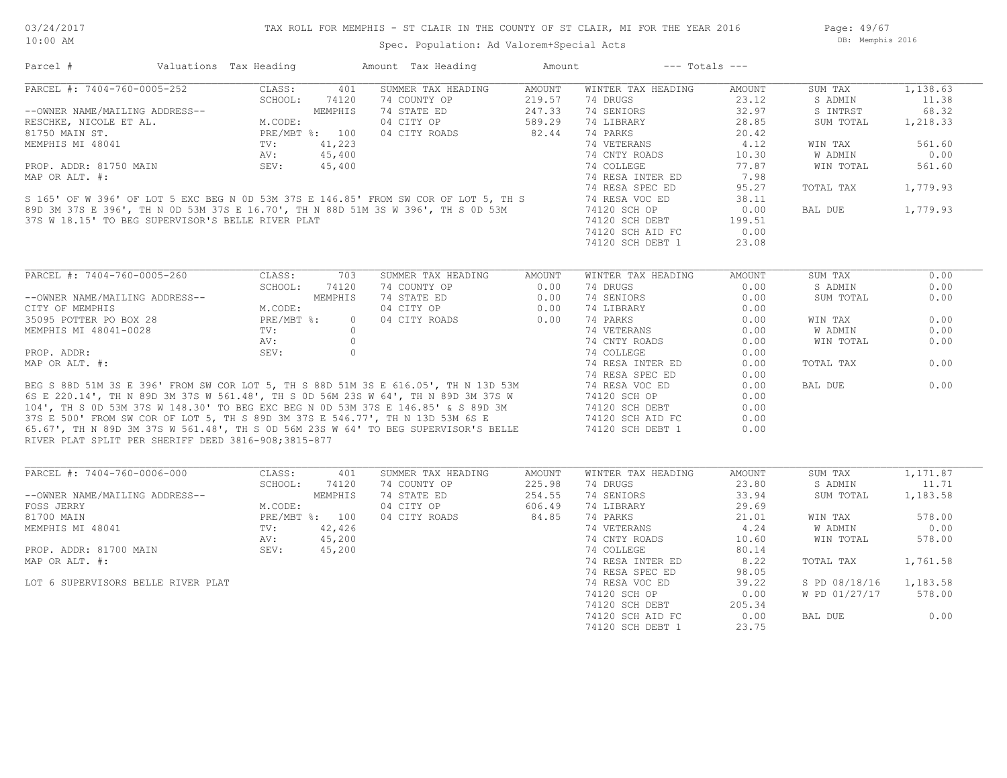Page: 49/67 DB: Memphis 2016

| Parcel #                                                                                                                                                                                                                        | Valuations Tax Heading |                                          |          | Amount Tax Heading                                                                                                                                                                                                                   | Amount | $---$ Totals $---$ |        |               |          |
|---------------------------------------------------------------------------------------------------------------------------------------------------------------------------------------------------------------------------------|------------------------|------------------------------------------|----------|--------------------------------------------------------------------------------------------------------------------------------------------------------------------------------------------------------------------------------------|--------|--------------------|--------|---------------|----------|
| PARCEL #: 7404-760-0005-252                                                                                                                                                                                                     |                        | CLASS:                                   | 401      | SUMMER TAX HEADING                                                                                                                                                                                                                   | AMOUNT | WINTER TAX HEADING | AMOUNT | SUM TAX       | 1,138.63 |
|                                                                                                                                                                                                                                 |                        |                                          |          | 74 COUNTY OP                                                                                                                                                                                                                         | 219.57 | 74 DRUGS           | 23.12  | S ADMIN       | 11.38    |
| --OWNER NAME/MAILING ADDRESS--<br>RESCHKE, NICOLE ET AL.<br>81750 MAIN ST.<br>MEMPHIS MI 48041<br>TOP ADDR: 81750 MAIN<br>PRE/MBT %: 100<br>NEMPHIS MI 48041<br>TV: 41,223<br>AV: 45,400<br>TOP ADDR: 81750 MAIN<br>SEV: 45,400 |                        |                                          |          | 74 STATE ED                                                                                                                                                                                                                          | 247.33 | 74 SENIORS         | 32.97  | S INTRST      | 68.32    |
|                                                                                                                                                                                                                                 |                        |                                          |          | 04 CITY OP                                                                                                                                                                                                                           | 589.29 | 74 LIBRARY         | 28.85  | SUM TOTAL     | 1,218.33 |
|                                                                                                                                                                                                                                 |                        |                                          |          | 04 CITY ROADS                                                                                                                                                                                                                        | 82.44  | 74 PARKS           | 20.42  |               |          |
|                                                                                                                                                                                                                                 |                        |                                          |          |                                                                                                                                                                                                                                      |        |                    |        |               |          |
|                                                                                                                                                                                                                                 |                        |                                          |          |                                                                                                                                                                                                                                      |        | 74 VETERANS        | 4.12   | WIN TAX       | 561.60   |
|                                                                                                                                                                                                                                 |                        |                                          |          |                                                                                                                                                                                                                                      |        | 74 CNTY ROADS      | 10.30  | W ADMIN       | 0.00     |
|                                                                                                                                                                                                                                 |                        |                                          |          |                                                                                                                                                                                                                                      |        | 74 COLLEGE         | 77.87  | WIN TOTAL     | 561.60   |
| MAP OR ALT. #:                                                                                                                                                                                                                  |                        |                                          |          |                                                                                                                                                                                                                                      |        | 74 RESA INTER ED   | 7.98   |               |          |
|                                                                                                                                                                                                                                 |                        |                                          |          |                                                                                                                                                                                                                                      |        | 74 RESA SPEC ED    | 95.27  | TOTAL TAX     | 1,779.93 |
|                                                                                                                                                                                                                                 |                        |                                          |          | S 165' OF W 396' OF LOT 5 EXC BEG N OD 53M 37S E 146.85' FROM SW COR OF LOT 5, TH S<br>89D 3M 37S E 396', TH N OD 53M 37S E 16.70', TH N 88D 51M 3S W 396', TH S OD 53M<br>37S W 18 15' TO BEG SUBERVISOR'S REILE RIVER PLAT         |        | 74 RESA VOC ED     | 38.11  |               |          |
|                                                                                                                                                                                                                                 |                        |                                          |          |                                                                                                                                                                                                                                      |        | 74120 SCH OP       | 0.00   | BAL DUE       | 1,779.93 |
| 37S W 18.15' TO BEG SUPERVISOR'S BELLE RIVER PLAT                                                                                                                                                                               |                        |                                          |          |                                                                                                                                                                                                                                      |        | 74120 SCH DEBT     | 199.51 |               |          |
|                                                                                                                                                                                                                                 |                        |                                          |          |                                                                                                                                                                                                                                      |        | 74120 SCH AID FC   | 0.00   |               |          |
|                                                                                                                                                                                                                                 |                        |                                          |          |                                                                                                                                                                                                                                      |        | 74120 SCH DEBT 1   | 23.08  |               |          |
|                                                                                                                                                                                                                                 |                        |                                          |          |                                                                                                                                                                                                                                      |        |                    |        |               |          |
| PARCEL #: 7404-760-0005-260                                                                                                                                                                                                     |                        |                                          |          |                                                                                                                                                                                                                                      |        |                    |        |               |          |
|                                                                                                                                                                                                                                 |                        | CLASS:                                   | 703      | SUMMER TAX HEADING                                                                                                                                                                                                                   | AMOUNT | WINTER TAX HEADING | AMOUNT | SUM TAX       | 0.00     |
|                                                                                                                                                                                                                                 |                        | SCHOOL:                                  | 74120    | 74 COUNTY OP                                                                                                                                                                                                                         | 0.00   | 74 DRUGS           | 0.00   | S ADMIN       | 0.00     |
|                                                                                                                                                                                                                                 |                        |                                          | MEMPHIS  | 74 STATE ED                                                                                                                                                                                                                          | 0.00   | 74 SENIORS         | 0.00   | SUM TOTAL     | 0.00     |
| --OWNER NAME/MAILING ADDRESS--<br>CITY OF MEMPHIS M.CODE:<br>35095 POTTER PO BOX 28 PRE/MBT %:<br>MEMPHIS MI 48041-0028 TV:                                                                                                     |                        |                                          |          | 04 CITY OP                                                                                                                                                                                                                           | 0.00   | 74 LIBRARY         | 0.00   |               |          |
|                                                                                                                                                                                                                                 |                        |                                          | $\circ$  | 04 CITY ROADS                                                                                                                                                                                                                        | 0.00   | 74 PARKS           | 0.00   | WIN TAX       | 0.00     |
|                                                                                                                                                                                                                                 |                        |                                          | $\Omega$ |                                                                                                                                                                                                                                      |        | 74 VETERANS        | 0.00   | W ADMIN       | 0.00     |
|                                                                                                                                                                                                                                 |                        | AV:                                      | $\circ$  |                                                                                                                                                                                                                                      |        | 74 CNTY ROADS      | 0.00   | WIN TOTAL     | 0.00     |
| PROP. ADDR:                                                                                                                                                                                                                     |                        | SEV:                                     | $\circ$  |                                                                                                                                                                                                                                      |        | 74 COLLEGE         | 0.00   |               |          |
| MAP OR ALT. #:                                                                                                                                                                                                                  |                        |                                          |          |                                                                                                                                                                                                                                      |        | 74 RESA INTER ED   | 0.00   | TOTAL TAX     | 0.00     |
|                                                                                                                                                                                                                                 |                        |                                          |          |                                                                                                                                                                                                                                      |        | 74 RESA SPEC ED    | 0.00   |               |          |
|                                                                                                                                                                                                                                 |                        |                                          |          | BEG S 88D 51M 3S E 396' FROM SW COR LOT 5, TH S 88D 51M 3S E 616.05', TH N 13D 53M                                                                                                                                                   |        | 74 RESA VOC ED     | 0.00   | BAL DUE       | 0.00     |
|                                                                                                                                                                                                                                 |                        |                                          |          |                                                                                                                                                                                                                                      |        | 74120 SCH OP       | 0.00   |               |          |
|                                                                                                                                                                                                                                 |                        |                                          |          | 6S E 220.14', TH N 89D 3M 37S W 561.48', TH S OD 56M 23S W 64', TH N 89D 3M 37S W<br>104', TH S OD 53M 37S W 148.30' TO BEG EXC BEG N OD 53M 37S E 146.85' & S 89D 3M<br>37S E 500' FROM SW COR OF LOT 5, TH S 89D 3M 37S E 546.77', |        |                    |        |               |          |
|                                                                                                                                                                                                                                 |                        |                                          |          |                                                                                                                                                                                                                                      |        | 74120 SCH DEBT     | 0.00   |               |          |
|                                                                                                                                                                                                                                 |                        |                                          |          |                                                                                                                                                                                                                                      |        | 74120 SCH AID FC   | 0.00   |               |          |
|                                                                                                                                                                                                                                 |                        |                                          |          |                                                                                                                                                                                                                                      |        | 74120 SCH DEBT 1   | 0.00   |               |          |
| RIVER PLAT SPLIT PER SHERIFF DEED 3816-908;3815-877                                                                                                                                                                             |                        |                                          |          |                                                                                                                                                                                                                                      |        |                    |        |               |          |
|                                                                                                                                                                                                                                 |                        |                                          |          |                                                                                                                                                                                                                                      |        |                    |        |               |          |
| PARCEL #: 7404-760-0006-000                                                                                                                                                                                                     |                        | CLASS:                                   | 401      | SUMMER TAX HEADING                                                                                                                                                                                                                   | AMOUNT | WINTER TAX HEADING | AMOUNT | SUM TAX       | 1,171.87 |
|                                                                                                                                                                                                                                 |                        | SCHOOL:                                  | 74120    | 74 COUNTY OP                                                                                                                                                                                                                         | 225.98 | 74 DRUGS           | 23.80  | S ADMIN       | 11.71    |
| --OWNER NAME/MAILING ADDRESS--                                                                                                                                                                                                  |                        |                                          | MEMPHIS  | 74 STATE ED                                                                                                                                                                                                                          | 254.55 | 74 SENIORS         | 33.94  | SUM TOTAL     | 1,183.58 |
| FOSS JERRY                                                                                                                                                                                                                      |                        | $M.\overline{CODE:}$<br>$PRE/MBT$ %: 100 |          | 04 CITY OP                                                                                                                                                                                                                           | 606.49 | 74 LIBRARY         | 29.69  |               |          |
| 81700 MAIN                                                                                                                                                                                                                      |                        |                                          |          | 04 CITY ROADS                                                                                                                                                                                                                        | 84.85  | 74 PARKS           | 21.01  | WIN TAX       | 578.00   |
| MEMPHIS MI 48041                                                                                                                                                                                                                |                        | $\texttt{TV}$ :                          | 42,426   |                                                                                                                                                                                                                                      |        | 74 VETERANS        | 4.24   | W ADMIN       | 0.00     |
|                                                                                                                                                                                                                                 |                        | AV:                                      | 45,200   |                                                                                                                                                                                                                                      |        | 74 CNTY ROADS      | 10.60  | WIN TOTAL     | 578.00   |
| PROP. ADDR: 81700 MAIN                                                                                                                                                                                                          | SEV:                   |                                          | 45,200   |                                                                                                                                                                                                                                      |        | 74 COLLEGE         | 80.14  |               |          |
| MAP OR ALT. #:                                                                                                                                                                                                                  |                        |                                          |          |                                                                                                                                                                                                                                      |        | 74 RESA INTER ED   | 8.22   | TOTAL TAX     | 1,761.58 |
|                                                                                                                                                                                                                                 |                        |                                          |          |                                                                                                                                                                                                                                      |        | 74 RESA SPEC ED    | 98.05  |               |          |
|                                                                                                                                                                                                                                 |                        |                                          |          | $\frac{3}{0}$                                                                                                                                                                                                                        |        |                    |        |               |          |
| LOT 6 SUPERVISORS BELLE RIVER PLAT                                                                                                                                                                                              |                        |                                          |          |                                                                                                                                                                                                                                      |        | 74 RESA VOC ED     | 39.22  | S PD 08/18/16 | 1,183.58 |
|                                                                                                                                                                                                                                 |                        |                                          |          |                                                                                                                                                                                                                                      |        | 74120 SCH OP       | 0.00   | W PD 01/27/17 | 578.00   |
|                                                                                                                                                                                                                                 |                        |                                          |          |                                                                                                                                                                                                                                      |        | 74120 SCH DEBT     | 205.34 |               |          |
|                                                                                                                                                                                                                                 |                        |                                          |          |                                                                                                                                                                                                                                      |        | 74120 SCH AID FC   | 0.00   | BAL DUE       | 0.00     |
|                                                                                                                                                                                                                                 |                        |                                          |          |                                                                                                                                                                                                                                      |        | 74120 SCH DEBT 1   | 23.75  |               |          |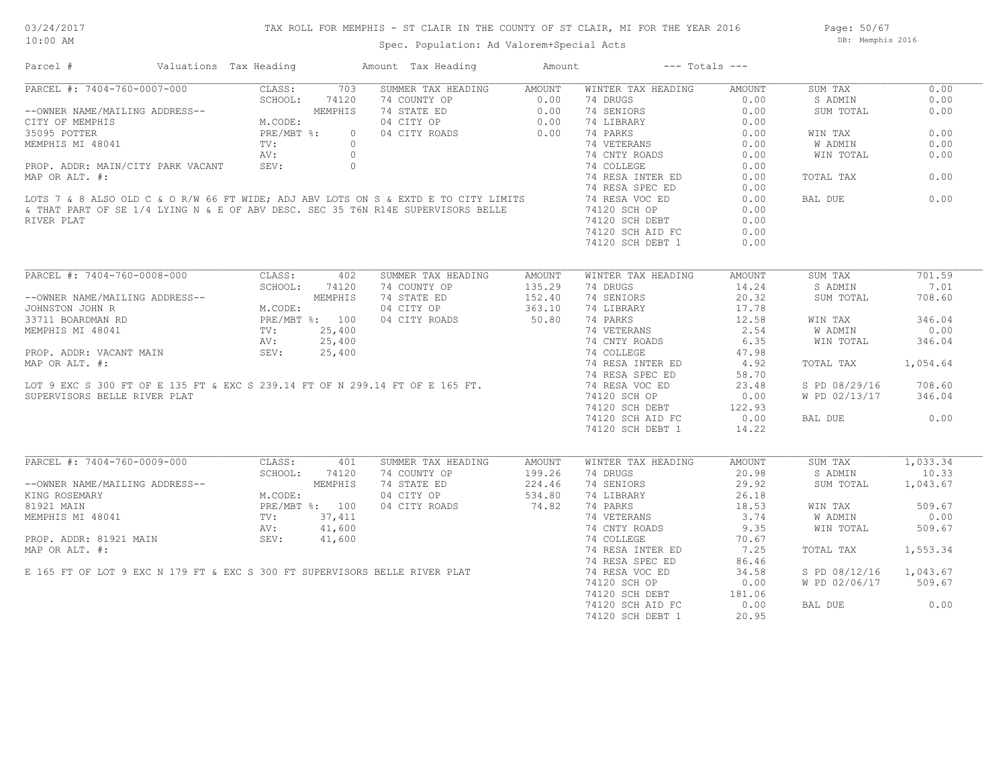## TAX ROLL FOR MEMPHIS - ST CLAIR IN THE COUNTY OF ST CLAIR, MI FOR THE YEAR 2016

Spec. Population: Ad Valorem+Special Acts

Page: 50/67 DB: Memphis 2016

| Parcel #                                                                                                                                                                                                                                 | Valuations Tax Heading |         |       | Amount Tax Heading                       | Amount                     | $---$ Totals $---$                                                                                                                                                                                                                        |                       |                      |          |
|------------------------------------------------------------------------------------------------------------------------------------------------------------------------------------------------------------------------------------------|------------------------|---------|-------|------------------------------------------|----------------------------|-------------------------------------------------------------------------------------------------------------------------------------------------------------------------------------------------------------------------------------------|-----------------------|----------------------|----------|
| PARCEL #: 7404-760-0007-000 CLASS:<br>--OWNER NAME/MAILING ADDRESS--<br>CITY OF MEMPHIS M.CODE:<br>35095 POTTER PRE/MBT %:<br>MEMPHIS MI 48041 TV:<br>PRE/MBT %:<br>PRE/MBT %:<br>AV:                                                    |                        |         | 703   | SUMMER TAX HEADING AMOUNT                |                            | WINTER TAX HEADING                                                                                                                                                                                                                        | AMOUNT                | SUM TAX              | 0.00     |
|                                                                                                                                                                                                                                          |                        |         |       |                                          |                            |                                                                                                                                                                                                                                           | 0.00                  | S ADMIN              | 0.00     |
|                                                                                                                                                                                                                                          |                        |         |       |                                          |                            |                                                                                                                                                                                                                                           | 0.00                  | SUM TOTAL            | 0.00     |
|                                                                                                                                                                                                                                          |                        |         |       |                                          |                            | 14 SENDARY<br>14 LIBRARY<br>14 DIBRARY<br>14 PARKS<br>14 OLIMETRANS<br>14 OLIMETRANS<br>14 OLIMETRANS<br>14 OLIMETRANS<br>14 OLIMETRANS<br>14 OLIMETRANS<br>14 OLIMETRANS<br>14 OLIMETRANS<br>16.00<br>14 RESA INTER ED<br>16.00<br>16.00 |                       |                      |          |
|                                                                                                                                                                                                                                          |                        |         |       |                                          |                            |                                                                                                                                                                                                                                           |                       | WIN TAX              | 0.00     |
|                                                                                                                                                                                                                                          |                        |         |       |                                          |                            |                                                                                                                                                                                                                                           |                       | W ADMIN              | 0.00     |
|                                                                                                                                                                                                                                          |                        |         |       |                                          |                            |                                                                                                                                                                                                                                           |                       | WIN TOTAL            | 0.00     |
|                                                                                                                                                                                                                                          |                        |         |       |                                          |                            |                                                                                                                                                                                                                                           |                       |                      |          |
|                                                                                                                                                                                                                                          |                        |         |       |                                          |                            |                                                                                                                                                                                                                                           |                       | TOTAL TAX            | 0.00     |
|                                                                                                                                                                                                                                          |                        |         |       |                                          |                            |                                                                                                                                                                                                                                           | 0.00                  |                      |          |
|                                                                                                                                                                                                                                          |                        |         |       |                                          |                            |                                                                                                                                                                                                                                           | 0.00                  | BAL DUE              | 0.00     |
|                                                                                                                                                                                                                                          |                        |         |       |                                          |                            |                                                                                                                                                                                                                                           | 0.00                  |                      |          |
| RIVER PLAT                                                                                                                                                                                                                               |                        |         |       |                                          |                            | 74120 SCH DEBT                                                                                                                                                                                                                            | 0.00                  |                      |          |
|                                                                                                                                                                                                                                          |                        |         |       |                                          |                            |                                                                                                                                                                                                                                           |                       |                      |          |
|                                                                                                                                                                                                                                          |                        |         |       |                                          |                            | 74120 SCH AID FC                                                                                                                                                                                                                          | 0.00                  |                      |          |
|                                                                                                                                                                                                                                          |                        |         |       |                                          |                            | 74120 SCH DEBT 1                                                                                                                                                                                                                          | 0.00                  |                      |          |
| PARCEL #: 7404-760-0008-000 CLASS: 402                                                                                                                                                                                                   |                        |         |       |                                          |                            |                                                                                                                                                                                                                                           |                       |                      |          |
|                                                                                                                                                                                                                                          |                        |         |       | SUMMER TAX HEADING                       | AMOUNT                     | WINTER TAX HEADING                                                                                                                                                                                                                        | AMOUNT                | SUM TAX              | 701.59   |
|                                                                                                                                                                                                                                          |                        |         |       |                                          | 135.29<br>152.40           | 74 DRUGS                                                                                                                                                                                                                                  | 14.24                 | S ADMIN              | 7.01     |
|                                                                                                                                                                                                                                          |                        |         |       |                                          |                            | 74 SENIORS                                                                                                                                                                                                                                | 20.32                 | SUM TOTAL            | 708.60   |
|                                                                                                                                                                                                                                          |                        |         |       | 04 CITY OP 363.10<br>04 CITY ROADS 50.80 |                            | 74 LIBRARY                                                                                                                                                                                                                                | $\frac{17.76}{12.58}$ |                      |          |
|                                                                                                                                                                                                                                          |                        |         |       |                                          |                            | 74 PARKS                                                                                                                                                                                                                                  |                       | WIN TAX              | 346.04   |
| 33/11 BOARDMAN RD<br>MEMPHIS MI 48041 TV: 25,400<br>PROP. ADDR: VACANT MAIN SEV: 25,400<br>MAP OR ALT. #:<br>LOT 9 EXC S 300 FT OF E 135 FT & EXC S 239.14 FT OF N 299.14 FT OF E 165 FT.                                                |                        |         |       |                                          |                            | 74 VETERANS 2.54<br>74 CNTY ROADS 6.35<br>74 COLLEGE 47.98<br>74 RESA INTER ED 4.92                                                                                                                                                       |                       | W ADMIN              | 0.00     |
|                                                                                                                                                                                                                                          |                        |         |       |                                          |                            |                                                                                                                                                                                                                                           |                       | WIN TOTAL            | 346.04   |
|                                                                                                                                                                                                                                          |                        |         |       |                                          |                            |                                                                                                                                                                                                                                           |                       |                      |          |
|                                                                                                                                                                                                                                          |                        |         |       |                                          |                            |                                                                                                                                                                                                                                           |                       | TOTAL TAX            | 1,054.64 |
|                                                                                                                                                                                                                                          |                        |         |       |                                          |                            | 74 RESA SPEC ED                                                                                                                                                                                                                           | 58.70                 |                      |          |
|                                                                                                                                                                                                                                          |                        |         |       |                                          |                            | 74 RESA VOC ED                                                                                                                                                                                                                            | 23.48                 | S PD 08/29/16 708.60 |          |
| SUPERVISORS BELLE RIVER PLAT                                                                                                                                                                                                             |                        |         |       |                                          |                            | 74120 SCH OP                                                                                                                                                                                                                              | 0.00                  | W PD 02/13/17 346.04 |          |
|                                                                                                                                                                                                                                          |                        |         |       |                                          |                            | 74120 SCH DEBT                                                                                                                                                                                                                            | 122.93                |                      |          |
|                                                                                                                                                                                                                                          |                        |         |       |                                          |                            | 74120 SCH AID FC                                                                                                                                                                                                                          | 0.00                  | BAL DUE              | 0.00     |
|                                                                                                                                                                                                                                          |                        |         |       |                                          |                            |                                                                                                                                                                                                                                           |                       |                      |          |
|                                                                                                                                                                                                                                          |                        |         |       |                                          |                            | 74120 SCH DEBT 1                                                                                                                                                                                                                          | 14.22                 |                      |          |
| PARCEL #: 7404-760-0009-000 CLASS:                                                                                                                                                                                                       |                        |         | 401   | SUMMER TAX HEADING                       | AMOUNT                     | WINTER TAX HEADING                                                                                                                                                                                                                        | AMOUNT                | SUM TAX              | 1,033.34 |
|                                                                                                                                                                                                                                          |                        | SCHOOL: | 74120 | 74 COUNTY OP                             |                            | 74 DRUGS                                                                                                                                                                                                                                  | 20.98                 | S ADMIN              | 10.33    |
| --OWNER NAME/MAILING ADDRESS--<br>KING ROSEMARY M.CODE:<br>81921 MAIN PRE/MBT %: 100<br>MEMPHIS MI 48041 TV: 37,411<br>PROP. ADDR: 81921 MAIN AV: 41,600<br>PROP. ADDR: 81921 MAIN SEV: 41,600                                           |                        |         |       | 74 STATE ED                              | 199.26<br>224.46<br>534.80 | 74 SENIORS                                                                                                                                                                                                                                | 29.92                 | SUM TOTAL            | 1,043.67 |
|                                                                                                                                                                                                                                          |                        |         |       |                                          |                            |                                                                                                                                                                                                                                           |                       |                      |          |
|                                                                                                                                                                                                                                          |                        |         |       | 04 CITY OP                               | 534.80                     | 74 LIBRARY                                                                                                                                                                                                                                |                       |                      |          |
|                                                                                                                                                                                                                                          |                        |         |       | 04 CITY ROADS                            | 74.82                      | 74 PARKS                                                                                                                                                                                                                                  | $26.18$<br>$18.53$    | WIN TAX              | 509.67   |
|                                                                                                                                                                                                                                          |                        |         |       |                                          |                            |                                                                                                                                                                                                                                           | 3.74                  | W ADMIN              | 0.00     |
|                                                                                                                                                                                                                                          |                        |         |       |                                          |                            | 74 CNTY ROADS                                                                                                                                                                                                                             | 9.35                  | WIN TOTAL            | 509.67   |
| MEMPHIS MI 48041<br>PROP. ADDR: 81921 MAIN<br>MAP OR ALT. #:<br>E 165 FT OF LOT 9 EXC N 179 FT & EXC S 300 FT SUPERVISORS BELLE RIVER PLAT<br>E 165 FT OF LOT 9 EXC N 179 FT & EXC S 300 FT SUPERVISORS BELLE RIVER PLAT<br>PARSA SPEC E |                        |         |       |                                          |                            |                                                                                                                                                                                                                                           | 70.67                 |                      |          |
|                                                                                                                                                                                                                                          |                        |         |       |                                          |                            |                                                                                                                                                                                                                                           | 7.25                  | TOTAL TAX            | 1,553.34 |
|                                                                                                                                                                                                                                          |                        |         |       |                                          |                            |                                                                                                                                                                                                                                           | 86.46                 |                      |          |
|                                                                                                                                                                                                                                          |                        |         |       |                                          |                            |                                                                                                                                                                                                                                           | 34.58                 | S PD 08/12/16        | 1,043.67 |
|                                                                                                                                                                                                                                          |                        |         |       |                                          |                            | 74120 SCH OP                                                                                                                                                                                                                              | 0.00                  | W PD 02/06/17 509.67 |          |
|                                                                                                                                                                                                                                          |                        |         |       |                                          |                            | 74120 SCH DEBT                                                                                                                                                                                                                            | 181.06                |                      |          |
|                                                                                                                                                                                                                                          |                        |         |       |                                          |                            | 74120 SCH AID FC                                                                                                                                                                                                                          | 0.00                  | BAL DUE              | 0.00     |
|                                                                                                                                                                                                                                          |                        |         |       |                                          |                            | 74120 SCH DEBT 1                                                                                                                                                                                                                          | 20.95                 |                      |          |
|                                                                                                                                                                                                                                          |                        |         |       |                                          |                            |                                                                                                                                                                                                                                           |                       |                      |          |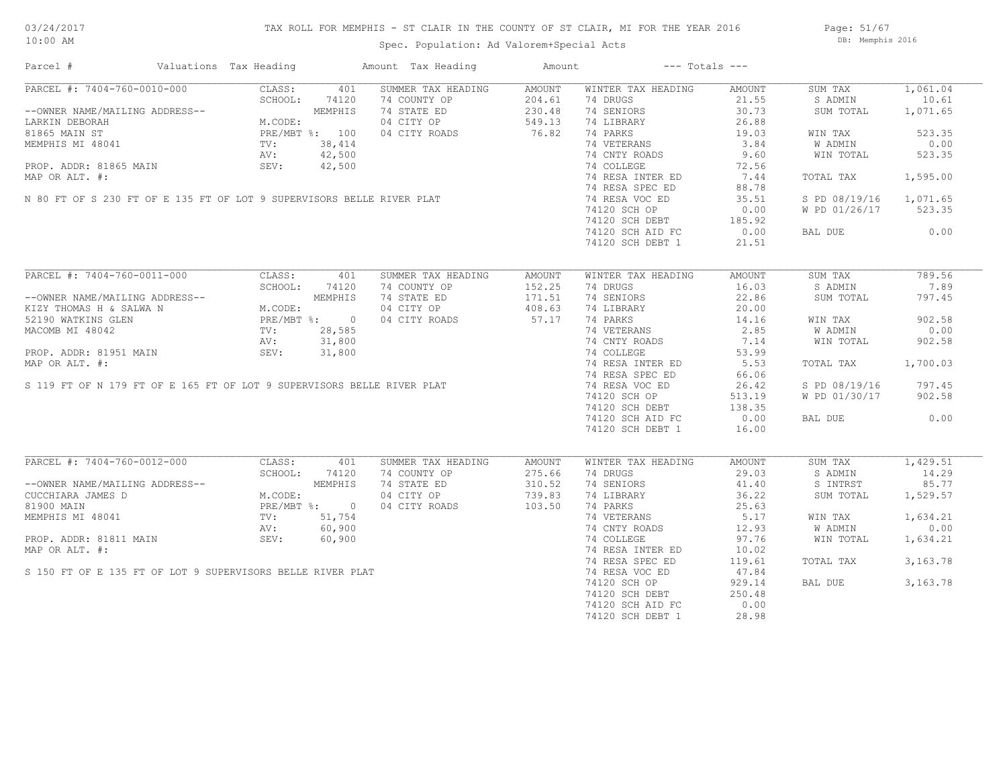## TAX ROLL FOR MEMPHIS - ST CLAIR IN THE COUNTY OF ST CLAIR, MI FOR THE YEAR 2016

Spec. Population: Ad Valorem+Special Acts

Page: 51/67 DB: Memphis 2016

| Parcel #                                                                                                                                                                                            | Valuations Tax Heading |              |         | Amount Tax Heading                                      | Amount |                                                      | $---$ Totals $---$ |                        |          |
|-----------------------------------------------------------------------------------------------------------------------------------------------------------------------------------------------------|------------------------|--------------|---------|---------------------------------------------------------|--------|------------------------------------------------------|--------------------|------------------------|----------|
| PARCEL #: 7404-760-0010-000                                                                                                                                                                         |                        | CLASS:       | 401     | SUMMER TAX HEADING                                      | AMOUNT | WINTER TAX HEADING                                   | AMOUNT             | SUM TAX                | 1,061.04 |
|                                                                                                                                                                                                     |                        | SCHOOL:      | 74120   | 74 COUNTY OP                                            | 204.61 | 74 DRUGS                                             | 21.55              | S ADMIN                | 10.61    |
| --OWNER NAME/MAILING ADDRESS--<br>LARKIN DEBORAH M.CODE:<br>81865 MAIN ST PRE/MBT %: 100<br>MEMPHIS MI 48041 TV: 38,414<br>PROP. ADDR: 81865 MAIN SEV: 42,500<br>PROP. ADDR: 81865 MAIN SEV: 42,500 |                        |              |         | 74 STATE ED                                             | 230.48 | 74 SENIORS                                           | 30.73              | SUM TOTAL              | 1,071.65 |
|                                                                                                                                                                                                     |                        |              |         | 74 STATE ED<br>04 CITY OP 549.13<br>04 CITY ROADS 76.82 |        | 74 LIBRARY                                           | 26.88              |                        |          |
|                                                                                                                                                                                                     |                        |              |         | 04 CITY ROADS                                           |        | 74 PARKS                                             | 19.03              | WIN TAX                | 523.35   |
|                                                                                                                                                                                                     |                        |              |         |                                                         |        | 74 VETERANS                                          | 3.84               | W ADMIN                | 0.00     |
|                                                                                                                                                                                                     |                        |              |         |                                                         |        | 74 CNTY ROADS                                        | 9.60               | WIN TOTAL              | 523.35   |
|                                                                                                                                                                                                     |                        |              |         |                                                         |        | 74 COLLEGE                                           |                    |                        |          |
|                                                                                                                                                                                                     |                        |              |         |                                                         |        | 74 RESA INTER ED                                     | $rac{1}{7.44}$     | TOTAL TAX              | 1,595.00 |
|                                                                                                                                                                                                     |                        |              |         |                                                         |        | 74 RESA SPEC ED                                      | 88.78              |                        |          |
| MEMPHIS MI 48041<br>PROP. ADDR: 81865 MAIN<br>MAP OR ALT. #:<br>N 80 FT OF S 230 FT OF E 135 FT OF LOT 9 SUPERVISORS BELLE RIVER PLAT                                                               |                        |              |         |                                                         |        | 74 RESA VOC ED                                       | 35.51              | S PD 08/19/16 1,071.65 |          |
|                                                                                                                                                                                                     |                        |              |         |                                                         |        |                                                      |                    | W PD 01/26/17          | 523.35   |
|                                                                                                                                                                                                     |                        |              |         |                                                         |        | 74120 SCH OF<br>74120 SCH DEBT 185.92<br>185.92      |                    |                        |          |
|                                                                                                                                                                                                     |                        |              |         |                                                         |        |                                                      |                    |                        |          |
|                                                                                                                                                                                                     |                        |              |         |                                                         |        |                                                      |                    | BAL DUE                | 0.00     |
|                                                                                                                                                                                                     |                        |              |         |                                                         |        | 74120 SCH DEBT 1                                     | 21.51              |                        |          |
| PARCEL #: 7404-760-0011-000                                                                                                                                                                         |                        | CLASS:       | 401     | SUMMER TAX HEADING                                      | AMOUNT | WINTER TAX HEADING                                   | AMOUNT             | SUM TAX                | 789.56   |
|                                                                                                                                                                                                     |                        | SCHOOL:      | 74120   | 74 COUNTY OP                                            | 152.25 | 74 DRUGS                                             | 16.03              | S ADMIN                | 7.89     |
|                                                                                                                                                                                                     |                        |              |         |                                                         | 171.51 |                                                      | 22.86              |                        | 797.45   |
| --OWNER NAME/MAILING ADDRESS--<br>KIZY THOMAS H & SALWA N M.CODE:<br>52190 WATKINS GLEN PRE/MBT %: 0<br>MACOMB MI 48042 TV: 28,585<br>PROP. ADDR: 31,800                                            |                        |              |         | 74 STATE ED                                             |        | 74 SENIORS                                           |                    | SUM TOTAL              |          |
|                                                                                                                                                                                                     |                        |              |         | 04 CITY OP                                              | 408.63 | 74 LIBRARY                                           | 20.00              |                        |          |
|                                                                                                                                                                                                     |                        |              |         | 04 CITY ROADS                                           | 57.17  | 74 PARKS                                             | 14.16              | WIN TAX                | 902.58   |
|                                                                                                                                                                                                     |                        |              |         |                                                         |        | 74 VETERANS<br>74 CNTY ROADS                         | 2.85               | W ADMIN                | 0.00     |
|                                                                                                                                                                                                     |                        |              |         |                                                         |        |                                                      | 7.14               | WIN TOTAL              | 902.58   |
|                                                                                                                                                                                                     |                        |              |         |                                                         |        | 74 COLLEGE                                           | 53.99              |                        |          |
|                                                                                                                                                                                                     |                        |              |         |                                                         |        | 74 RESA INTER ED                                     | 5.53               | TOTAL TAX              | 1,700.03 |
|                                                                                                                                                                                                     |                        |              |         |                                                         |        | 74 RESA SPEC ED                                      | 66.06              |                        |          |
| MACOMB MI 48042<br>MACOMB MI 48042<br>PROP. ADDR: 81951 MAIN<br>MAP OR ALT. #:<br>S 119 FT OF N 179 FT OF E 165 FT OF LOT 9 SUPERVISORS BELLE RIVER PLAT                                            |                        |              |         |                                                         |        | 74 RESA VOC ED                                       | 26.42              | S PD 08/19/16          | 797.45   |
|                                                                                                                                                                                                     |                        |              |         |                                                         |        | 74120 SCH OP                                         | 513.19             | W PD 01/30/17          | 902.58   |
|                                                                                                                                                                                                     |                        |              |         |                                                         |        | 74120 SCH DEBT<br>74120 SCH DEBT<br>TILOO OOU AID RC | 138.35             |                        |          |
|                                                                                                                                                                                                     |                        |              |         |                                                         |        | 74120 SCH AID FC                                     | 0.00               | BAL DUE                | 0.00     |
|                                                                                                                                                                                                     |                        |              |         |                                                         |        | 74120 SCH DEBT 1                                     | 16.00              |                        |          |
|                                                                                                                                                                                                     |                        |              |         |                                                         |        |                                                      |                    |                        |          |
| PARCEL #: 7404-760-0012-000                                                                                                                                                                         |                        | CLASS:       | 401     | SUMMER TAX HEADING                                      | AMOUNT | WINTER TAX HEADING                                   | AMOUNT             | SUM TAX                | 1,429.51 |
|                                                                                                                                                                                                     |                        | SCHOOL:      | 74120   | 74 COUNTY OP                                            | 275.66 | 74 DRUGS                                             | 29.03              | S ADMIN                | 14.29    |
| --OWNER NAME/MAILING ADDRESS--<br>CUCCHIARA JAMES D<br>81900 MAIN PRE/MI<br>MEMPHIS MI 48041 TV:<br>PROP. ADDR: 81811 MAIN SEV:<br>PROP. ADDR: 81811 MAIN SEV:                                      |                        |              | MEMPHIS | 74 STATE ED                                             | 310.52 | 74 SENIORS                                           | 41.40              | S INTRST               | 85.77    |
|                                                                                                                                                                                                     |                        | M.CODE:      |         | 04 CITY OP                                              | 739.83 | 74 LIBRARY                                           | 36.22              | SUM TOTAL              | 1,529.57 |
|                                                                                                                                                                                                     |                        | PRE/MBT %: 0 |         | 04 CITY ROADS                                           | 103.50 | 74 PARKS                                             | 25.63              |                        |          |
|                                                                                                                                                                                                     |                        |              |         |                                                         |        | 74 VETERANS                                          | 5.17               | WIN TAX                | 1,634.21 |
|                                                                                                                                                                                                     |                        |              |         |                                                         |        | 74 CNTY ROADS                                        | 12.93              | W ADMIN                | 0.00     |
|                                                                                                                                                                                                     |                        |              |         |                                                         |        | 74 COLLEGE                                           | 97.76              | WIN TOTAL              | 1,634.21 |
|                                                                                                                                                                                                     |                        |              |         |                                                         |        | 74 RESA INTER ED                                     | 10.02              |                        |          |
|                                                                                                                                                                                                     |                        |              |         |                                                         |        | 74 RESA SPEC ED                                      | 119.61             | TOTAL TAX              | 3,163.78 |
|                                                                                                                                                                                                     |                        |              |         |                                                         |        | 74 RESA VOC ED                                       | 47.84              |                        |          |
|                                                                                                                                                                                                     |                        |              |         |                                                         |        | 74120 SCH OP                                         | 929.14             | BAL DUE                | 3,163.78 |
|                                                                                                                                                                                                     |                        |              |         |                                                         |        | 74120 SCH DEBT                                       | 250.48             |                        |          |
| PROP. ADDR: 81811 MAIN<br>MAP OR ALT. #:<br>S 150 FT OF E 135 FT OF LOT 9 SUPERVISORS BELLE RIVER PLAT                                                                                              |                        |              |         |                                                         |        | 74120 SCH AID FC                                     | 0.00               |                        |          |
|                                                                                                                                                                                                     |                        |              |         |                                                         |        | 74120 SCH DEBT 1                                     | 28.98              |                        |          |
|                                                                                                                                                                                                     |                        |              |         |                                                         |        |                                                      |                    |                        |          |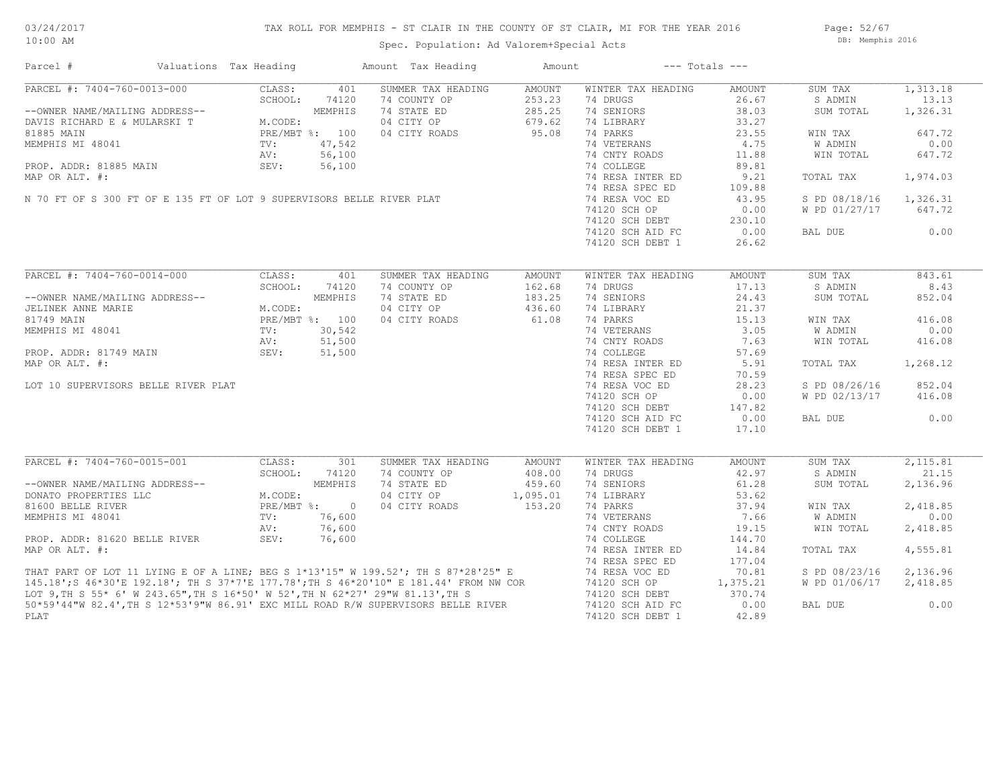## TAX ROLL FOR MEMPHIS - ST CLAIR IN THE COUNTY OF ST CLAIR, MI FOR THE YEAR 2016

Spec. Population: Ad Valorem+Special Acts

Page: 52/67 DB: Memphis 2016

| Parcel #                                                                                                                                                                                                                             | Valuations Tax Heading |                | Amount Tax Heading | Amount         |                    | $---$ Totals $---$ |               |          |
|--------------------------------------------------------------------------------------------------------------------------------------------------------------------------------------------------------------------------------------|------------------------|----------------|--------------------|----------------|--------------------|--------------------|---------------|----------|
| PARCEL #: 7404-760-0013-000                                                                                                                                                                                                          | CLASS:                 | 401            | SUMMER TAX HEADING | AMOUNT         | WINTER TAX HEADING | AMOUNT             | SUM TAX       | 1,313.18 |
|                                                                                                                                                                                                                                      | SCHOOL:                | 74120          | 74 COUNTY OP       | 253.23         | 74 DRUGS           | 26.67              | S ADMIN       | 13.13    |
| --OWNER NAME/MAILING ADDRESS--                                                                                                                                                                                                       |                        | MEMPHIS        | 74 STATE ED        | 285.25         | 74 SENIORS         | 38.03              | SUM TOTAL     | 1,326.31 |
| DAVIS RICHARD E & MULARSKI T                                                                                                                                                                                                         | M.CODE:                |                | 04 CITY OP         | 679.62         | 74 LIBRARY         | 33.27              |               |          |
| 81885 MAIN                                                                                                                                                                                                                           |                        | PRE/MBT %: 100 | 04 CITY ROADS      | 95.08          | 74 PARKS           | 23.55              | WIN TAX       | 647.72   |
| MEMPHIS MI 48041                                                                                                                                                                                                                     | TV:                    | 47,542         |                    |                | 74 VETERANS        | 4.75               | W ADMIN       | 0.00     |
|                                                                                                                                                                                                                                      | AV:                    | 56,100         |                    |                | 74 CNTY ROADS      | 11.88              | WIN TOTAL     | 647.72   |
| PROP. ADDR: 81885 MAIN                                                                                                                                                                                                               | SEV:                   | 56,100         |                    |                | 74 COLLEGE         | 89.81              |               |          |
| MAP OR ALT. #:                                                                                                                                                                                                                       |                        |                |                    |                | 74 RESA INTER ED   | 9.21               | TOTAL TAX     | 1,974.03 |
|                                                                                                                                                                                                                                      |                        |                |                    |                | 74 RESA SPEC ED    |                    |               |          |
| N 70 FT OF S 300 FT OF E 135 FT OF LOT 9 SUPERVISORS BELLE RIVER PLAT                                                                                                                                                                |                        |                |                    |                |                    | 109.88             |               |          |
|                                                                                                                                                                                                                                      |                        |                |                    | 74 RESA VOC ED | 43.95              | S PD 08/18/16      | 1,326.31      |          |
|                                                                                                                                                                                                                                      |                        | 74120 SCH OP   | 0.00               | W PD 01/27/17  | 647.72             |                    |               |          |
|                                                                                                                                                                                                                                      |                        |                |                    |                | 74120 SCH DEBT     | 230.10             |               |          |
|                                                                                                                                                                                                                                      |                        |                |                    |                | 74120 SCH AID FC   | 0.00               | BAL DUE       | 0.00     |
|                                                                                                                                                                                                                                      |                        |                |                    |                | 74120 SCH DEBT 1   | 26.62              |               |          |
|                                                                                                                                                                                                                                      |                        |                |                    |                |                    |                    |               |          |
| PARCEL #: 7404-760-0014-000                                                                                                                                                                                                          | CLASS:                 | 401            | SUMMER TAX HEADING | AMOUNT         | WINTER TAX HEADING | AMOUNT             | SUM TAX       | 843.61   |
|                                                                                                                                                                                                                                      | SCHOOL:                | 74120          | 74 COUNTY OP       | 162.68         | 74 DRUGS           | 17.13              | S ADMIN       | 8.43     |
| --OWNER NAME/MAILING ADDRESS--                                                                                                                                                                                                       |                        | MEMPHIS        | 74 STATE ED        | 183.25         | 74 SENIORS         | 24.43              | SUM TOTAL     | 852.04   |
| JELINEK ANNE MARIE                                                                                                                                                                                                                   | M.CODE:                |                | 04 CITY OP         | 436.60         | 74 LIBRARY         | 21.37              |               |          |
| 81749 MAIN                                                                                                                                                                                                                           |                        | PRE/MBT %: 100 | 04 CITY ROADS      | 61.08          | 74 PARKS           | 15.13              | WIN TAX       | 416.08   |
| MEMPHIS MI 48041                                                                                                                                                                                                                     | TV:                    | 30,542         |                    |                | 74 VETERANS        | 3.05               | W ADMIN       | 0.00     |
|                                                                                                                                                                                                                                      | AV:                    | 51,500         |                    |                | 74 CNTY ROADS      | 7.63               | WIN TOTAL     | 416.08   |
| PROP. ADDR: 81749 MAIN                                                                                                                                                                                                               | SEV:                   | 51,500         |                    |                | 74 COLLEGE         | 57.69              |               |          |
|                                                                                                                                                                                                                                      |                        |                |                    |                |                    |                    |               |          |
| MAP OR ALT. #:                                                                                                                                                                                                                       |                        |                |                    |                | 74 RESA INTER ED   | 5.91               | TOTAL TAX     | 1,268.12 |
|                                                                                                                                                                                                                                      |                        |                |                    |                | 74 RESA SPEC ED    | 70.59              |               |          |
| LOT 10 SUPERVISORS BELLE RIVER PLAT                                                                                                                                                                                                  |                        |                |                    |                | 74 RESA VOC ED     | 28.23              | S PD 08/26/16 | 852.04   |
|                                                                                                                                                                                                                                      |                        |                |                    |                | 74120 SCH OP       | 0.00               | W PD 02/13/17 | 416.08   |
|                                                                                                                                                                                                                                      |                        |                |                    |                | 74120 SCH DEBT     | 147.82             |               |          |
|                                                                                                                                                                                                                                      |                        |                |                    |                | 74120 SCH AID FC   | 0.00               | BAL DUE       | 0.00     |
|                                                                                                                                                                                                                                      |                        |                |                    |                | 74120 SCH DEBT 1   | 17.10              |               |          |
|                                                                                                                                                                                                                                      |                        |                |                    |                |                    |                    |               |          |
| PARCEL #: 7404-760-0015-001                                                                                                                                                                                                          | CLASS:                 | 301            | SUMMER TAX HEADING | AMOUNT         | WINTER TAX HEADING | AMOUNT             | SUM TAX       | 2,115.81 |
|                                                                                                                                                                                                                                      | SCHOOL:                | 74120          | 74 COUNTY OP       | 408.00         | 74 DRUGS           | 42.97              | S ADMIN       | 21.15    |
| --OWNER NAME/MAILING ADDRESS--                                                                                                                                                                                                       |                        | MEMPHIS        | 74 STATE ED        | 459.60         | 74 SENIORS         | 61.28              | SUM TOTAL     | 2,136.96 |
| DONATO PROPERTIES LLC                                                                                                                                                                                                                | M.CODE:                |                | 04 CITY OP         | 1,095.01       | 74 LIBRARY         | 53.62              |               |          |
| 81600 BELLE RIVER                                                                                                                                                                                                                    |                        | PRE/MBT %: 0   | 04 CITY ROADS      | 153.20         | 74 PARKS           | 37.94              | WIN TAX       | 2,418.85 |
| MEMPHIS MI 48041                                                                                                                                                                                                                     | TV:                    | 76,600         |                    |                | 74 VETERANS        | 7.66               | W ADMIN       | 0.00     |
|                                                                                                                                                                                                                                      |                        |                |                    |                | 74 CNTY ROADS      |                    |               |          |
|                                                                                                                                                                                                                                      | AV:                    | 76,600         |                    |                |                    | 19.15              | WIN TOTAL     | 2,418.85 |
| PROP. ADDR: 81620 BELLE RIVER                                                                                                                                                                                                        | SEV:                   | 76,600         |                    |                | 74 COLLEGE         | 144.70             |               |          |
| MAP OR ALT. #:                                                                                                                                                                                                                       |                        |                |                    |                | 74 RESA INTER ED   | 14.84              | TOTAL TAX     | 4,555.81 |
|                                                                                                                                                                                                                                      |                        |                |                    |                | 74 RESA SPEC ED    | 177.04             |               |          |
|                                                                                                                                                                                                                                      |                        |                |                    |                | 74 RESA VOC ED     | 70.81              | S PD 08/23/16 | 2,136.96 |
| THAT PART OF LOT 11 LYING E OF A LINE; BEG S 1*13'15" W 199.52'; TH S 87*28'25" E<br>145.18';S 46*30'E 192.18'; TH S 37*7'E 177.78';TH S 46*20'10" E 181.44' FROM NW COR<br>LOT 9,TH S 55* 6' W 243.65",TH S 16*50' W 52',TH N 62*27 |                        |                |                    |                | 74120 SCH OP       | 1,375.21           | W PD 01/06/17 | 2,418.85 |
|                                                                                                                                                                                                                                      |                        |                |                    |                | 74120 SCH DEBT     | 370.74             |               |          |
|                                                                                                                                                                                                                                      |                        |                |                    |                | 74120 SCH AID FC   | 0.00               | BAL DUE       | 0.00     |
| PLAT                                                                                                                                                                                                                                 |                        |                |                    |                | 74120 SCH DEBT 1   | 42.89              |               |          |
|                                                                                                                                                                                                                                      |                        |                |                    |                |                    |                    |               |          |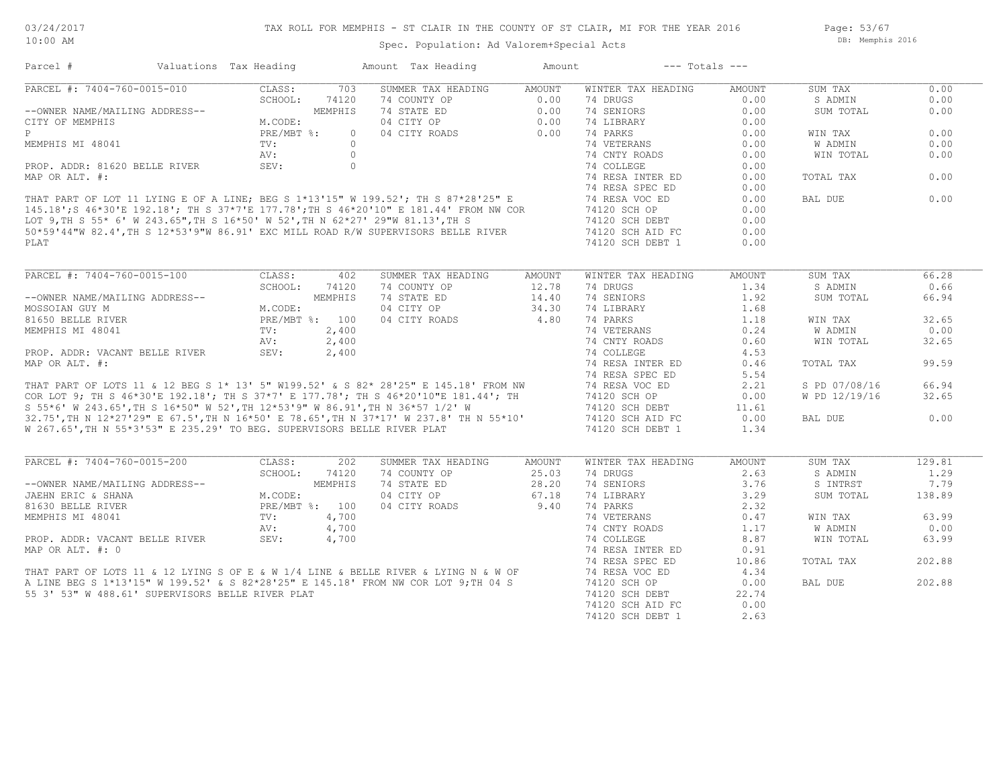Page: 53/67 DB: Memphis 2016

| Parcel #                                                                                                                                                                                                                             | Valuations Tax Heading                                                  |            |                | Amount Tax Heading | Amount | $---$ Totals $---$ |        |               |        |
|--------------------------------------------------------------------------------------------------------------------------------------------------------------------------------------------------------------------------------------|-------------------------------------------------------------------------|------------|----------------|--------------------|--------|--------------------|--------|---------------|--------|
| PARCEL #: 7404-760-0015-010                                                                                                                                                                                                          |                                                                         | CLASS:     | 703            | SUMMER TAX HEADING | AMOUNT | WINTER TAX HEADING | AMOUNT | SUM TAX       | 0.00   |
|                                                                                                                                                                                                                                      |                                                                         | SCHOOL:    | 74120          | 74 COUNTY OP       | 0.00   | 74 DRUGS           | 0.00   | S ADMIN       | 0.00   |
| --OWNER NAME/MAILING ADDRESS--                                                                                                                                                                                                       |                                                                         |            | MEMPHIS        | 74 STATE ED        | 0.00   | 74 SENIORS         | 0.00   | SUM TOTAL     | 0.00   |
| CITY OF MEMPHIS                                                                                                                                                                                                                      |                                                                         | M.CODE:    |                | 04 CITY OP         | 0.00   | 74 LIBRARY         | 0.00   |               |        |
| P                                                                                                                                                                                                                                    |                                                                         | PRE/MBT %: | $\Omega$       | 04 CITY ROADS      | 0.00   | 74 PARKS           | 0.00   | WIN TAX       | 0.00   |
| MEMPHIS MI 48041                                                                                                                                                                                                                     |                                                                         | TV:        | $\bigcirc$     |                    |        | 74 VETERANS        | 0.00   | W ADMIN       | 0.00   |
|                                                                                                                                                                                                                                      |                                                                         | AV:        | $\circ$        |                    |        | 74 CNTY ROADS      | 0.00   | WIN TOTAL     | 0.00   |
| PROP. ADDR: 81620 BELLE RIVER                                                                                                                                                                                                        |                                                                         | SEV:       | $\circ$        |                    |        | 74 COLLEGE         | 0.00   |               |        |
| MAP OR ALT. #:                                                                                                                                                                                                                       |                                                                         |            |                |                    |        | 74 RESA INTER ED   | 0.00   | TOTAL TAX     | 0.00   |
|                                                                                                                                                                                                                                      |                                                                         |            |                |                    |        | 74 RESA SPEC ED    | 0.00   |               |        |
| THAT PART OF LOT 11 LYING E OF A LINE; BEG S 1*13'15" W 199.52'; TH S 87*28'25" E<br>145.18';S 46*30'E 192.18'; TH S 37*7'E 177.78';TH S 46*20'10" E 181.44' FROM NW COR<br>LOT 9,TH S 55* 6' W 243.65",TH S 16*50' W 52',TH N 62*27 |                                                                         |            |                |                    |        | 74 RESA VOC ED     | 0.00   | BAL DUE       | 0.00   |
|                                                                                                                                                                                                                                      |                                                                         |            |                |                    |        | 74120 SCH OP       | 0.00   |               |        |
|                                                                                                                                                                                                                                      |                                                                         |            |                |                    |        | 74120 SCH DEBT     | 0.00   |               |        |
|                                                                                                                                                                                                                                      |                                                                         |            |                |                    |        | 74120 SCH AID FC   | 0.00   |               |        |
| PLAT                                                                                                                                                                                                                                 |                                                                         |            |                |                    |        | 74120 SCH DEBT 1   | 0.00   |               |        |
|                                                                                                                                                                                                                                      |                                                                         |            |                |                    |        |                    |        |               |        |
|                                                                                                                                                                                                                                      |                                                                         |            |                |                    |        |                    |        |               |        |
| PARCEL #: 7404-760-0015-100                                                                                                                                                                                                          |                                                                         | CLASS:     | 402            | SUMMER TAX HEADING | AMOUNT | WINTER TAX HEADING | AMOUNT | SUM TAX       | 66.28  |
|                                                                                                                                                                                                                                      |                                                                         | SCHOOL:    | 74120          | 74 COUNTY OP       | 12.78  | 74 DRUGS           | 1.34   | S ADMIN       | 0.66   |
| --OWNER NAME/MAILING ADDRESS--                                                                                                                                                                                                       |                                                                         |            | MEMPHIS        | 74 STATE ED        | 14.40  | 74 SENIORS         | 1.92   | SUM TOTAL     | 66.94  |
| MOSSOIAN GUY M                                                                                                                                                                                                                       |                                                                         | M.CODE:    |                | 04 CITY OP         | 34.30  | 74 LIBRARY         | 1.68   |               |        |
| 81650 BELLE RIVER                                                                                                                                                                                                                    |                                                                         |            | PRE/MBT %: 100 | 04 CITY ROADS      | 4.80   | 74 PARKS           | 1.18   | WIN TAX       | 32.65  |
| MEMPHIS MI 48041                                                                                                                                                                                                                     |                                                                         | TV:        | 2,400          |                    |        | 74 VETERANS        | 0.24   | W ADMIN       | 0.00   |
|                                                                                                                                                                                                                                      |                                                                         | AV:        | 2,400          |                    |        | 74 CNTY ROADS      | 0.60   | WIN TOTAL     | 32.65  |
| PROP. ADDR: VACANT BELLE RIVER                                                                                                                                                                                                       |                                                                         | SEV:       | 2,400          |                    |        | 74 COLLEGE         | 4.53   |               |        |
| MAP OR ALT. #:                                                                                                                                                                                                                       |                                                                         |            |                |                    |        | 74 RESA INTER ED   | 0.46   | TOTAL TAX     | 99.59  |
|                                                                                                                                                                                                                                      |                                                                         |            |                |                    |        | 74 RESA SPEC ED    | 5.54   |               |        |
|                                                                                                                                                                                                                                      |                                                                         |            |                |                    |        | 74 RESA VOC ED     | 2.21   | S PD 07/08/16 | 66.94  |
| THAT PART OF LOTS 11 & 12 BEG S 1* 13' 5" W199.52' & S 82* 28'25" E 145.18' FROM NW<br>COR LOT 9; TH S 46*30'E 192.18'; TH S 37*7' E 177.78'; TH S 46*20'10"E 181.44'; TH                                                            |                                                                         |            |                |                    |        | 74120 SCH OP       | 0.00   | W PD 12/19/16 | 32.65  |
|                                                                                                                                                                                                                                      |                                                                         |            |                |                    |        | 74120 SCH DEBT     | 11.61  |               |        |
| s 55*6' W 243.65',TH S 16*50" W 52',TH 12*53'9" W 86.91',TH N 36*57 1/2' W<br>32.75',TH N 12*27'29" E 67.5',TH N 16*50' E 78.65',TH N 37*17' W 237.8' TH N 55*10'                                                                    |                                                                         |            |                |                    |        |                    | 0.00   | BAL DUE       | 0.00   |
|                                                                                                                                                                                                                                      |                                                                         |            |                |                    |        | 74120 SCH AID FC   |        |               |        |
| W 267.65', TH N 55*3'53" E 235.29' TO BEG. SUPERVISORS BELLE RIVER PLAT                                                                                                                                                              |                                                                         |            |                |                    |        | 74120 SCH DEBT 1   | 1.34   |               |        |
|                                                                                                                                                                                                                                      |                                                                         |            |                |                    |        |                    |        |               |        |
| PARCEL #: 7404-760-0015-200                                                                                                                                                                                                          |                                                                         | CLASS:     | 202            | SUMMER TAX HEADING | AMOUNT | WINTER TAX HEADING | AMOUNT | SUM TAX       | 129.81 |
|                                                                                                                                                                                                                                      |                                                                         | SCHOOL:    | 74120          | 74 COUNTY OP       | 25.03  | 74 DRUGS           | 2.63   | S ADMIN       | 1.29   |
| --OWNER NAME/MAILING ADDRESS--                                                                                                                                                                                                       |                                                                         |            |                | 74 STATE ED        | 28.20  | 74 SENIORS         | 3.76   | S INTRST      | 7.79   |
| JAEHN ERIC & SHANA                                                                                                                                                                                                                   |                                                                         |            |                | 04 CITY OP         | 67.18  | 74 LIBRARY         | 3.29   | SUM TOTAL     | 138.89 |
| 81630 BELLE RIVER                                                                                                                                                                                                                    |                                                                         |            |                | 04 CITY ROADS 9.40 |        | 74 PARKS           | 2.32   |               |        |
| MEMPHIS MI 48041                                                                                                                                                                                                                     |                                                                         |            |                |                    |        | 74 VETERANS        | 0.47   | WIN TAX       | 63.99  |
|                                                                                                                                                                                                                                      |                                                                         |            |                |                    |        | 74 CNTY ROADS      | 1.17   | W ADMIN       | 0.00   |
|                                                                                                                                                                                                                                      |                                                                         |            |                |                    |        | 74 COLLEGE         | 8.87   | WIN TOTAL     | 63.99  |
|                                                                                                                                                                                                                                      |                                                                         |            |                |                    |        | 74 RESA INTER ED   | 0.91   |               |        |
|                                                                                                                                                                                                                                      | -- M.CODE:<br>PRE/MBT %: 100<br>TV: 4,700<br>AV: 4,70<br>PTVER SEV: 4,7 |            |                |                    |        | 74 RESA SPEC ED    | 10.86  | TOTAL TAX     | 202.88 |
|                                                                                                                                                                                                                                      |                                                                         |            |                |                    |        | 74 RESA VOC ED     | 4.34   |               |        |
| PROP. ADDR: VACANT BELLE RIVER<br>MAP OR ALT. #: 0<br>THAT PART OF LOTS 11 & 12 LYING S OF E & W 1/4 LINE & BELLE RIVER & LYING N & W OF<br>A LINE BEG S 1*13'15" W 199.52' & S 82*28'25" E 145.18' FROM NW COR LOT 9; TH 04 S       |                                                                         |            |                |                    |        | 74120 SCH OP       | 0.00   | BAL DUE       | 202.88 |
| 55 3' 53" W 488.61' SUPERVISORS BELLE RIVER PLAT                                                                                                                                                                                     |                                                                         |            |                |                    |        | 74120 SCH DEBT     | 22.74  |               |        |
|                                                                                                                                                                                                                                      |                                                                         |            |                |                    |        | 74120 SCH AID FC   | 0.00   |               |        |
|                                                                                                                                                                                                                                      |                                                                         |            |                |                    |        | 74120 SCH DEBT 1   | 2.63   |               |        |
|                                                                                                                                                                                                                                      |                                                                         |            |                |                    |        |                    |        |               |        |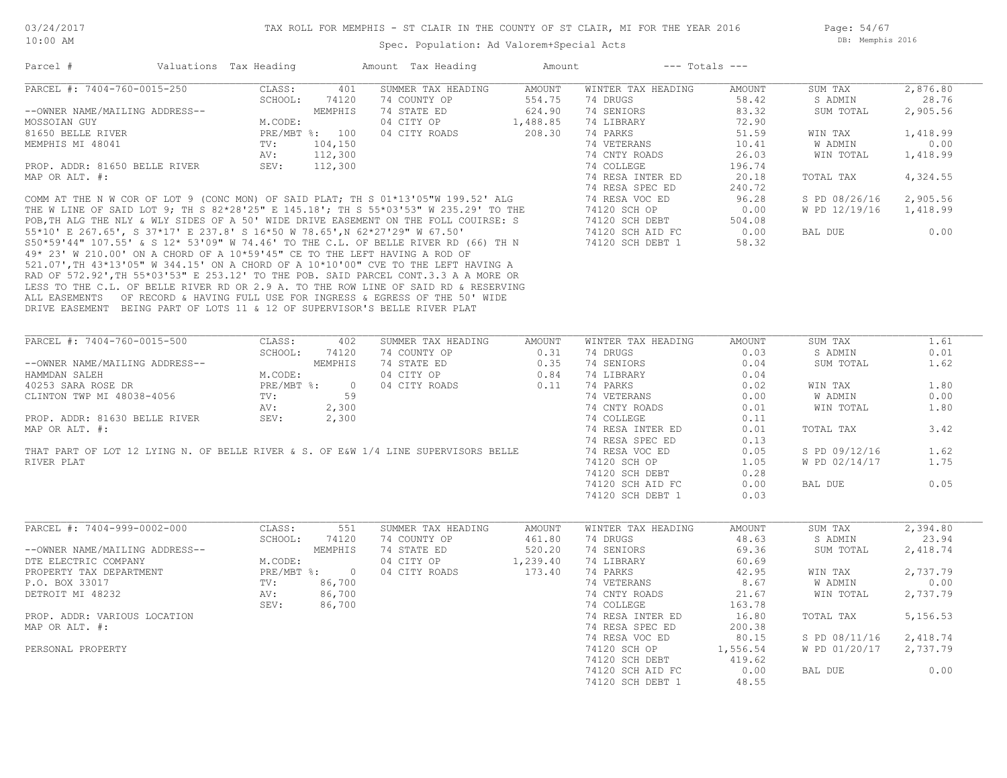| Parcel #                                                                   | Valuations Tax Heading |                | Amount Tax Heading                                                                  | Amount   |                    | $---$ Totals $---$ |               |          |
|----------------------------------------------------------------------------|------------------------|----------------|-------------------------------------------------------------------------------------|----------|--------------------|--------------------|---------------|----------|
| PARCEL #: 7404-760-0015-250                                                | CLASS:                 | 401            | SUMMER TAX HEADING                                                                  | AMOUNT   | WINTER TAX HEADING | AMOUNT             | SUM TAX       | 2,876.80 |
|                                                                            | SCHOOL:                | 74120          | 74 COUNTY OP                                                                        | 554.75   | 74 DRUGS           | 58.42              | S ADMIN       | 28.76    |
| --OWNER NAME/MAILING ADDRESS--                                             |                        | MEMPHIS        | 74 STATE ED                                                                         | 624.90   | 74 SENIORS         | 83.32              | SUM TOTAL     | 2,905.56 |
| MOSSOIAN GUY                                                               | M.CODE:                |                | 04 CITY OP                                                                          | 1,488.85 | 74 LIBRARY         | 72.90              |               |          |
| 81650 BELLE RIVER                                                          |                        | PRE/MBT %: 100 | 04 CITY ROADS                                                                       | 208.30   | 74 PARKS           | 51.59              | WIN TAX       | 1,418.99 |
| MEMPHIS MI 48041                                                           | $\text{TV}$ :          | 104,150        |                                                                                     |          | 74 VETERANS        | 10.41              | W ADMIN       | 0.00     |
|                                                                            | AV:                    | 112,300        |                                                                                     |          | 74 CNTY ROADS      | 26.03              | WIN TOTAL     | 1,418.99 |
| PROP. ADDR: 81650 BELLE RIVER                                              | SEV:                   | 112,300        |                                                                                     |          | 74 COLLEGE         | 196.74             |               |          |
| MAP OR ALT. #:                                                             |                        |                |                                                                                     |          | 74 RESA INTER ED   | 20.18              | TOTAL TAX     | 4,324.55 |
|                                                                            |                        |                |                                                                                     |          | 74 RESA SPEC ED    | 240.72             |               |          |
|                                                                            |                        |                | COMM AT THE N W COR OF LOT 9 (CONC MON) OF SAID PLAT; TH S 01*13'05"W 199.52' ALG   |          | 74 RESA VOC ED     | 96.28              | S PD 08/26/16 | 2,905.56 |
|                                                                            |                        |                | THE W LINE OF SAID LOT 9; TH S 82*28'25" E 145.18'; TH S 55*03'53" W 235.29' TO THE |          | 74120 SCH OP       | 0.00               | W PD 12/19/16 | 1,418.99 |
|                                                                            |                        |                | POB, TH ALG THE NLY & WLY SIDES OF A 50' WIDE DRIVE EASEMENT ON THE FOLL COUIRSE: S |          | 74120 SCH DEBT     | 504.08             |               |          |
|                                                                            |                        |                | 55*10' E 267.65', S 37*17' E 237.8' S 16*50 W 78.65',N 62*27'29" W 67.50'           |          | 74120 SCH AID FC   | 0.00               | BAL DUE       | 0.00     |
|                                                                            |                        |                | S50*59'44" 107.55' & S 12* 53'09" W 74.46' TO THE C.L. OF BELLE RIVER RD (66) TH N  |          | 74120 SCH DEBT 1   | 58.32              |               |          |
| 49* 23' W 210.00' ON A CHORD OF A 10*59'45" CE TO THE LEFT HAVING A ROD OF |                        |                |                                                                                     |          |                    |                    |               |          |
|                                                                            |                        |                | 521.07', TH 43*13'05" W 344.15' ON A CHORD OF A 10*10'00" CVE TO THE LEFT HAVING A  |          |                    |                    |               |          |
|                                                                            |                        |                | RAD OF 572.92', TH 55*03'53" E 253.12' TO THE POB. SAID PARCEL CONT.3.3 A A MORE OR |          |                    |                    |               |          |
|                                                                            |                        |                | LESS TO THE C.L. OF BELLE RIVER RD OR 2.9 A. TO THE ROW LINE OF SAID RD & RESERVING |          |                    |                    |               |          |
|                                                                            |                        |                | ALL EASEMENTS OF RECORD & HAVING FULL USE FOR INGRESS & EGRESS OF THE 50' WIDE      |          |                    |                    |               |          |
| DRIVE EASEMENT BEING PART OF LOTS 11 & 12 OF SUPERVISOR'S BELLE RIVER PLAT |                        |                |                                                                                     |          |                    |                    |               |          |
|                                                                            |                        |                |                                                                                     |          |                    |                    |               |          |
|                                                                            |                        |                |                                                                                     |          |                    |                    |               |          |
| PARCEL #: 7404-760-0015-500                                                | CLASS:                 | 402            | SUMMER TAX HEADING                                                                  | AMOUNT   | WINTER TAX HEADING | AMOUNT             | SUM TAX       | 1.61     |
|                                                                            | SCHOOL:                | 74120          | 74 COUNTY OP                                                                        | 0.31     | 74 DRUGS           | 0.03               | S ADMIN       | 0.01     |
| --OWNER NAME/MAILING ADDRESS--                                             |                        | MEMPHIS        | 74 STATE ED                                                                         | 0.35     | 74 SENIORS         | 0.04               | SUM TOTAL     | 1.62     |
| HAMMDAN SALEH                                                              | M.CODE:                |                | 04 CITY OP                                                                          | 0.84     | 74 LIBRARY         | 0.04               |               |          |
| 40253 SARA ROSE DR                                                         | PRE/MBT %:             | $\overline{0}$ | 04 CITY ROADS                                                                       | 0.11     | 74 PARKS           | 0.02               | WIN TAX       | 1.80     |
| CLINTON TWP MI 48038-4056                                                  | TV:                    | 59             |                                                                                     |          | 74 VETERANS        | 0.00               | W ADMIN       | 0.00     |
|                                                                            | AV:                    | 2,300          |                                                                                     |          | 74 CNTY ROADS      | 0.01               | WIN TOTAL     | 1.80     |
| PROP. ADDR: 81630 BELLE RIVER                                              | SEV:                   | 2,300          |                                                                                     |          | 74 COLLEGE         | 0.11               |               |          |
| MAP OR ALT. #:                                                             |                        |                |                                                                                     |          | 74 RESA INTER ED   | 0.01               | TOTAL TAX     | 3.42     |
|                                                                            |                        |                |                                                                                     |          | 74 RESA SPEC ED    | 0.13               |               |          |
|                                                                            |                        |                | THAT PART OF LOT 12 LYING N. OF BELLE RIVER & S. OF E&W 1/4 LINE SUPERVISORS BELLE  |          | 74 RESA VOC ED     | 0.05               | S PD 09/12/16 | 1.62     |
| RIVER PLAT                                                                 |                        |                |                                                                                     |          | 74120 SCH OP       | 1.05               | W PD 02/14/17 | 1.75     |
|                                                                            |                        |                |                                                                                     |          | 74120 SCH DEBT     | 0.28               |               |          |
|                                                                            |                        |                |                                                                                     |          | 74120 SCH AID FC   | 0.00               | BAL DUE       | 0.05     |
|                                                                            |                        |                |                                                                                     |          | 74120 SCH DEBT 1   | 0.03               |               |          |
|                                                                            |                        |                |                                                                                     |          |                    |                    |               |          |
|                                                                            |                        |                |                                                                                     |          |                    |                    |               |          |
| PARCEL #: 7404-999-0002-000                                                | CLASS:                 | 551            | SUMMER TAX HEADING                                                                  | AMOUNT   | WINTER TAX HEADING | AMOUNT             | SUM TAX       | 2,394.80 |
|                                                                            | SCHOOL:                | 74120          | 74 COUNTY OP                                                                        | 461.80   | 74 DRUGS           | 48.63              | S ADMIN       | 23.94    |
| --OWNER NAME/MAILING ADDRESS--                                             |                        | MEMPHIS        | 74 STATE ED                                                                         | 520.20   | 74 SENIORS         | 69.36              | SUM TOTAL     | 2,418.74 |
| DTE ELECTRIC COMPANY                                                       | M.CODE:                |                | 04 CITY OP                                                                          | 1,239.40 | 74 LIBRARY         | 60.69              |               |          |
| PROPERTY TAX DEPARTMENT                                                    |                        | PRE/MBT %: 0   | 04 CITY ROADS                                                                       | 173.40   | 74 PARKS           | 42.95              | WIN TAX       | 2,737.79 |
| P.O. BOX 33017                                                             | TV:                    | 86,700         |                                                                                     |          | 74 VETERANS        | 8.67               | W ADMIN       | 0.00     |
| DETROIT MI 48232                                                           | AV:                    | 86,700         |                                                                                     |          | 74 CNTY ROADS      | 21.67              | WIN TOTAL     | 2,737.79 |
|                                                                            | SEV:                   | 86,700         |                                                                                     |          | 74 COLLEGE         | 163.78             |               |          |
| PROP. ADDR: VARIOUS LOCATION                                               |                        |                |                                                                                     |          | 74 RESA INTER ED   | 16.80              | TOTAL TAX     | 5,156.53 |
| MAP OR ALT. #:                                                             |                        |                |                                                                                     |          | 74 RESA SPEC ED    | 200.38             |               |          |
|                                                                            |                        |                |                                                                                     |          | 74 RESA VOC ED     | 80.15              | S PD 08/11/16 | 2,418.74 |
| PERSONAL PROPERTY                                                          |                        |                |                                                                                     |          | 74120 SCH OP       | 1,556.54           | W PD 01/20/17 | 2,737.79 |
|                                                                            |                        |                |                                                                                     |          | 74120 SCH DEBT     | 419.62             |               |          |
|                                                                            |                        |                |                                                                                     |          | 74120 SCH AID FC   | 0.00               | BAL DUE       | 0.00     |
|                                                                            |                        |                |                                                                                     |          | 74120 SCH DEBT 1   | 48.55              |               |          |
|                                                                            |                        |                |                                                                                     |          |                    |                    |               |          |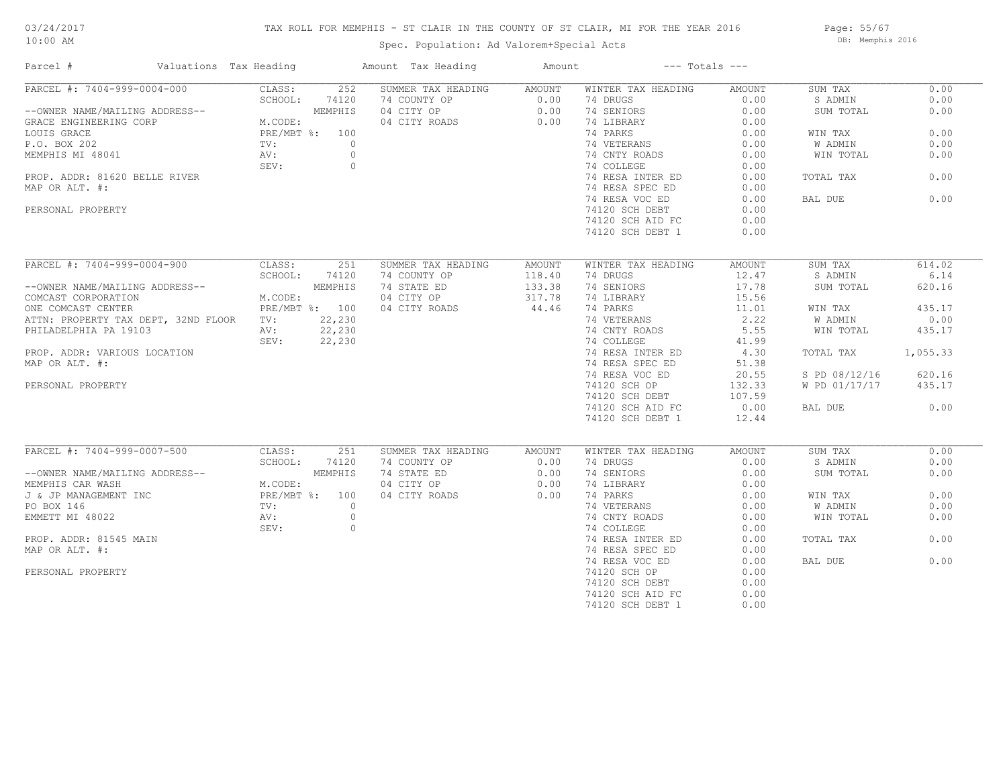# 03/24/2017

## TAX ROLL FOR MEMPHIS - ST CLAIR IN THE COUNTY OF ST CLAIR, MI FOR THE YEAR 2016

10:00 AM

## Spec. Population: Ad Valorem+Special Acts

Page: 55/67 DB: Memphis 2016

| Parcel #                            | Valuations Tax Heading   | Amount Tax Heading | Amount | $---$ Totals $---$ |        |               |          |
|-------------------------------------|--------------------------|--------------------|--------|--------------------|--------|---------------|----------|
| PARCEL #: 7404-999-0004-000         | CLASS:<br>252            | SUMMER TAX HEADING | AMOUNT | WINTER TAX HEADING | AMOUNT | SUM TAX       | 0.00     |
|                                     | SCHOOL:<br>74120         | 74 COUNTY OP       | 0.00   | 74 DRUGS           | 0.00   | S ADMIN       | 0.00     |
| --OWNER NAME/MAILING ADDRESS--      | MEMPHIS                  | 04 CITY OP         | 0.00   | 74 SENIORS         | 0.00   | SUM TOTAL     | 0.00     |
| GRACE ENGINEERING CORP              | M.CODE:                  | 04 CITY ROADS      | 0.00   | 74 LIBRARY         | 0.00   |               |          |
| LOUIS GRACE                         | PRE/MBT %: 100           |                    |        | 74 PARKS           | 0.00   | WIN TAX       | 0.00     |
| P.O. BOX 202                        | $\circ$<br>$\text{TV}$ : |                    |        | 74 VETERANS        | 0.00   | W ADMIN       | 0.00     |
| MEMPHIS MI 48041                    | $\circ$<br>AV:           |                    |        | 74 CNTY ROADS      | 0.00   | WIN TOTAL     | 0.00     |
|                                     | SEV:<br>$\circ$          |                    |        | 74 COLLEGE         | 0.00   |               |          |
| PROP. ADDR: 81620 BELLE RIVER       |                          |                    |        | 74 RESA INTER ED   | 0.00   | TOTAL TAX     | 0.00     |
| MAP OR ALT. #:                      |                          |                    |        | 74 RESA SPEC ED    | 0.00   |               |          |
|                                     |                          |                    |        | 74 RESA VOC ED     | 0.00   | BAL DUE       | 0.00     |
|                                     |                          |                    |        |                    | 0.00   |               |          |
| PERSONAL PROPERTY                   |                          |                    |        | 74120 SCH DEBT     |        |               |          |
|                                     |                          |                    |        | 74120 SCH AID FC   | 0.00   |               |          |
|                                     |                          |                    |        | 74120 SCH DEBT 1   | 0.00   |               |          |
| PARCEL #: 7404-999-0004-900         | CLASS:<br>251            | SUMMER TAX HEADING | AMOUNT | WINTER TAX HEADING | AMOUNT | SUM TAX       | 614.02   |
|                                     | SCHOOL:<br>74120         | 74 COUNTY OP       | 118.40 | 74 DRUGS           | 12.47  | S ADMIN       | 6.14     |
| --OWNER NAME/MAILING ADDRESS--      | MEMPHIS                  | 74 STATE ED        | 133.38 | 74 SENIORS         | 17.78  | SUM TOTAL     | 620.16   |
|                                     |                          |                    |        |                    |        |               |          |
| COMCAST CORPORATION                 | M.CODE:                  | 04 CITY OP         | 317.78 | 74 LIBRARY         | 15.56  |               |          |
| ONE COMCAST CENTER                  | PRE/MBT %: 100           | 04 CITY ROADS      | 44.46  | 74 PARKS           | 11.01  | WIN TAX       | 435.17   |
| ATTN: PROPERTY TAX DEPT, 32ND FLOOR | 22,230<br>$\text{TV}$ :  |                    |        | 74 VETERANS        | 2.22   | W ADMIN       | 0.00     |
| PHILADELPHIA PA 19103               | 22,230<br>AV:            |                    |        | 74 CNTY ROADS      | 5.55   | WIN TOTAL     | 435.17   |
|                                     | SEV:<br>22,230           |                    |        | 74 COLLEGE         | 41.99  |               |          |
| PROP. ADDR: VARIOUS LOCATION        |                          |                    |        | 74 RESA INTER ED   | 4.30   | TOTAL TAX     | 1,055.33 |
| MAP OR ALT. #:                      |                          |                    |        | 74 RESA SPEC ED    | 51.38  |               |          |
|                                     |                          |                    |        | 74 RESA VOC ED     | 20.55  | S PD 08/12/16 | 620.16   |
| PERSONAL PROPERTY                   |                          |                    |        | 74120 SCH OP       | 132.33 | W PD 01/17/17 | 435.17   |
|                                     |                          |                    |        | 74120 SCH DEBT     | 107.59 |               |          |
|                                     |                          |                    |        | 74120 SCH AID FC   | 0.00   | BAL DUE       | 0.00     |
|                                     |                          |                    |        | 74120 SCH DEBT 1   | 12.44  |               |          |
|                                     |                          |                    |        |                    |        |               |          |
| PARCEL #: 7404-999-0007-500         | CLASS:<br>251            | SUMMER TAX HEADING | AMOUNT | WINTER TAX HEADING | AMOUNT | SUM TAX       | 0.00     |
|                                     | SCHOOL:<br>74120         | 74 COUNTY OP       | 0.00   | 74 DRUGS           | 0.00   | S ADMIN       | 0.00     |
| --OWNER NAME/MAILING ADDRESS--      | MEMPHIS                  | 74 STATE ED        | 0.00   | 74 SENIORS         | 0.00   | SUM TOTAL     | 0.00     |
| MEMPHIS CAR WASH                    | M.CODE:                  | 04 CITY OP         | 0.00   | 74 LIBRARY         | 0.00   |               |          |
| J & JP MANAGEMENT INC               | PRE/MBT %: 100           | 04 CITY ROADS      | 0.00   | 74 PARKS           | 0.00   | WIN TAX       | 0.00     |
| PO BOX 146                          | TV:<br>$\circ$           |                    |        | 74 VETERANS        | 0.00   | W ADMIN       | 0.00     |
| EMMETT MI 48022                     | $\circ$<br>AV:           |                    |        | 74 CNTY ROADS      | 0.00   | WIN TOTAL     | 0.00     |
|                                     | SEV:<br>$\circ$          |                    |        | 74 COLLEGE         | 0.00   |               |          |
| PROP. ADDR: 81545 MAIN              |                          |                    |        | 74 RESA INTER ED   | 0.00   | TOTAL TAX     | 0.00     |
| MAP OR ALT. #:                      |                          |                    |        | 74 RESA SPEC ED    | 0.00   |               |          |
|                                     |                          |                    |        | 74 RESA VOC ED     | 0.00   | BAL DUE       | 0.00     |
| PERSONAL PROPERTY                   |                          |                    |        | 74120 SCH OP       | 0.00   |               |          |
|                                     |                          |                    |        | 74120 SCH DEBT     | 0.00   |               |          |
|                                     |                          |                    |        | 74120 SCH AID FC   | 0.00   |               |          |
|                                     |                          |                    |        |                    |        |               |          |
|                                     |                          |                    |        | 74120 SCH DEBT 1   | 0.00   |               |          |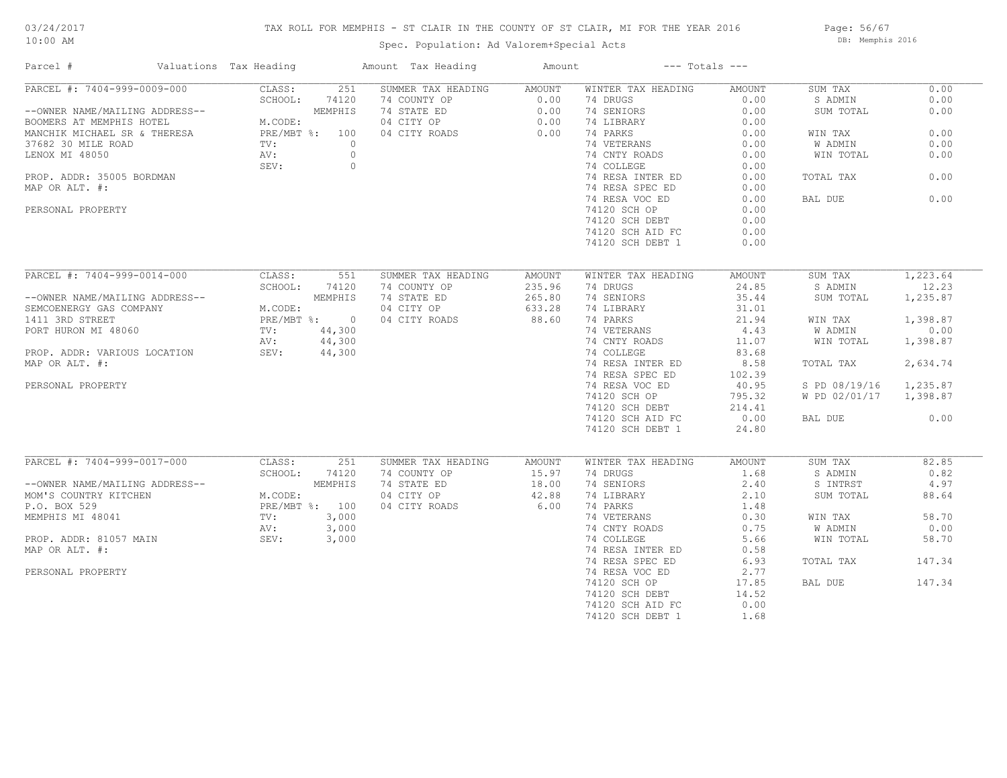# 03/24/2017

#### 10:00 AM

## TAX ROLL FOR MEMPHIS - ST CLAIR IN THE COUNTY OF ST CLAIR, MI FOR THE YEAR 2016

Spec. Population: Ad Valorem+Special Acts

Page: 56/67 DB: Memphis 2016

| Parcel #                                                                                                                                                                | Valuations Tax Heading |                                                                               | Amount Tax Heading               | Amount                                      | --- Totals ---     |        |                        |          |
|-------------------------------------------------------------------------------------------------------------------------------------------------------------------------|------------------------|-------------------------------------------------------------------------------|----------------------------------|---------------------------------------------|--------------------|--------|------------------------|----------|
| PARCEL #: 7404-999-0009-000                                                                                                                                             |                        | CLASS:                                                                        | 251<br>SUMMER TAX HEADING AMOUNT |                                             | WINTER TAX HEADING | AMOUNT | SUM TAX                | 0.00     |
|                                                                                                                                                                         |                        | SCHOOL:<br>74120                                                              | 74 COUNTY OP                     |                                             | 74 DRUGS           | 0.00   | S ADMIN                | 0.00     |
| --OWNER NAME/MAILING ADDRESS--<br>BOOMERS AT MEMPHIS HOTEL MACODE:<br>MANCHIK MICHAEL SR & THERESA PRE/MBT %: 100                                                       |                        |                                                                               | 74 STATE ED                      | $\begin{array}{c} 0.00 \\ 0.00 \end{array}$ | 74 SENIORS         | 0.00   | SUM TOTAL              | 0.00     |
|                                                                                                                                                                         |                        |                                                                               | 04 CITY OP                       | $0.00$<br>$0.00$                            | 74 LIBRARY         | 0.00   |                        |          |
|                                                                                                                                                                         |                        |                                                                               | 04 CITY ROADS                    |                                             | 74 PARKS           | 0.00   | WIN TAX                | 0.00     |
| 37682 30 MILE ROAD                                                                                                                                                      |                        | TV:                                                                           | $\circ$                          |                                             | 74 VETERANS        | 0.00   | W ADMIN                | 0.00     |
| LENOX MI 48050                                                                                                                                                          |                        | AV:                                                                           | $\circ$                          |                                             | 74 CNTY ROADS      | 0.00   | WIN TOTAL              | 0.00     |
|                                                                                                                                                                         |                        | SEV:                                                                          | $\circ$                          |                                             | 74 COLLEGE         | 0.00   |                        |          |
| PROP. ADDR: 35005 BORDMAN                                                                                                                                               |                        |                                                                               |                                  |                                             | 74 RESA INTER ED   | 0.00   | TOTAL TAX              | 0.00     |
| MAP OR ALT. #:                                                                                                                                                          |                        |                                                                               |                                  |                                             | 74 RESA SPEC ED    | 0.00   |                        |          |
|                                                                                                                                                                         |                        |                                                                               |                                  |                                             | 74 RESA VOC ED     | 0.00   | BAL DUE                | 0.00     |
| PERSONAL PROPERTY                                                                                                                                                       |                        |                                                                               |                                  |                                             | 74120 SCH OP       | 0.00   |                        |          |
|                                                                                                                                                                         |                        |                                                                               |                                  |                                             | 74120 SCH DEBT     | 0.00   |                        |          |
|                                                                                                                                                                         |                        |                                                                               |                                  |                                             | 74120 SCH AID FC   | 0.00   |                        |          |
|                                                                                                                                                                         |                        |                                                                               |                                  |                                             | 74120 SCH DEBT 1   | 0.00   |                        |          |
|                                                                                                                                                                         |                        |                                                                               |                                  |                                             |                    |        |                        |          |
| PARCEL #: 7404-999-0014-000                                                                                                                                             |                        | CLASS:<br>551                                                                 | SUMMER TAX HEADING               | AMOUNT                                      | WINTER TAX HEADING | AMOUNT | SUM TAX                | 1,223.64 |
|                                                                                                                                                                         |                        | SCHOOL:<br>74120                                                              | 74 COUNTY OP                     | 235.96                                      | 74 DRUGS           | 24.85  | S ADMIN                | 12.23    |
|                                                                                                                                                                         |                        |                                                                               | 74 STATE ED                      | 265.80                                      | 74 SENIORS         | 35.44  | SUM TOTAL              | 1,235.87 |
| --OWNER NAME/MAILING ADDRESS--<br>SEMCOENERGY GAS COMPANY M.CODE:<br>1411 3RD STREET PRE/MBT %: 0<br>PORT HURON MI 48060 TV: 44,300<br>N.CODE:<br>TV: 44,300<br>N.CODE: |                        |                                                                               | 04 CITY OP                       | 633.28                                      | 74 LIBRARY         | 31.01  |                        |          |
|                                                                                                                                                                         |                        |                                                                               |                                  | 88.60                                       | 74 PARKS           |        |                        | 1,398.87 |
|                                                                                                                                                                         |                        |                                                                               | 04 CITY ROADS                    |                                             |                    | 21.94  | WIN TAX                |          |
|                                                                                                                                                                         |                        |                                                                               |                                  |                                             | 74 VETERANS        | 4.43   | W ADMIN                | 0.00     |
|                                                                                                                                                                         |                        | AV: 44,300                                                                    |                                  |                                             | 74 CNTY ROADS      | 11.07  | WIN TOTAL              | 1,398.87 |
| PROP. ADDR: VARIOUS LOCATION SEV: 44,300                                                                                                                                |                        |                                                                               |                                  |                                             | 74 COLLEGE         | 83.68  |                        |          |
| MAP OR ALT. #:                                                                                                                                                          |                        |                                                                               |                                  |                                             | 74 RESA INTER ED   | 8.58   | TOTAL TAX              | 2,634.74 |
|                                                                                                                                                                         |                        |                                                                               |                                  |                                             | 74 RESA SPEC ED    | 102.39 |                        |          |
| PERSONAL PROPERTY                                                                                                                                                       |                        |                                                                               |                                  |                                             | 74 RESA VOC ED     | 40.95  | S PD 08/19/16 1,235.87 |          |
|                                                                                                                                                                         |                        |                                                                               |                                  |                                             | 74120 SCH OP       | 795.32 | W PD 02/01/17 1,398.87 |          |
|                                                                                                                                                                         |                        |                                                                               |                                  |                                             | 74120 SCH DEBT     | 214.41 |                        |          |
|                                                                                                                                                                         |                        |                                                                               |                                  |                                             | 74120 SCH AID FC   | 0.00   | BAL DUE                | 0.00     |
|                                                                                                                                                                         |                        |                                                                               |                                  |                                             | 74120 SCH DEBT 1   | 24.80  |                        |          |
|                                                                                                                                                                         |                        |                                                                               |                                  |                                             |                    |        |                        |          |
| PARCEL #: 7404-999-0017-000                                                                                                                                             |                        | CLASS:                                                                        | 251<br>SUMMER TAX HEADING        | AMOUNT                                      | WINTER TAX HEADING | AMOUNT | SUM TAX                | 82.85    |
|                                                                                                                                                                         |                        |                                                                               | 74 COUNTY OP                     | 15.97                                       | 74 DRUGS           | 1.68   | S ADMIN                | 0.82     |
| --OWNER NAME/MAILING ADDRESS--                                                                                                                                          |                        | SUHOOL: 7412<br>S-- MEMPHIA<br>M.CODE: MEMPHIA<br>PRE/MBT %: 100<br>TV: 3.000 | 74 STATE ED                      | 18.00                                       | 74 SENIORS         | 2.40   | S INTRST               | 4.97     |
| MOM'S COUNTRY KITCHEN                                                                                                                                                   |                        |                                                                               | 04 CITY OP                       | 42.88                                       | 74 LIBRARY         | 2.10   | SUM TOTAL              | 88.64    |
| P.O. BOX 529                                                                                                                                                            |                        |                                                                               | 04 CITY ROADS                    | 6.00                                        | 74 PARKS           | 1.48   |                        |          |
| MEMPHIS MI 48041                                                                                                                                                        |                        |                                                                               |                                  |                                             | 74 VETERANS        | 0.30   | WIN TAX                | 58.70    |
|                                                                                                                                                                         |                        |                                                                               |                                  |                                             | 74 CNTY ROADS      | 0.75   | W ADMIN                | 0.00     |
| PROP. ADDR: 81057 MAIN                                                                                                                                                  |                        | 3,000<br>SEV:                                                                 |                                  |                                             | 74 COLLEGE         | 5.66   | WIN TOTAL              | 58.70    |
| MAP OR ALT. #:                                                                                                                                                          |                        |                                                                               |                                  |                                             | 74 RESA INTER ED   | 0.58   |                        |          |
|                                                                                                                                                                         |                        |                                                                               |                                  |                                             | 74 RESA SPEC ED    | 6.93   | TOTAL TAX              | 147.34   |
| PERSONAL PROPERTY                                                                                                                                                       |                        |                                                                               |                                  |                                             | 74 RESA VOC ED     | 2.77   |                        |          |
|                                                                                                                                                                         |                        |                                                                               |                                  |                                             | 74120 SCH OP       | 17.85  | BAL DUE                | 147.34   |
|                                                                                                                                                                         |                        |                                                                               |                                  |                                             | 74120 SCH DEBT     | 14.52  |                        |          |
|                                                                                                                                                                         |                        |                                                                               |                                  |                                             | 74120 SCH AID FC   | 0.00   |                        |          |
|                                                                                                                                                                         |                        |                                                                               |                                  |                                             | 74120 SCH DEBT 1   | 1.68   |                        |          |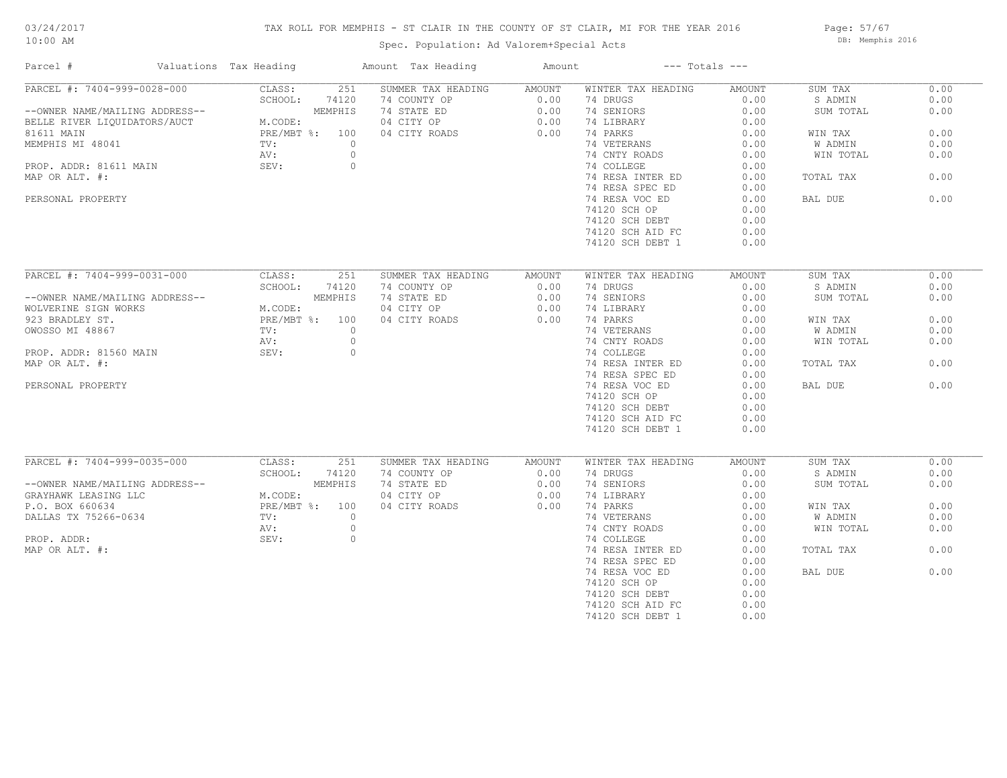## TAX ROLL FOR MEMPHIS - ST CLAIR IN THE COUNTY OF ST CLAIR, MI FOR THE YEAR 2016

Spec. Population: Ad Valorem+Special Acts

Page: 57/67 DB: Memphis 2016

| Parcel #                       | Valuations Tax Heading |         | Amount Tax Heading | Amount | $---$ Totals $---$ |        |           |      |
|--------------------------------|------------------------|---------|--------------------|--------|--------------------|--------|-----------|------|
| PARCEL #: 7404-999-0028-000    | CLASS:                 | 251     | SUMMER TAX HEADING | AMOUNT | WINTER TAX HEADING | AMOUNT | SUM TAX   | 0.00 |
|                                | SCHOOL:                | 74120   | 74 COUNTY OP       | 0.00   | 74 DRUGS           | 0.00   | S ADMIN   | 0.00 |
| --OWNER NAME/MAILING ADDRESS-- |                        | MEMPHIS | 74 STATE ED        | 0.00   | 74 SENIORS         | 0.00   | SUM TOTAL | 0.00 |
| BELLE RIVER LIQUIDATORS/AUCT   | M.CODE:                |         | 04 CITY OP         | 0.00   | 74 LIBRARY         | 0.00   |           |      |
| 81611 MAIN                     | PRE/MBT %: 100         |         | 04 CITY ROADS      | 0.00   | 74 PARKS           | 0.00   | WIN TAX   | 0.00 |
| MEMPHIS MI 48041               | TV:                    | $\circ$ |                    |        | 74 VETERANS        | 0.00   | W ADMIN   | 0.00 |
|                                | AV:                    | $\circ$ |                    |        | 74 CNTY ROADS      | 0.00   | WIN TOTAL | 0.00 |
| PROP. ADDR: 81611 MAIN         | SEV:                   | $\circ$ |                    |        | 74 COLLEGE         | 0.00   |           |      |
| MAP OR ALT. #:                 |                        |         |                    |        | 74 RESA INTER ED   | 0.00   | TOTAL TAX | 0.00 |
|                                |                        |         |                    |        | 74 RESA SPEC ED    |        |           |      |
|                                |                        |         |                    |        |                    | 0.00   |           |      |
| PERSONAL PROPERTY              |                        |         |                    |        | 74 RESA VOC ED     | 0.00   | BAL DUE   | 0.00 |
|                                |                        |         |                    |        | 74120 SCH OP       | 0.00   |           |      |
|                                |                        |         |                    |        | 74120 SCH DEBT     | 0.00   |           |      |
|                                |                        |         |                    |        | 74120 SCH AID FC   | 0.00   |           |      |
|                                |                        |         |                    |        | 74120 SCH DEBT 1   | 0.00   |           |      |
|                                |                        |         |                    |        |                    |        |           |      |
| PARCEL #: 7404-999-0031-000    | CLASS:                 | 251     | SUMMER TAX HEADING | AMOUNT | WINTER TAX HEADING | AMOUNT | SUM TAX   | 0.00 |
|                                | SCHOOL:                | 74120   | 74 COUNTY OP       | 0.00   | 74 DRUGS           | 0.00   | S ADMIN   | 0.00 |
| --OWNER NAME/MAILING ADDRESS-- |                        | MEMPHIS | 74 STATE ED        | 0.00   | 74 SENIORS         | 0.00   | SUM TOTAL | 0.00 |
| WOLVERINE SIGN WORKS           | M.CODE:                |         | 04 CITY OP         | 0.00   | 74 LIBRARY         | 0.00   |           |      |
| 923 BRADLEY ST.                | PRE/MBT %: 100         |         | 04 CITY ROADS      | 0.00   | 74 PARKS           | 0.00   | WIN TAX   | 0.00 |
| OWOSSO MI 48867                | $\text{TV}$ :          | $\circ$ |                    |        | 74 VETERANS        | 0.00   | W ADMIN   | 0.00 |
|                                |                        |         |                    |        |                    |        |           |      |
|                                | AV:                    | $\circ$ |                    |        | 74 CNTY ROADS      | 0.00   | WIN TOTAL | 0.00 |
| PROP. ADDR: 81560 MAIN         | SEV:                   | $\circ$ |                    |        | 74 COLLEGE         | 0.00   |           |      |
| MAP OR ALT. #:                 |                        |         |                    |        | 74 RESA INTER ED   | 0.00   | TOTAL TAX | 0.00 |
|                                |                        |         |                    |        | 74 RESA SPEC ED    | 0.00   |           |      |
| PERSONAL PROPERTY              |                        |         |                    |        | 74 RESA VOC ED     | 0.00   | BAL DUE   | 0.00 |
|                                |                        |         |                    |        | 74120 SCH OP       | 0.00   |           |      |
|                                |                        |         |                    |        | 74120 SCH DEBT     | 0.00   |           |      |
|                                |                        |         |                    |        | 74120 SCH AID FC   | 0.00   |           |      |
|                                |                        |         |                    |        | 74120 SCH DEBT 1   | 0.00   |           |      |
|                                |                        |         |                    |        |                    |        |           |      |
| PARCEL #: 7404-999-0035-000    | CLASS:                 | 251     | SUMMER TAX HEADING | AMOUNT | WINTER TAX HEADING | AMOUNT | SUM TAX   | 0.00 |
|                                | SCHOOL:                | 74120   | 74 COUNTY OP       | 0.00   | 74 DRUGS           | 0.00   | S ADMIN   | 0.00 |
| --OWNER NAME/MAILING ADDRESS-- |                        | MEMPHIS | 74 STATE ED        | 0.00   | 74 SENIORS         | 0.00   | SUM TOTAL | 0.00 |
|                                |                        |         |                    |        |                    |        |           |      |
| GRAYHAWK LEASING LLC           | M.CODE:                |         | 04 CITY OP         | 0.00   | 74 LIBRARY         | 0.00   |           |      |
| P.O. BOX 660634                | PRE/MBT %: 100         |         | 04 CITY ROADS      | 0.00   | 74 PARKS           | 0.00   | WIN TAX   | 0.00 |
| DALLAS TX 75266-0634           | TV:                    | $\circ$ |                    |        | 74 VETERANS        | 0.00   | W ADMIN   | 0.00 |
|                                | AV:                    | $\circ$ |                    |        | 74 CNTY ROADS      | 0.00   | WIN TOTAL | 0.00 |
| PROP. ADDR:                    | SEV:                   | $\circ$ |                    |        | 74 COLLEGE         | 0.00   |           |      |
| MAP OR ALT. #:                 |                        |         |                    |        | 74 RESA INTER ED   | 0.00   | TOTAL TAX | 0.00 |
|                                |                        |         |                    |        | 74 RESA SPEC ED    | 0.00   |           |      |
|                                |                        |         |                    |        | 74 RESA VOC ED     | 0.00   | BAL DUE   | 0.00 |
|                                |                        |         |                    |        | 74120 SCH OP       | 0.00   |           |      |
|                                |                        |         |                    |        | 74120 SCH DEBT     | 0.00   |           |      |
|                                |                        |         |                    |        | 74120 SCH AID FC   | 0.00   |           |      |
|                                |                        |         |                    |        | 74120 SCH DEBT 1   | 0.00   |           |      |
|                                |                        |         |                    |        |                    |        |           |      |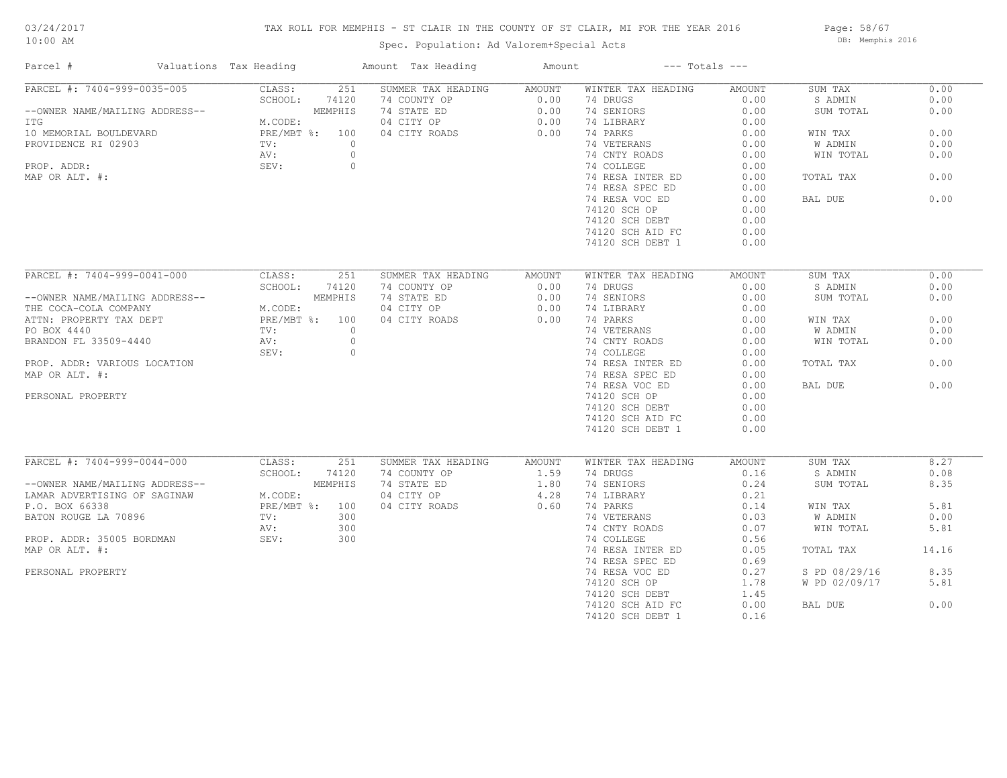# 03/24/2017

## TAX ROLL FOR MEMPHIS - ST CLAIR IN THE COUNTY OF ST CLAIR, MI FOR THE YEAR 2016

10:00 AM

## Spec. Population: Ad Valorem+Special Acts

Page: 58/67 DB: Memphis 2016

| Parcel #                       | Valuations Tax Heading |                | Amount Tax Heading                 | Amount         |                                | $---$ Totals $---$ |                    |              |
|--------------------------------|------------------------|----------------|------------------------------------|----------------|--------------------------------|--------------------|--------------------|--------------|
| PARCEL #: 7404-999-0035-005    | CLASS:                 | 251            | SUMMER TAX HEADING                 | <b>AMOUNT</b>  | WINTER TAX HEADING             | AMOUNT             | SUM TAX            | 0.00         |
|                                | SCHOOL:                | 74120          | 74 COUNTY OP                       | 0.00           | 74 DRUGS                       | 0.00               | S ADMIN            | 0.00         |
| --OWNER NAME/MAILING ADDRESS-- |                        | MEMPHIS        | 74 STATE ED                        | 0.00           | 74 SENIORS                     | 0.00               | SUM TOTAL          | 0.00         |
| ITG                            | M.CODE:                |                | 04 CITY OP                         | 0.00           | 74 LIBRARY                     | 0.00               |                    |              |
| 10 MEMORIAL BOULDEVARD         |                        | PRE/MBT %: 100 | 04 CITY ROADS                      | 0.00           | 74 PARKS                       | 0.00               | WIN TAX            | 0.00         |
| PROVIDENCE RI 02903            | TV:                    | $\circ$        |                                    |                | 74 VETERANS                    | 0.00               | W ADMIN            | 0.00         |
|                                | AV:                    | $\circ$        |                                    |                | 74 CNTY ROADS                  | 0.00               | WIN TOTAL          | 0.00         |
| PROP. ADDR:                    | SEV:                   | $\circ$        |                                    |                | 74 COLLEGE                     | 0.00               |                    |              |
| MAP OR ALT. #:                 |                        |                |                                    |                | 74 RESA INTER ED               | 0.00               | TOTAL TAX          | 0.00         |
|                                |                        |                |                                    |                | 74 RESA SPEC ED                | 0.00               |                    |              |
|                                |                        |                |                                    |                | 74 RESA VOC ED                 | 0.00               | BAL DUE            | 0.00         |
|                                |                        |                |                                    |                | 74120 SCH OP                   | 0.00               |                    |              |
|                                |                        |                |                                    |                | 74120 SCH DEBT                 | 0.00               |                    |              |
|                                |                        |                |                                    |                | 74120 SCH AID FC               | 0.00               |                    |              |
|                                |                        |                |                                    |                | 74120 SCH DEBT 1               | 0.00               |                    |              |
|                                |                        |                |                                    |                |                                |                    |                    |              |
| PARCEL #: 7404-999-0041-000    | CLASS:                 | 251            | SUMMER TAX HEADING                 | AMOUNT         | WINTER TAX HEADING             | AMOUNT             | SUM TAX            | 0.00         |
|                                | SCHOOL:                | 74120          | 74 COUNTY OP                       | 0.00           | 74 DRUGS                       | 0.00               | S ADMIN            | 0.00         |
| --OWNER NAME/MAILING ADDRESS-- |                        | MEMPHIS        | 74 STATE ED                        | 0.00           | 74 SENIORS                     | 0.00               | SUM TOTAL          | 0.00         |
| THE COCA-COLA COMPANY          | M.CODE:                |                | 04 CITY OP                         | 0.00           | 74 LIBRARY                     | 0.00               |                    |              |
|                                |                        | PRE/MBT %: 100 |                                    | 0.00           | 74 PARKS                       |                    |                    | 0.00         |
| ATTN: PROPERTY TAX DEPT        |                        |                | 04 CITY ROADS                      |                |                                | 0.00               | WIN TAX            |              |
| PO BOX 4440                    | TV:                    | $\circ$        |                                    |                | 74 VETERANS                    | 0.00               | W ADMIN            | 0.00         |
| BRANDON FL 33509-4440          | AV:                    | $\circ$        |                                    |                | 74 CNTY ROADS                  | 0.00               | WIN TOTAL          | 0.00         |
|                                | SEV:                   | $\circ$        |                                    |                | 74 COLLEGE                     | 0.00               |                    |              |
| PROP. ADDR: VARIOUS LOCATION   |                        |                |                                    |                | 74 RESA INTER ED               | 0.00               | TOTAL TAX          | 0.00         |
| MAP OR ALT. #:                 |                        |                |                                    |                | 74 RESA SPEC ED                | 0.00               |                    |              |
|                                |                        |                |                                    |                | 74 RESA VOC ED                 | 0.00               | BAL DUE            | 0.00         |
| PERSONAL PROPERTY              |                        |                |                                    |                | 74120 SCH OP                   | 0.00               |                    |              |
|                                |                        |                |                                    |                | 74120 SCH DEBT                 | 0.00               |                    |              |
|                                |                        |                |                                    |                | 74120 SCH AID FC               | 0.00               |                    |              |
|                                |                        |                |                                    |                | 74120 SCH DEBT 1               | 0.00               |                    |              |
|                                |                        |                |                                    |                |                                |                    |                    |              |
| PARCEL #: 7404-999-0044-000    | CLASS:<br>SCHOOL:      | 251            | SUMMER TAX HEADING<br>74 COUNTY OP | AMOUNT<br>1.59 | WINTER TAX HEADING<br>74 DRUGS | AMOUNT             | SUM TAX<br>S ADMIN | 8.27<br>0.08 |
|                                |                        | 74120          |                                    |                |                                | 0.16               |                    |              |
| --OWNER NAME/MAILING ADDRESS-- |                        | MEMPHIS        | 74 STATE ED                        | 1.80           | 74 SENIORS                     | 0.24               | SUM TOTAL          | 8.35         |
| LAMAR ADVERTISING OF SAGINAW   | M.CODE:                |                | 04 CITY OP                         | 4.28           | 74 LIBRARY                     | 0.21               |                    |              |
| P.O. BOX 66338                 |                        | PRE/MBT %: 100 | 04 CITY ROADS                      | 0.60           | 74 PARKS                       | 0.14               | WIN TAX            | 5.81         |
| BATON ROUGE LA 70896           | TV:                    | 300            |                                    |                | 74 VETERANS                    | 0.03               | W ADMIN            | 0.00         |
|                                | AV:                    | 300            |                                    |                | 74 CNTY ROADS                  | 0.07               | WIN TOTAL          | 5.81         |
| PROP. ADDR: 35005 BORDMAN      | SEV:                   | 300            |                                    |                | 74 COLLEGE                     | 0.56               |                    |              |
| MAP OR ALT. #:                 |                        |                |                                    |                | 74 RESA INTER ED               | 0.05               | TOTAL TAX          | 14.16        |
|                                |                        |                |                                    |                | 74 RESA SPEC ED                | 0.69               |                    |              |
| PERSONAL PROPERTY              |                        |                |                                    |                | 74 RESA VOC ED                 | 0.27               | S PD 08/29/16      | 8.35         |
|                                |                        |                |                                    |                | 74120 SCH OP                   | 1.78               | W PD 02/09/17      | 5.81         |
|                                |                        |                |                                    |                | 74120 SCH DEBT                 | 1.45               |                    |              |
|                                |                        |                |                                    |                | 74120 SCH AID FC               | 0.00               | BAL DUE            | 0.00         |
|                                |                        |                |                                    |                | 74120 SCH DEBT 1               | 0.16               |                    |              |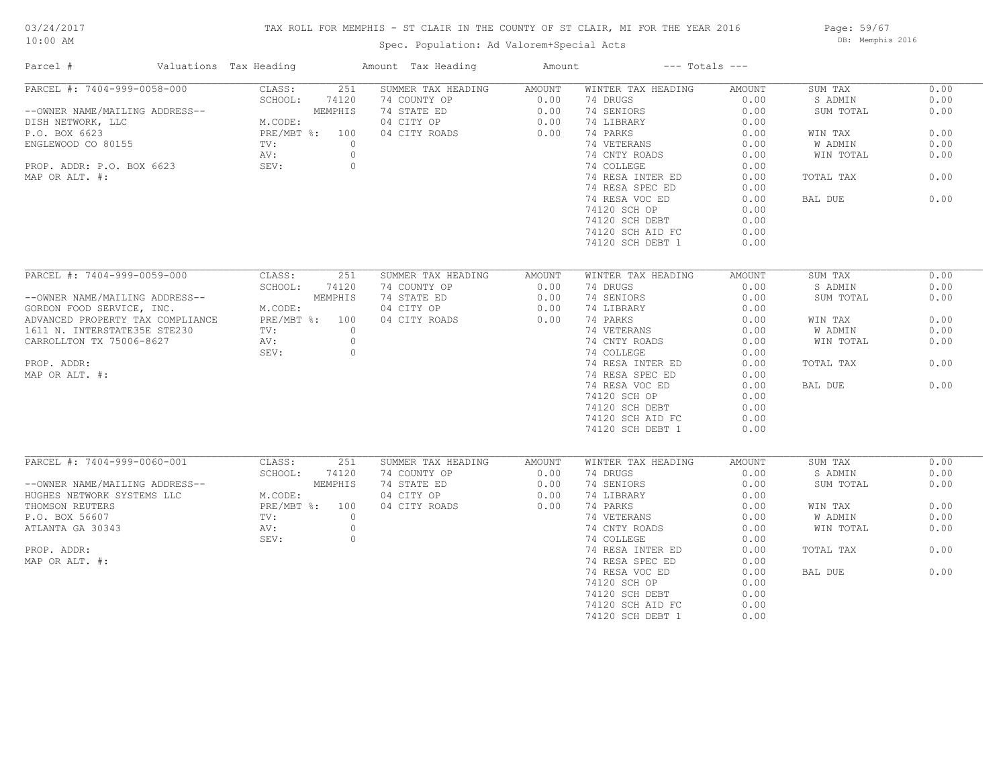## TAX ROLL FOR MEMPHIS - ST CLAIR IN THE COUNTY OF ST CLAIR, MI FOR THE YEAR 2016

Spec. Population: Ad Valorem+Special Acts

Page: 59/67 DB: Memphis 2016

| Parcel #                         | Valuations Tax Heading |                                 | Amount Tax Heading | Amount | $---$ Totals $---$ |        |           |      |
|----------------------------------|------------------------|---------------------------------|--------------------|--------|--------------------|--------|-----------|------|
| PARCEL #: 7404-999-0058-000      |                        | CLASS:<br>251                   | SUMMER TAX HEADING | AMOUNT | WINTER TAX HEADING | AMOUNT | SUM TAX   | 0.00 |
|                                  |                        | SCHOOL:<br>74120                | 74 COUNTY OP       | 0.00   | 74 DRUGS           | 0.00   | S ADMIN   | 0.00 |
| --OWNER NAME/MAILING ADDRESS--   |                        | MEMPHIS                         | 74 STATE ED        | 0.00   | 74 SENIORS         | 0.00   | SUM TOTAL | 0.00 |
| DISH NETWORK, LLC                |                        | M.CODE:                         | 04 CITY OP         | 0.00   | 74 LIBRARY         | 0.00   |           |      |
| P.O. BOX 6623                    |                        | PRE/MBT %: 100                  | 04 CITY ROADS      | 0.00   | 74 PARKS           | 0.00   | WIN TAX   | 0.00 |
| ENGLEWOOD CO 80155               |                        | $\text{TV}$ :<br>$\circ$        |                    |        | 74 VETERANS        | 0.00   | W ADMIN   | 0.00 |
|                                  |                        | $\circ$<br>AV:                  |                    |        | 74 CNTY ROADS      | 0.00   | WIN TOTAL | 0.00 |
| PROP. ADDR: P.O. BOX 6623        |                        | SEV:<br>$\circ$                 |                    |        | 74 COLLEGE         | 0.00   |           |      |
| MAP OR ALT. #:                   |                        |                                 |                    |        | 74 RESA INTER ED   | 0.00   | TOTAL TAX | 0.00 |
|                                  |                        |                                 |                    |        | 74 RESA SPEC ED    | 0.00   |           |      |
|                                  |                        |                                 |                    |        | 74 RESA VOC ED     | 0.00   | BAL DUE   | 0.00 |
|                                  |                        |                                 |                    |        | 74120 SCH OP       | 0.00   |           |      |
|                                  |                        |                                 |                    |        | 74120 SCH DEBT     | 0.00   |           |      |
|                                  |                        |                                 |                    |        | 74120 SCH AID FC   | 0.00   |           |      |
|                                  |                        |                                 |                    |        | 74120 SCH DEBT 1   | 0.00   |           |      |
|                                  |                        |                                 |                    |        |                    |        |           |      |
| PARCEL #: 7404-999-0059-000      |                        | CLASS:<br>251                   | SUMMER TAX HEADING | AMOUNT | WINTER TAX HEADING | AMOUNT | SUM TAX   | 0.00 |
|                                  |                        | SCHOOL:<br>74120                | 74 COUNTY OP       | 0.00   | 74 DRUGS           | 0.00   | S ADMIN   | 0.00 |
|                                  |                        |                                 |                    |        |                    |        |           |      |
| --OWNER NAME/MAILING ADDRESS--   |                        | MEMPHIS                         | 74 STATE ED        | 0.00   | 74 SENIORS         | 0.00   | SUM TOTAL | 0.00 |
| GORDON FOOD SERVICE, INC.        |                        | M.CODE:                         | 04 CITY OP         | 0.00   | 74 LIBRARY         | 0.00   |           |      |
| ADVANCED PROPERTY TAX COMPLIANCE |                        | PRE/MBT %: 100                  | 04 CITY ROADS      | 0.00   | 74 PARKS           | 0.00   | WIN TAX   | 0.00 |
| 1611 N. INTERSTATE35E STE230     |                        | $\overline{0}$<br>$\text{TV}$ : |                    |        | 74 VETERANS        | 0.00   | W ADMIN   | 0.00 |
| CARROLLTON TX 75006-8627         |                        | $\circ$<br>AV:                  |                    |        | 74 CNTY ROADS      | 0.00   | WIN TOTAL | 0.00 |
|                                  |                        | $\circ$<br>SEV:                 |                    |        | 74 COLLEGE         | 0.00   |           |      |
| PROP. ADDR:                      |                        |                                 |                    |        | 74 RESA INTER ED   | 0.00   | TOTAL TAX | 0.00 |
| MAP OR ALT. #:                   |                        |                                 |                    |        | 74 RESA SPEC ED    | 0.00   |           |      |
|                                  |                        |                                 |                    |        | 74 RESA VOC ED     | 0.00   | BAL DUE   | 0.00 |
|                                  |                        |                                 |                    |        | 74120 SCH OP       | 0.00   |           |      |
|                                  |                        |                                 |                    |        | 74120 SCH DEBT     | 0.00   |           |      |
|                                  |                        |                                 |                    |        | 74120 SCH AID FC   | 0.00   |           |      |
|                                  |                        |                                 |                    |        | 74120 SCH DEBT 1   | 0.00   |           |      |
|                                  |                        |                                 |                    |        |                    |        |           |      |
| PARCEL #: 7404-999-0060-001      |                        | CLASS:<br>251                   | SUMMER TAX HEADING | AMOUNT | WINTER TAX HEADING | AMOUNT | SUM TAX   | 0.00 |
|                                  |                        | SCHOOL:<br>74120                | 74 COUNTY OP       | 0.00   | 74 DRUGS           | 0.00   | S ADMIN   | 0.00 |
| --OWNER NAME/MAILING ADDRESS--   |                        | MEMPHIS                         | 74 STATE ED        | 0.00   | 74 SENIORS         | 0.00   | SUM TOTAL | 0.00 |
| HUGHES NETWORK SYSTEMS LLC       |                        | M.CODE:                         | 04 CITY OP         | 0.00   | 74 LIBRARY         | 0.00   |           |      |
| THOMSON REUTERS                  |                        | PRE/MBT %: 100                  | 04 CITY ROADS      | 0.00   | 74 PARKS           | 0.00   | WIN TAX   | 0.00 |
| P.O. BOX 56607                   |                        | TV:<br>$\circ$                  |                    |        | 74 VETERANS        | 0.00   | W ADMIN   | 0.00 |
| ATLANTA GA 30343                 |                        | $\circ$<br>AV:                  |                    |        | 74 CNTY ROADS      | 0.00   | WIN TOTAL | 0.00 |
|                                  |                        | SEV:<br>$\circ$                 |                    |        | 74 COLLEGE         | 0.00   |           |      |
| PROP. ADDR:                      |                        |                                 |                    |        | 74 RESA INTER ED   | 0.00   | TOTAL TAX | 0.00 |
| MAP OR ALT. #:                   |                        |                                 |                    |        | 74 RESA SPEC ED    | 0.00   |           |      |
|                                  |                        |                                 |                    |        | 74 RESA VOC ED     | 0.00   | BAL DUE   | 0.00 |
|                                  |                        |                                 |                    |        | 74120 SCH OP       | 0.00   |           |      |
|                                  |                        |                                 |                    |        | 74120 SCH DEBT     | 0.00   |           |      |
|                                  |                        |                                 |                    |        | 74120 SCH AID FC   | 0.00   |           |      |
|                                  |                        |                                 |                    |        | 74120 SCH DEBT 1   | 0.00   |           |      |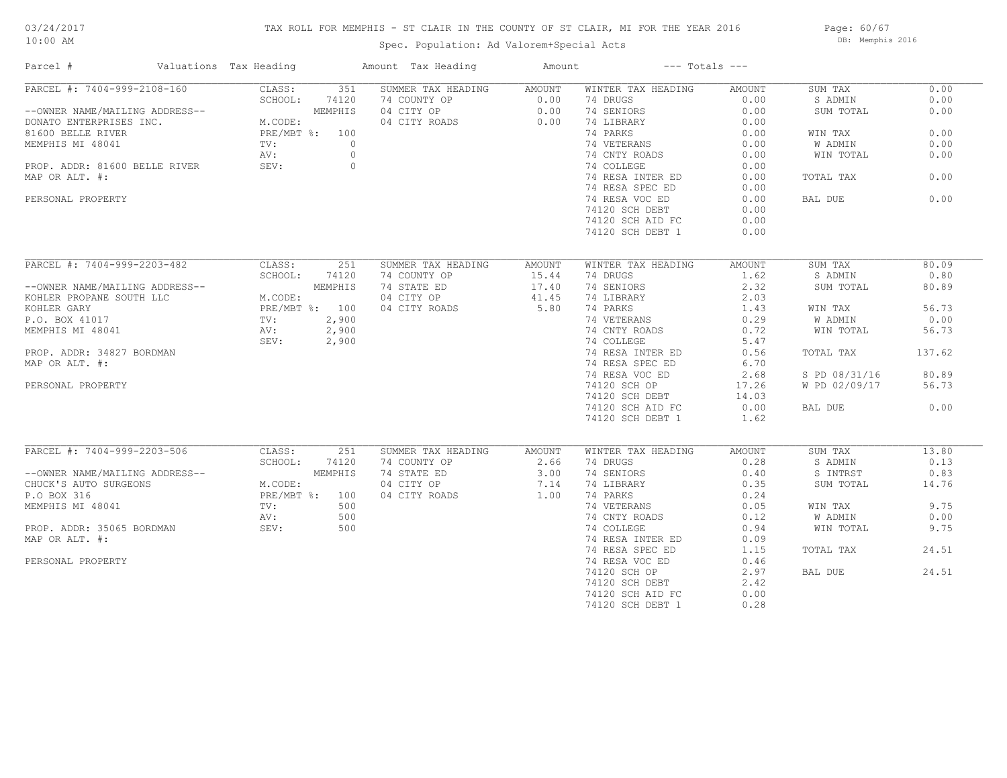## TAX ROLL FOR MEMPHIS - ST CLAIR IN THE COUNTY OF ST CLAIR, MI FOR THE YEAR 2016

Spec. Population: Ad Valorem+Special Acts

Page: 60/67 DB: Memphis 2016

| Parcel #                                                                                                                                                                                                                                           | Valuations Tax Heading |         | Amount Tax Heading                                                                       | Amount         | $---$ Totals $---$                       |        |               |        |
|----------------------------------------------------------------------------------------------------------------------------------------------------------------------------------------------------------------------------------------------------|------------------------|---------|------------------------------------------------------------------------------------------|----------------|------------------------------------------|--------|---------------|--------|
| PARCEL #: 7404-999-2108-160 CLASS: 351 SUMMER TAX HEADING AMOUNT                                                                                                                                                                                   |                        |         |                                                                                          |                | WINTER TAX HEADING                       | AMOUNT | SUM TAX       | 0.00   |
|                                                                                                                                                                                                                                                    |                        |         |                                                                                          |                | 74 DRUGS                                 | 0.00   | S ADMIN       | 0.00   |
| --OWNER NAME/MAILING ADDRESS--<br>DONATO ENTERPRISES INC.<br>MEMPHIS MI 48041<br>PRE/MBT %: 100<br>MEMPHIS MI 48041<br>PRE/MBT %: 100<br>PROP. ADDR: 81600 BELLE RIVER<br>PRE/MBT %: 0<br>PROP. ADDR: 81600 BELLE RIVER<br>PRE/MBT %: 0<br>PROP. A |                        |         | 74 COUNTY OP 0.00<br>04 CITY OP 0.00<br>04 CITY ROADS 0.00                               |                | 74 SENIORS                               | 0.00   | SUM TOTAL     | 0.00   |
|                                                                                                                                                                                                                                                    |                        |         |                                                                                          |                | 74 LIBRARY                               | 0.00   |               |        |
|                                                                                                                                                                                                                                                    |                        |         |                                                                                          |                | 74 PARKS                                 | 0.00   | WIN TAX       | 0.00   |
|                                                                                                                                                                                                                                                    |                        |         |                                                                                          |                |                                          |        | W ADMIN       | 0.00   |
|                                                                                                                                                                                                                                                    |                        |         |                                                                                          |                | 74 VETERANS 0.00<br>74 CNTY ROADS 0.00   |        | WIN TOTAL     | 0.00   |
|                                                                                                                                                                                                                                                    |                        |         |                                                                                          |                | 74 COLLEGE<br>74 RESA INTER ED<br>71     | 0.00   |               |        |
| MAP OR ALT. #:                                                                                                                                                                                                                                     |                        |         |                                                                                          |                |                                          | 0.00   | TOTAL TAX     | 0.00   |
|                                                                                                                                                                                                                                                    |                        |         |                                                                                          |                | 74 RESA SPEC ED                          | 0.00   |               |        |
| PERSONAL PROPERTY                                                                                                                                                                                                                                  |                        |         |                                                                                          |                | 74 RESA VOC ED                           | 0.00   | BAL DUE       | 0.00   |
|                                                                                                                                                                                                                                                    |                        |         |                                                                                          |                |                                          | 0.00   |               |        |
|                                                                                                                                                                                                                                                    |                        |         |                                                                                          |                | 74120 SCH DEBT<br>פונגרי היה הדת המ      |        |               |        |
|                                                                                                                                                                                                                                                    |                        |         |                                                                                          |                | 74120 SCH AID FC                         | 0.00   |               |        |
|                                                                                                                                                                                                                                                    |                        |         |                                                                                          |                | 74120 SCH DEBT 1                         | 0.00   |               |        |
| PARCEL #: 7404-999-2203-482 CLASS: 251                                                                                                                                                                                                             |                        |         | SUMMER TAX HEADING                                                                       | AMOUNT         | WINTER TAX HEADING                       | AMOUNT | SUM TAX       | 80.09  |
|                                                                                                                                                                                                                                                    | SCHOOL: 74120          |         | 74 COUNTY OP                                                                             | 15.44          | 74 DRUGS                                 | 1.62   | S ADMIN       | 0.80   |
| --OWNER NAME/MAILING ADDRESS--                                                                                                                                                                                                                     |                        | MEMPHIS | 74 STATE ED                                                                              | 15.44<br>17.40 | 74 SENIORS                               | 2.32   | SUM TOTAL     | 80.89  |
| MEMPHIS NOHLER PROPANE SOUTH LLC M.CODE:<br>KOHLER GARY PRE/MBT %: 100<br>P.O. BOX 41017 TV: 2,900<br>MEMPHIS MI 48041 AV: 2,900<br>PROP. ADDR: 34827 BORDMAN SEV: 2,900<br>MAR OR NIT "4827 BORDMAN                                               |                        |         |                                                                                          |                |                                          |        |               |        |
|                                                                                                                                                                                                                                                    |                        |         | 04 CITY OP 41.45<br>04 CITY ROADS 5.80                                                   |                | 74 LIBRARY 2.03<br>74 PARKS 1.43         |        |               |        |
|                                                                                                                                                                                                                                                    |                        |         |                                                                                          |                |                                          |        | WIN TAX       | 56.73  |
|                                                                                                                                                                                                                                                    |                        |         |                                                                                          |                | 74 VETERANS 0.29<br>74 CNTY ROADS 0.72   |        | W ADMIN       | 0.00   |
|                                                                                                                                                                                                                                                    |                        |         | $2,900$<br>2,900<br>2,900<br>2,900                                                       |                |                                          |        | WIN TOTAL     | 56.73  |
|                                                                                                                                                                                                                                                    |                        |         |                                                                                          |                | 74 COLLEGE 5.47<br>74 RESA INTER ED 0.56 |        |               |        |
|                                                                                                                                                                                                                                                    |                        |         |                                                                                          |                |                                          |        | TOTAL TAX     | 137.62 |
| MAP OR ALT. #:                                                                                                                                                                                                                                     |                        |         |                                                                                          |                | 74 RESA SPEC ED                          | 6.70   |               |        |
|                                                                                                                                                                                                                                                    |                        |         |                                                                                          |                | 74 RESA VOC ED                           | 2.68   | S PD 08/31/16 | 80.89  |
| PERSONAL PROPERTY                                                                                                                                                                                                                                  |                        |         |                                                                                          |                | 74120 SCH OP<br>74120 sch debt           | 17.26  | W PD 02/09/17 | 56.73  |
|                                                                                                                                                                                                                                                    |                        |         |                                                                                          |                | 74120 SCH DEBT                           | 14.03  |               |        |
|                                                                                                                                                                                                                                                    |                        |         |                                                                                          |                | 74120 SCH AID FC                         | 0.00   | BAL DUE       | 0.00   |
|                                                                                                                                                                                                                                                    |                        |         |                                                                                          |                | 74120 SCH DEBT 1                         | 1.62   |               |        |
|                                                                                                                                                                                                                                                    |                        |         |                                                                                          |                |                                          |        |               |        |
| PARCEL #: 7404-999-2203-506                                                                                                                                                                                                                        | CLASS:                 | 251     | SUMMER TAX HEADING AMOUNT                                                                |                | WINTER TAX HEADING                       | AMOUNT | SUM TAX       | 13.80  |
|                                                                                                                                                                                                                                                    |                        |         |                                                                                          |                | 74 DRUGS                                 | 0.28   | S ADMIN       | 0.13   |
|                                                                                                                                                                                                                                                    |                        |         |                                                                                          |                | 74 SENIORS<br>74 LIBRARY                 | 0.40   | S INTRST      | 0.83   |
| --OWNER NAME/MAILING ADDRESS--<br>CHUCK'S AUTO SURGEONS<br>P.O BOX 316<br>PRE/MBT %: 100<br>MEMPHIS MI 48041<br>PROP. ADDR: 35065 BORDMAN<br>MAP OR ALT. #: 500<br>MAP OR ALT. #: 500                                                              |                        |         | 74 COUNTY OP<br>74 STATE ED<br>74 STATE ED 3.00<br>04 CITY OP 7.14<br>04 CITY ROADS 1.00 |                |                                          | 0.35   | SUM TOTAL     | 14.76  |
|                                                                                                                                                                                                                                                    |                        |         |                                                                                          |                | 74 PARKS<br>74 VETERANS                  | 0.24   |               |        |
|                                                                                                                                                                                                                                                    |                        |         |                                                                                          |                |                                          | 0.05   | WIN TAX       | 9.75   |
|                                                                                                                                                                                                                                                    |                        |         |                                                                                          |                | 74 CNTY ROADS 0.12<br>74 COLLEGE 0.94    |        | W ADMIN       | 0.00   |
|                                                                                                                                                                                                                                                    |                        |         |                                                                                          |                |                                          |        | WIN TOTAL     | 9.75   |
| MAP OR ALT. #:                                                                                                                                                                                                                                     |                        |         |                                                                                          |                | 74 RESA INTER ED                         | 0.09   |               |        |
|                                                                                                                                                                                                                                                    |                        |         |                                                                                          |                | 74 RESA SPEC ED                          | 1.15   | TOTAL TAX     | 24.51  |
| PERSONAL PROPERTY                                                                                                                                                                                                                                  |                        |         |                                                                                          |                | 74 RESA VOC ED                           | 0.46   |               |        |
|                                                                                                                                                                                                                                                    |                        |         |                                                                                          |                | 74120 SCH OP                             | 2.97   | BAL DUE       | 24.51  |
|                                                                                                                                                                                                                                                    |                        |         |                                                                                          |                | 74120 SCH DEBT                           | 2.42   |               |        |
|                                                                                                                                                                                                                                                    |                        |         |                                                                                          |                | 74120 SCH AID FC                         | 0.00   |               |        |
|                                                                                                                                                                                                                                                    |                        |         |                                                                                          |                | 74120 SCH DEBT 1                         | 0.28   |               |        |
|                                                                                                                                                                                                                                                    |                        |         |                                                                                          |                |                                          |        |               |        |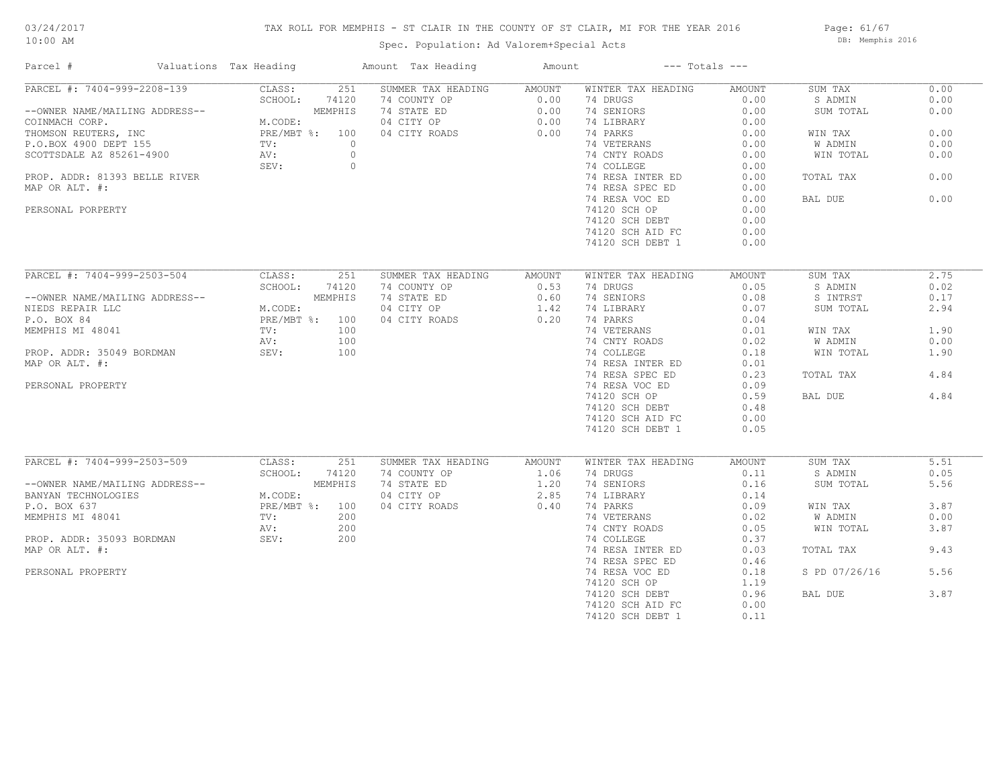# 03/24/2017

## 10:00 AM

## TAX ROLL FOR MEMPHIS - ST CLAIR IN THE COUNTY OF ST CLAIR, MI FOR THE YEAR 2016

Spec. Population: Ad Valorem+Special Acts

Page: 61/67 DB: Memphis 2016

| Parcel #                                                                  | Valuations Tax Heading                      |         | Amount Tax Heading        | Amount         |                    | $---$ Totals $---$ |               |      |
|---------------------------------------------------------------------------|---------------------------------------------|---------|---------------------------|----------------|--------------------|--------------------|---------------|------|
| PARCEL #: 7404-999-2208-139                                               | CLASS:                                      | 251     | SUMMER TAX HEADING AMOUNT |                | WINTER TAX HEADING | AMOUNT             | SUM TAX       | 0.00 |
|                                                                           | SCHOOL:                                     | 74120   | 74 COUNTY OP              | 0.00           | 74 DRUGS           | 0.00               | S ADMIN       | 0.00 |
| --OWNER NAME/MAILING ADDRESS--                                            |                                             | MEMPHIS | 74 STATE ED               | $0.00$<br>0.00 | 74 SENIORS         | 0.00               | SUM TOTAL     | 0.00 |
| COINMACH CORP.                                                            | M.CODE:                                     |         | 04 CITY OP                |                | 74 LIBRARY         | 0.00               |               |      |
| THOMSON REUTERS, INC<br>P.O.BOX 4900 DEPT 155<br>SCOTTSDALE AZ 85261-4900 | M.CODE.<br>PRE/MBT %: 100<br>TV: 0<br>AV: 0 |         | 04 CITY ROADS             | 0.00           | 74 PARKS           | 0.00               | WIN TAX       | 0.00 |
|                                                                           |                                             |         |                           |                | 74 VETERANS        | 0.00               | W ADMIN       | 0.00 |
|                                                                           |                                             |         |                           |                | 74 CNTY ROADS      | 0.00               | WIN TOTAL     | 0.00 |
|                                                                           | SEV:                                        | $\circ$ |                           |                | 74 COLLEGE         | 0.00               |               |      |
| PROP. ADDR: 81393 BELLE RIVER                                             |                                             |         |                           |                | 74 RESA INTER ED   | 0.00               | TOTAL TAX     | 0.00 |
| MAP OR ALT. #:                                                            |                                             |         |                           |                | 74 RESA SPEC ED    | 0.00               |               |      |
|                                                                           |                                             |         |                           |                | 74 RESA VOC ED     | 0.00               | BAL DUE       | 0.00 |
| PERSONAL PORPERTY                                                         |                                             |         |                           |                | 74120 SCH OP       | 0.00               |               |      |
|                                                                           |                                             |         |                           |                | 74120 SCH DEBT     | 0.00               |               |      |
|                                                                           |                                             |         |                           |                | 74120 SCH AID FC   | 0.00               |               |      |
|                                                                           |                                             |         |                           |                | 74120 SCH DEBT 1   | 0.00               |               |      |
|                                                                           |                                             |         |                           |                |                    |                    |               |      |
| PARCEL #: 7404-999-2503-504                                               | CLASS:                                      | 251     | SUMMER TAX HEADING        | AMOUNT         | WINTER TAX HEADING | AMOUNT             | SUM TAX       | 2.75 |
|                                                                           | SCHOOL:                                     | 74120   | 74 COUNTY OP              | 0.53           | 74 DRUGS           | 0.05               | S ADMIN       | 0.02 |
| --OWNER NAME/MAILING ADDRESS--                                            |                                             | MEMPHIS | 74 STATE ED               | 0.60           | 74 SENIORS         | 0.08               | S INTRST      | 0.17 |
| NIEDS REPAIR LLC                                                          | M.CODE:                                     |         | 04 CITY OP                | 1.42           | 74 LIBRARY         | 0.07               | SUM TOTAL     | 2.94 |
| P.O. BOX 84                                                               | PRE/MBT %: 100                              |         | 04 CITY ROADS             | 0.20           | 74 PARKS           | 0.04               |               |      |
| MEMPHIS MI 48041                                                          | TV:                                         | 100     |                           |                | 74 VETERANS        | 0.01               | WIN TAX       | 1.90 |
|                                                                           |                                             | 100     |                           |                | 74 CNTY ROADS      | 0.02               |               | 0.00 |
|                                                                           | AV:                                         |         |                           |                | 74 COLLEGE         |                    | W ADMIN       |      |
| PROP. ADDR: 35049 BORDMAN                                                 | SEV:                                        | 100     |                           |                |                    | 0.18               | WIN TOTAL     | 1.90 |
| MAP OR ALT. #:                                                            |                                             |         |                           |                | 74 RESA INTER ED   | 0.01               |               |      |
|                                                                           |                                             |         |                           |                | 74 RESA SPEC ED    | 0.23               | TOTAL TAX     | 4.84 |
| PERSONAL PROPERTY                                                         |                                             |         |                           |                | 74 RESA VOC ED     | 0.09               |               |      |
|                                                                           |                                             |         |                           |                | 74120 SCH OP       | 0.59               | BAL DUE       | 4.84 |
|                                                                           |                                             |         |                           |                | 74120 SCH DEBT     | 0.48               |               |      |
|                                                                           |                                             |         |                           |                | 74120 SCH AID FC   | 0.00               |               |      |
|                                                                           |                                             |         |                           |                | 74120 SCH DEBT 1   | 0.05               |               |      |
|                                                                           |                                             |         |                           |                |                    |                    |               |      |
| PARCEL #: 7404-999-2503-509                                               | CLASS:                                      | 251     | SUMMER TAX HEADING        | AMOUNT         | WINTER TAX HEADING | AMOUNT             | SUM TAX       | 5.51 |
|                                                                           | SCHOOL:                                     | 74120   | 74 COUNTY OP              | 1.06           | 74 DRUGS           | 0.11               | S ADMIN       | 0.05 |
| --OWNER NAME/MAILING ADDRESS--                                            |                                             | MEMPHIS | 74 STATE ED               | 1.20           | 74 SENIORS         | 0.16               | SUM TOTAL     | 5.56 |
| BANYAN TECHNOLOGIES                                                       | M.CODE:                                     |         | 04 CITY OP                | 2.85           | 74 LIBRARY         | 0.14               |               |      |
| P.O. BOX 637                                                              | PRE/MBT %: 100                              |         | 04 CITY ROADS             | 0.40           | 74 PARKS           | 0.09               | WIN TAX       | 3.87 |
| MEMPHIS MI 48041                                                          | TV:                                         | 200     |                           |                | 74 VETERANS        | 0.02               | W ADMIN       | 0.00 |
|                                                                           | AV:                                         | 200     |                           |                | 74 CNTY ROADS      | 0.05               | WIN TOTAL     | 3.87 |
| PROP. ADDR: 35093 BORDMAN                                                 | SEV:                                        | 200     |                           |                | 74 COLLEGE         | 0.37               |               |      |
| MAP OR ALT. #:                                                            |                                             |         |                           |                | 74 RESA INTER ED   | 0.03               | TOTAL TAX     | 9.43 |
|                                                                           |                                             |         |                           |                | 74 RESA SPEC ED    | 0.46               |               |      |
| PERSONAL PROPERTY                                                         |                                             |         |                           |                | 74 RESA VOC ED     | 0.18               | S PD 07/26/16 | 5.56 |
|                                                                           |                                             |         |                           |                | 74120 SCH OP       | 1.19               |               |      |
|                                                                           |                                             |         |                           |                | 74120 SCH DEBT     | 0.96               | BAL DUE       | 3.87 |
|                                                                           |                                             |         |                           |                | 74120 SCH AID FC   | 0.00               |               |      |
|                                                                           |                                             |         |                           |                | 74120 SCH DEBT 1   | 0.11               |               |      |
|                                                                           |                                             |         |                           |                |                    |                    |               |      |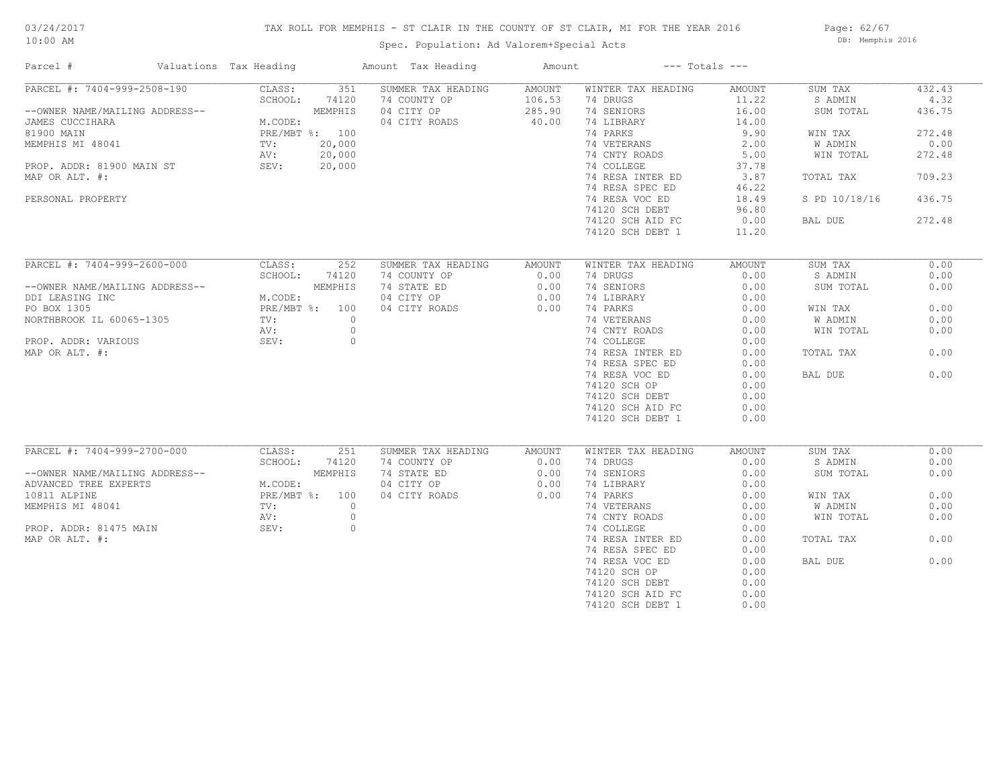## TAX ROLL FOR MEMPHIS - ST CLAIR IN THE COUNTY OF ST CLAIR, MI FOR THE YEAR 2016

Spec. Population: Ad Valorem+Special Acts

Page: 62/67 DB: Memphis 2016

| Parcel #                       | Valuations Tax Heading |                |          | Amount Tax Heading | Amount |                    | $---$ Totals $---$ |               |        |
|--------------------------------|------------------------|----------------|----------|--------------------|--------|--------------------|--------------------|---------------|--------|
| PARCEL #: 7404-999-2508-190    |                        | CLASS:         | 351      | SUMMER TAX HEADING | AMOUNT | WINTER TAX HEADING | AMOUNT             | SUM TAX       | 432.43 |
|                                |                        | SCHOOL:        | 74120    | 74 COUNTY OP       | 106.53 | 74 DRUGS           | 11.22              | S ADMIN       | 4.32   |
| --OWNER NAME/MAILING ADDRESS-- |                        |                | MEMPHIS  | 04 CITY OP         | 285.90 | 74 SENIORS         | 16.00              | SUM TOTAL     | 436.75 |
| JAMES CUCCIHARA                |                        | M.CODE:        |          | 04 CITY ROADS      | 40.00  | 74 LIBRARY         | 14.00              |               |        |
| 81900 MAIN                     |                        | PRE/MBT %: 100 |          |                    |        | 74 PARKS           | 9.90               | WIN TAX       | 272.48 |
| MEMPHIS MI 48041               |                        | $\text{TV}$ :  | 20,000   |                    |        | 74 VETERANS        | 2.00               | W ADMIN       | 0.00   |
|                                |                        | AV:            | 20,000   |                    |        | 74 CNTY ROADS      | 5.00               | WIN TOTAL     | 272.48 |
| PROP. ADDR: 81900 MAIN ST      |                        | SEV:           | 20,000   |                    |        | 74 COLLEGE         | 37.78              |               |        |
| MAP OR ALT. #:                 |                        |                |          |                    |        | 74 RESA INTER ED   | 3.87               | TOTAL TAX     | 709.23 |
|                                |                        |                |          |                    |        | 74 RESA SPEC ED    | 46.22              |               |        |
| PERSONAL PROPERTY              |                        |                |          |                    |        | 74 RESA VOC ED     | 18.49              | S PD 10/18/16 | 436.75 |
|                                |                        |                |          |                    |        | 74120 SCH DEBT     | 96.80              |               |        |
|                                |                        |                |          |                    |        | 74120 SCH AID FC   | 0.00               | BAL DUE       | 272.48 |
|                                |                        |                |          |                    |        |                    | 11.20              |               |        |
|                                |                        |                |          |                    |        | 74120 SCH DEBT 1   |                    |               |        |
| PARCEL #: 7404-999-2600-000    |                        | CLASS:         | 252      | SUMMER TAX HEADING | AMOUNT | WINTER TAX HEADING | AMOUNT             | SUM TAX       | 0.00   |
|                                |                        | SCHOOL:        | 74120    | 74 COUNTY OP       | 0.00   | 74 DRUGS           | 0.00               | S ADMIN       | 0.00   |
| --OWNER NAME/MAILING ADDRESS-- |                        |                | MEMPHIS  | 74 STATE ED        | 0.00   | 74 SENIORS         | 0.00               | SUM TOTAL     | 0.00   |
| DDI LEASING INC                |                        | M.CODE:        |          | 04 CITY OP         | 0.00   | 74 LIBRARY         | 0.00               |               |        |
| PO BOX 1305                    |                        | PRE/MBT %: 100 |          | 04 CITY ROADS      | 0.00   | 74 PARKS           | 0.00               | WIN TAX       | 0.00   |
|                                |                        |                | $\circ$  |                    |        |                    |                    |               |        |
| NORTHBROOK IL 60065-1305       |                        | TV:            |          |                    |        | 74 VETERANS        | 0.00               | W ADMIN       | 0.00   |
|                                |                        | AV:            | $\circ$  |                    |        | 74 CNTY ROADS      | 0.00               | WIN TOTAL     | 0.00   |
| PROP. ADDR: VARIOUS            |                        | SEV:           | $\circ$  |                    |        | 74 COLLEGE         | 0.00               |               |        |
| MAP OR ALT. #:                 |                        |                |          |                    |        | 74 RESA INTER ED   | 0.00               | TOTAL TAX     | 0.00   |
|                                |                        |                |          |                    |        | 74 RESA SPEC ED    | 0.00               |               |        |
|                                |                        |                |          |                    |        | 74 RESA VOC ED     | 0.00               | BAL DUE       | 0.00   |
|                                |                        |                |          |                    |        | 74120 SCH OP       | 0.00               |               |        |
|                                |                        |                |          |                    |        | 74120 SCH DEBT     | 0.00               |               |        |
|                                |                        |                |          |                    |        | 74120 SCH AID FC   | 0.00               |               |        |
|                                |                        |                |          |                    |        | 74120 SCH DEBT 1   | 0.00               |               |        |
|                                |                        |                |          |                    |        |                    |                    |               |        |
| PARCEL #: 7404-999-2700-000    |                        | CLASS:         | 251      | SUMMER TAX HEADING | AMOUNT | WINTER TAX HEADING | AMOUNT             | SUM TAX       | 0.00   |
|                                |                        | SCHOOL:        | 74120    | 74 COUNTY OP       | 0.00   | 74 DRUGS           | 0.00               | S ADMIN       | 0.00   |
| --OWNER NAME/MAILING ADDRESS-- |                        |                | MEMPHIS  | 74 STATE ED        | 0.00   | 74 SENIORS         | 0.00               | SUM TOTAL     | 0.00   |
| ADVANCED TREE EXPERTS          |                        | M.CODE:        |          | 04 CITY OP         | 0.00   | 74 LIBRARY         | 0.00               |               |        |
| 10811 ALPINE                   |                        | PRE/MBT %: 100 |          | 04 CITY ROADS      | 0.00   | 74 PARKS           | 0.00               | WIN TAX       | 0.00   |
| MEMPHIS MI 48041               |                        | TV:            | $\Omega$ |                    |        | 74 VETERANS        | 0.00               | W ADMIN       | 0.00   |
|                                |                        | AV:            | $\circ$  |                    |        | 74 CNTY ROADS      | 0.00               | WIN TOTAL     | 0.00   |
| PROP. ADDR: 81475 MAIN         |                        | SEV:           | $\circ$  |                    |        | 74 COLLEGE         | 0.00               |               |        |
| MAP OR ALT. #:                 |                        |                |          |                    |        | 74 RESA INTER ED   | 0.00               | TOTAL TAX     | 0.00   |
|                                |                        |                |          |                    |        | 74 RESA SPEC ED    | 0.00               |               |        |
|                                |                        |                |          |                    |        | 74 RESA VOC ED     | 0.00               | BAL DUE       | 0.00   |
|                                |                        |                |          |                    |        | 74120 SCH OP       | 0.00               |               |        |
|                                |                        |                |          |                    |        | 74120 SCH DEBT     | 0.00               |               |        |
|                                |                        |                |          |                    |        | 74120 SCH AID FC   | 0.00               |               |        |
|                                |                        |                |          |                    |        | 74120 SCH DEBT 1   | 0.00               |               |        |
|                                |                        |                |          |                    |        |                    |                    |               |        |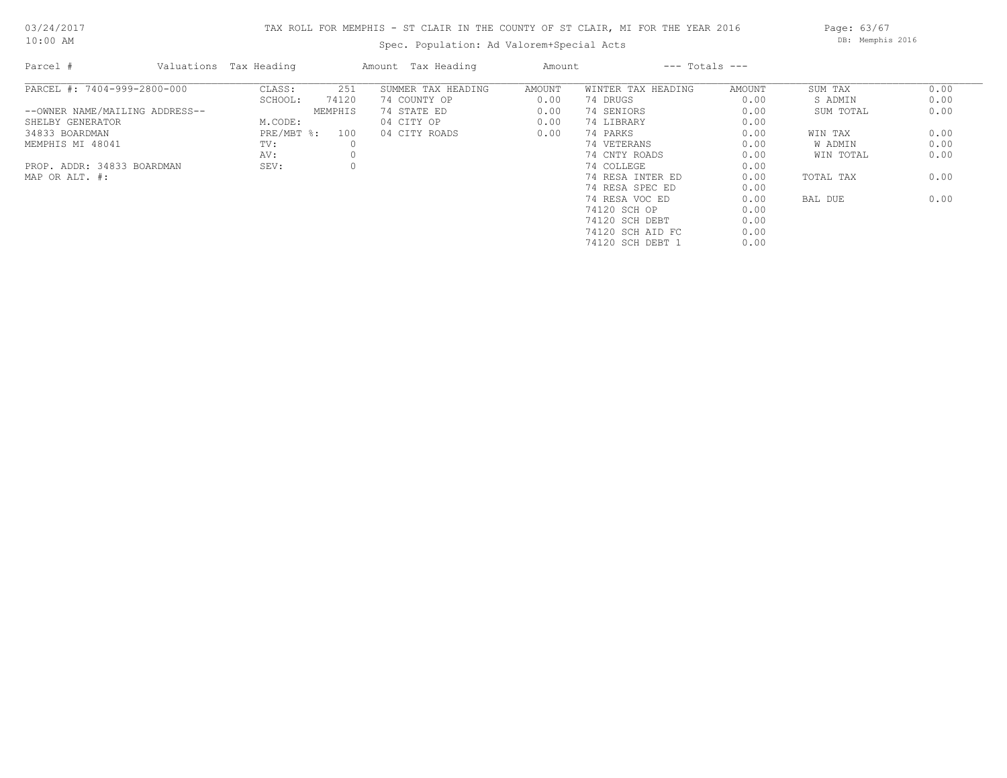## TAX ROLL FOR MEMPHIS - ST CLAIR IN THE COUNTY OF ST CLAIR, MI FOR THE YEAR 2016

Spec. Population: Ad Valorem+Special Acts

Page: 63/67 DB: Memphis 2016

| Parcel #                       | Valuations Tax Heading |         | Amount Tax Heading | Amount |                    | $---$ Totals $---$ |           |      |
|--------------------------------|------------------------|---------|--------------------|--------|--------------------|--------------------|-----------|------|
| PARCEL #: 7404-999-2800-000    | CLASS:                 | 251     | SUMMER TAX HEADING | AMOUNT | WINTER TAX HEADING | AMOUNT             | SUM TAX   | 0.00 |
|                                | SCHOOL:                | 74120   | 74 COUNTY OP       | 0.00   | 74 DRUGS           | 0.00               | S ADMIN   | 0.00 |
| --OWNER NAME/MAILING ADDRESS-- |                        | MEMPHIS | 74 STATE ED        | 0.00   | 74 SENIORS         | 0.00               | SUM TOTAL | 0.00 |
| SHELBY GENERATOR               | M.CODE:                |         | 04 CITY OP         | 0.00   | 74 LIBRARY         | 0.00               |           |      |
| 34833 BOARDMAN                 | $PRE/MBT$ %:           | 100     | 04 CITY ROADS      | 0.00   | 74 PARKS           | 0.00               | WIN TAX   | 0.00 |
| MEMPHIS MI 48041               | TV:                    |         |                    |        | 74 VETERANS        | 0.00               | W ADMIN   | 0.00 |
|                                | AV:                    |         |                    |        | 74 CNTY ROADS      | 0.00               | WIN TOTAL | 0.00 |
| PROP. ADDR: 34833 BOARDMAN     | SEV:                   |         |                    |        | 74 COLLEGE         | 0.00               |           |      |
| MAP OR ALT. #:                 |                        |         |                    |        | 74 RESA INTER ED   | 0.00               | TOTAL TAX | 0.00 |
|                                |                        |         |                    |        | 74 RESA SPEC ED    | 0.00               |           |      |
|                                |                        |         |                    |        | 74 RESA VOC ED     | 0.00               | BAL DUE   | 0.00 |
|                                |                        |         |                    |        | 74120 SCH OP       | 0.00               |           |      |
|                                |                        |         |                    |        | 74120 SCH DEBT     | 0.00               |           |      |
|                                |                        |         |                    |        | 74120 SCH AID FC   | 0.00               |           |      |
|                                |                        |         |                    |        | 74120 SCH DEBT 1   | 0.00               |           |      |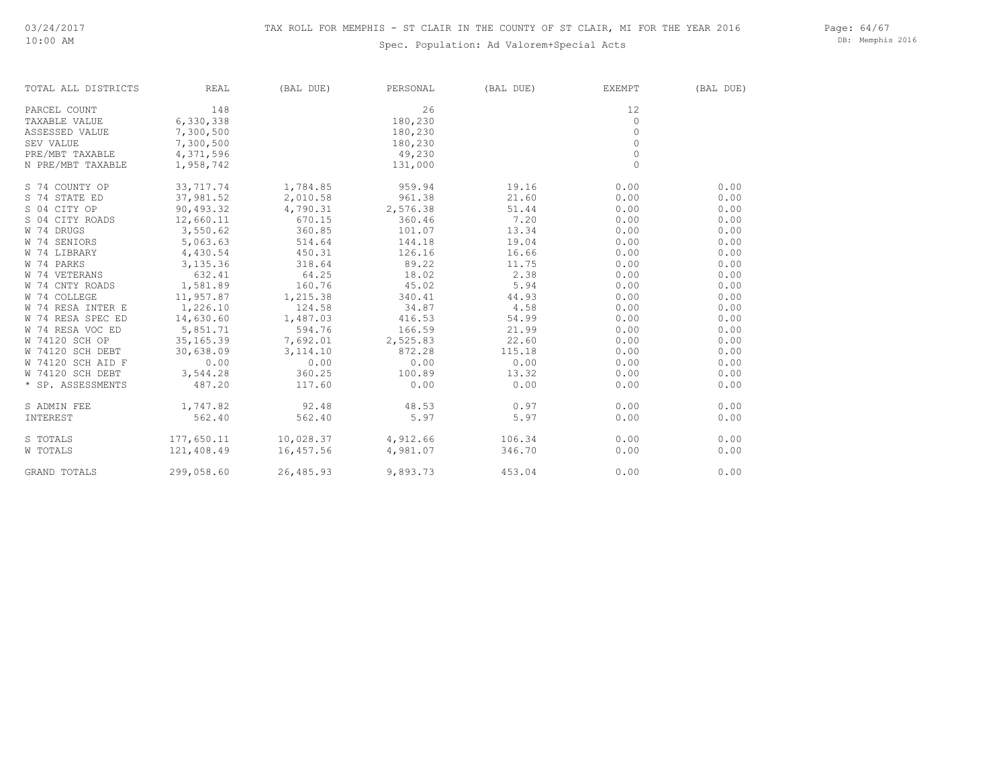Page: 64/67 DB: Memphis 2016

| TOTAL ALL DISTRICTS | REAL       | (BAL DUE)          | PERSONAL | (BAL DUE) | EXEMPT   | (BAL DUE) |
|---------------------|------------|--------------------|----------|-----------|----------|-----------|
| PARCEL COUNT        | 148        |                    | 26       |           | 12       |           |
| TAXABLE VALUE       | 6,330,338  |                    | 180,230  |           | $\Omega$ |           |
| ASSESSED VALUE      | 7,300,500  |                    | 180,230  |           | $\Omega$ |           |
| SEV VALUE           | 7,300,500  |                    | 180,230  |           | $\Omega$ |           |
| PRE/MBT TAXABLE     | 4,371,596  |                    | 49,230   |           | $\Omega$ |           |
| N PRE/MBT TAXABLE   | 1,958,742  |                    | 131,000  |           | $\Omega$ |           |
| S 74 COUNTY OP      | 33,717.74  | 1,784.85           | 959.94   | 19.16     | 0.00     | 0.00      |
| S 74 STATE ED       | 37,981.52  | 2,010.58           | 961.38   | 21.60     | 0.00     | 0.00      |
| S 04 CITY OP        | 90,493.32  | 4,790.31           | 2,576.38 | 51.44     | 0.00     | 0.00      |
| S 04 CITY ROADS     | 12,660.11  | 670.15             | 360.46   | 7.20      | 0.00     | 0.00      |
| W 74 DRUGS          | 3,550.62   | 360.85             | 101.07   | 13.34     | 0.00     | 0.00      |
| W 74 SENIORS        | 5,063.63   | 514.64             | 144.18   | 19.04     | 0.00     | 0.00      |
| W 74 LIBRARY        | 4,430.54   | 450.31             | 126.16   | 16.66     | 0.00     | 0.00      |
| W 74 PARKS          | 3,135.36   | 318.64             | 89.22    | 11.75     | 0.00     | 0.00      |
| W 74 VETERANS       | 632.41     | 64.25              | 18.02    | 2.38      | 0.00     | 0.00      |
| W 74 CNTY ROADS     | 1,581.89   | 160.76             | 45.02    | 5.94      | 0.00     | 0.00      |
| W 74 COLLEGE        | 11,957.87  | 1,215.38           | 340.41   | 44.93     | 0.00     | 0.00      |
| W 74 RESA INTER E   | 1,226.10   | 124.58             | 34.87    | 4.58      | 0.00     | 0.00      |
| W 74 RESA SPEC ED   | 14,630.60  | 1,487.03           | 416.53   | 54.99     | 0.00     | 0.00      |
| W 74 RESA VOC ED    | 5,851.71   | 594.76             | 166.59   | 21.99     | 0.00     | 0.00      |
| W 74120 SCH OP      | 35, 165.39 | 7,692.01           | 2,525.83 | 22.60     | 0.00     | 0.00      |
| W 74120 SCH DEBT    | 30,638.09  | 3, 114.10          | 872.28   | 115.18    | 0.00     | 0.00      |
| W 74120 SCH AID F   | 0.00       | 0.00               | 0.00     | 0.00      | 0.00     | 0.00      |
| W 74120 SCH DEBT    | 3,544.28   | 360.25             | 100.89   | 13.32     | 0.00     | 0.00      |
| * SP. ASSESSMENTS   | 487.20     | 117.60             | 0.00     | 0.00      | 0.00     | 0.00      |
| S ADMIN FEE         | 1,747.82   | 92.48              | 48.53    | 0.97      | 0.00     | 0.00      |
| INTEREST            | 562.40     | 562.40             | 5.97     | 5.97      | 0.00     | 0.00      |
| S TOTALS            | 177,650.11 | 10,028.37 4,912.66 |          | 106.34    | 0.00     | 0.00      |
| W TOTALS            | 121,408.49 | 16,457.56          | 4,981.07 | 346.70    | 0.00     | 0.00      |
| GRAND TOTALS        | 299,058.60 | 26,485.93          | 9,893.73 | 453.04    | 0.00     | 0.00      |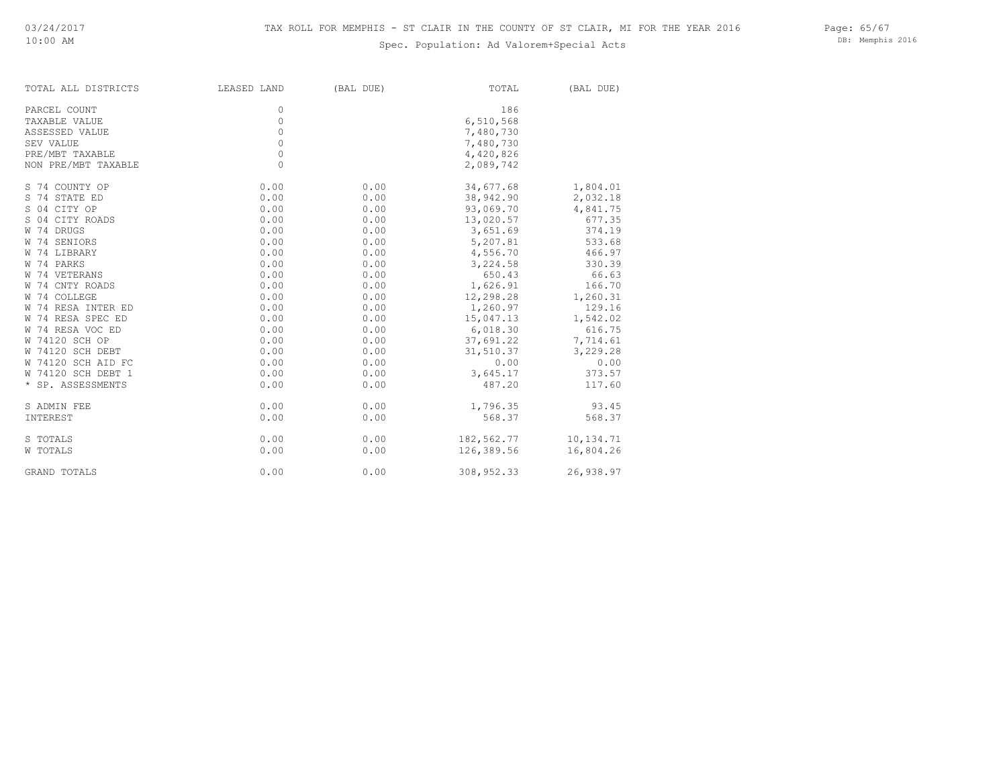DB: Memphis 2016

| TOTAL ALL DISTRICTS | LEASED LAND | (BAL DUE) | TOTAL      | (BAL DUE) |
|---------------------|-------------|-----------|------------|-----------|
| PARCEL COUNT        | 0           |           | 186        |           |
| TAXABLE VALUE       | $\circ$     |           | 6,510,568  |           |
| ASSESSED VALUE      | $\circ$     |           | 7,480,730  |           |
| SEV VALUE           | $\circ$     |           | 7,480,730  |           |
| PRE/MBT TAXABLE     | $\mathbb O$ |           | 4,420,826  |           |
| NON PRE/MBT TAXABLE | $\circ$     |           | 2,089,742  |           |
| S 74 COUNTY OP      | 0.00        | 0.00      | 34,677.68  | 1,804.01  |
| S 74 STATE ED       | 0.00        | 0.00      | 38,942.90  | 2,032.18  |
| S 04 CITY OP        | 0.00        | 0.00      | 93,069.70  | 4,841.75  |
| S 04 CITY ROADS     | 0.00        | 0.00      | 13,020.57  | 677.35    |
| W 74 DRUGS          | 0.00        | 0.00      | 3,651.69   | 374.19    |
| W 74 SENIORS        | 0.00        | 0.00      | 5,207.81   | 533.68    |
| W 74 LIBRARY        | 0.00        | 0.00      | 4,556.70   | 466.97    |
| W 74 PARKS          | 0.00        | 0.00      | 3,224.58   | 330.39    |
| W 74 VETERANS       | 0.00        | 0.00      | 650.43     | 66.63     |
| W 74 CNTY ROADS     | 0.00        | 0.00      | 1,626.91   | 166.70    |
| W 74 COLLEGE        | 0.00        | 0.00      | 12,298.28  | 1,260.31  |
| W 74 RESA INTER ED  | 0.00        | 0.00      | 1,260.97   | 129.16    |
| W 74 RESA SPEC ED   | 0.00        | 0.00      | 15,047.13  | 1,542.02  |
| W 74 RESA VOC ED    | 0.00        | 0.00      | 6,018.30   | 616.75    |
| W 74120 SCH OP      | 0.00        | 0.00      | 37,691.22  | 7,714.61  |
| W 74120 SCH DEBT    | 0.00        | 0.00      | 31,510.37  | 3,229.28  |
| W 74120 SCH AID FC  | 0.00        | 0.00      | 0.00       | 0.00      |
| W 74120 SCH DEBT 1  | 0.00        | 0.00      | 3,645.17   | 373.57    |
| * SP. ASSESSMENTS   | 0.00        | 0.00      | 487.20     | 117.60    |
| S ADMIN FEE         | 0.00        | 0.00      | 1,796.35   | 93.45     |
| INTEREST            | 0.00        | 0.00      | 568.37     | 568.37    |
| S TOTALS            | 0.00        | 0.00      | 182,562.77 | 10,134.71 |
| W TOTALS            | 0.00        | 0.00      | 126,389.56 | 16,804.26 |
| GRAND TOTALS        | 0.00        | 0.00      | 308,952.33 | 26,938.97 |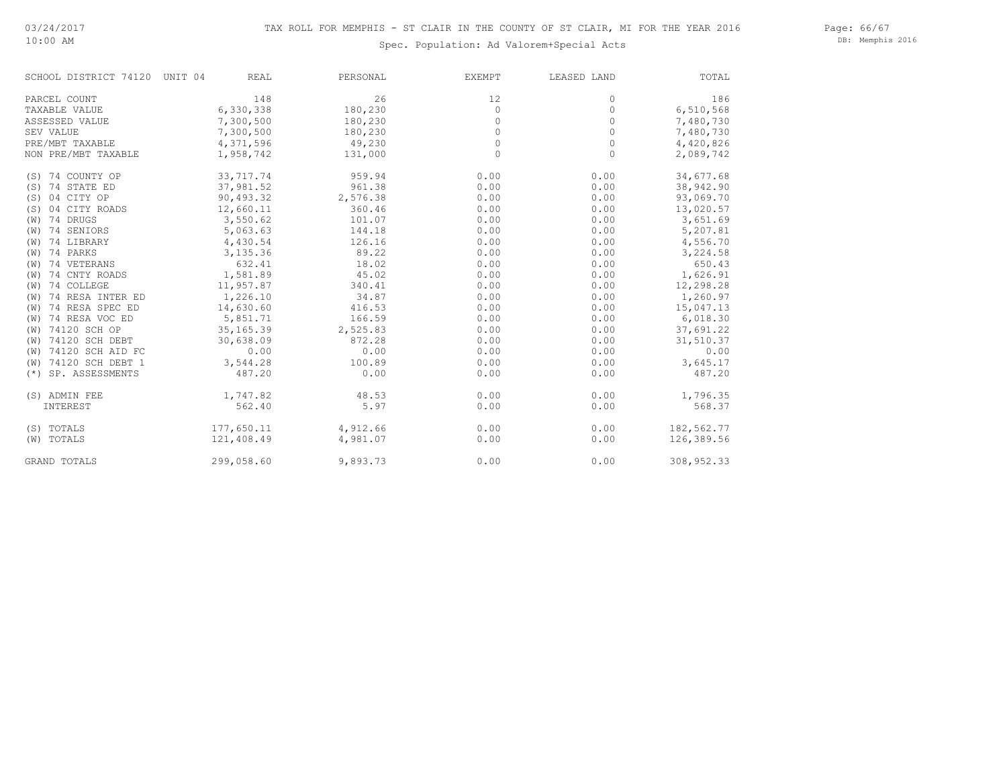DB: Memphis 2016

| SCHOOL DISTRICT 74120    | UNIT 04    | <b>REAL</b> | PERSONAL | EXEMPT  | LEASED LAND | TOTAL      |
|--------------------------|------------|-------------|----------|---------|-------------|------------|
| PARCEL COUNT             |            | 148         | 26       | 12      | 0           | 186        |
| TAXABLE VALUE            | 6,330,338  |             | 180,230  | $\circ$ | $\circ$     | 6,510,568  |
| ASSESSED VALUE           | 7,300,500  |             | 180,230  | $\circ$ | $\circ$     | 7,480,730  |
| SEV VALUE                | 7,300,500  |             | 180,230  | $\circ$ | $\circ$     | 7,480,730  |
| PRE/MBT TAXABLE          | 4,371,596  |             | 49,230   | $\circ$ | $\circ$     | 4,420,826  |
| NON PRE/MBT TAXABLE      | 1,958,742  |             | 131,000  | $\circ$ | $\circ$     | 2,089,742  |
| (S) 74 COUNTY OP         | 33,717.74  |             | 959.94   | 0.00    | 0.00        | 34,677.68  |
| (S) 74 STATE ED          | 37,981.52  |             | 961.38   | 0.00    | 0.00        | 38,942.90  |
| 04 CITY OP<br>(S)        | 90,493.32  |             | 2,576.38 | 0.00    | 0.00        | 93,069.70  |
| 04 CITY ROADS<br>(S)     | 12,660.11  |             | 360.46   | 0.00    | 0.00        | 13,020.57  |
| 74 DRUGS<br>(W)          | 3,550.62   |             | 101.07   | 0.00    | 0.00        | 3,651.69   |
| 74 SENIORS<br>(W)        | 5,063.63   |             | 144.18   | 0.00    | 0.00        | 5,207.81   |
| 74 LIBRARY<br>(W)        | 4,430.54   |             | 126.16   | 0.00    | 0.00        | 4,556.70   |
| 74 PARKS<br>(W)          | 3,135.36   |             | 89.22    | 0.00    | 0.00        | 3,224.58   |
| 74 VETERANS<br>(W)       |            | 632.41      | 18.02    | 0.00    | 0.00        | 650.43     |
| 74 CNTY ROADS<br>(W)     | 1,581.89   |             | 45.02    | 0.00    | 0.00        | 1,626.91   |
| 74 COLLEGE<br>(W)        | 11,957.87  |             | 340.41   | 0.00    | 0.00        | 12,298.28  |
| 74 RESA INTER ED<br>(W)  | 1,226.10   |             | 34.87    | 0.00    | 0.00        | 1,260.97   |
| 74 RESA SPEC ED<br>(W)   | 14,630.60  |             | 416.53   | 0.00    | 0.00        | 15,047.13  |
| 74 RESA VOC ED<br>(W)    | 5,851.71   |             | 166.59   | 0.00    | 0.00        | 6,018.30   |
| 74120 SCH OP<br>(W)      | 35, 165.39 |             | 2,525.83 | 0.00    | 0.00        | 37,691.22  |
| 74120 SCH DEBT<br>(W)    | 30,638.09  |             | 872.28   | 0.00    | 0.00        | 31,510.37  |
| 74120 SCH AID FC<br>(W)  |            | 0.00        | 0.00     | 0.00    | 0.00        | 0.00       |
| 74120 SCH DEBT 1<br>(W)  | 3,544.28   |             | 100.89   | 0.00    | 0.00        | 3,645.17   |
| SP. ASSESSMENTS<br>$(*)$ |            | 487.20      | 0.00     | 0.00    | 0.00        | 487.20     |
| (S) ADMIN FEE            | 1,747.82   |             | 48.53    | 0.00    | 0.00        | 1,796.35   |
| INTEREST                 |            | 562.40      | 5.97     | 0.00    | 0.00        | 568.37     |
| (S) TOTALS               | 177,650.11 |             | 4,912.66 | 0.00    | 0.00        | 182,562.77 |
| (W) TOTALS               | 121,408.49 |             | 4,981.07 | 0.00    | 0.00        | 126,389.56 |
| <b>GRAND TOTALS</b>      | 299,058.60 |             | 9,893.73 | 0.00    | 0.00        | 308,952.33 |